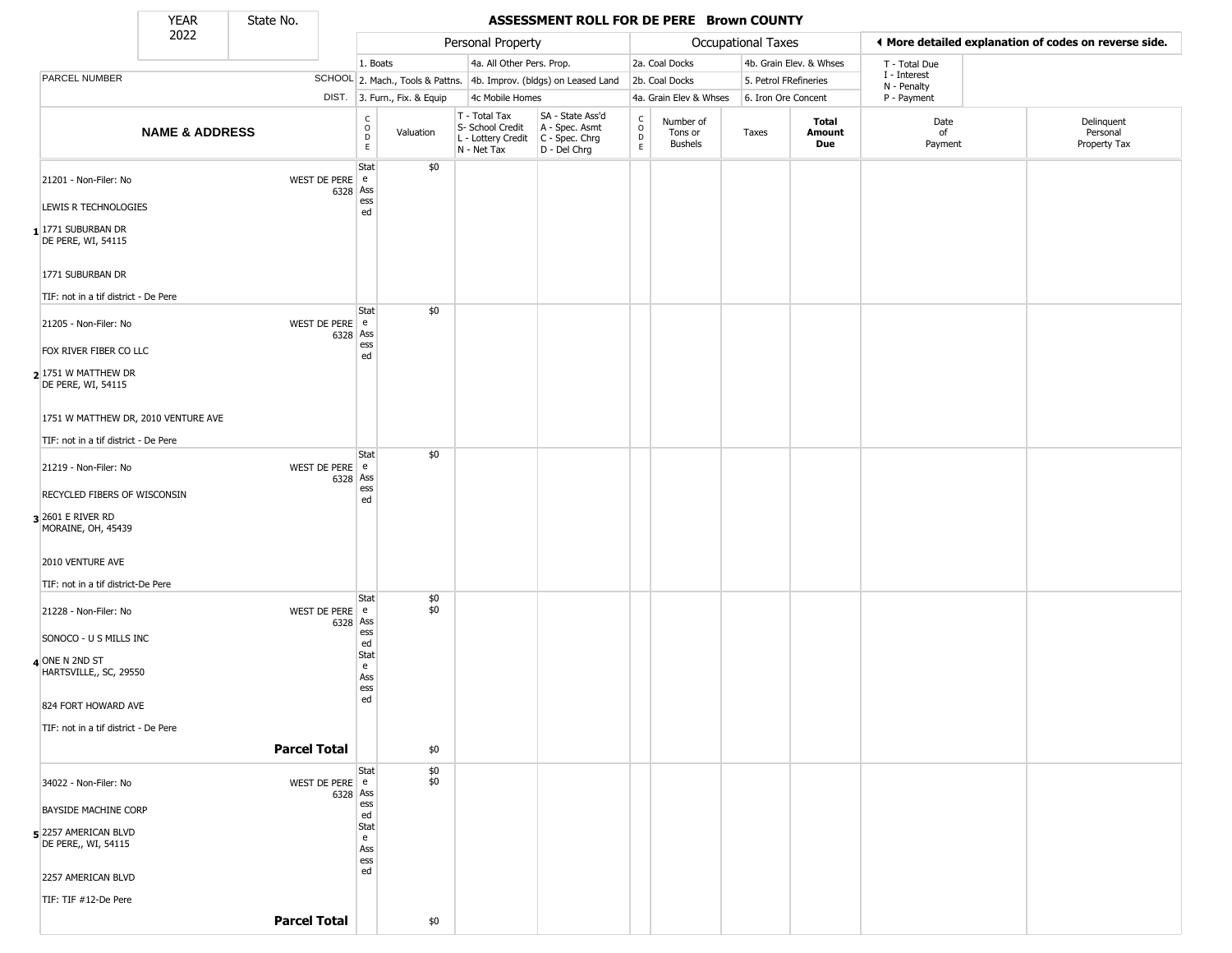State No.

ı

## **YEAR** State No. **ASSESSMENT ROLL FOR DE PERE Brown COUNTY**

|                                             | 2022                      |                     |          |                                    |                                  | Personal Property                                                      |                                                                      |                             |                                        | Occupational Taxes    |                         | ◀ More detailed explanation of codes on reverse side. |                                        |
|---------------------------------------------|---------------------------|---------------------|----------|------------------------------------|----------------------------------|------------------------------------------------------------------------|----------------------------------------------------------------------|-----------------------------|----------------------------------------|-----------------------|-------------------------|-------------------------------------------------------|----------------------------------------|
|                                             |                           |                     |          | 1. Boats                           |                                  | 4a. All Other Pers. Prop.                                              |                                                                      |                             | 2a. Coal Docks                         |                       | 4b. Grain Elev. & Whses | T - Total Due                                         |                                        |
| PARCEL NUMBER                               |                           |                     |          |                                    | SCHOOL 2. Mach., Tools & Pattns. |                                                                        | 4b. Improv. (bldgs) on Leased Land                                   |                             | 2b. Coal Docks                         | 5. Petrol FRefineries |                         | I - Interest<br>N - Penalty                           |                                        |
|                                             |                           |                     |          |                                    | DIST. 3. Furn., Fix. & Equip     | 4c Mobile Homes                                                        |                                                                      |                             | 4a. Grain Elev & Whses                 | 6. Iron Ore Concent   |                         | P - Payment                                           |                                        |
|                                             | <b>NAME &amp; ADDRESS</b> |                     |          | $\int_{0}^{c}$<br>D<br>$\mathsf E$ | Valuation                        | T - Total Tax<br>S- School Credit<br>L - Lottery Credit<br>N - Net Tax | SA - State Ass'd<br>A - Spec. Asmt<br>C - Spec. Chrg<br>D - Del Chrg | $\rm ^c_o$<br>$\frac{D}{E}$ | Number of<br>Tons or<br><b>Bushels</b> | Taxes                 | Total<br>Amount<br>Due  | Date<br>of<br>Payment                                 | Delinquent<br>Personal<br>Property Tax |
| 21201 - Non-Filer: No                       |                           | WEST DE PERE e      | 6328 Ass | Stat                               | \$0                              |                                                                        |                                                                      |                             |                                        |                       |                         |                                                       |                                        |
| LEWIS R TECHNOLOGIES                        |                           |                     |          | ess<br>ed                          |                                  |                                                                        |                                                                      |                             |                                        |                       |                         |                                                       |                                        |
| $1$ 1771 SUBURBAN DR<br>DE PERE, WI, 54115  |                           |                     |          |                                    |                                  |                                                                        |                                                                      |                             |                                        |                       |                         |                                                       |                                        |
| 1771 SUBURBAN DR                            |                           |                     |          |                                    |                                  |                                                                        |                                                                      |                             |                                        |                       |                         |                                                       |                                        |
| TIF: not in a tif district - De Pere        |                           |                     |          |                                    |                                  |                                                                        |                                                                      |                             |                                        |                       |                         |                                                       |                                        |
| 21205 - Non-Filer: No                       |                           | WEST DE PERE e      | 6328 Ass | Stat                               | \$0                              |                                                                        |                                                                      |                             |                                        |                       |                         |                                                       |                                        |
| FOX RIVER FIBER CO LLC                      |                           |                     |          | ess<br>ed                          |                                  |                                                                        |                                                                      |                             |                                        |                       |                         |                                                       |                                        |
| 2 1751 W MATTHEW DR<br>DE PERE, WI, 54115   |                           |                     |          |                                    |                                  |                                                                        |                                                                      |                             |                                        |                       |                         |                                                       |                                        |
| 1751 W MATTHEW DR, 2010 VENTURE AVE         |                           |                     |          |                                    |                                  |                                                                        |                                                                      |                             |                                        |                       |                         |                                                       |                                        |
| TIF: not in a tif district - De Pere        |                           |                     |          |                                    |                                  |                                                                        |                                                                      |                             |                                        |                       |                         |                                                       |                                        |
| 21219 - Non-Filer: No                       |                           | WEST DE PERE e      | 6328 Ass | Stat                               | \$0                              |                                                                        |                                                                      |                             |                                        |                       |                         |                                                       |                                        |
| <b>RECYCLED FIBERS OF WISCONSIN</b>         |                           |                     |          | ess<br>ed                          |                                  |                                                                        |                                                                      |                             |                                        |                       |                         |                                                       |                                        |
| 3 2601 E RIVER RD<br>MORAINE, OH, 45439     |                           |                     |          |                                    |                                  |                                                                        |                                                                      |                             |                                        |                       |                         |                                                       |                                        |
| 2010 VENTURE AVE                            |                           |                     |          |                                    |                                  |                                                                        |                                                                      |                             |                                        |                       |                         |                                                       |                                        |
| TIF: not in a tif district-De Pere          |                           |                     |          |                                    |                                  |                                                                        |                                                                      |                             |                                        |                       |                         |                                                       |                                        |
| 21228 - Non-Filer: No                       |                           | WEST DE PERE e      | 6328 Ass | Stat                               | $$^{6}_{60}$                     |                                                                        |                                                                      |                             |                                        |                       |                         |                                                       |                                        |
| SONOCO - U S MILLS INC                      |                           |                     |          | ess<br>ed                          |                                  |                                                                        |                                                                      |                             |                                        |                       |                         |                                                       |                                        |
| 4 ONE N 2ND ST<br>HARTSVILLE,, SC, 29550    |                           |                     |          | Stat<br>e<br>Ass<br>ess            |                                  |                                                                        |                                                                      |                             |                                        |                       |                         |                                                       |                                        |
| 824 FORT HOWARD AVE                         |                           |                     |          | ed                                 |                                  |                                                                        |                                                                      |                             |                                        |                       |                         |                                                       |                                        |
| TIF: not in a tif district - De Pere        |                           |                     |          |                                    |                                  |                                                                        |                                                                      |                             |                                        |                       |                         |                                                       |                                        |
|                                             |                           | <b>Parcel Total</b> |          |                                    | \$0                              |                                                                        |                                                                      |                             |                                        |                       |                         |                                                       |                                        |
| 34022 - Non-Filer: No                       |                           | WEST DE PERE e      |          | Stat                               | \$0<br>\$0                       |                                                                        |                                                                      |                             |                                        |                       |                         |                                                       |                                        |
| <b>BAYSIDE MACHINE CORP</b>                 |                           |                     | 6328 Ass | $\underset{\text{ed}}{\text{ess}}$ |                                  |                                                                        |                                                                      |                             |                                        |                       |                         |                                                       |                                        |
|                                             |                           |                     |          | Stat                               |                                  |                                                                        |                                                                      |                             |                                        |                       |                         |                                                       |                                        |
| 5 2257 AMERICAN BLVD<br>DE PERE,, WI, 54115 |                           |                     |          | e<br>Ass<br>ess                    |                                  |                                                                        |                                                                      |                             |                                        |                       |                         |                                                       |                                        |
| 2257 AMERICAN BLVD                          |                           |                     |          | ed                                 |                                  |                                                                        |                                                                      |                             |                                        |                       |                         |                                                       |                                        |
| TIF: TIF #12-De Pere                        |                           |                     |          |                                    |                                  |                                                                        |                                                                      |                             |                                        |                       |                         |                                                       |                                        |
|                                             |                           | <b>Parcel Total</b> |          |                                    | \$0                              |                                                                        |                                                                      |                             |                                        |                       |                         |                                                       |                                        |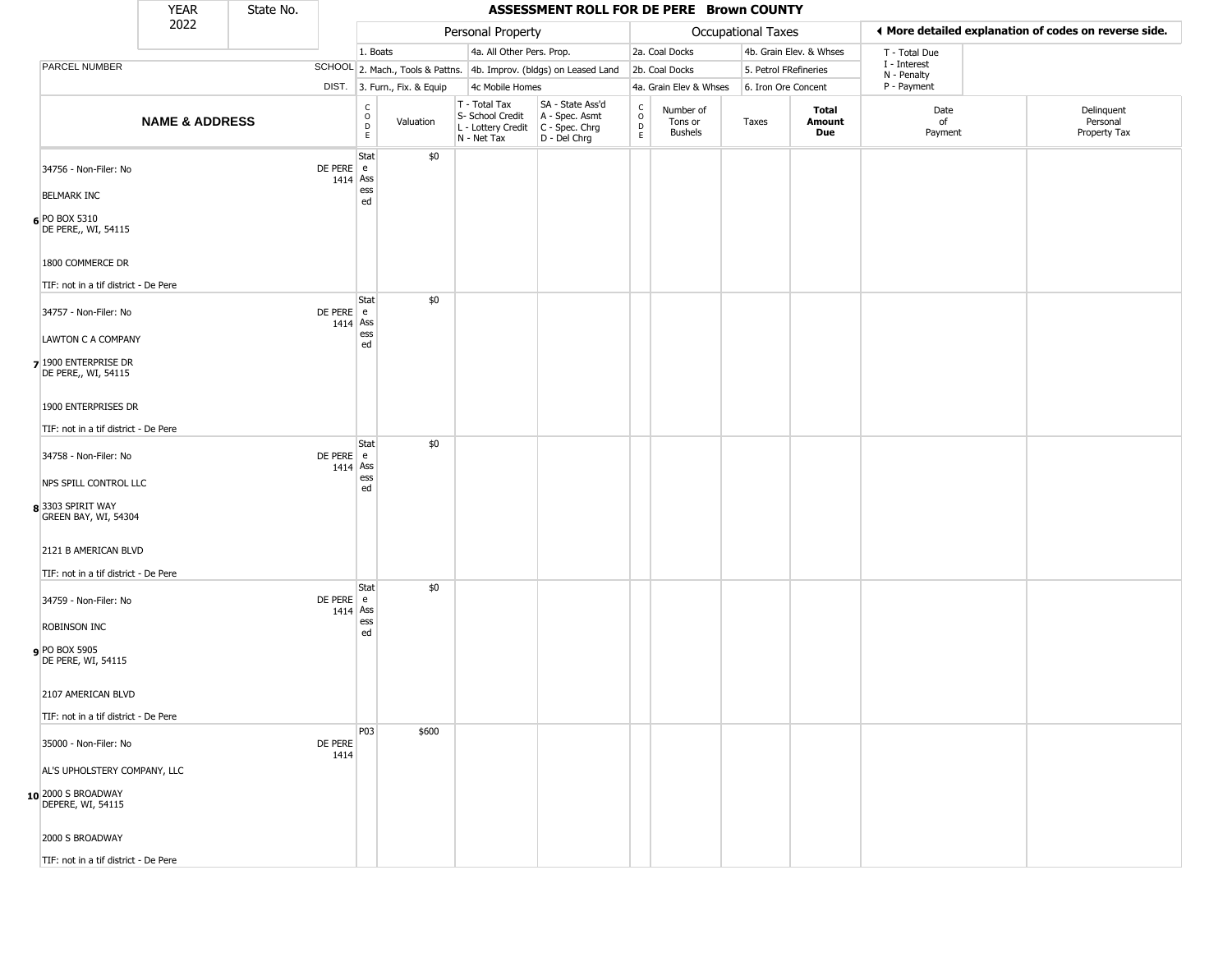|                                                                    | <b>YEAR</b>               | State No. |                         |                                                |                              |                                                                                       | ASSESSMENT ROLL FOR DE PERE Brown COUNTY                            |                                                  |                                        |                       |                         |                             |                                                       |
|--------------------------------------------------------------------|---------------------------|-----------|-------------------------|------------------------------------------------|------------------------------|---------------------------------------------------------------------------------------|---------------------------------------------------------------------|--------------------------------------------------|----------------------------------------|-----------------------|-------------------------|-----------------------------|-------------------------------------------------------|
|                                                                    | 2022                      |           |                         |                                                |                              | Personal Property                                                                     |                                                                     |                                                  |                                        | Occupational Taxes    |                         |                             | I More detailed explanation of codes on reverse side. |
|                                                                    |                           |           |                         | 1. Boats                                       |                              | 4a. All Other Pers. Prop.                                                             |                                                                     |                                                  | 2a. Coal Docks                         |                       | 4b. Grain Elev. & Whses | T - Total Due               |                                                       |
| PARCEL NUMBER                                                      |                           |           |                         |                                                |                              |                                                                                       | SCHOOL 2. Mach., Tools & Pattns. 4b. Improv. (bldgs) on Leased Land |                                                  | 2b. Coal Docks                         | 5. Petrol FRefineries |                         | I - Interest<br>N - Penalty |                                                       |
|                                                                    |                           |           |                         |                                                | DIST. 3. Furn., Fix. & Equip | 4c Mobile Homes                                                                       |                                                                     |                                                  | 4a. Grain Elev & Whses                 | 6. Iron Ore Concent   |                         | P - Payment                 |                                                       |
|                                                                    | <b>NAME &amp; ADDRESS</b> |           |                         | $\begin{matrix} 0 \\ 0 \\ D \end{matrix}$<br>E | Valuation                    | T - Total Tax<br>S- School Credit<br>L - Lottery Credit C - Spec. Chrg<br>N - Net Tax | SA - State Ass'd<br>A - Spec. Asmt<br>D - Del Chrg                  | $_{\rm o}^{\rm c}$<br>$\mathsf D$<br>$\mathsf E$ | Number of<br>Tons or<br><b>Bushels</b> | Taxes                 | Total<br>Amount<br>Due  | Date<br>of<br>Payment       | Delinquent<br>Personal<br>Property Tax                |
| 34756 - Non-Filer: No<br><b>BELMARK INC</b>                        |                           |           | DE PERE e<br>1414 Ass   | Stat<br>ess                                    | \$0                          |                                                                                       |                                                                     |                                                  |                                        |                       |                         |                             |                                                       |
| 6 PO BOX 5310<br>DE PERE,, WI, 54115                               |                           |           |                         | ed                                             |                              |                                                                                       |                                                                     |                                                  |                                        |                       |                         |                             |                                                       |
| 1800 COMMERCE DR<br>TIF: not in a tif district - De Pere           |                           |           |                         |                                                | \$0                          |                                                                                       |                                                                     |                                                  |                                        |                       |                         |                             |                                                       |
| 34757 - Non-Filer: No                                              |                           |           | DE PERE e<br>1414 Ass   | Stat                                           |                              |                                                                                       |                                                                     |                                                  |                                        |                       |                         |                             |                                                       |
| LAWTON C A COMPANY<br>7 1900 ENTERPRISE DR<br>DE PERE,, WI, 54115  |                           |           |                         | ess<br>ed                                      |                              |                                                                                       |                                                                     |                                                  |                                        |                       |                         |                             |                                                       |
| 1900 ENTERPRISES DR<br>TIF: not in a tif district - De Pere        |                           |           |                         |                                                |                              |                                                                                       |                                                                     |                                                  |                                        |                       |                         |                             |                                                       |
| 34758 - Non-Filer: No                                              |                           |           | DE PERE e<br>1414 Ass   | Stat                                           | \$0                          |                                                                                       |                                                                     |                                                  |                                        |                       |                         |                             |                                                       |
| NPS SPILL CONTROL LLC<br>8 3303 SPIRIT WAY<br>GREEN BAY, WI, 54304 |                           |           |                         | ess<br>ed                                      |                              |                                                                                       |                                                                     |                                                  |                                        |                       |                         |                             |                                                       |
| 2121 B AMERICAN BLVD<br>TIF: not in a tif district - De Pere       |                           |           |                         |                                                |                              |                                                                                       |                                                                     |                                                  |                                        |                       |                         |                             |                                                       |
| 34759 - Non-Filer: No                                              |                           |           | DE PERE e<br>$1414$ Ass | Stat                                           | \$0                          |                                                                                       |                                                                     |                                                  |                                        |                       |                         |                             |                                                       |
| <b>ROBINSON INC</b><br>PO BOX 5905<br>DE PERE, WI, 54115           |                           |           |                         | ess<br>ed                                      |                              |                                                                                       |                                                                     |                                                  |                                        |                       |                         |                             |                                                       |
| 2107 AMERICAN BLVD                                                 |                           |           |                         |                                                |                              |                                                                                       |                                                                     |                                                  |                                        |                       |                         |                             |                                                       |
| TIF: not in a tif district - De Pere                               |                           |           |                         | <b>P03</b>                                     | \$600                        |                                                                                       |                                                                     |                                                  |                                        |                       |                         |                             |                                                       |
| 35000 - Non-Filer: No                                              |                           |           | DE PERE<br>1414         |                                                |                              |                                                                                       |                                                                     |                                                  |                                        |                       |                         |                             |                                                       |
| AL'S UPHOLSTERY COMPANY, LLC                                       |                           |           |                         |                                                |                              |                                                                                       |                                                                     |                                                  |                                        |                       |                         |                             |                                                       |
| 10 2000 S BROADWAY<br>DEPERE, WI, 54115                            |                           |           |                         |                                                |                              |                                                                                       |                                                                     |                                                  |                                        |                       |                         |                             |                                                       |
| 2000 S BROADWAY                                                    |                           |           |                         |                                                |                              |                                                                                       |                                                                     |                                                  |                                        |                       |                         |                             |                                                       |
| TIF: not in a tif district - De Pere                               |                           |           |                         |                                                |                              |                                                                                       |                                                                     |                                                  |                                        |                       |                         |                             |                                                       |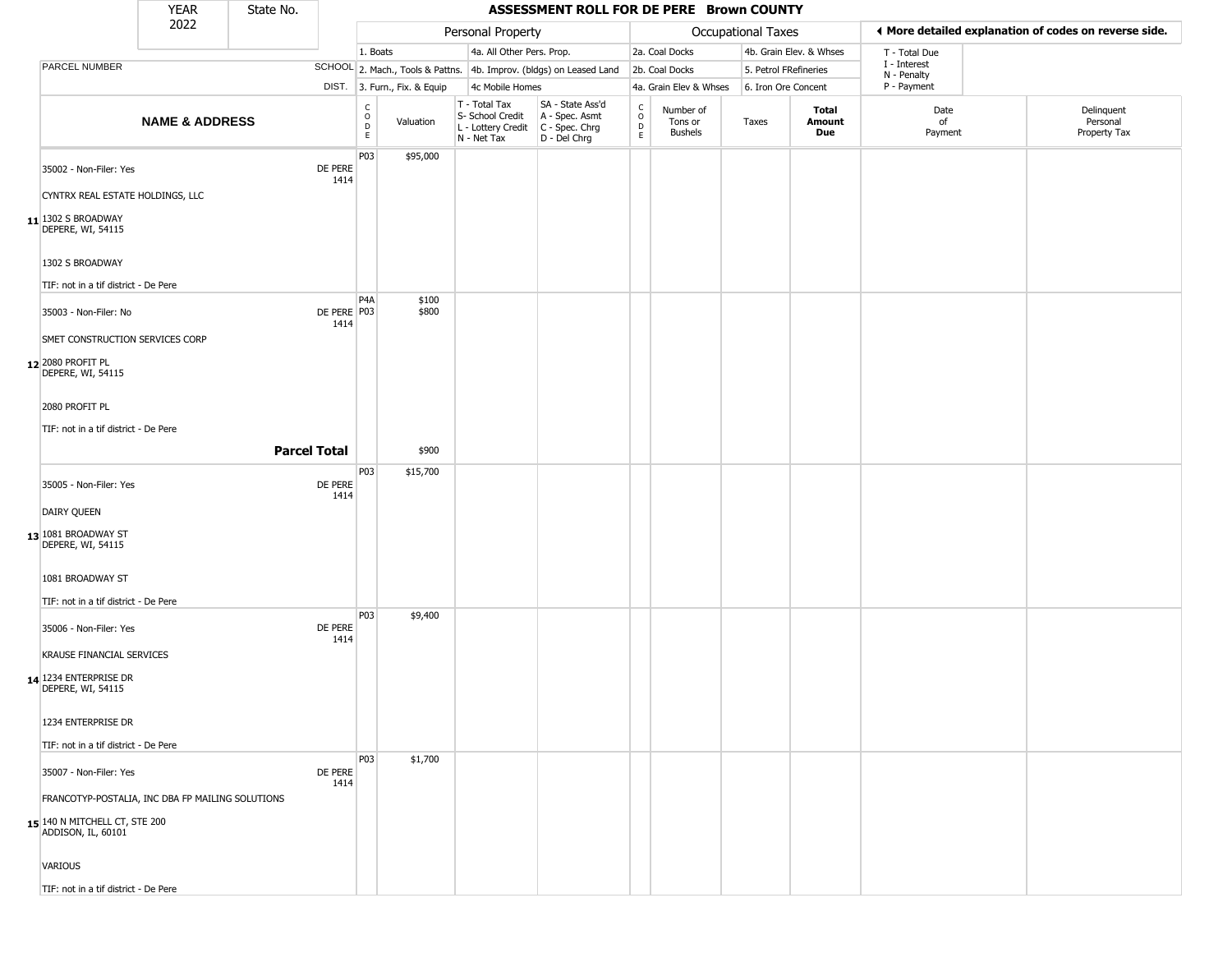|                                                     | <b>YEAR</b>               | State No.           |                     |                            |                              |                                                                          | ASSESSMENT ROLL FOR DE PERE Brown COUNTY                               |                                                          |                                        |                     |                         |                             |                                                       |
|-----------------------------------------------------|---------------------------|---------------------|---------------------|----------------------------|------------------------------|--------------------------------------------------------------------------|------------------------------------------------------------------------|----------------------------------------------------------|----------------------------------------|---------------------|-------------------------|-----------------------------|-------------------------------------------------------|
|                                                     | 2022                      |                     |                     |                            |                              | Personal Property                                                        |                                                                        |                                                          |                                        | Occupational Taxes  |                         |                             | ◀ More detailed explanation of codes on reverse side. |
|                                                     |                           |                     |                     | 1. Boats                   |                              | 4a. All Other Pers. Prop.                                                |                                                                        |                                                          | 2a. Coal Docks                         |                     | 4b. Grain Elev. & Whses | T - Total Due               |                                                       |
| PARCEL NUMBER                                       |                           |                     |                     |                            |                              |                                                                          | SCHOOL 2. Mach., Tools & Pattns. 4b. Improv. (bldgs) on Leased Land    |                                                          | 2b. Coal Docks                         |                     | 5. Petrol FRefineries   | I - Interest<br>N - Penalty |                                                       |
|                                                     |                           |                     |                     |                            | DIST. 3. Furn., Fix. & Equip | 4c Mobile Homes                                                          |                                                                        |                                                          | 4a. Grain Elev & Whses                 | 6. Iron Ore Concent |                         | P - Payment                 |                                                       |
|                                                     | <b>NAME &amp; ADDRESS</b> |                     |                     | C<br>$\mathsf O$<br>D<br>E | Valuation                    | $T - Total Tax$<br>S- School Credit<br>L - Lottery Credit<br>N - Net Tax | SA - State Ass'd<br>A - Spec. Asmt<br>$C - Spec. Chrg$<br>D - Del Chrg | $\begin{smallmatrix} C \\ 0 \\ D \end{smallmatrix}$<br>E | Number of<br>Tons or<br><b>Bushels</b> | Taxes               | Total<br>Amount<br>Due  | Date<br>of<br>Payment       | Delinquent<br>Personal<br>Property Tax                |
| 35002 - Non-Filer: Yes                              |                           |                     | DE PERE<br>1414     | P03                        | \$95,000                     |                                                                          |                                                                        |                                                          |                                        |                     |                         |                             |                                                       |
| CYNTRX REAL ESTATE HOLDINGS, LLC                    |                           |                     |                     |                            |                              |                                                                          |                                                                        |                                                          |                                        |                     |                         |                             |                                                       |
| 11 1302 S BROADWAY<br>DEPERE, WI, 54115             |                           |                     |                     |                            |                              |                                                                          |                                                                        |                                                          |                                        |                     |                         |                             |                                                       |
| 1302 S BROADWAY                                     |                           |                     |                     |                            |                              |                                                                          |                                                                        |                                                          |                                        |                     |                         |                             |                                                       |
| TIF: not in a tif district - De Pere                |                           |                     |                     |                            |                              |                                                                          |                                                                        |                                                          |                                        |                     |                         |                             |                                                       |
| 35003 - Non-Filer: No                               |                           |                     | DE PERE P03<br>1414 | P <sub>4</sub> A           | \$100<br>\$800               |                                                                          |                                                                        |                                                          |                                        |                     |                         |                             |                                                       |
| SMET CONSTRUCTION SERVICES CORP                     |                           |                     |                     |                            |                              |                                                                          |                                                                        |                                                          |                                        |                     |                         |                             |                                                       |
| 12 2080 PROFIT PL<br>DEPERE, WI, 54115              |                           |                     |                     |                            |                              |                                                                          |                                                                        |                                                          |                                        |                     |                         |                             |                                                       |
| 2080 PROFIT PL                                      |                           |                     |                     |                            |                              |                                                                          |                                                                        |                                                          |                                        |                     |                         |                             |                                                       |
| TIF: not in a tif district - De Pere                |                           |                     |                     |                            |                              |                                                                          |                                                                        |                                                          |                                        |                     |                         |                             |                                                       |
|                                                     |                           | <b>Parcel Total</b> |                     |                            | \$900                        |                                                                          |                                                                        |                                                          |                                        |                     |                         |                             |                                                       |
|                                                     |                           |                     |                     | P03                        | \$15,700                     |                                                                          |                                                                        |                                                          |                                        |                     |                         |                             |                                                       |
| 35005 - Non-Filer: Yes                              |                           |                     | DE PERE<br>1414     |                            |                              |                                                                          |                                                                        |                                                          |                                        |                     |                         |                             |                                                       |
| DAIRY QUEEN                                         |                           |                     |                     |                            |                              |                                                                          |                                                                        |                                                          |                                        |                     |                         |                             |                                                       |
| 13 1081 BROADWAY ST<br>DEPERE, WI, 54115            |                           |                     |                     |                            |                              |                                                                          |                                                                        |                                                          |                                        |                     |                         |                             |                                                       |
| 1081 BROADWAY ST                                    |                           |                     |                     |                            |                              |                                                                          |                                                                        |                                                          |                                        |                     |                         |                             |                                                       |
| TIF: not in a tif district - De Pere                |                           |                     |                     |                            |                              |                                                                          |                                                                        |                                                          |                                        |                     |                         |                             |                                                       |
| 35006 - Non-Filer: Yes                              |                           |                     | DE PERE<br>1414     | P03                        | \$9,400                      |                                                                          |                                                                        |                                                          |                                        |                     |                         |                             |                                                       |
| <b>KRAUSE FINANCIAL SERVICES</b>                    |                           |                     |                     |                            |                              |                                                                          |                                                                        |                                                          |                                        |                     |                         |                             |                                                       |
| 14 1234 ENTERPRISE DR<br>DEPERE, WI, 54115          |                           |                     |                     |                            |                              |                                                                          |                                                                        |                                                          |                                        |                     |                         |                             |                                                       |
| 1234 ENTERPRISE DR                                  |                           |                     |                     |                            |                              |                                                                          |                                                                        |                                                          |                                        |                     |                         |                             |                                                       |
| TIF: not in a tif district - De Pere                |                           |                     |                     |                            |                              |                                                                          |                                                                        |                                                          |                                        |                     |                         |                             |                                                       |
| 35007 - Non-Filer: Yes                              |                           |                     | DE PERE             | <b>P03</b>                 | \$1,700                      |                                                                          |                                                                        |                                                          |                                        |                     |                         |                             |                                                       |
| FRANCOTYP-POSTALIA, INC DBA FP MAILING SOLUTIONS    |                           |                     | 1414                |                            |                              |                                                                          |                                                                        |                                                          |                                        |                     |                         |                             |                                                       |
| 15 140 N MITCHELL CT, STE 200<br>ADDISON, IL, 60101 |                           |                     |                     |                            |                              |                                                                          |                                                                        |                                                          |                                        |                     |                         |                             |                                                       |
| VARIOUS                                             |                           |                     |                     |                            |                              |                                                                          |                                                                        |                                                          |                                        |                     |                         |                             |                                                       |
| TIF: not in a tif district - De Pere                |                           |                     |                     |                            |                              |                                                                          |                                                                        |                                                          |                                        |                     |                         |                             |                                                       |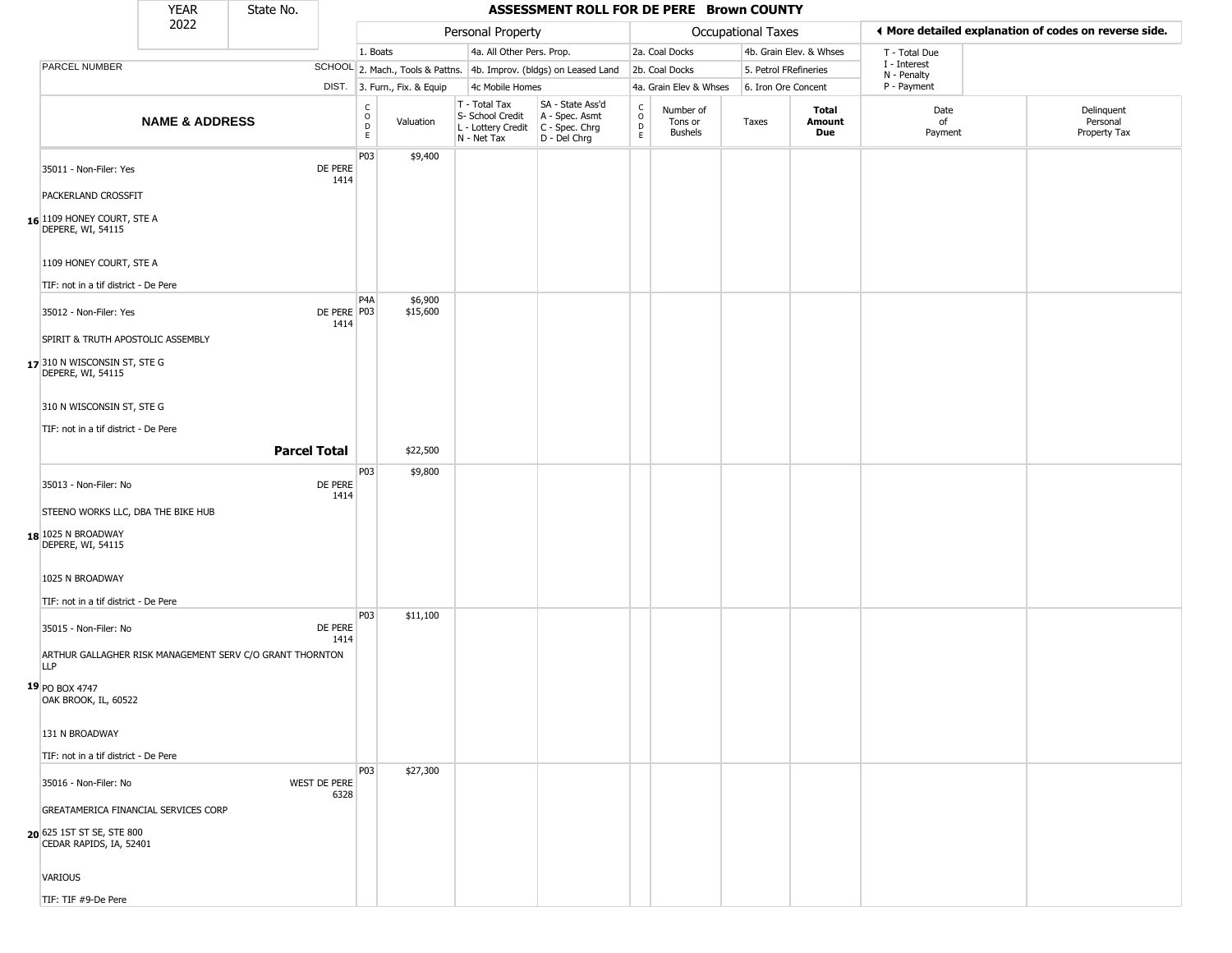|                                                      | <b>YEAR</b>                                              | State No. |                     |                                                                    |                              |                                                  | ASSESSMENT ROLL FOR DE PERE Brown COUNTY                                                  |                                  |                                        |                       |                         |                             |                                                       |
|------------------------------------------------------|----------------------------------------------------------|-----------|---------------------|--------------------------------------------------------------------|------------------------------|--------------------------------------------------|-------------------------------------------------------------------------------------------|----------------------------------|----------------------------------------|-----------------------|-------------------------|-----------------------------|-------------------------------------------------------|
|                                                      | 2022                                                     |           |                     |                                                                    |                              | Personal Property                                |                                                                                           |                                  |                                        | Occupational Taxes    |                         |                             | ♦ More detailed explanation of codes on reverse side. |
|                                                      |                                                          |           |                     | 1. Boats                                                           |                              | 4a. All Other Pers. Prop.                        |                                                                                           |                                  | 2a. Coal Docks                         |                       | 4b. Grain Elev. & Whses | T - Total Due               |                                                       |
| PARCEL NUMBER                                        |                                                          |           |                     |                                                                    |                              |                                                  | SCHOOL 2. Mach., Tools & Pattns. 4b. Improv. (bldgs) on Leased Land                       |                                  | 2b. Coal Docks                         | 5. Petrol FRefineries |                         | I - Interest<br>N - Penalty |                                                       |
|                                                      |                                                          |           |                     |                                                                    | DIST. 3. Furn., Fix. & Equip | 4c Mobile Homes                                  |                                                                                           |                                  | 4a. Grain Elev & Whses                 | 6. Iron Ore Concent   |                         | P - Payment                 |                                                       |
|                                                      | <b>NAME &amp; ADDRESS</b>                                |           |                     | $\begin{smallmatrix} C \\ O \\ D \end{smallmatrix}$<br>$\mathsf E$ | Valuation                    | T - Total Tax<br>S- School Credit<br>N - Net Tax | SA - State Ass'd<br>A - Spec. Asmt<br>L - Lottery Credit   C - Spec. Chrg<br>D - Del Chrg | C<br>$\circ$<br>D<br>$\mathsf E$ | Number of<br>Tons or<br><b>Bushels</b> | Taxes                 | Total<br>Amount<br>Due  | Date<br>of<br>Payment       | Delinquent<br>Personal<br>Property Tax                |
| 35011 - Non-Filer: Yes                               |                                                          |           | DE PERE<br>1414     | P03                                                                | \$9,400                      |                                                  |                                                                                           |                                  |                                        |                       |                         |                             |                                                       |
| PACKERLAND CROSSFIT                                  |                                                          |           |                     |                                                                    |                              |                                                  |                                                                                           |                                  |                                        |                       |                         |                             |                                                       |
| 16 1109 HONEY COURT, STE A<br>DEPERE, WI, 54115      |                                                          |           |                     |                                                                    |                              |                                                  |                                                                                           |                                  |                                        |                       |                         |                             |                                                       |
| 1109 HONEY COURT, STE A                              |                                                          |           |                     |                                                                    |                              |                                                  |                                                                                           |                                  |                                        |                       |                         |                             |                                                       |
| TIF: not in a tif district - De Pere                 |                                                          |           |                     |                                                                    |                              |                                                  |                                                                                           |                                  |                                        |                       |                         |                             |                                                       |
| 35012 - Non-Filer: Yes                               |                                                          |           | DE PERE P03<br>1414 | P <sub>4</sub> A                                                   | \$6,900<br>\$15,600          |                                                  |                                                                                           |                                  |                                        |                       |                         |                             |                                                       |
|                                                      | SPIRIT & TRUTH APOSTOLIC ASSEMBLY                        |           |                     |                                                                    |                              |                                                  |                                                                                           |                                  |                                        |                       |                         |                             |                                                       |
| 17 310 N WISCONSIN ST, STE G<br>DEPERE, WI, 54115    |                                                          |           |                     |                                                                    |                              |                                                  |                                                                                           |                                  |                                        |                       |                         |                             |                                                       |
| 310 N WISCONSIN ST, STE G                            |                                                          |           |                     |                                                                    |                              |                                                  |                                                                                           |                                  |                                        |                       |                         |                             |                                                       |
| TIF: not in a tif district - De Pere                 |                                                          |           |                     |                                                                    |                              |                                                  |                                                                                           |                                  |                                        |                       |                         |                             |                                                       |
|                                                      |                                                          |           | <b>Parcel Total</b> |                                                                    | \$22,500                     |                                                  |                                                                                           |                                  |                                        |                       |                         |                             |                                                       |
|                                                      |                                                          |           |                     | P03                                                                | \$9,800                      |                                                  |                                                                                           |                                  |                                        |                       |                         |                             |                                                       |
| 35013 - Non-Filer: No                                |                                                          |           | DE PERE<br>1414     |                                                                    |                              |                                                  |                                                                                           |                                  |                                        |                       |                         |                             |                                                       |
|                                                      | STEENO WORKS LLC, DBA THE BIKE HUB                       |           |                     |                                                                    |                              |                                                  |                                                                                           |                                  |                                        |                       |                         |                             |                                                       |
| 18 1025 N BROADWAY<br>DEPERE, WI, 54115              |                                                          |           |                     |                                                                    |                              |                                                  |                                                                                           |                                  |                                        |                       |                         |                             |                                                       |
| 1025 N BROADWAY                                      |                                                          |           |                     |                                                                    |                              |                                                  |                                                                                           |                                  |                                        |                       |                         |                             |                                                       |
| TIF: not in a tif district - De Pere                 |                                                          |           |                     |                                                                    |                              |                                                  |                                                                                           |                                  |                                        |                       |                         |                             |                                                       |
| 35015 - Non-Filer: No                                |                                                          |           | DE PERE             | P03                                                                | \$11,100                     |                                                  |                                                                                           |                                  |                                        |                       |                         |                             |                                                       |
| <b>LLP</b>                                           | ARTHUR GALLAGHER RISK MANAGEMENT SERV C/O GRANT THORNTON |           | 1414                |                                                                    |                              |                                                  |                                                                                           |                                  |                                        |                       |                         |                             |                                                       |
| 19 PO BOX 4747<br>OAK BROOK, IL, 60522               |                                                          |           |                     |                                                                    |                              |                                                  |                                                                                           |                                  |                                        |                       |                         |                             |                                                       |
| 131 N BROADWAY                                       |                                                          |           |                     |                                                                    |                              |                                                  |                                                                                           |                                  |                                        |                       |                         |                             |                                                       |
| TIF: not in a tif district - De Pere                 |                                                          |           |                     |                                                                    |                              |                                                  |                                                                                           |                                  |                                        |                       |                         |                             |                                                       |
| 35016 - Non-Filer: No                                |                                                          |           | WEST DE PERE        | <b>P03</b>                                                         | \$27,300                     |                                                  |                                                                                           |                                  |                                        |                       |                         |                             |                                                       |
|                                                      |                                                          |           | 6328                |                                                                    |                              |                                                  |                                                                                           |                                  |                                        |                       |                         |                             |                                                       |
| 20 625 1ST ST SE, STE 800<br>CEDAR RAPIDS, IA, 52401 | GREATAMERICA FINANCIAL SERVICES CORP                     |           |                     |                                                                    |                              |                                                  |                                                                                           |                                  |                                        |                       |                         |                             |                                                       |
| VARIOUS                                              |                                                          |           |                     |                                                                    |                              |                                                  |                                                                                           |                                  |                                        |                       |                         |                             |                                                       |
| TIF: TIF #9-De Pere                                  |                                                          |           |                     |                                                                    |                              |                                                  |                                                                                           |                                  |                                        |                       |                         |                             |                                                       |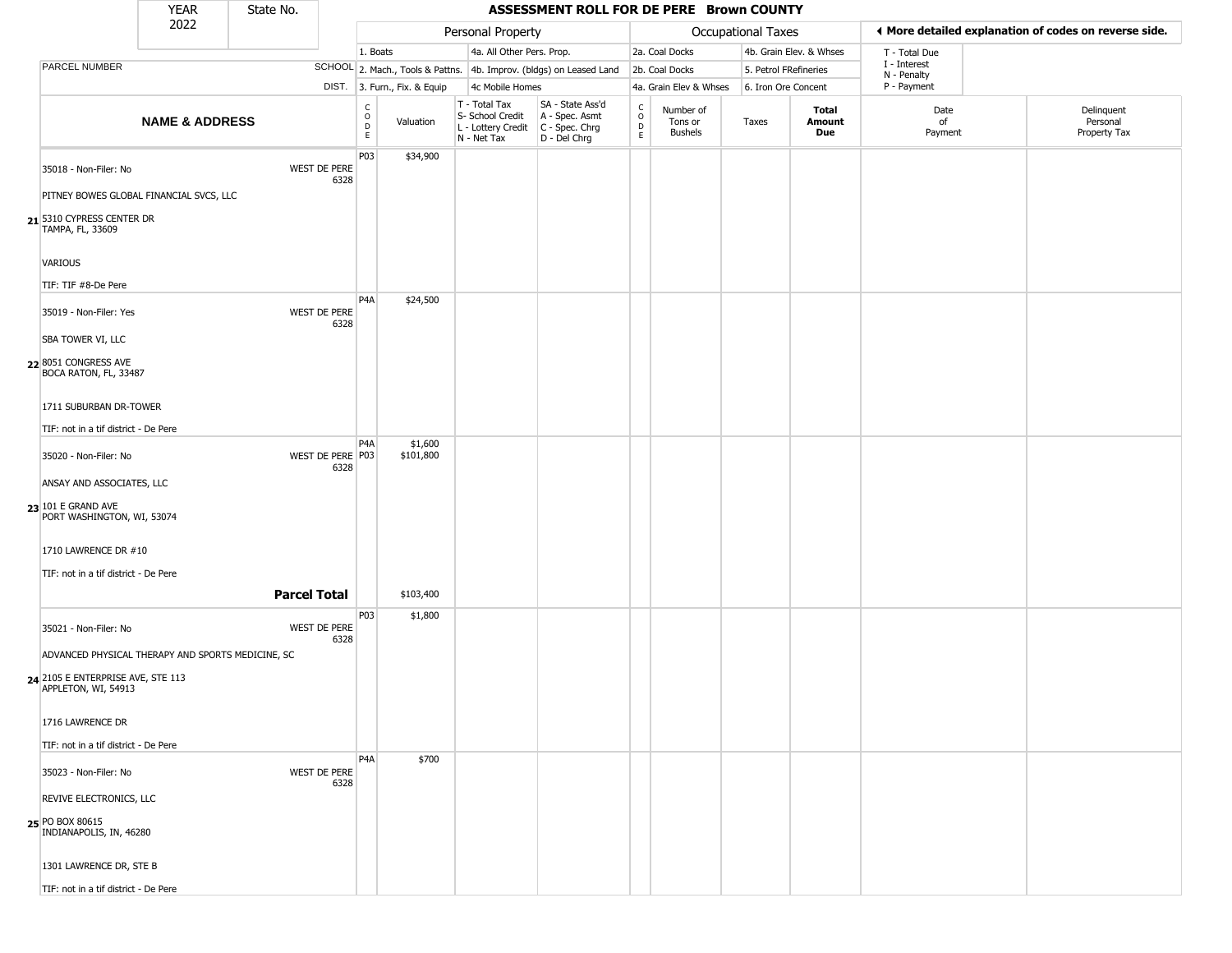|                                                          | <b>YEAR</b>               | State No.           |                          |                                            |                              |                                                                        | ASSESSMENT ROLL FOR DE PERE Brown COUNTY                             |                                                 |                                        |                           |                         |                             |                                                       |
|----------------------------------------------------------|---------------------------|---------------------|--------------------------|--------------------------------------------|------------------------------|------------------------------------------------------------------------|----------------------------------------------------------------------|-------------------------------------------------|----------------------------------------|---------------------------|-------------------------|-----------------------------|-------------------------------------------------------|
|                                                          | 2022                      |                     |                          |                                            |                              | Personal Property                                                      |                                                                      |                                                 |                                        | <b>Occupational Taxes</b> |                         |                             | I More detailed explanation of codes on reverse side. |
|                                                          |                           |                     |                          | 1. Boats                                   |                              | 4a. All Other Pers. Prop.                                              |                                                                      |                                                 | 2a. Coal Docks                         |                           | 4b. Grain Elev. & Whses | T - Total Due               |                                                       |
| PARCEL NUMBER                                            |                           |                     |                          |                                            |                              |                                                                        | SCHOOL 2. Mach., Tools & Pattns. 4b. Improv. (bldgs) on Leased Land  |                                                 | 2b. Coal Docks                         | 5. Petrol FRefineries     |                         | I - Interest<br>N - Penalty |                                                       |
|                                                          |                           |                     |                          |                                            | DIST. 3. Furn., Fix. & Equip | 4c Mobile Homes                                                        |                                                                      |                                                 | 4a. Grain Elev & Whses                 | 6. Iron Ore Concent       |                         | P - Payment                 |                                                       |
|                                                          | <b>NAME &amp; ADDRESS</b> |                     |                          | C<br>$\circ$<br>$\mathsf D$<br>$\mathsf E$ | Valuation                    | T - Total Tax<br>S- School Credit<br>L - Lottery Credit<br>N - Net Tax | SA - State Ass'd<br>A - Spec. Asmt<br>C - Spec. Chrg<br>D - Del Chrg | $\begin{array}{c} C \\ O \\ D \\ E \end{array}$ | Number of<br>Tons or<br><b>Bushels</b> | Taxes                     | Total<br>Amount<br>Due  | Date<br>of<br>Payment       | Delinquent<br>Personal<br>Property Tax                |
| 35018 - Non-Filer: No                                    |                           |                     | WEST DE PERE<br>6328     | P03                                        | \$34,900                     |                                                                        |                                                                      |                                                 |                                        |                           |                         |                             |                                                       |
| PITNEY BOWES GLOBAL FINANCIAL SVCS, LLC                  |                           |                     |                          |                                            |                              |                                                                        |                                                                      |                                                 |                                        |                           |                         |                             |                                                       |
| 21 5310 CYPRESS CENTER DR<br>TAMPA, FL, 33609            |                           |                     |                          |                                            |                              |                                                                        |                                                                      |                                                 |                                        |                           |                         |                             |                                                       |
| <b>VARIOUS</b>                                           |                           |                     |                          |                                            |                              |                                                                        |                                                                      |                                                 |                                        |                           |                         |                             |                                                       |
| TIF: TIF #8-De Pere                                      |                           |                     |                          |                                            |                              |                                                                        |                                                                      |                                                 |                                        |                           |                         |                             |                                                       |
| 35019 - Non-Filer: Yes                                   |                           |                     | WEST DE PERE<br>6328     | P4A                                        | \$24,500                     |                                                                        |                                                                      |                                                 |                                        |                           |                         |                             |                                                       |
| <b>SBA TOWER VI, LLC</b>                                 |                           |                     |                          |                                            |                              |                                                                        |                                                                      |                                                 |                                        |                           |                         |                             |                                                       |
| 22 8051 CONGRESS AVE<br>BOCA RATON, FL, 33487            |                           |                     |                          |                                            |                              |                                                                        |                                                                      |                                                 |                                        |                           |                         |                             |                                                       |
| 1711 SUBURBAN DR-TOWER                                   |                           |                     |                          |                                            |                              |                                                                        |                                                                      |                                                 |                                        |                           |                         |                             |                                                       |
| TIF: not in a tif district - De Pere                     |                           |                     |                          |                                            |                              |                                                                        |                                                                      |                                                 |                                        |                           |                         |                             |                                                       |
| 35020 - Non-Filer: No                                    |                           |                     | WEST DE PERE P03<br>6328 | P <sub>4</sub> A                           | \$1,600<br>\$101,800         |                                                                        |                                                                      |                                                 |                                        |                           |                         |                             |                                                       |
| ANSAY AND ASSOCIATES, LLC                                |                           |                     |                          |                                            |                              |                                                                        |                                                                      |                                                 |                                        |                           |                         |                             |                                                       |
| 23 101 E GRAND AVE<br>PORT WASHINGTON, WI, 53074         |                           |                     |                          |                                            |                              |                                                                        |                                                                      |                                                 |                                        |                           |                         |                             |                                                       |
| 1710 LAWRENCE DR #10                                     |                           |                     |                          |                                            |                              |                                                                        |                                                                      |                                                 |                                        |                           |                         |                             |                                                       |
| TIF: not in a tif district - De Pere                     |                           |                     |                          |                                            |                              |                                                                        |                                                                      |                                                 |                                        |                           |                         |                             |                                                       |
|                                                          |                           | <b>Parcel Total</b> |                          |                                            | \$103,400                    |                                                                        |                                                                      |                                                 |                                        |                           |                         |                             |                                                       |
| 35021 - Non-Filer: No                                    |                           |                     | WEST DE PERE<br>6328     | P03                                        | \$1,800                      |                                                                        |                                                                      |                                                 |                                        |                           |                         |                             |                                                       |
| ADVANCED PHYSICAL THERAPY AND SPORTS MEDICINE, SC        |                           |                     |                          |                                            |                              |                                                                        |                                                                      |                                                 |                                        |                           |                         |                             |                                                       |
| 24 2105 E ENTERPRISE AVE, STE 113<br>APPLETON, WI, 54913 |                           |                     |                          |                                            |                              |                                                                        |                                                                      |                                                 |                                        |                           |                         |                             |                                                       |
| 1716 LAWRENCE DR                                         |                           |                     |                          |                                            |                              |                                                                        |                                                                      |                                                 |                                        |                           |                         |                             |                                                       |
| TIF: not in a tif district - De Pere                     |                           |                     |                          |                                            |                              |                                                                        |                                                                      |                                                 |                                        |                           |                         |                             |                                                       |
| 35023 - Non-Filer: No                                    |                           |                     | WEST DE PERE<br>6328     | P4A                                        | \$700                        |                                                                        |                                                                      |                                                 |                                        |                           |                         |                             |                                                       |
| REVIVE ELECTRONICS, LLC                                  |                           |                     |                          |                                            |                              |                                                                        |                                                                      |                                                 |                                        |                           |                         |                             |                                                       |
| 25 PO BOX 80615<br>INDIANAPOLIS, IN, 46280               |                           |                     |                          |                                            |                              |                                                                        |                                                                      |                                                 |                                        |                           |                         |                             |                                                       |
| 1301 LAWRENCE DR, STE B                                  |                           |                     |                          |                                            |                              |                                                                        |                                                                      |                                                 |                                        |                           |                         |                             |                                                       |
| TIF: not in a tif district - De Pere                     |                           |                     |                          |                                            |                              |                                                                        |                                                                      |                                                 |                                        |                           |                         |                             |                                                       |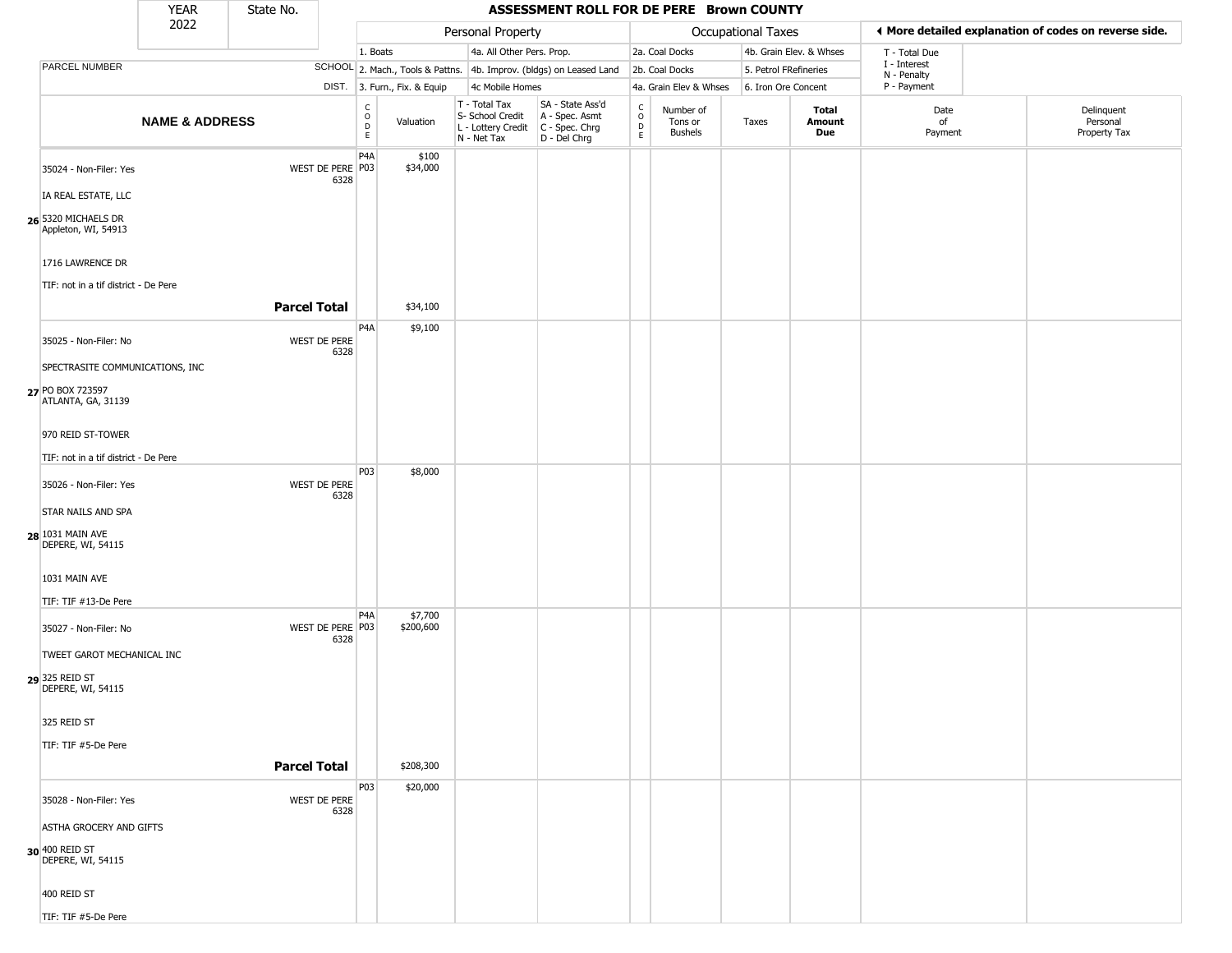|                                                                           | <b>YEAR</b>               | State No.                |                        |                              |                                                                                         | ASSESSMENT ROLL FOR DE PERE Brown COUNTY                            |                                                           |                                        |                       |                         |                             |                                                       |
|---------------------------------------------------------------------------|---------------------------|--------------------------|------------------------|------------------------------|-----------------------------------------------------------------------------------------|---------------------------------------------------------------------|-----------------------------------------------------------|----------------------------------------|-----------------------|-------------------------|-----------------------------|-------------------------------------------------------|
|                                                                           | 2022                      |                          |                        |                              | Personal Property                                                                       |                                                                     |                                                           |                                        | Occupational Taxes    |                         |                             | ◀ More detailed explanation of codes on reverse side. |
|                                                                           |                           |                          | 1. Boats               |                              | 4a. All Other Pers. Prop.                                                               |                                                                     |                                                           | 2a. Coal Docks                         |                       | 4b. Grain Elev. & Whses | T - Total Due               |                                                       |
| PARCEL NUMBER                                                             |                           |                          |                        |                              |                                                                                         | SCHOOL 2. Mach., Tools & Pattns. 4b. Improv. (bldgs) on Leased Land |                                                           | 2b. Coal Docks                         | 5. Petrol FRefineries |                         | I - Interest<br>N - Penalty |                                                       |
|                                                                           |                           |                          |                        | DIST. 3. Furn., Fix. & Equip | 4c Mobile Homes                                                                         |                                                                     |                                                           | 4a. Grain Elev & Whses                 | 6. Iron Ore Concent   |                         | P - Payment                 |                                                       |
|                                                                           | <b>NAME &amp; ADDRESS</b> |                          | C<br>$\circ$<br>D<br>E | Valuation                    | T - Total Tax<br>S- School Credit<br>L - Lottery Credit   C - Spec. Chrg<br>N - Net Tax | SA - State Ass'd<br>A - Spec. Asmt<br>D - Del Chrg                  | $\begin{smallmatrix} C \\ O \\ D \end{smallmatrix}$<br>E. | Number of<br>Tons or<br><b>Bushels</b> | Taxes                 | Total<br>Amount<br>Due  | Date<br>of<br>Payment       | Delinquent<br>Personal<br>Property Tax                |
| 35024 - Non-Filer: Yes                                                    |                           | WEST DE PERE P03<br>6328 | P4A                    | \$100<br>\$34,000            |                                                                                         |                                                                     |                                                           |                                        |                       |                         |                             |                                                       |
| IA REAL ESTATE, LLC                                                       |                           |                          |                        |                              |                                                                                         |                                                                     |                                                           |                                        |                       |                         |                             |                                                       |
| 26 5320 MICHAELS DR<br>Appleton, WI, 54913                                |                           |                          |                        |                              |                                                                                         |                                                                     |                                                           |                                        |                       |                         |                             |                                                       |
| 1716 LAWRENCE DR<br>TIF: not in a tif district - De Pere                  |                           |                          |                        |                              |                                                                                         |                                                                     |                                                           |                                        |                       |                         |                             |                                                       |
|                                                                           |                           | <b>Parcel Total</b>      |                        | \$34,100                     |                                                                                         |                                                                     |                                                           |                                        |                       |                         |                             |                                                       |
| 35025 - Non-Filer: No                                                     |                           | WEST DE PERE<br>6328     | P <sub>4</sub> A       | \$9,100                      |                                                                                         |                                                                     |                                                           |                                        |                       |                         |                             |                                                       |
| SPECTRASITE COMMUNICATIONS, INC<br>27 PO BOX 723597<br>ATLANTA, GA, 31139 |                           |                          |                        |                              |                                                                                         |                                                                     |                                                           |                                        |                       |                         |                             |                                                       |
| 970 REID ST-TOWER                                                         |                           |                          |                        |                              |                                                                                         |                                                                     |                                                           |                                        |                       |                         |                             |                                                       |
| TIF: not in a tif district - De Pere                                      |                           |                          |                        |                              |                                                                                         |                                                                     |                                                           |                                        |                       |                         |                             |                                                       |
| 35026 - Non-Filer: Yes                                                    |                           | WEST DE PERE<br>6328     | P03                    | \$8,000                      |                                                                                         |                                                                     |                                                           |                                        |                       |                         |                             |                                                       |
| <b>STAR NAILS AND SPA</b>                                                 |                           |                          |                        |                              |                                                                                         |                                                                     |                                                           |                                        |                       |                         |                             |                                                       |
| 28 1031 MAIN AVE<br>DEPERE, WI, 54115                                     |                           |                          |                        |                              |                                                                                         |                                                                     |                                                           |                                        |                       |                         |                             |                                                       |
| 1031 MAIN AVE                                                             |                           |                          |                        |                              |                                                                                         |                                                                     |                                                           |                                        |                       |                         |                             |                                                       |
| TIF: TIF #13-De Pere                                                      |                           |                          |                        |                              |                                                                                         |                                                                     |                                                           |                                        |                       |                         |                             |                                                       |
| 35027 - Non-Filer: No                                                     |                           | WEST DE PERE P03<br>6328 | P <sub>4</sub> A       | \$7,700<br>\$200,600         |                                                                                         |                                                                     |                                                           |                                        |                       |                         |                             |                                                       |
| TWEET GAROT MECHANICAL INC                                                |                           |                          |                        |                              |                                                                                         |                                                                     |                                                           |                                        |                       |                         |                             |                                                       |
| 29 325 REID ST<br>DEPERE, WI, 54115                                       |                           |                          |                        |                              |                                                                                         |                                                                     |                                                           |                                        |                       |                         |                             |                                                       |
| 325 REID ST                                                               |                           |                          |                        |                              |                                                                                         |                                                                     |                                                           |                                        |                       |                         |                             |                                                       |
| TIF: TIF #5-De Pere                                                       |                           |                          |                        |                              |                                                                                         |                                                                     |                                                           |                                        |                       |                         |                             |                                                       |
|                                                                           |                           | <b>Parcel Total</b>      |                        | \$208,300                    |                                                                                         |                                                                     |                                                           |                                        |                       |                         |                             |                                                       |
| 35028 - Non-Filer: Yes                                                    |                           | WEST DE PERE<br>6328     | P03                    | \$20,000                     |                                                                                         |                                                                     |                                                           |                                        |                       |                         |                             |                                                       |
| ASTHA GROCERY AND GIFTS                                                   |                           |                          |                        |                              |                                                                                         |                                                                     |                                                           |                                        |                       |                         |                             |                                                       |
| 30 400 REID ST<br>DEPERE, WI, 54115                                       |                           |                          |                        |                              |                                                                                         |                                                                     |                                                           |                                        |                       |                         |                             |                                                       |
| 400 REID ST                                                               |                           |                          |                        |                              |                                                                                         |                                                                     |                                                           |                                        |                       |                         |                             |                                                       |
| TIF: TIF #5-De Pere                                                       |                           |                          |                        |                              |                                                                                         |                                                                     |                                                           |                                        |                       |                         |                             |                                                       |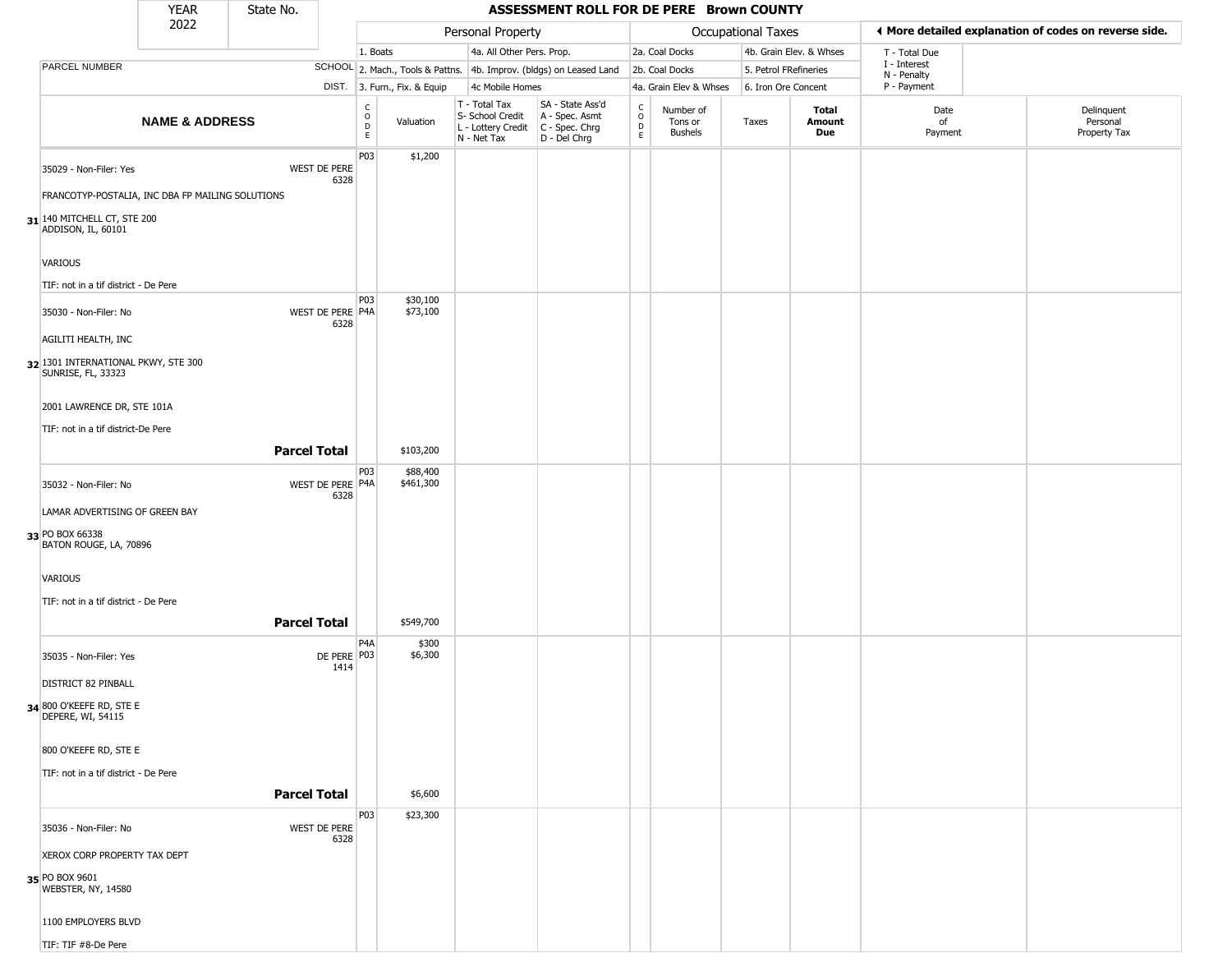|                                                                | YEAR                      | State No.           |                          |                                             |                              |                                                  | ASSESSMENT ROLL FOR DE PERE Brown COUNTY                                                  |                            |                                        |                       |                         |                             |                                                       |
|----------------------------------------------------------------|---------------------------|---------------------|--------------------------|---------------------------------------------|------------------------------|--------------------------------------------------|-------------------------------------------------------------------------------------------|----------------------------|----------------------------------------|-----------------------|-------------------------|-----------------------------|-------------------------------------------------------|
|                                                                | 2022                      |                     |                          |                                             |                              | Personal Property                                |                                                                                           |                            |                                        | Occupational Taxes    |                         |                             | ◀ More detailed explanation of codes on reverse side. |
|                                                                |                           |                     |                          | 1. Boats                                    |                              | 4a. All Other Pers. Prop.                        |                                                                                           |                            | 2a. Coal Docks                         |                       | 4b. Grain Elev. & Whses | T - Total Due               |                                                       |
| PARCEL NUMBER                                                  |                           |                     |                          |                                             |                              |                                                  | SCHOOL 2. Mach., Tools & Pattns. 4b. Improv. (bldgs) on Leased Land                       |                            | 2b. Coal Docks                         | 5. Petrol FRefineries |                         | I - Interest<br>N - Penalty |                                                       |
|                                                                |                           |                     |                          |                                             | DIST. 3. Furn., Fix. & Equip | 4c Mobile Homes                                  |                                                                                           |                            | 4a. Grain Elev & Whses                 | 6. Iron Ore Concent   |                         | P - Payment                 |                                                       |
|                                                                | <b>NAME &amp; ADDRESS</b> |                     |                          | $\frac{c}{0}$<br>$\mathsf D$<br>$\mathsf E$ | Valuation                    | T - Total Tax<br>S- School Credit<br>N - Net Tax | SA - State Ass'd<br>A - Spec. Asmt<br>L - Lottery Credit C - Spec. Chrg<br>$D - Del Chrg$ | C<br>$\mathsf O$<br>D<br>E | Number of<br>Tons or<br><b>Bushels</b> | Taxes                 | Total<br>Amount<br>Due  | Date<br>of<br>Payment       | Delinquent<br>Personal<br>Property Tax                |
| 35029 - Non-Filer: Yes                                         |                           |                     | WEST DE PERE<br>6328     | P03                                         | \$1,200                      |                                                  |                                                                                           |                            |                                        |                       |                         |                             |                                                       |
| FRANCOTYP-POSTALIA, INC DBA FP MAILING SOLUTIONS               |                           |                     |                          |                                             |                              |                                                  |                                                                                           |                            |                                        |                       |                         |                             |                                                       |
| $31$ <sup>140</sup> MITCHELL CT, STE 200<br>ADDISON, IL, 60101 |                           |                     |                          |                                             |                              |                                                  |                                                                                           |                            |                                        |                       |                         |                             |                                                       |
| VARIOUS                                                        |                           |                     |                          |                                             |                              |                                                  |                                                                                           |                            |                                        |                       |                         |                             |                                                       |
| TIF: not in a tif district - De Pere                           |                           |                     |                          | P03                                         |                              |                                                  |                                                                                           |                            |                                        |                       |                         |                             |                                                       |
| 35030 - Non-Filer: No<br>AGILITI HEALTH, INC                   |                           |                     | WEST DE PERE P4A<br>6328 |                                             | \$30,100<br>\$73,100         |                                                  |                                                                                           |                            |                                        |                       |                         |                             |                                                       |
| 32 1301 INTERNATIONAL PKWY, STE 300<br>SUNRISE, FL, 33323      |                           |                     |                          |                                             |                              |                                                  |                                                                                           |                            |                                        |                       |                         |                             |                                                       |
| 2001 LAWRENCE DR, STE 101A                                     |                           |                     |                          |                                             |                              |                                                  |                                                                                           |                            |                                        |                       |                         |                             |                                                       |
| TIF: not in a tif district-De Pere                             |                           | <b>Parcel Total</b> |                          |                                             | \$103,200                    |                                                  |                                                                                           |                            |                                        |                       |                         |                             |                                                       |
| 35032 - Non-Filer: No                                          |                           |                     | WEST DE PERE P4A<br>6328 | P03                                         | \$88,400<br>\$461,300        |                                                  |                                                                                           |                            |                                        |                       |                         |                             |                                                       |
| LAMAR ADVERTISING OF GREEN BAY                                 |                           |                     |                          |                                             |                              |                                                  |                                                                                           |                            |                                        |                       |                         |                             |                                                       |
| 33 PO BOX 66338<br>BATON ROUGE, LA, 70896                      |                           |                     |                          |                                             |                              |                                                  |                                                                                           |                            |                                        |                       |                         |                             |                                                       |
| VARIOUS                                                        |                           |                     |                          |                                             |                              |                                                  |                                                                                           |                            |                                        |                       |                         |                             |                                                       |
| TIF: not in a tif district - De Pere                           |                           | <b>Parcel Total</b> |                          |                                             | \$549,700                    |                                                  |                                                                                           |                            |                                        |                       |                         |                             |                                                       |
| 35035 - Non-Filer: Yes                                         |                           |                     | DE PERE P03<br>1414      | P <sub>4</sub> A                            | \$300<br>\$6,300             |                                                  |                                                                                           |                            |                                        |                       |                         |                             |                                                       |
| DISTRICT 82 PINBALL                                            |                           |                     |                          |                                             |                              |                                                  |                                                                                           |                            |                                        |                       |                         |                             |                                                       |
| <b>34 800 O'KEEFE RD, STE E</b><br>DEPERE, WI, 54115           |                           |                     |                          |                                             |                              |                                                  |                                                                                           |                            |                                        |                       |                         |                             |                                                       |
| 800 O'KEEFE RD, STE E                                          |                           |                     |                          |                                             |                              |                                                  |                                                                                           |                            |                                        |                       |                         |                             |                                                       |
| TIF: not in a tif district - De Pere                           |                           |                     |                          |                                             |                              |                                                  |                                                                                           |                            |                                        |                       |                         |                             |                                                       |
|                                                                |                           | <b>Parcel Total</b> |                          |                                             | \$6,600                      |                                                  |                                                                                           |                            |                                        |                       |                         |                             |                                                       |
| 35036 - Non-Filer: No                                          |                           |                     | WEST DE PERE<br>6328     | P03                                         | \$23,300                     |                                                  |                                                                                           |                            |                                        |                       |                         |                             |                                                       |
| XEROX CORP PROPERTY TAX DEPT                                   |                           |                     |                          |                                             |                              |                                                  |                                                                                           |                            |                                        |                       |                         |                             |                                                       |
| 35 PO BOX 9601<br>WEBSTER, NY, 14580                           |                           |                     |                          |                                             |                              |                                                  |                                                                                           |                            |                                        |                       |                         |                             |                                                       |
| 1100 EMPLOYERS BLVD                                            |                           |                     |                          |                                             |                              |                                                  |                                                                                           |                            |                                        |                       |                         |                             |                                                       |
| TIF: TIF #8-De Pere                                            |                           |                     |                          |                                             |                              |                                                  |                                                                                           |                            |                                        |                       |                         |                             |                                                       |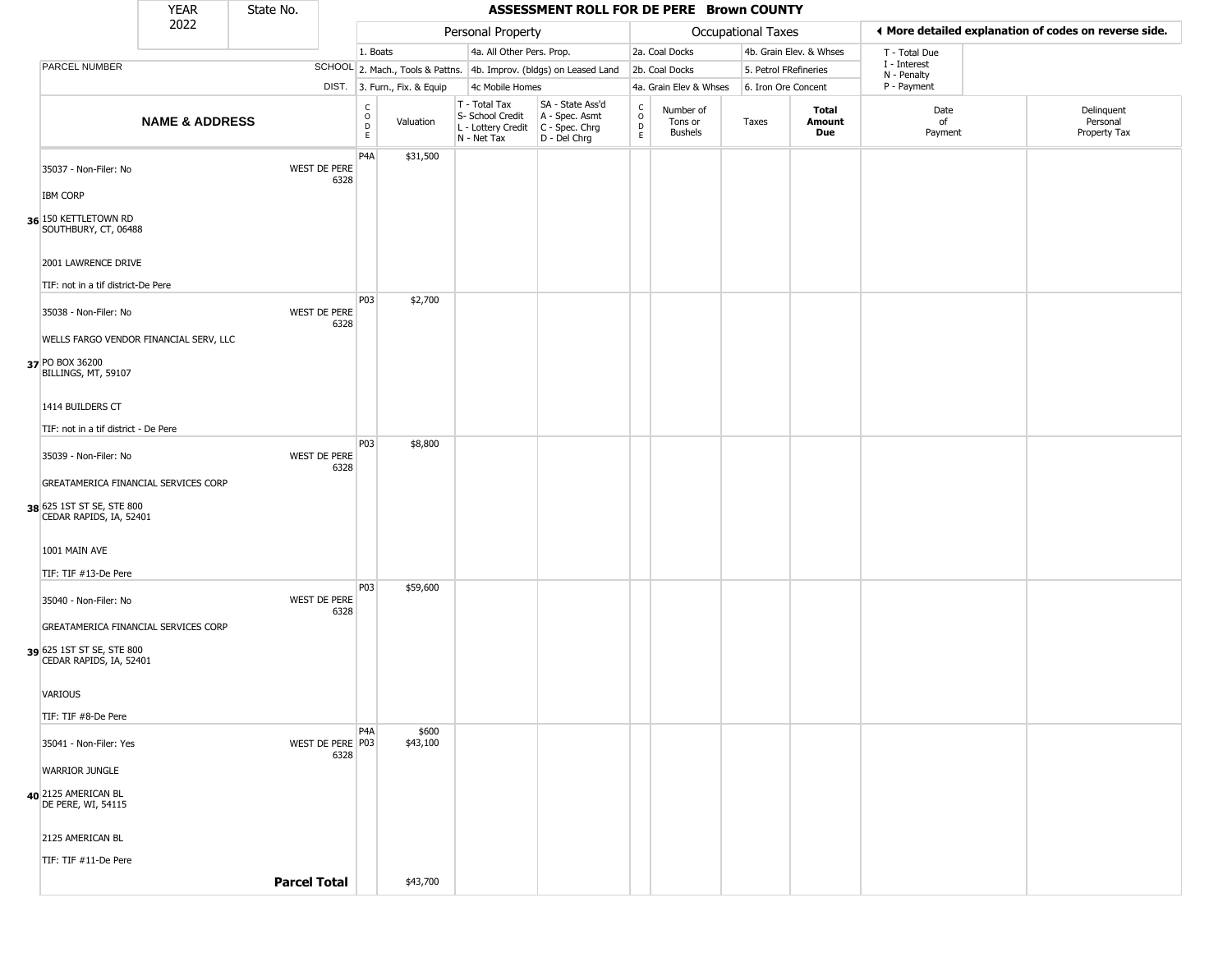|                                                      | <b>YEAR</b>                            | State No. |                          |                                                 |                              |                                                                                         | ASSESSMENT ROLL FOR DE PERE Brown COUNTY                            |                  |                                        |                           |                         |                             |                                                       |
|------------------------------------------------------|----------------------------------------|-----------|--------------------------|-------------------------------------------------|------------------------------|-----------------------------------------------------------------------------------------|---------------------------------------------------------------------|------------------|----------------------------------------|---------------------------|-------------------------|-----------------------------|-------------------------------------------------------|
|                                                      | 2022                                   |           |                          |                                                 |                              | Personal Property                                                                       |                                                                     |                  |                                        | <b>Occupational Taxes</b> |                         |                             | ◀ More detailed explanation of codes on reverse side. |
|                                                      |                                        |           |                          | 1. Boats                                        |                              | 4a. All Other Pers. Prop.                                                               |                                                                     |                  | 2a. Coal Docks                         |                           | 4b. Grain Elev. & Whses | T - Total Due               |                                                       |
| PARCEL NUMBER                                        |                                        |           |                          |                                                 |                              |                                                                                         | SCHOOL 2. Mach., Tools & Pattns. 4b. Improv. (bldgs) on Leased Land |                  | 2b. Coal Docks                         | 5. Petrol FRefineries     |                         | I - Interest<br>N - Penalty |                                                       |
|                                                      |                                        |           |                          |                                                 | DIST. 3. Furn., Fix. & Equip | 4c Mobile Homes                                                                         |                                                                     |                  | 4a. Grain Elev & Whses                 | 6. Iron Ore Concent       |                         | P - Payment                 |                                                       |
|                                                      | <b>NAME &amp; ADDRESS</b>              |           |                          | $_{\rm o}^{\rm c}$<br>$\mathsf{D}_{\mathsf{E}}$ | Valuation                    | T - Total Tax<br>S- School Credit<br>L - Lottery Credit   C - Spec. Chrg<br>N - Net Tax | SA - State Ass'd<br>A - Spec. Asmt<br>D - Del Chrg                  | C<br>D<br>E<br>E | Number of<br>Tons or<br><b>Bushels</b> | Taxes                     | Total<br>Amount<br>Due  | Date<br>of<br>Payment       | Delinquent<br>Personal<br>Property Tax                |
| 35037 - Non-Filer: No                                |                                        |           | WEST DE PERE<br>6328     | P <sub>4</sub> A                                | \$31,500                     |                                                                                         |                                                                     |                  |                                        |                           |                         |                             |                                                       |
| <b>IBM CORP</b>                                      |                                        |           |                          |                                                 |                              |                                                                                         |                                                                     |                  |                                        |                           |                         |                             |                                                       |
| 36 150 KETTLETOWN RD<br>SOUTHBURY, CT, 06488         |                                        |           |                          |                                                 |                              |                                                                                         |                                                                     |                  |                                        |                           |                         |                             |                                                       |
| 2001 LAWRENCE DRIVE                                  |                                        |           |                          |                                                 |                              |                                                                                         |                                                                     |                  |                                        |                           |                         |                             |                                                       |
| TIF: not in a tif district-De Pere                   |                                        |           |                          |                                                 |                              |                                                                                         |                                                                     |                  |                                        |                           |                         |                             |                                                       |
| 35038 - Non-Filer: No                                |                                        |           | WEST DE PERE<br>6328     | P03                                             | \$2,700                      |                                                                                         |                                                                     |                  |                                        |                           |                         |                             |                                                       |
|                                                      | WELLS FARGO VENDOR FINANCIAL SERV, LLC |           |                          |                                                 |                              |                                                                                         |                                                                     |                  |                                        |                           |                         |                             |                                                       |
| 37 PO BOX 36200<br>BILLINGS, MT, 59107               |                                        |           |                          |                                                 |                              |                                                                                         |                                                                     |                  |                                        |                           |                         |                             |                                                       |
| 1414 BUILDERS CT                                     |                                        |           |                          |                                                 |                              |                                                                                         |                                                                     |                  |                                        |                           |                         |                             |                                                       |
| TIF: not in a tif district - De Pere                 |                                        |           |                          |                                                 |                              |                                                                                         |                                                                     |                  |                                        |                           |                         |                             |                                                       |
| 35039 - Non-Filer: No                                |                                        |           | WEST DE PERE<br>6328     | <b>P03</b>                                      | \$8,800                      |                                                                                         |                                                                     |                  |                                        |                           |                         |                             |                                                       |
|                                                      | GREATAMERICA FINANCIAL SERVICES CORP   |           |                          |                                                 |                              |                                                                                         |                                                                     |                  |                                        |                           |                         |                             |                                                       |
| 38 625 1ST ST SE, STE 800<br>CEDAR RAPIDS, IA, 52401 |                                        |           |                          |                                                 |                              |                                                                                         |                                                                     |                  |                                        |                           |                         |                             |                                                       |
| 1001 MAIN AVE                                        |                                        |           |                          |                                                 |                              |                                                                                         |                                                                     |                  |                                        |                           |                         |                             |                                                       |
| TIF: TIF #13-De Pere                                 |                                        |           |                          |                                                 |                              |                                                                                         |                                                                     |                  |                                        |                           |                         |                             |                                                       |
| 35040 - Non-Filer: No                                |                                        |           | WEST DE PERE<br>6328     | P03                                             | \$59,600                     |                                                                                         |                                                                     |                  |                                        |                           |                         |                             |                                                       |
|                                                      | GREATAMERICA FINANCIAL SERVICES CORP   |           |                          |                                                 |                              |                                                                                         |                                                                     |                  |                                        |                           |                         |                             |                                                       |
| 39 625 1ST ST SE, STE 800<br>CEDAR RAPIDS, IA, 52401 |                                        |           |                          |                                                 |                              |                                                                                         |                                                                     |                  |                                        |                           |                         |                             |                                                       |
| VARIOUS                                              |                                        |           |                          |                                                 |                              |                                                                                         |                                                                     |                  |                                        |                           |                         |                             |                                                       |
| TIF: TIF #8-De Pere                                  |                                        |           |                          |                                                 |                              |                                                                                         |                                                                     |                  |                                        |                           |                         |                             |                                                       |
| 35041 - Non-Filer: Yes                               |                                        |           | WEST DE PERE P03<br>6328 | P <sub>4</sub> A                                | \$600<br>\$43,100            |                                                                                         |                                                                     |                  |                                        |                           |                         |                             |                                                       |
| <b>WARRIOR JUNGLE</b>                                |                                        |           |                          |                                                 |                              |                                                                                         |                                                                     |                  |                                        |                           |                         |                             |                                                       |
| 40 2125 AMERICAN BL<br>DE PERE, WI, 54115            |                                        |           |                          |                                                 |                              |                                                                                         |                                                                     |                  |                                        |                           |                         |                             |                                                       |
| 2125 AMERICAN BL                                     |                                        |           |                          |                                                 |                              |                                                                                         |                                                                     |                  |                                        |                           |                         |                             |                                                       |
| TIF: TIF #11-De Pere                                 |                                        |           |                          |                                                 |                              |                                                                                         |                                                                     |                  |                                        |                           |                         |                             |                                                       |
|                                                      |                                        |           | <b>Parcel Total</b>      |                                                 | \$43,700                     |                                                                                         |                                                                     |                  |                                        |                           |                         |                             |                                                       |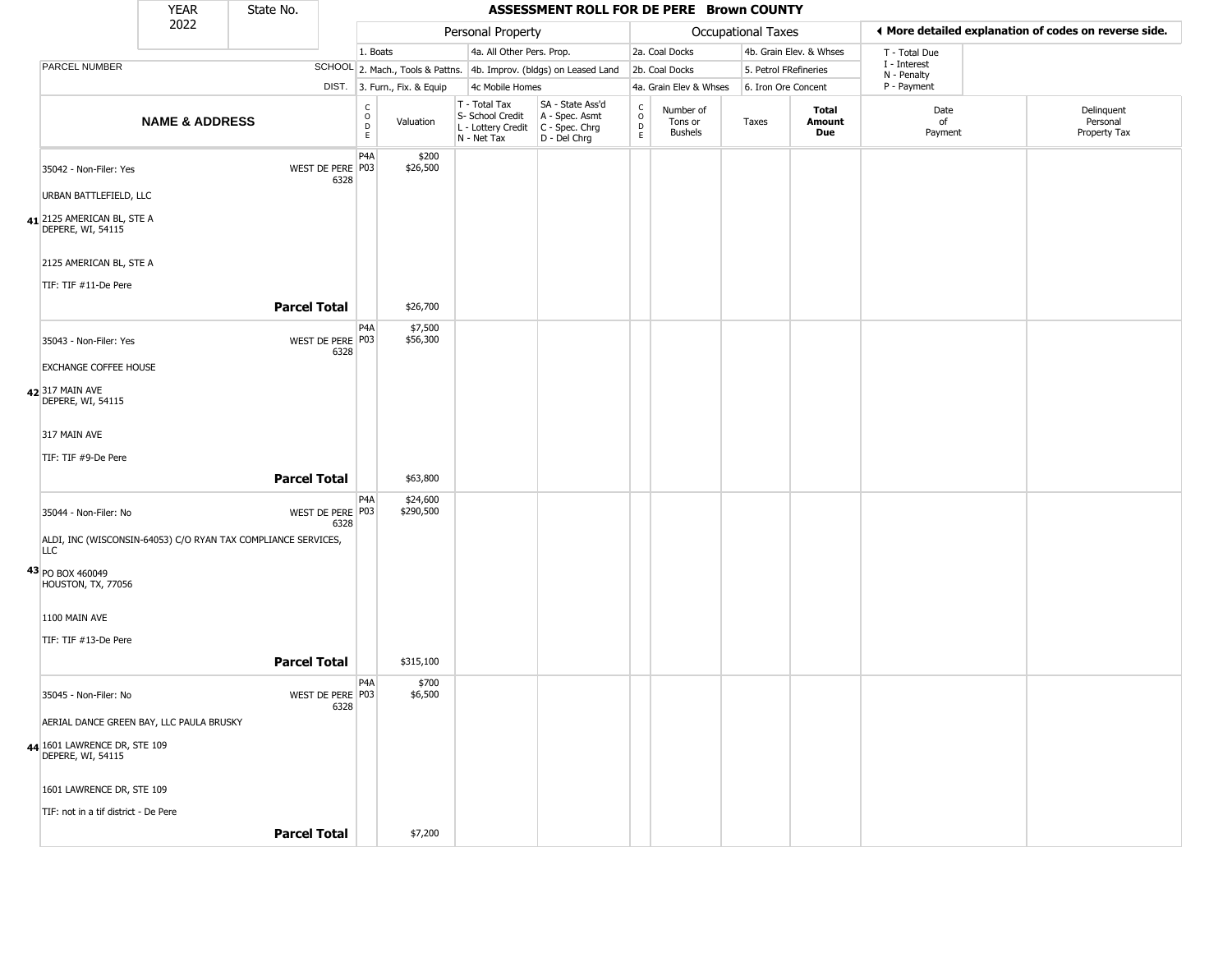|                                                   | <b>YEAR</b>               | State No.                                                     |                          |                                                          |                              |                                                                                         | ASSESSMENT ROLL FOR DE PERE Brown COUNTY                            |                         |                                        |                    |                         |                             |                                                       |
|---------------------------------------------------|---------------------------|---------------------------------------------------------------|--------------------------|----------------------------------------------------------|------------------------------|-----------------------------------------------------------------------------------------|---------------------------------------------------------------------|-------------------------|----------------------------------------|--------------------|-------------------------|-----------------------------|-------------------------------------------------------|
|                                                   | 2022                      |                                                               |                          |                                                          |                              | Personal Property                                                                       |                                                                     |                         |                                        | Occupational Taxes |                         |                             | ♦ More detailed explanation of codes on reverse side. |
|                                                   |                           |                                                               |                          | 1. Boats                                                 |                              | 4a. All Other Pers. Prop.                                                               |                                                                     |                         | 2a. Coal Docks                         |                    | 4b. Grain Elev. & Whses | T - Total Due               |                                                       |
| PARCEL NUMBER                                     |                           |                                                               |                          |                                                          |                              |                                                                                         | SCHOOL 2. Mach., Tools & Pattns. 4b. Improv. (bldgs) on Leased Land |                         | 2b. Coal Docks                         |                    | 5. Petrol FRefineries   | I - Interest<br>N - Penalty |                                                       |
|                                                   |                           |                                                               |                          |                                                          | DIST. 3. Furn., Fix. & Equip | 4c Mobile Homes                                                                         |                                                                     |                         | 4a. Grain Elev & Whses                 |                    | 6. Iron Ore Concent     | P - Payment                 |                                                       |
|                                                   | <b>NAME &amp; ADDRESS</b> |                                                               |                          | $\begin{matrix} 0 \\ 0 \\ D \end{matrix}$<br>$\mathsf E$ | Valuation                    | T - Total Tax<br>S- School Credit<br>L - Lottery Credit   C - Spec. Chrg<br>N - Net Tax | SA - State Ass'd<br>A - Spec. Asmt<br>D - Del Chrg                  | C<br>$\circ$<br>D<br>E. | Number of<br>Tons or<br><b>Bushels</b> | Taxes              | Total<br>Amount<br>Due  | Date<br>of<br>Payment       | Delinquent<br>Personal<br>Property Tax                |
| 35042 - Non-Filer: Yes                            |                           |                                                               | WEST DE PERE P03<br>6328 | P <sub>4</sub> A                                         | \$200<br>\$26,500            |                                                                                         |                                                                     |                         |                                        |                    |                         |                             |                                                       |
| URBAN BATTLEFIELD, LLC                            |                           |                                                               |                          |                                                          |                              |                                                                                         |                                                                     |                         |                                        |                    |                         |                             |                                                       |
| 41 2125 AMERICAN BL, STE A<br>DEPERE, WI, 54115   |                           |                                                               |                          |                                                          |                              |                                                                                         |                                                                     |                         |                                        |                    |                         |                             |                                                       |
| 2125 AMERICAN BL, STE A                           |                           |                                                               |                          |                                                          |                              |                                                                                         |                                                                     |                         |                                        |                    |                         |                             |                                                       |
| TIF: TIF #11-De Pere                              |                           |                                                               |                          |                                                          |                              |                                                                                         |                                                                     |                         |                                        |                    |                         |                             |                                                       |
|                                                   |                           | <b>Parcel Total</b>                                           |                          |                                                          | \$26,700                     |                                                                                         |                                                                     |                         |                                        |                    |                         |                             |                                                       |
| 35043 - Non-Filer: Yes                            |                           |                                                               | WEST DE PERE P03<br>6328 | P4A                                                      | \$7,500<br>\$56,300          |                                                                                         |                                                                     |                         |                                        |                    |                         |                             |                                                       |
| <b>EXCHANGE COFFEE HOUSE</b>                      |                           |                                                               |                          |                                                          |                              |                                                                                         |                                                                     |                         |                                        |                    |                         |                             |                                                       |
| 42 317 MAIN AVE<br>DEPERE, WI, 54115              |                           |                                                               |                          |                                                          |                              |                                                                                         |                                                                     |                         |                                        |                    |                         |                             |                                                       |
| 317 MAIN AVE                                      |                           |                                                               |                          |                                                          |                              |                                                                                         |                                                                     |                         |                                        |                    |                         |                             |                                                       |
| TIF: TIF #9-De Pere                               |                           |                                                               |                          |                                                          |                              |                                                                                         |                                                                     |                         |                                        |                    |                         |                             |                                                       |
|                                                   |                           | <b>Parcel Total</b>                                           |                          |                                                          | \$63,800                     |                                                                                         |                                                                     |                         |                                        |                    |                         |                             |                                                       |
| 35044 - Non-Filer: No                             |                           |                                                               | WEST DE PERE P03<br>6328 | P <sub>4</sub> A                                         | \$24,600<br>\$290,500        |                                                                                         |                                                                     |                         |                                        |                    |                         |                             |                                                       |
| <b>LLC</b>                                        |                           | ALDI, INC (WISCONSIN-64053) C/O RYAN TAX COMPLIANCE SERVICES, |                          |                                                          |                              |                                                                                         |                                                                     |                         |                                        |                    |                         |                             |                                                       |
| 43 PO BOX 460049<br>HOUSTON, TX, 77056            |                           |                                                               |                          |                                                          |                              |                                                                                         |                                                                     |                         |                                        |                    |                         |                             |                                                       |
| 1100 MAIN AVE                                     |                           |                                                               |                          |                                                          |                              |                                                                                         |                                                                     |                         |                                        |                    |                         |                             |                                                       |
| TIF: TIF #13-De Pere                              |                           |                                                               |                          |                                                          |                              |                                                                                         |                                                                     |                         |                                        |                    |                         |                             |                                                       |
|                                                   |                           | <b>Parcel Total</b>                                           |                          |                                                          | \$315,100                    |                                                                                         |                                                                     |                         |                                        |                    |                         |                             |                                                       |
| 35045 - Non-Filer: No                             |                           |                                                               | WEST DE PERE P03<br>6328 | P4A                                                      | \$700<br>\$6,500             |                                                                                         |                                                                     |                         |                                        |                    |                         |                             |                                                       |
| AERIAL DANCE GREEN BAY, LLC PAULA BRUSKY          |                           |                                                               |                          |                                                          |                              |                                                                                         |                                                                     |                         |                                        |                    |                         |                             |                                                       |
| 44 1601 LAWRENCE DR, STE 109<br>DEPERE, WI, 54115 |                           |                                                               |                          |                                                          |                              |                                                                                         |                                                                     |                         |                                        |                    |                         |                             |                                                       |
| 1601 LAWRENCE DR, STE 109                         |                           |                                                               |                          |                                                          |                              |                                                                                         |                                                                     |                         |                                        |                    |                         |                             |                                                       |
| TIF: not in a tif district - De Pere              |                           |                                                               |                          |                                                          |                              |                                                                                         |                                                                     |                         |                                        |                    |                         |                             |                                                       |
|                                                   |                           | <b>Parcel Total</b>                                           |                          |                                                          | \$7,200                      |                                                                                         |                                                                     |                         |                                        |                    |                         |                             |                                                       |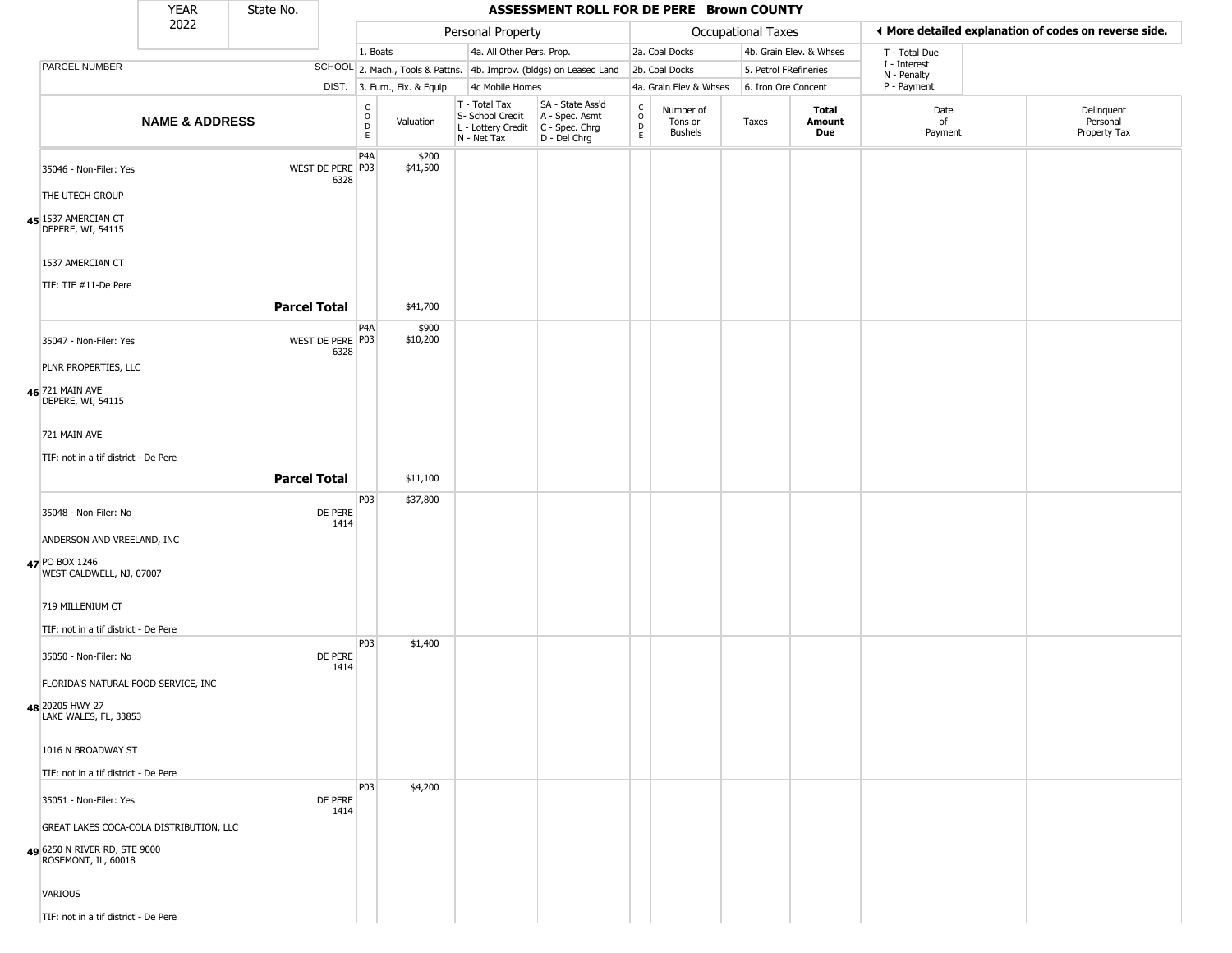|                                                     | <b>YEAR</b>               | State No.           |                          |                        |                              |                                                                        | ASSESSMENT ROLL FOR DE PERE Brown COUNTY                               |                                            |                                        |                       |                         |                             |                                                       |
|-----------------------------------------------------|---------------------------|---------------------|--------------------------|------------------------|------------------------------|------------------------------------------------------------------------|------------------------------------------------------------------------|--------------------------------------------|----------------------------------------|-----------------------|-------------------------|-----------------------------|-------------------------------------------------------|
|                                                     | 2022                      |                     |                          |                        |                              | Personal Property                                                      |                                                                        |                                            |                                        | Occupational Taxes    |                         |                             | ◀ More detailed explanation of codes on reverse side. |
|                                                     |                           |                     |                          | 1. Boats               |                              | 4a. All Other Pers. Prop.                                              |                                                                        |                                            | 2a. Coal Docks                         |                       | 4b. Grain Elev. & Whses | T - Total Due               |                                                       |
| <b>PARCEL NUMBER</b>                                |                           |                     |                          |                        |                              |                                                                        | SCHOOL 2. Mach., Tools & Pattns. 4b. Improv. (bldgs) on Leased Land    |                                            | 2b. Coal Docks                         | 5. Petrol FRefineries |                         | I - Interest<br>N - Penalty |                                                       |
|                                                     |                           |                     |                          |                        | DIST. 3. Furn., Fix. & Equip | 4c Mobile Homes                                                        |                                                                        |                                            | 4a. Grain Elev & Whses                 | 6. Iron Ore Concent   |                         | P - Payment                 |                                                       |
|                                                     | <b>NAME &amp; ADDRESS</b> |                     |                          | C<br>$\circ$<br>D<br>E | Valuation                    | T - Total Tax<br>S- School Credit<br>L - Lottery Credit<br>N - Net Tax | SA - State Ass'd<br>A - Spec. Asmt<br>$C - Spec. Chrg$<br>D - Del Chrg | $\begin{array}{c} C \\ O \\ E \end{array}$ | Number of<br>Tons or<br><b>Bushels</b> | Taxes                 | Total<br>Amount<br>Due  | Date<br>of<br>Payment       | Delinquent<br>Personal<br>Property Tax                |
| 35046 - Non-Filer: Yes                              |                           |                     | WEST DE PERE P03<br>6328 | P4A                    | \$200<br>\$41,500            |                                                                        |                                                                        |                                            |                                        |                       |                         |                             |                                                       |
| THE UTECH GROUP                                     |                           |                     |                          |                        |                              |                                                                        |                                                                        |                                            |                                        |                       |                         |                             |                                                       |
| 45 1537 AMERCIAN CT<br>DEPERE, WI, 54115            |                           |                     |                          |                        |                              |                                                                        |                                                                        |                                            |                                        |                       |                         |                             |                                                       |
| 1537 AMERCIAN CT                                    |                           |                     |                          |                        |                              |                                                                        |                                                                        |                                            |                                        |                       |                         |                             |                                                       |
| TIF: TIF #11-De Pere                                |                           | <b>Parcel Total</b> |                          |                        | \$41,700                     |                                                                        |                                                                        |                                            |                                        |                       |                         |                             |                                                       |
| 35047 - Non-Filer: Yes                              |                           |                     | WEST DE PERE P03<br>6328 | P4A                    | \$900<br>\$10,200            |                                                                        |                                                                        |                                            |                                        |                       |                         |                             |                                                       |
| PLNR PROPERTIES, LLC                                |                           |                     |                          |                        |                              |                                                                        |                                                                        |                                            |                                        |                       |                         |                             |                                                       |
| 46 721 MAIN AVE<br>DEPERE, WI, 54115                |                           |                     |                          |                        |                              |                                                                        |                                                                        |                                            |                                        |                       |                         |                             |                                                       |
| 721 MAIN AVE                                        |                           |                     |                          |                        |                              |                                                                        |                                                                        |                                            |                                        |                       |                         |                             |                                                       |
| TIF: not in a tif district - De Pere                |                           |                     |                          |                        |                              |                                                                        |                                                                        |                                            |                                        |                       |                         |                             |                                                       |
|                                                     |                           | <b>Parcel Total</b> |                          |                        | \$11,100                     |                                                                        |                                                                        |                                            |                                        |                       |                         |                             |                                                       |
|                                                     |                           |                     |                          | P03                    | \$37,800                     |                                                                        |                                                                        |                                            |                                        |                       |                         |                             |                                                       |
| 35048 - Non-Filer: No                               |                           |                     | DE PERE<br>1414          |                        |                              |                                                                        |                                                                        |                                            |                                        |                       |                         |                             |                                                       |
| ANDERSON AND VREELAND, INC                          |                           |                     |                          |                        |                              |                                                                        |                                                                        |                                            |                                        |                       |                         |                             |                                                       |
| 47 PO BOX 1246<br>WEST CALDWELL, NJ, 07007          |                           |                     |                          |                        |                              |                                                                        |                                                                        |                                            |                                        |                       |                         |                             |                                                       |
| 719 MILLENIUM CT                                    |                           |                     |                          |                        |                              |                                                                        |                                                                        |                                            |                                        |                       |                         |                             |                                                       |
| TIF: not in a tif district - De Pere                |                           |                     |                          |                        |                              |                                                                        |                                                                        |                                            |                                        |                       |                         |                             |                                                       |
| 35050 - Non-Filer: No                               |                           |                     | DE PERE<br>1414          | P03                    | \$1,400                      |                                                                        |                                                                        |                                            |                                        |                       |                         |                             |                                                       |
| FLORIDA'S NATURAL FOOD SERVICE, INC                 |                           |                     |                          |                        |                              |                                                                        |                                                                        |                                            |                                        |                       |                         |                             |                                                       |
| 48 20205 HWY 27<br>LAKE WALES, FL, 33853            |                           |                     |                          |                        |                              |                                                                        |                                                                        |                                            |                                        |                       |                         |                             |                                                       |
| 1016 N BROADWAY ST                                  |                           |                     |                          |                        |                              |                                                                        |                                                                        |                                            |                                        |                       |                         |                             |                                                       |
| TIF: not in a tif district - De Pere                |                           |                     |                          |                        |                              |                                                                        |                                                                        |                                            |                                        |                       |                         |                             |                                                       |
| 35051 - Non-Filer: Yes                              |                           |                     | DE PERE<br>1414          | P03                    | \$4,200                      |                                                                        |                                                                        |                                            |                                        |                       |                         |                             |                                                       |
| GREAT LAKES COCA-COLA DISTRIBUTION, LLC             |                           |                     |                          |                        |                              |                                                                        |                                                                        |                                            |                                        |                       |                         |                             |                                                       |
| 49 6250 N RIVER RD, STE 9000<br>ROSEMONT, IL, 60018 |                           |                     |                          |                        |                              |                                                                        |                                                                        |                                            |                                        |                       |                         |                             |                                                       |
| <b>VARIOUS</b>                                      |                           |                     |                          |                        |                              |                                                                        |                                                                        |                                            |                                        |                       |                         |                             |                                                       |
| TIF: not in a tif district - De Pere                |                           |                     |                          |                        |                              |                                                                        |                                                                        |                                            |                                        |                       |                         |                             |                                                       |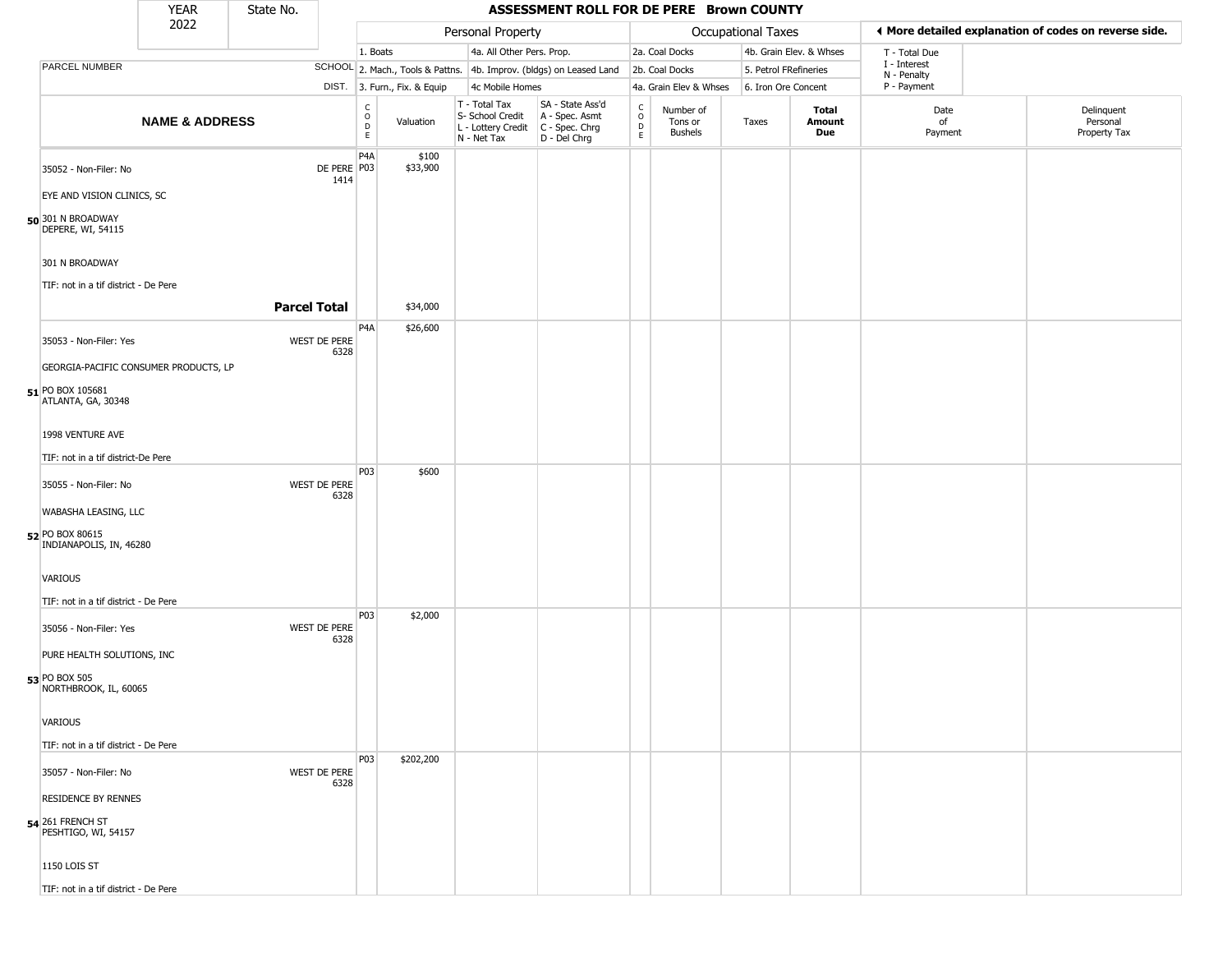|                                                                       | <b>YEAR</b>               | State No.           |                       |                                             |                              |                                                                                         | ASSESSMENT ROLL FOR DE PERE Brown COUNTY                            |                                   |                                        |                       |                         |                             |                                                       |
|-----------------------------------------------------------------------|---------------------------|---------------------|-----------------------|---------------------------------------------|------------------------------|-----------------------------------------------------------------------------------------|---------------------------------------------------------------------|-----------------------------------|----------------------------------------|-----------------------|-------------------------|-----------------------------|-------------------------------------------------------|
|                                                                       | 2022                      |                     |                       |                                             |                              | Personal Property                                                                       |                                                                     |                                   |                                        | Occupational Taxes    |                         |                             | ♦ More detailed explanation of codes on reverse side. |
|                                                                       |                           |                     |                       | 1. Boats                                    |                              | 4a. All Other Pers. Prop.                                                               |                                                                     |                                   | 2a. Coal Docks                         |                       | 4b. Grain Elev. & Whses | T - Total Due               |                                                       |
| PARCEL NUMBER                                                         |                           |                     |                       |                                             |                              |                                                                                         | SCHOOL 2. Mach., Tools & Pattns. 4b. Improv. (bldgs) on Leased Land |                                   | 2b. Coal Docks                         | 5. Petrol FRefineries |                         | I - Interest<br>N - Penalty |                                                       |
|                                                                       |                           |                     |                       |                                             | DIST. 3. Furn., Fix. & Equip | 4c Mobile Homes                                                                         |                                                                     |                                   | 4a. Grain Elev & Whses                 | 6. Iron Ore Concent   |                         | P - Payment                 |                                                       |
|                                                                       | <b>NAME &amp; ADDRESS</b> |                     |                       | $\mathsf{C}$<br>$\circ$<br>$\mathsf D$<br>E | Valuation                    | T - Total Tax<br>S- School Credit<br>L - Lottery Credit   C - Spec. Chrg<br>N - Net Tax | SA - State Ass'd<br>A - Spec. Asmt<br>D - Del Chrg                  | $\frac{c}{0}$<br>$\mathsf D$<br>E | Number of<br>Tons or<br><b>Bushels</b> | Taxes                 | Total<br>Amount<br>Due  | Date<br>of<br>Payment       | Delinquent<br>Personal<br>Property Tax                |
| 35052 - Non-Filer: No                                                 |                           |                     | DE PERE   P03<br>1414 | P <sub>4</sub> A                            | \$100<br>\$33,900            |                                                                                         |                                                                     |                                   |                                        |                       |                         |                             |                                                       |
| EYE AND VISION CLINICS, SC<br>50 301 N BROADWAY<br>DEPERE, WI, 54115  |                           |                     |                       |                                             |                              |                                                                                         |                                                                     |                                   |                                        |                       |                         |                             |                                                       |
| 301 N BROADWAY<br>TIF: not in a tif district - De Pere                |                           |                     |                       |                                             |                              |                                                                                         |                                                                     |                                   |                                        |                       |                         |                             |                                                       |
|                                                                       |                           | <b>Parcel Total</b> |                       |                                             | \$34,000                     |                                                                                         |                                                                     |                                   |                                        |                       |                         |                             |                                                       |
| 35053 - Non-Filer: Yes                                                |                           |                     | WEST DE PERE<br>6328  | P <sub>4</sub> A                            | \$26,600                     |                                                                                         |                                                                     |                                   |                                        |                       |                         |                             |                                                       |
| GEORGIA-PACIFIC CONSUMER PRODUCTS, LP                                 |                           |                     |                       |                                             |                              |                                                                                         |                                                                     |                                   |                                        |                       |                         |                             |                                                       |
| 51 PO BOX 105681<br>ATLANTA, GA, 30348                                |                           |                     |                       |                                             |                              |                                                                                         |                                                                     |                                   |                                        |                       |                         |                             |                                                       |
| 1998 VENTURE AVE                                                      |                           |                     |                       |                                             |                              |                                                                                         |                                                                     |                                   |                                        |                       |                         |                             |                                                       |
| TIF: not in a tif district-De Pere                                    |                           |                     |                       |                                             |                              |                                                                                         |                                                                     |                                   |                                        |                       |                         |                             |                                                       |
| 35055 - Non-Filer: No                                                 |                           |                     | WEST DE PERE<br>6328  | P03                                         | \$600                        |                                                                                         |                                                                     |                                   |                                        |                       |                         |                             |                                                       |
| WABASHA LEASING, LLC                                                  |                           |                     |                       |                                             |                              |                                                                                         |                                                                     |                                   |                                        |                       |                         |                             |                                                       |
| 52 PO BOX 80615<br>INDIANAPOLIS, IN, 46280                            |                           |                     |                       |                                             |                              |                                                                                         |                                                                     |                                   |                                        |                       |                         |                             |                                                       |
| VARIOUS<br>TIF: not in a tif district - De Pere                       |                           |                     |                       |                                             |                              |                                                                                         |                                                                     |                                   |                                        |                       |                         |                             |                                                       |
| 35056 - Non-Filer: Yes                                                |                           |                     | WEST DE PERE          | P03                                         | \$2,000                      |                                                                                         |                                                                     |                                   |                                        |                       |                         |                             |                                                       |
| PURE HEALTH SOLUTIONS, INC                                            |                           |                     | 6328                  |                                             |                              |                                                                                         |                                                                     |                                   |                                        |                       |                         |                             |                                                       |
| 53 PO BOX 505<br>NORTHBROOK, IL, 60065                                |                           |                     |                       |                                             |                              |                                                                                         |                                                                     |                                   |                                        |                       |                         |                             |                                                       |
| VARIOUS                                                               |                           |                     |                       |                                             |                              |                                                                                         |                                                                     |                                   |                                        |                       |                         |                             |                                                       |
| TIF: not in a tif district - De Pere                                  |                           |                     |                       |                                             |                              |                                                                                         |                                                                     |                                   |                                        |                       |                         |                             |                                                       |
| 35057 - Non-Filer: No                                                 |                           |                     | WEST DE PERE<br>6328  | P <sub>03</sub>                             | \$202,200                    |                                                                                         |                                                                     |                                   |                                        |                       |                         |                             |                                                       |
| <b>RESIDENCE BY RENNES</b><br>54 261 FRENCH ST<br>PESHTIGO, WI, 54157 |                           |                     |                       |                                             |                              |                                                                                         |                                                                     |                                   |                                        |                       |                         |                             |                                                       |
| <b>1150 LOIS ST</b>                                                   |                           |                     |                       |                                             |                              |                                                                                         |                                                                     |                                   |                                        |                       |                         |                             |                                                       |
| TIF: not in a tif district - De Pere                                  |                           |                     |                       |                                             |                              |                                                                                         |                                                                     |                                   |                                        |                       |                         |                             |                                                       |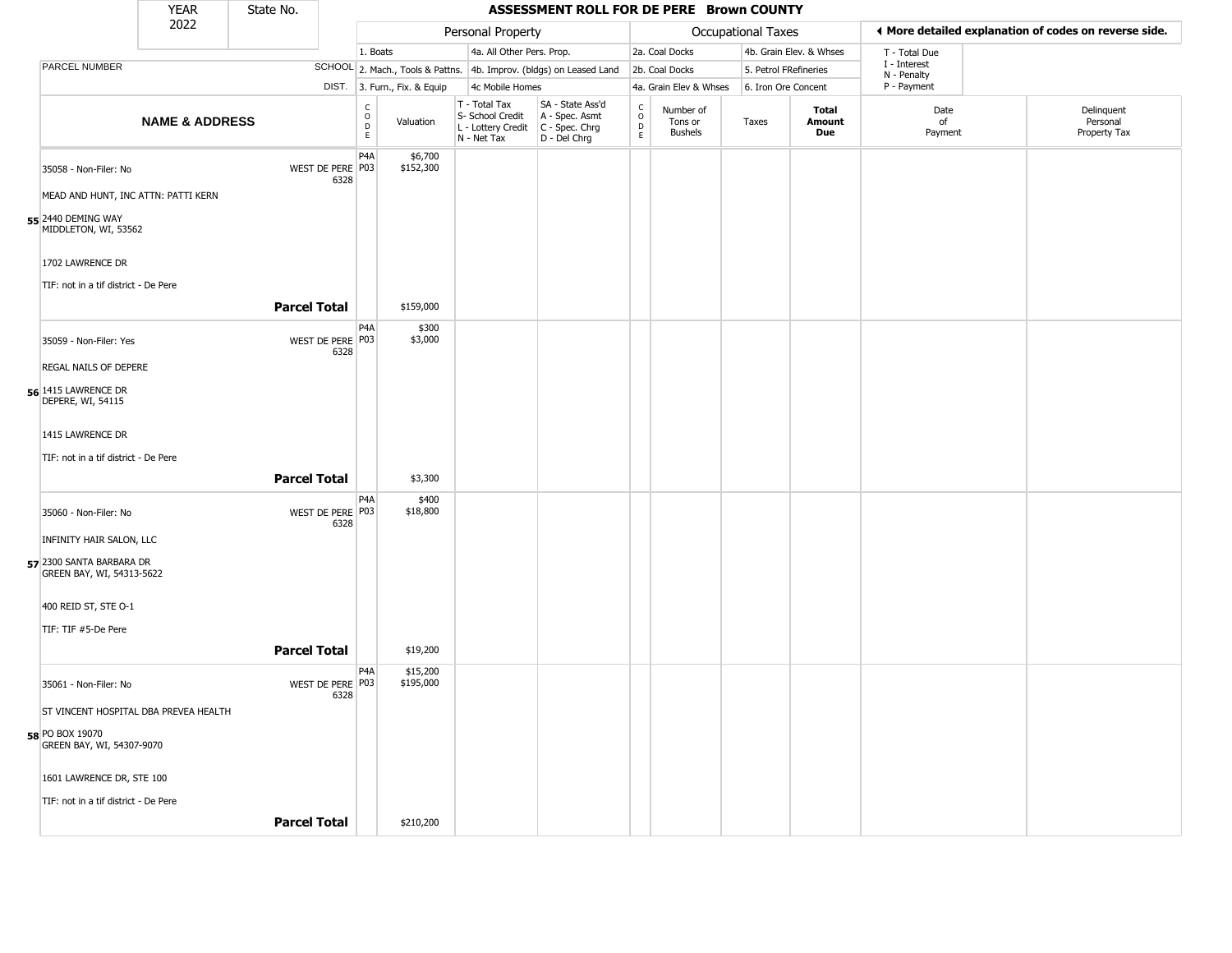|                                                       | <b>YEAR</b>               | State No.           |                          |                                       |                              |                                                                                         | ASSESSMENT ROLL FOR DE PERE Brown COUNTY                            |                            |                                        |                    |                         |                             |                                                       |
|-------------------------------------------------------|---------------------------|---------------------|--------------------------|---------------------------------------|------------------------------|-----------------------------------------------------------------------------------------|---------------------------------------------------------------------|----------------------------|----------------------------------------|--------------------|-------------------------|-----------------------------|-------------------------------------------------------|
|                                                       | 2022                      |                     |                          |                                       |                              | Personal Property                                                                       |                                                                     |                            |                                        | Occupational Taxes |                         |                             | ◀ More detailed explanation of codes on reverse side. |
|                                                       |                           |                     |                          | 1. Boats                              |                              | 4a. All Other Pers. Prop.                                                               |                                                                     |                            | 2a. Coal Docks                         |                    | 4b. Grain Elev. & Whses | T - Total Due               |                                                       |
| <b>PARCEL NUMBER</b>                                  |                           |                     |                          |                                       |                              |                                                                                         | SCHOOL 2. Mach., Tools & Pattns. 4b. Improv. (bldgs) on Leased Land |                            | 2b. Coal Docks                         |                    | 5. Petrol FRefineries   | I - Interest<br>N - Penalty |                                                       |
|                                                       |                           |                     |                          |                                       | DIST. 3. Furn., Fix. & Equip | 4c Mobile Homes                                                                         |                                                                     |                            | 4a. Grain Elev & Whses                 |                    | 6. Iron Ore Concent     | P - Payment                 |                                                       |
|                                                       | <b>NAME &amp; ADDRESS</b> |                     |                          | $\mathsf C$<br>$\mathsf O$<br>D<br>E. | Valuation                    | T - Total Tax<br>S- School Credit<br>L - Lottery Credit   C - Spec. Chrg<br>N - Net Tax | SA - State Ass'd<br>A - Spec. Asmt<br>D - Del Chrg                  | C<br>$\mathsf O$<br>D<br>E | Number of<br>Tons or<br><b>Bushels</b> | Taxes              | Total<br>Amount<br>Due  | Date<br>of<br>Payment       | Delinquent<br>Personal<br>Property Tax                |
| 35058 - Non-Filer: No                                 |                           |                     | WEST DE PERE P03<br>6328 | P4A                                   | \$6,700<br>\$152,300         |                                                                                         |                                                                     |                            |                                        |                    |                         |                             |                                                       |
| MEAD AND HUNT, INC ATTN: PATTI KERN                   |                           |                     |                          |                                       |                              |                                                                                         |                                                                     |                            |                                        |                    |                         |                             |                                                       |
| 55 2440 DEMING WAY<br>MIDDLETON, WI, 53562            |                           |                     |                          |                                       |                              |                                                                                         |                                                                     |                            |                                        |                    |                         |                             |                                                       |
| 1702 LAWRENCE DR                                      |                           |                     |                          |                                       |                              |                                                                                         |                                                                     |                            |                                        |                    |                         |                             |                                                       |
| TIF: not in a tif district - De Pere                  |                           |                     |                          |                                       |                              |                                                                                         |                                                                     |                            |                                        |                    |                         |                             |                                                       |
|                                                       |                           | <b>Parcel Total</b> |                          |                                       | \$159,000                    |                                                                                         |                                                                     |                            |                                        |                    |                         |                             |                                                       |
| 35059 - Non-Filer: Yes                                |                           |                     | WEST DE PERE P03<br>6328 | P4A                                   | \$300<br>\$3,000             |                                                                                         |                                                                     |                            |                                        |                    |                         |                             |                                                       |
| REGAL NAILS OF DEPERE                                 |                           |                     |                          |                                       |                              |                                                                                         |                                                                     |                            |                                        |                    |                         |                             |                                                       |
| 56 1415 LAWRENCE DR<br>DEPERE, WI, 54115              |                           |                     |                          |                                       |                              |                                                                                         |                                                                     |                            |                                        |                    |                         |                             |                                                       |
| 1415 LAWRENCE DR                                      |                           |                     |                          |                                       |                              |                                                                                         |                                                                     |                            |                                        |                    |                         |                             |                                                       |
| TIF: not in a tif district - De Pere                  |                           |                     |                          |                                       |                              |                                                                                         |                                                                     |                            |                                        |                    |                         |                             |                                                       |
|                                                       |                           | <b>Parcel Total</b> |                          |                                       | \$3,300                      |                                                                                         |                                                                     |                            |                                        |                    |                         |                             |                                                       |
| 35060 - Non-Filer: No                                 |                           |                     | WEST DE PERE P03<br>6328 | P4A                                   | \$400<br>\$18,800            |                                                                                         |                                                                     |                            |                                        |                    |                         |                             |                                                       |
| INFINITY HAIR SALON, LLC                              |                           |                     |                          |                                       |                              |                                                                                         |                                                                     |                            |                                        |                    |                         |                             |                                                       |
| 57 2300 SANTA BARBARA DR<br>GREEN BAY, WI, 54313-5622 |                           |                     |                          |                                       |                              |                                                                                         |                                                                     |                            |                                        |                    |                         |                             |                                                       |
| 400 REID ST, STE O-1                                  |                           |                     |                          |                                       |                              |                                                                                         |                                                                     |                            |                                        |                    |                         |                             |                                                       |
| TIF: TIF #5-De Pere                                   |                           |                     |                          |                                       |                              |                                                                                         |                                                                     |                            |                                        |                    |                         |                             |                                                       |
|                                                       |                           | <b>Parcel Total</b> |                          |                                       | \$19,200                     |                                                                                         |                                                                     |                            |                                        |                    |                         |                             |                                                       |
| 35061 - Non-Filer: No                                 |                           |                     | WEST DE PERE P03<br>6328 | P4A                                   | \$15,200<br>\$195,000        |                                                                                         |                                                                     |                            |                                        |                    |                         |                             |                                                       |
| ST VINCENT HOSPITAL DBA PREVEA HEALTH                 |                           |                     |                          |                                       |                              |                                                                                         |                                                                     |                            |                                        |                    |                         |                             |                                                       |
| 58 PO BOX 19070<br>GREEN BAY, WI, 54307-9070          |                           |                     |                          |                                       |                              |                                                                                         |                                                                     |                            |                                        |                    |                         |                             |                                                       |
| 1601 LAWRENCE DR, STE 100                             |                           |                     |                          |                                       |                              |                                                                                         |                                                                     |                            |                                        |                    |                         |                             |                                                       |
| TIF: not in a tif district - De Pere                  |                           |                     |                          |                                       |                              |                                                                                         |                                                                     |                            |                                        |                    |                         |                             |                                                       |
|                                                       |                           | <b>Parcel Total</b> |                          |                                       | \$210,200                    |                                                                                         |                                                                     |                            |                                        |                    |                         |                             |                                                       |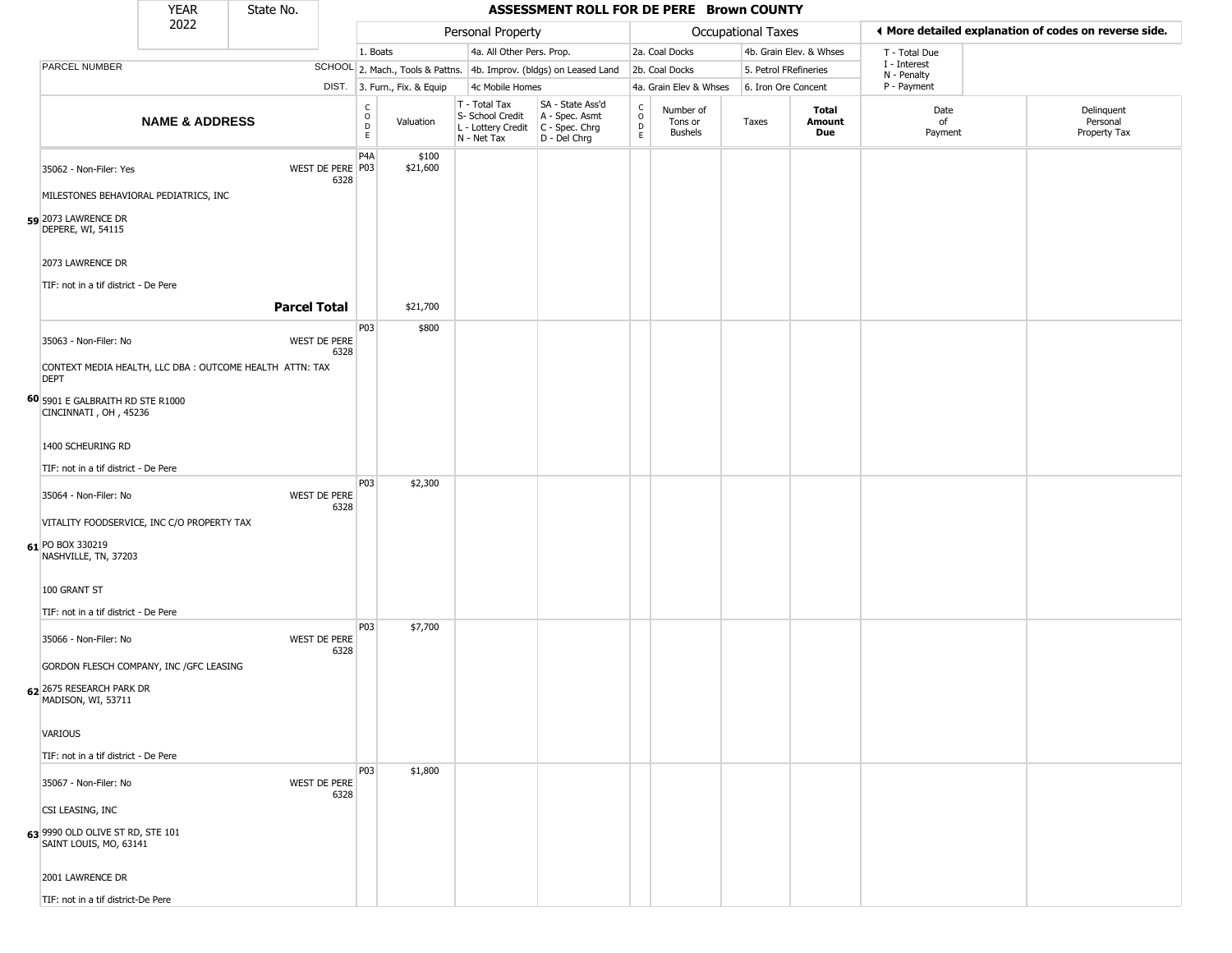|                                                                                        | <b>YEAR</b>               | State No.                                               |                                             |                              |                                                                                         | ASSESSMENT ROLL FOR DE PERE Brown COUNTY                            |                                                          |                                        |                           |                         |                             |                                                       |
|----------------------------------------------------------------------------------------|---------------------------|---------------------------------------------------------|---------------------------------------------|------------------------------|-----------------------------------------------------------------------------------------|---------------------------------------------------------------------|----------------------------------------------------------|----------------------------------------|---------------------------|-------------------------|-----------------------------|-------------------------------------------------------|
|                                                                                        | 2022                      |                                                         |                                             |                              | Personal Property                                                                       |                                                                     |                                                          |                                        | <b>Occupational Taxes</b> |                         |                             | ◀ More detailed explanation of codes on reverse side. |
|                                                                                        |                           |                                                         | 1. Boats                                    |                              | 4a. All Other Pers. Prop.                                                               |                                                                     |                                                          | 2a. Coal Docks                         |                           | 4b. Grain Elev. & Whses | T - Total Due               |                                                       |
| PARCEL NUMBER                                                                          |                           |                                                         |                                             |                              |                                                                                         | SCHOOL 2. Mach., Tools & Pattns. 4b. Improv. (bldgs) on Leased Land |                                                          | 2b. Coal Docks                         |                           | 5. Petrol FRefineries   | I - Interest<br>N - Penalty |                                                       |
|                                                                                        |                           |                                                         |                                             | DIST. 3. Furn., Fix. & Equip | 4c Mobile Homes                                                                         |                                                                     |                                                          | 4a. Grain Elev & Whses                 | 6. Iron Ore Concent       |                         | P - Payment                 |                                                       |
|                                                                                        | <b>NAME &amp; ADDRESS</b> |                                                         | $\mathsf{C}$<br>$\circ$<br>$\mathsf D$<br>E | Valuation                    | T - Total Tax<br>S- School Credit<br>L - Lottery Credit   C - Spec. Chrg<br>N - Net Tax | SA - State Ass'd<br>A - Spec. Asmt<br>D - Del Chrg                  | $\begin{matrix} 0 \\ 0 \\ D \end{matrix}$<br>$\mathsf E$ | Number of<br>Tons or<br><b>Bushels</b> | Taxes                     | Total<br>Amount<br>Due  | Date<br>of<br>Payment       | Delinquent<br>Personal<br>Property Tax                |
| 35062 - Non-Filer: Yes<br>MILESTONES BEHAVIORAL PEDIATRICS, INC                        |                           | WEST DE PERE P03<br>6328                                | P <sub>4</sub> A                            | \$100<br>\$21,600            |                                                                                         |                                                                     |                                                          |                                        |                           |                         |                             |                                                       |
| 59 2073 LAWRENCE DR<br>DEPERE, WI, 54115                                               |                           |                                                         |                                             |                              |                                                                                         |                                                                     |                                                          |                                        |                           |                         |                             |                                                       |
| 2073 LAWRENCE DR<br>TIF: not in a tif district - De Pere                               |                           |                                                         |                                             |                              |                                                                                         |                                                                     |                                                          |                                        |                           |                         |                             |                                                       |
|                                                                                        |                           | <b>Parcel Total</b>                                     |                                             | \$21,700                     |                                                                                         |                                                                     |                                                          |                                        |                           |                         |                             |                                                       |
| 35063 - Non-Filer: No                                                                  |                           | <b>WEST DE PERE</b><br>6328                             | P03                                         | \$800                        |                                                                                         |                                                                     |                                                          |                                        |                           |                         |                             |                                                       |
| <b>DEPT</b>                                                                            |                           | CONTEXT MEDIA HEALTH, LLC DBA: OUTCOME HEALTH ATTN: TAX |                                             |                              |                                                                                         |                                                                     |                                                          |                                        |                           |                         |                             |                                                       |
| 60 5901 E GALBRAITH RD STE R1000<br>CINCINNATI, OH, 45236                              |                           |                                                         |                                             |                              |                                                                                         |                                                                     |                                                          |                                        |                           |                         |                             |                                                       |
| 1400 SCHEURING RD                                                                      |                           |                                                         |                                             |                              |                                                                                         |                                                                     |                                                          |                                        |                           |                         |                             |                                                       |
| TIF: not in a tif district - De Pere                                                   |                           |                                                         |                                             |                              |                                                                                         |                                                                     |                                                          |                                        |                           |                         |                             |                                                       |
| 35064 - Non-Filer: No                                                                  |                           | WEST DE PERE<br>6328                                    | P03                                         | \$2,300                      |                                                                                         |                                                                     |                                                          |                                        |                           |                         |                             |                                                       |
| VITALITY FOODSERVICE, INC C/O PROPERTY TAX<br>61 PO BOX 330219<br>NASHVILLE, TN, 37203 |                           |                                                         |                                             |                              |                                                                                         |                                                                     |                                                          |                                        |                           |                         |                             |                                                       |
| 100 GRANT ST                                                                           |                           |                                                         |                                             |                              |                                                                                         |                                                                     |                                                          |                                        |                           |                         |                             |                                                       |
| TIF: not in a tif district - De Pere                                                   |                           |                                                         |                                             |                              |                                                                                         |                                                                     |                                                          |                                        |                           |                         |                             |                                                       |
| 35066 - Non-Filer: No                                                                  |                           | WEST DE PERE<br>6328                                    | P03                                         | \$7,700                      |                                                                                         |                                                                     |                                                          |                                        |                           |                         |                             |                                                       |
| GORDON FLESCH COMPANY, INC / GFC LEASING                                               |                           |                                                         |                                             |                              |                                                                                         |                                                                     |                                                          |                                        |                           |                         |                             |                                                       |
| 62 2675 RESEARCH PARK DR<br>MADISON, WI, 53711                                         |                           |                                                         |                                             |                              |                                                                                         |                                                                     |                                                          |                                        |                           |                         |                             |                                                       |
| <b>VARIOUS</b>                                                                         |                           |                                                         |                                             |                              |                                                                                         |                                                                     |                                                          |                                        |                           |                         |                             |                                                       |
| TIF: not in a tif district - De Pere                                                   |                           |                                                         |                                             |                              |                                                                                         |                                                                     |                                                          |                                        |                           |                         |                             |                                                       |
| 35067 - Non-Filer: No                                                                  |                           | WEST DE PERE<br>6328                                    | P03                                         | \$1,800                      |                                                                                         |                                                                     |                                                          |                                        |                           |                         |                             |                                                       |
| CSI LEASING, INC                                                                       |                           |                                                         |                                             |                              |                                                                                         |                                                                     |                                                          |                                        |                           |                         |                             |                                                       |
| <b>63</b> 9990 OLD OLIVE ST RD, STE 101<br>SAINT LOUIS, MO, 63141                      |                           |                                                         |                                             |                              |                                                                                         |                                                                     |                                                          |                                        |                           |                         |                             |                                                       |
| 2001 LAWRENCE DR                                                                       |                           |                                                         |                                             |                              |                                                                                         |                                                                     |                                                          |                                        |                           |                         |                             |                                                       |
| TIF: not in a tif district-De Pere                                                     |                           |                                                         |                                             |                              |                                                                                         |                                                                     |                                                          |                                        |                           |                         |                             |                                                       |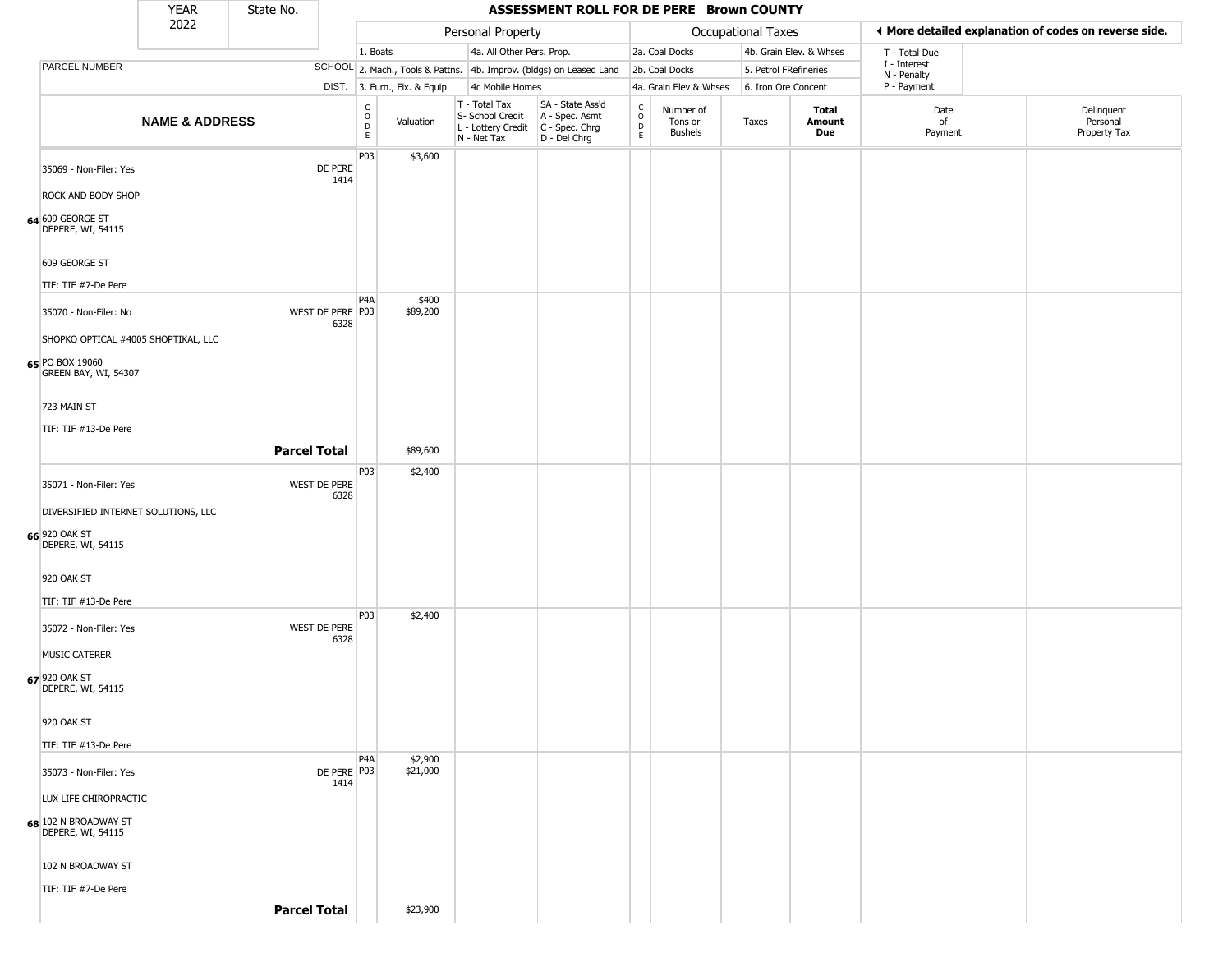|               |                                           | <b>YEAR</b>                         | State No.           |                          |                                                 |                              |                                                  | ASSESSMENT ROLL FOR DE PERE Brown COUNTY                                                  |                                                          |                                 |                       |                         |                             |                                                       |
|---------------|-------------------------------------------|-------------------------------------|---------------------|--------------------------|-------------------------------------------------|------------------------------|--------------------------------------------------|-------------------------------------------------------------------------------------------|----------------------------------------------------------|---------------------------------|-----------------------|-------------------------|-----------------------------|-------------------------------------------------------|
|               |                                           | 2022                                |                     |                          |                                                 |                              | Personal Property                                |                                                                                           |                                                          |                                 | Occupational Taxes    |                         |                             | ♦ More detailed explanation of codes on reverse side. |
|               |                                           |                                     |                     |                          | 1. Boats                                        |                              | 4a. All Other Pers. Prop.                        |                                                                                           |                                                          | 2a. Coal Docks                  |                       | 4b. Grain Elev. & Whses | T - Total Due               |                                                       |
|               | PARCEL NUMBER                             |                                     |                     |                          |                                                 |                              |                                                  | SCHOOL 2. Mach., Tools & Pattns. 4b. Improv. (bldgs) on Leased Land                       |                                                          | 2b. Coal Docks                  | 5. Petrol FRefineries |                         | I - Interest<br>N - Penalty |                                                       |
|               |                                           |                                     |                     |                          |                                                 | DIST. 3. Furn., Fix. & Equip | 4c Mobile Homes                                  |                                                                                           |                                                          | 4a. Grain Elev & Whses          | 6. Iron Ore Concent   |                         | P - Payment                 |                                                       |
|               |                                           | <b>NAME &amp; ADDRESS</b>           |                     |                          | $\begin{array}{c} C \\ O \\ D \\ E \end{array}$ | Valuation                    | T - Total Tax<br>S- School Credit<br>N - Net Tax | SA - State Ass'd<br>A - Spec. Asmt<br>L - Lottery Credit   C - Spec. Chrg<br>D - Del Chrg | $\begin{matrix} 0 \\ 0 \\ 0 \end{matrix}$<br>$\mathsf E$ | Number of<br>Tons or<br>Bushels | Taxes                 | Total<br>Amount<br>Due  | Date<br>of<br>Payment       | Delinquent<br>Personal<br>Property Tax                |
|               | 35069 - Non-Filer: Yes                    |                                     |                     | DE PERE<br>1414          | P03                                             | \$3,600                      |                                                  |                                                                                           |                                                          |                                 |                       |                         |                             |                                                       |
|               | ROCK AND BODY SHOP                        |                                     |                     |                          |                                                 |                              |                                                  |                                                                                           |                                                          |                                 |                       |                         |                             |                                                       |
|               | 64 609 GEORGE ST<br>DEPERE, WI, 54115     |                                     |                     |                          |                                                 |                              |                                                  |                                                                                           |                                                          |                                 |                       |                         |                             |                                                       |
|               | 609 GEORGE ST                             |                                     |                     |                          |                                                 |                              |                                                  |                                                                                           |                                                          |                                 |                       |                         |                             |                                                       |
|               | TIF: TIF #7-De Pere                       |                                     |                     |                          |                                                 |                              |                                                  |                                                                                           |                                                          |                                 |                       |                         |                             |                                                       |
|               | 35070 - Non-Filer: No                     |                                     |                     | WEST DE PERE P03<br>6328 | P <sub>4</sub> A                                | \$400<br>\$89,200            |                                                  |                                                                                           |                                                          |                                 |                       |                         |                             |                                                       |
|               |                                           | SHOPKO OPTICAL #4005 SHOPTIKAL, LLC |                     |                          |                                                 |                              |                                                  |                                                                                           |                                                          |                                 |                       |                         |                             |                                                       |
|               | 65 PO BOX 19060<br>GREEN BAY, WI, 54307   |                                     |                     |                          |                                                 |                              |                                                  |                                                                                           |                                                          |                                 |                       |                         |                             |                                                       |
|               | 723 MAIN ST                               |                                     |                     |                          |                                                 |                              |                                                  |                                                                                           |                                                          |                                 |                       |                         |                             |                                                       |
|               | TIF: TIF #13-De Pere                      |                                     |                     |                          |                                                 |                              |                                                  |                                                                                           |                                                          |                                 |                       |                         |                             |                                                       |
|               |                                           |                                     | <b>Parcel Total</b> |                          |                                                 | \$89,600                     |                                                  |                                                                                           |                                                          |                                 |                       |                         |                             |                                                       |
|               |                                           |                                     |                     |                          | P03                                             | \$2,400                      |                                                  |                                                                                           |                                                          |                                 |                       |                         |                             |                                                       |
|               | 35071 - Non-Filer: Yes                    |                                     |                     | WEST DE PERE<br>6328     |                                                 |                              |                                                  |                                                                                           |                                                          |                                 |                       |                         |                             |                                                       |
|               |                                           | DIVERSIFIED INTERNET SOLUTIONS, LLC |                     |                          |                                                 |                              |                                                  |                                                                                           |                                                          |                                 |                       |                         |                             |                                                       |
| 66 920 OAK ST | DEPERE, WI, 54115                         |                                     |                     |                          |                                                 |                              |                                                  |                                                                                           |                                                          |                                 |                       |                         |                             |                                                       |
|               | 920 OAK ST                                |                                     |                     |                          |                                                 |                              |                                                  |                                                                                           |                                                          |                                 |                       |                         |                             |                                                       |
|               | TIF: TIF #13-De Pere                      |                                     |                     |                          |                                                 |                              |                                                  |                                                                                           |                                                          |                                 |                       |                         |                             |                                                       |
|               |                                           |                                     |                     |                          | P03                                             | \$2,400                      |                                                  |                                                                                           |                                                          |                                 |                       |                         |                             |                                                       |
|               | 35072 - Non-Filer: Yes                    |                                     |                     | WEST DE PERE<br>6328     |                                                 |                              |                                                  |                                                                                           |                                                          |                                 |                       |                         |                             |                                                       |
|               | <b>MUSIC CATERER</b>                      |                                     |                     |                          |                                                 |                              |                                                  |                                                                                           |                                                          |                                 |                       |                         |                             |                                                       |
| 67 920 OAK ST | DEPERE, WI, 54115                         |                                     |                     |                          |                                                 |                              |                                                  |                                                                                           |                                                          |                                 |                       |                         |                             |                                                       |
|               | 920 OAK ST                                |                                     |                     |                          |                                                 |                              |                                                  |                                                                                           |                                                          |                                 |                       |                         |                             |                                                       |
|               | TIF: TIF #13-De Pere                      |                                     |                     |                          |                                                 |                              |                                                  |                                                                                           |                                                          |                                 |                       |                         |                             |                                                       |
|               |                                           |                                     |                     | DE PERE P03              | P <sub>4</sub> A                                | \$2,900<br>\$21,000          |                                                  |                                                                                           |                                                          |                                 |                       |                         |                             |                                                       |
|               | 35073 - Non-Filer: Yes                    |                                     |                     | 1414                     |                                                 |                              |                                                  |                                                                                           |                                                          |                                 |                       |                         |                             |                                                       |
|               | LUX LIFE CHIROPRACTIC                     |                                     |                     |                          |                                                 |                              |                                                  |                                                                                           |                                                          |                                 |                       |                         |                             |                                                       |
|               | 68 102 N BROADWAY ST<br>DEPERE, WI, 54115 |                                     |                     |                          |                                                 |                              |                                                  |                                                                                           |                                                          |                                 |                       |                         |                             |                                                       |
|               | 102 N BROADWAY ST                         |                                     |                     |                          |                                                 |                              |                                                  |                                                                                           |                                                          |                                 |                       |                         |                             |                                                       |
|               | TIF: TIF #7-De Pere                       |                                     |                     |                          |                                                 |                              |                                                  |                                                                                           |                                                          |                                 |                       |                         |                             |                                                       |
|               |                                           |                                     | <b>Parcel Total</b> |                          |                                                 | \$23,900                     |                                                  |                                                                                           |                                                          |                                 |                       |                         |                             |                                                       |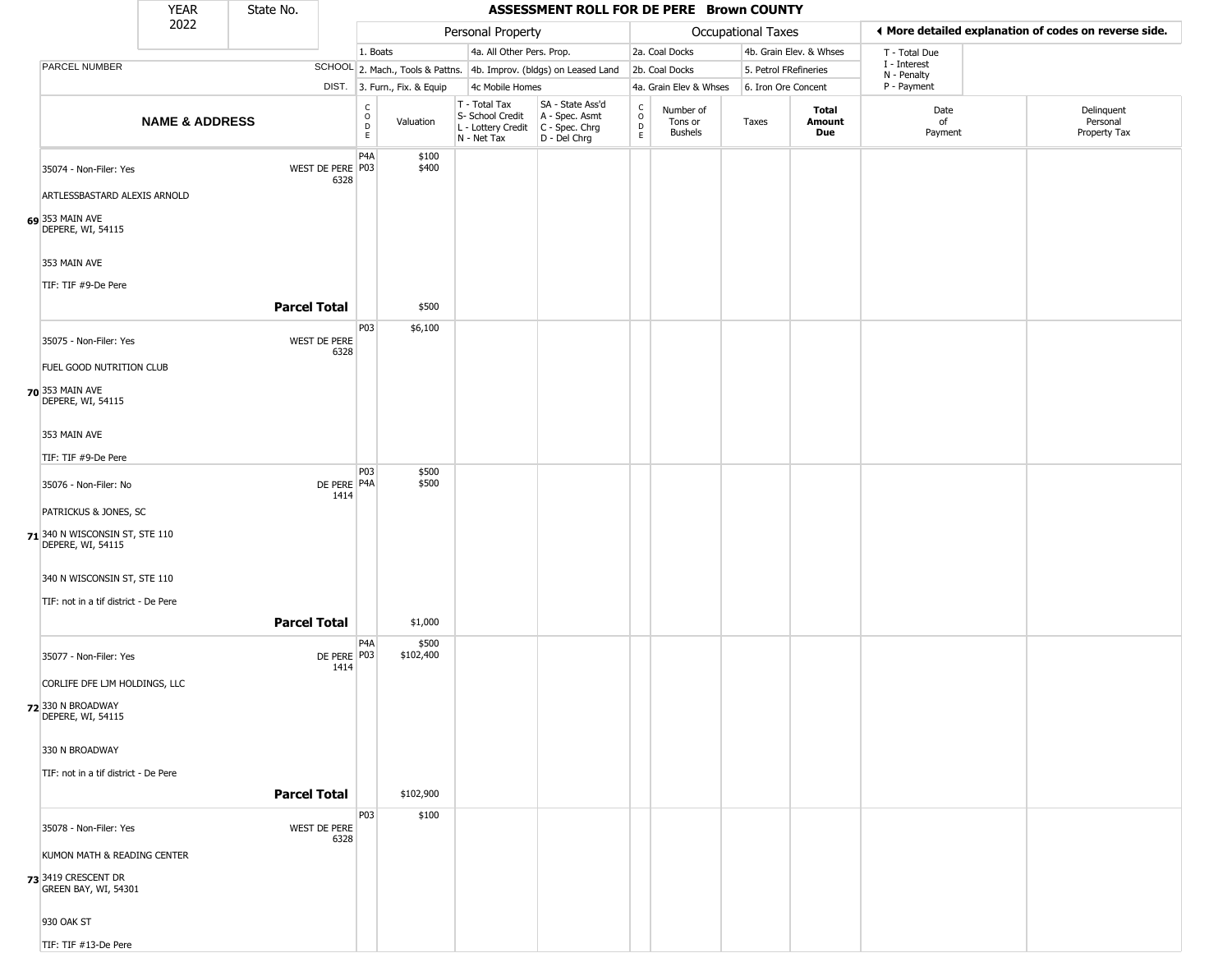|                 |                                                     | <b>YEAR</b>               | State No.           |                                                  |                              |                                                                                          | ASSESSMENT ROLL FOR DE PERE Brown COUNTY                            |                         |                                        |                       |                         |                             |                                                       |
|-----------------|-----------------------------------------------------|---------------------------|---------------------|--------------------------------------------------|------------------------------|------------------------------------------------------------------------------------------|---------------------------------------------------------------------|-------------------------|----------------------------------------|-----------------------|-------------------------|-----------------------------|-------------------------------------------------------|
|                 |                                                     | 2022                      |                     |                                                  |                              | Personal Property                                                                        |                                                                     |                         |                                        | Occupational Taxes    |                         |                             | ◀ More detailed explanation of codes on reverse side. |
|                 |                                                     |                           |                     |                                                  | 1. Boats                     | 4a. All Other Pers. Prop.                                                                |                                                                     |                         | 2a. Coal Docks                         |                       | 4b. Grain Elev. & Whses | T - Total Due               |                                                       |
|                 | PARCEL NUMBER                                       |                           |                     |                                                  |                              |                                                                                          | SCHOOL 2. Mach., Tools & Pattns. 4b. Improv. (bldgs) on Leased Land |                         | 2b. Coal Docks                         | 5. Petrol FRefineries |                         | I - Interest<br>N - Penalty |                                                       |
|                 |                                                     |                           |                     |                                                  | DIST. 3. Furn., Fix. & Equip | 4c Mobile Homes                                                                          |                                                                     |                         | 4a. Grain Elev & Whses                 | 6. Iron Ore Concent   |                         | P - Payment                 |                                                       |
|                 |                                                     | <b>NAME &amp; ADDRESS</b> |                     | $_{\rm o}^{\rm c}$<br>$\mathsf D$<br>$\mathsf E$ | Valuation                    | T - Total Tax<br>S- School Credit<br>L - Lottery Credit<br>C - Spec. Chrg<br>N - Net Tax | SA - State Ass'd<br>D - Del Chrg                                    | C<br>$\circ$<br>D<br>E. | Number of<br>Tons or<br><b>Bushels</b> | Taxes                 | Total<br>Amount<br>Due  | Date<br>of<br>Payment       | Delinquent<br>Personal<br>Property Tax                |
|                 | 35074 - Non-Filer: Yes                              |                           | WEST DE PERE P03    | P <sub>4</sub> A<br>6328                         | \$100<br>\$400               |                                                                                          |                                                                     |                         |                                        |                       |                         |                             |                                                       |
|                 | ARTLESSBASTARD ALEXIS ARNOLD                        |                           |                     |                                                  |                              |                                                                                          |                                                                     |                         |                                        |                       |                         |                             |                                                       |
| 69 353 MAIN AVE | DEPERE, WI, 54115                                   |                           |                     |                                                  |                              |                                                                                          |                                                                     |                         |                                        |                       |                         |                             |                                                       |
| 353 MAIN AVE    | TIF: TIF #9-De Pere                                 |                           |                     |                                                  |                              |                                                                                          |                                                                     |                         |                                        |                       |                         |                             |                                                       |
|                 |                                                     |                           | <b>Parcel Total</b> |                                                  | \$500                        |                                                                                          |                                                                     |                         |                                        |                       |                         |                             |                                                       |
|                 | 35075 - Non-Filer: Yes                              |                           | WEST DE PERE        | P03<br>6328                                      | \$6,100                      |                                                                                          |                                                                     |                         |                                        |                       |                         |                             |                                                       |
|                 | FUEL GOOD NUTRITION CLUB                            |                           |                     |                                                  |                              |                                                                                          |                                                                     |                         |                                        |                       |                         |                             |                                                       |
| 70 353 MAIN AVE | DEPERE, WI, 54115                                   |                           |                     |                                                  |                              |                                                                                          |                                                                     |                         |                                        |                       |                         |                             |                                                       |
| 353 MAIN AVE    |                                                     |                           |                     |                                                  |                              |                                                                                          |                                                                     |                         |                                        |                       |                         |                             |                                                       |
|                 | TIF: TIF #9-De Pere                                 |                           |                     | P03                                              | \$500                        |                                                                                          |                                                                     |                         |                                        |                       |                         |                             |                                                       |
|                 | 35076 - Non-Filer: No                               |                           |                     | DE PERE P4A<br>1414                              | \$500                        |                                                                                          |                                                                     |                         |                                        |                       |                         |                             |                                                       |
|                 | PATRICKUS & JONES, SC                               |                           |                     |                                                  |                              |                                                                                          |                                                                     |                         |                                        |                       |                         |                             |                                                       |
|                 | 71 340 N WISCONSIN ST, STE 110<br>DEPERE, WI, 54115 |                           |                     |                                                  |                              |                                                                                          |                                                                     |                         |                                        |                       |                         |                             |                                                       |
|                 | 340 N WISCONSIN ST, STE 110                         |                           |                     |                                                  |                              |                                                                                          |                                                                     |                         |                                        |                       |                         |                             |                                                       |
|                 | TIF: not in a tif district - De Pere                |                           |                     |                                                  |                              |                                                                                          |                                                                     |                         |                                        |                       |                         |                             |                                                       |
|                 |                                                     |                           | <b>Parcel Total</b> |                                                  | \$1,000                      |                                                                                          |                                                                     |                         |                                        |                       |                         |                             |                                                       |
|                 | 35077 - Non-Filer: Yes                              |                           |                     | P4A<br>DE PERE P03<br>1414                       | \$500<br>\$102,400           |                                                                                          |                                                                     |                         |                                        |                       |                         |                             |                                                       |
|                 | CORLIFE DFE LJM HOLDINGS, LLC                       |                           |                     |                                                  |                              |                                                                                          |                                                                     |                         |                                        |                       |                         |                             |                                                       |
|                 | 72 330 N BROADWAY<br>DEPERE, WI, 54115              |                           |                     |                                                  |                              |                                                                                          |                                                                     |                         |                                        |                       |                         |                             |                                                       |
|                 | 330 N BROADWAY                                      |                           |                     |                                                  |                              |                                                                                          |                                                                     |                         |                                        |                       |                         |                             |                                                       |
|                 | TIF: not in a tif district - De Pere                |                           |                     |                                                  |                              |                                                                                          |                                                                     |                         |                                        |                       |                         |                             |                                                       |
|                 |                                                     |                           | <b>Parcel Total</b> |                                                  | \$102,900                    |                                                                                          |                                                                     |                         |                                        |                       |                         |                             |                                                       |
|                 | 35078 - Non-Filer: Yes                              |                           | WEST DE PERE        | P03                                              | \$100                        |                                                                                          |                                                                     |                         |                                        |                       |                         |                             |                                                       |
|                 | KUMON MATH & READING CENTER                         |                           |                     | 6328                                             |                              |                                                                                          |                                                                     |                         |                                        |                       |                         |                             |                                                       |
|                 | 73 3419 CRESCENT DR<br>GREEN BAY, WI, 54301         |                           |                     |                                                  |                              |                                                                                          |                                                                     |                         |                                        |                       |                         |                             |                                                       |
| 930 OAK ST      |                                                     |                           |                     |                                                  |                              |                                                                                          |                                                                     |                         |                                        |                       |                         |                             |                                                       |
|                 | TIF: TIF #13-De Pere                                |                           |                     |                                                  |                              |                                                                                          |                                                                     |                         |                                        |                       |                         |                             |                                                       |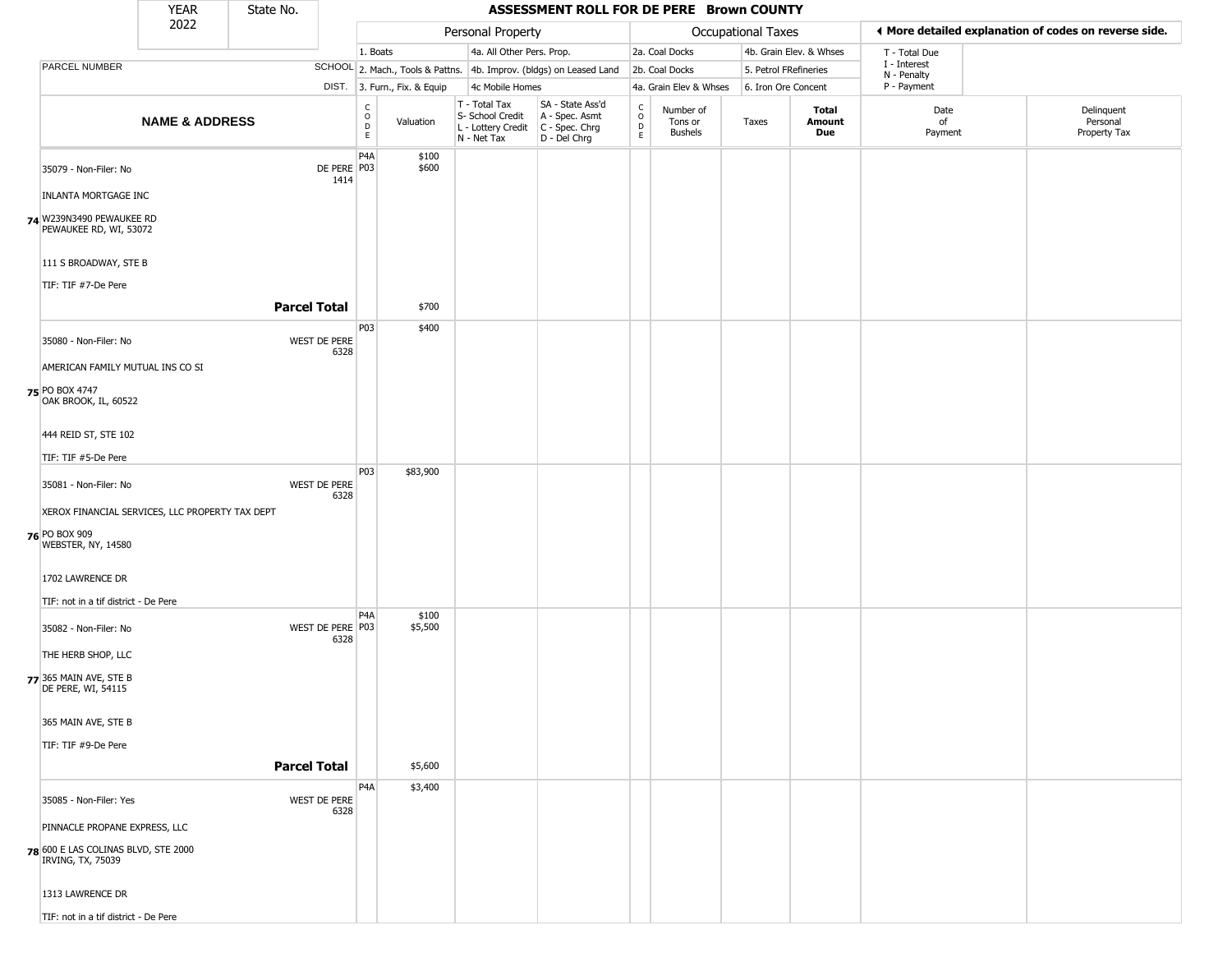|                                                          | <b>YEAR</b>               | State No.                |                        |                              |                                                                        | ASSESSMENT ROLL FOR DE PERE Brown COUNTY                               |                                                                    |                                        |                       |                         |                             |                                                       |
|----------------------------------------------------------|---------------------------|--------------------------|------------------------|------------------------------|------------------------------------------------------------------------|------------------------------------------------------------------------|--------------------------------------------------------------------|----------------------------------------|-----------------------|-------------------------|-----------------------------|-------------------------------------------------------|
|                                                          | 2022                      |                          |                        |                              | Personal Property                                                      |                                                                        |                                                                    |                                        | Occupational Taxes    |                         |                             | I More detailed explanation of codes on reverse side. |
|                                                          |                           |                          | 1. Boats               |                              | 4a. All Other Pers. Prop.                                              |                                                                        |                                                                    | 2a. Coal Docks                         |                       | 4b. Grain Elev. & Whses | T - Total Due               |                                                       |
| PARCEL NUMBER                                            |                           |                          |                        |                              |                                                                        | SCHOOL 2. Mach., Tools & Pattns. 4b. Improv. (bldgs) on Leased Land    |                                                                    | 2b. Coal Docks                         | 5. Petrol FRefineries |                         | I - Interest<br>N - Penalty |                                                       |
|                                                          |                           |                          |                        | DIST. 3. Furn., Fix. & Equip | 4c Mobile Homes                                                        |                                                                        |                                                                    | 4a. Grain Elev & Whses                 | 6. Iron Ore Concent   |                         | P - Payment                 |                                                       |
|                                                          | <b>NAME &amp; ADDRESS</b> |                          | C<br>$\circ$<br>D<br>E | Valuation                    | T - Total Tax<br>S- School Credit<br>L - Lottery Credit<br>N - Net Tax | SA - State Ass'd<br>A - Spec. Asmt<br>$C - Spec. Chrg$<br>D - Del Chrg | $\begin{smallmatrix} C \\ O \\ D \end{smallmatrix}$<br>$\mathsf E$ | Number of<br>Tons or<br><b>Bushels</b> | Taxes                 | Total<br>Amount<br>Due  | Date<br>of<br>Payment       | Delinquent<br>Personal<br>Property Tax                |
| 35079 - Non-Filer: No                                    |                           | DE PERE P03<br>1414      | P4A                    | \$100<br>\$600               |                                                                        |                                                                        |                                                                    |                                        |                       |                         |                             |                                                       |
| <b>INLANTA MORTGAGE INC</b>                              |                           |                          |                        |                              |                                                                        |                                                                        |                                                                    |                                        |                       |                         |                             |                                                       |
| 74 W239N3490 PEWAUKEE RD<br>PEWAUKEE RD, WI, 53072       |                           |                          |                        |                              |                                                                        |                                                                        |                                                                    |                                        |                       |                         |                             |                                                       |
| 111 S BROADWAY, STE B<br>TIF: TIF #7-De Pere             |                           |                          |                        |                              |                                                                        |                                                                        |                                                                    |                                        |                       |                         |                             |                                                       |
|                                                          |                           | <b>Parcel Total</b>      |                        | \$700                        |                                                                        |                                                                        |                                                                    |                                        |                       |                         |                             |                                                       |
| 35080 - Non-Filer: No                                    |                           | WEST DE PERE<br>6328     | P03                    | \$400                        |                                                                        |                                                                        |                                                                    |                                        |                       |                         |                             |                                                       |
| AMERICAN FAMILY MUTUAL INS CO SI                         |                           |                          |                        |                              |                                                                        |                                                                        |                                                                    |                                        |                       |                         |                             |                                                       |
| 75 PO BOX 4747<br>OAK BROOK, IL, 60522                   |                           |                          |                        |                              |                                                                        |                                                                        |                                                                    |                                        |                       |                         |                             |                                                       |
| 444 REID ST, STE 102                                     |                           |                          |                        |                              |                                                                        |                                                                        |                                                                    |                                        |                       |                         |                             |                                                       |
| TIF: TIF #5-De Pere                                      |                           |                          |                        |                              |                                                                        |                                                                        |                                                                    |                                        |                       |                         |                             |                                                       |
| 35081 - Non-Filer: No                                    |                           | WEST DE PERE<br>6328     | P03                    | \$83,900                     |                                                                        |                                                                        |                                                                    |                                        |                       |                         |                             |                                                       |
| XEROX FINANCIAL SERVICES, LLC PROPERTY TAX DEPT          |                           |                          |                        |                              |                                                                        |                                                                        |                                                                    |                                        |                       |                         |                             |                                                       |
| 76 PO BOX 909<br>WEBSTER, NY, 14580                      |                           |                          |                        |                              |                                                                        |                                                                        |                                                                    |                                        |                       |                         |                             |                                                       |
| 1702 LAWRENCE DR                                         |                           |                          |                        |                              |                                                                        |                                                                        |                                                                    |                                        |                       |                         |                             |                                                       |
| TIF: not in a tif district - De Pere                     |                           |                          |                        |                              |                                                                        |                                                                        |                                                                    |                                        |                       |                         |                             |                                                       |
| 35082 - Non-Filer: No                                    |                           | WEST DE PERE P03<br>6328 | P4A                    | \$100<br>\$5,500             |                                                                        |                                                                        |                                                                    |                                        |                       |                         |                             |                                                       |
| THE HERB SHOP, LLC                                       |                           |                          |                        |                              |                                                                        |                                                                        |                                                                    |                                        |                       |                         |                             |                                                       |
| 77 365 MAIN AVE, STE B<br>DE PERE, WI, 54115             |                           |                          |                        |                              |                                                                        |                                                                        |                                                                    |                                        |                       |                         |                             |                                                       |
| 365 MAIN AVE, STE B                                      |                           |                          |                        |                              |                                                                        |                                                                        |                                                                    |                                        |                       |                         |                             |                                                       |
| TIF: TIF #9-De Pere                                      |                           |                          |                        |                              |                                                                        |                                                                        |                                                                    |                                        |                       |                         |                             |                                                       |
|                                                          |                           | <b>Parcel Total</b>      |                        | \$5,600                      |                                                                        |                                                                        |                                                                    |                                        |                       |                         |                             |                                                       |
| 35085 - Non-Filer: Yes                                   |                           | WEST DE PERE<br>6328     | P <sub>4</sub> A       | \$3,400                      |                                                                        |                                                                        |                                                                    |                                        |                       |                         |                             |                                                       |
| PINNACLE PROPANE EXPRESS, LLC                            |                           |                          |                        |                              |                                                                        |                                                                        |                                                                    |                                        |                       |                         |                             |                                                       |
| 78 600 E LAS COLINAS BLVD, STE 2000<br>IRVING, TX, 75039 |                           |                          |                        |                              |                                                                        |                                                                        |                                                                    |                                        |                       |                         |                             |                                                       |
| 1313 LAWRENCE DR                                         |                           |                          |                        |                              |                                                                        |                                                                        |                                                                    |                                        |                       |                         |                             |                                                       |
| TIF: not in a tif district - De Pere                     |                           |                          |                        |                              |                                                                        |                                                                        |                                                                    |                                        |                       |                         |                             |                                                       |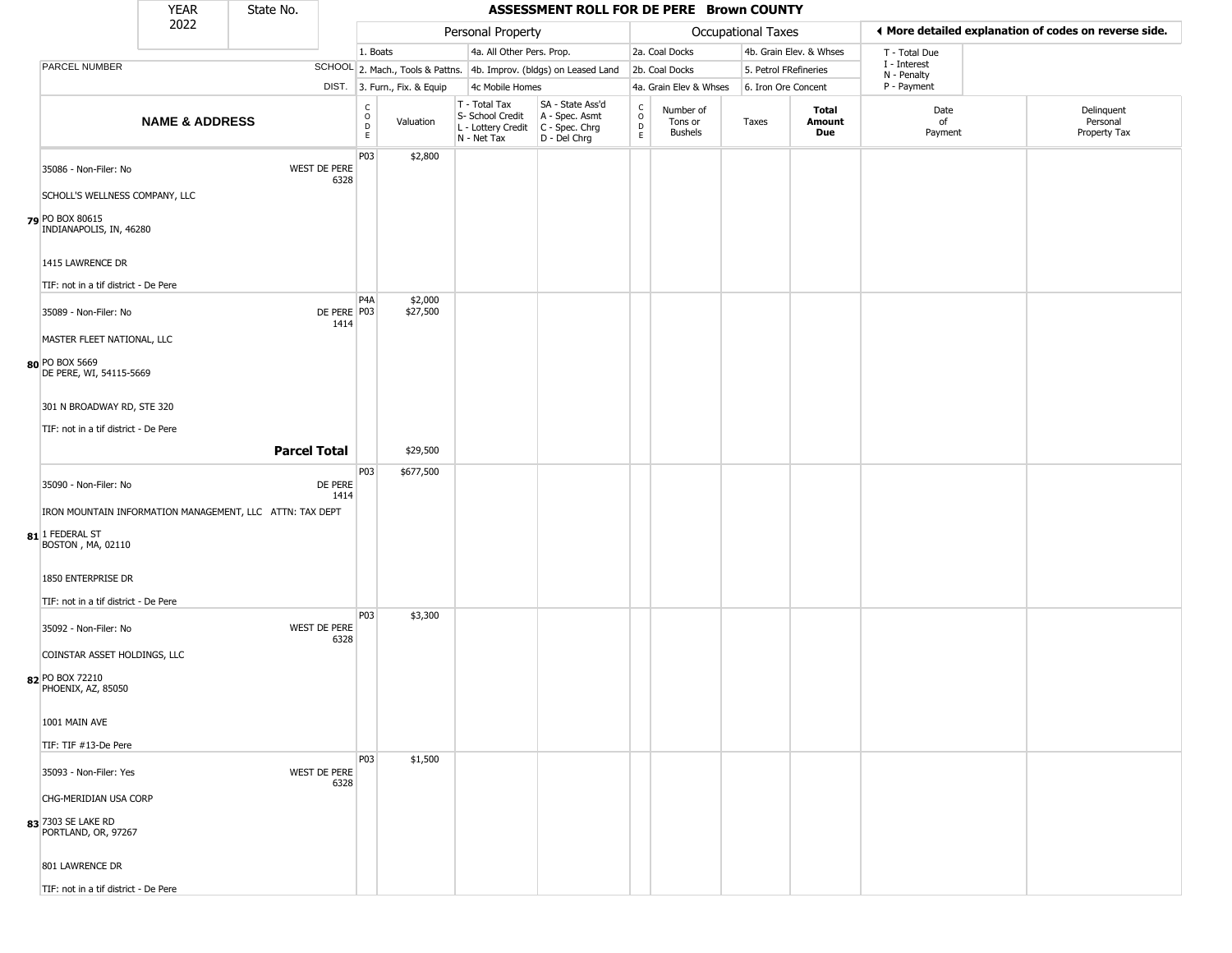|                                                                              | <b>YEAR</b>               | State No.                                                |                                                          |                              |                                                                        | ASSESSMENT ROLL FOR DE PERE Brown COUNTY                             |                                 |                                        |                           |                         |                             |                                                       |
|------------------------------------------------------------------------------|---------------------------|----------------------------------------------------------|----------------------------------------------------------|------------------------------|------------------------------------------------------------------------|----------------------------------------------------------------------|---------------------------------|----------------------------------------|---------------------------|-------------------------|-----------------------------|-------------------------------------------------------|
|                                                                              | 2022                      |                                                          |                                                          |                              | Personal Property                                                      |                                                                      |                                 |                                        | <b>Occupational Taxes</b> |                         |                             | ♦ More detailed explanation of codes on reverse side. |
|                                                                              |                           |                                                          |                                                          | 1. Boats                     | 4a. All Other Pers. Prop.                                              |                                                                      |                                 | 2a. Coal Docks                         |                           | 4b. Grain Elev. & Whses | T - Total Due               |                                                       |
| PARCEL NUMBER                                                                |                           |                                                          |                                                          |                              |                                                                        | SCHOOL 2. Mach., Tools & Pattns. 4b. Improv. (bldgs) on Leased Land  |                                 | 2b. Coal Docks                         |                           | 5. Petrol FRefineries   | I - Interest<br>N - Penalty |                                                       |
|                                                                              |                           |                                                          |                                                          | DIST. 3. Furn., Fix. & Equip | 4c Mobile Homes                                                        |                                                                      |                                 | 4a. Grain Elev & Whses                 |                           | 6. Iron Ore Concent     | P - Payment                 |                                                       |
|                                                                              | <b>NAME &amp; ADDRESS</b> |                                                          | $\begin{matrix} 0 \\ 0 \\ D \end{matrix}$<br>$\mathsf E$ | Valuation                    | T - Total Tax<br>S- School Credit<br>L - Lottery Credit<br>N - Net Tax | SA - State Ass'd<br>A - Spec. Asmt<br>C - Spec. Chrg<br>D - Del Chrg | $\rm ^c_o$<br>$\mathsf{D}$<br>E | Number of<br>Tons or<br><b>Bushels</b> | Taxes                     | Total<br>Amount<br>Due  | Date<br>of<br>Payment       | Delinquent<br>Personal<br>Property Tax                |
| 35086 - Non-Filer: No                                                        |                           | WEST DE PERE                                             | P03<br>6328                                              | \$2,800                      |                                                                        |                                                                      |                                 |                                        |                           |                         |                             |                                                       |
| SCHOLL'S WELLNESS COMPANY, LLC<br>79 PO BOX 80615<br>INDIANAPOLIS, IN, 46280 |                           |                                                          |                                                          |                              |                                                                        |                                                                      |                                 |                                        |                           |                         |                             |                                                       |
| 1415 LAWRENCE DR                                                             |                           |                                                          |                                                          |                              |                                                                        |                                                                      |                                 |                                        |                           |                         |                             |                                                       |
| TIF: not in a tif district - De Pere                                         |                           |                                                          |                                                          |                              |                                                                        |                                                                      |                                 |                                        |                           |                         |                             |                                                       |
| 35089 - Non-Filer: No                                                        |                           |                                                          | P4A<br>DE PERE P03<br>1414                               | \$2,000<br>\$27,500          |                                                                        |                                                                      |                                 |                                        |                           |                         |                             |                                                       |
| MASTER FLEET NATIONAL, LLC                                                   |                           |                                                          |                                                          |                              |                                                                        |                                                                      |                                 |                                        |                           |                         |                             |                                                       |
| 80 PO BOX 5669<br>DE PERE, WI, 54115-5669                                    |                           |                                                          |                                                          |                              |                                                                        |                                                                      |                                 |                                        |                           |                         |                             |                                                       |
| 301 N BROADWAY RD, STE 320                                                   |                           |                                                          |                                                          |                              |                                                                        |                                                                      |                                 |                                        |                           |                         |                             |                                                       |
| TIF: not in a tif district - De Pere                                         |                           |                                                          |                                                          |                              |                                                                        |                                                                      |                                 |                                        |                           |                         |                             |                                                       |
|                                                                              |                           | <b>Parcel Total</b>                                      |                                                          | \$29,500                     |                                                                        |                                                                      |                                 |                                        |                           |                         |                             |                                                       |
| 35090 - Non-Filer: No                                                        |                           | DE PERE                                                  | P03<br>1414                                              | \$677,500                    |                                                                        |                                                                      |                                 |                                        |                           |                         |                             |                                                       |
|                                                                              |                           | IRON MOUNTAIN INFORMATION MANAGEMENT, LLC ATTN: TAX DEPT |                                                          |                              |                                                                        |                                                                      |                                 |                                        |                           |                         |                             |                                                       |
| 81 1 FEDERAL ST<br><b>BOSTON</b> , MA, 02110                                 |                           |                                                          |                                                          |                              |                                                                        |                                                                      |                                 |                                        |                           |                         |                             |                                                       |
| 1850 ENTERPRISE DR                                                           |                           |                                                          |                                                          |                              |                                                                        |                                                                      |                                 |                                        |                           |                         |                             |                                                       |
| TIF: not in a tif district - De Pere                                         |                           |                                                          | P <sub>0</sub> 3                                         | \$3,300                      |                                                                        |                                                                      |                                 |                                        |                           |                         |                             |                                                       |
| 35092 - Non-Filer: No                                                        |                           | WEST DE PERE                                             | 6328                                                     |                              |                                                                        |                                                                      |                                 |                                        |                           |                         |                             |                                                       |
| COINSTAR ASSET HOLDINGS, LLC                                                 |                           |                                                          |                                                          |                              |                                                                        |                                                                      |                                 |                                        |                           |                         |                             |                                                       |
| 82 PO BOX 72210<br>PHOENIX, AZ, 85050                                        |                           |                                                          |                                                          |                              |                                                                        |                                                                      |                                 |                                        |                           |                         |                             |                                                       |
| 1001 MAIN AVE                                                                |                           |                                                          |                                                          |                              |                                                                        |                                                                      |                                 |                                        |                           |                         |                             |                                                       |
| TIF: TIF #13-De Pere                                                         |                           |                                                          |                                                          |                              |                                                                        |                                                                      |                                 |                                        |                           |                         |                             |                                                       |
|                                                                              |                           |                                                          | P <sub>0</sub> 3                                         | \$1,500                      |                                                                        |                                                                      |                                 |                                        |                           |                         |                             |                                                       |
| 35093 - Non-Filer: Yes<br>CHG-MERIDIAN USA CORP                              |                           | WEST DE PERE                                             | 6328                                                     |                              |                                                                        |                                                                      |                                 |                                        |                           |                         |                             |                                                       |
| 83 7303 SE LAKE RD<br>PORTLAND, OR, 97267                                    |                           |                                                          |                                                          |                              |                                                                        |                                                                      |                                 |                                        |                           |                         |                             |                                                       |
| 801 LAWRENCE DR                                                              |                           |                                                          |                                                          |                              |                                                                        |                                                                      |                                 |                                        |                           |                         |                             |                                                       |

TIF: not in a tif district - De Pere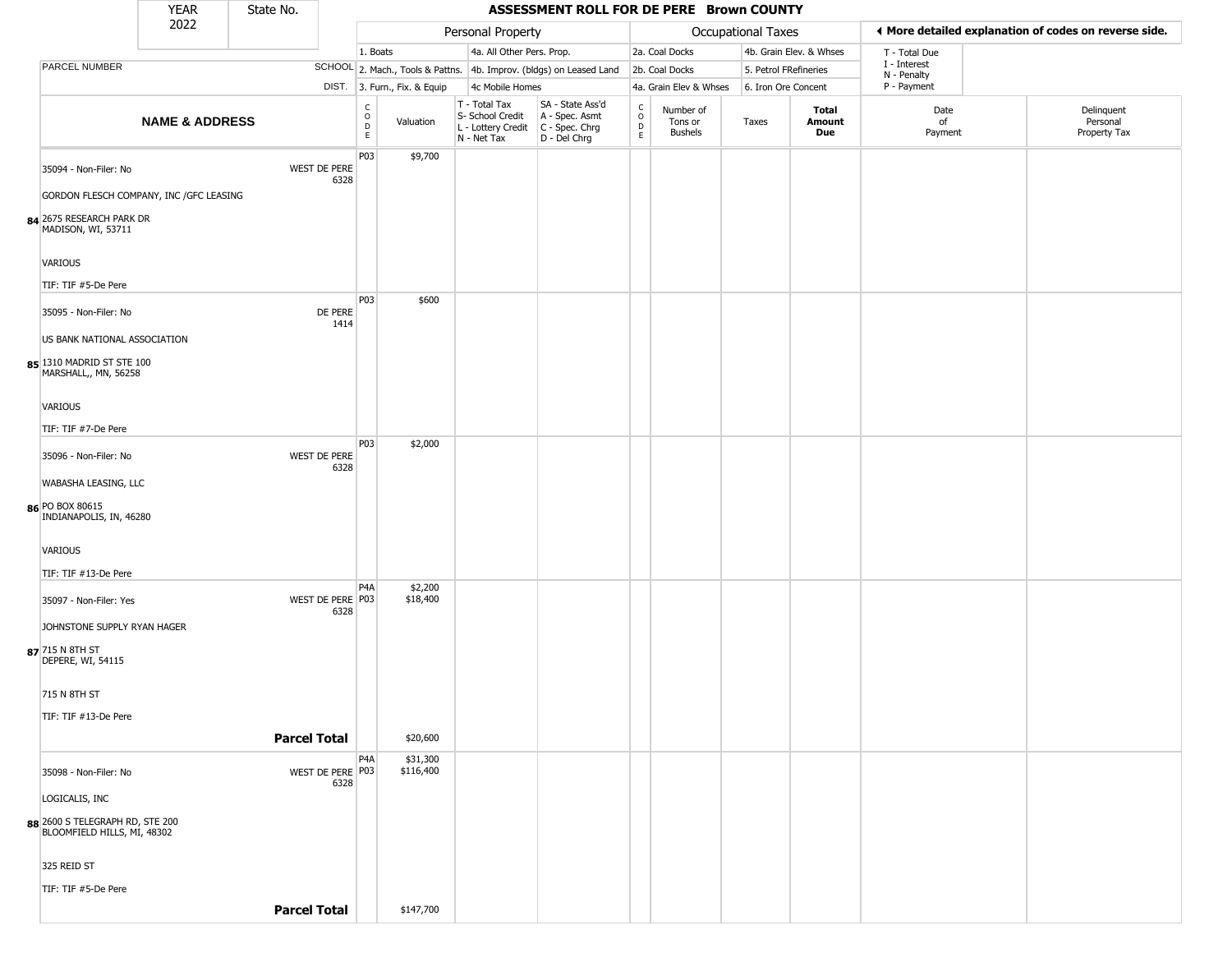|                                                                   | <b>YEAR</b>               | State No.           |                          |                                       |                              |                                                                                         | ASSESSMENT ROLL FOR DE PERE Brown COUNTY                            |                                                          |                                        |                       |                         |                             |                                                       |
|-------------------------------------------------------------------|---------------------------|---------------------|--------------------------|---------------------------------------|------------------------------|-----------------------------------------------------------------------------------------|---------------------------------------------------------------------|----------------------------------------------------------|----------------------------------------|-----------------------|-------------------------|-----------------------------|-------------------------------------------------------|
|                                                                   | 2022                      |                     |                          |                                       |                              | Personal Property                                                                       |                                                                     |                                                          |                                        | Occupational Taxes    |                         |                             | ♦ More detailed explanation of codes on reverse side. |
|                                                                   |                           |                     |                          | 1. Boats                              |                              | 4a. All Other Pers. Prop.                                                               |                                                                     |                                                          | 2a. Coal Docks                         |                       | 4b. Grain Elev. & Whses | T - Total Due               |                                                       |
| PARCEL NUMBER                                                     |                           |                     |                          |                                       |                              |                                                                                         | SCHOOL 2. Mach., Tools & Pattns. 4b. Improv. (bldgs) on Leased Land |                                                          | 2b. Coal Docks                         | 5. Petrol FRefineries |                         | I - Interest<br>N - Penalty |                                                       |
|                                                                   |                           |                     |                          |                                       | DIST. 3. Furn., Fix. & Equip | 4c Mobile Homes                                                                         |                                                                     |                                                          | 4a. Grain Elev & Whses                 | 6. Iron Ore Concent   |                         | P - Payment                 |                                                       |
|                                                                   | <b>NAME &amp; ADDRESS</b> |                     |                          | C<br>$\mathsf O$<br>$\mathsf{D}$<br>E | Valuation                    | T - Total Tax<br>S- School Credit<br>L - Lottery Credit   C - Spec. Chrg<br>N - Net Tax | SA - State Ass'd<br>A - Spec. Asmt<br>D - Del Chrg                  | $\begin{smallmatrix} C \\ 0 \\ D \end{smallmatrix}$<br>E | Number of<br>Tons or<br><b>Bushels</b> | Taxes                 | Total<br>Amount<br>Due  | Date<br>of<br>Payment       | Delinquent<br>Personal<br>Property Tax                |
| 35094 - Non-Filer: No<br>GORDON FLESCH COMPANY, INC / GFC LEASING |                           |                     | WEST DE PERE<br>6328     | P03                                   | \$9,700                      |                                                                                         |                                                                     |                                                          |                                        |                       |                         |                             |                                                       |
| 84 2675 RESEARCH PARK DR<br>MADISON, WI, 53711                    |                           |                     |                          |                                       |                              |                                                                                         |                                                                     |                                                          |                                        |                       |                         |                             |                                                       |
| VARIOUS                                                           |                           |                     |                          |                                       |                              |                                                                                         |                                                                     |                                                          |                                        |                       |                         |                             |                                                       |
| TIF: TIF #5-De Pere                                               |                           |                     |                          | P03                                   | \$600                        |                                                                                         |                                                                     |                                                          |                                        |                       |                         |                             |                                                       |
| 35095 - Non-Filer: No                                             |                           |                     | DE PERE<br>1414          |                                       |                              |                                                                                         |                                                                     |                                                          |                                        |                       |                         |                             |                                                       |
| US BANK NATIONAL ASSOCIATION                                      |                           |                     |                          |                                       |                              |                                                                                         |                                                                     |                                                          |                                        |                       |                         |                             |                                                       |
| 85 1310 MADRID ST STE 100<br>MARSHALL,, MN, 56258                 |                           |                     |                          |                                       |                              |                                                                                         |                                                                     |                                                          |                                        |                       |                         |                             |                                                       |
| VARIOUS                                                           |                           |                     |                          |                                       |                              |                                                                                         |                                                                     |                                                          |                                        |                       |                         |                             |                                                       |
| TIF: TIF #7-De Pere                                               |                           |                     |                          |                                       |                              |                                                                                         |                                                                     |                                                          |                                        |                       |                         |                             |                                                       |
| 35096 - Non-Filer: No                                             |                           |                     | WEST DE PERE<br>6328     | P <sub>0</sub> 3                      | \$2,000                      |                                                                                         |                                                                     |                                                          |                                        |                       |                         |                             |                                                       |
| WABASHA LEASING, LLC                                              |                           |                     |                          |                                       |                              |                                                                                         |                                                                     |                                                          |                                        |                       |                         |                             |                                                       |
| 86 PO BOX 80615<br>INDIANAPOLIS, IN, 46280                        |                           |                     |                          |                                       |                              |                                                                                         |                                                                     |                                                          |                                        |                       |                         |                             |                                                       |
| VARIOUS                                                           |                           |                     |                          |                                       |                              |                                                                                         |                                                                     |                                                          |                                        |                       |                         |                             |                                                       |
| TIF: TIF #13-De Pere                                              |                           |                     |                          |                                       |                              |                                                                                         |                                                                     |                                                          |                                        |                       |                         |                             |                                                       |
| 35097 - Non-Filer: Yes                                            |                           |                     | WEST DE PERE P03<br>6328 | P <sub>4</sub> A                      | \$2,200<br>\$18,400          |                                                                                         |                                                                     |                                                          |                                        |                       |                         |                             |                                                       |
| JOHNSTONE SUPPLY RYAN HAGER                                       |                           |                     |                          |                                       |                              |                                                                                         |                                                                     |                                                          |                                        |                       |                         |                             |                                                       |
| 87 715 N 8TH ST<br>DEPERE, WI, 54115                              |                           |                     |                          |                                       |                              |                                                                                         |                                                                     |                                                          |                                        |                       |                         |                             |                                                       |
| 715 N 8TH ST                                                      |                           |                     |                          |                                       |                              |                                                                                         |                                                                     |                                                          |                                        |                       |                         |                             |                                                       |
| TIF: TIF #13-De Pere                                              |                           |                     |                          |                                       |                              |                                                                                         |                                                                     |                                                          |                                        |                       |                         |                             |                                                       |
|                                                                   |                           |                     | <b>Parcel Total</b>      |                                       | \$20,600                     |                                                                                         |                                                                     |                                                          |                                        |                       |                         |                             |                                                       |
|                                                                   |                           |                     |                          | P <sub>4</sub> A                      | \$31,300                     |                                                                                         |                                                                     |                                                          |                                        |                       |                         |                             |                                                       |
| 35098 - Non-Filer: No                                             |                           |                     | WEST DE PERE P03<br>6328 |                                       | \$116,400                    |                                                                                         |                                                                     |                                                          |                                        |                       |                         |                             |                                                       |
| LOGICALIS, INC                                                    |                           |                     |                          |                                       |                              |                                                                                         |                                                                     |                                                          |                                        |                       |                         |                             |                                                       |
| 88 2600 S TELEGRAPH RD, STE 200<br>BLOOMFIELD HILLS, MI, 48302    |                           |                     |                          |                                       |                              |                                                                                         |                                                                     |                                                          |                                        |                       |                         |                             |                                                       |
| 325 REID ST                                                       |                           |                     |                          |                                       |                              |                                                                                         |                                                                     |                                                          |                                        |                       |                         |                             |                                                       |
| TIF: TIF #5-De Pere                                               |                           |                     |                          |                                       |                              |                                                                                         |                                                                     |                                                          |                                        |                       |                         |                             |                                                       |
|                                                                   |                           | <b>Parcel Total</b> |                          |                                       | \$147,700                    |                                                                                         |                                                                     |                                                          |                                        |                       |                         |                             |                                                       |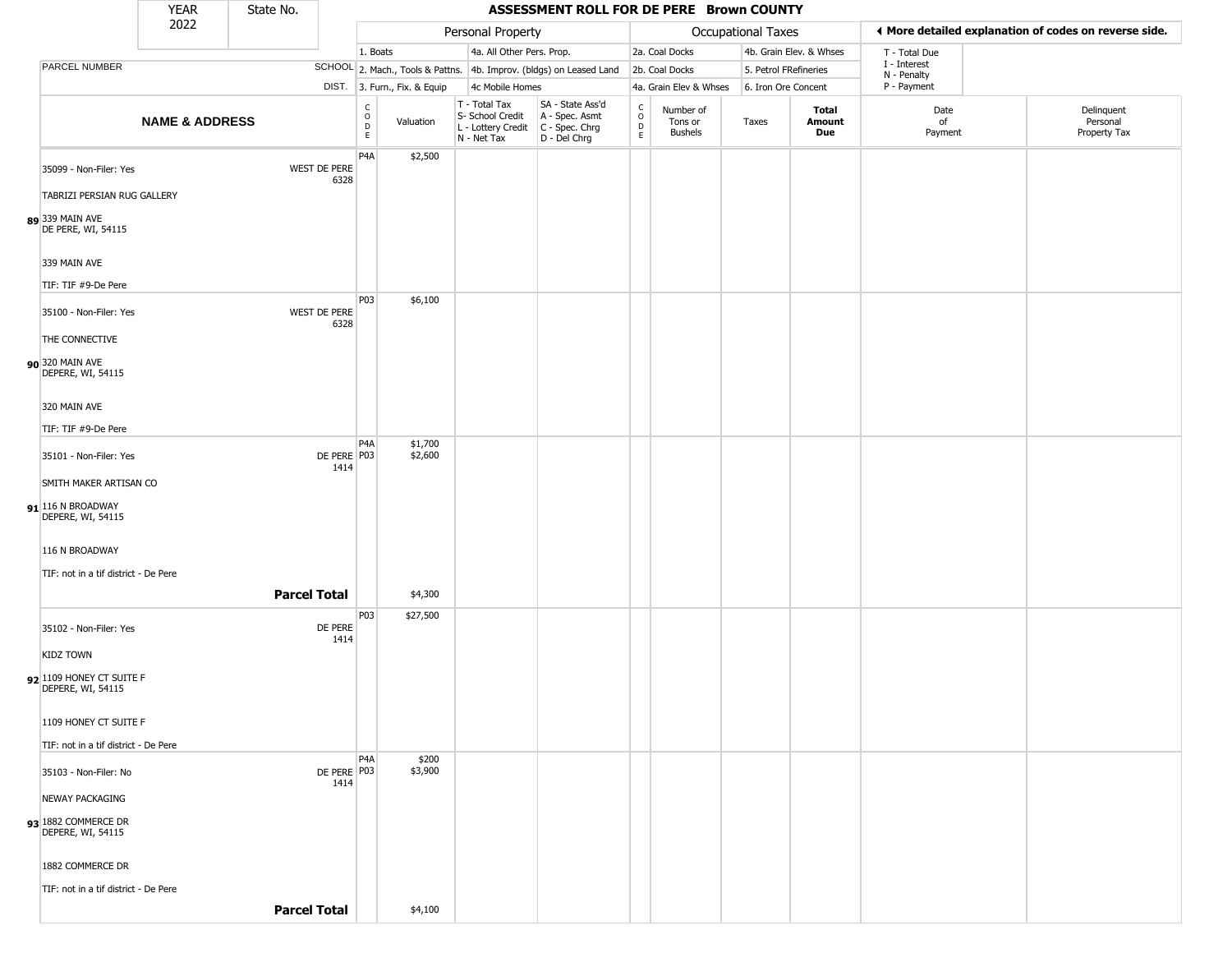|                                                        | <b>YEAR</b>               | State No.           |                      |                  |                              |                                                                        | ASSESSMENT ROLL FOR DE PERE Brown COUNTY                               |                                                 |                                        |                    |                         |                             |                                                       |
|--------------------------------------------------------|---------------------------|---------------------|----------------------|------------------|------------------------------|------------------------------------------------------------------------|------------------------------------------------------------------------|-------------------------------------------------|----------------------------------------|--------------------|-------------------------|-----------------------------|-------------------------------------------------------|
|                                                        | 2022                      |                     |                      |                  |                              | Personal Property                                                      |                                                                        |                                                 |                                        | Occupational Taxes |                         |                             | ♦ More detailed explanation of codes on reverse side. |
|                                                        |                           |                     |                      | 1. Boats         |                              | 4a. All Other Pers. Prop.                                              |                                                                        |                                                 | 2a. Coal Docks                         |                    | 4b. Grain Elev. & Whses | T - Total Due               |                                                       |
| PARCEL NUMBER                                          |                           |                     |                      |                  |                              |                                                                        | SCHOOL 2. Mach., Tools & Pattns. 4b. Improv. (bldgs) on Leased Land    |                                                 | 2b. Coal Docks                         |                    | 5. Petrol FRefineries   | I - Interest<br>N - Penalty |                                                       |
|                                                        |                           |                     |                      |                  | DIST. 3. Furn., Fix. & Equip | 4c Mobile Homes                                                        |                                                                        |                                                 | 4a. Grain Elev & Whses                 |                    | 6. Iron Ore Concent     | P - Payment                 |                                                       |
|                                                        | <b>NAME &amp; ADDRESS</b> |                     |                      | C<br>O<br>D<br>E | Valuation                    | T - Total Tax<br>S- School Credit<br>L - Lottery Credit<br>N - Net Tax | SA - State Ass'd<br>A - Spec. Asmt<br>$C - Spec. Chrg$<br>D - Del Chrg | $\begin{array}{c} C \\ O \\ D \\ E \end{array}$ | Number of<br>Tons or<br><b>Bushels</b> | Taxes              | Total<br>Amount<br>Due  | Date<br>of<br>Payment       | Delinquent<br>Personal<br>Property Tax                |
| 35099 - Non-Filer: Yes<br>TABRIZI PERSIAN RUG GALLERY  |                           |                     | WEST DE PERE<br>6328 | P <sub>4</sub> A | \$2,500                      |                                                                        |                                                                        |                                                 |                                        |                    |                         |                             |                                                       |
| 89 339 MAIN AVE<br>DE PERE, WI, 54115                  |                           |                     |                      |                  |                              |                                                                        |                                                                        |                                                 |                                        |                    |                         |                             |                                                       |
| 339 MAIN AVE<br>TIF: TIF #9-De Pere                    |                           |                     |                      |                  |                              |                                                                        |                                                                        |                                                 |                                        |                    |                         |                             |                                                       |
|                                                        |                           |                     |                      | P03              | \$6,100                      |                                                                        |                                                                        |                                                 |                                        |                    |                         |                             |                                                       |
| 35100 - Non-Filer: Yes                                 |                           |                     | WEST DE PERE<br>6328 |                  |                              |                                                                        |                                                                        |                                                 |                                        |                    |                         |                             |                                                       |
| THE CONNECTIVE<br>90 320 MAIN AVE<br>DEPERE, WI, 54115 |                           |                     |                      |                  |                              |                                                                        |                                                                        |                                                 |                                        |                    |                         |                             |                                                       |
| 320 MAIN AVE                                           |                           |                     |                      |                  |                              |                                                                        |                                                                        |                                                 |                                        |                    |                         |                             |                                                       |
| TIF: TIF #9-De Pere                                    |                           |                     |                      |                  |                              |                                                                        |                                                                        |                                                 |                                        |                    |                         |                             |                                                       |
| 35101 - Non-Filer: Yes                                 |                           |                     | DE PERE P03<br>1414  | P4A              | \$1,700<br>\$2,600           |                                                                        |                                                                        |                                                 |                                        |                    |                         |                             |                                                       |
| SMITH MAKER ARTISAN CO                                 |                           |                     |                      |                  |                              |                                                                        |                                                                        |                                                 |                                        |                    |                         |                             |                                                       |
| $91$ 116 N BROADWAY<br>DEPERE, WI, 54115               |                           |                     |                      |                  |                              |                                                                        |                                                                        |                                                 |                                        |                    |                         |                             |                                                       |
| 116 N BROADWAY                                         |                           |                     |                      |                  |                              |                                                                        |                                                                        |                                                 |                                        |                    |                         |                             |                                                       |
| TIF: not in a tif district - De Pere                   |                           |                     |                      |                  |                              |                                                                        |                                                                        |                                                 |                                        |                    |                         |                             |                                                       |
|                                                        |                           | <b>Parcel Total</b> |                      |                  | \$4,300                      |                                                                        |                                                                        |                                                 |                                        |                    |                         |                             |                                                       |
| 35102 - Non-Filer: Yes                                 |                           |                     | DE PERE<br>1414      | P03              | \$27,500                     |                                                                        |                                                                        |                                                 |                                        |                    |                         |                             |                                                       |
| <b>KIDZ TOWN</b>                                       |                           |                     |                      |                  |                              |                                                                        |                                                                        |                                                 |                                        |                    |                         |                             |                                                       |
| 92 1109 HONEY CT SUITE F<br>DEPERE, WI, 54115          |                           |                     |                      |                  |                              |                                                                        |                                                                        |                                                 |                                        |                    |                         |                             |                                                       |
| 1109 HONEY CT SUITE F                                  |                           |                     |                      |                  |                              |                                                                        |                                                                        |                                                 |                                        |                    |                         |                             |                                                       |
| TIF: not in a tif district - De Pere                   |                           |                     |                      |                  |                              |                                                                        |                                                                        |                                                 |                                        |                    |                         |                             |                                                       |
| 35103 - Non-Filer: No                                  |                           |                     | DE PERE P03<br>1414  | P <sub>4</sub> A | \$200<br>\$3,900             |                                                                        |                                                                        |                                                 |                                        |                    |                         |                             |                                                       |
| NEWAY PACKAGING                                        |                           |                     |                      |                  |                              |                                                                        |                                                                        |                                                 |                                        |                    |                         |                             |                                                       |
| 93 1882 COMMERCE DR<br>DEPERE, WI, 54115               |                           |                     |                      |                  |                              |                                                                        |                                                                        |                                                 |                                        |                    |                         |                             |                                                       |
| 1882 COMMERCE DR                                       |                           |                     |                      |                  |                              |                                                                        |                                                                        |                                                 |                                        |                    |                         |                             |                                                       |
| TIF: not in a tif district - De Pere                   |                           |                     |                      |                  |                              |                                                                        |                                                                        |                                                 |                                        |                    |                         |                             |                                                       |
|                                                        |                           | <b>Parcel Total</b> |                      |                  | \$4,100                      |                                                                        |                                                                        |                                                 |                                        |                    |                         |                             |                                                       |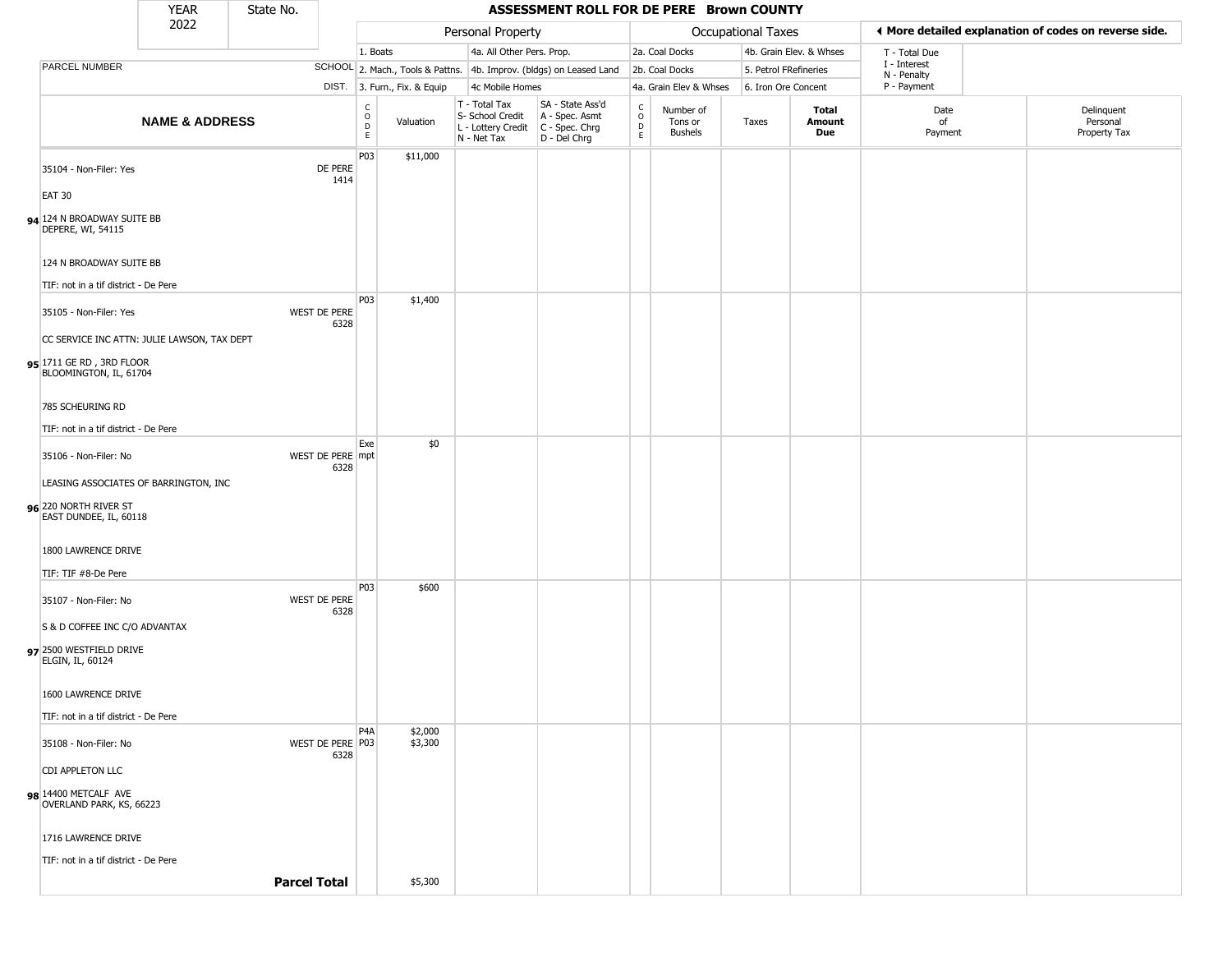|                                                    | <b>YEAR</b>                                 | State No. |                             |                                                 |                              |             |                                   | ASSESSMENT ROLL FOR DE PERE Brown COUNTY                                                  |                                    |                                        |                       |                         |                             |                                                       |
|----------------------------------------------------|---------------------------------------------|-----------|-----------------------------|-------------------------------------------------|------------------------------|-------------|-----------------------------------|-------------------------------------------------------------------------------------------|------------------------------------|----------------------------------------|-----------------------|-------------------------|-----------------------------|-------------------------------------------------------|
|                                                    | 2022                                        |           |                             |                                                 |                              |             | Personal Property                 |                                                                                           |                                    |                                        | Occupational Taxes    |                         |                             | ◀ More detailed explanation of codes on reverse side. |
|                                                    |                                             |           |                             | 1. Boats                                        |                              |             | 4a. All Other Pers. Prop.         |                                                                                           |                                    | 2a. Coal Docks                         |                       | 4b. Grain Elev. & Whses | T - Total Due               |                                                       |
| PARCEL NUMBER                                      |                                             |           |                             |                                                 |                              |             |                                   | SCHOOL 2. Mach., Tools & Pattns. 4b. Improv. (bldgs) on Leased Land                       |                                    | 2b. Coal Docks                         | 5. Petrol FRefineries |                         | I - Interest<br>N - Penalty |                                                       |
|                                                    |                                             |           |                             |                                                 | DIST. 3. Furn., Fix. & Equip |             | 4c Mobile Homes                   |                                                                                           |                                    | 4a. Grain Elev & Whses                 | 6. Iron Ore Concent   |                         | P - Payment                 |                                                       |
|                                                    | <b>NAME &amp; ADDRESS</b>                   |           |                             | $\begin{array}{c} C \\ O \\ D \\ E \end{array}$ | Valuation                    | N - Net Tax | T - Total Tax<br>S- School Credit | SA - State Ass'd<br>A - Spec. Asmt<br>L - Lottery Credit   C - Spec. Chrg<br>D - Del Chrg | $\mathsf{C}$<br>$\circ$<br>D<br>E. | Number of<br>Tons or<br><b>Bushels</b> | Taxes                 | Total<br>Amount<br>Due  | Date<br>of<br>Payment       | Delinquent<br>Personal<br>Property Tax                |
| 35104 - Non-Filer: Yes                             |                                             |           | DE PERE<br>1414             | P03                                             | \$11,000                     |             |                                   |                                                                                           |                                    |                                        |                       |                         |                             |                                                       |
| <b>EAT 30</b>                                      |                                             |           |                             |                                                 |                              |             |                                   |                                                                                           |                                    |                                        |                       |                         |                             |                                                       |
| 94 124 N BROADWAY SUITE BB<br>DEPERE, WI, 54115    |                                             |           |                             |                                                 |                              |             |                                   |                                                                                           |                                    |                                        |                       |                         |                             |                                                       |
| 124 N BROADWAY SUITE BB                            |                                             |           |                             |                                                 |                              |             |                                   |                                                                                           |                                    |                                        |                       |                         |                             |                                                       |
| TIF: not in a tif district - De Pere               |                                             |           |                             |                                                 |                              |             |                                   |                                                                                           |                                    |                                        |                       |                         |                             |                                                       |
| 35105 - Non-Filer: Yes                             |                                             |           | <b>WEST DE PERE</b><br>6328 | P03                                             | \$1,400                      |             |                                   |                                                                                           |                                    |                                        |                       |                         |                             |                                                       |
|                                                    | CC SERVICE INC ATTN: JULIE LAWSON, TAX DEPT |           |                             |                                                 |                              |             |                                   |                                                                                           |                                    |                                        |                       |                         |                             |                                                       |
| 95 1711 GE RD, 3RD FLOOR<br>BLOOMINGTON, IL, 61704 |                                             |           |                             |                                                 |                              |             |                                   |                                                                                           |                                    |                                        |                       |                         |                             |                                                       |
| 785 SCHEURING RD                                   |                                             |           |                             |                                                 |                              |             |                                   |                                                                                           |                                    |                                        |                       |                         |                             |                                                       |
| TIF: not in a tif district - De Pere               |                                             |           |                             |                                                 |                              |             |                                   |                                                                                           |                                    |                                        |                       |                         |                             |                                                       |
| 35106 - Non-Filer: No                              |                                             |           | WEST DE PERE mpt<br>6328    | Exe                                             | \$0                          |             |                                   |                                                                                           |                                    |                                        |                       |                         |                             |                                                       |
|                                                    | LEASING ASSOCIATES OF BARRINGTON, INC       |           |                             |                                                 |                              |             |                                   |                                                                                           |                                    |                                        |                       |                         |                             |                                                       |
| 96 220 NORTH RIVER ST<br>EAST DUNDEE, IL, 60118    |                                             |           |                             |                                                 |                              |             |                                   |                                                                                           |                                    |                                        |                       |                         |                             |                                                       |
| 1800 LAWRENCE DRIVE                                |                                             |           |                             |                                                 |                              |             |                                   |                                                                                           |                                    |                                        |                       |                         |                             |                                                       |
| TIF: TIF #8-De Pere                                |                                             |           |                             |                                                 |                              |             |                                   |                                                                                           |                                    |                                        |                       |                         |                             |                                                       |
| 35107 - Non-Filer: No                              |                                             |           | WEST DE PERE<br>6328        | P03                                             | \$600                        |             |                                   |                                                                                           |                                    |                                        |                       |                         |                             |                                                       |
| S & D COFFEE INC C/O ADVANTAX                      |                                             |           |                             |                                                 |                              |             |                                   |                                                                                           |                                    |                                        |                       |                         |                             |                                                       |
| 97 2500 WESTFIELD DRIVE<br>ELGIN, IL, 60124        |                                             |           |                             |                                                 |                              |             |                                   |                                                                                           |                                    |                                        |                       |                         |                             |                                                       |
| 1600 LAWRENCE DRIVE                                |                                             |           |                             |                                                 |                              |             |                                   |                                                                                           |                                    |                                        |                       |                         |                             |                                                       |
| TIF: not in a tif district - De Pere               |                                             |           |                             |                                                 |                              |             |                                   |                                                                                           |                                    |                                        |                       |                         |                             |                                                       |
| 35108 - Non-Filer: No                              |                                             |           | WEST DE PERE P03<br>6328    | P <sub>4</sub> A                                | \$2,000<br>\$3,300           |             |                                   |                                                                                           |                                    |                                        |                       |                         |                             |                                                       |
| CDI APPLETON LLC                                   |                                             |           |                             |                                                 |                              |             |                                   |                                                                                           |                                    |                                        |                       |                         |                             |                                                       |
| 98 14400 METCALF AVE<br>OVERLAND PARK, KS, 66223   |                                             |           |                             |                                                 |                              |             |                                   |                                                                                           |                                    |                                        |                       |                         |                             |                                                       |
| 1716 LAWRENCE DRIVE                                |                                             |           |                             |                                                 |                              |             |                                   |                                                                                           |                                    |                                        |                       |                         |                             |                                                       |
| TIF: not in a tif district - De Pere               |                                             |           |                             |                                                 |                              |             |                                   |                                                                                           |                                    |                                        |                       |                         |                             |                                                       |
|                                                    |                                             |           | <b>Parcel Total</b>         |                                                 | \$5,300                      |             |                                   |                                                                                           |                                    |                                        |                       |                         |                             |                                                       |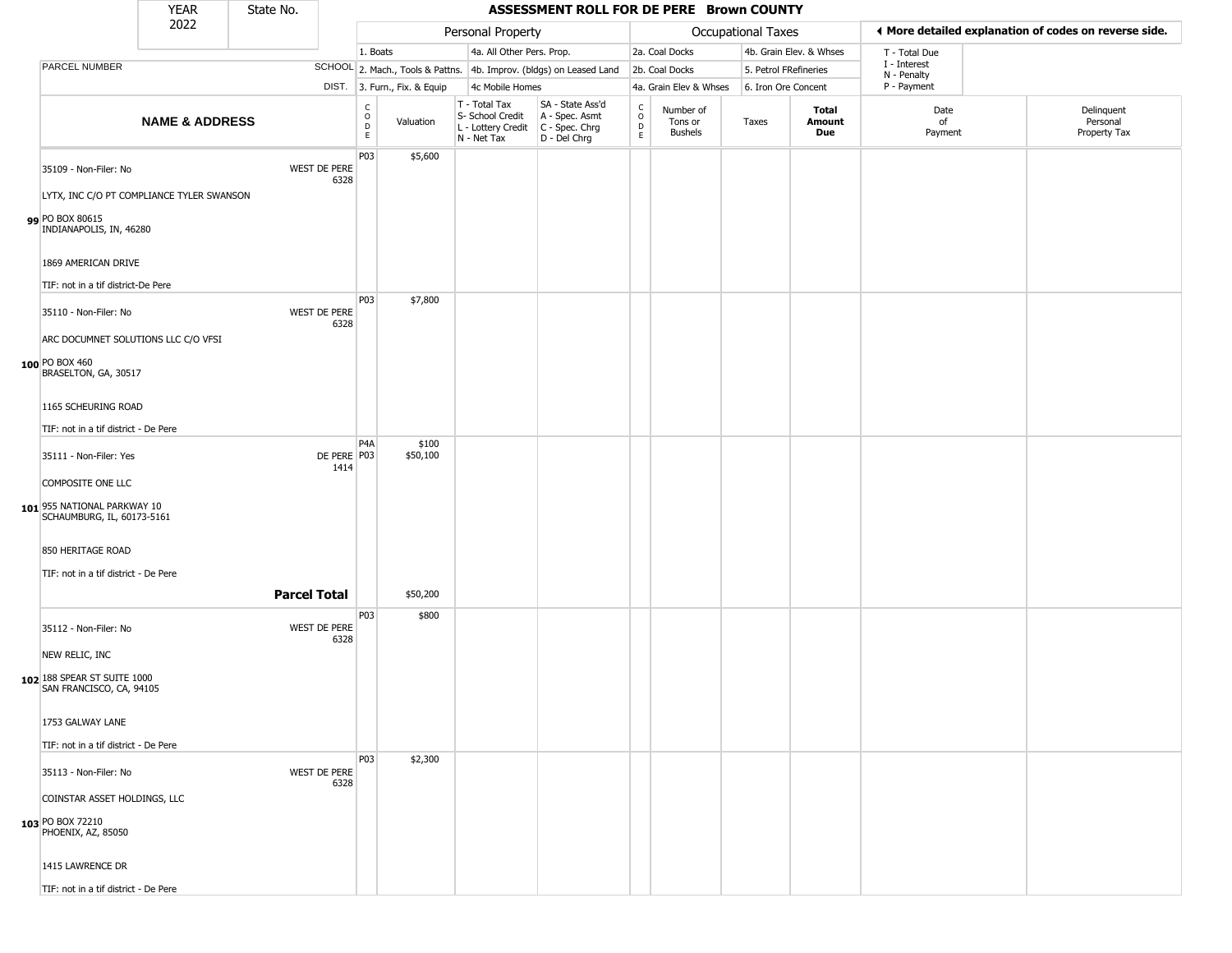YEAR **ASSESSMENT ROLL FOR DE PERE Brown COUNTY** 2022 DIST. 3. Furn., Fix. & Equip PARCEL NUMBER **NAME & ADDRESS** State No. C O D E Valuation T - Total Tax S- School Credit A - Spec. Asmt L - Lottery Credit C - Spec. Chrg N - Net Tax SA - State Ass'd D - Del Chrg C O D E Number of Tons or Bushels Taxes **Total Amount Due** Date of Payment Delinquent Personal Property Tax Personal Property **Department Controller Service Controller** Occupational Taxes 1. Boats **4a. All Other Pers. Prop.** 2a. Coal Docks 4b. Grain Elev. & Whses SCHOOL 2. Mach., Tools & Pattns. 4b. Improv. (bldgs) on Leased Land 2b. Coal Docks 5. Petrol FRefineries 4c Mobile Homes 4a. Grain Elev & Whses 6. Iron Ore Concent T - Total Due I - Interest N - Penalty P - Payment 3**More detailed explanation of codes on reverse side. 99** PO BOX 80615 35109 - Non-Filer: No WEST DE PERE 6328 LYTX, INC C/O PT COMPLIANCE TYLER SWANSON INDIANAPOLIS, IN, 46280 1869 AMERICAN DRIVE TIF: not in a tif district-De Pere P03 \$5,600 **100** PO BOX 460 35110 - Non-Filer: No WEST DE PERE 6328 ARC DOCUMNET SOLUTIONS LLC C/O VFSI BRASELTON, GA, 30517 1165 SCHEURING ROAD TIF: not in a tif district - De Pere P03 \$7,800 **101** 955 NATIONAL PARKWAY 10 35111 - Non-Filer: Yes 1414 COMPOSITE ONE LLC SCHAUMBURG, IL, 60173-5161 850 HERITAGE ROAD TIF: not in a tif district - De Pere P4A DE PERE P03 \$100 \$50,100 **Parcel Total** 1 \$50,200 **102** 188 SPEAR ST SUITE 1000 35112 - Non-Filer: No WEST DE PERE 6328 NEW RELIC, INC SAN FRANCISCO, CA, 94105 1753 GALWAY LANE TIF: not in a tif district - De Pere P03 \$800 **103** PO BOX 72210 35113 - Non-Filer: No WEST DE PERE 6328 COINSTAR ASSET HOLDINGS, LLC PHOENIX, AZ, 85050 P03 \$2,300

1415 LAWRENCE DR

TIF: not in a tif district - De Pere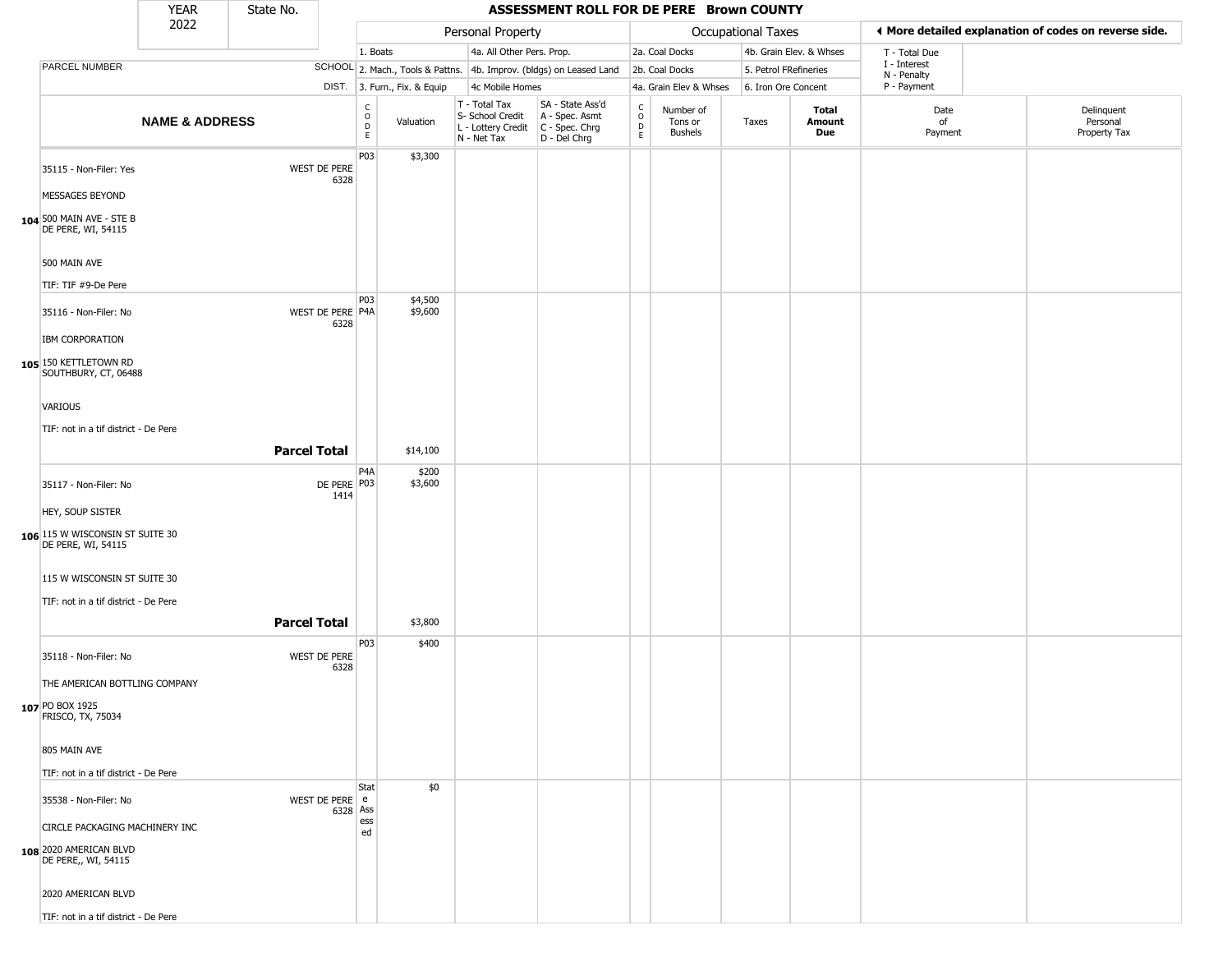|                                                                     | <b>YEAR</b>               | State No.           |                             |                                   |                              |                              |                                        | ASSESSMENT ROLL FOR DE PERE Brown COUNTY                               |                                              |                                        |                       |                         |                             |                                                       |  |
|---------------------------------------------------------------------|---------------------------|---------------------|-----------------------------|-----------------------------------|------------------------------|------------------------------|----------------------------------------|------------------------------------------------------------------------|----------------------------------------------|----------------------------------------|-----------------------|-------------------------|-----------------------------|-------------------------------------------------------|--|
|                                                                     | 2022                      |                     |                             |                                   |                              |                              | Personal Property                      |                                                                        |                                              |                                        | Occupational Taxes    |                         |                             | ♦ More detailed explanation of codes on reverse side. |  |
|                                                                     |                           |                     |                             | 1. Boats                          |                              |                              | 4a. All Other Pers. Prop.              |                                                                        |                                              | 2a. Coal Docks                         |                       | 4b. Grain Elev. & Whses | T - Total Due               |                                                       |  |
| PARCEL NUMBER                                                       |                           |                     |                             |                                   |                              |                              |                                        | SCHOOL 2. Mach., Tools & Pattns. 4b. Improv. (bldgs) on Leased Land    |                                              | 2b. Coal Docks                         | 5. Petrol FRefineries |                         | I - Interest<br>N - Penalty |                                                       |  |
|                                                                     |                           |                     |                             |                                   | DIST. 3. Furn., Fix. & Equip |                              | 4c Mobile Homes                        |                                                                        |                                              | 4a. Grain Elev & Whses                 | 6. Iron Ore Concent   |                         | P - Payment                 |                                                       |  |
|                                                                     | <b>NAME &amp; ADDRESS</b> |                     |                             | C<br>$\circ$<br>$\mathsf{D}$<br>E | Valuation                    | T - Total Tax<br>N - Net Tax | S- School Credit<br>L - Lottery Credit | SA - State Ass'd<br>A - Spec. Asmt<br>$C - Spec. Chrg$<br>D - Del Chrg | $\mathsf{C}$<br>$\circ$<br>$\mathsf{D}$<br>E | Number of<br>Tons or<br><b>Bushels</b> | Taxes                 | Total<br>Amount<br>Due  | Date<br>of<br>Payment       | Delinquent<br>Personal<br>Property Tax                |  |
| 35115 - Non-Filer: Yes                                              |                           |                     | <b>WEST DE PERE</b><br>6328 | P03                               | \$3,300                      |                              |                                        |                                                                        |                                              |                                        |                       |                         |                             |                                                       |  |
| MESSAGES BEYOND                                                     |                           |                     |                             |                                   |                              |                              |                                        |                                                                        |                                              |                                        |                       |                         |                             |                                                       |  |
| 104 500 MAIN AVE - STE B<br>DE PERE, WI, 54115                      |                           |                     |                             |                                   |                              |                              |                                        |                                                                        |                                              |                                        |                       |                         |                             |                                                       |  |
| 500 MAIN AVE                                                        |                           |                     |                             |                                   |                              |                              |                                        |                                                                        |                                              |                                        |                       |                         |                             |                                                       |  |
| TIF: TIF #9-De Pere                                                 |                           |                     |                             |                                   |                              |                              |                                        |                                                                        |                                              |                                        |                       |                         |                             |                                                       |  |
| 35116 - Non-Filer: No                                               |                           |                     | WEST DE PERE P4A            | <b>P03</b>                        | \$4,500<br>\$9,600           |                              |                                        |                                                                        |                                              |                                        |                       |                         |                             |                                                       |  |
| IBM CORPORATION                                                     |                           |                     | 6328                        |                                   |                              |                              |                                        |                                                                        |                                              |                                        |                       |                         |                             |                                                       |  |
| 105 150 KETTLETOWN RD<br>SOUTHBURY, CT, 06488                       |                           |                     |                             |                                   |                              |                              |                                        |                                                                        |                                              |                                        |                       |                         |                             |                                                       |  |
| <b>VARIOUS</b>                                                      |                           |                     |                             |                                   |                              |                              |                                        |                                                                        |                                              |                                        |                       |                         |                             |                                                       |  |
| TIF: not in a tif district - De Pere                                |                           |                     |                             |                                   |                              |                              |                                        |                                                                        |                                              |                                        |                       |                         |                             |                                                       |  |
|                                                                     |                           |                     | <b>Parcel Total</b>         |                                   | \$14,100                     |                              |                                        |                                                                        |                                              |                                        |                       |                         |                             |                                                       |  |
| 35117 - Non-Filer: No                                               |                           |                     | DE PERE P03<br>1414         | P <sub>4</sub> A                  | \$200<br>\$3,600             |                              |                                        |                                                                        |                                              |                                        |                       |                         |                             |                                                       |  |
| HEY, SOUP SISTER                                                    |                           |                     |                             |                                   |                              |                              |                                        |                                                                        |                                              |                                        |                       |                         |                             |                                                       |  |
| 106 115 W WISCONSIN ST SUITE 30<br>DE PERE, WI, 54115               |                           |                     |                             |                                   |                              |                              |                                        |                                                                        |                                              |                                        |                       |                         |                             |                                                       |  |
| 115 W WISCONSIN ST SUITE 30<br>TIF: not in a tif district - De Pere |                           |                     |                             |                                   |                              |                              |                                        |                                                                        |                                              |                                        |                       |                         |                             |                                                       |  |
|                                                                     |                           | <b>Parcel Total</b> |                             |                                   | \$3,800                      |                              |                                        |                                                                        |                                              |                                        |                       |                         |                             |                                                       |  |
| 35118 - Non-Filer: No                                               |                           |                     | WEST DE PERE<br>6328        | P03                               | \$400                        |                              |                                        |                                                                        |                                              |                                        |                       |                         |                             |                                                       |  |
| THE AMERICAN BOTTLING COMPANY                                       |                           |                     |                             |                                   |                              |                              |                                        |                                                                        |                                              |                                        |                       |                         |                             |                                                       |  |
| 107 PO BOX 1925<br>FRISCO, TX, 75034                                |                           |                     |                             |                                   |                              |                              |                                        |                                                                        |                                              |                                        |                       |                         |                             |                                                       |  |
| 805 MAIN AVE                                                        |                           |                     |                             |                                   |                              |                              |                                        |                                                                        |                                              |                                        |                       |                         |                             |                                                       |  |
| TIF: not in a tif district - De Pere                                |                           |                     |                             |                                   |                              |                              |                                        |                                                                        |                                              |                                        |                       |                         |                             |                                                       |  |
| 35538 - Non-Filer: No                                               |                           |                     | WEST DE PERE e              | Stat                              | \$0                          |                              |                                        |                                                                        |                                              |                                        |                       |                         |                             |                                                       |  |
| CIRCLE PACKAGING MACHINERY INC                                      |                           |                     | 6328 Ass                    | ess                               |                              |                              |                                        |                                                                        |                                              |                                        |                       |                         |                             |                                                       |  |
| 108 2020 AMERICAN BLVD<br>DE PERE,, WI, 54115                       |                           |                     |                             | ed                                |                              |                              |                                        |                                                                        |                                              |                                        |                       |                         |                             |                                                       |  |
| 2020 AMERICAN BLVD                                                  |                           |                     |                             |                                   |                              |                              |                                        |                                                                        |                                              |                                        |                       |                         |                             |                                                       |  |
| TIF: not in a tif district - De Pere                                |                           |                     |                             |                                   |                              |                              |                                        |                                                                        |                                              |                                        |                       |                         |                             |                                                       |  |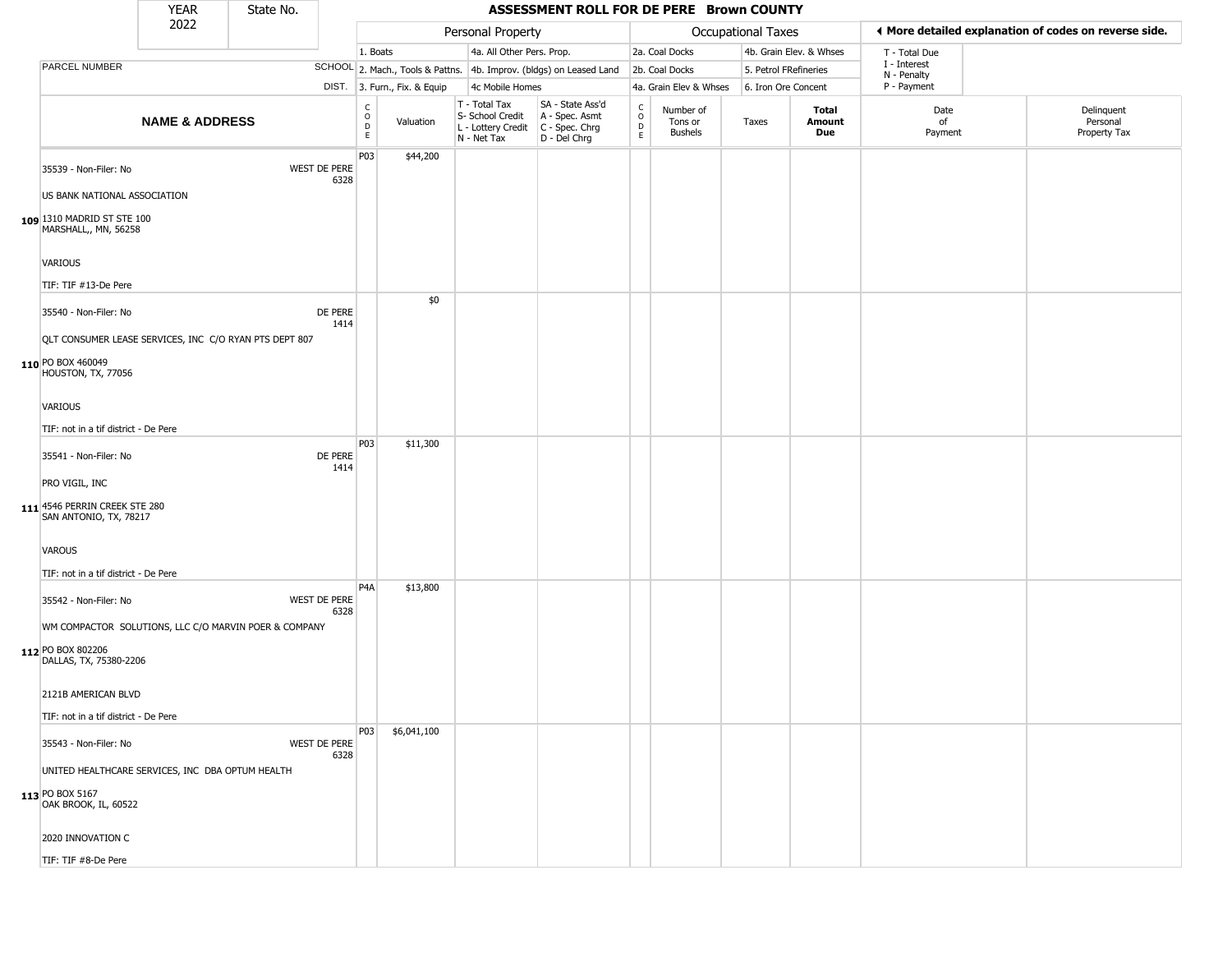|                                                                                                                                              | <b>YEAR</b>               | State No. |                             |                                                  |                              |                                                                        | ASSESSMENT ROLL FOR DE PERE Brown COUNTY                             |                                              |                                        |                       |                         |                             |                                                       |
|----------------------------------------------------------------------------------------------------------------------------------------------|---------------------------|-----------|-----------------------------|--------------------------------------------------|------------------------------|------------------------------------------------------------------------|----------------------------------------------------------------------|----------------------------------------------|----------------------------------------|-----------------------|-------------------------|-----------------------------|-------------------------------------------------------|
|                                                                                                                                              | 2022                      |           |                             |                                                  |                              | Personal Property                                                      |                                                                      |                                              |                                        | Occupational Taxes    |                         |                             | ◀ More detailed explanation of codes on reverse side. |
|                                                                                                                                              |                           |           |                             | 1. Boats                                         |                              | 4a. All Other Pers. Prop.                                              |                                                                      |                                              | 2a. Coal Docks                         |                       | 4b. Grain Elev. & Whses | T - Total Due               |                                                       |
| PARCEL NUMBER                                                                                                                                |                           |           |                             |                                                  |                              |                                                                        | SCHOOL 2. Mach., Tools & Pattns. 4b. Improv. (bldgs) on Leased Land  |                                              | 2b. Coal Docks                         | 5. Petrol FRefineries |                         | I - Interest<br>N - Penalty |                                                       |
|                                                                                                                                              |                           |           |                             |                                                  | DIST. 3. Furn., Fix. & Equip | 4c Mobile Homes                                                        |                                                                      |                                              | 4a. Grain Elev & Whses                 | 6. Iron Ore Concent   |                         | P - Payment                 |                                                       |
|                                                                                                                                              | <b>NAME &amp; ADDRESS</b> |           |                             | $_{\rm o}^{\rm c}$<br>$\mathsf D$<br>$\mathsf E$ | Valuation                    | T - Total Tax<br>S- School Credit<br>L - Lottery Credit<br>N - Net Tax | SA - State Ass'd<br>A - Spec. Asmt<br>C - Spec. Chrg<br>D - Del Chrg | $\int_{0}^{c}$<br>$\mathsf D$<br>$\mathsf E$ | Number of<br>Tons or<br><b>Bushels</b> | Taxes                 | Total<br>Amount<br>Due  | Date<br>of<br>Payment       | Delinquent<br>Personal<br>Property Tax                |
| 35539 - Non-Filer: No<br>US BANK NATIONAL ASSOCIATION<br>109 1310 MADRID ST STE 100<br>MARSHALL,, MN, 56258                                  |                           |           | <b>WEST DE PERE</b><br>6328 | P03                                              | \$44,200                     |                                                                        |                                                                      |                                              |                                        |                       |                         |                             |                                                       |
| VARIOUS<br>TIF: TIF #13-De Pere                                                                                                              |                           |           |                             |                                                  |                              |                                                                        |                                                                      |                                              |                                        |                       |                         |                             |                                                       |
| 35540 - Non-Filer: No<br>QLT CONSUMER LEASE SERVICES, INC C/O RYAN PTS DEPT 807<br>110 PO BOX 460049<br>HOUSTON, TX, 77056<br><b>VARIOUS</b> |                           |           | DE PERE<br>1414             |                                                  | \$0                          |                                                                        |                                                                      |                                              |                                        |                       |                         |                             |                                                       |
| TIF: not in a tif district - De Pere                                                                                                         |                           |           |                             |                                                  |                              |                                                                        |                                                                      |                                              |                                        |                       |                         |                             |                                                       |
| 35541 - Non-Filer: No<br>PRO VIGIL, INC<br>111 4546 PERRIN CREEK STE 280<br>SAN ANTONIO, TX, 78217                                           |                           |           | DE PERE<br>1414             | P03                                              | \$11,300                     |                                                                        |                                                                      |                                              |                                        |                       |                         |                             |                                                       |
| <b>VAROUS</b><br>TIF: not in a tif district - De Pere                                                                                        |                           |           |                             |                                                  |                              |                                                                        |                                                                      |                                              |                                        |                       |                         |                             |                                                       |
| 35542 - Non-Filer: No<br>WM COMPACTOR SOLUTIONS, LLC C/O MARVIN POER & COMPANY<br>112 PO BOX 802206<br>DALLAS, TX, 75380-2206                |                           |           | <b>WEST DE PERE</b><br>6328 | P4A                                              | \$13,800                     |                                                                        |                                                                      |                                              |                                        |                       |                         |                             |                                                       |
| 2121B AMERICAN BLVD<br>TIF: not in a tif district - De Pere                                                                                  |                           |           |                             |                                                  |                              |                                                                        |                                                                      |                                              |                                        |                       |                         |                             |                                                       |
| 35543 - Non-Filer: No<br>UNITED HEALTHCARE SERVICES, INC DBA OPTUM HEALTH<br>113 PO BOX 5167<br>OAK BROOK, IL, 60522                         |                           |           | <b>WEST DE PERE</b><br>6328 | P03                                              | \$6,041,100                  |                                                                        |                                                                      |                                              |                                        |                       |                         |                             |                                                       |
| 2020 INNOVATION C                                                                                                                            |                           |           |                             |                                                  |                              |                                                                        |                                                                      |                                              |                                        |                       |                         |                             |                                                       |
| TIF: TIF #8-De Pere                                                                                                                          |                           |           |                             |                                                  |                              |                                                                        |                                                                      |                                              |                                        |                       |                         |                             |                                                       |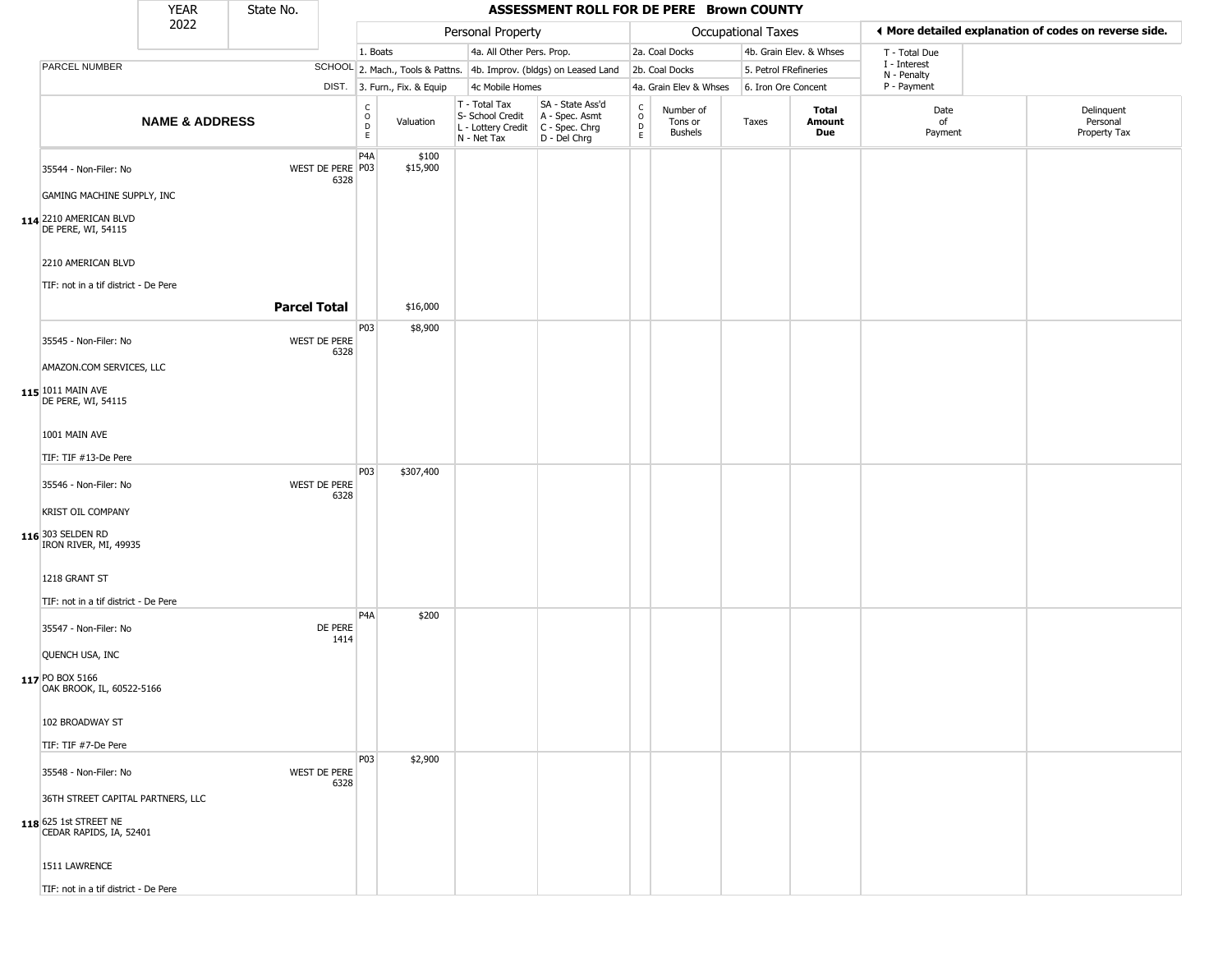|                                                                                       | <b>YEAR</b>               | State No.           |                                                          |                              |                                                                        | ASSESSMENT ROLL FOR DE PERE Brown COUNTY                             |                                             |                                        |                       |                         |                             |                                                       |
|---------------------------------------------------------------------------------------|---------------------------|---------------------|----------------------------------------------------------|------------------------------|------------------------------------------------------------------------|----------------------------------------------------------------------|---------------------------------------------|----------------------------------------|-----------------------|-------------------------|-----------------------------|-------------------------------------------------------|
|                                                                                       | 2022                      |                     |                                                          |                              | Personal Property                                                      |                                                                      |                                             |                                        | Occupational Taxes    |                         |                             | ♦ More detailed explanation of codes on reverse side. |
|                                                                                       |                           |                     |                                                          | 1. Boats                     | 4a. All Other Pers. Prop.                                              |                                                                      |                                             | 2a. Coal Docks                         |                       | 4b. Grain Elev. & Whses | T - Total Due               |                                                       |
| PARCEL NUMBER                                                                         |                           |                     |                                                          |                              |                                                                        | SCHOOL 2. Mach., Tools & Pattns. 4b. Improv. (bldgs) on Leased Land  |                                             | 2b. Coal Docks                         | 5. Petrol FRefineries |                         | I - Interest<br>N - Penalty |                                                       |
|                                                                                       |                           |                     |                                                          | DIST. 3. Furn., Fix. & Equip | 4c Mobile Homes                                                        |                                                                      |                                             | 4a. Grain Elev & Whses                 | 6. Iron Ore Concent   |                         | P - Payment                 |                                                       |
|                                                                                       | <b>NAME &amp; ADDRESS</b> |                     | $\begin{smallmatrix} C \\ O \\ D \end{smallmatrix}$<br>E | Valuation                    | T - Total Tax<br>S- School Credit<br>L - Lottery Credit<br>N - Net Tax | SA - State Ass'd<br>A - Spec. Asmt<br>C - Spec. Chrg<br>D - Del Chrg | $\frac{c}{0}$<br>$\mathsf D$<br>$\mathsf E$ | Number of<br>Tons or<br><b>Bushels</b> | Taxes                 | Total<br>Amount<br>Due  | Date<br>of<br>Payment       | Delinquent<br>Personal<br>Property Tax                |
| 35544 - Non-Filer: No<br>GAMING MACHINE SUPPLY, INC                                   |                           |                     | P <sub>4</sub> A<br>WEST DE PERE P03<br>6328             | \$100<br>\$15,900            |                                                                        |                                                                      |                                             |                                        |                       |                         |                             |                                                       |
| 114 2210 AMERICAN BLVD<br>DE PERE, WI, 54115                                          |                           |                     |                                                          |                              |                                                                        |                                                                      |                                             |                                        |                       |                         |                             |                                                       |
| 2210 AMERICAN BLVD                                                                    |                           |                     |                                                          |                              |                                                                        |                                                                      |                                             |                                        |                       |                         |                             |                                                       |
| TIF: not in a tif district - De Pere                                                  |                           | <b>Parcel Total</b> |                                                          | \$16,000                     |                                                                        |                                                                      |                                             |                                        |                       |                         |                             |                                                       |
|                                                                                       |                           |                     | P03                                                      | \$8,900                      |                                                                        |                                                                      |                                             |                                        |                       |                         |                             |                                                       |
| 35545 - Non-Filer: No                                                                 |                           |                     | WEST DE PERE<br>6328                                     |                              |                                                                        |                                                                      |                                             |                                        |                       |                         |                             |                                                       |
| AMAZON.COM SERVICES, LLC                                                              |                           |                     |                                                          |                              |                                                                        |                                                                      |                                             |                                        |                       |                         |                             |                                                       |
| 115 1011 MAIN AVE<br>DE PERE, WI, 54115                                               |                           |                     |                                                          |                              |                                                                        |                                                                      |                                             |                                        |                       |                         |                             |                                                       |
| 1001 MAIN AVE                                                                         |                           |                     |                                                          |                              |                                                                        |                                                                      |                                             |                                        |                       |                         |                             |                                                       |
| TIF: TIF #13-De Pere                                                                  |                           |                     |                                                          |                              |                                                                        |                                                                      |                                             |                                        |                       |                         |                             |                                                       |
| 35546 - Non-Filer: No                                                                 |                           |                     | P03<br>WEST DE PERE<br>6328                              | \$307,400                    |                                                                        |                                                                      |                                             |                                        |                       |                         |                             |                                                       |
| KRIST OIL COMPANY                                                                     |                           |                     |                                                          |                              |                                                                        |                                                                      |                                             |                                        |                       |                         |                             |                                                       |
| 116 303 SELDEN RD<br>IRON RIVER, MI, 49935                                            |                           |                     |                                                          |                              |                                                                        |                                                                      |                                             |                                        |                       |                         |                             |                                                       |
| 1218 GRANT ST<br>TIF: not in a tif district - De Pere                                 |                           |                     |                                                          |                              |                                                                        |                                                                      |                                             |                                        |                       |                         |                             |                                                       |
|                                                                                       |                           |                     | P <sub>4</sub> A                                         | \$200                        |                                                                        |                                                                      |                                             |                                        |                       |                         |                             |                                                       |
| 35547 - Non-Filer: No                                                                 |                           |                     | DE PERE<br>1414                                          |                              |                                                                        |                                                                      |                                             |                                        |                       |                         |                             |                                                       |
| QUENCH USA, INC                                                                       |                           |                     |                                                          |                              |                                                                        |                                                                      |                                             |                                        |                       |                         |                             |                                                       |
| 117 PO BOX 5166<br>OAK BROOK, IL, 60522-5166                                          |                           |                     |                                                          |                              |                                                                        |                                                                      |                                             |                                        |                       |                         |                             |                                                       |
| 102 BROADWAY ST                                                                       |                           |                     |                                                          |                              |                                                                        |                                                                      |                                             |                                        |                       |                         |                             |                                                       |
| TIF: TIF #7-De Pere                                                                   |                           |                     |                                                          |                              |                                                                        |                                                                      |                                             |                                        |                       |                         |                             |                                                       |
| 35548 - Non-Filer: No                                                                 |                           |                     | P03<br>WEST DE PERE<br>6328                              | \$2,900                      |                                                                        |                                                                      |                                             |                                        |                       |                         |                             |                                                       |
| 36TH STREET CAPITAL PARTNERS, LLC<br>118 625 1st STREET NE<br>CEDAR RAPIDS, IA, 52401 |                           |                     |                                                          |                              |                                                                        |                                                                      |                                             |                                        |                       |                         |                             |                                                       |
| 1511 LAWRENCE                                                                         |                           |                     |                                                          |                              |                                                                        |                                                                      |                                             |                                        |                       |                         |                             |                                                       |
| TIF: not in a tif district - De Pere                                                  |                           |                     |                                                          |                              |                                                                        |                                                                      |                                             |                                        |                       |                         |                             |                                                       |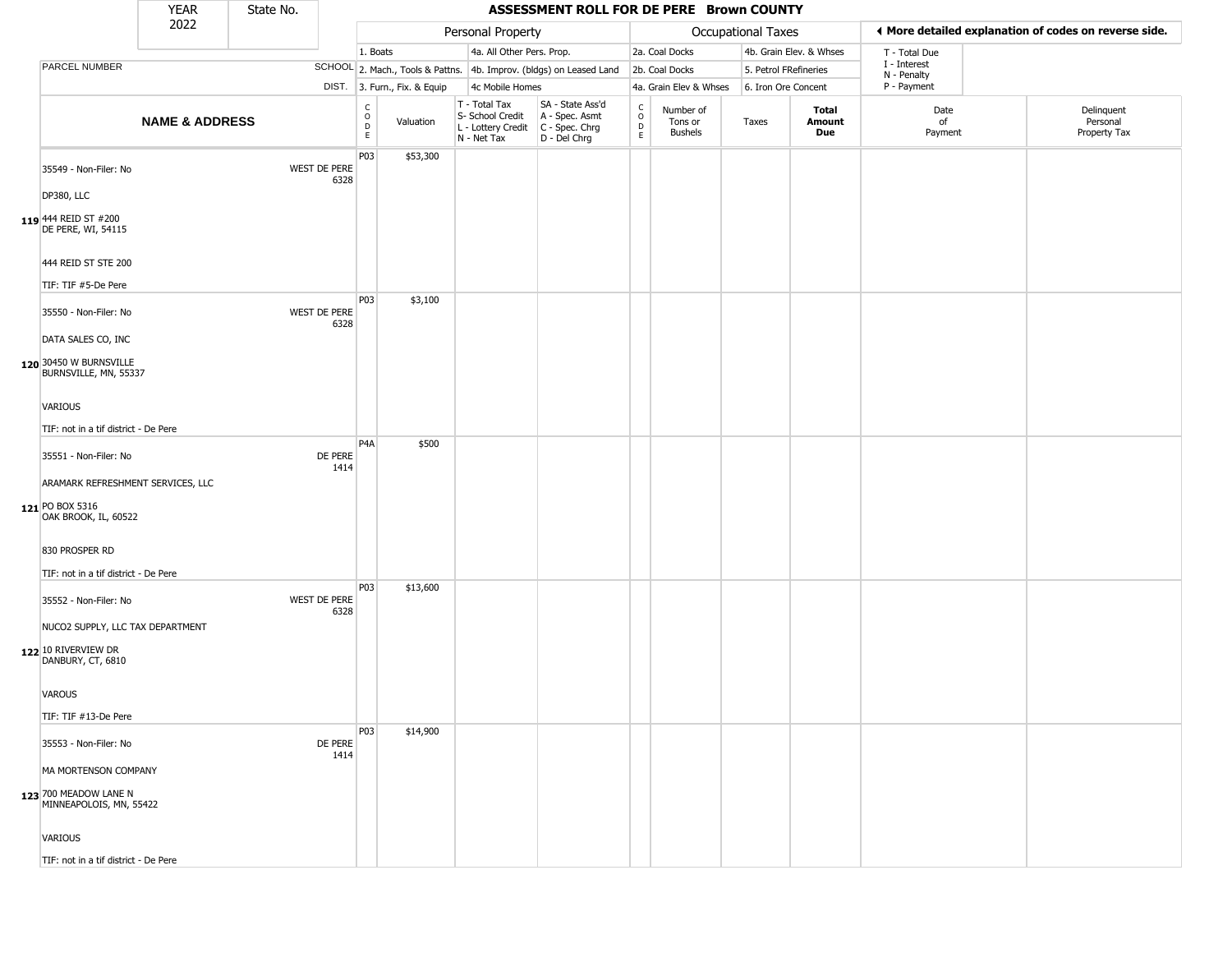|                                                                              | <b>YEAR</b>               | State No. |                      |                                                  |                              |                                                                                         | ASSESSMENT ROLL FOR DE PERE Brown COUNTY                            |                               |                                        |                       |                         |                             |                                                       |
|------------------------------------------------------------------------------|---------------------------|-----------|----------------------|--------------------------------------------------|------------------------------|-----------------------------------------------------------------------------------------|---------------------------------------------------------------------|-------------------------------|----------------------------------------|-----------------------|-------------------------|-----------------------------|-------------------------------------------------------|
|                                                                              | 2022                      |           |                      |                                                  |                              | Personal Property                                                                       |                                                                     |                               |                                        | Occupational Taxes    |                         |                             | ♦ More detailed explanation of codes on reverse side. |
|                                                                              |                           |           |                      | 1. Boats                                         |                              | 4a. All Other Pers. Prop.                                                               |                                                                     |                               | 2a. Coal Docks                         |                       | 4b. Grain Elev. & Whses | T - Total Due               |                                                       |
| PARCEL NUMBER                                                                |                           |           |                      |                                                  |                              |                                                                                         | SCHOOL 2. Mach., Tools & Pattns. 4b. Improv. (bldgs) on Leased Land |                               | 2b. Coal Docks                         | 5. Petrol FRefineries |                         | I - Interest<br>N - Penalty |                                                       |
|                                                                              |                           |           |                      |                                                  | DIST. 3. Furn., Fix. & Equip | 4c Mobile Homes                                                                         |                                                                     |                               | 4a. Grain Elev & Whses                 | 6. Iron Ore Concent   |                         | P - Payment                 |                                                       |
|                                                                              | <b>NAME &amp; ADDRESS</b> |           |                      | $_{\rm o}^{\rm c}$<br>$\mathsf D$<br>$\mathsf E$ | Valuation                    | T - Total Tax<br>S- School Credit<br>L - Lottery Credit   C - Spec. Chrg<br>N - Net Tax | SA - State Ass'd<br>A - Spec. Asmt<br>D - Del Chrg                  | $\delta$<br>$\mathsf{D}$<br>E | Number of<br>Tons or<br><b>Bushels</b> | Taxes                 | Total<br>Amount<br>Due  | Date<br>of<br>Payment       | Delinquent<br>Personal<br>Property Tax                |
| 35549 - Non-Filer: No<br>DP380, LLC                                          |                           |           | WEST DE PERE<br>6328 | P03                                              | \$53,300                     |                                                                                         |                                                                     |                               |                                        |                       |                         |                             |                                                       |
| 119 444 REID ST #200<br>DE PERE, WI, 54115                                   |                           |           |                      |                                                  |                              |                                                                                         |                                                                     |                               |                                        |                       |                         |                             |                                                       |
| 444 REID ST STE 200<br>TIF: TIF #5-De Pere                                   |                           |           |                      |                                                  |                              |                                                                                         |                                                                     |                               |                                        |                       |                         |                             |                                                       |
| 35550 - Non-Filer: No<br>DATA SALES CO, INC                                  |                           |           | WEST DE PERE<br>6328 | P03                                              | \$3,100                      |                                                                                         |                                                                     |                               |                                        |                       |                         |                             |                                                       |
| 120 30450 W BURNSVILLE<br>BURNSVILLE, MN, 55337                              |                           |           |                      |                                                  |                              |                                                                                         |                                                                     |                               |                                        |                       |                         |                             |                                                       |
| <b>VARIOUS</b>                                                               |                           |           |                      |                                                  |                              |                                                                                         |                                                                     |                               |                                        |                       |                         |                             |                                                       |
| TIF: not in a tif district - De Pere                                         |                           |           |                      | P <sub>4</sub> A                                 | \$500                        |                                                                                         |                                                                     |                               |                                        |                       |                         |                             |                                                       |
| 35551 - Non-Filer: No                                                        |                           |           | DE PERE<br>1414      |                                                  |                              |                                                                                         |                                                                     |                               |                                        |                       |                         |                             |                                                       |
| ARAMARK REFRESHMENT SERVICES, LLC<br>121 PO BOX 5316<br>OAK BROOK, IL, 60522 |                           |           |                      |                                                  |                              |                                                                                         |                                                                     |                               |                                        |                       |                         |                             |                                                       |
| 830 PROSPER RD<br>TIF: not in a tif district - De Pere                       |                           |           |                      |                                                  |                              |                                                                                         |                                                                     |                               |                                        |                       |                         |                             |                                                       |
| 35552 - Non-Filer: No                                                        |                           |           | WEST DE PERE<br>6328 | P03                                              | \$13,600                     |                                                                                         |                                                                     |                               |                                        |                       |                         |                             |                                                       |
| NUCO2 SUPPLY, LLC TAX DEPARTMENT<br>122 10 RIVERVIEW DR<br>DANBURY, CT, 6810 |                           |           |                      |                                                  |                              |                                                                                         |                                                                     |                               |                                        |                       |                         |                             |                                                       |
| VAROUS                                                                       |                           |           |                      |                                                  |                              |                                                                                         |                                                                     |                               |                                        |                       |                         |                             |                                                       |
| TIF: TIF #13-De Pere                                                         |                           |           |                      | P03                                              | \$14,900                     |                                                                                         |                                                                     |                               |                                        |                       |                         |                             |                                                       |
| 35553 - Non-Filer: No                                                        |                           |           | DE PERE<br>1414      |                                                  |                              |                                                                                         |                                                                     |                               |                                        |                       |                         |                             |                                                       |
| MA MORTENSON COMPANY                                                         |                           |           |                      |                                                  |                              |                                                                                         |                                                                     |                               |                                        |                       |                         |                             |                                                       |
| 123 700 MEADOW LANE N<br>MINNEAPOLOIS, MN, 55422                             |                           |           |                      |                                                  |                              |                                                                                         |                                                                     |                               |                                        |                       |                         |                             |                                                       |
| VARIOUS                                                                      |                           |           |                      |                                                  |                              |                                                                                         |                                                                     |                               |                                        |                       |                         |                             |                                                       |
| TIF: not in a tif district - De Pere                                         |                           |           |                      |                                                  |                              |                                                                                         |                                                                     |                               |                                        |                       |                         |                             |                                                       |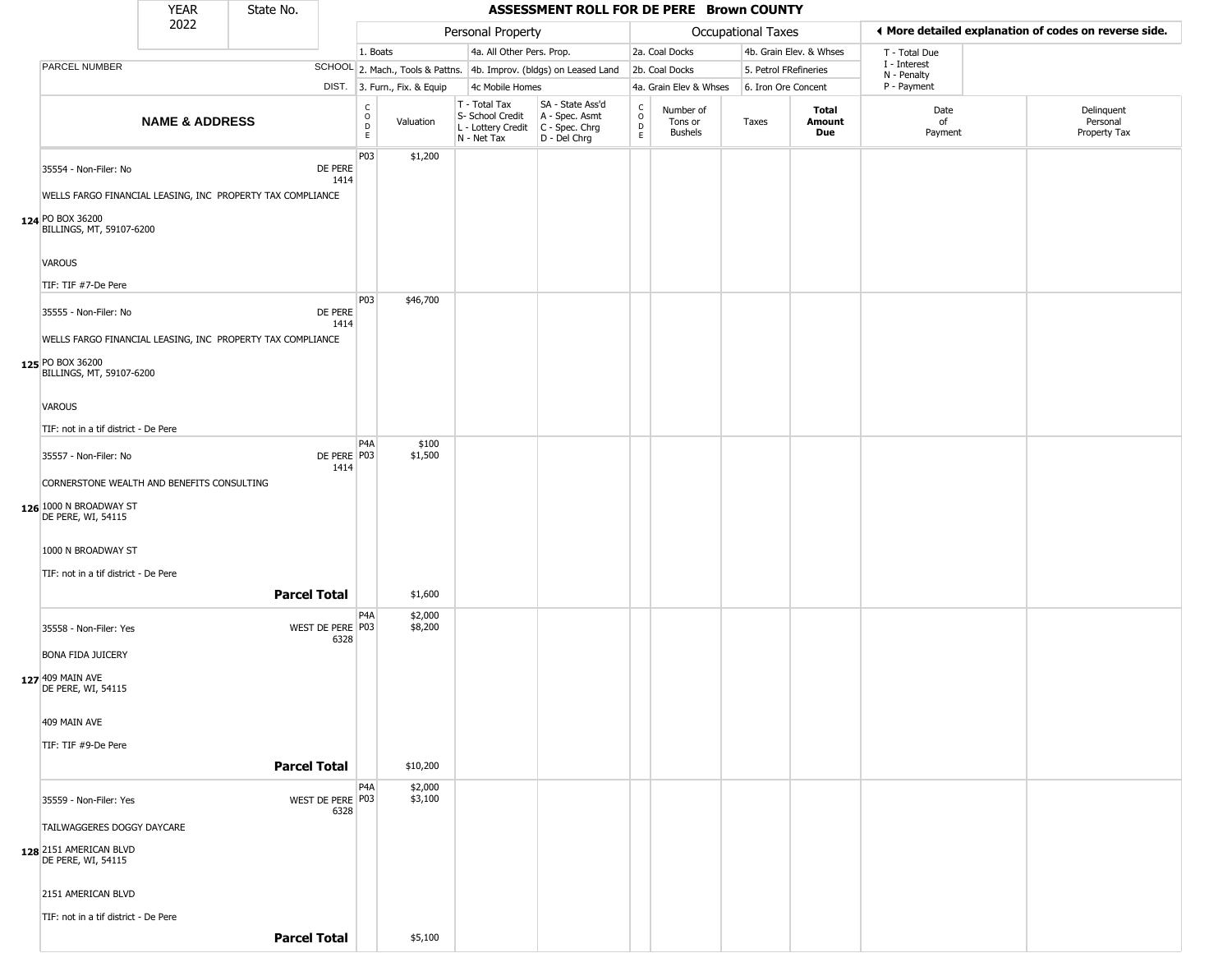|                                                                                                                  | YEAR                      | State No.                                                  |                          |                                                                |                                                                        | ASSESSMENT ROLL FOR DE PERE Brown COUNTY                             |                                     |                                        |                       |                               |                            |                                                       |
|------------------------------------------------------------------------------------------------------------------|---------------------------|------------------------------------------------------------|--------------------------|----------------------------------------------------------------|------------------------------------------------------------------------|----------------------------------------------------------------------|-------------------------------------|----------------------------------------|-----------------------|-------------------------------|----------------------------|-------------------------------------------------------|
|                                                                                                                  | 2022                      |                                                            |                          |                                                                | Personal Property                                                      |                                                                      |                                     |                                        | Occupational Taxes    |                               |                            | ◀ More detailed explanation of codes on reverse side. |
|                                                                                                                  |                           |                                                            |                          | 1. Boats                                                       | 4a. All Other Pers. Prop.                                              |                                                                      |                                     | 2a. Coal Docks                         |                       | 4b. Grain Elev. & Whses       | T - Total Due              |                                                       |
| PARCEL NUMBER                                                                                                    |                           |                                                            |                          |                                                                |                                                                        | SCHOOL 2. Mach., Tools & Pattns. 4b. Improv. (bldgs) on Leased Land  |                                     | 2b. Coal Docks                         | 5. Petrol FRefineries |                               | I - Interest               |                                                       |
|                                                                                                                  |                           |                                                            |                          | DIST. 3. Furn., Fix. & Equip                                   | 4c Mobile Homes                                                        |                                                                      |                                     | 4a. Grain Elev & Whses                 | 6. Iron Ore Concent   |                               | N - Penalty<br>P - Payment |                                                       |
|                                                                                                                  | <b>NAME &amp; ADDRESS</b> |                                                            |                          | $\begin{array}{c}\nC \\ O \\ D \\ E\n\end{array}$<br>Valuation | T - Total Tax<br>S- School Credit<br>L - Lottery Credit<br>N - Net Tax | SA - State Ass'd<br>A - Spec. Asmt<br>C - Spec. Chrg<br>D - Del Chrg | $\int_{0}^{c}$<br>$\mathsf{D}$<br>E | Number of<br>Tons or<br><b>Bushels</b> | Taxes                 | <b>Total</b><br>Amount<br>Due | Date<br>of<br>Payment      | Delinquent<br>Personal<br>Property Tax                |
| 35554 - Non-Filer: No<br>124 PO BOX 36200                                                                        |                           | WELLS FARGO FINANCIAL LEASING, INC PROPERTY TAX COMPLIANCE | DE PERE<br>1414          | P03<br>\$1,200                                                 |                                                                        |                                                                      |                                     |                                        |                       |                               |                            |                                                       |
| BILLINGS, MT, 59107-6200<br><b>VAROUS</b>                                                                        |                           |                                                            |                          |                                                                |                                                                        |                                                                      |                                     |                                        |                       |                               |                            |                                                       |
| TIF: TIF #7-De Pere                                                                                              |                           |                                                            |                          | P03<br>\$46,700                                                |                                                                        |                                                                      |                                     |                                        |                       |                               |                            |                                                       |
| 35555 - Non-Filer: No<br>125 PO BOX 36200<br>BILLINGS, MT, 59107-6200                                            |                           | WELLS FARGO FINANCIAL LEASING, INC PROPERTY TAX COMPLIANCE | DE PERE<br>1414          |                                                                |                                                                        |                                                                      |                                     |                                        |                       |                               |                            |                                                       |
| <b>VAROUS</b>                                                                                                    |                           |                                                            |                          |                                                                |                                                                        |                                                                      |                                     |                                        |                       |                               |                            |                                                       |
| TIF: not in a tif district - De Pere                                                                             |                           |                                                            |                          |                                                                |                                                                        |                                                                      |                                     |                                        |                       |                               |                            |                                                       |
| 35557 - Non-Filer: No                                                                                            |                           |                                                            | DE PERE P03<br>1414      | P4A<br>\$100<br>\$1,500                                        |                                                                        |                                                                      |                                     |                                        |                       |                               |                            |                                                       |
| CORNERSTONE WEALTH AND BENEFITS CONSULTING<br>126 1000 N BROADWAY ST<br>DE PERE, WI, 54115<br>1000 N BROADWAY ST |                           |                                                            |                          |                                                                |                                                                        |                                                                      |                                     |                                        |                       |                               |                            |                                                       |
| TIF: not in a tif district - De Pere                                                                             |                           |                                                            |                          |                                                                |                                                                        |                                                                      |                                     |                                        |                       |                               |                            |                                                       |
|                                                                                                                  |                           | <b>Parcel Total</b>                                        |                          | \$1,600                                                        |                                                                        |                                                                      |                                     |                                        |                       |                               |                            |                                                       |
| 35558 - Non-Filer: Yes<br><b>BONA FIDA JUICERY</b>                                                               |                           |                                                            | WEST DE PERE P03<br>6328 | P4A<br>\$2,000<br>\$8,200                                      |                                                                        |                                                                      |                                     |                                        |                       |                               |                            |                                                       |
| 127 409 MAIN AVE<br>DE PERE, WI, 54115<br>409 MAIN AVE                                                           |                           |                                                            |                          |                                                                |                                                                        |                                                                      |                                     |                                        |                       |                               |                            |                                                       |
|                                                                                                                  |                           |                                                            |                          |                                                                |                                                                        |                                                                      |                                     |                                        |                       |                               |                            |                                                       |
| TIF: TIF #9-De Pere                                                                                              |                           | <b>Parcel Total</b>                                        |                          | \$10,200                                                       |                                                                        |                                                                      |                                     |                                        |                       |                               |                            |                                                       |
|                                                                                                                  |                           |                                                            |                          |                                                                |                                                                        |                                                                      |                                     |                                        |                       |                               |                            |                                                       |
| 35559 - Non-Filer: Yes<br>TAILWAGGERES DOGGY DAYCARE<br>128 2151 AMERICAN BLVD                                   |                           |                                                            | WEST DE PERE P03<br>6328 | P4A<br>\$2,000<br>\$3,100                                      |                                                                        |                                                                      |                                     |                                        |                       |                               |                            |                                                       |
| DE PERE, WI, 54115<br>2151 AMERICAN BLVD                                                                         |                           |                                                            |                          |                                                                |                                                                        |                                                                      |                                     |                                        |                       |                               |                            |                                                       |
| TIF: not in a tif district - De Pere                                                                             |                           |                                                            |                          |                                                                |                                                                        |                                                                      |                                     |                                        |                       |                               |                            |                                                       |
|                                                                                                                  |                           | <b>Parcel Total</b>                                        |                          | \$5,100                                                        |                                                                        |                                                                      |                                     |                                        |                       |                               |                            |                                                       |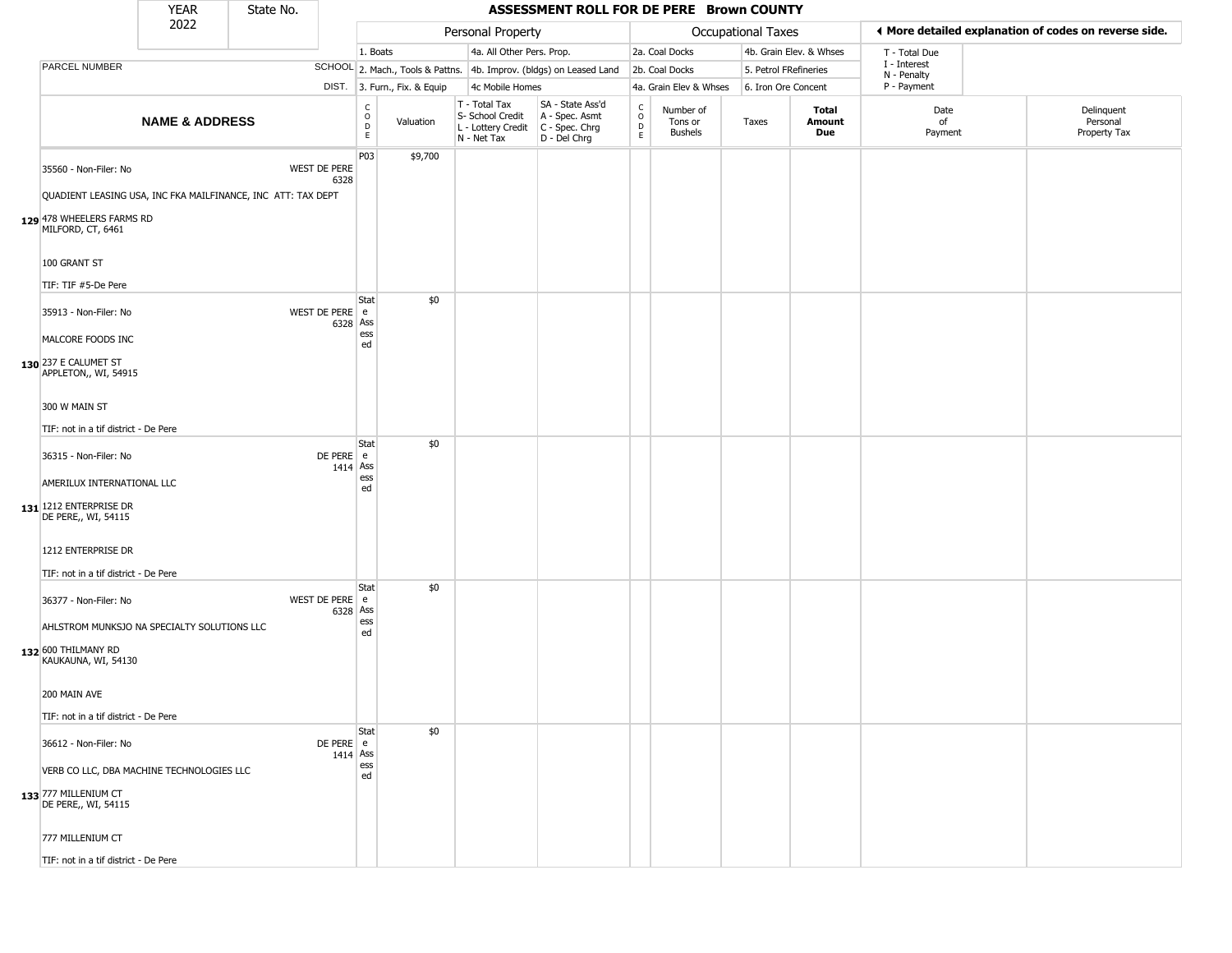|                                                                                                                    | <b>YEAR</b>               | State No. |                             |                                                                       |                                                    | ASSESSMENT ROLL FOR DE PERE Brown COUNTY                                                      |                                      |                                        |                       |                         |                             |                                                       |
|--------------------------------------------------------------------------------------------------------------------|---------------------------|-----------|-----------------------------|-----------------------------------------------------------------------|----------------------------------------------------|-----------------------------------------------------------------------------------------------|--------------------------------------|----------------------------------------|-----------------------|-------------------------|-----------------------------|-------------------------------------------------------|
|                                                                                                                    | 2022                      |           |                             |                                                                       | Personal Property                                  |                                                                                               |                                      |                                        | Occupational Taxes    |                         |                             | ♦ More detailed explanation of codes on reverse side. |
|                                                                                                                    |                           |           |                             | 1. Boats                                                              | 4a. All Other Pers. Prop.                          |                                                                                               |                                      | 2a. Coal Docks                         |                       | 4b. Grain Elev. & Whses | T - Total Due               |                                                       |
| PARCEL NUMBER                                                                                                      |                           |           |                             |                                                                       |                                                    | SCHOOL 2. Mach., Tools & Pattns. 4b. Improv. (bldgs) on Leased Land                           |                                      | 2b. Coal Docks                         | 5. Petrol FRefineries |                         | I - Interest<br>N - Penalty |                                                       |
|                                                                                                                    |                           |           |                             | DIST. 3. Furn., Fix. & Equip                                          | 4c Mobile Homes                                    |                                                                                               |                                      | 4a. Grain Elev & Whses                 | 6. Iron Ore Concent   |                         | P - Payment                 |                                                       |
|                                                                                                                    | <b>NAME &amp; ADDRESS</b> |           |                             | $\begin{smallmatrix} C \\ O \\ D \end{smallmatrix}$<br>Valuation<br>E | $T - Total Tax$<br>S- School Credit<br>N - Net Tax | SA - State Ass'd<br>A - Spec. Asmt<br>$ L -$ Lottery Credit $ C -$ Spec. Chrg<br>D - Del Chrg | C<br>$\mathsf O$<br>$\mathsf D$<br>E | Number of<br>Tons or<br><b>Bushels</b> | Taxes                 | Total<br>Amount<br>Due  | Date<br>of<br>Payment       | Delinquent<br>Personal<br>Property Tax                |
| 35560 - Non-Filer: No<br>QUADIENT LEASING USA, INC FKA MAILFINANCE, INC ATT: TAX DEPT<br>129 478 WHEELERS FARMS RD |                           |           | WEST DE PERE<br>6328        | P03<br>\$9,700                                                        |                                                    |                                                                                               |                                      |                                        |                       |                         |                             |                                                       |
| MILFORD, CT, 6461<br>100 GRANT ST<br>TIF: TIF #5-De Pere                                                           |                           |           |                             |                                                                       |                                                    |                                                                                               |                                      |                                        |                       |                         |                             |                                                       |
| 35913 - Non-Filer: No<br>MALCORE FOODS INC<br>130 237 E CALUMET ST<br>APPLETON,, WI, 54915                         |                           |           | WEST DE PERE e<br>6328 Ass  | \$0<br>Stat<br>ess<br>ed                                              |                                                    |                                                                                               |                                      |                                        |                       |                         |                             |                                                       |
| 300 W MAIN ST<br>TIF: not in a tif district - De Pere                                                              |                           |           |                             |                                                                       |                                                    |                                                                                               |                                      |                                        |                       |                         |                             |                                                       |
| 36315 - Non-Filer: No<br>AMERILUX INTERNATIONAL LLC<br>131 1212 ENTERPRISE DR<br>DE PERE,, WI, 54115               |                           |           | DE PERE e<br>$1414$ Ass     | \$0<br>Stat<br>ess<br>ed                                              |                                                    |                                                                                               |                                      |                                        |                       |                         |                             |                                                       |
| 1212 ENTERPRISE DR<br>TIF: not in a tif district - De Pere                                                         |                           |           |                             |                                                                       |                                                    |                                                                                               |                                      |                                        |                       |                         |                             |                                                       |
| 36377 - Non-Filer: No<br>AHLSTROM MUNKSJO NA SPECIALTY SOLUTIONS LLC<br>132 600 THILMANY RD<br>KAUKAUNA, WI, 54130 |                           |           | WEST DE PERE e<br>6328 Ass  | \$0<br>Stat<br>ess<br>ed                                              |                                                    |                                                                                               |                                      |                                        |                       |                         |                             |                                                       |
| 200 MAIN AVE<br>TIF: not in a tif district - De Pere                                                               |                           |           |                             |                                                                       |                                                    |                                                                                               |                                      |                                        |                       |                         |                             |                                                       |
| 36612 - Non-Filer: No<br>VERB CO LLC, DBA MACHINE TECHNOLOGIES LLC                                                 |                           |           | $DE$ PERE $e$<br>$1414$ Ass | Stat<br>\$0<br>ess                                                    |                                                    |                                                                                               |                                      |                                        |                       |                         |                             |                                                       |
| 133 777 MILLENIUM CT<br>DE PERE,, WI, 54115                                                                        |                           |           |                             | ed                                                                    |                                                    |                                                                                               |                                      |                                        |                       |                         |                             |                                                       |
| 777 MILLENIUM CT                                                                                                   |                           |           |                             |                                                                       |                                                    |                                                                                               |                                      |                                        |                       |                         |                             |                                                       |
| TIF: not in a tif district - De Pere                                                                               |                           |           |                             |                                                                       |                                                    |                                                                                               |                                      |                                        |                       |                         |                             |                                                       |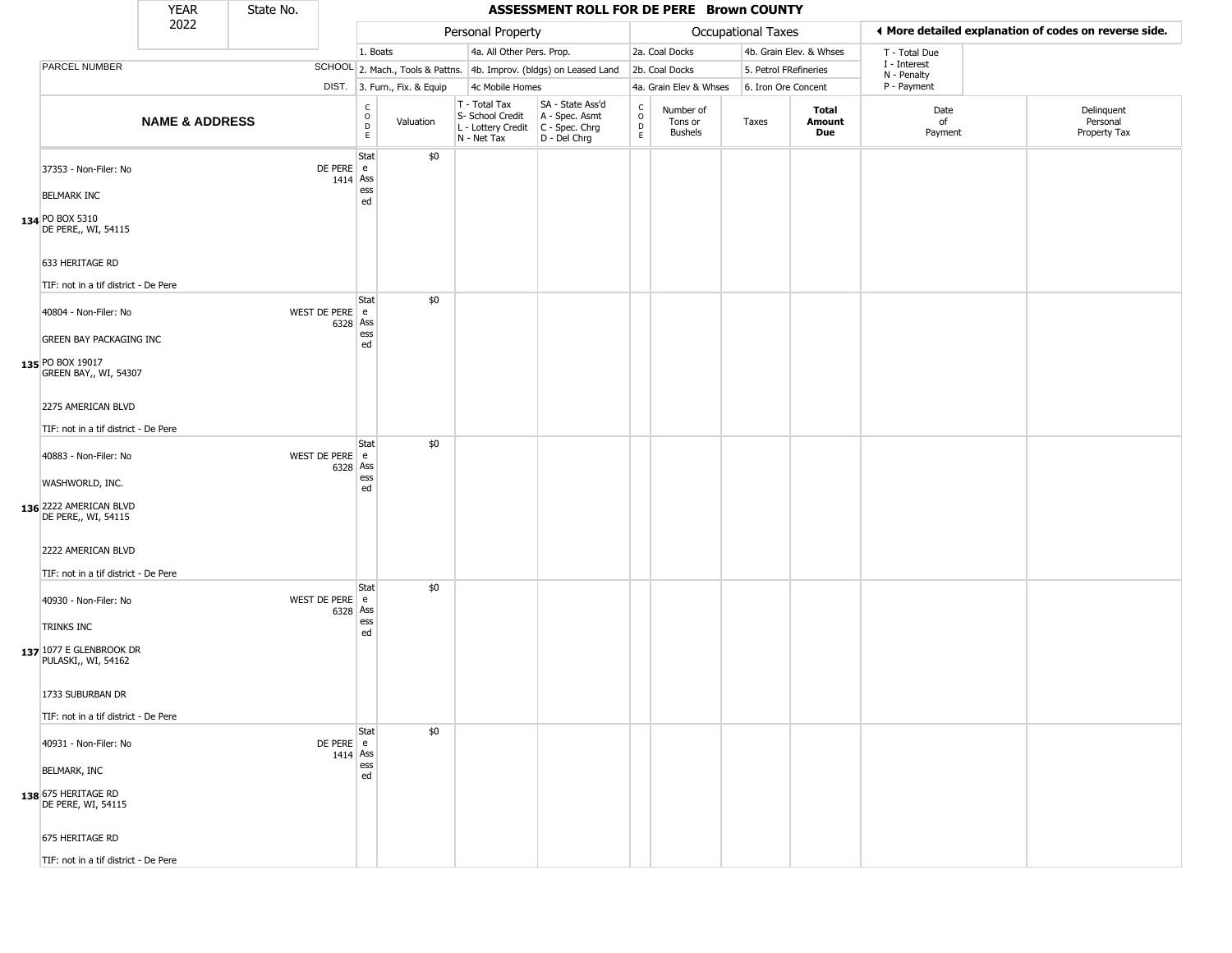|                                                                     | <b>YEAR</b>               | State No. |                            |                                   |                              |                                                                                         | ASSESSMENT ROLL FOR DE PERE Brown COUNTY                            |                                 |                                        |                       |                         |                             |                                                       |
|---------------------------------------------------------------------|---------------------------|-----------|----------------------------|-----------------------------------|------------------------------|-----------------------------------------------------------------------------------------|---------------------------------------------------------------------|---------------------------------|----------------------------------------|-----------------------|-------------------------|-----------------------------|-------------------------------------------------------|
|                                                                     | 2022                      |           |                            |                                   |                              | Personal Property                                                                       |                                                                     |                                 |                                        | Occupational Taxes    |                         |                             | ♦ More detailed explanation of codes on reverse side. |
|                                                                     |                           |           |                            | 1. Boats                          |                              | 4a. All Other Pers. Prop.                                                               |                                                                     |                                 | 2a. Coal Docks                         |                       | 4b. Grain Elev. & Whses | T - Total Due               |                                                       |
| PARCEL NUMBER                                                       |                           |           |                            |                                   |                              |                                                                                         | SCHOOL 2. Mach., Tools & Pattns. 4b. Improv. (bldgs) on Leased Land |                                 | 2b. Coal Docks                         | 5. Petrol FRefineries |                         | I - Interest<br>N - Penalty |                                                       |
|                                                                     |                           |           |                            |                                   | DIST. 3. Furn., Fix. & Equip | 4c Mobile Homes                                                                         |                                                                     |                                 | 4a. Grain Elev & Whses                 | 6. Iron Ore Concent   |                         | P - Payment                 |                                                       |
|                                                                     | <b>NAME &amp; ADDRESS</b> |           |                            | $\mathsf{C}$<br>$\circ$<br>D<br>E | Valuation                    | T - Total Tax<br>S- School Credit<br>L - Lottery Credit   C - Spec. Chrg<br>N - Net Tax | SA - State Ass'd<br>A - Spec. Asmt<br>D - Del Chrg                  | $\int_{0}^{c}$<br>$\frac{D}{E}$ | Number of<br>Tons or<br><b>Bushels</b> | Taxes                 | Total<br>Amount<br>Due  | Date<br>of<br>Payment       | Delinquent<br>Personal<br>Property Tax                |
| 37353 - Non-Filer: No<br><b>BELMARK INC</b>                         |                           |           | DE PERE e<br>$1414$ Ass    | Stat<br>ess                       | \$0                          |                                                                                         |                                                                     |                                 |                                        |                       |                         |                             |                                                       |
| 134 PO BOX 5310<br>DE PERE,, WI, 54115                              |                           |           |                            | ed                                |                              |                                                                                         |                                                                     |                                 |                                        |                       |                         |                             |                                                       |
| 633 HERITAGE RD<br>TIF: not in a tif district - De Pere             |                           |           |                            |                                   |                              |                                                                                         |                                                                     |                                 |                                        |                       |                         |                             |                                                       |
| 40804 - Non-Filer: No<br><b>GREEN BAY PACKAGING INC</b>             |                           |           | WEST DE PERE e<br>6328 Ass | Stat<br>ess                       | \$0                          |                                                                                         |                                                                     |                                 |                                        |                       |                         |                             |                                                       |
| 135 PO BOX 19017<br><b>GREEN BAY,, WI, 54307</b>                    |                           |           |                            | ed                                |                              |                                                                                         |                                                                     |                                 |                                        |                       |                         |                             |                                                       |
| 2275 AMERICAN BLVD<br>TIF: not in a tif district - De Pere          |                           |           |                            |                                   |                              |                                                                                         |                                                                     |                                 |                                        |                       |                         |                             |                                                       |
| 40883 - Non-Filer: No<br>WASHWORLD, INC.                            |                           |           | WEST DE PERE e<br>6328 Ass | Stat<br>ess<br>ed                 | \$0                          |                                                                                         |                                                                     |                                 |                                        |                       |                         |                             |                                                       |
| 136 2222 AMERICAN BLVD<br>DE PERE,, WI, 54115<br>2222 AMERICAN BLVD |                           |           |                            |                                   |                              |                                                                                         |                                                                     |                                 |                                        |                       |                         |                             |                                                       |
| TIF: not in a tif district - De Pere                                |                           |           |                            |                                   |                              |                                                                                         |                                                                     |                                 |                                        |                       |                         |                             |                                                       |
| 40930 - Non-Filer: No                                               |                           |           | WEST DE PERE e<br>6328 Ass | Stat<br>ess                       | \$0                          |                                                                                         |                                                                     |                                 |                                        |                       |                         |                             |                                                       |
| TRINKS INC<br>137 1077 E GLENBROOK DR<br>PULASKI,, WI, 54162        |                           |           |                            | ed                                |                              |                                                                                         |                                                                     |                                 |                                        |                       |                         |                             |                                                       |
| 1733 SUBURBAN DR<br>TIF: not in a tif district - De Pere            |                           |           |                            |                                   |                              |                                                                                         |                                                                     |                                 |                                        |                       |                         |                             |                                                       |
| 40931 - Non-Filer: No                                               |                           |           | $DE PERE$ e                | Stat                              | \$0                          |                                                                                         |                                                                     |                                 |                                        |                       |                         |                             |                                                       |
| <b>BELMARK, INC</b>                                                 |                           |           | 1414 Ass                   | ess<br>ed                         |                              |                                                                                         |                                                                     |                                 |                                        |                       |                         |                             |                                                       |
| 138 675 HERITAGE RD<br>DE PERE, WI, 54115                           |                           |           |                            |                                   |                              |                                                                                         |                                                                     |                                 |                                        |                       |                         |                             |                                                       |
| 675 HERITAGE RD                                                     |                           |           |                            |                                   |                              |                                                                                         |                                                                     |                                 |                                        |                       |                         |                             |                                                       |
| TIF: not in a tif district - De Pere                                |                           |           |                            |                                   |                              |                                                                                         |                                                                     |                                 |                                        |                       |                         |                             |                                                       |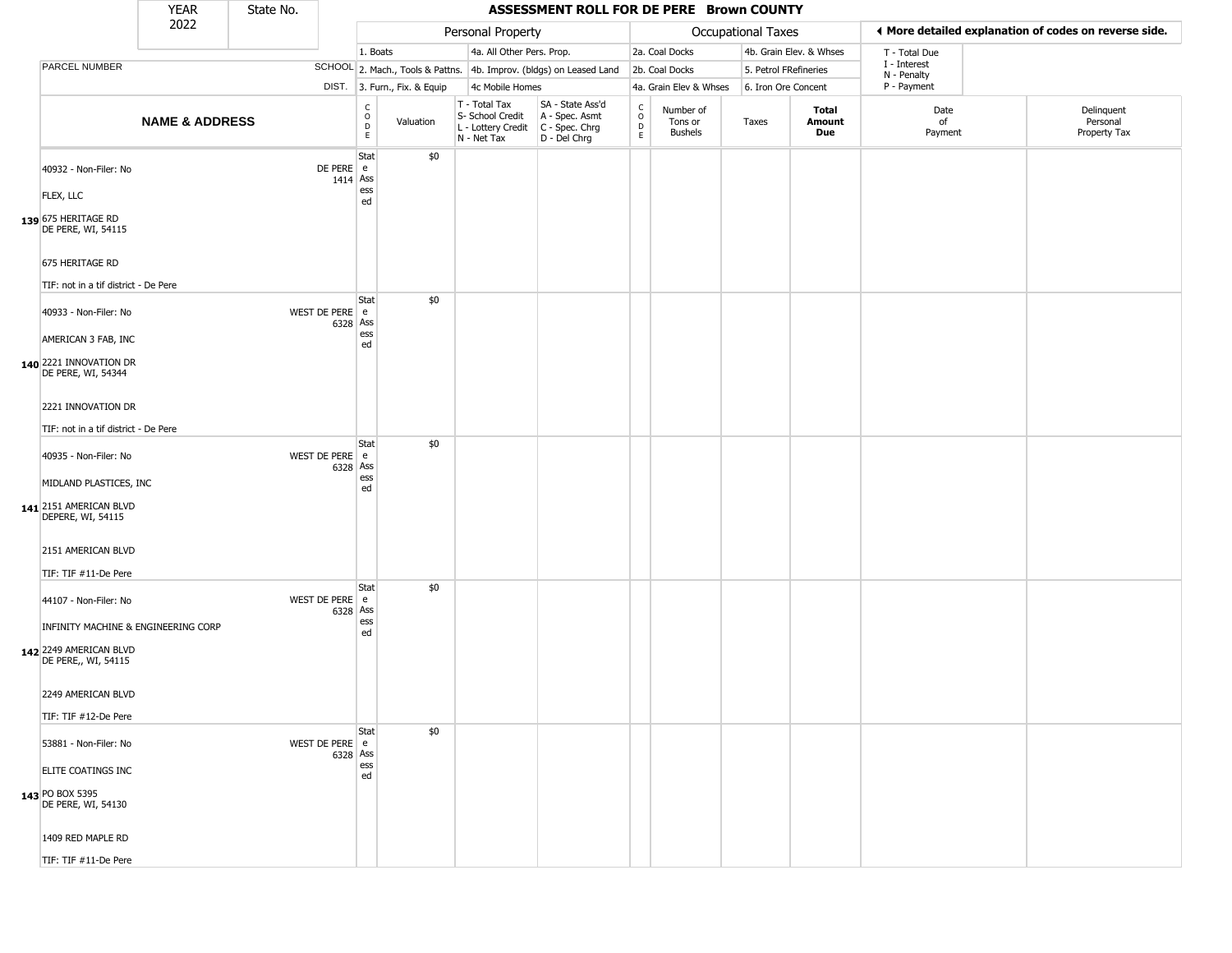|                                                                                      | <b>YEAR</b>               | State No. |                            |                              |                              |                                                                        | ASSESSMENT ROLL FOR DE PERE Brown COUNTY                             |                                                                     |                                 |                       |                         |                             |                                                       |
|--------------------------------------------------------------------------------------|---------------------------|-----------|----------------------------|------------------------------|------------------------------|------------------------------------------------------------------------|----------------------------------------------------------------------|---------------------------------------------------------------------|---------------------------------|-----------------------|-------------------------|-----------------------------|-------------------------------------------------------|
|                                                                                      | 2022                      |           |                            |                              |                              | Personal Property                                                      |                                                                      |                                                                     |                                 | Occupational Taxes    |                         |                             | ◀ More detailed explanation of codes on reverse side. |
|                                                                                      |                           |           |                            | 1. Boats                     |                              | 4a. All Other Pers. Prop.                                              |                                                                      |                                                                     | 2a. Coal Docks                  |                       | 4b. Grain Elev. & Whses | T - Total Due               |                                                       |
| PARCEL NUMBER                                                                        |                           |           |                            |                              |                              |                                                                        | SCHOOL 2. Mach., Tools & Pattns. 4b. Improv. (bldgs) on Leased Land  |                                                                     | 2b. Coal Docks                  | 5. Petrol FRefineries |                         | I - Interest<br>N - Penalty |                                                       |
|                                                                                      |                           |           |                            |                              | DIST. 3. Furn., Fix. & Equip | 4c Mobile Homes                                                        |                                                                      |                                                                     | 4a. Grain Elev & Whses          | 6. Iron Ore Concent   |                         | P - Payment                 |                                                       |
|                                                                                      | <b>NAME &amp; ADDRESS</b> |           |                            | $_{\rm o}^{\rm c}$<br>D<br>E | Valuation                    | T - Total Tax<br>S- School Credit<br>L - Lottery Credit<br>N - Net Tax | SA - State Ass'd<br>A - Spec. Asmt<br>C - Spec. Chrg<br>D - Del Chrg | $\mathsf{C}$<br>$\mathsf{o}$<br>$\mathrel{\mathsf{D}}_{\mathsf{E}}$ | Number of<br>Tons or<br>Bushels | Taxes                 | Total<br>Amount<br>Due  | Date<br>of<br>Payment       | Delinquent<br>Personal<br>Property Tax                |
| 40932 - Non-Filer: No<br>FLEX, LLC                                                   |                           |           | DE PERE e<br>1414 Ass      | Stat<br>ess<br>ed            | \$0                          |                                                                        |                                                                      |                                                                     |                                 |                       |                         |                             |                                                       |
| 139 675 HERITAGE RD<br>DE PERE, WI, 54115                                            |                           |           |                            |                              |                              |                                                                        |                                                                      |                                                                     |                                 |                       |                         |                             |                                                       |
| 675 HERITAGE RD<br>TIF: not in a tif district - De Pere                              |                           |           |                            | Stat                         | \$0                          |                                                                        |                                                                      |                                                                     |                                 |                       |                         |                             |                                                       |
| 40933 - Non-Filer: No<br>AMERICAN 3 FAB, INC                                         |                           |           | WEST DE PERE e<br>6328 Ass | ess<br>ed                    |                              |                                                                        |                                                                      |                                                                     |                                 |                       |                         |                             |                                                       |
| 140 2221 INNOVATION DR<br>DE PERE, WI, 54344                                         |                           |           |                            |                              |                              |                                                                        |                                                                      |                                                                     |                                 |                       |                         |                             |                                                       |
| 2221 INNOVATION DR<br>TIF: not in a tif district - De Pere                           |                           |           |                            |                              |                              |                                                                        |                                                                      |                                                                     |                                 |                       |                         |                             |                                                       |
| 40935 - Non-Filer: No                                                                |                           |           | WEST DE PERE e<br>6328 Ass | Stat                         | \$0                          |                                                                        |                                                                      |                                                                     |                                 |                       |                         |                             |                                                       |
| MIDLAND PLASTICES, INC<br>141 2151 AMERICAN BLVD<br>DEPERE, WI, 54115                |                           |           |                            | ess<br>ed                    |                              |                                                                        |                                                                      |                                                                     |                                 |                       |                         |                             |                                                       |
| 2151 AMERICAN BLVD<br>TIF: TIF #11-De Pere                                           |                           |           |                            |                              |                              |                                                                        |                                                                      |                                                                     |                                 |                       |                         |                             |                                                       |
| 44107 - Non-Filer: No                                                                |                           |           | WEST DE PERE e<br>6328 Ass | Stat                         | \$0                          |                                                                        |                                                                      |                                                                     |                                 |                       |                         |                             |                                                       |
| INFINITY MACHINE & ENGINEERING CORP<br>142 2249 AMERICAN BLVD<br>DE PERE,, WI, 54115 |                           |           |                            | ess<br>ed                    |                              |                                                                        |                                                                      |                                                                     |                                 |                       |                         |                             |                                                       |
| 2249 AMERICAN BLVD<br>TIF: TIF #12-De Pere                                           |                           |           |                            |                              |                              |                                                                        |                                                                      |                                                                     |                                 |                       |                         |                             |                                                       |
| 53881 - Non-Filer: No                                                                |                           |           | WEST DE PERE e<br>6328 Ass | Stat                         | \$0                          |                                                                        |                                                                      |                                                                     |                                 |                       |                         |                             |                                                       |
| ELITE COATINGS INC                                                                   |                           |           |                            | ess<br>ed                    |                              |                                                                        |                                                                      |                                                                     |                                 |                       |                         |                             |                                                       |
| 143 PO BOX 5395<br>DE PERE, WI, 54130                                                |                           |           |                            |                              |                              |                                                                        |                                                                      |                                                                     |                                 |                       |                         |                             |                                                       |
| 1409 RED MAPLE RD                                                                    |                           |           |                            |                              |                              |                                                                        |                                                                      |                                                                     |                                 |                       |                         |                             |                                                       |
| TIF: TIF #11-De Pere                                                                 |                           |           |                            |                              |                              |                                                                        |                                                                      |                                                                     |                                 |                       |                         |                             |                                                       |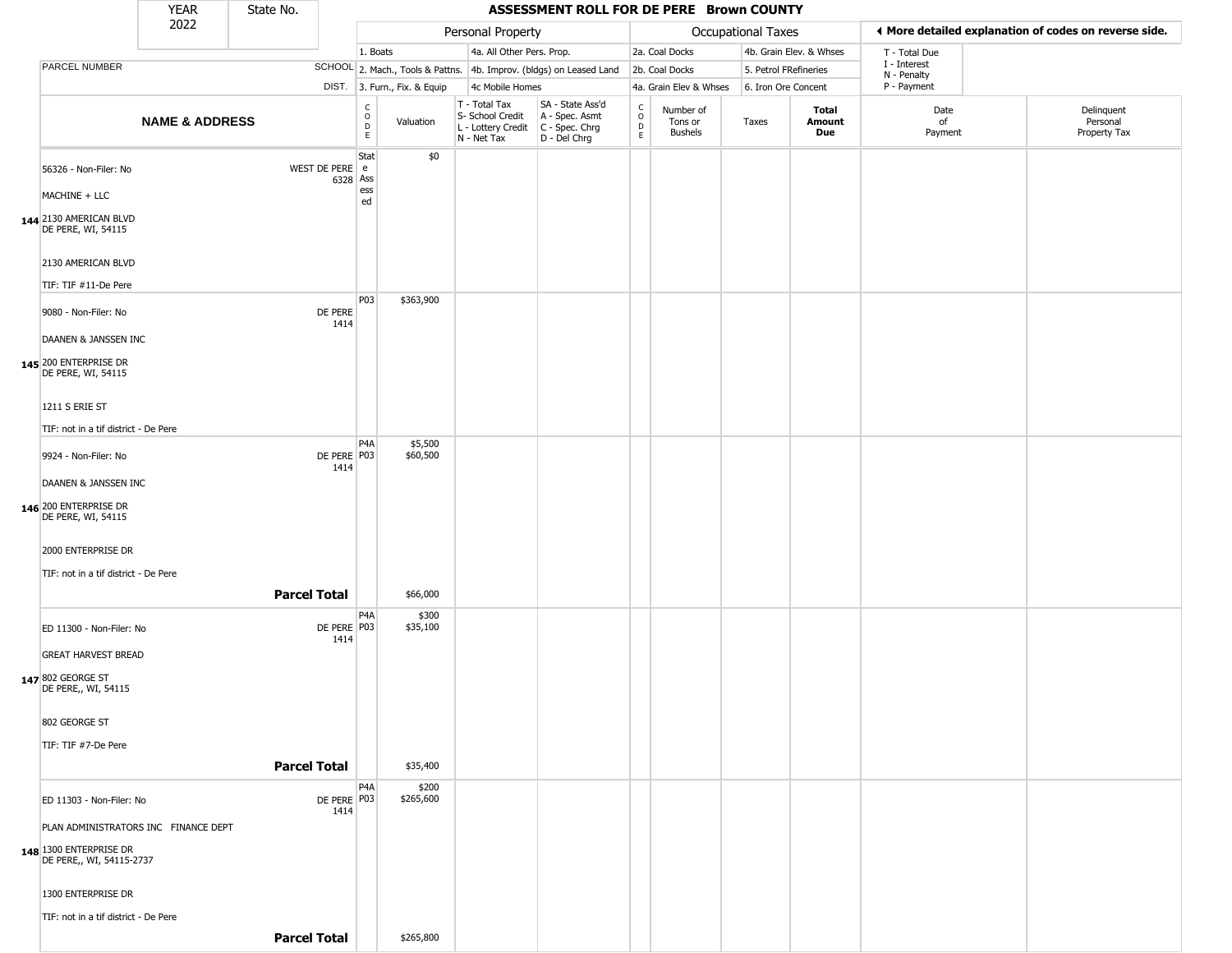|                                                                                                                               | <b>YEAR</b>               | State No.           |                                                 |                              |                                                                        | ASSESSMENT ROLL FOR DE PERE Brown COUNTY                             |                                                 |                                        |                       |                         |                             |                                                       |
|-------------------------------------------------------------------------------------------------------------------------------|---------------------------|---------------------|-------------------------------------------------|------------------------------|------------------------------------------------------------------------|----------------------------------------------------------------------|-------------------------------------------------|----------------------------------------|-----------------------|-------------------------|-----------------------------|-------------------------------------------------------|
|                                                                                                                               | 2022                      |                     |                                                 |                              | Personal Property                                                      |                                                                      |                                                 |                                        | Occupational Taxes    |                         |                             | ♦ More detailed explanation of codes on reverse side. |
|                                                                                                                               |                           |                     |                                                 | 1. Boats                     | 4a. All Other Pers. Prop.                                              |                                                                      |                                                 | 2a. Coal Docks                         |                       | 4b. Grain Elev. & Whses | T - Total Due               |                                                       |
| PARCEL NUMBER                                                                                                                 |                           |                     |                                                 |                              |                                                                        | SCHOOL 2. Mach., Tools & Pattns. 4b. Improv. (bldgs) on Leased Land  |                                                 | 2b. Coal Docks                         | 5. Petrol FRefineries |                         | I - Interest<br>N - Penalty |                                                       |
|                                                                                                                               |                           |                     |                                                 | DIST. 3. Furn., Fix. & Equip | 4c Mobile Homes                                                        |                                                                      |                                                 | 4a. Grain Elev & Whses                 | 6. Iron Ore Concent   |                         | P - Payment                 |                                                       |
|                                                                                                                               | <b>NAME &amp; ADDRESS</b> |                     | $\begin{array}{c} C \\ O \\ D \\ E \end{array}$ | Valuation                    | T - Total Tax<br>S- School Credit<br>L - Lottery Credit<br>N - Net Tax | SA - State Ass'd<br>A - Spec. Asmt<br>C - Spec. Chrg<br>D - Del Chrg | $\begin{array}{c} C \\ O \\ D \\ E \end{array}$ | Number of<br>Tons or<br><b>Bushels</b> | Taxes                 | Total<br>Amount<br>Due  | Date<br>of<br>Payment       | Delinquent<br>Personal<br>Property Tax                |
| 56326 - Non-Filer: No<br>MACHINE + LLC<br>144 2130 AMERICAN BLVD<br>DE PERE, WI, 54115<br>2130 AMERICAN BLVD                  |                           |                     | Stat<br>WEST DE PERE e<br>6328 Ass<br>ess<br>ed | \$0                          |                                                                        |                                                                      |                                                 |                                        |                       |                         |                             |                                                       |
| TIF: TIF #11-De Pere<br>9080 - Non-Filer: No                                                                                  |                           |                     | P <sub>0</sub> 3<br>DE PERE                     | \$363,900                    |                                                                        |                                                                      |                                                 |                                        |                       |                         |                             |                                                       |
| DAANEN & JANSSEN INC<br>145 200 ENTERPRISE DR<br>DE PERE, WI, 54115<br>1211 S ERIE ST<br>TIF: not in a tif district - De Pere |                           |                     | 1414                                            |                              |                                                                        |                                                                      |                                                 |                                        |                       |                         |                             |                                                       |
| 9924 - Non-Filer: No<br>DAANEN & JANSSEN INC                                                                                  |                           |                     | P4A<br>DE PERE   P03<br>1414                    | \$5,500<br>\$60,500          |                                                                        |                                                                      |                                                 |                                        |                       |                         |                             |                                                       |
| 146 200 ENTERPRISE DR<br>DE PERE, WI, 54115<br>2000 ENTERPRISE DR<br>TIF: not in a tif district - De Pere                     |                           |                     |                                                 |                              |                                                                        |                                                                      |                                                 |                                        |                       |                         |                             |                                                       |
|                                                                                                                               |                           | <b>Parcel Total</b> |                                                 | \$66,000                     |                                                                        |                                                                      |                                                 |                                        |                       |                         |                             |                                                       |
| ED 11300 - Non-Filer: No<br><b>GREAT HARVEST BREAD</b>                                                                        |                           |                     | P4A<br>DE PERE P03<br>1414                      | \$300<br>\$35,100            |                                                                        |                                                                      |                                                 |                                        |                       |                         |                             |                                                       |
| 147 802 GEORGE ST<br>DE PERE,, WI, 54115<br>802 GEORGE ST<br>TIF: TIF #7-De Pere                                              |                           |                     |                                                 |                              |                                                                        |                                                                      |                                                 |                                        |                       |                         |                             |                                                       |
|                                                                                                                               |                           | <b>Parcel Total</b> |                                                 | \$35,400                     |                                                                        |                                                                      |                                                 |                                        |                       |                         |                             |                                                       |
|                                                                                                                               |                           |                     | P4A                                             | \$200                        |                                                                        |                                                                      |                                                 |                                        |                       |                         |                             |                                                       |
| ED 11303 - Non-Filer: No<br>PLAN ADMINISTRATORS INC FINANCE DEPT<br>148 1300 ENTERPRISE DR<br>DE PERE,, WI, 54115-2737        |                           |                     | DE PERE P03<br>1414                             | \$265,600                    |                                                                        |                                                                      |                                                 |                                        |                       |                         |                             |                                                       |
| 1300 ENTERPRISE DR                                                                                                            |                           |                     |                                                 |                              |                                                                        |                                                                      |                                                 |                                        |                       |                         |                             |                                                       |
| TIF: not in a tif district - De Pere                                                                                          |                           |                     |                                                 |                              |                                                                        |                                                                      |                                                 |                                        |                       |                         |                             |                                                       |
|                                                                                                                               |                           | <b>Parcel Total</b> |                                                 | \$265,800                    |                                                                        |                                                                      |                                                 |                                        |                       |                         |                             |                                                       |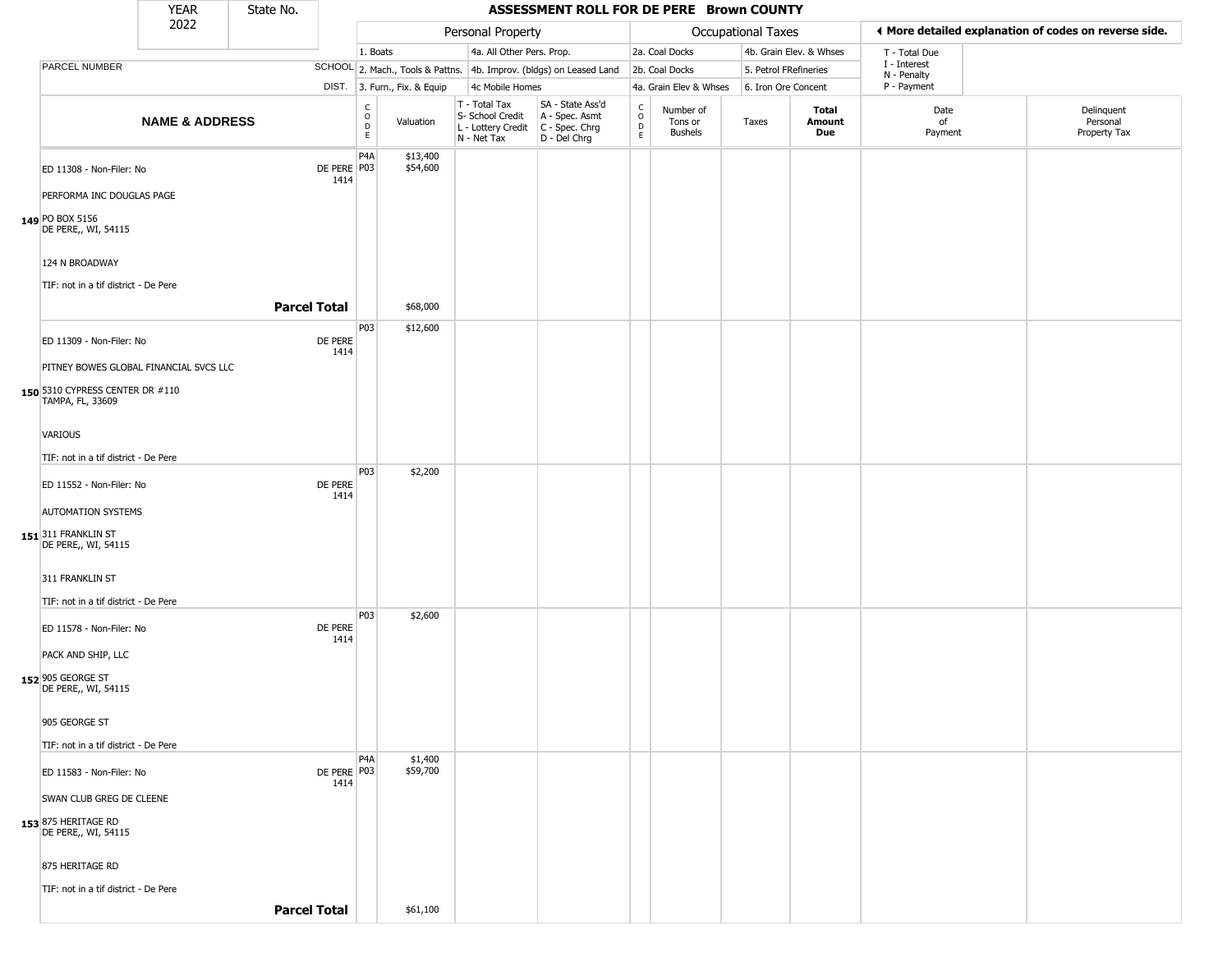|                                                                                               | YEAR                      | State No.           |                       |                                              |                              |                                                                        | ASSESSMENT ROLL FOR DE PERE Brown COUNTY                             |                                             |                                 |                           |                         |                             |                                                       |
|-----------------------------------------------------------------------------------------------|---------------------------|---------------------|-----------------------|----------------------------------------------|------------------------------|------------------------------------------------------------------------|----------------------------------------------------------------------|---------------------------------------------|---------------------------------|---------------------------|-------------------------|-----------------------------|-------------------------------------------------------|
|                                                                                               | 2022                      |                     |                       |                                              |                              | Personal Property                                                      |                                                                      |                                             |                                 | <b>Occupational Taxes</b> |                         |                             | I More detailed explanation of codes on reverse side. |
|                                                                                               |                           |                     |                       | 1. Boats                                     |                              | 4a. All Other Pers. Prop.                                              |                                                                      |                                             | 2a. Coal Docks                  |                           | 4b. Grain Elev. & Whses | T - Total Due               |                                                       |
| PARCEL NUMBER                                                                                 |                           |                     |                       |                                              |                              |                                                                        | SCHOOL 2. Mach., Tools & Pattns. 4b. Improv. (bldgs) on Leased Land  |                                             | 2b. Coal Docks                  | 5. Petrol FRefineries     |                         | I - Interest<br>N - Penalty |                                                       |
|                                                                                               |                           |                     |                       |                                              | DIST. 3. Furn., Fix. & Equip | 4c Mobile Homes                                                        |                                                                      |                                             | 4a. Grain Elev & Whses          | 6. Iron Ore Concent       |                         | P - Payment                 |                                                       |
|                                                                                               | <b>NAME &amp; ADDRESS</b> |                     |                       | $\mathsf{C}$<br>$\circ$<br>$\mathsf{D}$<br>E | Valuation                    | T - Total Tax<br>S- School Credit<br>L - Lottery Credit<br>N - Net Tax | SA - State Ass'd<br>A - Spec. Asmt<br>C - Spec. Chrg<br>D - Del Chrg | $\frac{C}{O}$<br>$\mathsf D$<br>$\mathsf E$ | Number of<br>Tons or<br>Bushels | Taxes                     | Total<br>Amount<br>Due  | Date<br>of<br>Payment       | Delinquent<br>Personal<br>Property Tax                |
| ED 11308 - Non-Filer: No                                                                      |                           |                     | DE PERE P03<br>1414   | P <sub>4</sub> A                             | \$13,400<br>\$54,600         |                                                                        |                                                                      |                                             |                                 |                           |                         |                             |                                                       |
| PERFORMA INC DOUGLAS PAGE                                                                     |                           |                     |                       |                                              |                              |                                                                        |                                                                      |                                             |                                 |                           |                         |                             |                                                       |
| 149 PO BOX 5156<br>DE PERE,, WI, 54115                                                        |                           |                     |                       |                                              |                              |                                                                        |                                                                      |                                             |                                 |                           |                         |                             |                                                       |
| 124 N BROADWAY<br>TIF: not in a tif district - De Pere                                        |                           |                     |                       |                                              |                              |                                                                        |                                                                      |                                             |                                 |                           |                         |                             |                                                       |
|                                                                                               |                           | <b>Parcel Total</b> |                       |                                              | \$68,000                     |                                                                        |                                                                      |                                             |                                 |                           |                         |                             |                                                       |
| ED 11309 - Non-Filer: No                                                                      |                           |                     | DE PERE<br>1414       | P03                                          | \$12,600                     |                                                                        |                                                                      |                                             |                                 |                           |                         |                             |                                                       |
| PITNEY BOWES GLOBAL FINANCIAL SVCS LLC<br>150 5310 CYPRESS CENTER DR #110<br>TAMPA, FL, 33609 |                           |                     |                       |                                              |                              |                                                                        |                                                                      |                                             |                                 |                           |                         |                             |                                                       |
| <b>VARIOUS</b>                                                                                |                           |                     |                       |                                              |                              |                                                                        |                                                                      |                                             |                                 |                           |                         |                             |                                                       |
| TIF: not in a tif district - De Pere                                                          |                           |                     |                       |                                              |                              |                                                                        |                                                                      |                                             |                                 |                           |                         |                             |                                                       |
| ED 11552 - Non-Filer: No                                                                      |                           |                     | DE PERE<br>1414       | P03                                          | \$2,200                      |                                                                        |                                                                      |                                             |                                 |                           |                         |                             |                                                       |
| <b>AUTOMATION SYSTEMS</b>                                                                     |                           |                     |                       |                                              |                              |                                                                        |                                                                      |                                             |                                 |                           |                         |                             |                                                       |
| 151 311 FRANKLIN ST<br>DE PERE,, WI, 54115                                                    |                           |                     |                       |                                              |                              |                                                                        |                                                                      |                                             |                                 |                           |                         |                             |                                                       |
| 311 FRANKLIN ST                                                                               |                           |                     |                       |                                              |                              |                                                                        |                                                                      |                                             |                                 |                           |                         |                             |                                                       |
| TIF: not in a tif district - De Pere                                                          |                           |                     |                       |                                              |                              |                                                                        |                                                                      |                                             |                                 |                           |                         |                             |                                                       |
| ED 11578 - Non-Filer: No                                                                      |                           |                     | DE PERE<br>1414       | P03                                          | \$2,600                      |                                                                        |                                                                      |                                             |                                 |                           |                         |                             |                                                       |
| PACK AND SHIP, LLC                                                                            |                           |                     |                       |                                              |                              |                                                                        |                                                                      |                                             |                                 |                           |                         |                             |                                                       |
| 152 905 GEORGE ST<br>DE PERE,, WI, 54115                                                      |                           |                     |                       |                                              |                              |                                                                        |                                                                      |                                             |                                 |                           |                         |                             |                                                       |
| 905 GEORGE ST                                                                                 |                           |                     |                       |                                              |                              |                                                                        |                                                                      |                                             |                                 |                           |                         |                             |                                                       |
| TIF: not in a tif district - De Pere                                                          |                           |                     |                       |                                              |                              |                                                                        |                                                                      |                                             |                                 |                           |                         |                             |                                                       |
| ED 11583 - Non-Filer: No                                                                      |                           |                     | DE PERE   P03<br>1414 | P <sub>4</sub> A                             | \$1,400<br>\$59,700          |                                                                        |                                                                      |                                             |                                 |                           |                         |                             |                                                       |
| SWAN CLUB GREG DE CLEENE                                                                      |                           |                     |                       |                                              |                              |                                                                        |                                                                      |                                             |                                 |                           |                         |                             |                                                       |
| 153 875 HERITAGE RD<br>DE PERE,, WI, 54115                                                    |                           |                     |                       |                                              |                              |                                                                        |                                                                      |                                             |                                 |                           |                         |                             |                                                       |
| 875 HERITAGE RD                                                                               |                           |                     |                       |                                              |                              |                                                                        |                                                                      |                                             |                                 |                           |                         |                             |                                                       |
| TIF: not in a tif district - De Pere                                                          |                           | <b>Parcel Total</b> |                       |                                              | \$61,100                     |                                                                        |                                                                      |                                             |                                 |                           |                         |                             |                                                       |
|                                                                                               |                           |                     |                       |                                              |                              |                                                                        |                                                                      |                                             |                                 |                           |                         |                             |                                                       |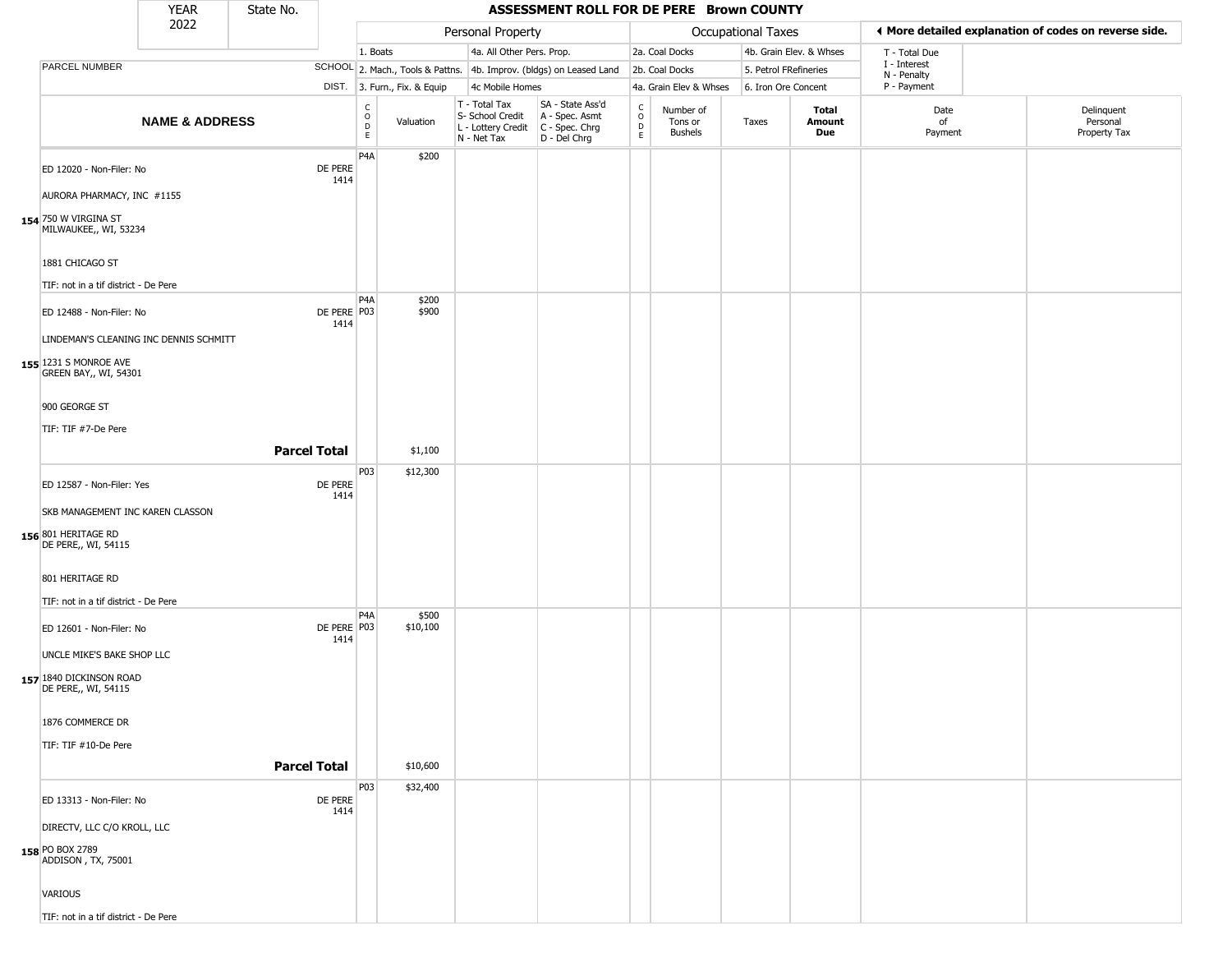|                                                                                          | <b>YEAR</b>               | State No.           |                       |                                          |                              |                                                                        | ASSESSMENT ROLL FOR DE PERE Brown COUNTY                               |                                                                    |                                        |                       |                         |                             |                                                       |
|------------------------------------------------------------------------------------------|---------------------------|---------------------|-----------------------|------------------------------------------|------------------------------|------------------------------------------------------------------------|------------------------------------------------------------------------|--------------------------------------------------------------------|----------------------------------------|-----------------------|-------------------------|-----------------------------|-------------------------------------------------------|
|                                                                                          | 2022                      |                     |                       |                                          |                              | Personal Property                                                      |                                                                        |                                                                    |                                        | Occupational Taxes    |                         |                             | ♦ More detailed explanation of codes on reverse side. |
|                                                                                          |                           |                     |                       | 1. Boats                                 |                              | 4a. All Other Pers. Prop.                                              |                                                                        |                                                                    | 2a. Coal Docks                         |                       | 4b. Grain Elev. & Whses | T - Total Due               |                                                       |
| PARCEL NUMBER                                                                            |                           |                     |                       |                                          |                              |                                                                        | SCHOOL 2. Mach., Tools & Pattns. 4b. Improv. (bldgs) on Leased Land    |                                                                    | 2b. Coal Docks                         | 5. Petrol FRefineries |                         | I - Interest<br>N - Penalty |                                                       |
|                                                                                          |                           |                     |                       |                                          | DIST. 3. Furn., Fix. & Equip | 4c Mobile Homes                                                        |                                                                        |                                                                    | 4a. Grain Elev & Whses                 | 6. Iron Ore Concent   |                         | P - Payment                 |                                                       |
|                                                                                          | <b>NAME &amp; ADDRESS</b> |                     |                       | $\rm _o^C$<br>$\mathsf D$<br>$\mathsf E$ | Valuation                    | T - Total Tax<br>S- School Credit<br>L - Lottery Credit<br>N - Net Tax | SA - State Ass'd<br>A - Spec. Asmt<br>$C - Spec. Chrg$<br>D - Del Chrg | $\begin{smallmatrix} C \\ 0 \\ D \end{smallmatrix}$<br>$\mathsf E$ | Number of<br>Tons or<br><b>Bushels</b> | Taxes                 | Total<br>Amount<br>Due  | Date<br>of<br>Payment       | Delinquent<br>Personal<br>Property Tax                |
| ED 12020 - Non-Filer: No<br>AURORA PHARMACY, INC #1155                                   |                           |                     | DE PERE<br>1414       | P <sub>4</sub> A                         | \$200                        |                                                                        |                                                                        |                                                                    |                                        |                       |                         |                             |                                                       |
| 154 750 W VIRGINA ST<br>MILWAUKEE,, WI, 53234                                            |                           |                     |                       |                                          |                              |                                                                        |                                                                        |                                                                    |                                        |                       |                         |                             |                                                       |
| 1881 CHICAGO ST<br>TIF: not in a tif district - De Pere                                  |                           |                     |                       |                                          |                              |                                                                        |                                                                        |                                                                    |                                        |                       |                         |                             |                                                       |
|                                                                                          |                           |                     |                       | P <sub>4</sub> A                         | \$200<br>\$900               |                                                                        |                                                                        |                                                                    |                                        |                       |                         |                             |                                                       |
| ED 12488 - Non-Filer: No                                                                 |                           |                     | DE PERE P03<br>1414   |                                          |                              |                                                                        |                                                                        |                                                                    |                                        |                       |                         |                             |                                                       |
| LINDEMAN'S CLEANING INC DENNIS SCHMITT<br>155 1231 S MONROE AVE<br>GREEN BAY,, WI, 54301 |                           |                     |                       |                                          |                              |                                                                        |                                                                        |                                                                    |                                        |                       |                         |                             |                                                       |
| 900 GEORGE ST                                                                            |                           |                     |                       |                                          |                              |                                                                        |                                                                        |                                                                    |                                        |                       |                         |                             |                                                       |
| TIF: TIF #7-De Pere                                                                      |                           |                     |                       |                                          |                              |                                                                        |                                                                        |                                                                    |                                        |                       |                         |                             |                                                       |
|                                                                                          |                           | <b>Parcel Total</b> |                       |                                          | \$1,100                      |                                                                        |                                                                        |                                                                    |                                        |                       |                         |                             |                                                       |
| ED 12587 - Non-Filer: Yes                                                                |                           |                     | DE PERE<br>1414       | P03                                      | \$12,300                     |                                                                        |                                                                        |                                                                    |                                        |                       |                         |                             |                                                       |
| SKB MANAGEMENT INC KAREN CLASSON<br>156 801 HERITAGE RD<br>DE PERE,, WI, 54115           |                           |                     |                       |                                          |                              |                                                                        |                                                                        |                                                                    |                                        |                       |                         |                             |                                                       |
| 801 HERITAGE RD<br>TIF: not in a tif district - De Pere                                  |                           |                     |                       |                                          |                              |                                                                        |                                                                        |                                                                    |                                        |                       |                         |                             |                                                       |
| ED 12601 - Non-Filer: No<br>UNCLE MIKE'S BAKE SHOP LLC                                   |                           |                     | DE PERE   P03<br>1414 | P <sub>4</sub> A                         | \$500<br>\$10,100            |                                                                        |                                                                        |                                                                    |                                        |                       |                         |                             |                                                       |
| 157 1840 DICKINSON ROAD<br>DE PERE,, WI, 54115                                           |                           |                     |                       |                                          |                              |                                                                        |                                                                        |                                                                    |                                        |                       |                         |                             |                                                       |
| 1876 COMMERCE DR                                                                         |                           |                     |                       |                                          |                              |                                                                        |                                                                        |                                                                    |                                        |                       |                         |                             |                                                       |
| TIF: TIF #10-De Pere                                                                     |                           |                     |                       |                                          |                              |                                                                        |                                                                        |                                                                    |                                        |                       |                         |                             |                                                       |
|                                                                                          |                           | <b>Parcel Total</b> |                       |                                          | \$10,600                     |                                                                        |                                                                        |                                                                    |                                        |                       |                         |                             |                                                       |
| ED 13313 - Non-Filer: No                                                                 |                           |                     | DE PERE<br>1414       | P03                                      | \$32,400                     |                                                                        |                                                                        |                                                                    |                                        |                       |                         |                             |                                                       |
| DIRECTV, LLC C/O KROLL, LLC<br><b>158</b> PO BOX 2789<br>ADDISON, TX, 75001              |                           |                     |                       |                                          |                              |                                                                        |                                                                        |                                                                    |                                        |                       |                         |                             |                                                       |
| VARIOUS                                                                                  |                           |                     |                       |                                          |                              |                                                                        |                                                                        |                                                                    |                                        |                       |                         |                             |                                                       |
| TIF: not in a tif district - De Pere                                                     |                           |                     |                       |                                          |                              |                                                                        |                                                                        |                                                                    |                                        |                       |                         |                             |                                                       |

TIF: not in a tif district - De Pere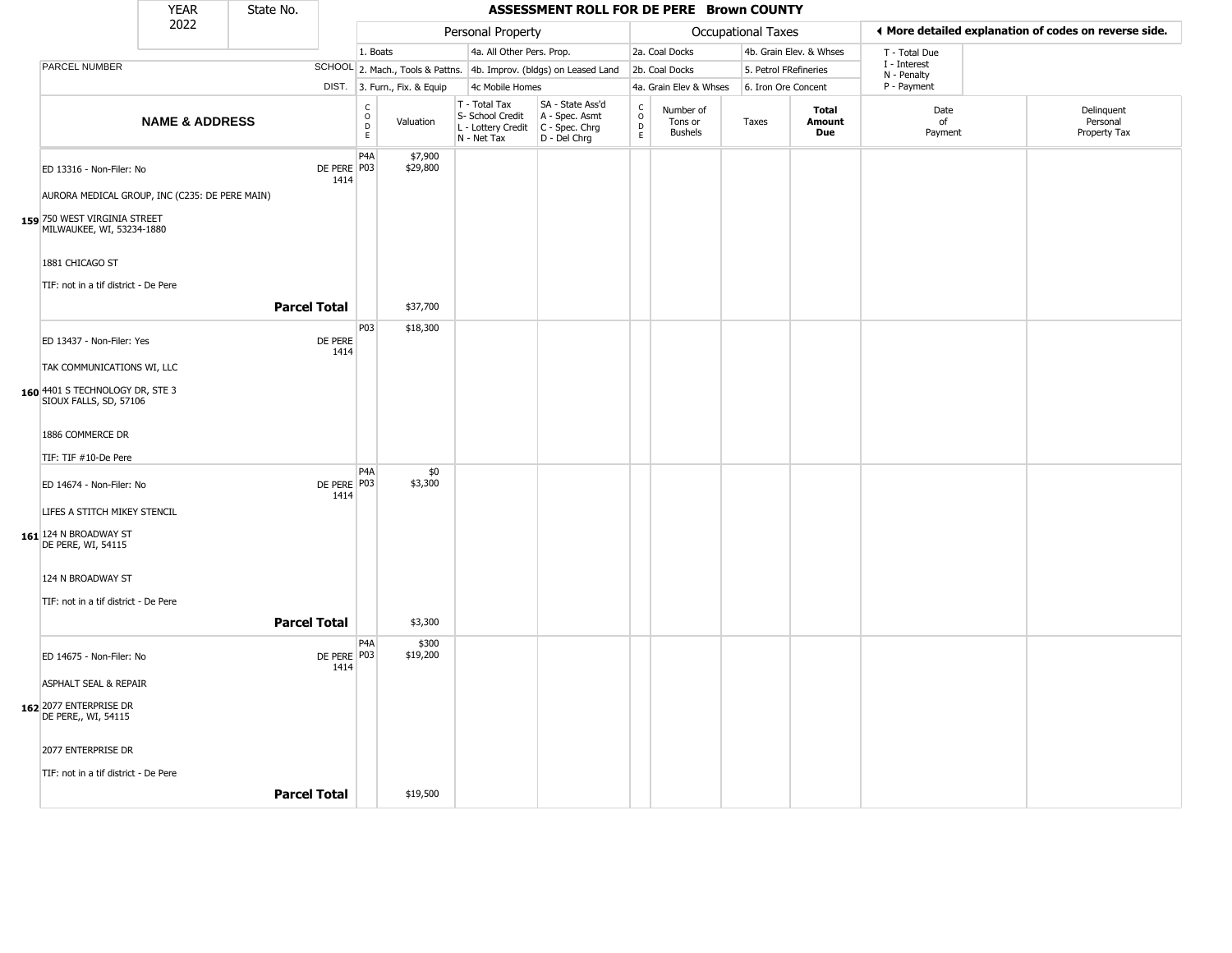|                                                           | <b>YEAR</b>               | State No.           |                       |                                                  |                              |                                                                        | ASSESSMENT ROLL FOR DE PERE Brown COUNTY                             |                                                          |                                        |                           |                         |                             |                                                       |
|-----------------------------------------------------------|---------------------------|---------------------|-----------------------|--------------------------------------------------|------------------------------|------------------------------------------------------------------------|----------------------------------------------------------------------|----------------------------------------------------------|----------------------------------------|---------------------------|-------------------------|-----------------------------|-------------------------------------------------------|
|                                                           | 2022                      |                     |                       |                                                  |                              | Personal Property                                                      |                                                                      |                                                          |                                        | <b>Occupational Taxes</b> |                         |                             | ◀ More detailed explanation of codes on reverse side. |
|                                                           |                           |                     |                       | 1. Boats                                         |                              | 4a. All Other Pers. Prop.                                              |                                                                      |                                                          | 2a. Coal Docks                         |                           | 4b. Grain Elev. & Whses | T - Total Due               |                                                       |
| PARCEL NUMBER                                             |                           |                     |                       |                                                  |                              |                                                                        | SCHOOL 2. Mach., Tools & Pattns. 4b. Improv. (bldgs) on Leased Land  |                                                          | 2b. Coal Docks                         | 5. Petrol FRefineries     |                         | I - Interest<br>N - Penalty |                                                       |
|                                                           |                           |                     |                       |                                                  | DIST. 3. Furn., Fix. & Equip | 4c Mobile Homes                                                        |                                                                      |                                                          | 4a. Grain Elev & Whses                 | 6. Iron Ore Concent       |                         | P - Payment                 |                                                       |
|                                                           | <b>NAME &amp; ADDRESS</b> |                     |                       | $_{\rm o}^{\rm c}$<br>$\mathsf D$<br>$\mathsf E$ | Valuation                    | T - Total Tax<br>S- School Credit<br>L - Lottery Credit<br>N - Net Tax | SA - State Ass'd<br>A - Spec. Asmt<br>C - Spec. Chrg<br>D - Del Chrg | $\begin{matrix} 0 \\ 0 \\ D \end{matrix}$<br>$\mathsf E$ | Number of<br>Tons or<br><b>Bushels</b> | Taxes                     | Total<br>Amount<br>Due  | Date<br>of<br>Payment       | Delinquent<br>Personal<br>Property Tax                |
| ED 13316 - Non-Filer: No                                  |                           |                     | DE PERE P03<br>1414   | P <sub>4</sub> A                                 | \$7,900<br>\$29,800          |                                                                        |                                                                      |                                                          |                                        |                           |                         |                             |                                                       |
| AURORA MEDICAL GROUP, INC (C235: DE PERE MAIN)            |                           |                     |                       |                                                  |                              |                                                                        |                                                                      |                                                          |                                        |                           |                         |                             |                                                       |
| 159 750 WEST VIRGINIA STREET<br>MILWAUKEE, WI, 53234-1880 |                           |                     |                       |                                                  |                              |                                                                        |                                                                      |                                                          |                                        |                           |                         |                             |                                                       |
| 1881 CHICAGO ST                                           |                           |                     |                       |                                                  |                              |                                                                        |                                                                      |                                                          |                                        |                           |                         |                             |                                                       |
| TIF: not in a tif district - De Pere                      |                           |                     |                       |                                                  |                              |                                                                        |                                                                      |                                                          |                                        |                           |                         |                             |                                                       |
|                                                           |                           | <b>Parcel Total</b> |                       |                                                  | \$37,700                     |                                                                        |                                                                      |                                                          |                                        |                           |                         |                             |                                                       |
| ED 13437 - Non-Filer: Yes                                 |                           |                     | DE PERE<br>1414       | P03                                              | \$18,300                     |                                                                        |                                                                      |                                                          |                                        |                           |                         |                             |                                                       |
| TAK COMMUNICATIONS WI, LLC                                |                           |                     |                       |                                                  |                              |                                                                        |                                                                      |                                                          |                                        |                           |                         |                             |                                                       |
| 160 4401 S TECHNOLOGY DR, STE 3<br>SIOUX FALLS, SD, 57106 |                           |                     |                       |                                                  |                              |                                                                        |                                                                      |                                                          |                                        |                           |                         |                             |                                                       |
| 1886 COMMERCE DR                                          |                           |                     |                       |                                                  |                              |                                                                        |                                                                      |                                                          |                                        |                           |                         |                             |                                                       |
| TIF: TIF #10-De Pere                                      |                           |                     |                       |                                                  |                              |                                                                        |                                                                      |                                                          |                                        |                           |                         |                             |                                                       |
| ED 14674 - Non-Filer: No                                  |                           |                     | DE PERE   P03<br>1414 | P4A                                              | \$0<br>\$3,300               |                                                                        |                                                                      |                                                          |                                        |                           |                         |                             |                                                       |
| LIFES A STITCH MIKEY STENCIL                              |                           |                     |                       |                                                  |                              |                                                                        |                                                                      |                                                          |                                        |                           |                         |                             |                                                       |
| 161 124 N BROADWAY ST<br>DE PERE, WI, 54115               |                           |                     |                       |                                                  |                              |                                                                        |                                                                      |                                                          |                                        |                           |                         |                             |                                                       |
| 124 N BROADWAY ST                                         |                           |                     |                       |                                                  |                              |                                                                        |                                                                      |                                                          |                                        |                           |                         |                             |                                                       |
| TIF: not in a tif district - De Pere                      |                           |                     |                       |                                                  |                              |                                                                        |                                                                      |                                                          |                                        |                           |                         |                             |                                                       |
|                                                           |                           | <b>Parcel Total</b> |                       |                                                  | \$3,300                      |                                                                        |                                                                      |                                                          |                                        |                           |                         |                             |                                                       |
| ED 14675 - Non-Filer: No                                  |                           |                     | DE PERE P03<br>1414   | P4A                                              | \$300<br>\$19,200            |                                                                        |                                                                      |                                                          |                                        |                           |                         |                             |                                                       |
| ASPHALT SEAL & REPAIR                                     |                           |                     |                       |                                                  |                              |                                                                        |                                                                      |                                                          |                                        |                           |                         |                             |                                                       |
| 162 2077 ENTERPRISE DR<br>DE PERE,, WI, 54115             |                           |                     |                       |                                                  |                              |                                                                        |                                                                      |                                                          |                                        |                           |                         |                             |                                                       |
| 2077 ENTERPRISE DR                                        |                           |                     |                       |                                                  |                              |                                                                        |                                                                      |                                                          |                                        |                           |                         |                             |                                                       |
| TIF: not in a tif district - De Pere                      |                           |                     |                       |                                                  |                              |                                                                        |                                                                      |                                                          |                                        |                           |                         |                             |                                                       |
|                                                           |                           | <b>Parcel Total</b> |                       |                                                  | \$19,500                     |                                                                        |                                                                      |                                                          |                                        |                           |                         |                             |                                                       |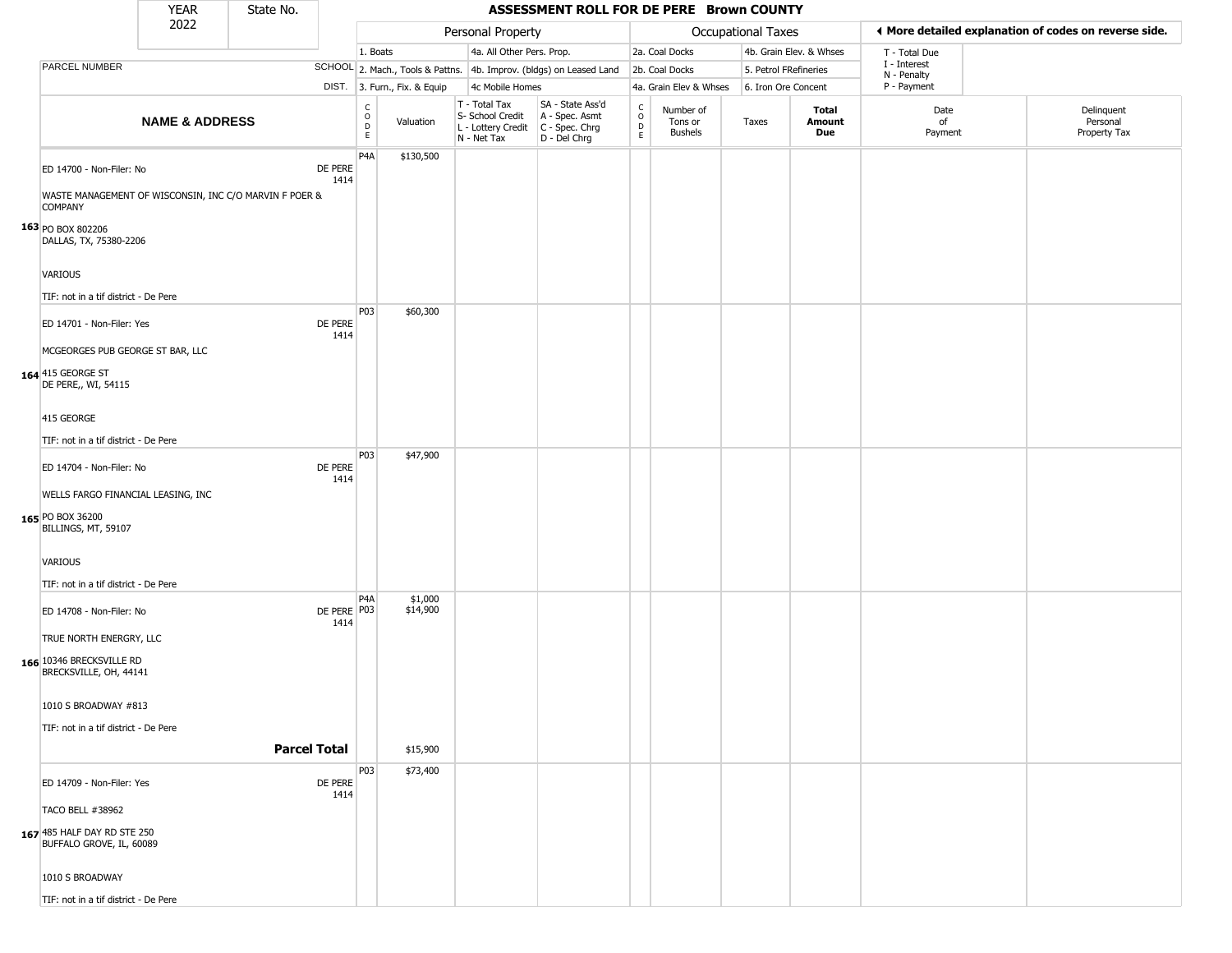|                                                                                                      | <b>YEAR</b>               | State No.           |                     |                                                     |                              |                                                                        | ASSESSMENT ROLL FOR DE PERE Brown COUNTY                             |                                   |                                 |                       |                               |                             |                                                       |
|------------------------------------------------------------------------------------------------------|---------------------------|---------------------|---------------------|-----------------------------------------------------|------------------------------|------------------------------------------------------------------------|----------------------------------------------------------------------|-----------------------------------|---------------------------------|-----------------------|-------------------------------|-----------------------------|-------------------------------------------------------|
|                                                                                                      | 2022                      |                     |                     |                                                     |                              | Personal Property                                                      |                                                                      |                                   |                                 | Occupational Taxes    |                               |                             | ◀ More detailed explanation of codes on reverse side. |
|                                                                                                      |                           |                     |                     | 1. Boats                                            |                              | 4a. All Other Pers. Prop.                                              |                                                                      |                                   | 2a. Coal Docks                  |                       | 4b. Grain Elev. & Whses       | T - Total Due               |                                                       |
| PARCEL NUMBER                                                                                        |                           |                     |                     |                                                     |                              |                                                                        | SCHOOL 2. Mach., Tools & Pattns. 4b. Improv. (bldgs) on Leased Land  |                                   | 2b. Coal Docks                  | 5. Petrol FRefineries |                               | I - Interest<br>N - Penalty |                                                       |
|                                                                                                      |                           |                     |                     |                                                     | DIST. 3. Furn., Fix. & Equip | 4c Mobile Homes                                                        |                                                                      |                                   | 4a. Grain Elev & Whses          | 6. Iron Ore Concent   |                               | P - Payment                 |                                                       |
|                                                                                                      | <b>NAME &amp; ADDRESS</b> |                     |                     | $_{\rm o}^{\rm c}$<br>$\overline{D}$<br>$\mathsf E$ | Valuation                    | T - Total Tax<br>S- School Credit<br>L - Lottery Credit<br>N - Net Tax | SA - State Ass'd<br>A - Spec. Asmt<br>C - Spec. Chrg<br>D - Del Chrg | $\frac{C}{O}$<br>D<br>$\mathsf E$ | Number of<br>Tons or<br>Bushels | Taxes                 | <b>Total</b><br>Amount<br>Due | Date<br>of<br>Payment       | Delinquent<br>Personal<br>Property Tax                |
| ED 14700 - Non-Filer: No<br>WASTE MANAGEMENT OF WISCONSIN, INC C/O MARVIN F POER &<br><b>COMPANY</b> |                           |                     | DE PERE<br>1414     | P <sub>4</sub> A                                    | \$130,500                    |                                                                        |                                                                      |                                   |                                 |                       |                               |                             |                                                       |
| 163 PO BOX 802206<br>DALLAS, TX, 75380-2206                                                          |                           |                     |                     |                                                     |                              |                                                                        |                                                                      |                                   |                                 |                       |                               |                             |                                                       |
| <b>VARIOUS</b><br>TIF: not in a tif district - De Pere                                               |                           |                     |                     |                                                     |                              |                                                                        |                                                                      |                                   |                                 |                       |                               |                             |                                                       |
| ED 14701 - Non-Filer: Yes                                                                            |                           |                     | DE PERE<br>1414     | P03                                                 | \$60,300                     |                                                                        |                                                                      |                                   |                                 |                       |                               |                             |                                                       |
| MCGEORGES PUB GEORGE ST BAR, LLC<br>164 415 GEORGE ST<br>DE PERE,, WI, 54115                         |                           |                     |                     |                                                     |                              |                                                                        |                                                                      |                                   |                                 |                       |                               |                             |                                                       |
| 415 GEORGE                                                                                           |                           |                     |                     |                                                     |                              |                                                                        |                                                                      |                                   |                                 |                       |                               |                             |                                                       |
| TIF: not in a tif district - De Pere                                                                 |                           |                     |                     |                                                     |                              |                                                                        |                                                                      |                                   |                                 |                       |                               |                             |                                                       |
| ED 14704 - Non-Filer: No<br>WELLS FARGO FINANCIAL LEASING, INC                                       |                           |                     | DE PERE<br>1414     | P03                                                 | \$47,900                     |                                                                        |                                                                      |                                   |                                 |                       |                               |                             |                                                       |
| 165 PO BOX 36200<br>BILLINGS, MT, 59107                                                              |                           |                     |                     |                                                     |                              |                                                                        |                                                                      |                                   |                                 |                       |                               |                             |                                                       |
| <b>VARIOUS</b><br>TIF: not in a tif district - De Pere                                               |                           |                     |                     |                                                     |                              |                                                                        |                                                                      |                                   |                                 |                       |                               |                             |                                                       |
|                                                                                                      |                           |                     |                     | P4A                                                 | \$1,000                      |                                                                        |                                                                      |                                   |                                 |                       |                               |                             |                                                       |
| ED 14708 - Non-Filer: No<br>TRUE NORTH ENERGRY, LLC                                                  |                           |                     | DE PERE P03<br>1414 |                                                     | \$14,900                     |                                                                        |                                                                      |                                   |                                 |                       |                               |                             |                                                       |
| 166 10346 BRECKSVILLE RD<br>BRECKSVILLE, OH, 44141                                                   |                           |                     |                     |                                                     |                              |                                                                        |                                                                      |                                   |                                 |                       |                               |                             |                                                       |
| 1010 S BROADWAY #813                                                                                 |                           |                     |                     |                                                     |                              |                                                                        |                                                                      |                                   |                                 |                       |                               |                             |                                                       |
| TIF: not in a tif district - De Pere                                                                 |                           |                     |                     |                                                     |                              |                                                                        |                                                                      |                                   |                                 |                       |                               |                             |                                                       |
|                                                                                                      |                           | <b>Parcel Total</b> |                     |                                                     | \$15,900                     |                                                                        |                                                                      |                                   |                                 |                       |                               |                             |                                                       |
| ED 14709 - Non-Filer: Yes<br>TACO BELL #38962                                                        |                           |                     | DE PERE<br>1414     | P03                                                 | \$73,400                     |                                                                        |                                                                      |                                   |                                 |                       |                               |                             |                                                       |
| 167 485 HALF DAY RD STE 250<br>BUFFALO GROVE, IL, 60089                                              |                           |                     |                     |                                                     |                              |                                                                        |                                                                      |                                   |                                 |                       |                               |                             |                                                       |
| 1010 S BROADWAY                                                                                      |                           |                     |                     |                                                     |                              |                                                                        |                                                                      |                                   |                                 |                       |                               |                             |                                                       |
| TIF: not in a tif district - De Pere                                                                 |                           |                     |                     |                                                     |                              |                                                                        |                                                                      |                                   |                                 |                       |                               |                             |                                                       |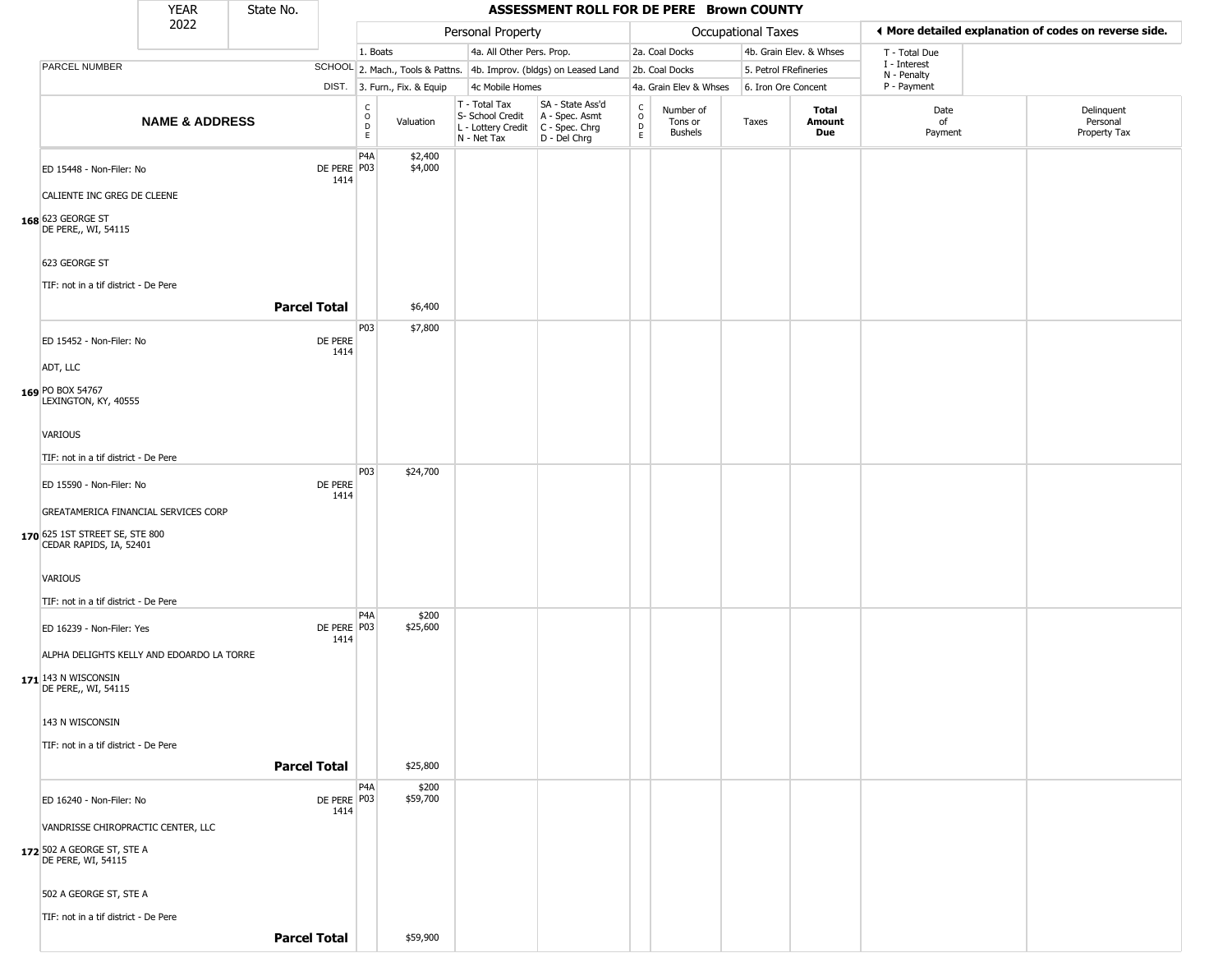|                                                                                                     | <b>YEAR</b>               | State No.           |                     |                         |                              |                                                                          | ASSESSMENT ROLL FOR DE PERE Brown COUNTY                             |                         |                                        |                       |                         |                             |                                                       |
|-----------------------------------------------------------------------------------------------------|---------------------------|---------------------|---------------------|-------------------------|------------------------------|--------------------------------------------------------------------------|----------------------------------------------------------------------|-------------------------|----------------------------------------|-----------------------|-------------------------|-----------------------------|-------------------------------------------------------|
|                                                                                                     | 2022                      |                     |                     |                         |                              | Personal Property                                                        |                                                                      |                         |                                        | Occupational Taxes    |                         |                             | ♦ More detailed explanation of codes on reverse side. |
|                                                                                                     |                           |                     |                     | 1. Boats                |                              | 4a. All Other Pers. Prop.                                                |                                                                      |                         | 2a. Coal Docks                         |                       | 4b. Grain Elev. & Whses | T - Total Due               |                                                       |
| PARCEL NUMBER                                                                                       |                           |                     |                     |                         |                              |                                                                          | SCHOOL 2. Mach., Tools & Pattns. 4b. Improv. (bldgs) on Leased Land  |                         | 2b. Coal Docks                         | 5. Petrol FRefineries |                         | I - Interest<br>N - Penalty |                                                       |
|                                                                                                     |                           |                     |                     |                         | DIST. 3. Furn., Fix. & Equip | 4c Mobile Homes                                                          |                                                                      |                         | 4a. Grain Elev & Whses                 | 6. Iron Ore Concent   |                         | P - Payment                 |                                                       |
|                                                                                                     | <b>NAME &amp; ADDRESS</b> |                     |                     | C<br>$\circ$<br>D<br>E. | Valuation                    | T - Total Tax<br>S- School Credit<br>L - Lottery Credit<br>$N - Net Tax$ | SA - State Ass'd<br>A - Spec. Asmt<br>C - Spec. Chrg<br>D - Del Chrg | $\frac{c}{0}$<br>D<br>E | Number of<br>Tons or<br><b>Bushels</b> | Taxes                 | Total<br>Amount<br>Due  | Date<br>of<br>Payment       | Delinquent<br>Personal<br>Property Tax                |
| ED 15448 - Non-Filer: No<br>CALIENTE INC GREG DE CLEENE<br>168 623 GEORGE ST<br>DE PERE,, WI, 54115 |                           |                     | DE PERE P03<br>1414 | P <sub>4</sub> A        | \$2,400<br>\$4,000           |                                                                          |                                                                      |                         |                                        |                       |                         |                             |                                                       |
| 623 GEORGE ST<br>TIF: not in a tif district - De Pere                                               |                           |                     |                     |                         |                              |                                                                          |                                                                      |                         |                                        |                       |                         |                             |                                                       |
|                                                                                                     |                           | <b>Parcel Total</b> |                     |                         | \$6,400                      |                                                                          |                                                                      |                         |                                        |                       |                         |                             |                                                       |
| ED 15452 - Non-Filer: No                                                                            |                           |                     | DE PERE<br>1414     | P03                     | \$7,800                      |                                                                          |                                                                      |                         |                                        |                       |                         |                             |                                                       |
| ADT, LLC                                                                                            |                           |                     |                     |                         |                              |                                                                          |                                                                      |                         |                                        |                       |                         |                             |                                                       |
| 169 PO BOX 54767<br>LEXINGTON, KY, 40555                                                            |                           |                     |                     |                         |                              |                                                                          |                                                                      |                         |                                        |                       |                         |                             |                                                       |
| <b>VARIOUS</b>                                                                                      |                           |                     |                     |                         |                              |                                                                          |                                                                      |                         |                                        |                       |                         |                             |                                                       |
| TIF: not in a tif district - De Pere                                                                |                           |                     |                     |                         |                              |                                                                          |                                                                      |                         |                                        |                       |                         |                             |                                                       |
|                                                                                                     |                           |                     |                     | P03                     | \$24,700                     |                                                                          |                                                                      |                         |                                        |                       |                         |                             |                                                       |
| ED 15590 - Non-Filer: No                                                                            |                           |                     | DE PERE<br>1414     |                         |                              |                                                                          |                                                                      |                         |                                        |                       |                         |                             |                                                       |
| GREATAMERICA FINANCIAL SERVICES CORP                                                                |                           |                     |                     |                         |                              |                                                                          |                                                                      |                         |                                        |                       |                         |                             |                                                       |
| 170 625 1ST STREET SE, STE 800<br>CEDAR RAPIDS, IA, 52401                                           |                           |                     |                     |                         |                              |                                                                          |                                                                      |                         |                                        |                       |                         |                             |                                                       |
| VARIOUS                                                                                             |                           |                     |                     |                         |                              |                                                                          |                                                                      |                         |                                        |                       |                         |                             |                                                       |
| TIF: not in a tif district - De Pere                                                                |                           |                     |                     |                         |                              |                                                                          |                                                                      |                         |                                        |                       |                         |                             |                                                       |
|                                                                                                     |                           |                     |                     | P <sub>4</sub> A        | \$200                        |                                                                          |                                                                      |                         |                                        |                       |                         |                             |                                                       |
| ED 16239 - Non-Filer: Yes                                                                           |                           |                     | DE PERE P03<br>1414 |                         | \$25,600                     |                                                                          |                                                                      |                         |                                        |                       |                         |                             |                                                       |
| ALPHA DELIGHTS KELLY AND EDOARDO LA TORRE                                                           |                           |                     |                     |                         |                              |                                                                          |                                                                      |                         |                                        |                       |                         |                             |                                                       |
| $171$ <sup>143</sup> N WISCONSIN<br>DE PERE,, WI, 54115                                             |                           |                     |                     |                         |                              |                                                                          |                                                                      |                         |                                        |                       |                         |                             |                                                       |
| 143 N WISCONSIN                                                                                     |                           |                     |                     |                         |                              |                                                                          |                                                                      |                         |                                        |                       |                         |                             |                                                       |
| TIF: not in a tif district - De Pere                                                                |                           |                     |                     |                         |                              |                                                                          |                                                                      |                         |                                        |                       |                         |                             |                                                       |
|                                                                                                     |                           |                     |                     |                         |                              |                                                                          |                                                                      |                         |                                        |                       |                         |                             |                                                       |
|                                                                                                     |                           | <b>Parcel Total</b> |                     |                         | \$25,800                     |                                                                          |                                                                      |                         |                                        |                       |                         |                             |                                                       |
| ED 16240 - Non-Filer: No                                                                            |                           |                     | DE PERE P03<br>1414 | P <sub>4</sub> A        | \$200<br>\$59,700            |                                                                          |                                                                      |                         |                                        |                       |                         |                             |                                                       |
| VANDRISSE CHIROPRACTIC CENTER, LLC                                                                  |                           |                     |                     |                         |                              |                                                                          |                                                                      |                         |                                        |                       |                         |                             |                                                       |
| 172 502 A GEORGE ST, STE A<br><b>DE PERE, WI, 54115</b>                                             |                           |                     |                     |                         |                              |                                                                          |                                                                      |                         |                                        |                       |                         |                             |                                                       |
| 502 A GEORGE ST, STE A                                                                              |                           |                     |                     |                         |                              |                                                                          |                                                                      |                         |                                        |                       |                         |                             |                                                       |
| TIF: not in a tif district - De Pere                                                                |                           |                     |                     |                         |                              |                                                                          |                                                                      |                         |                                        |                       |                         |                             |                                                       |
|                                                                                                     |                           | <b>Parcel Total</b> |                     |                         | \$59,900                     |                                                                          |                                                                      |                         |                                        |                       |                         |                             |                                                       |
|                                                                                                     |                           |                     |                     |                         |                              |                                                                          |                                                                      |                         |                                        |                       |                         |                             |                                                       |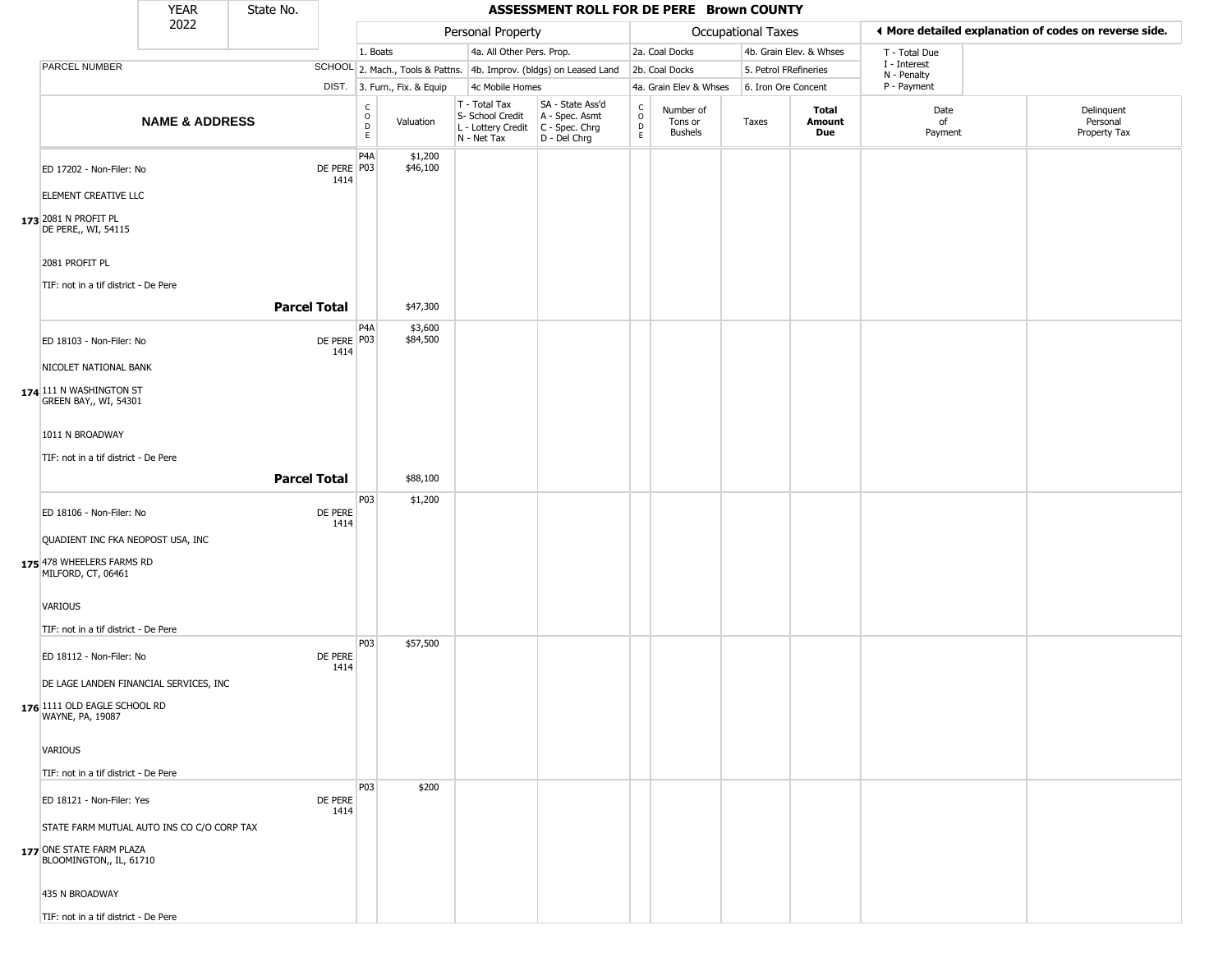|                                                                                                   | <b>YEAR</b>               | State No.           |                     |                                             |                              |                                                                        | ASSESSMENT ROLL FOR DE PERE Brown COUNTY                             |                                                  |                                        |                       |                         |                             |                                                       |
|---------------------------------------------------------------------------------------------------|---------------------------|---------------------|---------------------|---------------------------------------------|------------------------------|------------------------------------------------------------------------|----------------------------------------------------------------------|--------------------------------------------------|----------------------------------------|-----------------------|-------------------------|-----------------------------|-------------------------------------------------------|
|                                                                                                   | 2022                      |                     |                     |                                             |                              | Personal Property                                                      |                                                                      |                                                  |                                        | Occupational Taxes    |                         |                             | ♦ More detailed explanation of codes on reverse side. |
|                                                                                                   |                           |                     |                     | 1. Boats                                    |                              | 4a. All Other Pers. Prop.                                              |                                                                      |                                                  | 2a. Coal Docks                         |                       | 4b. Grain Elev. & Whses | T - Total Due               |                                                       |
| PARCEL NUMBER                                                                                     |                           |                     |                     |                                             |                              |                                                                        | SCHOOL 2. Mach., Tools & Pattns. 4b. Improv. (bldgs) on Leased Land  |                                                  | 2b. Coal Docks                         | 5. Petrol FRefineries |                         | I - Interest<br>N - Penalty |                                                       |
|                                                                                                   |                           |                     |                     |                                             | DIST. 3. Furn., Fix. & Equip | 4c Mobile Homes                                                        |                                                                      |                                                  | 4a. Grain Elev & Whses                 | 6. Iron Ore Concent   |                         | P - Payment                 |                                                       |
|                                                                                                   | <b>NAME &amp; ADDRESS</b> |                     |                     | $_{\rm o}^{\rm c}$<br>$\mathsf D$<br>$\,$ E | Valuation                    | T - Total Tax<br>S- School Credit<br>L - Lottery Credit<br>N - Net Tax | SA - State Ass'd<br>A - Spec. Asmt<br>C - Spec. Chrg<br>D - Del Chrg | $_{\rm o}^{\rm c}$<br>$\mathsf D$<br>$\mathsf E$ | Number of<br>Tons or<br><b>Bushels</b> | Taxes                 | Total<br>Amount<br>Due  | Date<br>of<br>Payment       | Delinquent<br>Personal<br>Property Tax                |
| ED 17202 - Non-Filer: No                                                                          |                           |                     | DE PERE P03<br>1414 | P <sub>4</sub> A                            | \$1,200<br>\$46,100          |                                                                        |                                                                      |                                                  |                                        |                       |                         |                             |                                                       |
| ELEMENT CREATIVE LLC                                                                              |                           |                     |                     |                                             |                              |                                                                        |                                                                      |                                                  |                                        |                       |                         |                             |                                                       |
| 173 2081 N PROFIT PL<br>DE PERE,, WI, 54115                                                       |                           |                     |                     |                                             |                              |                                                                        |                                                                      |                                                  |                                        |                       |                         |                             |                                                       |
| 2081 PROFIT PL<br>TIF: not in a tif district - De Pere                                            |                           |                     |                     |                                             |                              |                                                                        |                                                                      |                                                  |                                        |                       |                         |                             |                                                       |
|                                                                                                   |                           | <b>Parcel Total</b> |                     |                                             | \$47,300                     |                                                                        |                                                                      |                                                  |                                        |                       |                         |                             |                                                       |
| ED 18103 - Non-Filer: No                                                                          |                           |                     | DE PERE P03<br>1414 | P4A                                         | \$3,600<br>\$84,500          |                                                                        |                                                                      |                                                  |                                        |                       |                         |                             |                                                       |
| NICOLET NATIONAL BANK                                                                             |                           |                     |                     |                                             |                              |                                                                        |                                                                      |                                                  |                                        |                       |                         |                             |                                                       |
| 174 111 N WASHINGTON ST<br>GREEN BAY,, WI, 54301                                                  |                           |                     |                     |                                             |                              |                                                                        |                                                                      |                                                  |                                        |                       |                         |                             |                                                       |
| 1011 N BROADWAY                                                                                   |                           |                     |                     |                                             |                              |                                                                        |                                                                      |                                                  |                                        |                       |                         |                             |                                                       |
| TIF: not in a tif district - De Pere                                                              |                           |                     |                     |                                             |                              |                                                                        |                                                                      |                                                  |                                        |                       |                         |                             |                                                       |
|                                                                                                   |                           | <b>Parcel Total</b> |                     |                                             | \$88,100                     |                                                                        |                                                                      |                                                  |                                        |                       |                         |                             |                                                       |
| ED 18106 - Non-Filer: No                                                                          |                           |                     | DE PERE<br>1414     | P03                                         | \$1,200                      |                                                                        |                                                                      |                                                  |                                        |                       |                         |                             |                                                       |
| QUADIENT INC FKA NEOPOST USA, INC<br>175 478 WHEELERS FARMS RD<br>MILFORD, CT, 06461              |                           |                     |                     |                                             |                              |                                                                        |                                                                      |                                                  |                                        |                       |                         |                             |                                                       |
| VARIOUS                                                                                           |                           |                     |                     |                                             |                              |                                                                        |                                                                      |                                                  |                                        |                       |                         |                             |                                                       |
| TIF: not in a tif district - De Pere                                                              |                           |                     |                     | P03                                         | \$57,500                     |                                                                        |                                                                      |                                                  |                                        |                       |                         |                             |                                                       |
| ED 18112 - Non-Filer: No<br>DE LAGE LANDEN FINANCIAL SERVICES, INC                                |                           |                     | DE PERE<br>1414     |                                             |                              |                                                                        |                                                                      |                                                  |                                        |                       |                         |                             |                                                       |
| 176 1111 OLD EAGLE SCHOOL RD<br>WAYNE, PA, 19087                                                  |                           |                     |                     |                                             |                              |                                                                        |                                                                      |                                                  |                                        |                       |                         |                             |                                                       |
| VARIOUS                                                                                           |                           |                     |                     |                                             |                              |                                                                        |                                                                      |                                                  |                                        |                       |                         |                             |                                                       |
| TIF: not in a tif district - De Pere                                                              |                           |                     |                     |                                             |                              |                                                                        |                                                                      |                                                  |                                        |                       |                         |                             |                                                       |
| ED 18121 - Non-Filer: Yes                                                                         |                           |                     | DE PERE<br>1414     | P03                                         | \$200                        |                                                                        |                                                                      |                                                  |                                        |                       |                         |                             |                                                       |
| STATE FARM MUTUAL AUTO INS CO C/O CORP TAX<br>177 ONE STATE FARM PLAZA<br>BLOOMINGTON,, IL, 61710 |                           |                     |                     |                                             |                              |                                                                        |                                                                      |                                                  |                                        |                       |                         |                             |                                                       |
| 435 N BROADWAY                                                                                    |                           |                     |                     |                                             |                              |                                                                        |                                                                      |                                                  |                                        |                       |                         |                             |                                                       |
| TIF: not in a tif district - De Pere                                                              |                           |                     |                     |                                             |                              |                                                                        |                                                                      |                                                  |                                        |                       |                         |                             |                                                       |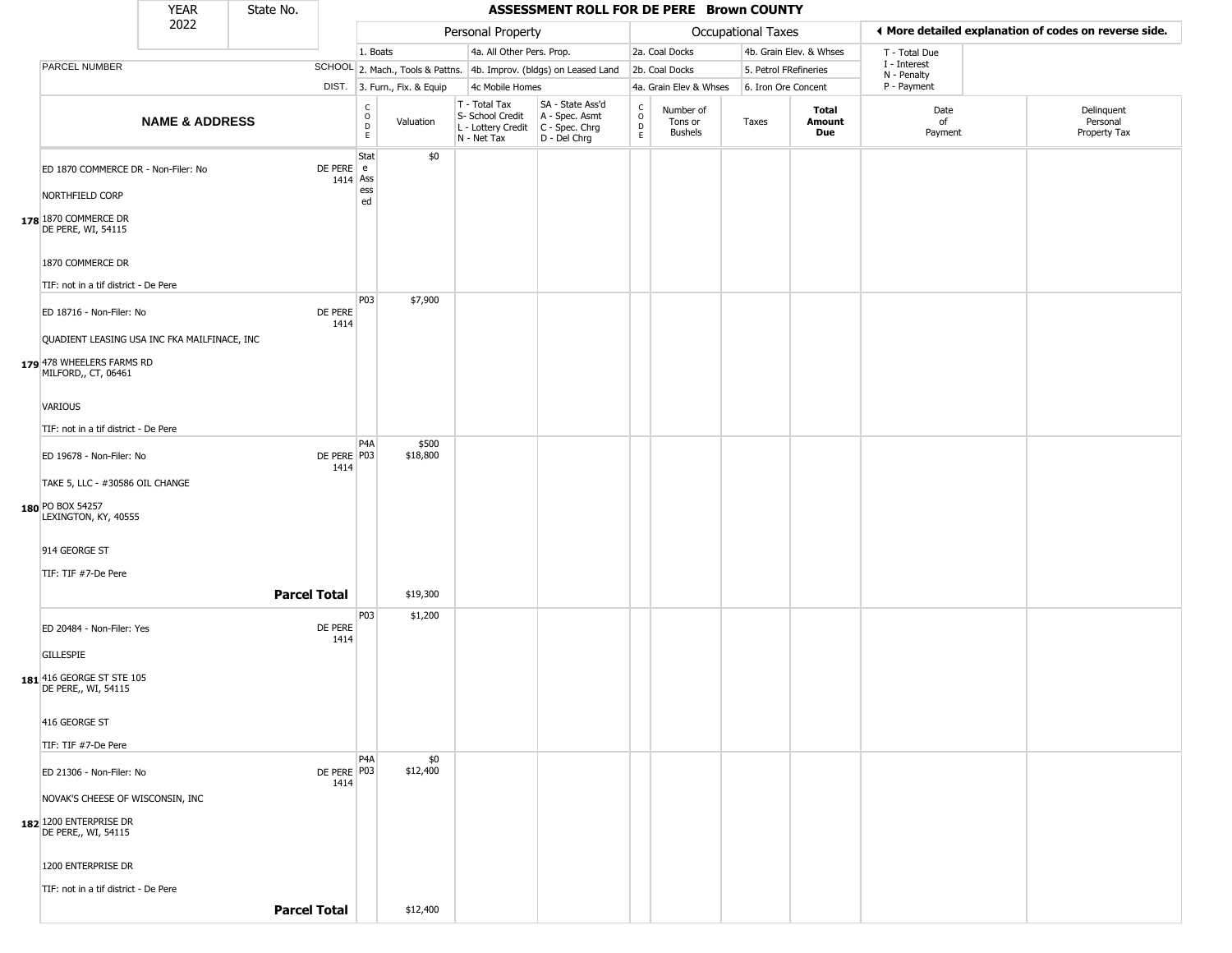|                                                                                                                          | <b>YEAR</b>               | State No.           |                         |                                             |                              |                                                                        | ASSESSMENT ROLL FOR DE PERE Brown COUNTY                               |                                              |                                        |                       |                         |                             |                                                       |
|--------------------------------------------------------------------------------------------------------------------------|---------------------------|---------------------|-------------------------|---------------------------------------------|------------------------------|------------------------------------------------------------------------|------------------------------------------------------------------------|----------------------------------------------|----------------------------------------|-----------------------|-------------------------|-----------------------------|-------------------------------------------------------|
|                                                                                                                          | 2022                      |                     |                         |                                             |                              | Personal Property                                                      |                                                                        |                                              |                                        | Occupational Taxes    |                         |                             | ◀ More detailed explanation of codes on reverse side. |
|                                                                                                                          |                           |                     |                         | 1. Boats                                    |                              | 4a. All Other Pers. Prop.                                              |                                                                        |                                              | 2a. Coal Docks                         |                       | 4b. Grain Elev. & Whses | T - Total Due               |                                                       |
| PARCEL NUMBER                                                                                                            |                           |                     |                         |                                             |                              |                                                                        | SCHOOL 2. Mach., Tools & Pattns. 4b. Improv. (bldgs) on Leased Land    |                                              | 2b. Coal Docks                         | 5. Petrol FRefineries |                         | I - Interest<br>N - Penalty |                                                       |
|                                                                                                                          |                           |                     |                         |                                             | DIST. 3. Furn., Fix. & Equip | 4c Mobile Homes                                                        |                                                                        |                                              | 4a. Grain Elev & Whses                 | 6. Iron Ore Concent   |                         | P - Payment                 |                                                       |
|                                                                                                                          | <b>NAME &amp; ADDRESS</b> |                     |                         | $\frac{c}{0}$<br>$\mathsf D$<br>$\mathsf E$ | Valuation                    | T - Total Tax<br>S- School Credit<br>L - Lottery Credit<br>N - Net Tax | SA - State Ass'd<br>A - Spec. Asmt<br>$C - Spec. Chrg$<br>D - Del Chrg | $\begin{array}{c}\nC \\ D \\ E\n\end{array}$ | Number of<br>Tons or<br><b>Bushels</b> | Taxes                 | Total<br>Amount<br>Due  | Date<br>of<br>Payment       | Delinquent<br>Personal<br>Property Tax                |
| ED 1870 COMMERCE DR - Non-Filer: No<br>NORTHFIELD CORP<br>178 1870 COMMERCE DR<br>DE PERE, WI, 54115<br>1870 COMMERCE DR |                           |                     | DE PERE e<br>$1414$ Ass | Stat<br>ess<br>ed                           | \$0                          |                                                                        |                                                                        |                                              |                                        |                       |                         |                             |                                                       |
| TIF: not in a tif district - De Pere                                                                                     |                           |                     |                         | P03                                         | \$7,900                      |                                                                        |                                                                        |                                              |                                        |                       |                         |                             |                                                       |
| ED 18716 - Non-Filer: No<br>QUADIENT LEASING USA INC FKA MAILFINACE, INC<br>179 478 WHEELERS FARMS RD                    |                           |                     | DE PERE<br>1414         |                                             |                              |                                                                        |                                                                        |                                              |                                        |                       |                         |                             |                                                       |
| MILFORD,, CT, 06461<br>VARIOUS<br>TIF: not in a tif district - De Pere                                                   |                           |                     |                         |                                             |                              |                                                                        |                                                                        |                                              |                                        |                       |                         |                             |                                                       |
| ED 19678 - Non-Filer: No<br>TAKE 5, LLC - #30586 OIL CHANGE<br>180 PO BOX 54257<br>LEXINGTON, KY, 40555                  |                           |                     | DE PERE P03<br>1414     | P4A                                         | \$500<br>\$18,800            |                                                                        |                                                                        |                                              |                                        |                       |                         |                             |                                                       |
| 914 GEORGE ST<br>TIF: TIF #7-De Pere                                                                                     |                           | <b>Parcel Total</b> |                         |                                             | \$19,300                     |                                                                        |                                                                        |                                              |                                        |                       |                         |                             |                                                       |
| ED 20484 - Non-Filer: Yes<br>GILLESPIE<br>181 416 GEORGE ST STE 105                                                      |                           |                     | DE PERE<br>1414         | P03                                         | \$1,200                      |                                                                        |                                                                        |                                              |                                        |                       |                         |                             |                                                       |
| DE PERE,, WI, 54115<br>416 GEORGE ST<br>TIF: TIF #7-De Pere                                                              |                           |                     |                         |                                             |                              |                                                                        |                                                                        |                                              |                                        |                       |                         |                             |                                                       |
| ED 21306 - Non-Filer: No<br>NOVAK'S CHEESE OF WISCONSIN, INC                                                             |                           |                     | DE PERE P03<br>1414     | P4A                                         | \$0<br>\$12,400              |                                                                        |                                                                        |                                              |                                        |                       |                         |                             |                                                       |
| 182 1200 ENTERPRISE DR<br>DE PERE,, WI, 54115<br>1200 ENTERPRISE DR<br>TIF: not in a tif district - De Pere              |                           | <b>Parcel Total</b> |                         |                                             | \$12,400                     |                                                                        |                                                                        |                                              |                                        |                       |                         |                             |                                                       |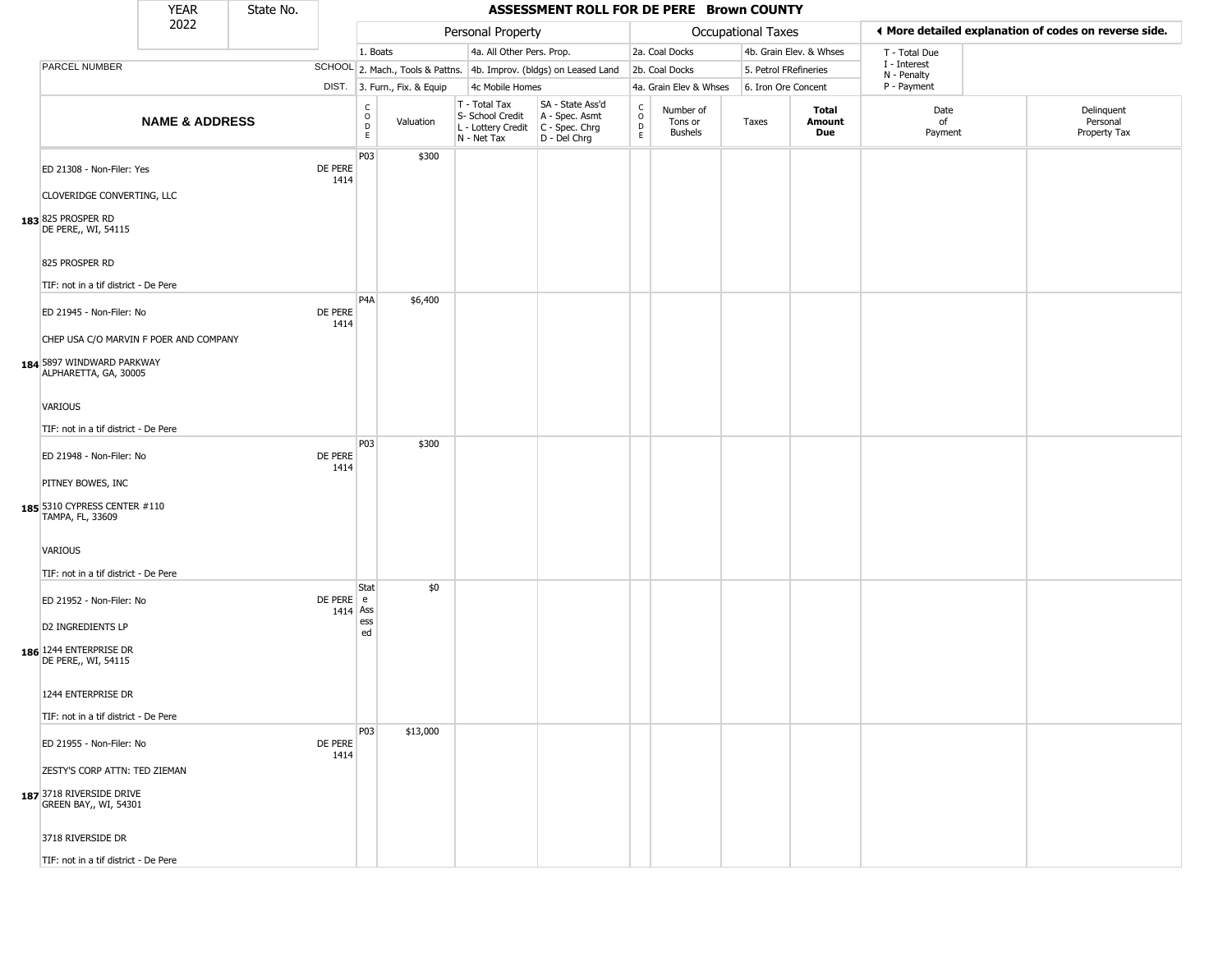|                                                                                                                          | <b>YEAR</b>               | State No. |                         |                                |                              |                                                                                       | ASSESSMENT ROLL FOR DE PERE Brown COUNTY                            |                                            |                                        |                       |                         |                             |                                                       |
|--------------------------------------------------------------------------------------------------------------------------|---------------------------|-----------|-------------------------|--------------------------------|------------------------------|---------------------------------------------------------------------------------------|---------------------------------------------------------------------|--------------------------------------------|----------------------------------------|-----------------------|-------------------------|-----------------------------|-------------------------------------------------------|
|                                                                                                                          | 2022                      |           |                         |                                |                              | Personal Property                                                                     |                                                                     |                                            |                                        | Occupational Taxes    |                         |                             | ◀ More detailed explanation of codes on reverse side. |
|                                                                                                                          |                           |           |                         | 1. Boats                       |                              | 4a. All Other Pers. Prop.                                                             |                                                                     |                                            | 2a. Coal Docks                         |                       | 4b. Grain Elev. & Whses | T - Total Due               |                                                       |
| PARCEL NUMBER                                                                                                            |                           |           |                         |                                |                              |                                                                                       | SCHOOL 2. Mach., Tools & Pattns. 4b. Improv. (bldgs) on Leased Land |                                            | 2b. Coal Docks                         | 5. Petrol FRefineries |                         | I - Interest<br>N - Penalty |                                                       |
|                                                                                                                          |                           |           |                         |                                | DIST. 3. Furn., Fix. & Equip | 4c Mobile Homes                                                                       |                                                                     |                                            | 4a. Grain Elev & Whses                 | 6. Iron Ore Concent   |                         | P - Payment                 |                                                       |
|                                                                                                                          | <b>NAME &amp; ADDRESS</b> |           |                         | $\rm _o^C$<br>$\mathsf D$<br>E | Valuation                    | T - Total Tax<br>S- School Credit<br>L - Lottery Credit C - Spec. Chrg<br>N - Net Tax | SA - State Ass'd<br>A - Spec. Asmt<br>D - Del Chrg                  | $\mathsf C$<br>$\circ$<br>D<br>$\mathsf E$ | Number of<br>Tons or<br><b>Bushels</b> | Taxes                 | Total<br>Amount<br>Due  | Date<br>of<br>Payment       | Delinquent<br>Personal<br>Property Tax                |
| ED 21308 - Non-Filer: Yes<br>CLOVERIDGE CONVERTING, LLC<br>183 825 PROSPER RD                                            |                           |           | DE PERE<br>1414         | P03                            | \$300                        |                                                                                       |                                                                     |                                            |                                        |                       |                         |                             |                                                       |
| DE PERE,, WI, 54115<br>825 PROSPER RD<br>TIF: not in a tif district - De Pere                                            |                           |           |                         | P4A                            | \$6,400                      |                                                                                       |                                                                     |                                            |                                        |                       |                         |                             |                                                       |
| ED 21945 - Non-Filer: No<br>CHEP USA C/O MARVIN F POER AND COMPANY<br>184 5897 WINDWARD PARKWAY<br>ALPHARETTA, GA, 30005 |                           |           | DE PERE<br>1414         |                                |                              |                                                                                       |                                                                     |                                            |                                        |                       |                         |                             |                                                       |
| <b>VARIOUS</b><br>TIF: not in a tif district - De Pere                                                                   |                           |           |                         |                                |                              |                                                                                       |                                                                     |                                            |                                        |                       |                         |                             |                                                       |
| ED 21948 - Non-Filer: No<br>PITNEY BOWES, INC<br>185 5310 CYPRESS CENTER #110<br>TAMPA, FL, 33609                        |                           |           | DE PERE<br>1414         | P03                            | \$300                        |                                                                                       |                                                                     |                                            |                                        |                       |                         |                             |                                                       |
| VARIOUS<br>TIF: not in a tif district - De Pere                                                                          |                           |           |                         |                                |                              |                                                                                       |                                                                     |                                            |                                        |                       |                         |                             |                                                       |
| ED 21952 - Non-Filer: No<br>D2 INGREDIENTS LP<br>186 1244 ENTERPRISE DR<br>DE PERE,, WI, 54115                           |                           |           | DE PERE e<br>$1414$ Ass | Stat<br>ess<br>ed              | \$0                          |                                                                                       |                                                                     |                                            |                                        |                       |                         |                             |                                                       |
| 1244 ENTERPRISE DR<br>TIF: not in a tif district - De Pere                                                               |                           |           |                         |                                |                              |                                                                                       |                                                                     |                                            |                                        |                       |                         |                             |                                                       |
| ED 21955 - Non-Filer: No                                                                                                 |                           |           | DE PERE<br>1414         | P03                            | \$13,000                     |                                                                                       |                                                                     |                                            |                                        |                       |                         |                             |                                                       |
| ZESTY'S CORP ATTN: TED ZIEMAN<br>187 3718 RIVERSIDE DRIVE<br>GREEN BAY,, WI, 54301                                       |                           |           |                         |                                |                              |                                                                                       |                                                                     |                                            |                                        |                       |                         |                             |                                                       |
| 3718 RIVERSIDE DR                                                                                                        |                           |           |                         |                                |                              |                                                                                       |                                                                     |                                            |                                        |                       |                         |                             |                                                       |
| TIF: not in a tif district - De Pere                                                                                     |                           |           |                         |                                |                              |                                                                                       |                                                                     |                                            |                                        |                       |                         |                             |                                                       |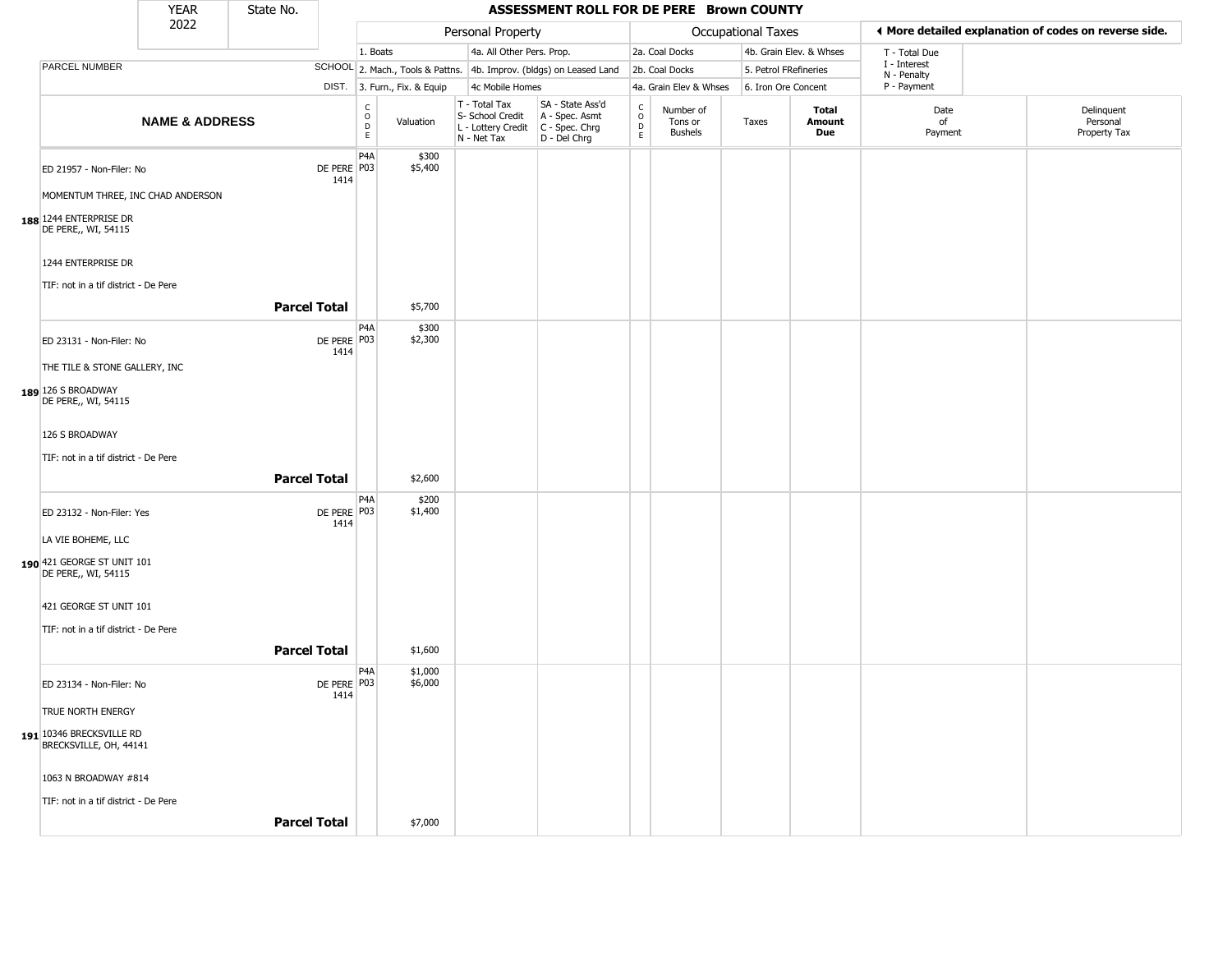|                                                               | <b>YEAR</b>               | State No.           |                     |                                                                     |                                                                          | ASSESSMENT ROLL FOR DE PERE Brown COUNTY                               |                                           |                                        |                       |                         |                             |                                                       |
|---------------------------------------------------------------|---------------------------|---------------------|---------------------|---------------------------------------------------------------------|--------------------------------------------------------------------------|------------------------------------------------------------------------|-------------------------------------------|----------------------------------------|-----------------------|-------------------------|-----------------------------|-------------------------------------------------------|
|                                                               | 2022                      |                     |                     |                                                                     | Personal Property                                                        |                                                                        |                                           |                                        | Occupational Taxes    |                         |                             | ◀ More detailed explanation of codes on reverse side. |
|                                                               |                           |                     |                     | 1. Boats                                                            | 4a. All Other Pers. Prop.                                                |                                                                        |                                           | 2a. Coal Docks                         |                       | 4b. Grain Elev. & Whses | T - Total Due               |                                                       |
| PARCEL NUMBER                                                 |                           |                     |                     |                                                                     |                                                                          | SCHOOL 2. Mach., Tools & Pattns. 4b. Improv. (bldgs) on Leased Land    |                                           | 2b. Coal Docks                         | 5. Petrol FRefineries |                         | I - Interest<br>N - Penalty |                                                       |
|                                                               |                           |                     |                     | DIST. 3. Furn., Fix. & Equip                                        | 4c Mobile Homes                                                          |                                                                        |                                           | 4a. Grain Elev & Whses                 | 6. Iron Ore Concent   |                         | P - Payment                 |                                                       |
|                                                               | <b>NAME &amp; ADDRESS</b> |                     |                     | $\begin{smallmatrix} C\\ O\\ D \end{smallmatrix}$<br>Valuation<br>E | $T - Total Tax$<br>S- School Credit<br>L - Lottery Credit<br>N - Net Tax | SA - State Ass'd<br>A - Spec. Asmt<br>$C - Spec. Chrg$<br>D - Del Chrg | c<br>$\circ$<br>$\mathsf{D}_{\mathsf{E}}$ | Number of<br>Tons or<br><b>Bushels</b> | Taxes                 | Total<br>Amount<br>Due  | Date<br>of<br>Payment       | Delinquent<br>Personal<br>Property Tax                |
| ED 21957 - Non-Filer: No<br>MOMENTUM THREE, INC CHAD ANDERSON |                           |                     | DE PERE P03<br>1414 | P4A<br>\$300<br>\$5,400                                             |                                                                          |                                                                        |                                           |                                        |                       |                         |                             |                                                       |
| 188 1244 ENTERPRISE DR<br>DE PERE,, WI, 54115                 |                           |                     |                     |                                                                     |                                                                          |                                                                        |                                           |                                        |                       |                         |                             |                                                       |
| 1244 ENTERPRISE DR                                            |                           |                     |                     |                                                                     |                                                                          |                                                                        |                                           |                                        |                       |                         |                             |                                                       |
| TIF: not in a tif district - De Pere                          |                           | <b>Parcel Total</b> |                     | \$5,700                                                             |                                                                          |                                                                        |                                           |                                        |                       |                         |                             |                                                       |
| ED 23131 - Non-Filer: No                                      |                           |                     | DE PERE P03<br>1414 | P <sub>4</sub> A<br>\$300<br>\$2,300                                |                                                                          |                                                                        |                                           |                                        |                       |                         |                             |                                                       |
| THE TILE & STONE GALLERY, INC                                 |                           |                     |                     |                                                                     |                                                                          |                                                                        |                                           |                                        |                       |                         |                             |                                                       |
| 189 126 S BROADWAY<br>DE PERE,, WI, 54115                     |                           |                     |                     |                                                                     |                                                                          |                                                                        |                                           |                                        |                       |                         |                             |                                                       |
| 126 S BROADWAY                                                |                           |                     |                     |                                                                     |                                                                          |                                                                        |                                           |                                        |                       |                         |                             |                                                       |
| TIF: not in a tif district - De Pere                          |                           | <b>Parcel Total</b> |                     | \$2,600                                                             |                                                                          |                                                                        |                                           |                                        |                       |                         |                             |                                                       |
| ED 23132 - Non-Filer: Yes                                     |                           |                     | DE PERE P03         | P <sub>4</sub> A<br>\$200<br>\$1,400                                |                                                                          |                                                                        |                                           |                                        |                       |                         |                             |                                                       |
| LA VIE BOHEME, LLC                                            |                           |                     | 1414                |                                                                     |                                                                          |                                                                        |                                           |                                        |                       |                         |                             |                                                       |
| 190 421 GEORGE ST UNIT 101<br>DE PERE,, WI, 54115             |                           |                     |                     |                                                                     |                                                                          |                                                                        |                                           |                                        |                       |                         |                             |                                                       |
| 421 GEORGE ST UNIT 101                                        |                           |                     |                     |                                                                     |                                                                          |                                                                        |                                           |                                        |                       |                         |                             |                                                       |
| TIF: not in a tif district - De Pere                          |                           | <b>Parcel Total</b> |                     | \$1,600                                                             |                                                                          |                                                                        |                                           |                                        |                       |                         |                             |                                                       |
| ED 23134 - Non-Filer: No                                      |                           |                     | DE PERE P03<br>1414 | P <sub>4</sub> A<br>\$1,000<br>\$6,000                              |                                                                          |                                                                        |                                           |                                        |                       |                         |                             |                                                       |
| TRUE NORTH ENERGY                                             |                           |                     |                     |                                                                     |                                                                          |                                                                        |                                           |                                        |                       |                         |                             |                                                       |
| 191 10346 BRECKSVILLE RD<br>BRECKSVILLE, OH, 44141            |                           |                     |                     |                                                                     |                                                                          |                                                                        |                                           |                                        |                       |                         |                             |                                                       |
| 1063 N BROADWAY #814                                          |                           |                     |                     |                                                                     |                                                                          |                                                                        |                                           |                                        |                       |                         |                             |                                                       |
| TIF: not in a tif district - De Pere                          |                           | <b>Parcel Total</b> |                     | \$7,000                                                             |                                                                          |                                                                        |                                           |                                        |                       |                         |                             |                                                       |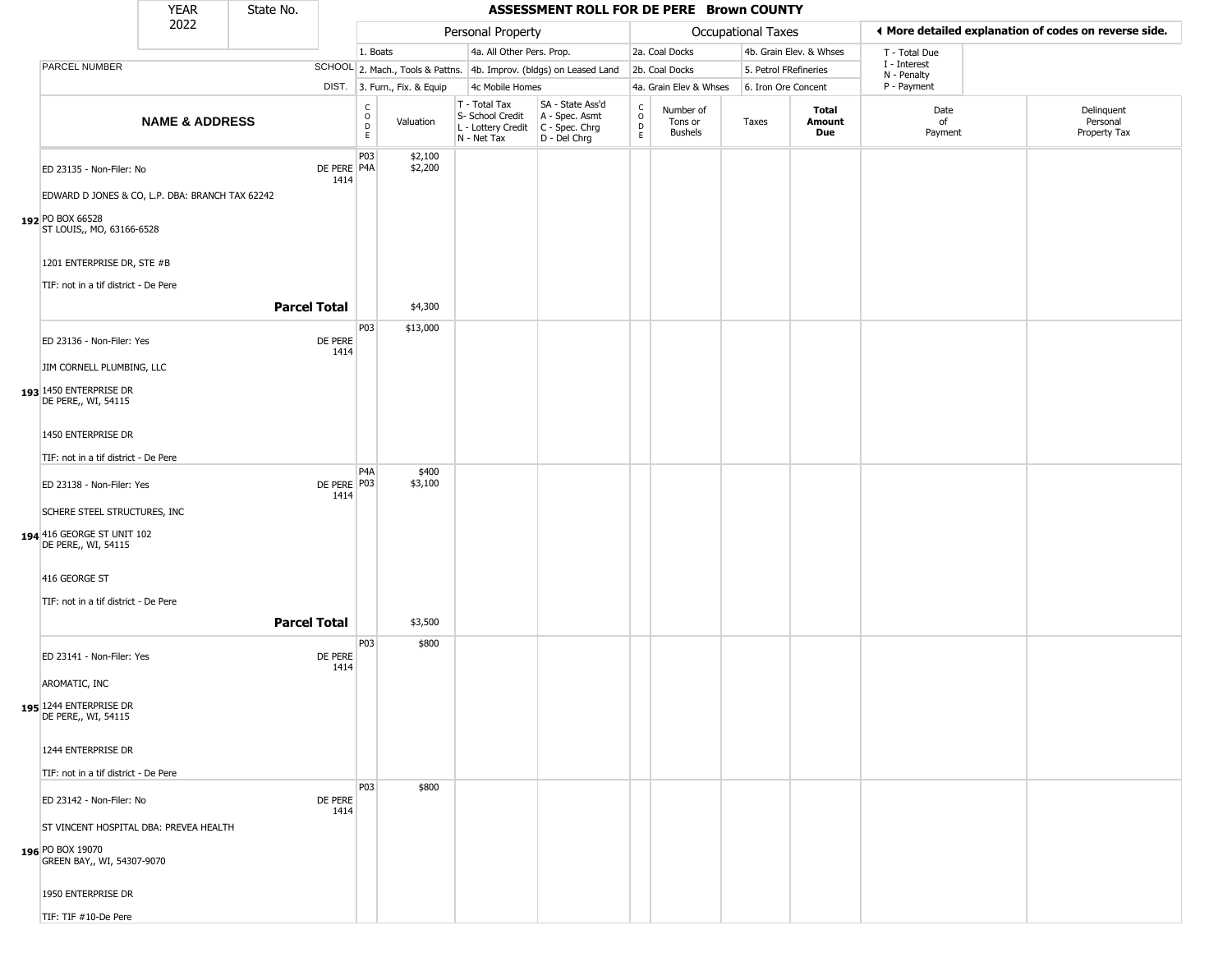|                                                                                                                |                            | <b>YEAR</b>                                     | State No.           |                       |                                      |                              |                                                                        | ASSESSMENT ROLL FOR DE PERE Brown COUNTY                             |                                                 |                                        |                           |                         |                             |                                                       |
|----------------------------------------------------------------------------------------------------------------|----------------------------|-------------------------------------------------|---------------------|-----------------------|--------------------------------------|------------------------------|------------------------------------------------------------------------|----------------------------------------------------------------------|-------------------------------------------------|----------------------------------------|---------------------------|-------------------------|-----------------------------|-------------------------------------------------------|
|                                                                                                                |                            | 2022                                            |                     |                       |                                      |                              | Personal Property                                                      |                                                                      |                                                 |                                        | <b>Occupational Taxes</b> |                         |                             | ◀ More detailed explanation of codes on reverse side. |
|                                                                                                                |                            |                                                 |                     |                       | 1. Boats                             |                              | 4a. All Other Pers. Prop.                                              |                                                                      |                                                 | 2a. Coal Docks                         |                           | 4b. Grain Elev. & Whses | T - Total Due               |                                                       |
| PARCEL NUMBER                                                                                                  |                            |                                                 |                     |                       |                                      |                              |                                                                        | SCHOOL 2. Mach., Tools & Pattns. 4b. Improv. (bldgs) on Leased Land  |                                                 | 2b. Coal Docks                         | 5. Petrol FRefineries     |                         | I - Interest<br>N - Penalty |                                                       |
|                                                                                                                |                            |                                                 |                     |                       |                                      | DIST. 3. Furn., Fix. & Equip | 4c Mobile Homes                                                        |                                                                      |                                                 | 4a. Grain Elev & Whses                 | 6. Iron Ore Concent       |                         | P - Payment                 |                                                       |
|                                                                                                                |                            | <b>NAME &amp; ADDRESS</b>                       |                     |                       | $\mathsf C$<br>$\mathsf O$<br>D<br>E | Valuation                    | T - Total Tax<br>S- School Credit<br>L - Lottery Credit<br>N - Net Tax | SA - State Ass'd<br>A - Spec. Asmt<br>C - Spec. Chrg<br>D - Del Chrg | $\begin{array}{c} C \\ O \\ D \\ E \end{array}$ | Number of<br>Tons or<br><b>Bushels</b> | Taxes                     | Total<br>Amount<br>Due  | Date<br>of<br>Payment       | Delinquent<br>Personal<br>Property Tax                |
| ED 23135 - Non-Filer: No                                                                                       |                            | EDWARD D JONES & CO, L.P. DBA: BRANCH TAX 62242 |                     | DE PERE   P4A<br>1414 | P03                                  | \$2,100<br>\$2,200           |                                                                        |                                                                      |                                                 |                                        |                           |                         |                             |                                                       |
| 192 PO BOX 66528<br>ST LOUIS,, MO, 63166-6528                                                                  | 1201 ENTERPRISE DR, STE #B |                                                 |                     |                       |                                      |                              |                                                                        |                                                                      |                                                 |                                        |                           |                         |                             |                                                       |
|                                                                                                                |                            |                                                 |                     |                       |                                      |                              |                                                                        |                                                                      |                                                 |                                        |                           |                         |                             |                                                       |
| TIF: not in a tif district - De Pere                                                                           |                            |                                                 | <b>Parcel Total</b> |                       |                                      | \$4,300                      |                                                                        |                                                                      |                                                 |                                        |                           |                         |                             |                                                       |
| ED 23136 - Non-Filer: Yes<br>JIM CORNELL PLUMBING, LLC<br>193 1450 ENTERPRISE DR                               |                            |                                                 |                     | DE PERE<br>1414       | P03                                  | \$13,000                     |                                                                        |                                                                      |                                                 |                                        |                           |                         |                             |                                                       |
| DE PERE,, WI, 54115<br>1450 ENTERPRISE DR<br>TIF: not in a tif district - De Pere                              |                            |                                                 |                     |                       |                                      |                              |                                                                        |                                                                      |                                                 |                                        |                           |                         |                             |                                                       |
| ED 23138 - Non-Filer: Yes<br>SCHERE STEEL STRUCTURES, INC<br>194 416 GEORGE ST UNIT 102<br>DE PERE,, WI, 54115 |                            |                                                 |                     | DE PERE   P03<br>1414 | P4A                                  | \$400<br>\$3,100             |                                                                        |                                                                      |                                                 |                                        |                           |                         |                             |                                                       |
| 416 GEORGE ST<br>TIF: not in a tif district - De Pere                                                          |                            |                                                 | <b>Parcel Total</b> |                       |                                      | \$3,500                      |                                                                        |                                                                      |                                                 |                                        |                           |                         |                             |                                                       |
| ED 23141 - Non-Filer: Yes<br>AROMATIC, INC<br>195 1244 ENTERPRISE DR<br>DE PERE,, WI, 54115                    |                            |                                                 |                     | DE PERE<br>1414       | P03                                  | \$800                        |                                                                        |                                                                      |                                                 |                                        |                           |                         |                             |                                                       |
| 1244 ENTERPRISE DR<br>TIF: not in a tif district - De Pere                                                     |                            |                                                 |                     |                       | P03                                  | \$800                        |                                                                        |                                                                      |                                                 |                                        |                           |                         |                             |                                                       |
| ED 23142 - Non-Filer: No<br>196 PO BOX 19070<br>GREEN BAY,, WI, 54307-9070<br>1950 ENTERPRISE DR               |                            | ST VINCENT HOSPITAL DBA: PREVEA HEALTH          |                     | DE PERE<br>1414       |                                      |                              |                                                                        |                                                                      |                                                 |                                        |                           |                         |                             |                                                       |
| TIF: TIF #10-De Pere                                                                                           |                            |                                                 |                     |                       |                                      |                              |                                                                        |                                                                      |                                                 |                                        |                           |                         |                             |                                                       |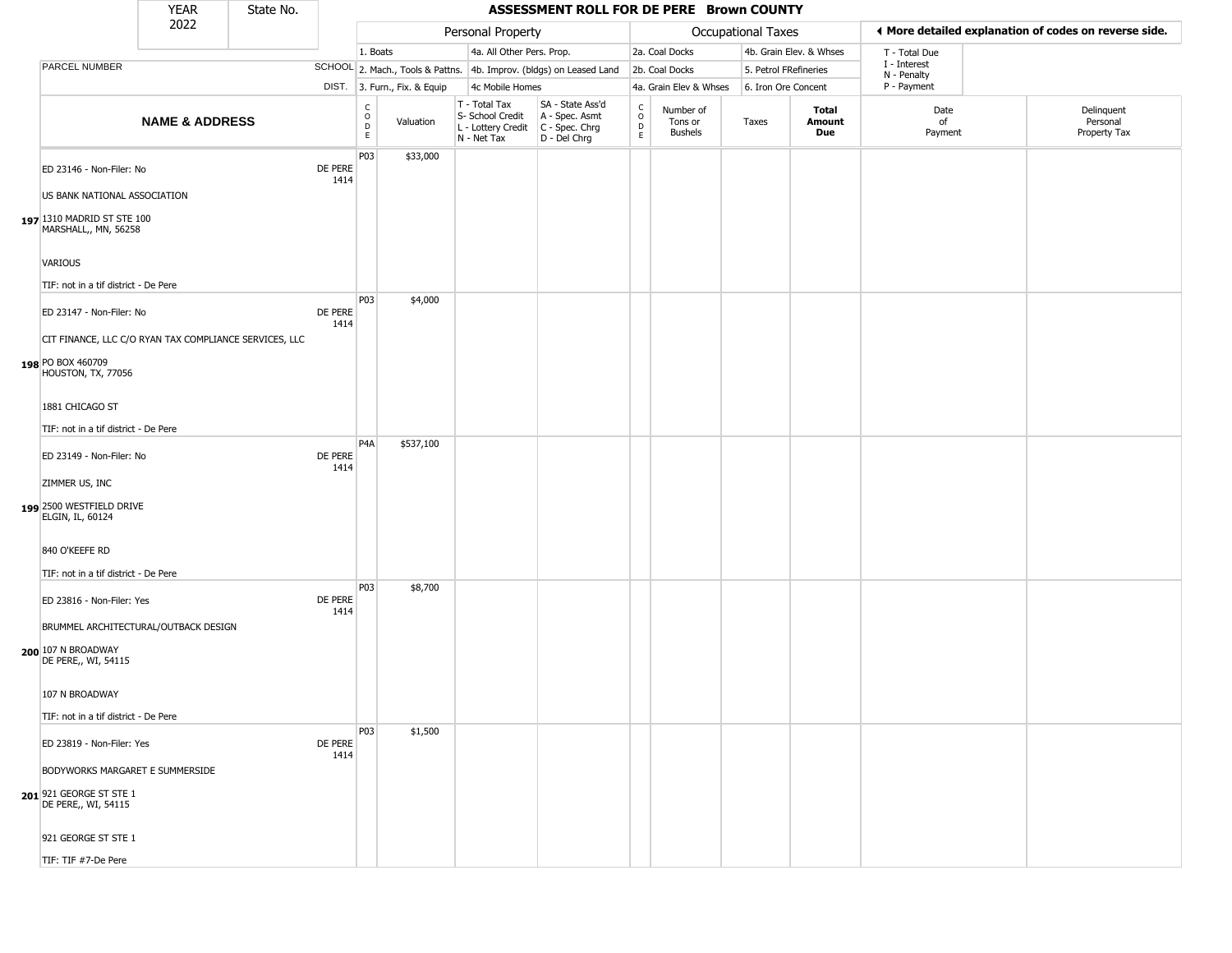|                                                                                                   | <b>YEAR</b>               | State No. |                 |                                            |                              |                                                                        | ASSESSMENT ROLL FOR DE PERE Brown COUNTY                             |                                                 |                                 |                       |                               |                             |                                                       |
|---------------------------------------------------------------------------------------------------|---------------------------|-----------|-----------------|--------------------------------------------|------------------------------|------------------------------------------------------------------------|----------------------------------------------------------------------|-------------------------------------------------|---------------------------------|-----------------------|-------------------------------|-----------------------------|-------------------------------------------------------|
|                                                                                                   | 2022                      |           |                 |                                            |                              | Personal Property                                                      |                                                                      |                                                 |                                 | Occupational Taxes    |                               |                             | ◀ More detailed explanation of codes on reverse side. |
|                                                                                                   |                           |           |                 | 1. Boats                                   |                              | 4a. All Other Pers. Prop.                                              |                                                                      |                                                 | 2a. Coal Docks                  |                       | 4b. Grain Elev. & Whses       | T - Total Due               |                                                       |
| PARCEL NUMBER                                                                                     |                           |           |                 |                                            |                              |                                                                        | SCHOOL 2. Mach., Tools & Pattns. 4b. Improv. (bldgs) on Leased Land  |                                                 | 2b. Coal Docks                  | 5. Petrol FRefineries |                               | I - Interest<br>N - Penalty |                                                       |
|                                                                                                   |                           |           |                 |                                            | DIST. 3. Furn., Fix. & Equip | 4c Mobile Homes                                                        |                                                                      |                                                 | 4a. Grain Elev & Whses          | 6. Iron Ore Concent   |                               | P - Payment                 |                                                       |
|                                                                                                   | <b>NAME &amp; ADDRESS</b> |           |                 | $\begin{array}{c} C \\ O \\ E \end{array}$ | Valuation                    | T - Total Tax<br>S- School Credit<br>L - Lottery Credit<br>N - Net Tax | SA - State Ass'd<br>A - Spec. Asmt<br>C - Spec. Chrg<br>D - Del Chrg | $\begin{array}{c} C \\ O \\ D \\ E \end{array}$ | Number of<br>Tons or<br>Bushels | Taxes                 | Total<br>Amount<br><b>Due</b> | Date<br>of<br>Payment       | Delinquent<br>Personal<br>Property Tax                |
| ED 23146 - Non-Filer: No<br>US BANK NATIONAL ASSOCIATION                                          |                           |           | DE PERE<br>1414 | P03                                        | \$33,000                     |                                                                        |                                                                      |                                                 |                                 |                       |                               |                             |                                                       |
| 197 1310 MADRID ST STE 100<br>MARSHALL,, MN, 56258                                                |                           |           |                 |                                            |                              |                                                                        |                                                                      |                                                 |                                 |                       |                               |                             |                                                       |
| <b>VARIOUS</b><br>TIF: not in a tif district - De Pere                                            |                           |           |                 |                                            |                              |                                                                        |                                                                      |                                                 |                                 |                       |                               |                             |                                                       |
| ED 23147 - Non-Filer: No                                                                          |                           |           | DE PERE<br>1414 | P03                                        | \$4,000                      |                                                                        |                                                                      |                                                 |                                 |                       |                               |                             |                                                       |
| CIT FINANCE, LLC C/O RYAN TAX COMPLIANCE SERVICES, LLC<br>198 PO BOX 460709<br>HOUSTON, TX, 77056 |                           |           |                 |                                            |                              |                                                                        |                                                                      |                                                 |                                 |                       |                               |                             |                                                       |
| 1881 CHICAGO ST<br>TIF: not in a tif district - De Pere                                           |                           |           |                 |                                            |                              |                                                                        |                                                                      |                                                 |                                 |                       |                               |                             |                                                       |
| ED 23149 - Non-Filer: No                                                                          |                           |           | DE PERE<br>1414 | P <sub>4</sub> A                           | \$537,100                    |                                                                        |                                                                      |                                                 |                                 |                       |                               |                             |                                                       |
| ZIMMER US, INC<br>199 2500 WESTFIELD DRIVE<br>ELGIN, IL, 60124                                    |                           |           |                 |                                            |                              |                                                                        |                                                                      |                                                 |                                 |                       |                               |                             |                                                       |
| 840 O'KEEFE RD<br>TIF: not in a tif district - De Pere                                            |                           |           |                 |                                            |                              |                                                                        |                                                                      |                                                 |                                 |                       |                               |                             |                                                       |
| ED 23816 - Non-Filer: Yes                                                                         |                           |           | DE PERE<br>1414 | P03                                        | \$8,700                      |                                                                        |                                                                      |                                                 |                                 |                       |                               |                             |                                                       |
| BRUMMEL ARCHITECTURAL/OUTBACK DESIGN<br>200 107 N BROADWAY<br>DE PERE,, WI, 54115                 |                           |           |                 |                                            |                              |                                                                        |                                                                      |                                                 |                                 |                       |                               |                             |                                                       |
| 107 N BROADWAY<br>TIF: not in a tif district - De Pere                                            |                           |           |                 |                                            |                              |                                                                        |                                                                      |                                                 |                                 |                       |                               |                             |                                                       |
| ED 23819 - Non-Filer: Yes                                                                         |                           |           | DE PERE<br>1414 | P03                                        | \$1,500                      |                                                                        |                                                                      |                                                 |                                 |                       |                               |                             |                                                       |
| BODYWORKS MARGARET E SUMMERSIDE<br>201 921 GEORGE ST STE 1<br>DE PERE,, WI, 54115                 |                           |           |                 |                                            |                              |                                                                        |                                                                      |                                                 |                                 |                       |                               |                             |                                                       |
| 921 GEORGE ST STE 1                                                                               |                           |           |                 |                                            |                              |                                                                        |                                                                      |                                                 |                                 |                       |                               |                             |                                                       |
| TIF: TIF #7-De Pere                                                                               |                           |           |                 |                                            |                              |                                                                        |                                                                      |                                                 |                                 |                       |                               |                             |                                                       |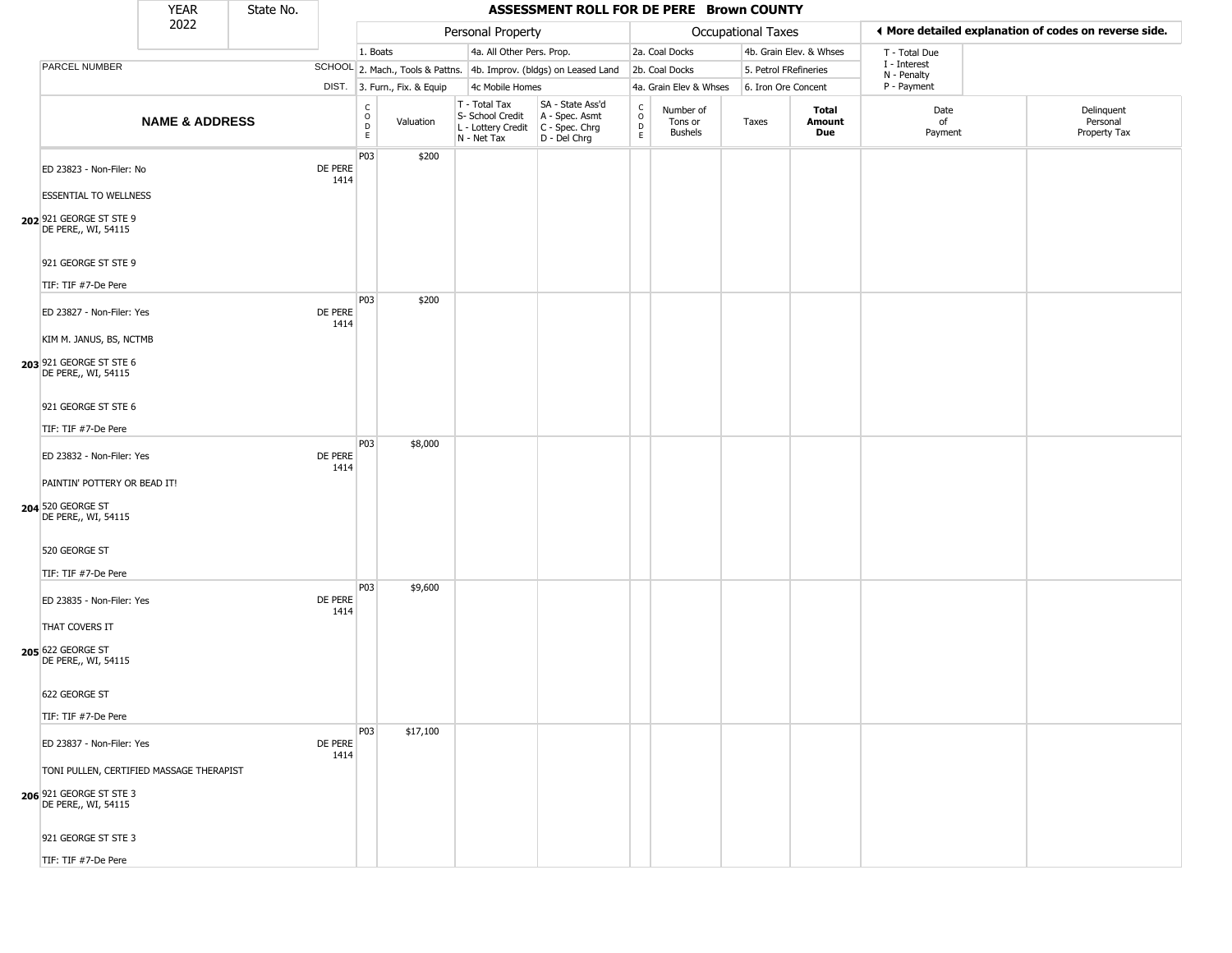|                                                                                                   | YEAR                      | State No. |                 |                                                  |                              |                                                                                         | ASSESSMENT ROLL FOR DE PERE Brown COUNTY                            |                                          |                                        |                       |                         |                             |                                                       |
|---------------------------------------------------------------------------------------------------|---------------------------|-----------|-----------------|--------------------------------------------------|------------------------------|-----------------------------------------------------------------------------------------|---------------------------------------------------------------------|------------------------------------------|----------------------------------------|-----------------------|-------------------------|-----------------------------|-------------------------------------------------------|
|                                                                                                   | 2022                      |           |                 |                                                  |                              | Personal Property                                                                       |                                                                     |                                          |                                        | Occupational Taxes    |                         |                             | ◀ More detailed explanation of codes on reverse side. |
|                                                                                                   |                           |           |                 | 1. Boats                                         |                              | 4a. All Other Pers. Prop.                                                               |                                                                     |                                          | 2a. Coal Docks                         |                       | 4b. Grain Elev. & Whses | T - Total Due               |                                                       |
| PARCEL NUMBER                                                                                     |                           |           |                 |                                                  |                              |                                                                                         | SCHOOL 2. Mach., Tools & Pattns. 4b. Improv. (bldgs) on Leased Land |                                          | 2b. Coal Docks                         | 5. Petrol FRefineries |                         | I - Interest<br>N - Penalty |                                                       |
|                                                                                                   |                           |           |                 |                                                  | DIST. 3. Furn., Fix. & Equip | 4c Mobile Homes                                                                         |                                                                     |                                          | 4a. Grain Elev & Whses                 | 6. Iron Ore Concent   |                         | P - Payment                 |                                                       |
|                                                                                                   | <b>NAME &amp; ADDRESS</b> |           |                 | $_{\rm o}^{\rm c}$<br>$\mathsf D$<br>$\mathsf E$ | Valuation                    | T - Total Tax<br>S- School Credit<br>L - Lottery Credit   C - Spec. Chrg<br>N - Net Tax | SA - State Ass'd<br>A - Spec. Asmt<br>D - Del Chrg                  | $\rm _o^C$<br>$\mathsf D$<br>$\mathsf E$ | Number of<br>Tons or<br><b>Bushels</b> | Taxes                 | Total<br>Amount<br>Due  | Date<br>of<br>Payment       | Delinquent<br>Personal<br>Property Tax                |
| ED 23823 - Non-Filer: No                                                                          |                           |           | DE PERE<br>1414 | P03                                              | \$200                        |                                                                                         |                                                                     |                                          |                                        |                       |                         |                             |                                                       |
| <b>ESSENTIAL TO WELLNESS</b><br>202 921 GEORGE ST STE 9<br>DE PERE,, WI, 54115                    |                           |           |                 |                                                  |                              |                                                                                         |                                                                     |                                          |                                        |                       |                         |                             |                                                       |
| 921 GEORGE ST STE 9<br>TIF: TIF #7-De Pere                                                        |                           |           |                 |                                                  |                              |                                                                                         |                                                                     |                                          |                                        |                       |                         |                             |                                                       |
| ED 23827 - Non-Filer: Yes<br>KIM M. JANUS, BS, NCTMB                                              |                           |           | DE PERE<br>1414 | P03                                              | \$200                        |                                                                                         |                                                                     |                                          |                                        |                       |                         |                             |                                                       |
| 203 921 GEORGE ST STE 6<br>DE PERE,, WI, 54115                                                    |                           |           |                 |                                                  |                              |                                                                                         |                                                                     |                                          |                                        |                       |                         |                             |                                                       |
| 921 GEORGE ST STE 6<br>TIF: TIF #7-De Pere                                                        |                           |           |                 |                                                  |                              |                                                                                         |                                                                     |                                          |                                        |                       |                         |                             |                                                       |
| ED 23832 - Non-Filer: Yes                                                                         |                           |           | DE PERE<br>1414 | P03                                              | \$8,000                      |                                                                                         |                                                                     |                                          |                                        |                       |                         |                             |                                                       |
| PAINTIN' POTTERY OR BEAD IT!<br>204 520 GEORGE ST<br>DE PERE,, WI, 54115                          |                           |           |                 |                                                  |                              |                                                                                         |                                                                     |                                          |                                        |                       |                         |                             |                                                       |
| 520 GEORGE ST<br>TIF: TIF #7-De Pere                                                              |                           |           |                 |                                                  |                              |                                                                                         |                                                                     |                                          |                                        |                       |                         |                             |                                                       |
| ED 23835 - Non-Filer: Yes                                                                         |                           |           | DE PERE<br>1414 | P03                                              | \$9,600                      |                                                                                         |                                                                     |                                          |                                        |                       |                         |                             |                                                       |
| THAT COVERS IT<br>205 622 GEORGE ST<br>DE PERE,, WI, 54115                                        |                           |           |                 |                                                  |                              |                                                                                         |                                                                     |                                          |                                        |                       |                         |                             |                                                       |
| 622 GEORGE ST<br>TIF: TIF #7-De Pere                                                              |                           |           |                 |                                                  |                              |                                                                                         |                                                                     |                                          |                                        |                       |                         |                             |                                                       |
| ED 23837 - Non-Filer: Yes                                                                         |                           |           | DE PERE<br>1414 | P03                                              | \$17,100                     |                                                                                         |                                                                     |                                          |                                        |                       |                         |                             |                                                       |
| TONI PULLEN, CERTIFIED MASSAGE THERAPIST<br><b>206</b> 921 GEORGE ST STE 3<br>DE PERE,, WI, 54115 |                           |           |                 |                                                  |                              |                                                                                         |                                                                     |                                          |                                        |                       |                         |                             |                                                       |
| 921 GEORGE ST STE 3                                                                               |                           |           |                 |                                                  |                              |                                                                                         |                                                                     |                                          |                                        |                       |                         |                             |                                                       |
| TIF: TIF #7-De Pere                                                                               |                           |           |                 |                                                  |                              |                                                                                         |                                                                     |                                          |                                        |                       |                         |                             |                                                       |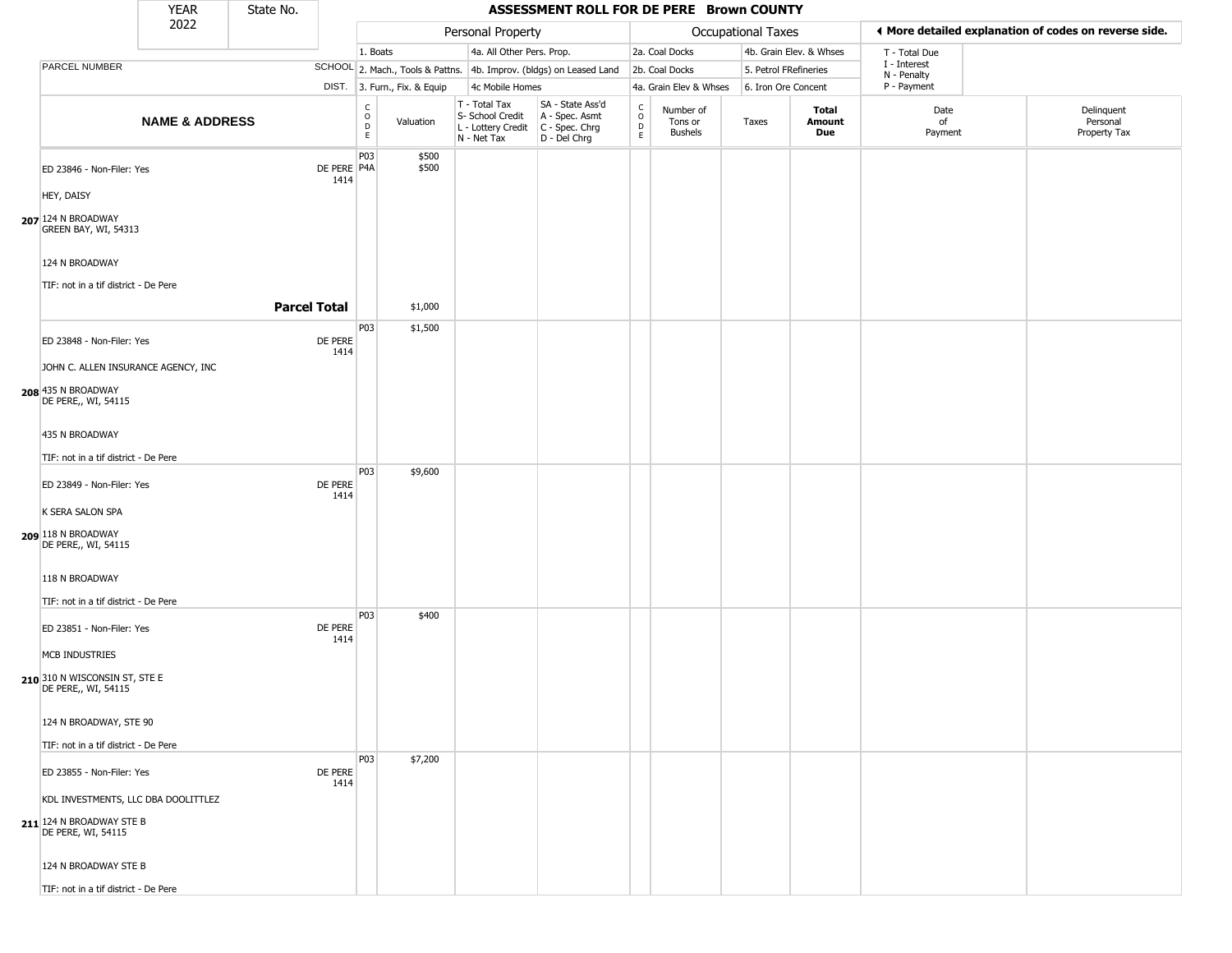|                                                      | <b>YEAR</b>               | State No.           |                     |                        |                              |                                                                        | ASSESSMENT ROLL FOR DE PERE Brown COUNTY                             |                                    |                                 |                       |                         |                             |                                                       |
|------------------------------------------------------|---------------------------|---------------------|---------------------|------------------------|------------------------------|------------------------------------------------------------------------|----------------------------------------------------------------------|------------------------------------|---------------------------------|-----------------------|-------------------------|-----------------------------|-------------------------------------------------------|
|                                                      | 2022                      |                     |                     |                        |                              | Personal Property                                                      |                                                                      |                                    |                                 | Occupational Taxes    |                         |                             | ♦ More detailed explanation of codes on reverse side. |
|                                                      |                           |                     |                     | 1. Boats               |                              | 4a. All Other Pers. Prop.                                              |                                                                      |                                    | 2a. Coal Docks                  |                       | 4b. Grain Elev. & Whses | T - Total Due               |                                                       |
| PARCEL NUMBER                                        |                           |                     |                     |                        |                              |                                                                        | SCHOOL 2. Mach., Tools & Pattns. 4b. Improv. (bldgs) on Leased Land  |                                    | 2b. Coal Docks                  | 5. Petrol FRefineries |                         | I - Interest<br>N - Penalty |                                                       |
|                                                      |                           |                     |                     |                        | DIST. 3. Furn., Fix. & Equip | 4c Mobile Homes                                                        |                                                                      |                                    | 4a. Grain Elev & Whses          | 6. Iron Ore Concent   |                         | P - Payment                 |                                                       |
|                                                      | <b>NAME &amp; ADDRESS</b> |                     |                     | C<br>$\circ$<br>D<br>E | Valuation                    | T - Total Tax<br>S- School Credit<br>L - Lottery Credit<br>N - Net Tax | SA - State Ass'd<br>A - Spec. Asmt<br>C - Spec. Chrg<br>D - Del Chrg | $\int_{0}^{c}$<br>$\mathsf D$<br>E | Number of<br>Tons or<br>Bushels | Taxes                 | Total<br>Amount<br>Due  | Date<br>of<br>Payment       | Delinquent<br>Personal<br>Property Tax                |
| ED 23846 - Non-Filer: Yes                            |                           |                     | DE PERE P4A<br>1414 | P03                    | \$500<br>\$500               |                                                                        |                                                                      |                                    |                                 |                       |                         |                             |                                                       |
| HEY, DAISY                                           |                           |                     |                     |                        |                              |                                                                        |                                                                      |                                    |                                 |                       |                         |                             |                                                       |
| 207 124 N BROADWAY<br>GREEN BAY, WI, 54313           |                           |                     |                     |                        |                              |                                                                        |                                                                      |                                    |                                 |                       |                         |                             |                                                       |
| 124 N BROADWAY                                       |                           |                     |                     |                        |                              |                                                                        |                                                                      |                                    |                                 |                       |                         |                             |                                                       |
| TIF: not in a tif district - De Pere                 |                           |                     |                     |                        |                              |                                                                        |                                                                      |                                    |                                 |                       |                         |                             |                                                       |
|                                                      |                           | <b>Parcel Total</b> |                     |                        | \$1,000                      |                                                                        |                                                                      |                                    |                                 |                       |                         |                             |                                                       |
| ED 23848 - Non-Filer: Yes                            |                           |                     | DE PERE             | P03                    | \$1,500                      |                                                                        |                                                                      |                                    |                                 |                       |                         |                             |                                                       |
| JOHN C. ALLEN INSURANCE AGENCY, INC                  |                           |                     | 1414                |                        |                              |                                                                        |                                                                      |                                    |                                 |                       |                         |                             |                                                       |
| 208 435 N BROADWAY<br>DE PERE,, WI, 54115            |                           |                     |                     |                        |                              |                                                                        |                                                                      |                                    |                                 |                       |                         |                             |                                                       |
| 435 N BROADWAY                                       |                           |                     |                     |                        |                              |                                                                        |                                                                      |                                    |                                 |                       |                         |                             |                                                       |
| TIF: not in a tif district - De Pere                 |                           |                     |                     |                        |                              |                                                                        |                                                                      |                                    |                                 |                       |                         |                             |                                                       |
| ED 23849 - Non-Filer: Yes                            |                           |                     | DE PERE<br>1414     | P03                    | \$9,600                      |                                                                        |                                                                      |                                    |                                 |                       |                         |                             |                                                       |
| K SERA SALON SPA                                     |                           |                     |                     |                        |                              |                                                                        |                                                                      |                                    |                                 |                       |                         |                             |                                                       |
| 209 118 N BROADWAY<br>DE PERE,, WI, 54115            |                           |                     |                     |                        |                              |                                                                        |                                                                      |                                    |                                 |                       |                         |                             |                                                       |
| 118 N BROADWAY                                       |                           |                     |                     |                        |                              |                                                                        |                                                                      |                                    |                                 |                       |                         |                             |                                                       |
| TIF: not in a tif district - De Pere                 |                           |                     |                     |                        |                              |                                                                        |                                                                      |                                    |                                 |                       |                         |                             |                                                       |
| ED 23851 - Non-Filer: Yes                            |                           |                     | DE PERE             | P03                    | \$400                        |                                                                        |                                                                      |                                    |                                 |                       |                         |                             |                                                       |
| MCB INDUSTRIES                                       |                           |                     | 1414                |                        |                              |                                                                        |                                                                      |                                    |                                 |                       |                         |                             |                                                       |
| 210 310 N WISCONSIN ST, STE E<br>DE PERE,, WI, 54115 |                           |                     |                     |                        |                              |                                                                        |                                                                      |                                    |                                 |                       |                         |                             |                                                       |
| 124 N BROADWAY, STE 90                               |                           |                     |                     |                        |                              |                                                                        |                                                                      |                                    |                                 |                       |                         |                             |                                                       |
| TIF: not in a tif district - De Pere                 |                           |                     |                     |                        |                              |                                                                        |                                                                      |                                    |                                 |                       |                         |                             |                                                       |
| ED 23855 - Non-Filer: Yes                            |                           |                     | DE PERE<br>1414     | P03                    | \$7,200                      |                                                                        |                                                                      |                                    |                                 |                       |                         |                             |                                                       |
| KDL INVESTMENTS, LLC DBA DOOLITTLEZ                  |                           |                     |                     |                        |                              |                                                                        |                                                                      |                                    |                                 |                       |                         |                             |                                                       |
| 211 124 N BROADWAY STE B<br>DE PERE, WI, 54115       |                           |                     |                     |                        |                              |                                                                        |                                                                      |                                    |                                 |                       |                         |                             |                                                       |
| 124 N BROADWAY STE B                                 |                           |                     |                     |                        |                              |                                                                        |                                                                      |                                    |                                 |                       |                         |                             |                                                       |
| TIF: not in a tif district - De Pere                 |                           |                     |                     |                        |                              |                                                                        |                                                                      |                                    |                                 |                       |                         |                             |                                                       |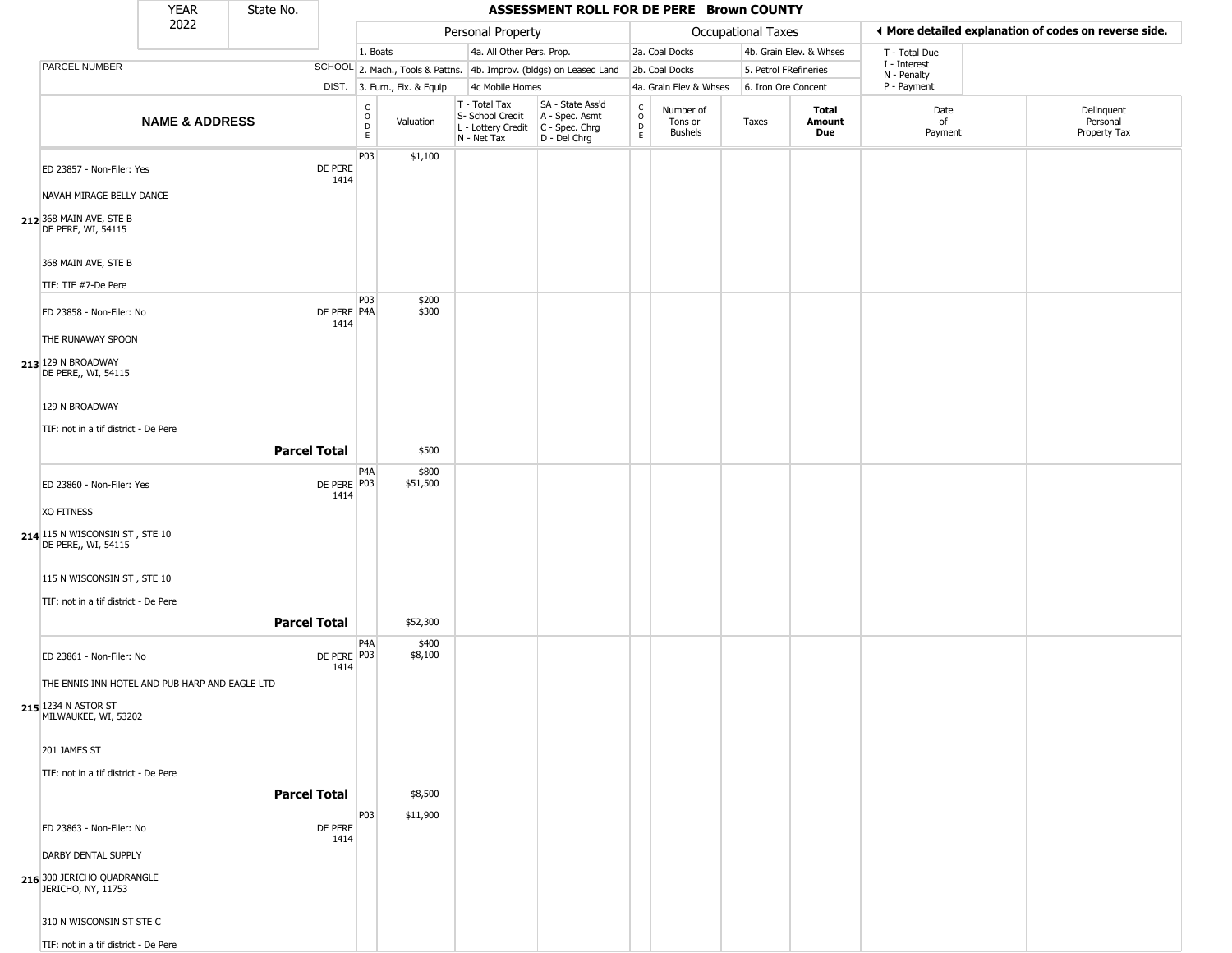|                                                                | YEAR                      | State No.           |                     |                                            |                              |                                                  | ASSESSMENT ROLL FOR DE PERE Brown COUNTY                                                |                                          |                                        |                       |                         |                             |                                                       |
|----------------------------------------------------------------|---------------------------|---------------------|---------------------|--------------------------------------------|------------------------------|--------------------------------------------------|-----------------------------------------------------------------------------------------|------------------------------------------|----------------------------------------|-----------------------|-------------------------|-----------------------------|-------------------------------------------------------|
|                                                                | 2022                      |                     |                     |                                            |                              | Personal Property                                |                                                                                         |                                          |                                        | Occupational Taxes    |                         |                             | ♦ More detailed explanation of codes on reverse side. |
|                                                                |                           |                     |                     | 1. Boats                                   |                              | 4a. All Other Pers. Prop.                        |                                                                                         |                                          | 2a. Coal Docks                         |                       | 4b. Grain Elev. & Whses | T - Total Due               |                                                       |
| PARCEL NUMBER                                                  |                           |                     |                     |                                            |                              |                                                  | SCHOOL 2. Mach., Tools & Pattns. 4b. Improv. (bldgs) on Leased Land                     |                                          | 2b. Coal Docks                         | 5. Petrol FRefineries |                         | I - Interest<br>N - Penalty |                                                       |
|                                                                |                           |                     |                     |                                            | DIST. 3. Furn., Fix. & Equip | 4c Mobile Homes                                  |                                                                                         |                                          | 4a. Grain Elev & Whses                 | 6. Iron Ore Concent   |                         | P - Payment                 |                                                       |
|                                                                | <b>NAME &amp; ADDRESS</b> |                     |                     | $\begin{array}{c} C \\ O \\ E \end{array}$ | Valuation                    | T - Total Tax<br>S- School Credit<br>N - Net Tax | SA - State Ass'd<br>A - Spec. Asmt<br>L - Lottery Credit C - Spec. Chrg<br>D - Del Chrg | $\rm _o^c$<br>$\mathsf D$<br>$\mathsf E$ | Number of<br>Tons or<br><b>Bushels</b> | Taxes                 | Total<br>Amount<br>Due  | Date<br>of<br>Payment       | Delinquent<br>Personal<br>Property Tax                |
| ED 23857 - Non-Filer: Yes                                      |                           |                     | DE PERE<br>1414     | P03                                        | \$1,100                      |                                                  |                                                                                         |                                          |                                        |                       |                         |                             |                                                       |
| NAVAH MIRAGE BELLY DANCE                                       |                           |                     |                     |                                            |                              |                                                  |                                                                                         |                                          |                                        |                       |                         |                             |                                                       |
| 212 368 MAIN AVE, STE B<br>DE PERE, WI, 54115                  |                           |                     |                     |                                            |                              |                                                  |                                                                                         |                                          |                                        |                       |                         |                             |                                                       |
| 368 MAIN AVE, STE B                                            |                           |                     |                     |                                            |                              |                                                  |                                                                                         |                                          |                                        |                       |                         |                             |                                                       |
| TIF: TIF #7-De Pere                                            |                           |                     |                     | P03                                        | \$200                        |                                                  |                                                                                         |                                          |                                        |                       |                         |                             |                                                       |
| ED 23858 - Non-Filer: No                                       |                           |                     | DE PERE P4A<br>1414 |                                            | \$300                        |                                                  |                                                                                         |                                          |                                        |                       |                         |                             |                                                       |
| THE RUNAWAY SPOON<br>213 129 N BROADWAY<br>DE PERE,, WI, 54115 |                           |                     |                     |                                            |                              |                                                  |                                                                                         |                                          |                                        |                       |                         |                             |                                                       |
| 129 N BROADWAY                                                 |                           |                     |                     |                                            |                              |                                                  |                                                                                         |                                          |                                        |                       |                         |                             |                                                       |
| TIF: not in a tif district - De Pere                           |                           |                     |                     |                                            |                              |                                                  |                                                                                         |                                          |                                        |                       |                         |                             |                                                       |
|                                                                |                           | <b>Parcel Total</b> |                     |                                            | \$500                        |                                                  |                                                                                         |                                          |                                        |                       |                         |                             |                                                       |
| ED 23860 - Non-Filer: Yes                                      |                           |                     | DE PERE P03<br>1414 | P <sub>4</sub> A                           | \$800<br>\$51,500            |                                                  |                                                                                         |                                          |                                        |                       |                         |                             |                                                       |
| <b>XO FITNESS</b>                                              |                           |                     |                     |                                            |                              |                                                  |                                                                                         |                                          |                                        |                       |                         |                             |                                                       |
| 214 115 N WISCONSIN ST, STE 10<br>DE PERE,, WI, 54115          |                           |                     |                     |                                            |                              |                                                  |                                                                                         |                                          |                                        |                       |                         |                             |                                                       |
| 115 N WISCONSIN ST, STE 10                                     |                           |                     |                     |                                            |                              |                                                  |                                                                                         |                                          |                                        |                       |                         |                             |                                                       |
| TIF: not in a tif district - De Pere                           |                           | <b>Parcel Total</b> |                     |                                            | \$52,300                     |                                                  |                                                                                         |                                          |                                        |                       |                         |                             |                                                       |
| ED 23861 - Non-Filer: No                                       |                           |                     | DE PERE P03<br>1414 | P <sub>4</sub> A                           | \$400<br>\$8,100             |                                                  |                                                                                         |                                          |                                        |                       |                         |                             |                                                       |
| THE ENNIS INN HOTEL AND PUB HARP AND EAGLE LTD                 |                           |                     |                     |                                            |                              |                                                  |                                                                                         |                                          |                                        |                       |                         |                             |                                                       |
| 215 1234 N ASTOR ST<br>MILWAUKEE, WI, 53202                    |                           |                     |                     |                                            |                              |                                                  |                                                                                         |                                          |                                        |                       |                         |                             |                                                       |
| 201 JAMES ST                                                   |                           |                     |                     |                                            |                              |                                                  |                                                                                         |                                          |                                        |                       |                         |                             |                                                       |
| TIF: not in a tif district - De Pere                           |                           |                     |                     |                                            |                              |                                                  |                                                                                         |                                          |                                        |                       |                         |                             |                                                       |
|                                                                |                           | <b>Parcel Total</b> |                     |                                            | \$8,500                      |                                                  |                                                                                         |                                          |                                        |                       |                         |                             |                                                       |
| ED 23863 - Non-Filer: No                                       |                           |                     | DE PERE<br>1414     | P03                                        | \$11,900                     |                                                  |                                                                                         |                                          |                                        |                       |                         |                             |                                                       |
| DARBY DENTAL SUPPLY                                            |                           |                     |                     |                                            |                              |                                                  |                                                                                         |                                          |                                        |                       |                         |                             |                                                       |
| 216 300 JERICHO QUADRANGLE<br>JERICHO, NY, 11753               |                           |                     |                     |                                            |                              |                                                  |                                                                                         |                                          |                                        |                       |                         |                             |                                                       |
| 310 N WISCONSIN ST STE C                                       |                           |                     |                     |                                            |                              |                                                  |                                                                                         |                                          |                                        |                       |                         |                             |                                                       |
| TIF: not in a tif district - De Pere                           |                           |                     |                     |                                            |                              |                                                  |                                                                                         |                                          |                                        |                       |                         |                             |                                                       |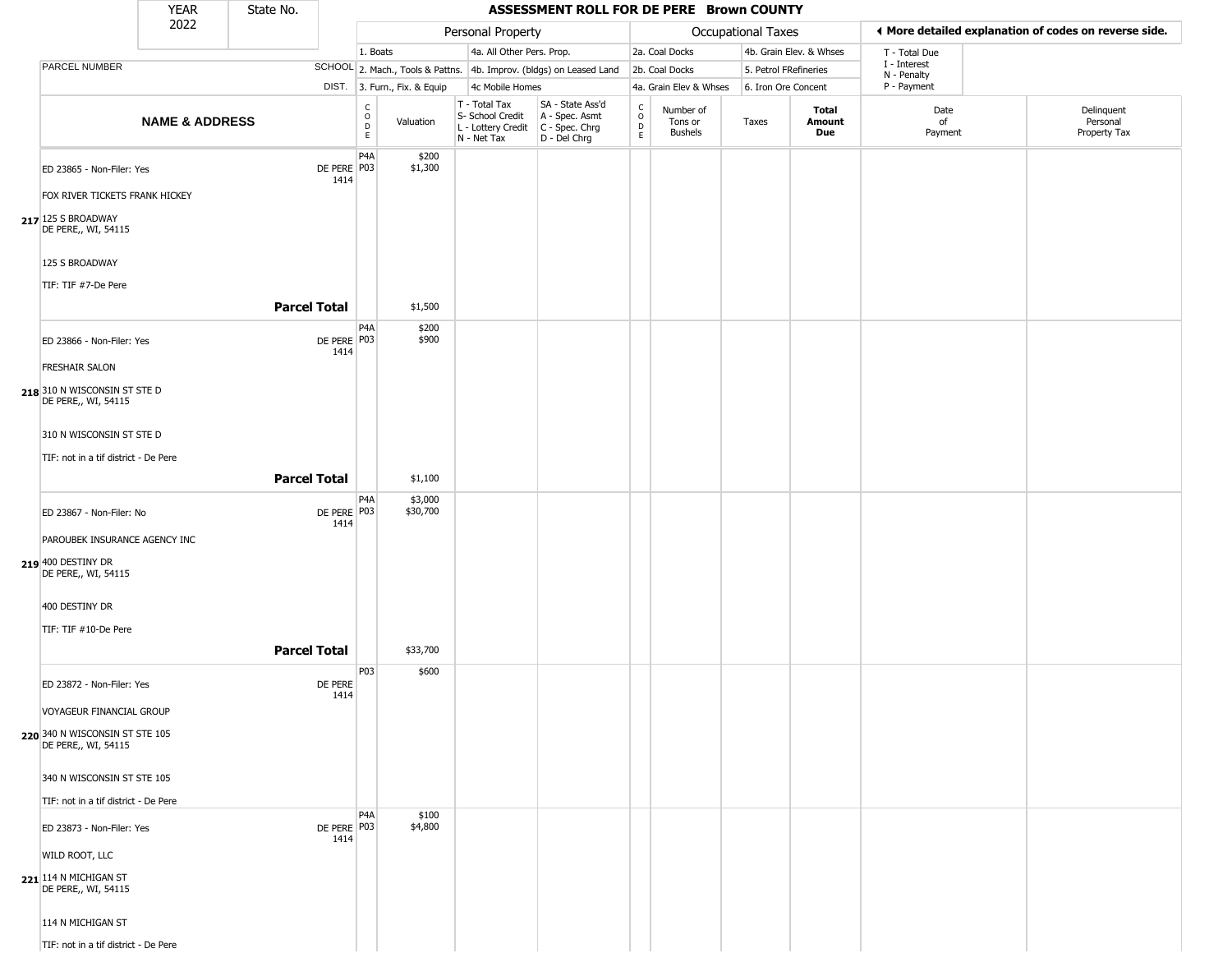|                                                       | <b>YEAR</b>               | State No.           |                       |                         |                              |                                                                        | ASSESSMENT ROLL FOR DE PERE Brown COUNTY                             |                                            |                                        |                       |                         |                             |                                                       |
|-------------------------------------------------------|---------------------------|---------------------|-----------------------|-------------------------|------------------------------|------------------------------------------------------------------------|----------------------------------------------------------------------|--------------------------------------------|----------------------------------------|-----------------------|-------------------------|-----------------------------|-------------------------------------------------------|
|                                                       | 2022                      |                     |                       |                         |                              | Personal Property                                                      |                                                                      |                                            |                                        | Occupational Taxes    |                         |                             | ♦ More detailed explanation of codes on reverse side. |
|                                                       |                           |                     |                       | 1. Boats                |                              | 4a. All Other Pers. Prop.                                              |                                                                      |                                            | 2a. Coal Docks                         |                       | 4b. Grain Elev. & Whses | T - Total Due               |                                                       |
| PARCEL NUMBER                                         |                           |                     |                       |                         |                              |                                                                        | SCHOOL 2. Mach., Tools & Pattns. 4b. Improv. (bldgs) on Leased Land  |                                            | 2b. Coal Docks                         | 5. Petrol FRefineries |                         | I - Interest<br>N - Penalty |                                                       |
|                                                       |                           |                     |                       |                         | DIST. 3. Furn., Fix. & Equip | 4c Mobile Homes                                                        |                                                                      |                                            | 4a. Grain Elev & Whses                 | 6. Iron Ore Concent   |                         | P - Payment                 |                                                       |
|                                                       | <b>NAME &amp; ADDRESS</b> |                     |                       | $\frac{C}{O}$<br>D<br>E | Valuation                    | T - Total Tax<br>S- School Credit<br>L - Lottery Credit<br>N - Net Tax | SA - State Ass'd<br>A - Spec. Asmt<br>C - Spec. Chrg<br>D - Del Chrg | $\begin{array}{c} C \\ 0 \\ E \end{array}$ | Number of<br>Tons or<br><b>Bushels</b> | Taxes                 | Total<br>Amount<br>Due  | Date<br>of<br>Payment       | Delinquent<br>Personal<br>Property Tax                |
| ED 23865 - Non-Filer: Yes                             |                           |                     | DE PERE P03<br>1414   | P <sub>4</sub> A        | \$200<br>\$1,300             |                                                                        |                                                                      |                                            |                                        |                       |                         |                             |                                                       |
| FOX RIVER TICKETS FRANK HICKEY                        |                           |                     |                       |                         |                              |                                                                        |                                                                      |                                            |                                        |                       |                         |                             |                                                       |
| 217 125 S BROADWAY<br>DE PERE,, WI, 54115             |                           |                     |                       |                         |                              |                                                                        |                                                                      |                                            |                                        |                       |                         |                             |                                                       |
| 125 S BROADWAY                                        |                           |                     |                       |                         |                              |                                                                        |                                                                      |                                            |                                        |                       |                         |                             |                                                       |
| TIF: TIF #7-De Pere                                   |                           | <b>Parcel Total</b> |                       |                         | \$1,500                      |                                                                        |                                                                      |                                            |                                        |                       |                         |                             |                                                       |
| ED 23866 - Non-Filer: Yes                             |                           |                     | DE PERE P03<br>1414   | P <sub>4</sub> A        | \$200<br>\$900               |                                                                        |                                                                      |                                            |                                        |                       |                         |                             |                                                       |
| <b>FRESHAIR SALON</b>                                 |                           |                     |                       |                         |                              |                                                                        |                                                                      |                                            |                                        |                       |                         |                             |                                                       |
| 218 310 N WISCONSIN ST STE D<br>DE PERE,, WI, 54115   |                           |                     |                       |                         |                              |                                                                        |                                                                      |                                            |                                        |                       |                         |                             |                                                       |
| 310 N WISCONSIN ST STE D                              |                           |                     |                       |                         |                              |                                                                        |                                                                      |                                            |                                        |                       |                         |                             |                                                       |
| TIF: not in a tif district - De Pere                  |                           | <b>Parcel Total</b> |                       |                         | \$1,100                      |                                                                        |                                                                      |                                            |                                        |                       |                         |                             |                                                       |
| ED 23867 - Non-Filer: No                              |                           |                     | DE PERE P03           | P <sub>4</sub> A        | \$3,000<br>\$30,700          |                                                                        |                                                                      |                                            |                                        |                       |                         |                             |                                                       |
| PAROUBEK INSURANCE AGENCY INC                         |                           |                     | 1414                  |                         |                              |                                                                        |                                                                      |                                            |                                        |                       |                         |                             |                                                       |
| 219 400 DESTINY DR<br>DE PERE,, WI, 54115             |                           |                     |                       |                         |                              |                                                                        |                                                                      |                                            |                                        |                       |                         |                             |                                                       |
| 400 DESTINY DR                                        |                           |                     |                       |                         |                              |                                                                        |                                                                      |                                            |                                        |                       |                         |                             |                                                       |
| TIF: TIF #10-De Pere                                  |                           | <b>Parcel Total</b> |                       |                         | \$33,700                     |                                                                        |                                                                      |                                            |                                        |                       |                         |                             |                                                       |
| ED 23872 - Non-Filer: Yes                             |                           |                     | DE PERE               | P03                     | \$600                        |                                                                        |                                                                      |                                            |                                        |                       |                         |                             |                                                       |
| VOYAGEUR FINANCIAL GROUP                              |                           |                     | 1414                  |                         |                              |                                                                        |                                                                      |                                            |                                        |                       |                         |                             |                                                       |
| 220 340 N WISCONSIN ST STE 105<br>DE PERE,, WI, 54115 |                           |                     |                       |                         |                              |                                                                        |                                                                      |                                            |                                        |                       |                         |                             |                                                       |
| 340 N WISCONSIN ST STE 105                            |                           |                     |                       |                         |                              |                                                                        |                                                                      |                                            |                                        |                       |                         |                             |                                                       |
| TIF: not in a tif district - De Pere                  |                           |                     |                       | P <sub>4</sub> A        | \$100                        |                                                                        |                                                                      |                                            |                                        |                       |                         |                             |                                                       |
| ED 23873 - Non-Filer: Yes                             |                           |                     | DE PERE   P03<br>1414 |                         | \$4,800                      |                                                                        |                                                                      |                                            |                                        |                       |                         |                             |                                                       |
| WILD ROOT, LLC                                        |                           |                     |                       |                         |                              |                                                                        |                                                                      |                                            |                                        |                       |                         |                             |                                                       |
| 221 114 N MICHIGAN ST<br>DE PERE,, WI, 54115          |                           |                     |                       |                         |                              |                                                                        |                                                                      |                                            |                                        |                       |                         |                             |                                                       |
| 114 N MICHIGAN ST                                     |                           |                     |                       |                         |                              |                                                                        |                                                                      |                                            |                                        |                       |                         |                             |                                                       |
| TIF: not in a tif district - De Pere                  |                           |                     |                       |                         |                              |                                                                        |                                                                      |                                            |                                        |                       |                         |                             |                                                       |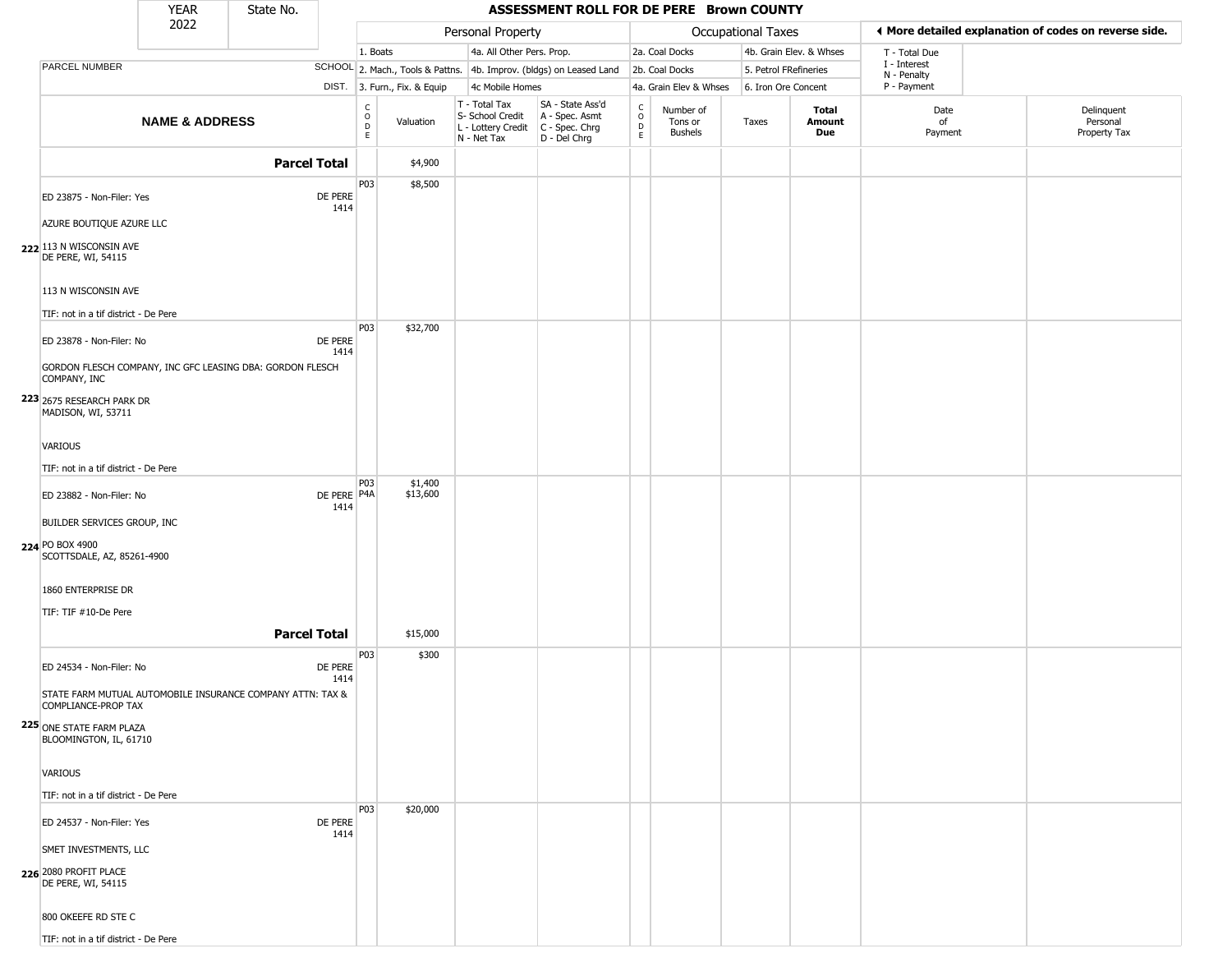|                                                                                   | <b>YEAR</b>               | State No.           |                     |                                           |                              |                                                                                         | ASSESSMENT ROLL FOR DE PERE Brown COUNTY                            |                         |                                        |                           |                         |                            |                                                       |
|-----------------------------------------------------------------------------------|---------------------------|---------------------|---------------------|-------------------------------------------|------------------------------|-----------------------------------------------------------------------------------------|---------------------------------------------------------------------|-------------------------|----------------------------------------|---------------------------|-------------------------|----------------------------|-------------------------------------------------------|
|                                                                                   | 2022                      |                     |                     |                                           |                              | Personal Property                                                                       |                                                                     |                         |                                        | <b>Occupational Taxes</b> |                         |                            | ◀ More detailed explanation of codes on reverse side. |
|                                                                                   |                           |                     |                     | 1. Boats                                  |                              | 4a. All Other Pers. Prop.                                                               |                                                                     |                         | 2a. Coal Docks                         |                           | 4b. Grain Elev. & Whses | T - Total Due              |                                                       |
| <b>PARCEL NUMBER</b>                                                              |                           |                     |                     |                                           |                              |                                                                                         | SCHOOL 2. Mach., Tools & Pattns. 4b. Improv. (bldgs) on Leased Land |                         | 2b. Coal Docks                         | 5. Petrol FRefineries     |                         | I - Interest               |                                                       |
|                                                                                   |                           |                     |                     |                                           | DIST. 3. Furn., Fix. & Equip | 4c Mobile Homes                                                                         |                                                                     |                         | 4a. Grain Elev & Whses                 | 6. Iron Ore Concent       |                         | N - Penalty<br>P - Payment |                                                       |
|                                                                                   | <b>NAME &amp; ADDRESS</b> |                     |                     | $_{\rm o}^{\rm c}$<br>$\overline{D}$<br>E | Valuation                    | T - Total Tax<br>S- School Credit<br>L - Lottery Credit   C - Spec. Chrg<br>N - Net Tax | SA - State Ass'd<br>A - Spec. Asmt<br>D - Del Chrg                  | $\frac{c}{0}$<br>D<br>E | Number of<br>Tons or<br><b>Bushels</b> | Taxes                     | Total<br>Amount<br>Due  | Date<br>of<br>Payment      | Delinquent<br>Personal<br>Property Tax                |
|                                                                                   |                           | <b>Parcel Total</b> |                     |                                           | \$4,900                      |                                                                                         |                                                                     |                         |                                        |                           |                         |                            |                                                       |
|                                                                                   |                           |                     |                     | P03                                       | \$8,500                      |                                                                                         |                                                                     |                         |                                        |                           |                         |                            |                                                       |
| ED 23875 - Non-Filer: Yes                                                         |                           |                     | DE PERE             |                                           |                              |                                                                                         |                                                                     |                         |                                        |                           |                         |                            |                                                       |
| AZURE BOUTIQUE AZURE LLC                                                          |                           |                     | 1414                |                                           |                              |                                                                                         |                                                                     |                         |                                        |                           |                         |                            |                                                       |
|                                                                                   |                           |                     |                     |                                           |                              |                                                                                         |                                                                     |                         |                                        |                           |                         |                            |                                                       |
| 222 113 N WISCONSIN AVE<br>DE PERE, WI, 54115                                     |                           |                     |                     |                                           |                              |                                                                                         |                                                                     |                         |                                        |                           |                         |                            |                                                       |
| 113 N WISCONSIN AVE                                                               |                           |                     |                     |                                           |                              |                                                                                         |                                                                     |                         |                                        |                           |                         |                            |                                                       |
| TIF: not in a tif district - De Pere                                              |                           |                     |                     |                                           |                              |                                                                                         |                                                                     |                         |                                        |                           |                         |                            |                                                       |
| ED 23878 - Non-Filer: No                                                          |                           |                     | DE PERE<br>1414     | P03                                       | \$32,700                     |                                                                                         |                                                                     |                         |                                        |                           |                         |                            |                                                       |
| GORDON FLESCH COMPANY, INC GFC LEASING DBA: GORDON FLESCH<br>COMPANY, INC         |                           |                     |                     |                                           |                              |                                                                                         |                                                                     |                         |                                        |                           |                         |                            |                                                       |
| 223 2675 RESEARCH PARK DR<br>MADISON, WI, 53711                                   |                           |                     |                     |                                           |                              |                                                                                         |                                                                     |                         |                                        |                           |                         |                            |                                                       |
| <b>VARIOUS</b>                                                                    |                           |                     |                     |                                           |                              |                                                                                         |                                                                     |                         |                                        |                           |                         |                            |                                                       |
| TIF: not in a tif district - De Pere                                              |                           |                     |                     |                                           |                              |                                                                                         |                                                                     |                         |                                        |                           |                         |                            |                                                       |
| ED 23882 - Non-Filer: No                                                          |                           |                     | DE PERE P4A<br>1414 | P03                                       | \$1,400<br>\$13,600          |                                                                                         |                                                                     |                         |                                        |                           |                         |                            |                                                       |
| BUILDER SERVICES GROUP, INC                                                       |                           |                     |                     |                                           |                              |                                                                                         |                                                                     |                         |                                        |                           |                         |                            |                                                       |
| 224 PO BOX 4900<br>SCOTTSDALE, AZ, 85261-4900                                     |                           |                     |                     |                                           |                              |                                                                                         |                                                                     |                         |                                        |                           |                         |                            |                                                       |
| 1860 ENTERPRISE DR                                                                |                           |                     |                     |                                           |                              |                                                                                         |                                                                     |                         |                                        |                           |                         |                            |                                                       |
| TIF: TIF #10-De Pere                                                              |                           |                     |                     |                                           |                              |                                                                                         |                                                                     |                         |                                        |                           |                         |                            |                                                       |
|                                                                                   |                           | <b>Parcel Total</b> |                     |                                           | \$15,000                     |                                                                                         |                                                                     |                         |                                        |                           |                         |                            |                                                       |
| ED 24534 - Non-Filer: No                                                          |                           |                     | DE PERE<br>1414     | P03                                       | \$300                        |                                                                                         |                                                                     |                         |                                        |                           |                         |                            |                                                       |
| STATE FARM MUTUAL AUTOMOBILE INSURANCE COMPANY ATTN: TAX &<br>COMPLIANCE-PROP TAX |                           |                     |                     |                                           |                              |                                                                                         |                                                                     |                         |                                        |                           |                         |                            |                                                       |
| 225 ONE STATE FARM PLAZA<br>BLOOMINGTON, IL, 61710                                |                           |                     |                     |                                           |                              |                                                                                         |                                                                     |                         |                                        |                           |                         |                            |                                                       |
| VARIOUS                                                                           |                           |                     |                     |                                           |                              |                                                                                         |                                                                     |                         |                                        |                           |                         |                            |                                                       |
| TIF: not in a tif district - De Pere                                              |                           |                     |                     |                                           |                              |                                                                                         |                                                                     |                         |                                        |                           |                         |                            |                                                       |
| ED 24537 - Non-Filer: Yes                                                         |                           |                     | DE PERE<br>1414     | P03                                       | \$20,000                     |                                                                                         |                                                                     |                         |                                        |                           |                         |                            |                                                       |
| SMET INVESTMENTS, LLC                                                             |                           |                     |                     |                                           |                              |                                                                                         |                                                                     |                         |                                        |                           |                         |                            |                                                       |
| 226 2080 PROFIT PLACE<br>DE PERE, WI, 54115                                       |                           |                     |                     |                                           |                              |                                                                                         |                                                                     |                         |                                        |                           |                         |                            |                                                       |
| 800 OKEEFE RD STE C                                                               |                           |                     |                     |                                           |                              |                                                                                         |                                                                     |                         |                                        |                           |                         |                            |                                                       |
| TIF: not in a tif district - De Pere                                              |                           |                     |                     |                                           |                              |                                                                                         |                                                                     |                         |                                        |                           |                         |                            |                                                       |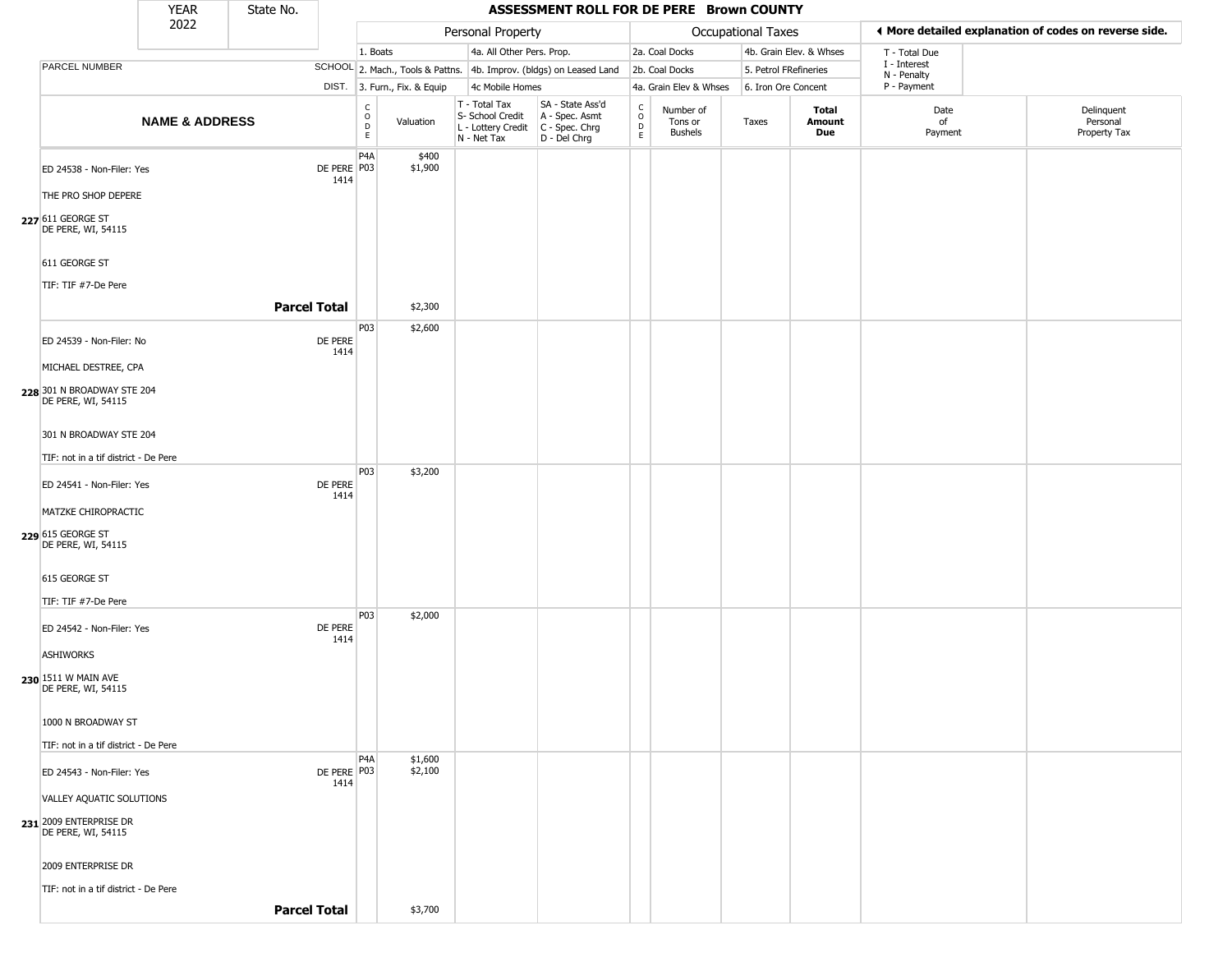|                                                                          | <b>YEAR</b>               | State No. |                     |                                                          |                              |                                                                        | ASSESSMENT ROLL FOR DE PERE Brown COUNTY                             |                                              |                                        |                           |                         |                             |                                                       |
|--------------------------------------------------------------------------|---------------------------|-----------|---------------------|----------------------------------------------------------|------------------------------|------------------------------------------------------------------------|----------------------------------------------------------------------|----------------------------------------------|----------------------------------------|---------------------------|-------------------------|-----------------------------|-------------------------------------------------------|
|                                                                          | 2022                      |           |                     |                                                          |                              | Personal Property                                                      |                                                                      |                                              |                                        | <b>Occupational Taxes</b> |                         |                             | ♦ More detailed explanation of codes on reverse side. |
|                                                                          |                           |           |                     | 1. Boats                                                 |                              | 4a. All Other Pers. Prop.                                              |                                                                      |                                              | 2a. Coal Docks                         |                           | 4b. Grain Elev. & Whses | T - Total Due               |                                                       |
| <b>PARCEL NUMBER</b>                                                     |                           |           |                     |                                                          |                              |                                                                        | SCHOOL 2. Mach., Tools & Pattns. 4b. Improv. (bldgs) on Leased Land  |                                              | 2b. Coal Docks                         | 5. Petrol FRefineries     |                         | I - Interest<br>N - Penalty |                                                       |
|                                                                          |                           |           |                     |                                                          | DIST. 3. Furn., Fix. & Equip | 4c Mobile Homes                                                        |                                                                      |                                              | 4a. Grain Elev & Whses                 | 6. Iron Ore Concent       |                         | P - Payment                 |                                                       |
|                                                                          | <b>NAME &amp; ADDRESS</b> |           |                     | $\mathsf C$<br>$\mathsf O$<br>$\mathsf D$<br>$\mathsf E$ | Valuation                    | T - Total Tax<br>S- School Credit<br>L - Lottery Credit<br>N - Net Tax | SA - State Ass'd<br>A - Spec. Asmt<br>C - Spec. Chrg<br>D - Del Chrg | $\mathsf{C}$<br>$\circ$<br>$\mathsf{D}$<br>E | Number of<br>Tons or<br><b>Bushels</b> | Taxes                     | Total<br>Amount<br>Due  | Date<br>of<br>Payment       | Delinquent<br>Personal<br>Property Tax                |
| ED 24538 - Non-Filer: Yes                                                |                           |           | DE PERE P03<br>1414 | P4A                                                      | \$400<br>\$1,900             |                                                                        |                                                                      |                                              |                                        |                           |                         |                             |                                                       |
| THE PRO SHOP DEPERE                                                      |                           |           |                     |                                                          |                              |                                                                        |                                                                      |                                              |                                        |                           |                         |                             |                                                       |
| 227 611 GEORGE ST<br>DE PERE, WI, 54115                                  |                           |           |                     |                                                          |                              |                                                                        |                                                                      |                                              |                                        |                           |                         |                             |                                                       |
| 611 GEORGE ST<br>TIF: TIF #7-De Pere                                     |                           |           |                     |                                                          |                              |                                                                        |                                                                      |                                              |                                        |                           |                         |                             |                                                       |
|                                                                          |                           |           | <b>Parcel Total</b> |                                                          | \$2,300                      |                                                                        |                                                                      |                                              |                                        |                           |                         |                             |                                                       |
| ED 24539 - Non-Filer: No                                                 |                           |           | DE PERE<br>1414     | P03                                                      | \$2,600                      |                                                                        |                                                                      |                                              |                                        |                           |                         |                             |                                                       |
| MICHAEL DESTREE, CPA<br>228 301 N BROADWAY STE 204<br>DE PERE, WI, 54115 |                           |           |                     |                                                          |                              |                                                                        |                                                                      |                                              |                                        |                           |                         |                             |                                                       |
| 301 N BROADWAY STE 204                                                   |                           |           |                     |                                                          |                              |                                                                        |                                                                      |                                              |                                        |                           |                         |                             |                                                       |
| TIF: not in a tif district - De Pere                                     |                           |           |                     |                                                          |                              |                                                                        |                                                                      |                                              |                                        |                           |                         |                             |                                                       |
| ED 24541 - Non-Filer: Yes                                                |                           |           | DE PERE<br>1414     | P03                                                      | \$3,200                      |                                                                        |                                                                      |                                              |                                        |                           |                         |                             |                                                       |
| MATZKE CHIROPRACTIC                                                      |                           |           |                     |                                                          |                              |                                                                        |                                                                      |                                              |                                        |                           |                         |                             |                                                       |
| 229 615 GEORGE ST<br>DE PERE, WI, 54115                                  |                           |           |                     |                                                          |                              |                                                                        |                                                                      |                                              |                                        |                           |                         |                             |                                                       |
| 615 GEORGE ST<br>TIF: TIF #7-De Pere                                     |                           |           |                     |                                                          |                              |                                                                        |                                                                      |                                              |                                        |                           |                         |                             |                                                       |
|                                                                          |                           |           |                     | P03                                                      | \$2,000                      |                                                                        |                                                                      |                                              |                                        |                           |                         |                             |                                                       |
| ED 24542 - Non-Filer: Yes<br><b>ASHIWORKS</b>                            |                           |           | DE PERE<br>1414     |                                                          |                              |                                                                        |                                                                      |                                              |                                        |                           |                         |                             |                                                       |
| 230 1511 W MAIN AVE<br>DE PERE, WI, 54115                                |                           |           |                     |                                                          |                              |                                                                        |                                                                      |                                              |                                        |                           |                         |                             |                                                       |
| 1000 N BROADWAY ST                                                       |                           |           |                     |                                                          |                              |                                                                        |                                                                      |                                              |                                        |                           |                         |                             |                                                       |
| TIF: not in a tif district - De Pere                                     |                           |           |                     | P4A                                                      | \$1,600                      |                                                                        |                                                                      |                                              |                                        |                           |                         |                             |                                                       |
| ED 24543 - Non-Filer: Yes                                                |                           |           | DE PERE P03<br>1414 |                                                          | \$2,100                      |                                                                        |                                                                      |                                              |                                        |                           |                         |                             |                                                       |
| VALLEY AQUATIC SOLUTIONS                                                 |                           |           |                     |                                                          |                              |                                                                        |                                                                      |                                              |                                        |                           |                         |                             |                                                       |
| 231 2009 ENTERPRISE DR<br>DE PERE, WI, 54115                             |                           |           |                     |                                                          |                              |                                                                        |                                                                      |                                              |                                        |                           |                         |                             |                                                       |
| 2009 ENTERPRISE DR                                                       |                           |           |                     |                                                          |                              |                                                                        |                                                                      |                                              |                                        |                           |                         |                             |                                                       |
| TIF: not in a tif district - De Pere                                     |                           |           |                     |                                                          |                              |                                                                        |                                                                      |                                              |                                        |                           |                         |                             |                                                       |
|                                                                          |                           |           | <b>Parcel Total</b> |                                                          | \$3,700                      |                                                                        |                                                                      |                                              |                                        |                           |                         |                             |                                                       |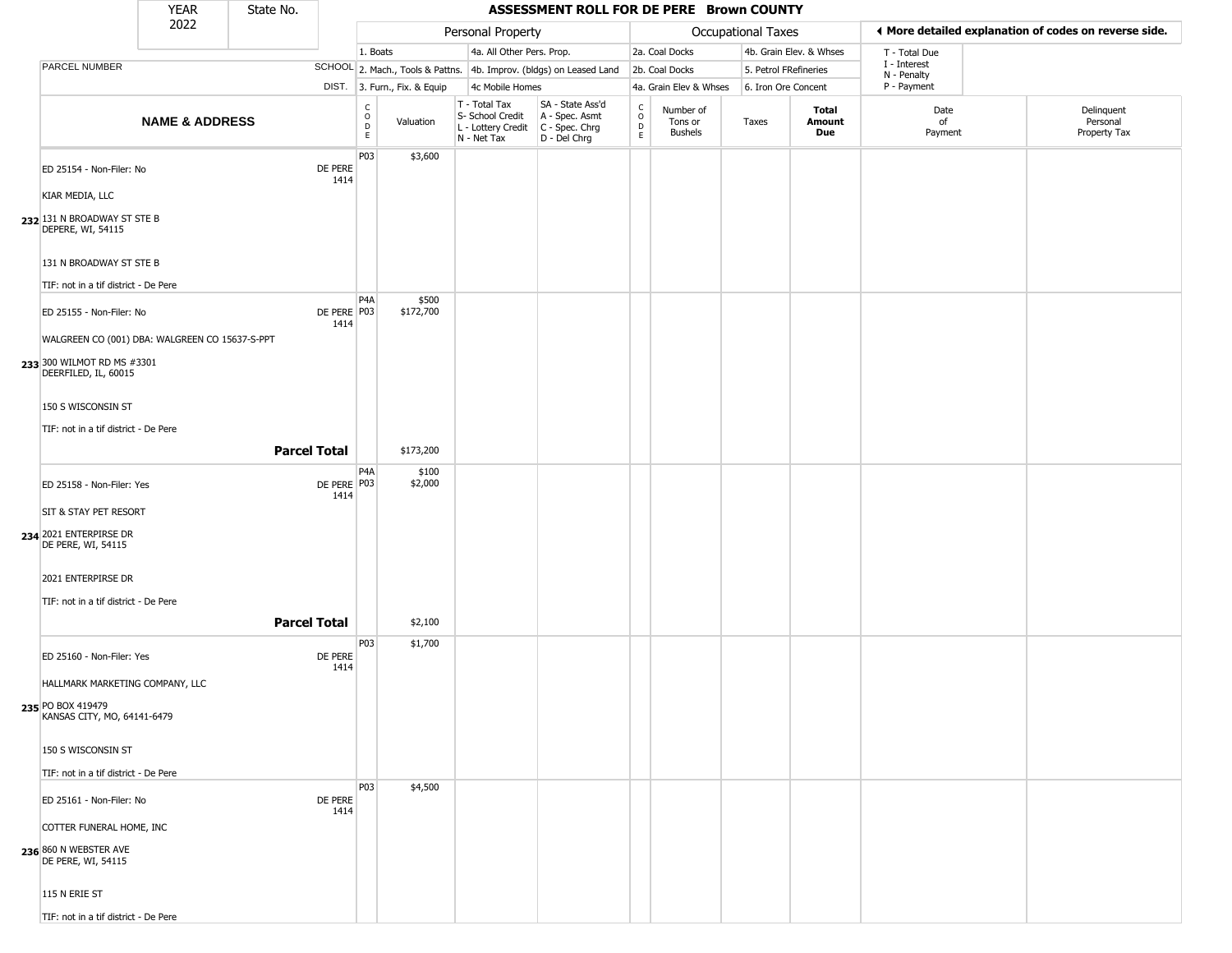|                                                                                                      | <b>YEAR</b>               | State No.           |                       |                         |                              |                                                                        | ASSESSMENT ROLL FOR DE PERE Brown COUNTY                             |                        |                                 |                       |                               |                             |                                                       |
|------------------------------------------------------------------------------------------------------|---------------------------|---------------------|-----------------------|-------------------------|------------------------------|------------------------------------------------------------------------|----------------------------------------------------------------------|------------------------|---------------------------------|-----------------------|-------------------------------|-----------------------------|-------------------------------------------------------|
|                                                                                                      | 2022                      |                     |                       |                         |                              | Personal Property                                                      |                                                                      |                        |                                 | Occupational Taxes    |                               |                             | ♦ More detailed explanation of codes on reverse side. |
|                                                                                                      |                           |                     |                       | 1. Boats                |                              | 4a. All Other Pers. Prop.                                              |                                                                      |                        | 2a. Coal Docks                  |                       | 4b. Grain Elev. & Whses       | T - Total Due               |                                                       |
| <b>PARCEL NUMBER</b>                                                                                 |                           |                     |                       |                         |                              |                                                                        | SCHOOL 2. Mach., Tools & Pattns. 4b. Improv. (bldgs) on Leased Land  |                        | 2b. Coal Docks                  | 5. Petrol FRefineries |                               | I - Interest<br>N - Penalty |                                                       |
|                                                                                                      |                           |                     |                       |                         | DIST. 3. Furn., Fix. & Equip | 4c Mobile Homes                                                        |                                                                      |                        | 4a. Grain Elev & Whses          | 6. Iron Ore Concent   |                               | P - Payment                 |                                                       |
|                                                                                                      | <b>NAME &amp; ADDRESS</b> |                     |                       | C<br>$\circ$<br>D<br>E. | Valuation                    | T - Total Tax<br>S- School Credit<br>L - Lottery Credit<br>N - Net Tax | SA - State Ass'd<br>A - Spec. Asmt<br>C - Spec. Chrg<br>D - Del Chrg | C<br>$\circ$<br>D<br>E | Number of<br>Tons or<br>Bushels | Taxes                 | <b>Total</b><br>Amount<br>Due | Date<br>of<br>Payment       | Delinquent<br>Personal<br>Property Tax                |
| ED 25154 - Non-Filer: No<br>KIAR MEDIA, LLC                                                          |                           |                     | DE PERE<br>1414       | P03                     | \$3,600                      |                                                                        |                                                                      |                        |                                 |                       |                               |                             |                                                       |
| 232 131 N BROADWAY ST STE B<br>DEPERE, WI, 54115                                                     |                           |                     |                       |                         |                              |                                                                        |                                                                      |                        |                                 |                       |                               |                             |                                                       |
| 131 N BROADWAY ST STE B<br>TIF: not in a tif district - De Pere                                      |                           |                     |                       |                         |                              |                                                                        |                                                                      |                        |                                 |                       |                               |                             |                                                       |
|                                                                                                      |                           |                     |                       | P4A                     | \$500                        |                                                                        |                                                                      |                        |                                 |                       |                               |                             |                                                       |
| ED 25155 - Non-Filer: No                                                                             |                           |                     | DE PERE   P03<br>1414 |                         | \$172,700                    |                                                                        |                                                                      |                        |                                 |                       |                               |                             |                                                       |
| WALGREEN CO (001) DBA: WALGREEN CO 15637-S-PPT<br>233 300 WILMOT RD MS #3301<br>DEERFILED, IL, 60015 |                           |                     |                       |                         |                              |                                                                        |                                                                      |                        |                                 |                       |                               |                             |                                                       |
| 150 S WISCONSIN ST                                                                                   |                           |                     |                       |                         |                              |                                                                        |                                                                      |                        |                                 |                       |                               |                             |                                                       |
| TIF: not in a tif district - De Pere                                                                 |                           |                     |                       |                         |                              |                                                                        |                                                                      |                        |                                 |                       |                               |                             |                                                       |
|                                                                                                      |                           | <b>Parcel Total</b> |                       |                         | \$173,200                    |                                                                        |                                                                      |                        |                                 |                       |                               |                             |                                                       |
| ED 25158 - Non-Filer: Yes                                                                            |                           |                     | DE PERE P03<br>1414   | P4A                     | \$100<br>\$2,000             |                                                                        |                                                                      |                        |                                 |                       |                               |                             |                                                       |
| SIT & STAY PET RESORT                                                                                |                           |                     |                       |                         |                              |                                                                        |                                                                      |                        |                                 |                       |                               |                             |                                                       |
| 234 2021 ENTERPIRSE DR<br>DE PERE, WI, 54115                                                         |                           |                     |                       |                         |                              |                                                                        |                                                                      |                        |                                 |                       |                               |                             |                                                       |
| 2021 ENTERPIRSE DR                                                                                   |                           |                     |                       |                         |                              |                                                                        |                                                                      |                        |                                 |                       |                               |                             |                                                       |
| TIF: not in a tif district - De Pere                                                                 |                           |                     |                       |                         |                              |                                                                        |                                                                      |                        |                                 |                       |                               |                             |                                                       |
|                                                                                                      |                           | <b>Parcel Total</b> |                       |                         | \$2,100                      |                                                                        |                                                                      |                        |                                 |                       |                               |                             |                                                       |
| ED 25160 - Non-Filer: Yes                                                                            |                           |                     | DE PERE<br>1414       | P <sub>0</sub> 3        | \$1,700                      |                                                                        |                                                                      |                        |                                 |                       |                               |                             |                                                       |
| HALLMARK MARKETING COMPANY, LLC                                                                      |                           |                     |                       |                         |                              |                                                                        |                                                                      |                        |                                 |                       |                               |                             |                                                       |
| 235 PO BOX 419479<br>KANSAS CITY, MO, 64141-6479                                                     |                           |                     |                       |                         |                              |                                                                        |                                                                      |                        |                                 |                       |                               |                             |                                                       |
| 150 S WISCONSIN ST                                                                                   |                           |                     |                       |                         |                              |                                                                        |                                                                      |                        |                                 |                       |                               |                             |                                                       |
| TIF: not in a tif district - De Pere                                                                 |                           |                     |                       |                         |                              |                                                                        |                                                                      |                        |                                 |                       |                               |                             |                                                       |
| ED 25161 - Non-Filer: No                                                                             |                           |                     | DE PERE<br>1414       | P03                     | \$4,500                      |                                                                        |                                                                      |                        |                                 |                       |                               |                             |                                                       |
| COTTER FUNERAL HOME, INC                                                                             |                           |                     |                       |                         |                              |                                                                        |                                                                      |                        |                                 |                       |                               |                             |                                                       |
| 236 860 N WEBSTER AVE<br>DE PERE, WI, 54115                                                          |                           |                     |                       |                         |                              |                                                                        |                                                                      |                        |                                 |                       |                               |                             |                                                       |
| 115 N ERIE ST                                                                                        |                           |                     |                       |                         |                              |                                                                        |                                                                      |                        |                                 |                       |                               |                             |                                                       |
| TIF: not in a tif district - De Pere                                                                 |                           |                     |                       |                         |                              |                                                                        |                                                                      |                        |                                 |                       |                               |                             |                                                       |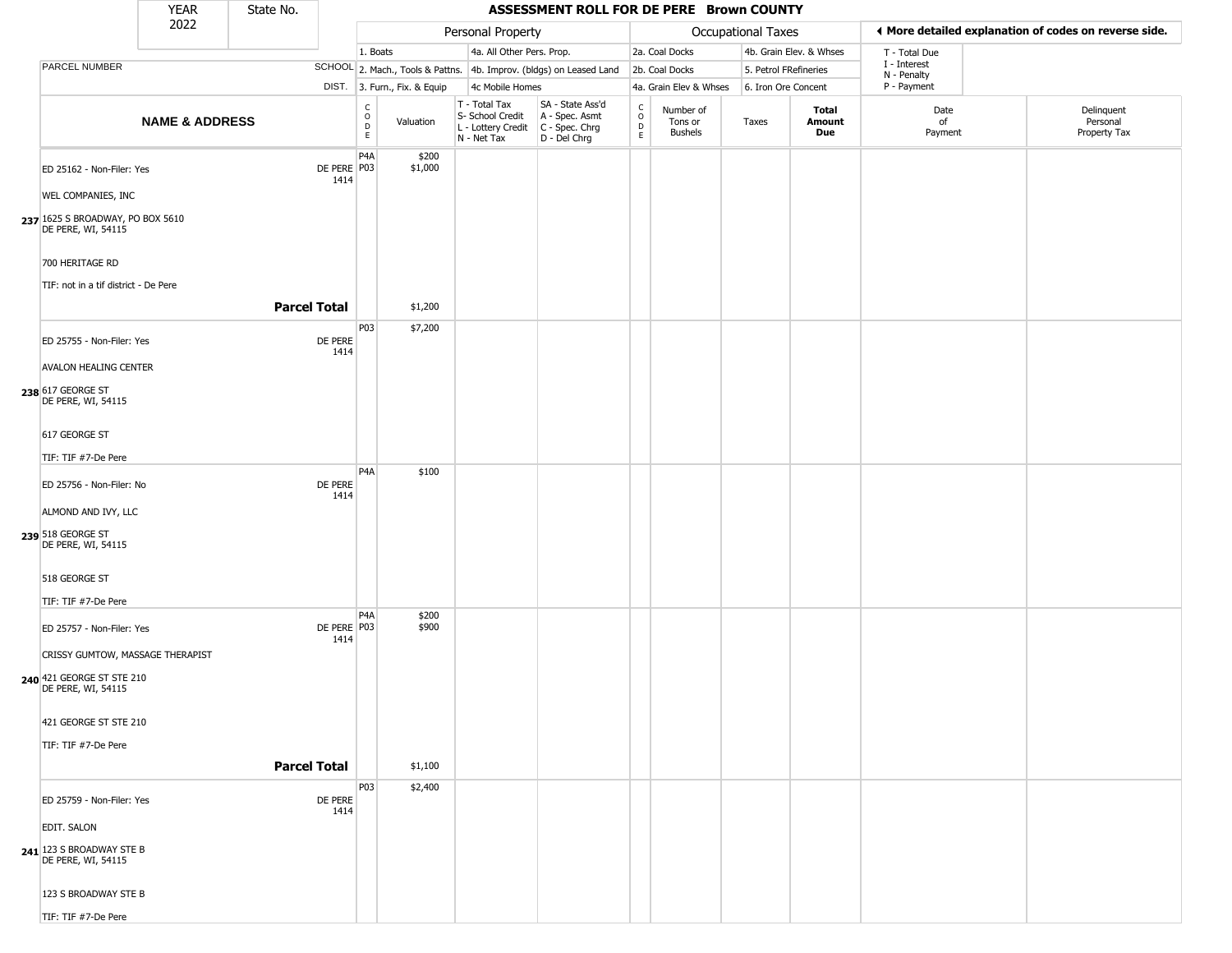|                                                                                                                    | <b>YEAR</b>               | State No.           |                       |                                             |                              |                                                                        | ASSESSMENT ROLL FOR DE PERE Brown COUNTY                             |                                              |                                        |                           |                         |                                                       |                                        |
|--------------------------------------------------------------------------------------------------------------------|---------------------------|---------------------|-----------------------|---------------------------------------------|------------------------------|------------------------------------------------------------------------|----------------------------------------------------------------------|----------------------------------------------|----------------------------------------|---------------------------|-------------------------|-------------------------------------------------------|----------------------------------------|
|                                                                                                                    | 2022                      |                     |                       |                                             |                              | Personal Property                                                      |                                                                      |                                              |                                        | <b>Occupational Taxes</b> |                         | ♦ More detailed explanation of codes on reverse side. |                                        |
|                                                                                                                    |                           |                     |                       | 1. Boats                                    |                              | 4a. All Other Pers. Prop.                                              |                                                                      |                                              | 2a. Coal Docks                         |                           | 4b. Grain Elev. & Whses | T - Total Due                                         |                                        |
| PARCEL NUMBER                                                                                                      |                           |                     |                       |                                             |                              |                                                                        | SCHOOL 2. Mach., Tools & Pattns. 4b. Improv. (bldgs) on Leased Land  |                                              | 2b. Coal Docks                         | 5. Petrol FRefineries     |                         | I - Interest<br>N - Penalty                           |                                        |
|                                                                                                                    |                           |                     |                       |                                             | DIST. 3. Furn., Fix. & Equip | 4c Mobile Homes                                                        |                                                                      |                                              | 4a. Grain Elev & Whses                 | 6. Iron Ore Concent       |                         | P - Payment                                           |                                        |
|                                                                                                                    | <b>NAME &amp; ADDRESS</b> |                     |                       | $\mathsf{C}$<br>$\circ$<br>$\mathsf D$<br>E | Valuation                    | T - Total Tax<br>S- School Credit<br>L - Lottery Credit<br>N - Net Tax | SA - State Ass'd<br>A - Spec. Asmt<br>C - Spec. Chrg<br>D - Del Chrg | $\int_{0}^{c}$<br>$\mathsf D$<br>$\mathsf E$ | Number of<br>Tons or<br><b>Bushels</b> | Taxes                     | Total<br>Amount<br>Due  | Date<br>of<br>Payment                                 | Delinquent<br>Personal<br>Property Tax |
| ED 25162 - Non-Filer: Yes<br>WEL COMPANIES, INC<br>237 1625 S BROADWAY, PO BOX 5610<br>DE PERE, WI, 54115          |                           |                     | DE PERE P03<br>1414   | P <sub>4</sub> A                            | \$200<br>\$1,000             |                                                                        |                                                                      |                                              |                                        |                           |                         |                                                       |                                        |
| 700 HERITAGE RD<br>TIF: not in a tif district - De Pere                                                            |                           | <b>Parcel Total</b> |                       |                                             | \$1,200                      |                                                                        |                                                                      |                                              |                                        |                           |                         |                                                       |                                        |
| ED 25755 - Non-Filer: Yes<br><b>AVALON HEALING CENTER</b><br>238 617 GEORGE ST<br>DE PERE, WI, 54115               |                           |                     | DE PERE<br>1414       | P03                                         | \$7,200                      |                                                                        |                                                                      |                                              |                                        |                           |                         |                                                       |                                        |
| 617 GEORGE ST<br>TIF: TIF #7-De Pere                                                                               |                           |                     |                       | P4A                                         | \$100                        |                                                                        |                                                                      |                                              |                                        |                           |                         |                                                       |                                        |
| ED 25756 - Non-Filer: No<br>ALMOND AND IVY, LLC<br>239 518 GEORGE ST<br>DE PERE, WI, 54115                         |                           |                     | DE PERE<br>1414       |                                             |                              |                                                                        |                                                                      |                                              |                                        |                           |                         |                                                       |                                        |
| 518 GEORGE ST<br>TIF: TIF #7-De Pere                                                                               |                           |                     |                       | P4A                                         | \$200                        |                                                                        |                                                                      |                                              |                                        |                           |                         |                                                       |                                        |
| ED 25757 - Non-Filer: Yes<br>CRISSY GUMTOW, MASSAGE THERAPIST<br>240 421 GEORGE ST STE 210<br>DE PERE, WI, 54115   |                           |                     | DE PERE   P03<br>1414 |                                             | \$900                        |                                                                        |                                                                      |                                              |                                        |                           |                         |                                                       |                                        |
| 421 GEORGE ST STE 210<br>TIF: TIF #7-De Pere                                                                       |                           | <b>Parcel Total</b> |                       |                                             | \$1,100                      |                                                                        |                                                                      |                                              |                                        |                           |                         |                                                       |                                        |
| ED 25759 - Non-Filer: Yes<br>EDIT. SALON<br>241 123 S BROADWAY STE B<br>DE PERE, WI, 54115<br>123 S BROADWAY STE B |                           |                     | DE PERE<br>1414       | P03                                         | \$2,400                      |                                                                        |                                                                      |                                              |                                        |                           |                         |                                                       |                                        |
| TIF: TIF #7-De Pere                                                                                                |                           |                     |                       |                                             |                              |                                                                        |                                                                      |                                              |                                        |                           |                         |                                                       |                                        |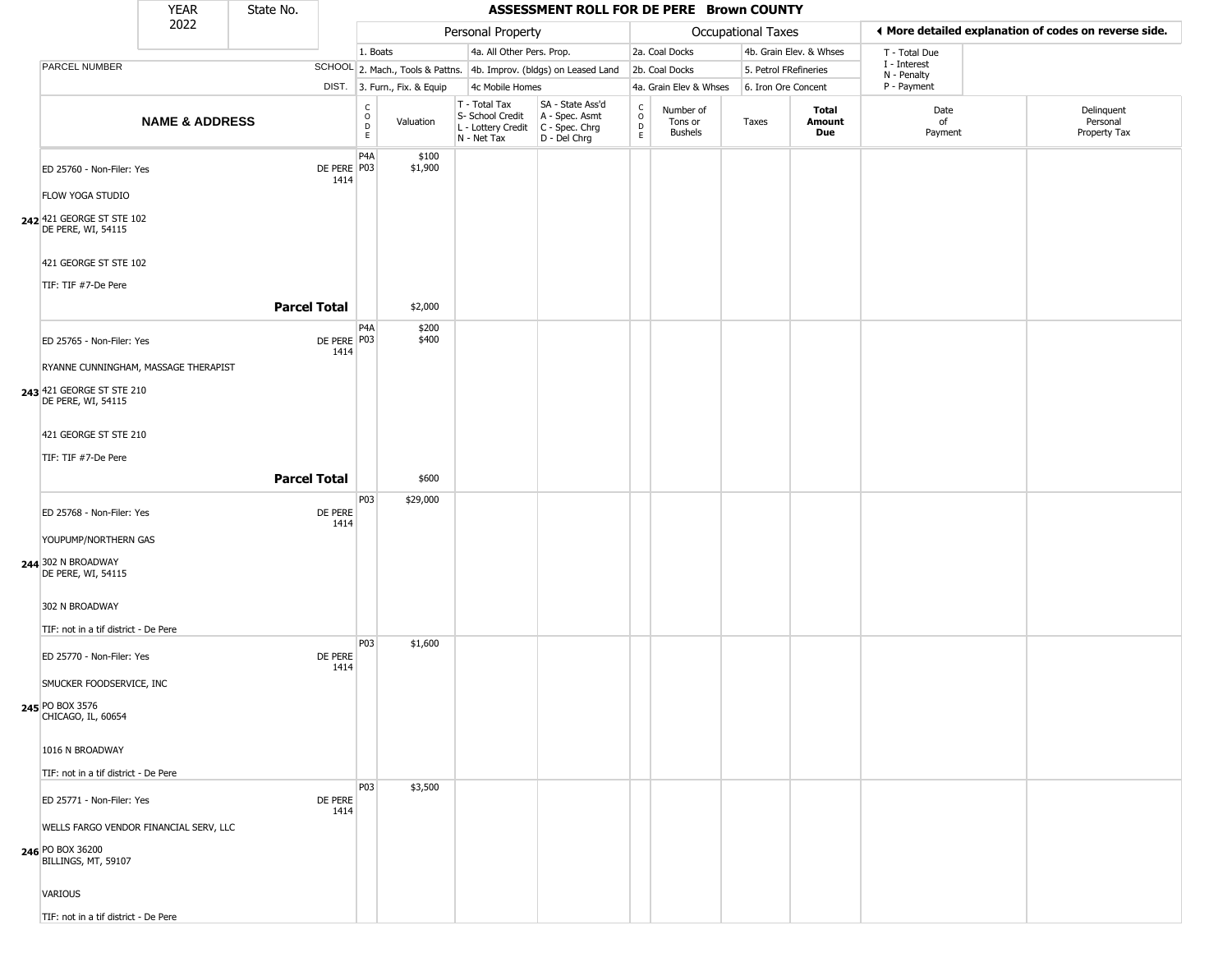|                                                                                                                                                                      | <b>YEAR</b>               | State No.           |                       |                                   |                              |                                                                        | ASSESSMENT ROLL FOR DE PERE Brown COUNTY                               |                        |                                        |                       |                         |                                                       |                                        |
|----------------------------------------------------------------------------------------------------------------------------------------------------------------------|---------------------------|---------------------|-----------------------|-----------------------------------|------------------------------|------------------------------------------------------------------------|------------------------------------------------------------------------|------------------------|----------------------------------------|-----------------------|-------------------------|-------------------------------------------------------|----------------------------------------|
|                                                                                                                                                                      | 2022                      |                     |                       |                                   |                              | Personal Property                                                      |                                                                        |                        |                                        | Occupational Taxes    |                         | ♦ More detailed explanation of codes on reverse side. |                                        |
|                                                                                                                                                                      |                           |                     |                       | 1. Boats                          |                              | 4a. All Other Pers. Prop.                                              |                                                                        |                        | 2a. Coal Docks                         |                       | 4b. Grain Elev. & Whses | T - Total Due                                         |                                        |
| PARCEL NUMBER                                                                                                                                                        |                           |                     |                       |                                   |                              |                                                                        | SCHOOL 2. Mach., Tools & Pattns. 4b. Improv. (bldgs) on Leased Land    |                        | 2b. Coal Docks                         | 5. Petrol FRefineries |                         | I - Interest<br>N - Penalty                           |                                        |
|                                                                                                                                                                      |                           |                     |                       |                                   | DIST. 3. Furn., Fix. & Equip | 4c Mobile Homes                                                        |                                                                        |                        | 4a. Grain Elev & Whses                 | 6. Iron Ore Concent   |                         | P - Payment                                           |                                        |
|                                                                                                                                                                      | <b>NAME &amp; ADDRESS</b> |                     |                       | $\mathsf{C}$<br>$\circ$<br>D<br>E | Valuation                    | T - Total Tax<br>S- School Credit<br>L - Lottery Credit<br>N - Net Tax | SA - State Ass'd<br>A - Spec. Asmt<br>$C - Spec. Chrg$<br>D - Del Chrg | C<br>$\circ$<br>D<br>E | Number of<br>Tons or<br><b>Bushels</b> | Taxes                 | Total<br>Amount<br>Due  | Date<br>of<br>Payment                                 | Delinquent<br>Personal<br>Property Tax |
| ED 25760 - Non-Filer: Yes<br><b>FLOW YOGA STUDIO</b><br>242 421 GEORGE ST STE 102                                                                                    |                           |                     | DE PERE P03<br>1414   | P <sub>4</sub> A                  | \$100<br>\$1,900             |                                                                        |                                                                        |                        |                                        |                       |                         |                                                       |                                        |
| DE PERE, WI, 54115<br>421 GEORGE ST STE 102<br>TIF: TIF #7-De Pere                                                                                                   |                           | <b>Parcel Total</b> |                       |                                   | \$2,000                      |                                                                        |                                                                        |                        |                                        |                       |                         |                                                       |                                        |
| ED 25765 - Non-Filer: Yes<br>RYANNE CUNNINGHAM, MASSAGE THERAPIST<br>243 421 GEORGE ST STE 210<br>DE PERE, WI, 54115<br>421 GEORGE ST STE 210<br>TIF: TIF #7-De Pere |                           |                     | DE PERE   P03<br>1414 | P <sub>4</sub> A                  | \$200<br>\$400               |                                                                        |                                                                        |                        |                                        |                       |                         |                                                       |                                        |
|                                                                                                                                                                      |                           | <b>Parcel Total</b> |                       |                                   | \$600                        |                                                                        |                                                                        |                        |                                        |                       |                         |                                                       |                                        |
| ED 25768 - Non-Filer: Yes<br>YOUPUMP/NORTHERN GAS<br>244 302 N BROADWAY<br>DE PERE, WI, 54115<br>302 N BROADWAY                                                      |                           |                     | DE PERE<br>1414       | P03                               | \$29,000                     |                                                                        |                                                                        |                        |                                        |                       |                         |                                                       |                                        |
| TIF: not in a tif district - De Pere<br>ED 25770 - Non-Filer: Yes<br>SMUCKER FOODSERVICE, INC<br>245 PO BOX 3576<br>CHICAGO, IL, 60654<br>1016 N BROADWAY            |                           |                     | DE PERE<br>1414       | P03                               | \$1,600                      |                                                                        |                                                                        |                        |                                        |                       |                         |                                                       |                                        |
| TIF: not in a tif district - De Pere<br>ED 25771 - Non-Filer: Yes<br>WELLS FARGO VENDOR FINANCIAL SERV, LLC<br>246 PO BOX 36200<br>BILLINGS, MT, 59107<br>VARIOUS    |                           |                     | DE PERE<br>1414       | P03                               | \$3,500                      |                                                                        |                                                                        |                        |                                        |                       |                         |                                                       |                                        |
| TIF: not in a tif district - De Pere                                                                                                                                 |                           |                     |                       |                                   |                              |                                                                        |                                                                        |                        |                                        |                       |                         |                                                       |                                        |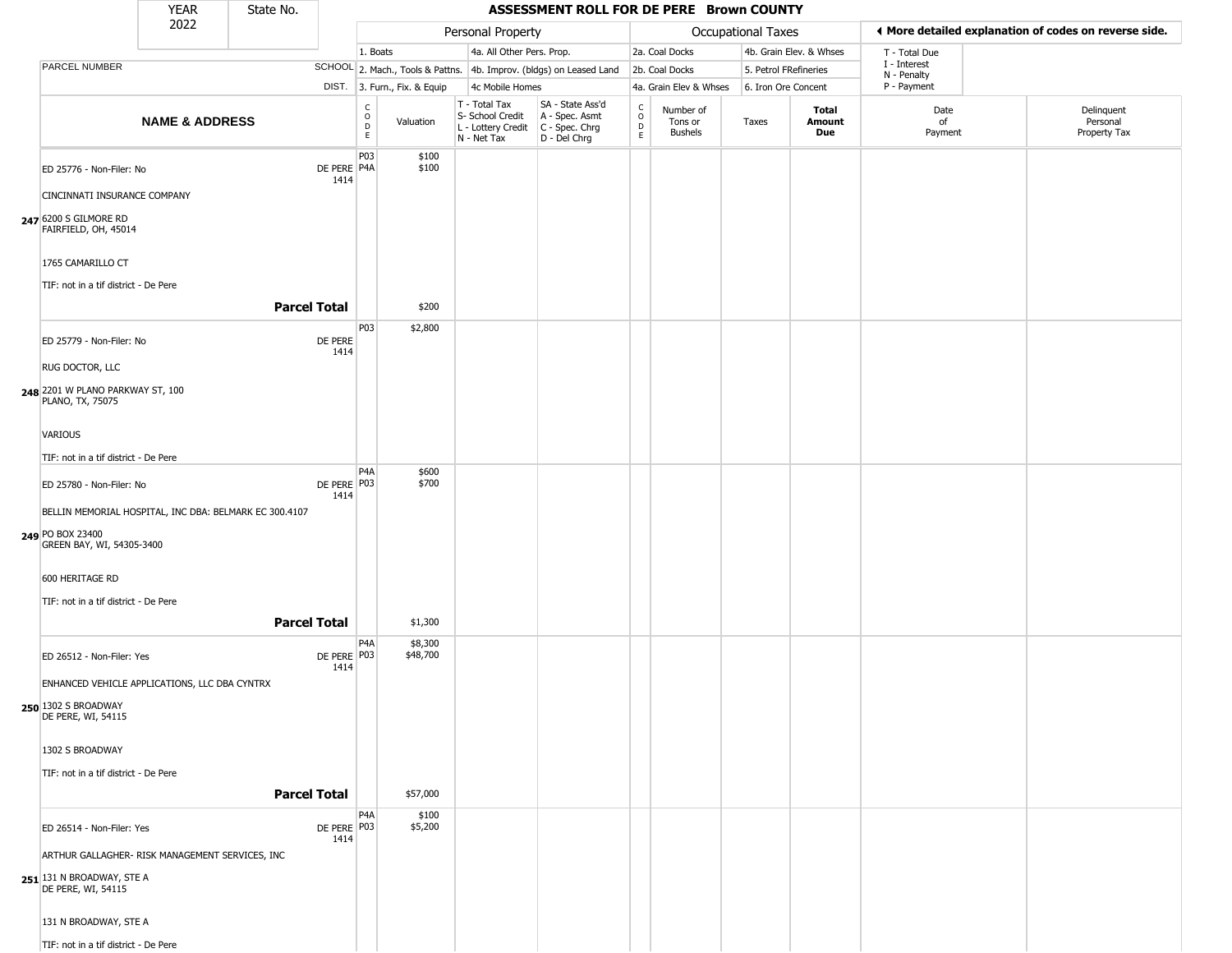|                                                                                                                                     | <b>YEAR</b>               | State No.           |                     |                              |                              |                                                                                         | ASSESSMENT ROLL FOR DE PERE Brown COUNTY                            |                                |                                        |                       |                               |                                                       |                                        |
|-------------------------------------------------------------------------------------------------------------------------------------|---------------------------|---------------------|---------------------|------------------------------|------------------------------|-----------------------------------------------------------------------------------------|---------------------------------------------------------------------|--------------------------------|----------------------------------------|-----------------------|-------------------------------|-------------------------------------------------------|----------------------------------------|
|                                                                                                                                     | 2022                      |                     |                     |                              |                              | Personal Property                                                                       |                                                                     |                                |                                        | Occupational Taxes    |                               | ◀ More detailed explanation of codes on reverse side. |                                        |
|                                                                                                                                     |                           |                     |                     | 1. Boats                     |                              | 4a. All Other Pers. Prop.                                                               |                                                                     |                                | 2a. Coal Docks                         |                       | 4b. Grain Elev. & Whses       | T - Total Due                                         |                                        |
| PARCEL NUMBER                                                                                                                       |                           |                     |                     |                              |                              |                                                                                         | SCHOOL 2. Mach., Tools & Pattns. 4b. Improv. (bldgs) on Leased Land |                                | 2b. Coal Docks                         | 5. Petrol FRefineries |                               | I - Interest                                          |                                        |
|                                                                                                                                     |                           |                     |                     |                              | DIST. 3. Furn., Fix. & Equip | 4c Mobile Homes                                                                         |                                                                     |                                | 4a. Grain Elev & Whses                 | 6. Iron Ore Concent   |                               | N - Penalty<br>P - Payment                            |                                        |
|                                                                                                                                     | <b>NAME &amp; ADDRESS</b> |                     |                     | $_{\rm o}^{\rm c}$<br>D<br>E | Valuation                    | T - Total Tax<br>S- School Credit<br>L - Lottery Credit   C - Spec. Chrg<br>N - Net Tax | SA - State Ass'd<br>A - Spec. Asmt<br>D - Del Chrg                  | $\frac{c}{0}$<br>$\frac{D}{E}$ | Number of<br>Tons or<br><b>Bushels</b> | Taxes                 | <b>Total</b><br>Amount<br>Due | Date<br>of<br>Payment                                 | Delinquent<br>Personal<br>Property Tax |
| ED 25776 - Non-Filer: No<br>CINCINNATI INSURANCE COMPANY<br>247 6200 S GILMORE RD<br>FAIRFIELD, OH, 45014                           |                           |                     | DE PERE P4A<br>1414 | P03                          | \$100<br>\$100               |                                                                                         |                                                                     |                                |                                        |                       |                               |                                                       |                                        |
| 1765 CAMARILLO CT<br>TIF: not in a tif district - De Pere                                                                           |                           |                     |                     |                              |                              |                                                                                         |                                                                     |                                |                                        |                       |                               |                                                       |                                        |
|                                                                                                                                     |                           | <b>Parcel Total</b> |                     |                              | \$200                        |                                                                                         |                                                                     |                                |                                        |                       |                               |                                                       |                                        |
| ED 25779 - Non-Filer: No<br>RUG DOCTOR, LLC                                                                                         |                           |                     | DE PERE<br>1414     | P03                          | \$2,800                      |                                                                                         |                                                                     |                                |                                        |                       |                               |                                                       |                                        |
| 248 2201 W PLANO PARKWAY ST, 100<br>PLANO, TX, 75075<br>VARIOUS                                                                     |                           |                     |                     |                              |                              |                                                                                         |                                                                     |                                |                                        |                       |                               |                                                       |                                        |
| TIF: not in a tif district - De Pere                                                                                                |                           |                     |                     | P <sub>4</sub> A             | \$600                        |                                                                                         |                                                                     |                                |                                        |                       |                               |                                                       |                                        |
| ED 25780 - Non-Filer: No<br>BELLIN MEMORIAL HOSPITAL, INC DBA: BELMARK EC 300.4107<br>249 PO BOX 23400<br>GREEN BAY, WI, 54305-3400 |                           |                     | DE PERE P03<br>1414 |                              | \$700                        |                                                                                         |                                                                     |                                |                                        |                       |                               |                                                       |                                        |
| 600 HERITAGE RD<br>TIF: not in a tif district - De Pere                                                                             |                           | <b>Parcel Total</b> |                     |                              | \$1,300                      |                                                                                         |                                                                     |                                |                                        |                       |                               |                                                       |                                        |
| ED 26512 - Non-Filer: Yes<br>ENHANCED VEHICLE APPLICATIONS, LLC DBA CYNTRX<br>250 1302 S BROADWAY<br>DE PERE, WI, 54115             |                           |                     | DE PERE P03<br>1414 | P4A                          | \$8,300<br>\$48,700          |                                                                                         |                                                                     |                                |                                        |                       |                               |                                                       |                                        |
| 1302 S BROADWAY<br>TIF: not in a tif district - De Pere                                                                             |                           | <b>Parcel Total</b> |                     |                              | \$57,000                     |                                                                                         |                                                                     |                                |                                        |                       |                               |                                                       |                                        |
|                                                                                                                                     |                           |                     |                     | P4A                          | \$100                        |                                                                                         |                                                                     |                                |                                        |                       |                               |                                                       |                                        |
| ED 26514 - Non-Filer: Yes<br>ARTHUR GALLAGHER- RISK MANAGEMENT SERVICES, INC<br>251 131 N BROADWAY, STE A<br>DE PERE, WI, 54115     |                           |                     | DE PERE P03<br>1414 |                              | \$5,200                      |                                                                                         |                                                                     |                                |                                        |                       |                               |                                                       |                                        |
| 131 N BROADWAY, STE A                                                                                                               |                           |                     |                     |                              |                              |                                                                                         |                                                                     |                                |                                        |                       |                               |                                                       |                                        |
| TIF: not in a tif district - De Pere                                                                                                |                           |                     |                     |                              |                              |                                                                                         |                                                                     |                                |                                        |                       |                               |                                                       |                                        |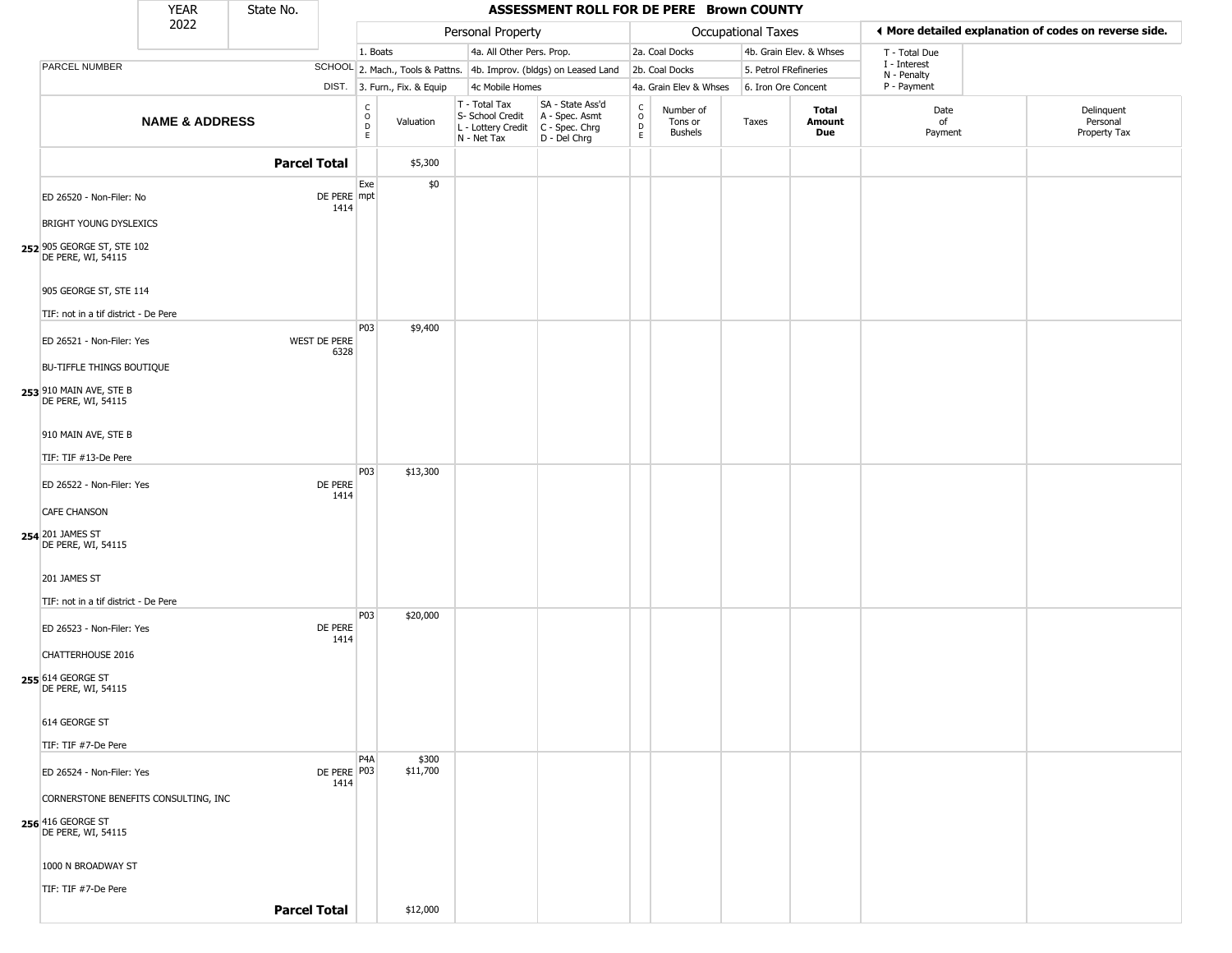|                                                                     | <b>YEAR</b>               | State No.           |                      |                                                |                              |                                                                        | ASSESSMENT ROLL FOR DE PERE Brown COUNTY                             |                                                   |                                 |                       |                               |                             |                                                       |
|---------------------------------------------------------------------|---------------------------|---------------------|----------------------|------------------------------------------------|------------------------------|------------------------------------------------------------------------|----------------------------------------------------------------------|---------------------------------------------------|---------------------------------|-----------------------|-------------------------------|-----------------------------|-------------------------------------------------------|
|                                                                     | 2022                      |                     |                      |                                                |                              | Personal Property                                                      |                                                                      |                                                   |                                 | Occupational Taxes    |                               |                             | ◀ More detailed explanation of codes on reverse side. |
|                                                                     |                           |                     |                      | 1. Boats                                       |                              | 4a. All Other Pers. Prop.                                              |                                                                      |                                                   | 2a. Coal Docks                  |                       | 4b. Grain Elev. & Whses       | T - Total Due               |                                                       |
| PARCEL NUMBER                                                       |                           |                     |                      |                                                |                              |                                                                        | SCHOOL 2. Mach., Tools & Pattns. 4b. Improv. (bldgs) on Leased Land  |                                                   | 2b. Coal Docks                  | 5. Petrol FRefineries |                               | I - Interest<br>N - Penalty |                                                       |
|                                                                     |                           |                     |                      |                                                | DIST. 3. Furn., Fix. & Equip | 4c Mobile Homes                                                        |                                                                      |                                                   | 4a. Grain Elev & Whses          | 6. Iron Ore Concent   |                               | P - Payment                 |                                                       |
|                                                                     | <b>NAME &amp; ADDRESS</b> |                     |                      | $\begin{matrix} 0 \\ 0 \\ D \end{matrix}$<br>E | Valuation                    | T - Total Tax<br>S- School Credit<br>L - Lottery Credit<br>N - Net Tax | SA - State Ass'd<br>A - Spec. Asmt<br>C - Spec. Chrg<br>D - Del Chrg | $\begin{array}{c}\nC \\ O \\ D \\ E\n\end{array}$ | Number of<br>Tons or<br>Bushels | Taxes                 | Total<br>Amount<br><b>Due</b> | Date<br>of<br>Payment       | Delinquent<br>Personal<br>Property Tax                |
|                                                                     |                           | <b>Parcel Total</b> |                      |                                                | \$5,300                      |                                                                        |                                                                      |                                                   |                                 |                       |                               |                             |                                                       |
| ED 26520 - Non-Filer: No<br><b>BRIGHT YOUNG DYSLEXICS</b>           |                           |                     | DE PERE mpt<br>1414  | Exe                                            | \$0                          |                                                                        |                                                                      |                                                   |                                 |                       |                               |                             |                                                       |
| 252 905 GEORGE ST, STE 102<br>DE PERE, WI, 54115                    |                           |                     |                      |                                                |                              |                                                                        |                                                                      |                                                   |                                 |                       |                               |                             |                                                       |
| 905 GEORGE ST, STE 114<br>TIF: not in a tif district - De Pere      |                           |                     |                      |                                                |                              |                                                                        |                                                                      |                                                   |                                 |                       |                               |                             |                                                       |
| ED 26521 - Non-Filer: Yes<br><b>BU-TIFFLE THINGS BOUTIQUE</b>       |                           |                     | WEST DE PERE<br>6328 | P03                                            | \$9,400                      |                                                                        |                                                                      |                                                   |                                 |                       |                               |                             |                                                       |
| 253 910 MAIN AVE, STE B<br>DE PERE, WI, 54115                       |                           |                     |                      |                                                |                              |                                                                        |                                                                      |                                                   |                                 |                       |                               |                             |                                                       |
| 910 MAIN AVE, STE B<br>TIF: TIF #13-De Pere                         |                           |                     |                      |                                                |                              |                                                                        |                                                                      |                                                   |                                 |                       |                               |                             |                                                       |
| ED 26522 - Non-Filer: Yes                                           |                           |                     | DE PERE<br>1414      | P03                                            | \$13,300                     |                                                                        |                                                                      |                                                   |                                 |                       |                               |                             |                                                       |
| <b>CAFE CHANSON</b><br>254 201 JAMES ST<br>DE PERE, WI, 54115       |                           |                     |                      |                                                |                              |                                                                        |                                                                      |                                                   |                                 |                       |                               |                             |                                                       |
| 201 JAMES ST<br>TIF: not in a tif district - De Pere                |                           |                     |                      | P03                                            | \$20,000                     |                                                                        |                                                                      |                                                   |                                 |                       |                               |                             |                                                       |
| ED 26523 - Non-Filer: Yes<br>CHATTERHOUSE 2016<br>255 614 GEORGE ST |                           |                     | DE PERE<br>1414      |                                                |                              |                                                                        |                                                                      |                                                   |                                 |                       |                               |                             |                                                       |
| DE PERE, WI, 54115<br>614 GEORGE ST                                 |                           |                     |                      |                                                |                              |                                                                        |                                                                      |                                                   |                                 |                       |                               |                             |                                                       |
| TIF: TIF #7-De Pere                                                 |                           |                     |                      |                                                |                              |                                                                        |                                                                      |                                                   |                                 |                       |                               |                             |                                                       |
| ED 26524 - Non-Filer: Yes                                           |                           |                     | DE PERE P03<br>1414  | P <sub>4</sub> A                               | \$300<br>\$11,700            |                                                                        |                                                                      |                                                   |                                 |                       |                               |                             |                                                       |
| CORNERSTONE BENEFITS CONSULTING, INC                                |                           |                     |                      |                                                |                              |                                                                        |                                                                      |                                                   |                                 |                       |                               |                             |                                                       |
| 256 416 GEORGE ST<br>DE PERE, WI, 54115                             |                           |                     |                      |                                                |                              |                                                                        |                                                                      |                                                   |                                 |                       |                               |                             |                                                       |
| 1000 N BROADWAY ST                                                  |                           |                     |                      |                                                |                              |                                                                        |                                                                      |                                                   |                                 |                       |                               |                             |                                                       |
| TIF: TIF #7-De Pere                                                 |                           |                     |                      |                                                |                              |                                                                        |                                                                      |                                                   |                                 |                       |                               |                             |                                                       |
|                                                                     |                           | <b>Parcel Total</b> |                      |                                                | \$12,000                     |                                                                        |                                                                      |                                                   |                                 |                       |                               |                             |                                                       |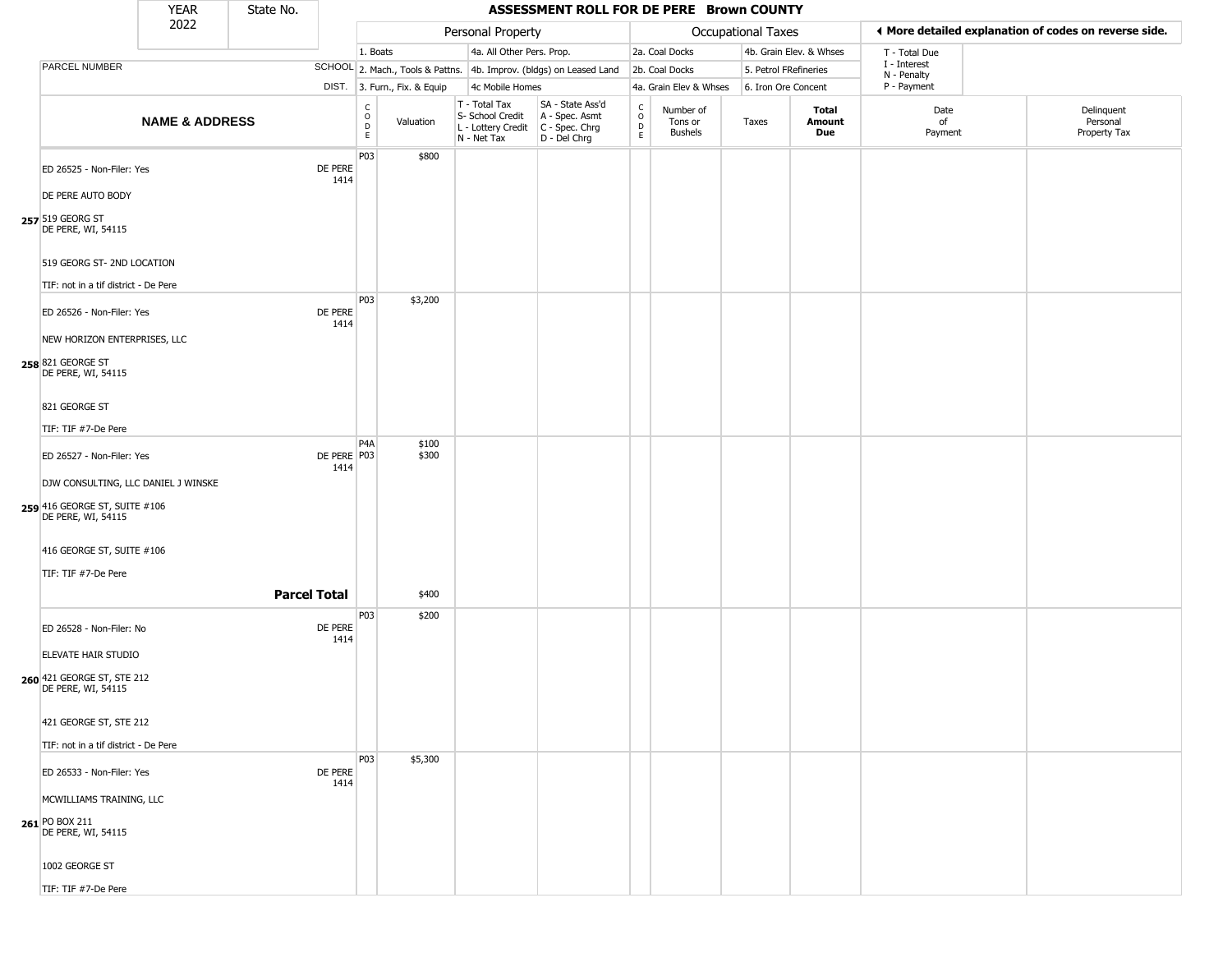|                                                             | <b>YEAR</b>               | State No.           |                       |                                                   |                              |                                                                        | ASSESSMENT ROLL FOR DE PERE Brown COUNTY                               |                                                 |                                        |                       |                         |                             |                                                       |
|-------------------------------------------------------------|---------------------------|---------------------|-----------------------|---------------------------------------------------|------------------------------|------------------------------------------------------------------------|------------------------------------------------------------------------|-------------------------------------------------|----------------------------------------|-----------------------|-------------------------|-----------------------------|-------------------------------------------------------|
|                                                             | 2022                      |                     |                       |                                                   |                              | Personal Property                                                      |                                                                        |                                                 |                                        | Occupational Taxes    |                         |                             | ◀ More detailed explanation of codes on reverse side. |
|                                                             |                           |                     |                       | 1. Boats                                          |                              | 4a. All Other Pers. Prop.                                              |                                                                        |                                                 | 2a. Coal Docks                         |                       | 4b. Grain Elev. & Whses | T - Total Due               |                                                       |
| PARCEL NUMBER                                               |                           |                     |                       |                                                   |                              |                                                                        | SCHOOL 2. Mach., Tools & Pattns. 4b. Improv. (bldgs) on Leased Land    |                                                 | 2b. Coal Docks                         | 5. Petrol FRefineries |                         | I - Interest<br>N - Penalty |                                                       |
|                                                             |                           |                     |                       |                                                   | DIST. 3. Furn., Fix. & Equip | 4c Mobile Homes                                                        |                                                                        |                                                 | 4a. Grain Elev & Whses                 | 6. Iron Ore Concent   |                         | P - Payment                 |                                                       |
|                                                             | <b>NAME &amp; ADDRESS</b> |                     |                       | $\begin{array}{c}\nC \\ O \\ D \\ E\n\end{array}$ | Valuation                    | T - Total Tax<br>S- School Credit<br>L - Lottery Credit<br>N - Net Tax | SA - State Ass'd<br>A - Spec. Asmt<br>$C - Spec. Chrg$<br>D - Del Chrg | $\begin{array}{c} C \\ O \\ D \\ E \end{array}$ | Number of<br>Tons or<br><b>Bushels</b> | Taxes                 | Total<br>Amount<br>Due  | Date<br>of<br>Payment       | Delinquent<br>Personal<br>Property Tax                |
| ED 26525 - Non-Filer: Yes                                   |                           |                     | DE PERE<br>1414       | P03                                               | \$800                        |                                                                        |                                                                        |                                                 |                                        |                       |                         |                             |                                                       |
| DE PERE AUTO BODY<br>257 519 GEORG ST<br>DE PERE, WI, 54115 |                           |                     |                       |                                                   |                              |                                                                        |                                                                        |                                                 |                                        |                       |                         |                             |                                                       |
| 519 GEORG ST- 2ND LOCATION                                  |                           |                     |                       |                                                   |                              |                                                                        |                                                                        |                                                 |                                        |                       |                         |                             |                                                       |
| TIF: not in a tif district - De Pere                        |                           |                     |                       | P03                                               |                              |                                                                        |                                                                        |                                                 |                                        |                       |                         |                             |                                                       |
| ED 26526 - Non-Filer: Yes                                   |                           |                     | DE PERE<br>1414       |                                                   | \$3,200                      |                                                                        |                                                                        |                                                 |                                        |                       |                         |                             |                                                       |
| NEW HORIZON ENTERPRISES, LLC                                |                           |                     |                       |                                                   |                              |                                                                        |                                                                        |                                                 |                                        |                       |                         |                             |                                                       |
| 258 821 GEORGE ST<br>DE PERE, WI, 54115                     |                           |                     |                       |                                                   |                              |                                                                        |                                                                        |                                                 |                                        |                       |                         |                             |                                                       |
| 821 GEORGE ST                                               |                           |                     |                       |                                                   |                              |                                                                        |                                                                        |                                                 |                                        |                       |                         |                             |                                                       |
| TIF: TIF #7-De Pere                                         |                           |                     |                       |                                                   |                              |                                                                        |                                                                        |                                                 |                                        |                       |                         |                             |                                                       |
| ED 26527 - Non-Filer: Yes                                   |                           |                     | DE PERE   P03<br>1414 | P <sub>4</sub> A                                  | \$100<br>\$300               |                                                                        |                                                                        |                                                 |                                        |                       |                         |                             |                                                       |
| DJW CONSULTING, LLC DANIEL J WINSKE                         |                           |                     |                       |                                                   |                              |                                                                        |                                                                        |                                                 |                                        |                       |                         |                             |                                                       |
| 259 416 GEORGE ST, SUITE #106<br>DE PERE, WI, 54115         |                           |                     |                       |                                                   |                              |                                                                        |                                                                        |                                                 |                                        |                       |                         |                             |                                                       |
| 416 GEORGE ST, SUITE #106                                   |                           |                     |                       |                                                   |                              |                                                                        |                                                                        |                                                 |                                        |                       |                         |                             |                                                       |
| TIF: TIF #7-De Pere                                         |                           |                     |                       |                                                   |                              |                                                                        |                                                                        |                                                 |                                        |                       |                         |                             |                                                       |
|                                                             |                           | <b>Parcel Total</b> |                       |                                                   | \$400                        |                                                                        |                                                                        |                                                 |                                        |                       |                         |                             |                                                       |
| ED 26528 - Non-Filer: No                                    |                           |                     | DE PERE<br>1414       | P03                                               | \$200                        |                                                                        |                                                                        |                                                 |                                        |                       |                         |                             |                                                       |
| ELEVATE HAIR STUDIO                                         |                           |                     |                       |                                                   |                              |                                                                        |                                                                        |                                                 |                                        |                       |                         |                             |                                                       |
| 260 421 GEORGE ST, STE 212<br>DE PERE, WI, 54115            |                           |                     |                       |                                                   |                              |                                                                        |                                                                        |                                                 |                                        |                       |                         |                             |                                                       |
| 421 GEORGE ST, STE 212                                      |                           |                     |                       |                                                   |                              |                                                                        |                                                                        |                                                 |                                        |                       |                         |                             |                                                       |
| TIF: not in a tif district - De Pere                        |                           |                     |                       |                                                   |                              |                                                                        |                                                                        |                                                 |                                        |                       |                         |                             |                                                       |
|                                                             |                           |                     |                       | P03                                               | \$5,300                      |                                                                        |                                                                        |                                                 |                                        |                       |                         |                             |                                                       |
| ED 26533 - Non-Filer: Yes                                   |                           |                     | DE PERE<br>1414       |                                                   |                              |                                                                        |                                                                        |                                                 |                                        |                       |                         |                             |                                                       |
| MCWILLIAMS TRAINING, LLC                                    |                           |                     |                       |                                                   |                              |                                                                        |                                                                        |                                                 |                                        |                       |                         |                             |                                                       |
| 261 PO BOX 211<br>DE PERE, WI, 54115                        |                           |                     |                       |                                                   |                              |                                                                        |                                                                        |                                                 |                                        |                       |                         |                             |                                                       |
| 1002 GEORGE ST                                              |                           |                     |                       |                                                   |                              |                                                                        |                                                                        |                                                 |                                        |                       |                         |                             |                                                       |
| TIF: TIF #7-De Pere                                         |                           |                     |                       |                                                   |                              |                                                                        |                                                                        |                                                 |                                        |                       |                         |                             |                                                       |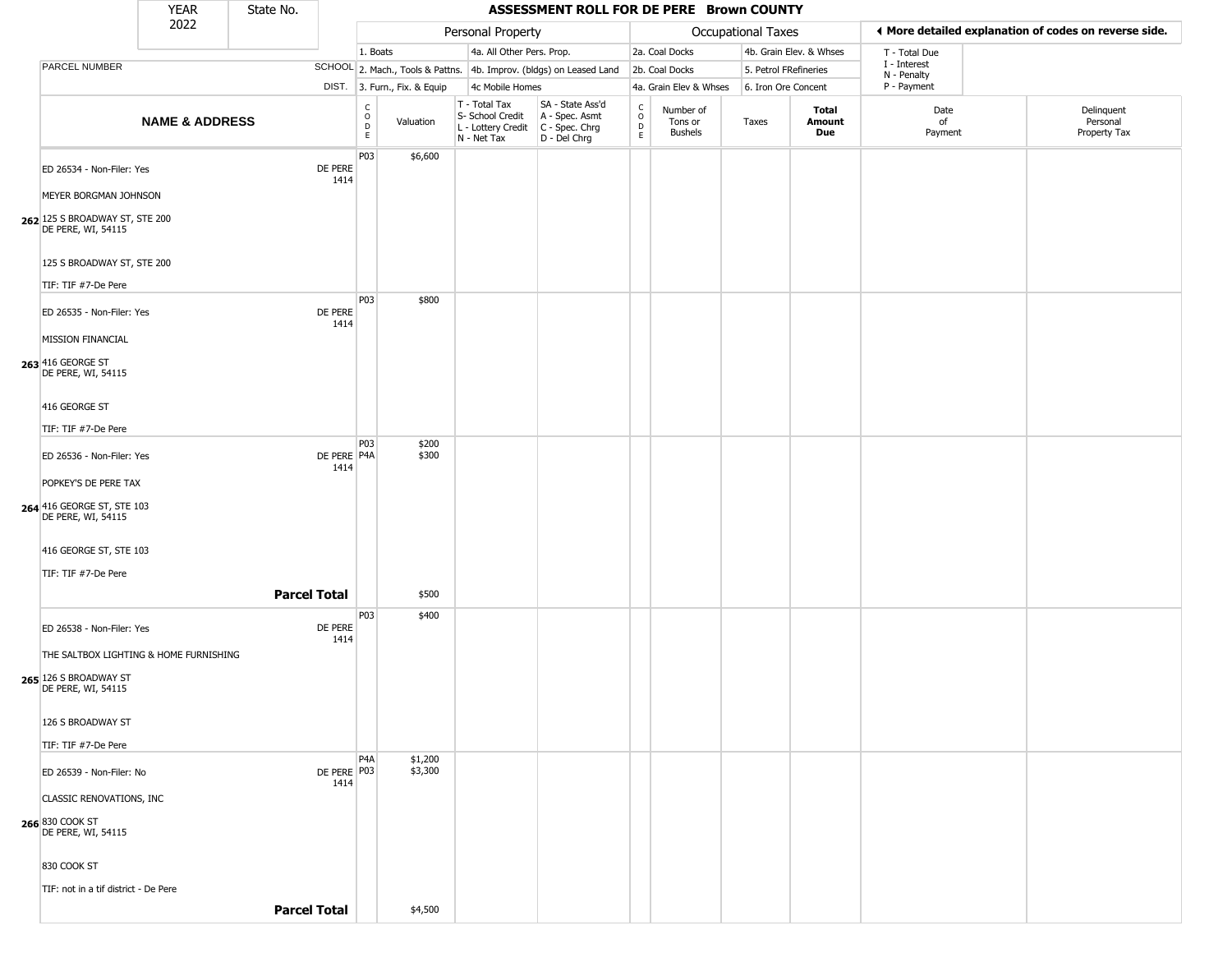|                                                                                                           | <b>YEAR</b>               | State No. |                       |                                                       |                              |                                                                        | ASSESSMENT ROLL FOR DE PERE Brown COUNTY                             |                                                |                                        |                           |                         |                             |                                                       |
|-----------------------------------------------------------------------------------------------------------|---------------------------|-----------|-----------------------|-------------------------------------------------------|------------------------------|------------------------------------------------------------------------|----------------------------------------------------------------------|------------------------------------------------|----------------------------------------|---------------------------|-------------------------|-----------------------------|-------------------------------------------------------|
|                                                                                                           | 2022                      |           |                       |                                                       |                              | Personal Property                                                      |                                                                      |                                                |                                        | <b>Occupational Taxes</b> |                         |                             | ♦ More detailed explanation of codes on reverse side. |
|                                                                                                           |                           |           |                       | 1. Boats                                              |                              | 4a. All Other Pers. Prop.                                              |                                                                      |                                                | 2a. Coal Docks                         |                           | 4b. Grain Elev. & Whses | T - Total Due               |                                                       |
| PARCEL NUMBER                                                                                             |                           |           |                       |                                                       |                              |                                                                        | SCHOOL 2. Mach., Tools & Pattns. 4b. Improv. (bldgs) on Leased Land  |                                                | 2b. Coal Docks                         | 5. Petrol FRefineries     |                         | I - Interest<br>N - Penalty |                                                       |
|                                                                                                           |                           |           |                       |                                                       | DIST. 3. Furn., Fix. & Equip | 4c Mobile Homes                                                        |                                                                      |                                                | 4a. Grain Elev & Whses                 | 6. Iron Ore Concent       |                         | P - Payment                 |                                                       |
|                                                                                                           | <b>NAME &amp; ADDRESS</b> |           |                       | $\mathsf{C}$<br>$\circ$<br>$\mathsf D$<br>$\mathsf E$ | Valuation                    | T - Total Tax<br>S- School Credit<br>L - Lottery Credit<br>N - Net Tax | SA - State Ass'd<br>A - Spec. Asmt<br>C - Spec. Chrg<br>D - Del Chrg | $\begin{matrix} 0 \\ 0 \\ D \end{matrix}$<br>E | Number of<br>Tons or<br><b>Bushels</b> | Taxes                     | Total<br>Amount<br>Due  | Date<br>of<br>Payment       | Delinquent<br>Personal<br>Property Tax                |
| ED 26534 - Non-Filer: Yes<br>MEYER BORGMAN JOHNSON                                                        |                           |           | DE PERE<br>1414       | P03                                                   | \$6,600                      |                                                                        |                                                                      |                                                |                                        |                           |                         |                             |                                                       |
| 262 125 S BROADWAY ST, STE 200<br>DE PERE, WI, 54115<br>125 S BROADWAY ST, STE 200<br>TIF: TIF #7-De Pere |                           |           |                       |                                                       |                              |                                                                        |                                                                      |                                                |                                        |                           |                         |                             |                                                       |
| ED 26535 - Non-Filer: Yes<br>MISSION FINANCIAL<br>263 416 GEORGE ST                                       |                           |           | DE PERE<br>1414       | P03                                                   | \$800                        |                                                                        |                                                                      |                                                |                                        |                           |                         |                             |                                                       |
| DE PERE, WI, 54115<br>416 GEORGE ST<br>TIF: TIF #7-De Pere                                                |                           |           |                       |                                                       |                              |                                                                        |                                                                      |                                                |                                        |                           |                         |                             |                                                       |
| ED 26536 - Non-Filer: Yes<br>POPKEY'S DE PERE TAX                                                         |                           |           | DE PERE P4A<br>1414   | P03                                                   | \$200<br>\$300               |                                                                        |                                                                      |                                                |                                        |                           |                         |                             |                                                       |
| 264 416 GEORGE ST, STE 103<br>DE PERE, WI, 54115<br>416 GEORGE ST, STE 103<br>TIF: TIF #7-De Pere         |                           |           |                       |                                                       |                              |                                                                        |                                                                      |                                                |                                        |                           |                         |                             |                                                       |
|                                                                                                           |                           |           | <b>Parcel Total</b>   |                                                       | \$500                        |                                                                        |                                                                      |                                                |                                        |                           |                         |                             |                                                       |
| ED 26538 - Non-Filer: Yes<br>THE SALTBOX LIGHTING & HOME FURNISHING                                       |                           |           | DE PERE<br>1414       | P03                                                   | \$400                        |                                                                        |                                                                      |                                                |                                        |                           |                         |                             |                                                       |
| 265 126 S BROADWAY ST<br>DE PERE, WI, 54115<br>126 S BROADWAY ST                                          |                           |           |                       |                                                       |                              |                                                                        |                                                                      |                                                |                                        |                           |                         |                             |                                                       |
| TIF: TIF #7-De Pere                                                                                       |                           |           |                       |                                                       |                              |                                                                        |                                                                      |                                                |                                        |                           |                         |                             |                                                       |
| ED 26539 - Non-Filer: No                                                                                  |                           |           | DE PERE   P03<br>1414 | P4A                                                   | \$1,200<br>\$3,300           |                                                                        |                                                                      |                                                |                                        |                           |                         |                             |                                                       |
| CLASSIC RENOVATIONS, INC<br>266 830 COOK ST<br>DE PERE, WI, 54115                                         |                           |           |                       |                                                       |                              |                                                                        |                                                                      |                                                |                                        |                           |                         |                             |                                                       |
| 830 COOK ST                                                                                               |                           |           |                       |                                                       |                              |                                                                        |                                                                      |                                                |                                        |                           |                         |                             |                                                       |
| TIF: not in a tif district - De Pere                                                                      |                           |           | <b>Parcel Total</b>   |                                                       | \$4,500                      |                                                                        |                                                                      |                                                |                                        |                           |                         |                             |                                                       |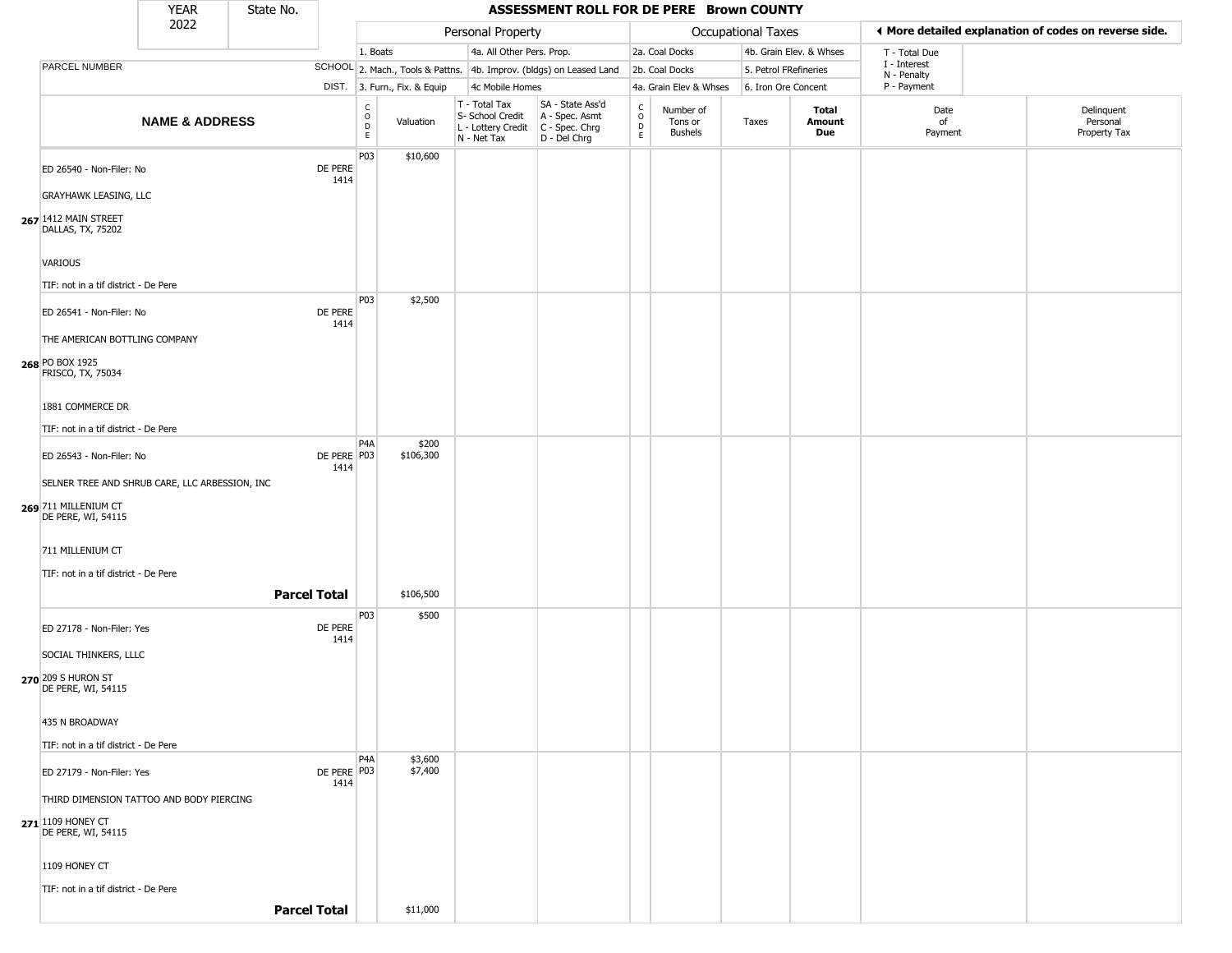|                                                                                              | YEAR                      | State No. |                       |                        |                              |                                                                        | ASSESSMENT ROLL FOR DE PERE Brown COUNTY                             |                                             |                                        |                       |                         |                             |                                                       |
|----------------------------------------------------------------------------------------------|---------------------------|-----------|-----------------------|------------------------|------------------------------|------------------------------------------------------------------------|----------------------------------------------------------------------|---------------------------------------------|----------------------------------------|-----------------------|-------------------------|-----------------------------|-------------------------------------------------------|
|                                                                                              | 2022                      |           |                       |                        |                              | Personal Property                                                      |                                                                      |                                             |                                        | Occupational Taxes    |                         |                             | ◀ More detailed explanation of codes on reverse side. |
|                                                                                              |                           |           |                       | 1. Boats               |                              | 4a. All Other Pers. Prop.                                              |                                                                      |                                             | 2a. Coal Docks                         |                       | 4b. Grain Elev. & Whses | T - Total Due               |                                                       |
| PARCEL NUMBER                                                                                |                           |           |                       |                        |                              |                                                                        | SCHOOL 2. Mach., Tools & Pattns. 4b. Improv. (bldgs) on Leased Land  |                                             | 2b. Coal Docks                         | 5. Petrol FRefineries |                         | I - Interest<br>N - Penalty |                                                       |
|                                                                                              |                           |           |                       |                        | DIST. 3. Furn., Fix. & Equip | 4c Mobile Homes                                                        |                                                                      |                                             | 4a. Grain Elev & Whses                 | 6. Iron Ore Concent   |                         | P - Payment                 |                                                       |
|                                                                                              | <b>NAME &amp; ADDRESS</b> |           |                       | C<br>$\circ$<br>D<br>E | Valuation                    | T - Total Tax<br>S- School Credit<br>L - Lottery Credit<br>N - Net Tax | SA - State Ass'd<br>A - Spec. Asmt<br>C - Spec. Chrg<br>D - Del Chrg | $\frac{c}{0}$<br>$\mathsf D$<br>$\mathsf E$ | Number of<br>Tons or<br><b>Bushels</b> | Taxes                 | Total<br>Amount<br>Due  | Date<br>of<br>Payment       | Delinquent<br>Personal<br>Property Tax                |
| ED 26540 - Non-Filer: No<br><b>GRAYHAWK LEASING, LLC</b>                                     |                           |           | DE PERE<br>1414       | P03                    | \$10,600                     |                                                                        |                                                                      |                                             |                                        |                       |                         |                             |                                                       |
| 267 1412 MAIN STREET<br>DALLAS, TX, 75202<br>VARIOUS<br>TIF: not in a tif district - De Pere |                           |           |                       |                        |                              |                                                                        |                                                                      |                                             |                                        |                       |                         |                             |                                                       |
| ED 26541 - Non-Filer: No<br>THE AMERICAN BOTTLING COMPANY<br>268 PO BOX 1925                 |                           |           | DE PERE<br>1414       | P03                    | \$2,500                      |                                                                        |                                                                      |                                             |                                        |                       |                         |                             |                                                       |
| FRISCO, TX, 75034<br>1881 COMMERCE DR<br>TIF: not in a tif district - De Pere                |                           |           |                       |                        |                              |                                                                        |                                                                      |                                             |                                        |                       |                         |                             |                                                       |
| ED 26543 - Non-Filer: No<br>SELNER TREE AND SHRUB CARE, LLC ARBESSION, INC                   |                           |           | DE PERE P03<br>1414   | P4A                    | \$200<br>\$106,300           |                                                                        |                                                                      |                                             |                                        |                       |                         |                             |                                                       |
| 269 711 MILLENIUM CT<br>DE PERE, WI, 54115<br>711 MILLENIUM CT                               |                           |           |                       |                        |                              |                                                                        |                                                                      |                                             |                                        |                       |                         |                             |                                                       |
| TIF: not in a tif district - De Pere                                                         |                           |           |                       |                        |                              |                                                                        |                                                                      |                                             |                                        |                       |                         |                             |                                                       |
|                                                                                              |                           |           | <b>Parcel Total</b>   |                        | \$106,500                    |                                                                        |                                                                      |                                             |                                        |                       |                         |                             |                                                       |
| ED 27178 - Non-Filer: Yes<br>SOCIAL THINKERS, LLLC                                           |                           |           | DE PERE<br>1414       | P03                    | \$500                        |                                                                        |                                                                      |                                             |                                        |                       |                         |                             |                                                       |
| 270 209 S HURON ST<br>DE PERE, WI, 54115<br>435 N BROADWAY                                   |                           |           |                       |                        |                              |                                                                        |                                                                      |                                             |                                        |                       |                         |                             |                                                       |
| TIF: not in a tif district - De Pere                                                         |                           |           |                       |                        |                              |                                                                        |                                                                      |                                             |                                        |                       |                         |                             |                                                       |
| ED 27179 - Non-Filer: Yes                                                                    |                           |           | DE PERE   P03<br>1414 | P4A                    | \$3,600<br>\$7,400           |                                                                        |                                                                      |                                             |                                        |                       |                         |                             |                                                       |
| THIRD DIMENSION TATTOO AND BODY PIERCING                                                     |                           |           |                       |                        |                              |                                                                        |                                                                      |                                             |                                        |                       |                         |                             |                                                       |
| 271 1109 HONEY CT<br>DE PERE, WI, 54115                                                      |                           |           |                       |                        |                              |                                                                        |                                                                      |                                             |                                        |                       |                         |                             |                                                       |
| 1109 HONEY CT                                                                                |                           |           |                       |                        |                              |                                                                        |                                                                      |                                             |                                        |                       |                         |                             |                                                       |
| TIF: not in a tif district - De Pere                                                         |                           |           |                       |                        |                              |                                                                        |                                                                      |                                             |                                        |                       |                         |                             |                                                       |
|                                                                                              |                           |           | <b>Parcel Total</b>   |                        | \$11,000                     |                                                                        |                                                                      |                                             |                                        |                       |                         |                             |                                                       |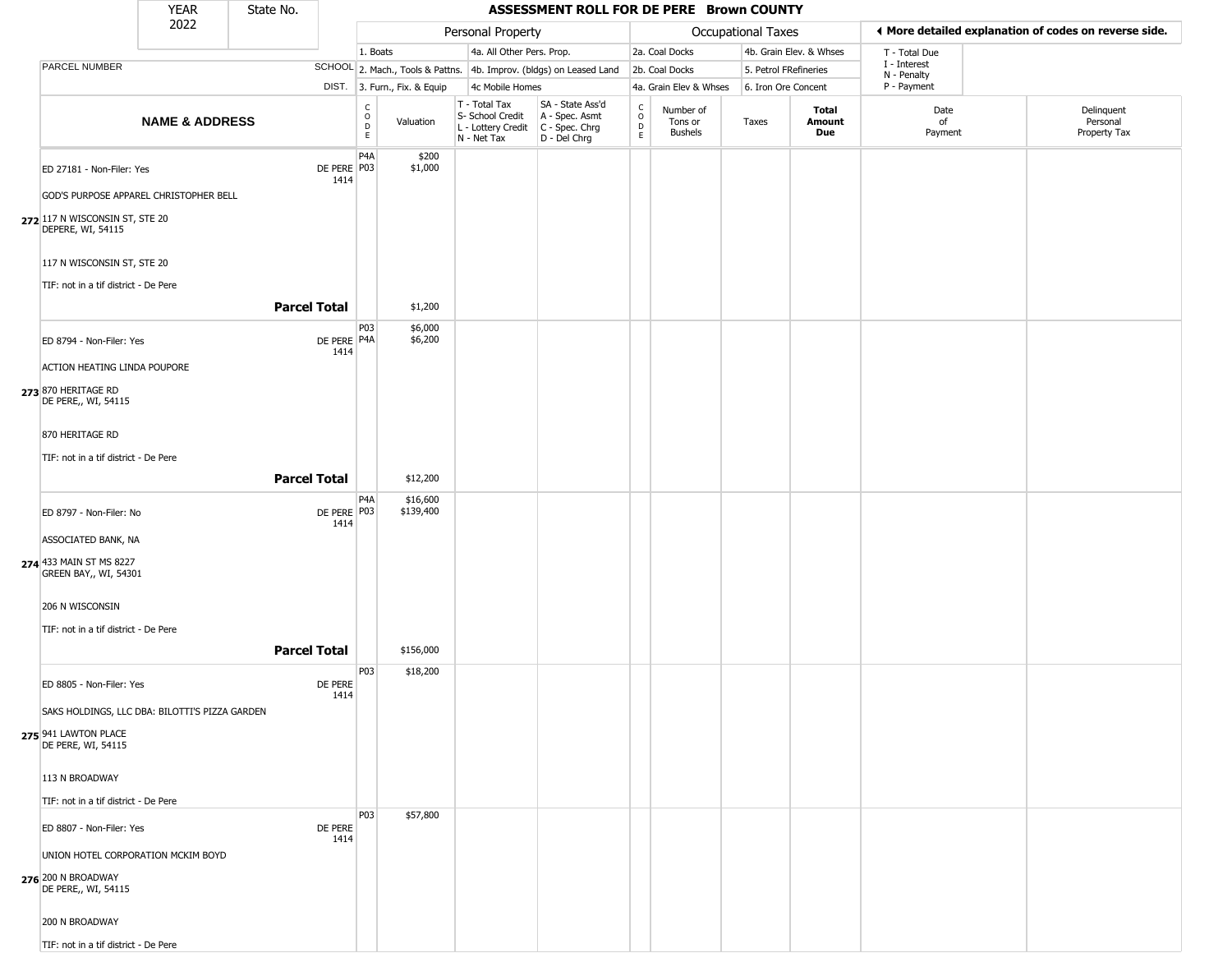|                                                                          | <b>YEAR</b>                        | State No.           |                       |                  |                              |                                                                                         | ASSESSMENT ROLL FOR DE PERE Brown COUNTY                            |                         |                                 |                       |                               |                             |                                                       |
|--------------------------------------------------------------------------|------------------------------------|---------------------|-----------------------|------------------|------------------------------|-----------------------------------------------------------------------------------------|---------------------------------------------------------------------|-------------------------|---------------------------------|-----------------------|-------------------------------|-----------------------------|-------------------------------------------------------|
|                                                                          | 2022                               |                     |                       |                  |                              | Personal Property                                                                       |                                                                     |                         |                                 | Occupational Taxes    |                               |                             | ◀ More detailed explanation of codes on reverse side. |
|                                                                          |                                    |                     |                       | 1. Boats         |                              | 4a. All Other Pers. Prop.                                                               |                                                                     |                         | 2a. Coal Docks                  |                       | 4b. Grain Elev. & Whses       | T - Total Due               |                                                       |
| PARCEL NUMBER                                                            |                                    |                     |                       |                  |                              |                                                                                         | SCHOOL 2. Mach., Tools & Pattns. 4b. Improv. (bldgs) on Leased Land |                         | 2b. Coal Docks                  | 5. Petrol FRefineries |                               | I - Interest<br>N - Penalty |                                                       |
|                                                                          |                                    |                     |                       |                  | DIST. 3. Furn., Fix. & Equip | 4c Mobile Homes                                                                         |                                                                     |                         | 4a. Grain Elev & Whses          | 6. Iron Ore Concent   |                               | P - Payment                 |                                                       |
|                                                                          | <b>NAME &amp; ADDRESS</b>          |                     |                       | C<br>D<br>D<br>E | Valuation                    | T - Total Tax<br>S- School Credit<br>L - Lottery Credit   C - Spec. Chrg<br>N - Net Tax | SA - State Ass'd<br>A - Spec. Asmt<br>D - Del Chrg                  | C<br>$\circ$<br>D<br>E. | Number of<br>Tons or<br>Bushels | Taxes                 | Total<br>Amount<br><b>Due</b> | Date<br>of<br>Payment       | Delinquent<br>Personal<br>Property Tax                |
| ED 27181 - Non-Filer: Yes                                                |                                    |                     | DE PERE P03<br>1414   | P <sub>4</sub> A | \$200<br>\$1,000             |                                                                                         |                                                                     |                         |                                 |                       |                               |                             |                                                       |
| GOD'S PURPOSE APPAREL CHRISTOPHER BELL<br>272 117 N WISCONSIN ST, STE 20 |                                    |                     |                       |                  |                              |                                                                                         |                                                                     |                         |                                 |                       |                               |                             |                                                       |
| DEPERE, WI, 54115                                                        |                                    |                     |                       |                  |                              |                                                                                         |                                                                     |                         |                                 |                       |                               |                             |                                                       |
| 117 N WISCONSIN ST, STE 20                                               |                                    |                     |                       |                  |                              |                                                                                         |                                                                     |                         |                                 |                       |                               |                             |                                                       |
| TIF: not in a tif district - De Pere                                     |                                    | <b>Parcel Total</b> |                       |                  | \$1,200                      |                                                                                         |                                                                     |                         |                                 |                       |                               |                             |                                                       |
|                                                                          |                                    |                     |                       | P03              | \$6,000                      |                                                                                         |                                                                     |                         |                                 |                       |                               |                             |                                                       |
| ED 8794 - Non-Filer: Yes                                                 |                                    |                     | DE PERE   P4A<br>1414 |                  | \$6,200                      |                                                                                         |                                                                     |                         |                                 |                       |                               |                             |                                                       |
| ACTION HEATING LINDA POUPORE<br>273 870 HERITAGE RD                      |                                    |                     |                       |                  |                              |                                                                                         |                                                                     |                         |                                 |                       |                               |                             |                                                       |
| DE PERE,, WI, 54115                                                      |                                    |                     |                       |                  |                              |                                                                                         |                                                                     |                         |                                 |                       |                               |                             |                                                       |
| 870 HERITAGE RD                                                          |                                    |                     |                       |                  |                              |                                                                                         |                                                                     |                         |                                 |                       |                               |                             |                                                       |
| TIF: not in a tif district - De Pere                                     |                                    | <b>Parcel Total</b> |                       |                  | \$12,200                     |                                                                                         |                                                                     |                         |                                 |                       |                               |                             |                                                       |
|                                                                          |                                    |                     |                       | P4A              | \$16,600                     |                                                                                         |                                                                     |                         |                                 |                       |                               |                             |                                                       |
| ED 8797 - Non-Filer: No                                                  |                                    |                     | DE PERE   P03<br>1414 |                  | \$139,400                    |                                                                                         |                                                                     |                         |                                 |                       |                               |                             |                                                       |
| ASSOCIATED BANK, NA                                                      |                                    |                     |                       |                  |                              |                                                                                         |                                                                     |                         |                                 |                       |                               |                             |                                                       |
| 274 433 MAIN ST MS 8227<br><b>GREEN BAY,, WI, 54301</b>                  |                                    |                     |                       |                  |                              |                                                                                         |                                                                     |                         |                                 |                       |                               |                             |                                                       |
| 206 N WISCONSIN                                                          |                                    |                     |                       |                  |                              |                                                                                         |                                                                     |                         |                                 |                       |                               |                             |                                                       |
| TIF: not in a tif district - De Pere                                     |                                    |                     |                       |                  |                              |                                                                                         |                                                                     |                         |                                 |                       |                               |                             |                                                       |
|                                                                          |                                    | <b>Parcel Total</b> |                       |                  | \$156,000                    |                                                                                         |                                                                     |                         |                                 |                       |                               |                             |                                                       |
| ED 8805 - Non-Filer: Yes                                                 |                                    |                     | DE PERE<br>1414       | P03              | \$18,200                     |                                                                                         |                                                                     |                         |                                 |                       |                               |                             |                                                       |
| SAKS HOLDINGS, LLC DBA: BILOTTI'S PIZZA GARDEN                           |                                    |                     |                       |                  |                              |                                                                                         |                                                                     |                         |                                 |                       |                               |                             |                                                       |
| 275 941 LAWTON PLACE<br>DE PERE, WI, 54115                               |                                    |                     |                       |                  |                              |                                                                                         |                                                                     |                         |                                 |                       |                               |                             |                                                       |
| 113 N BROADWAY                                                           |                                    |                     |                       |                  |                              |                                                                                         |                                                                     |                         |                                 |                       |                               |                             |                                                       |
| TIF: not in a tif district - De Pere                                     |                                    |                     |                       |                  |                              |                                                                                         |                                                                     |                         |                                 |                       |                               |                             |                                                       |
| ED 8807 - Non-Filer: Yes                                                 |                                    |                     | DE PERE<br>1414       | <b>P03</b>       | \$57,800                     |                                                                                         |                                                                     |                         |                                 |                       |                               |                             |                                                       |
|                                                                          | UNION HOTEL CORPORATION MCKIM BOYD |                     |                       |                  |                              |                                                                                         |                                                                     |                         |                                 |                       |                               |                             |                                                       |
| 276 200 N BROADWAY<br>DE PERE,, WI, 54115                                |                                    |                     |                       |                  |                              |                                                                                         |                                                                     |                         |                                 |                       |                               |                             |                                                       |
| 200 N BROADWAY                                                           |                                    |                     |                       |                  |                              |                                                                                         |                                                                     |                         |                                 |                       |                               |                             |                                                       |
| TIF: not in a tif district - De Pere                                     |                                    |                     |                       |                  |                              |                                                                                         |                                                                     |                         |                                 |                       |                               |                             |                                                       |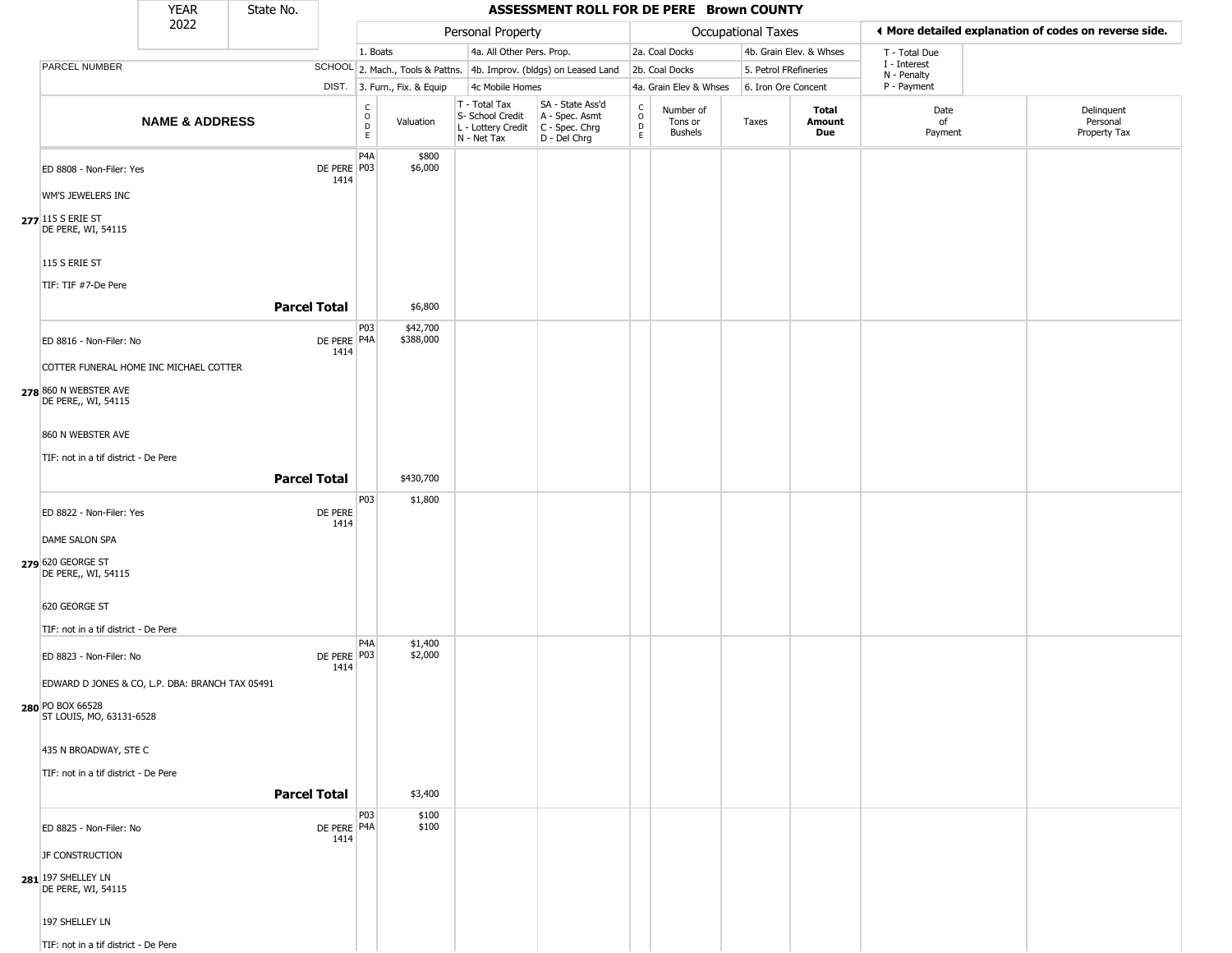|                                                 | <b>YEAR</b>               | State No.           |                                         |                              | ASSESSMENT ROLL FOR DE PERE Brown COUNTY                                                                                                       |                                                  |                                        |                       |                         |                             |                                                       |
|-------------------------------------------------|---------------------------|---------------------|-----------------------------------------|------------------------------|------------------------------------------------------------------------------------------------------------------------------------------------|--------------------------------------------------|----------------------------------------|-----------------------|-------------------------|-----------------------------|-------------------------------------------------------|
|                                                 | 2022                      |                     |                                         |                              | Personal Property                                                                                                                              |                                                  |                                        | Occupational Taxes    |                         |                             | ♦ More detailed explanation of codes on reverse side. |
|                                                 |                           |                     |                                         | 1. Boats                     | 4a. All Other Pers. Prop.                                                                                                                      |                                                  | 2a. Coal Docks                         |                       | 4b. Grain Elev. & Whses | T - Total Due               |                                                       |
| PARCEL NUMBER                                   |                           |                     |                                         |                              | SCHOOL 2. Mach., Tools & Pattns. 4b. Improv. (bldgs) on Leased Land                                                                            |                                                  | 2b. Coal Docks                         | 5. Petrol FRefineries |                         | I - Interest<br>N - Penalty |                                                       |
|                                                 |                           |                     |                                         | DIST. 3. Furn., Fix. & Equip | 4c Mobile Homes                                                                                                                                |                                                  | 4a. Grain Elev & Whses                 | 6. Iron Ore Concent   |                         | P - Payment                 |                                                       |
|                                                 | <b>NAME &amp; ADDRESS</b> |                     | $_{\rm o}^{\rm c}$<br>$\mathsf D$<br>E  | Valuation                    | T - Total Tax<br>SA - State Ass'd<br>S- School Credit<br>A - Spec. Asmt<br>L - Lottery Credit<br>C - Spec. Chrg<br>N - Net Tax<br>D - Del Chrg | $_{\rm o}^{\rm c}$<br>$\mathsf D$<br>$\mathsf E$ | Number of<br>Tons or<br><b>Bushels</b> | Taxes                 | Total<br>Amount<br>Due  | Date<br>of<br>Payment       | Delinquent<br>Personal<br>Property Tax                |
| ED 8808 - Non-Filer: Yes                        |                           |                     | P <sub>4</sub> A<br>DE PERE P03<br>1414 | \$800<br>\$6,000             |                                                                                                                                                |                                                  |                                        |                       |                         |                             |                                                       |
| WM'S JEWELERS INC                               |                           |                     |                                         |                              |                                                                                                                                                |                                                  |                                        |                       |                         |                             |                                                       |
| 277 115 S ERIE ST<br>DE PERE, WI, 54115         |                           |                     |                                         |                              |                                                                                                                                                |                                                  |                                        |                       |                         |                             |                                                       |
| 115 S ERIE ST<br>TIF: TIF #7-De Pere            |                           |                     |                                         |                              |                                                                                                                                                |                                                  |                                        |                       |                         |                             |                                                       |
|                                                 |                           | <b>Parcel Total</b> |                                         | \$6,800                      |                                                                                                                                                |                                                  |                                        |                       |                         |                             |                                                       |
| ED 8816 - Non-Filer: No                         |                           |                     | P03<br>DE PERE P4A                      | \$42,700<br>\$388,000        |                                                                                                                                                |                                                  |                                        |                       |                         |                             |                                                       |
| COTTER FUNERAL HOME INC MICHAEL COTTER          |                           |                     | 1414                                    |                              |                                                                                                                                                |                                                  |                                        |                       |                         |                             |                                                       |
| 278 860 N WEBSTER AVE<br>DE PERE,, WI, 54115    |                           |                     |                                         |                              |                                                                                                                                                |                                                  |                                        |                       |                         |                             |                                                       |
| 860 N WEBSTER AVE                               |                           |                     |                                         |                              |                                                                                                                                                |                                                  |                                        |                       |                         |                             |                                                       |
| TIF: not in a tif district - De Pere            |                           |                     |                                         |                              |                                                                                                                                                |                                                  |                                        |                       |                         |                             |                                                       |
|                                                 |                           | <b>Parcel Total</b> |                                         | \$430,700                    |                                                                                                                                                |                                                  |                                        |                       |                         |                             |                                                       |
| ED 8822 - Non-Filer: Yes                        |                           |                     | P03<br>DE PERE<br>1414                  | \$1,800                      |                                                                                                                                                |                                                  |                                        |                       |                         |                             |                                                       |
| DAME SALON SPA                                  |                           |                     |                                         |                              |                                                                                                                                                |                                                  |                                        |                       |                         |                             |                                                       |
| 279 620 GEORGE ST<br>DE PERE,, WI, 54115        |                           |                     |                                         |                              |                                                                                                                                                |                                                  |                                        |                       |                         |                             |                                                       |
| 620 GEORGE ST                                   |                           |                     |                                         |                              |                                                                                                                                                |                                                  |                                        |                       |                         |                             |                                                       |
| TIF: not in a tif district - De Pere            |                           |                     |                                         |                              |                                                                                                                                                |                                                  |                                        |                       |                         |                             |                                                       |
| ED 8823 - Non-Filer: No                         |                           |                     | P4A<br>DE PERE P03<br>1414              | \$1,400<br>\$2,000           |                                                                                                                                                |                                                  |                                        |                       |                         |                             |                                                       |
| EDWARD D JONES & CO, L.P. DBA: BRANCH TAX 05491 |                           |                     |                                         |                              |                                                                                                                                                |                                                  |                                        |                       |                         |                             |                                                       |
| 280 PO BOX 66528<br>ST LOUIS, MO, 63131-6528    |                           |                     |                                         |                              |                                                                                                                                                |                                                  |                                        |                       |                         |                             |                                                       |
| 435 N BROADWAY, STE C                           |                           |                     |                                         |                              |                                                                                                                                                |                                                  |                                        |                       |                         |                             |                                                       |
| TIF: not in a tif district - De Pere            |                           |                     |                                         |                              |                                                                                                                                                |                                                  |                                        |                       |                         |                             |                                                       |
|                                                 |                           | <b>Parcel Total</b> |                                         | \$3,400                      |                                                                                                                                                |                                                  |                                        |                       |                         |                             |                                                       |
| ED 8825 - Non-Filer: No                         |                           |                     | P03<br>DE PERE P4A<br>1414              | \$100<br>\$100               |                                                                                                                                                |                                                  |                                        |                       |                         |                             |                                                       |
| JF CONSTRUCTION                                 |                           |                     |                                         |                              |                                                                                                                                                |                                                  |                                        |                       |                         |                             |                                                       |
| 281 197 SHELLEY LN<br>DE PERE, WI, 54115        |                           |                     |                                         |                              |                                                                                                                                                |                                                  |                                        |                       |                         |                             |                                                       |
| 197 SHELLEY LN                                  |                           |                     |                                         |                              |                                                                                                                                                |                                                  |                                        |                       |                         |                             |                                                       |
| TIF: not in a tif district - De Pere            |                           |                     |                                         |                              |                                                                                                                                                |                                                  |                                        |                       |                         |                             |                                                       |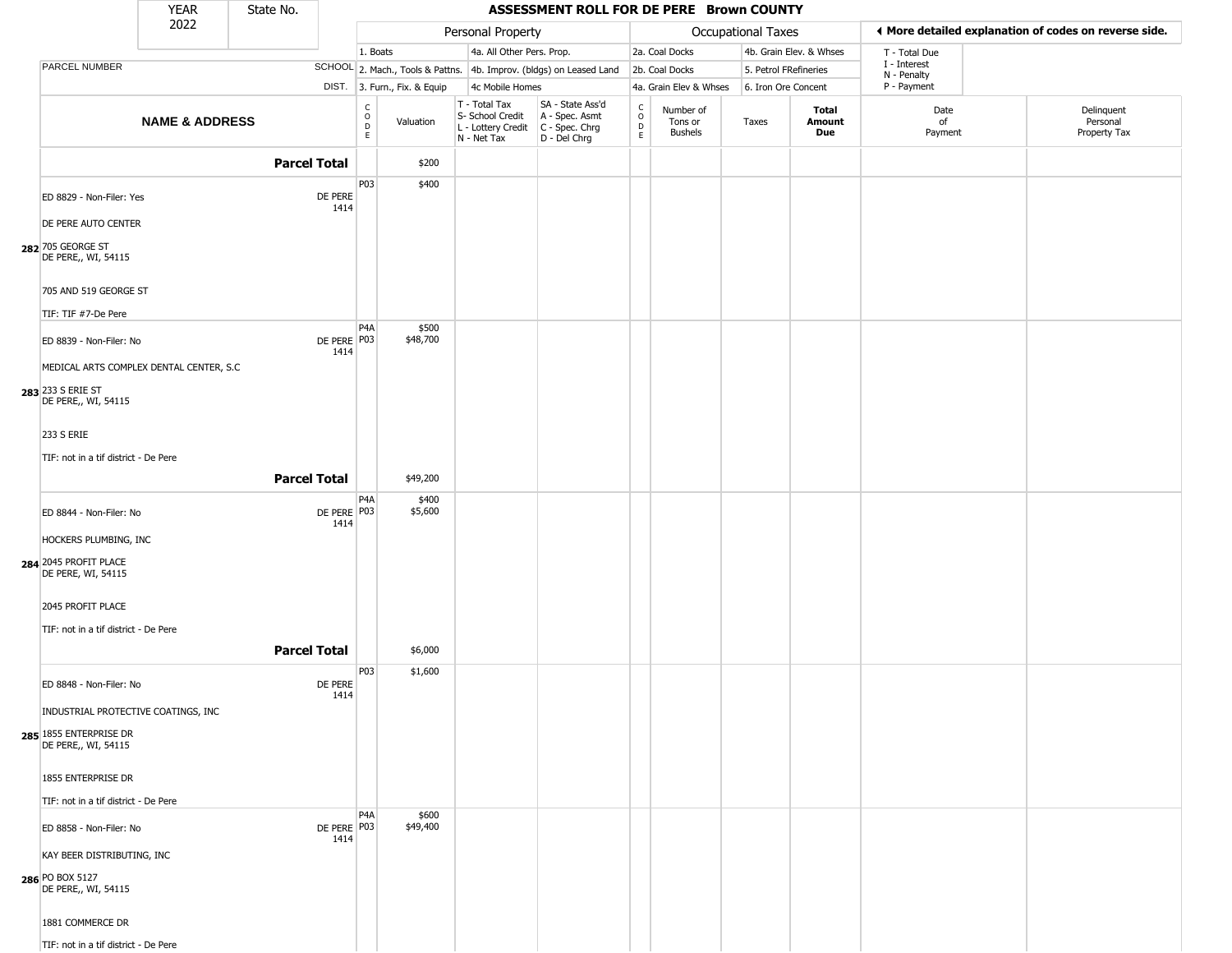|                                                                      | <b>YEAR</b>               | State No.           |                     |                               |                              |                                                                        | ASSESSMENT ROLL FOR DE PERE Brown COUNTY                               |                                |                                 |                       |                               |                            |                                                       |
|----------------------------------------------------------------------|---------------------------|---------------------|---------------------|-------------------------------|------------------------------|------------------------------------------------------------------------|------------------------------------------------------------------------|--------------------------------|---------------------------------|-----------------------|-------------------------------|----------------------------|-------------------------------------------------------|
|                                                                      | 2022                      |                     |                     |                               |                              | Personal Property                                                      |                                                                        |                                |                                 | Occupational Taxes    |                               |                            | ♦ More detailed explanation of codes on reverse side. |
|                                                                      |                           |                     |                     | 1. Boats                      |                              | 4a. All Other Pers. Prop.                                              |                                                                        |                                | 2a. Coal Docks                  |                       | 4b. Grain Elev. & Whses       | T - Total Due              |                                                       |
| PARCEL NUMBER                                                        |                           |                     |                     |                               |                              |                                                                        | SCHOOL 2. Mach., Tools & Pattns. 4b. Improv. (bldgs) on Leased Land    |                                | 2b. Coal Docks                  | 5. Petrol FRefineries |                               | I - Interest               |                                                       |
|                                                                      |                           |                     |                     |                               | DIST. 3. Furn., Fix. & Equip | 4c Mobile Homes                                                        |                                                                        |                                | 4a. Grain Elev & Whses          | 6. Iron Ore Concent   |                               | N - Penalty<br>P - Payment |                                                       |
|                                                                      | <b>NAME &amp; ADDRESS</b> |                     |                     | $_{\rm o}^{\rm c}$<br>D<br>E. | Valuation                    | T - Total Tax<br>S- School Credit<br>L - Lottery Credit<br>N - Net Tax | SA - State Ass'd<br>A - Spec. Asmt<br>$C - Spec. Chrg$<br>D - Del Chrg | $\frac{c}{0}$<br>$\frac{D}{E}$ | Number of<br>Tons or<br>Bushels | Taxes                 | Total<br>Amount<br><b>Due</b> | Date<br>of<br>Payment      | Delinquent<br>Personal<br>Property Tax                |
|                                                                      |                           | <b>Parcel Total</b> |                     |                               | \$200                        |                                                                        |                                                                        |                                |                                 |                       |                               |                            |                                                       |
| ED 8829 - Non-Filer: Yes                                             |                           |                     | DE PERE<br>1414     | P03                           | \$400                        |                                                                        |                                                                        |                                |                                 |                       |                               |                            |                                                       |
| DE PERE AUTO CENTER<br>282 705 GEORGE ST<br>DE PERE,, WI, 54115      |                           |                     |                     |                               |                              |                                                                        |                                                                        |                                |                                 |                       |                               |                            |                                                       |
| 705 AND 519 GEORGE ST<br>TIF: TIF #7-De Pere                         |                           |                     |                     |                               |                              |                                                                        |                                                                        |                                |                                 |                       |                               |                            |                                                       |
| ED 8839 - Non-Filer: No<br>MEDICAL ARTS COMPLEX DENTAL CENTER, S.C   |                           |                     | DE PERE P03<br>1414 | P4A                           | \$500<br>\$48,700            |                                                                        |                                                                        |                                |                                 |                       |                               |                            |                                                       |
| 283 233 S ERIE ST<br>DE PERE,, WI, 54115                             |                           |                     |                     |                               |                              |                                                                        |                                                                        |                                |                                 |                       |                               |                            |                                                       |
| 233 S ERIE<br>TIF: not in a tif district - De Pere                   |                           |                     |                     |                               |                              |                                                                        |                                                                        |                                |                                 |                       |                               |                            |                                                       |
|                                                                      |                           | <b>Parcel Total</b> |                     |                               | \$49,200                     |                                                                        |                                                                        |                                |                                 |                       |                               |                            |                                                       |
| ED 8844 - Non-Filer: No                                              |                           |                     | DE PERE P03<br>1414 | P <sub>4</sub> A              | \$400<br>\$5,600             |                                                                        |                                                                        |                                |                                 |                       |                               |                            |                                                       |
| HOCKERS PLUMBING, INC<br>284 2045 PROFIT PLACE<br>DE PERE, WI, 54115 |                           |                     |                     |                               |                              |                                                                        |                                                                        |                                |                                 |                       |                               |                            |                                                       |
| 2045 PROFIT PLACE<br>TIF: not in a tif district - De Pere            |                           |                     |                     |                               |                              |                                                                        |                                                                        |                                |                                 |                       |                               |                            |                                                       |
|                                                                      |                           | <b>Parcel Total</b> |                     |                               | \$6,000                      |                                                                        |                                                                        |                                |                                 |                       |                               |                            |                                                       |
| ED 8848 - Non-Filer: No<br>INDUSTRIAL PROTECTIVE COATINGS, INC       |                           |                     | DE PERE<br>1414     | P03                           | \$1,600                      |                                                                        |                                                                        |                                |                                 |                       |                               |                            |                                                       |
| 285 1855 ENTERPRISE DR<br>DE PERE,, WI, 54115                        |                           |                     |                     |                               |                              |                                                                        |                                                                        |                                |                                 |                       |                               |                            |                                                       |
| 1855 ENTERPRISE DR<br>TIF: not in a tif district - De Pere           |                           |                     |                     |                               |                              |                                                                        |                                                                        |                                |                                 |                       |                               |                            |                                                       |
| ED 8858 - Non-Filer: No                                              |                           |                     | DE PERE P03<br>1414 | P <sub>4</sub> A              | \$600<br>\$49,400            |                                                                        |                                                                        |                                |                                 |                       |                               |                            |                                                       |
| KAY BEER DISTRIBUTING, INC<br>286 PO BOX 5127<br>DE PERE,, WI, 54115 |                           |                     |                     |                               |                              |                                                                        |                                                                        |                                |                                 |                       |                               |                            |                                                       |
| 1881 COMMERCE DR                                                     |                           |                     |                     |                               |                              |                                                                        |                                                                        |                                |                                 |                       |                               |                            |                                                       |
| TIF: not in a tif district - De Pere                                 |                           |                     |                     |                               |                              |                                                                        |                                                                        |                                |                                 |                       |                               |                            |                                                       |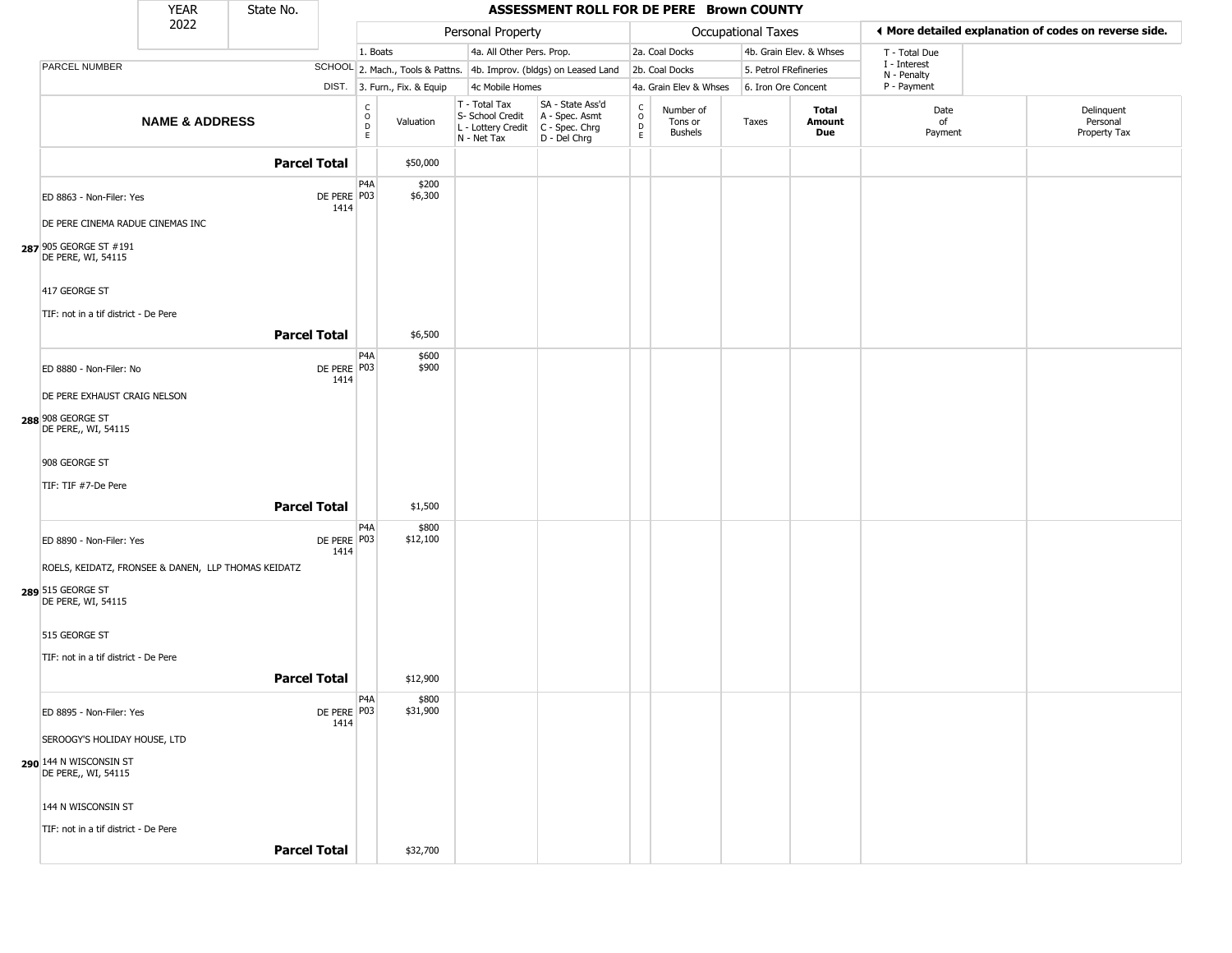|                                                              | <b>YEAR</b>               | State No.           |                       |                         |                              |                                                                        | ASSESSMENT ROLL FOR DE PERE Brown COUNTY                             |                    |                                 |                       |                         |                             |                                                       |
|--------------------------------------------------------------|---------------------------|---------------------|-----------------------|-------------------------|------------------------------|------------------------------------------------------------------------|----------------------------------------------------------------------|--------------------|---------------------------------|-----------------------|-------------------------|-----------------------------|-------------------------------------------------------|
|                                                              | 2022                      |                     |                       |                         |                              | Personal Property                                                      |                                                                      |                    |                                 | Occupational Taxes    |                         |                             | ◀ More detailed explanation of codes on reverse side. |
|                                                              |                           |                     |                       | 1. Boats                |                              | 4a. All Other Pers. Prop.                                              |                                                                      |                    | 2a. Coal Docks                  |                       | 4b. Grain Elev. & Whses | T - Total Due               |                                                       |
| PARCEL NUMBER                                                |                           |                     |                       |                         |                              |                                                                        | SCHOOL 2. Mach., Tools & Pattns. 4b. Improv. (bldgs) on Leased Land  |                    | 2b. Coal Docks                  | 5. Petrol FRefineries |                         | I - Interest<br>N - Penalty |                                                       |
|                                                              |                           |                     |                       |                         | DIST. 3. Furn., Fix. & Equip | 4c Mobile Homes                                                        |                                                                      |                    | 4a. Grain Elev & Whses          | 6. Iron Ore Concent   |                         | P - Payment                 |                                                       |
|                                                              | <b>NAME &amp; ADDRESS</b> |                     |                       | C<br>$\circ$<br>D<br>E. | Valuation                    | T - Total Tax<br>S- School Credit<br>L - Lottery Credit<br>N - Net Tax | SA - State Ass'd<br>A - Spec. Asmt<br>C - Spec. Chrg<br>D - Del Chrg | $\delta$<br>D<br>E | Number of<br>Tons or<br>Bushels | Taxes                 | Total<br>Amount<br>Due  | Date<br>of<br>Payment       | Delinquent<br>Personal<br>Property Tax                |
|                                                              |                           | <b>Parcel Total</b> |                       |                         | \$50,000                     |                                                                        |                                                                      |                    |                                 |                       |                         |                             |                                                       |
| ED 8863 - Non-Filer: Yes<br>DE PERE CINEMA RADUE CINEMAS INC |                           |                     | DE PERE P03<br>1414   | P <sub>4</sub> A        | \$200<br>\$6,300             |                                                                        |                                                                      |                    |                                 |                       |                         |                             |                                                       |
| 287 905 GEORGE ST #191<br>DE PERE, WI, 54115                 |                           |                     |                       |                         |                              |                                                                        |                                                                      |                    |                                 |                       |                         |                             |                                                       |
| 417 GEORGE ST<br>TIF: not in a tif district - De Pere        |                           |                     |                       |                         |                              |                                                                        |                                                                      |                    |                                 |                       |                         |                             |                                                       |
|                                                              |                           | <b>Parcel Total</b> |                       |                         | \$6,500                      |                                                                        |                                                                      |                    |                                 |                       |                         |                             |                                                       |
| ED 8880 - Non-Filer: No                                      |                           |                     | DE PERE P03           | P4A                     | \$600<br>\$900               |                                                                        |                                                                      |                    |                                 |                       |                         |                             |                                                       |
| DE PERE EXHAUST CRAIG NELSON                                 |                           |                     | 1414                  |                         |                              |                                                                        |                                                                      |                    |                                 |                       |                         |                             |                                                       |
| 288 908 GEORGE ST<br>DE PERE,, WI, 54115                     |                           |                     |                       |                         |                              |                                                                        |                                                                      |                    |                                 |                       |                         |                             |                                                       |
| 908 GEORGE ST                                                |                           |                     |                       |                         |                              |                                                                        |                                                                      |                    |                                 |                       |                         |                             |                                                       |
| TIF: TIF #7-De Pere                                          |                           |                     |                       |                         |                              |                                                                        |                                                                      |                    |                                 |                       |                         |                             |                                                       |
|                                                              |                           | <b>Parcel Total</b> |                       |                         | \$1,500                      |                                                                        |                                                                      |                    |                                 |                       |                         |                             |                                                       |
| ED 8890 - Non-Filer: Yes                                     |                           |                     | DE PERE   P03<br>1414 | P <sub>4</sub> A        | \$800<br>\$12,100            |                                                                        |                                                                      |                    |                                 |                       |                         |                             |                                                       |
| ROELS, KEIDATZ, FRONSEE & DANEN, LLP THOMAS KEIDATZ          |                           |                     |                       |                         |                              |                                                                        |                                                                      |                    |                                 |                       |                         |                             |                                                       |
| 289 515 GEORGE ST<br>DE PERE, WI, 54115                      |                           |                     |                       |                         |                              |                                                                        |                                                                      |                    |                                 |                       |                         |                             |                                                       |
| 515 GEORGE ST                                                |                           |                     |                       |                         |                              |                                                                        |                                                                      |                    |                                 |                       |                         |                             |                                                       |
| TIF: not in a tif district - De Pere                         |                           |                     |                       |                         |                              |                                                                        |                                                                      |                    |                                 |                       |                         |                             |                                                       |
|                                                              |                           | <b>Parcel Total</b> |                       |                         | \$12,900                     |                                                                        |                                                                      |                    |                                 |                       |                         |                             |                                                       |
| ED 8895 - Non-Filer: Yes                                     |                           |                     | DE PERE P03<br>1414   | P4A                     | \$800<br>\$31,900            |                                                                        |                                                                      |                    |                                 |                       |                         |                             |                                                       |
| SEROOGY'S HOLIDAY HOUSE, LTD                                 |                           |                     |                       |                         |                              |                                                                        |                                                                      |                    |                                 |                       |                         |                             |                                                       |
| 290 144 N WISCONSIN ST<br>DE PERE,, WI, 54115                |                           |                     |                       |                         |                              |                                                                        |                                                                      |                    |                                 |                       |                         |                             |                                                       |
| 144 N WISCONSIN ST                                           |                           |                     |                       |                         |                              |                                                                        |                                                                      |                    |                                 |                       |                         |                             |                                                       |
| TIF: not in a tif district - De Pere                         |                           |                     |                       |                         |                              |                                                                        |                                                                      |                    |                                 |                       |                         |                             |                                                       |
|                                                              |                           | <b>Parcel Total</b> |                       |                         | \$32,700                     |                                                                        |                                                                      |                    |                                 |                       |                         |                             |                                                       |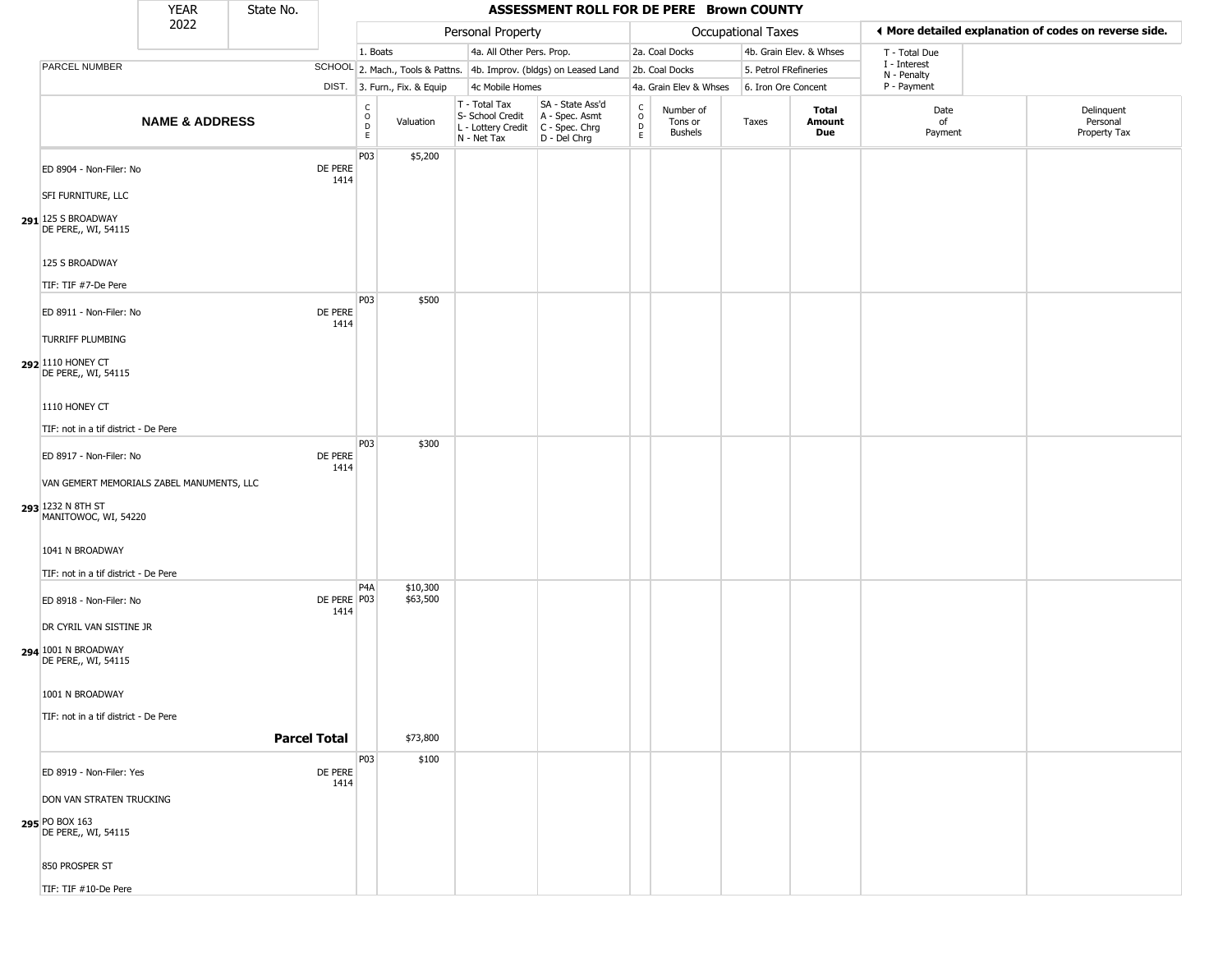|                                                                 | <b>YEAR</b>               | State No. |                     |                                                   |                              |                                                                        | ASSESSMENT ROLL FOR DE PERE Brown COUNTY                             |                                                 |                                        |                       |                               |                             |                                                       |
|-----------------------------------------------------------------|---------------------------|-----------|---------------------|---------------------------------------------------|------------------------------|------------------------------------------------------------------------|----------------------------------------------------------------------|-------------------------------------------------|----------------------------------------|-----------------------|-------------------------------|-----------------------------|-------------------------------------------------------|
|                                                                 | 2022                      |           |                     |                                                   |                              | Personal Property                                                      |                                                                      |                                                 |                                        | Occupational Taxes    |                               |                             | ◀ More detailed explanation of codes on reverse side. |
|                                                                 |                           |           |                     | 1. Boats                                          |                              | 4a. All Other Pers. Prop.                                              |                                                                      |                                                 | 2a. Coal Docks                         |                       | 4b. Grain Elev. & Whses       | T - Total Due               |                                                       |
| PARCEL NUMBER                                                   |                           |           |                     |                                                   |                              |                                                                        | SCHOOL 2. Mach., Tools & Pattns. 4b. Improv. (bldgs) on Leased Land  |                                                 | 2b. Coal Docks                         | 5. Petrol FRefineries |                               | I - Interest<br>N - Penalty |                                                       |
|                                                                 |                           |           |                     |                                                   | DIST. 3. Furn., Fix. & Equip | 4c Mobile Homes                                                        |                                                                      |                                                 | 4a. Grain Elev & Whses                 | 6. Iron Ore Concent   |                               | P - Payment                 |                                                       |
|                                                                 | <b>NAME &amp; ADDRESS</b> |           |                     | $\begin{array}{c}\nC \\ O \\ D \\ E\n\end{array}$ | Valuation                    | T - Total Tax<br>S- School Credit<br>L - Lottery Credit<br>N - Net Tax | SA - State Ass'd<br>A - Spec. Asmt<br>C - Spec. Chrg<br>D - Del Chrg | $\begin{array}{c} C \\ O \\ D \\ E \end{array}$ | Number of<br>Tons or<br><b>Bushels</b> | Taxes                 | Total<br><b>Amount</b><br>Due | Date<br>of<br>Payment       | Delinquent<br>Personal<br>Property Tax                |
| ED 8904 - Non-Filer: No                                         |                           |           | DE PERE<br>1414     | P03                                               | \$5,200                      |                                                                        |                                                                      |                                                 |                                        |                       |                               |                             |                                                       |
| SFI FURNITURE, LLC<br>291 125 S BROADWAY<br>DE PERE,, WI, 54115 |                           |           |                     |                                                   |                              |                                                                        |                                                                      |                                                 |                                        |                       |                               |                             |                                                       |
| 125 S BROADWAY                                                  |                           |           |                     |                                                   |                              |                                                                        |                                                                      |                                                 |                                        |                       |                               |                             |                                                       |
| TIF: TIF #7-De Pere                                             |                           |           |                     |                                                   |                              |                                                                        |                                                                      |                                                 |                                        |                       |                               |                             |                                                       |
| ED 8911 - Non-Filer: No                                         |                           |           | DE PERE<br>1414     | P03                                               | \$500                        |                                                                        |                                                                      |                                                 |                                        |                       |                               |                             |                                                       |
| <b>TURRIFF PLUMBING</b>                                         |                           |           |                     |                                                   |                              |                                                                        |                                                                      |                                                 |                                        |                       |                               |                             |                                                       |
| 292 1110 HONEY CT<br>DE PERE,, WI, 54115                        |                           |           |                     |                                                   |                              |                                                                        |                                                                      |                                                 |                                        |                       |                               |                             |                                                       |
| 1110 HONEY CT                                                   |                           |           |                     |                                                   |                              |                                                                        |                                                                      |                                                 |                                        |                       |                               |                             |                                                       |
| TIF: not in a tif district - De Pere                            |                           |           |                     |                                                   |                              |                                                                        |                                                                      |                                                 |                                        |                       |                               |                             |                                                       |
| ED 8917 - Non-Filer: No                                         |                           |           | DE PERE<br>1414     | P03                                               | \$300                        |                                                                        |                                                                      |                                                 |                                        |                       |                               |                             |                                                       |
| VAN GEMERT MEMORIALS ZABEL MANUMENTS, LLC                       |                           |           |                     |                                                   |                              |                                                                        |                                                                      |                                                 |                                        |                       |                               |                             |                                                       |
| 293 1232 N 8TH ST<br>MANITOWOC, WI, 54220                       |                           |           |                     |                                                   |                              |                                                                        |                                                                      |                                                 |                                        |                       |                               |                             |                                                       |
| 1041 N BROADWAY                                                 |                           |           |                     |                                                   |                              |                                                                        |                                                                      |                                                 |                                        |                       |                               |                             |                                                       |
| TIF: not in a tif district - De Pere                            |                           |           |                     | P4A                                               |                              |                                                                        |                                                                      |                                                 |                                        |                       |                               |                             |                                                       |
| ED 8918 - Non-Filer: No                                         |                           |           | DE PERE P03<br>1414 |                                                   | \$10,300<br>\$63,500         |                                                                        |                                                                      |                                                 |                                        |                       |                               |                             |                                                       |
| DR CYRIL VAN SISTINE JR                                         |                           |           |                     |                                                   |                              |                                                                        |                                                                      |                                                 |                                        |                       |                               |                             |                                                       |
| 294 1001 N BROADWAY<br>DE PERE,, WI, 54115                      |                           |           |                     |                                                   |                              |                                                                        |                                                                      |                                                 |                                        |                       |                               |                             |                                                       |
| 1001 N BROADWAY                                                 |                           |           |                     |                                                   |                              |                                                                        |                                                                      |                                                 |                                        |                       |                               |                             |                                                       |
| TIF: not in a tif district - De Pere                            |                           |           |                     |                                                   |                              |                                                                        |                                                                      |                                                 |                                        |                       |                               |                             |                                                       |
|                                                                 |                           |           | <b>Parcel Total</b> |                                                   | \$73,800                     |                                                                        |                                                                      |                                                 |                                        |                       |                               |                             |                                                       |
|                                                                 |                           |           |                     | P03                                               | \$100                        |                                                                        |                                                                      |                                                 |                                        |                       |                               |                             |                                                       |
| ED 8919 - Non-Filer: Yes                                        |                           |           | DE PERE<br>1414     |                                                   |                              |                                                                        |                                                                      |                                                 |                                        |                       |                               |                             |                                                       |
| DON VAN STRATEN TRUCKING                                        |                           |           |                     |                                                   |                              |                                                                        |                                                                      |                                                 |                                        |                       |                               |                             |                                                       |
| 295 PO BOX 163<br>DE PERE,, WI, 54115                           |                           |           |                     |                                                   |                              |                                                                        |                                                                      |                                                 |                                        |                       |                               |                             |                                                       |
| 850 PROSPER ST                                                  |                           |           |                     |                                                   |                              |                                                                        |                                                                      |                                                 |                                        |                       |                               |                             |                                                       |
| TIF: TIF #10-De Pere                                            |                           |           |                     |                                                   |                              |                                                                        |                                                                      |                                                 |                                        |                       |                               |                             |                                                       |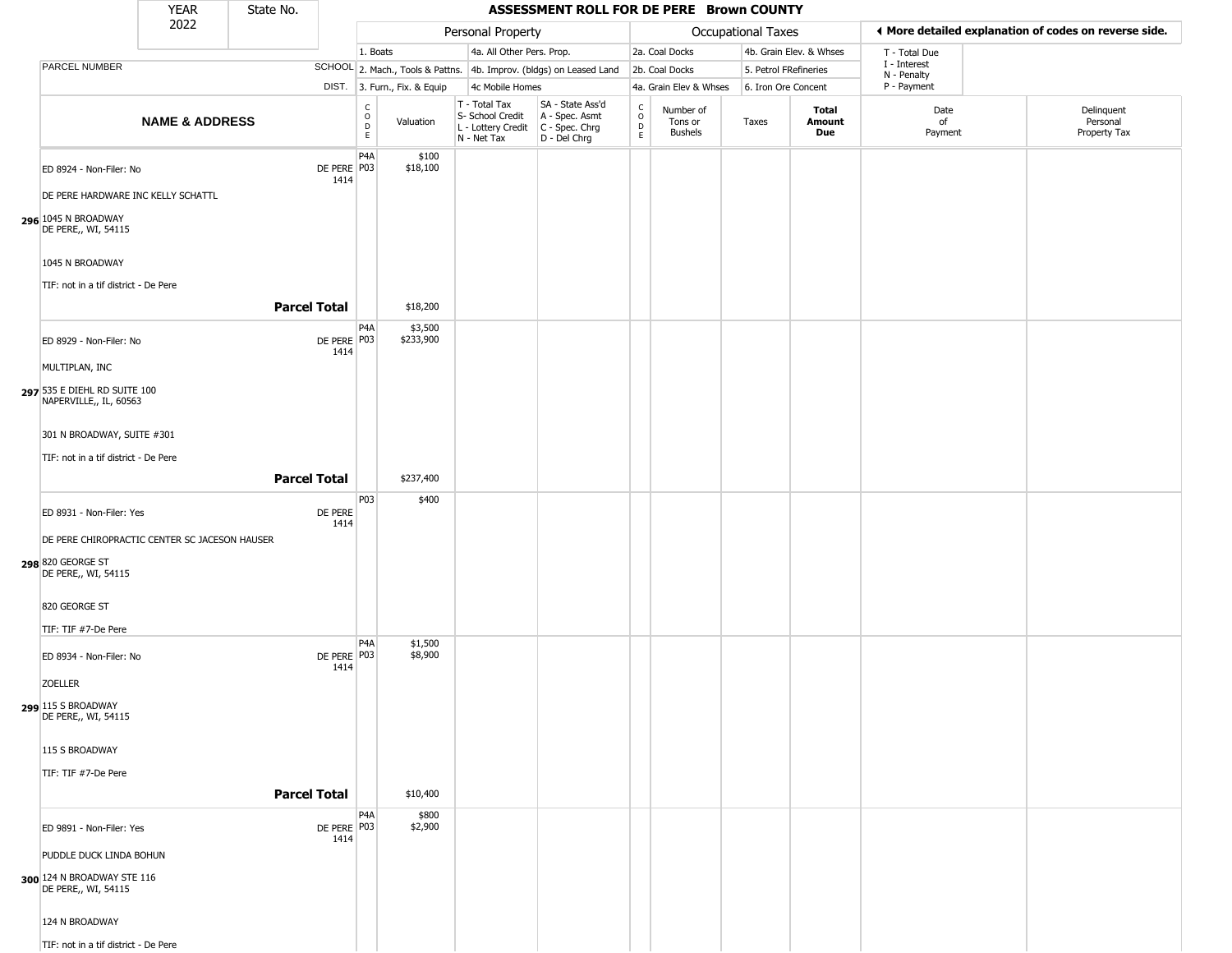|                                                                                                             | <b>YEAR</b>               | State No.           |                     |                              |                              |                                                                        | ASSESSMENT ROLL FOR DE PERE Brown COUNTY                             |                              |                                        |                           |                         |                             |                                                       |
|-------------------------------------------------------------------------------------------------------------|---------------------------|---------------------|---------------------|------------------------------|------------------------------|------------------------------------------------------------------------|----------------------------------------------------------------------|------------------------------|----------------------------------------|---------------------------|-------------------------|-----------------------------|-------------------------------------------------------|
|                                                                                                             | 2022                      |                     |                     |                              |                              | Personal Property                                                      |                                                                      |                              |                                        | <b>Occupational Taxes</b> |                         |                             | ♦ More detailed explanation of codes on reverse side. |
|                                                                                                             |                           |                     |                     | 1. Boats                     |                              | 4a. All Other Pers. Prop.                                              |                                                                      |                              | 2a. Coal Docks                         |                           | 4b. Grain Elev. & Whses | T - Total Due               |                                                       |
| PARCEL NUMBER                                                                                               |                           |                     |                     |                              |                              |                                                                        | SCHOOL 2. Mach., Tools & Pattns. 4b. Improv. (bldgs) on Leased Land  |                              | 2b. Coal Docks                         | 5. Petrol FRefineries     |                         | I - Interest<br>N - Penalty |                                                       |
|                                                                                                             |                           |                     |                     |                              | DIST. 3. Furn., Fix. & Equip | 4c Mobile Homes                                                        |                                                                      |                              | 4a. Grain Elev & Whses                 | 6. Iron Ore Concent       |                         | P - Payment                 |                                                       |
|                                                                                                             | <b>NAME &amp; ADDRESS</b> |                     |                     | $_{\rm o}^{\rm c}$<br>D<br>E | Valuation                    | T - Total Tax<br>S- School Credit<br>L - Lottery Credit<br>N - Net Tax | SA - State Ass'd<br>A - Spec. Asmt<br>C - Spec. Chrg<br>D - Del Chrg | $_{\rm o}^{\rm c}$<br>D<br>E | Number of<br>Tons or<br><b>Bushels</b> | Taxes                     | Total<br>Amount<br>Due  | Date<br>of<br>Payment       | Delinquent<br>Personal<br>Property Tax                |
| ED 8924 - Non-Filer: No<br>DE PERE HARDWARE INC KELLY SCHATTL<br>296 1045 N BROADWAY<br>DE PERE,, WI, 54115 |                           |                     | DE PERE P03<br>1414 | P <sub>4</sub> A             | \$100<br>\$18,100            |                                                                        |                                                                      |                              |                                        |                           |                         |                             |                                                       |
| 1045 N BROADWAY<br>TIF: not in a tif district - De Pere                                                     |                           |                     |                     |                              |                              |                                                                        |                                                                      |                              |                                        |                           |                         |                             |                                                       |
|                                                                                                             |                           | <b>Parcel Total</b> |                     |                              | \$18,200                     |                                                                        |                                                                      |                              |                                        |                           |                         |                             |                                                       |
| ED 8929 - Non-Filer: No                                                                                     |                           |                     | DE PERE P03<br>1414 | P4A                          | \$3,500<br>\$233,900         |                                                                        |                                                                      |                              |                                        |                           |                         |                             |                                                       |
| MULTIPLAN, INC                                                                                              |                           |                     |                     |                              |                              |                                                                        |                                                                      |                              |                                        |                           |                         |                             |                                                       |
| 297 535 E DIEHL RD SUITE 100<br>NAPERVILLE,, IL, 60563                                                      |                           |                     |                     |                              |                              |                                                                        |                                                                      |                              |                                        |                           |                         |                             |                                                       |
| 301 N BROADWAY, SUITE #301                                                                                  |                           |                     |                     |                              |                              |                                                                        |                                                                      |                              |                                        |                           |                         |                             |                                                       |
| TIF: not in a tif district - De Pere                                                                        |                           |                     |                     |                              |                              |                                                                        |                                                                      |                              |                                        |                           |                         |                             |                                                       |
|                                                                                                             |                           | <b>Parcel Total</b> |                     |                              | \$237,400                    |                                                                        |                                                                      |                              |                                        |                           |                         |                             |                                                       |
|                                                                                                             |                           |                     |                     |                              |                              |                                                                        |                                                                      |                              |                                        |                           |                         |                             |                                                       |
| ED 8931 - Non-Filer: Yes                                                                                    |                           |                     | DE PERE<br>1414     | P03                          | \$400                        |                                                                        |                                                                      |                              |                                        |                           |                         |                             |                                                       |
| DE PERE CHIROPRACTIC CENTER SC JACESON HAUSER<br>298 820 GEORGE ST<br>DE PERE,, WI, 54115                   |                           |                     |                     |                              |                              |                                                                        |                                                                      |                              |                                        |                           |                         |                             |                                                       |
| 820 GEORGE ST                                                                                               |                           |                     |                     |                              |                              |                                                                        |                                                                      |                              |                                        |                           |                         |                             |                                                       |
| TIF: TIF #7-De Pere                                                                                         |                           |                     |                     |                              |                              |                                                                        |                                                                      |                              |                                        |                           |                         |                             |                                                       |
| ED 8934 - Non-Filer: No                                                                                     |                           |                     | DE PERE P03<br>1414 | P <sub>4</sub> A             | \$1,500<br>\$8,900           |                                                                        |                                                                      |                              |                                        |                           |                         |                             |                                                       |
| <b>ZOELLER</b>                                                                                              |                           |                     |                     |                              |                              |                                                                        |                                                                      |                              |                                        |                           |                         |                             |                                                       |
| 299 115 S BROADWAY<br>DE PERE,, WI, 54115                                                                   |                           |                     |                     |                              |                              |                                                                        |                                                                      |                              |                                        |                           |                         |                             |                                                       |
| 115 S BROADWAY                                                                                              |                           |                     |                     |                              |                              |                                                                        |                                                                      |                              |                                        |                           |                         |                             |                                                       |
| TIF: TIF #7-De Pere                                                                                         |                           |                     |                     |                              |                              |                                                                        |                                                                      |                              |                                        |                           |                         |                             |                                                       |
|                                                                                                             |                           | <b>Parcel Total</b> |                     |                              | \$10,400                     |                                                                        |                                                                      |                              |                                        |                           |                         |                             |                                                       |
|                                                                                                             |                           |                     |                     | P <sub>4</sub> A             | \$800                        |                                                                        |                                                                      |                              |                                        |                           |                         |                             |                                                       |
| ED 9891 - Non-Filer: Yes                                                                                    |                           |                     | DE PERE P03<br>1414 |                              | \$2,900                      |                                                                        |                                                                      |                              |                                        |                           |                         |                             |                                                       |
| PUDDLE DUCK LINDA BOHUN                                                                                     |                           |                     |                     |                              |                              |                                                                        |                                                                      |                              |                                        |                           |                         |                             |                                                       |
| 300 124 N BROADWAY STE 116<br>DE PERE,, WI, 54115                                                           |                           |                     |                     |                              |                              |                                                                        |                                                                      |                              |                                        |                           |                         |                             |                                                       |
| 124 N BROADWAY                                                                                              |                           |                     |                     |                              |                              |                                                                        |                                                                      |                              |                                        |                           |                         |                             |                                                       |
| TIF: not in a tif district - De Pere                                                                        |                           |                     |                     |                              |                              |                                                                        |                                                                      |                              |                                        |                           |                         |                             |                                                       |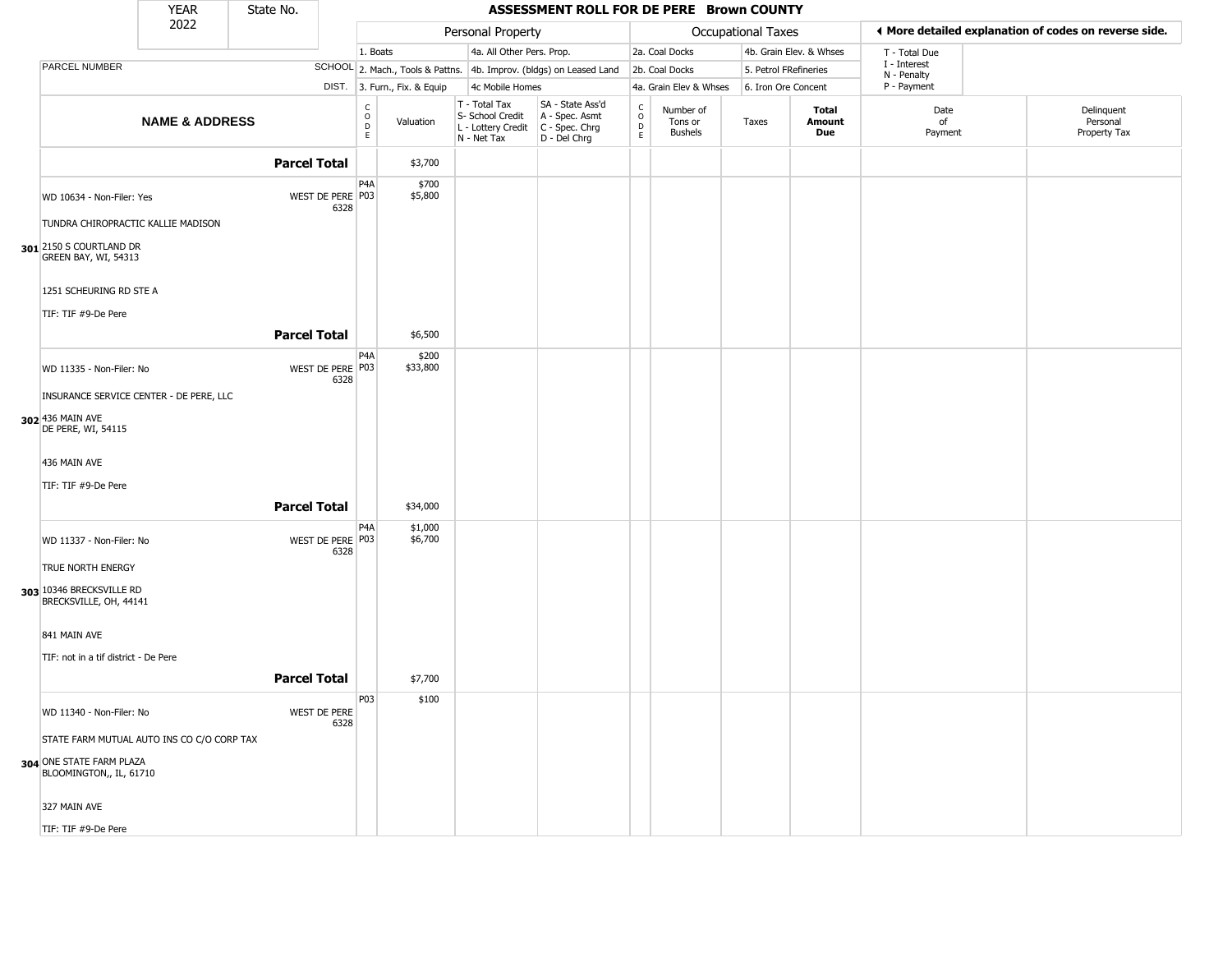|                                                     | <b>YEAR</b>               | State No.           |                             |                                       |                              |                                                                        | ASSESSMENT ROLL FOR DE PERE Brown COUNTY                             |                                              |                                        |                       |                         |                             |                                                       |
|-----------------------------------------------------|---------------------------|---------------------|-----------------------------|---------------------------------------|------------------------------|------------------------------------------------------------------------|----------------------------------------------------------------------|----------------------------------------------|----------------------------------------|-----------------------|-------------------------|-----------------------------|-------------------------------------------------------|
|                                                     | 2022                      |                     |                             |                                       |                              | Personal Property                                                      |                                                                      |                                              |                                        | Occupational Taxes    |                         |                             | ◀ More detailed explanation of codes on reverse side. |
|                                                     |                           |                     |                             | 1. Boats                              |                              | 4a. All Other Pers. Prop.                                              |                                                                      |                                              | 2a. Coal Docks                         |                       | 4b. Grain Elev. & Whses | T - Total Due               |                                                       |
| PARCEL NUMBER                                       |                           |                     |                             |                                       |                              |                                                                        | SCHOOL 2. Mach., Tools & Pattns. 4b. Improv. (bldgs) on Leased Land  |                                              | 2b. Coal Docks                         | 5. Petrol FRefineries |                         | I - Interest<br>N - Penalty |                                                       |
|                                                     |                           |                     |                             |                                       | DIST. 3. Furn., Fix. & Equip | 4c Mobile Homes                                                        |                                                                      |                                              | 4a. Grain Elev & Whses                 | 6. Iron Ore Concent   |                         | P - Payment                 |                                                       |
|                                                     | <b>NAME &amp; ADDRESS</b> |                     |                             | C<br>$\mathsf{o}$<br>$\mathsf D$<br>E | Valuation                    | T - Total Tax<br>S- School Credit<br>L - Lottery Credit<br>N - Net Tax | SA - State Ass'd<br>A - Spec. Asmt<br>C - Spec. Chrg<br>D - Del Chrg | $\int_{0}^{c}$<br>$\mathsf D$<br>$\mathsf E$ | Number of<br>Tons or<br><b>Bushels</b> | Taxes                 | Total<br>Amount<br>Due  | Date<br>of<br>Payment       | Delinquent<br>Personal<br>Property Tax                |
|                                                     |                           | <b>Parcel Total</b> |                             |                                       | \$3,700                      |                                                                        |                                                                      |                                              |                                        |                       |                         |                             |                                                       |
| WD 10634 - Non-Filer: Yes                           |                           |                     | WEST DE PERE P03<br>6328    | P4A                                   | \$700<br>\$5,800             |                                                                        |                                                                      |                                              |                                        |                       |                         |                             |                                                       |
| TUNDRA CHIROPRACTIC KALLIE MADISON                  |                           |                     |                             |                                       |                              |                                                                        |                                                                      |                                              |                                        |                       |                         |                             |                                                       |
| 301 2150 S COURTLAND DR<br>GREEN BAY, WI, 54313     |                           |                     |                             |                                       |                              |                                                                        |                                                                      |                                              |                                        |                       |                         |                             |                                                       |
| 1251 SCHEURING RD STE A                             |                           |                     |                             |                                       |                              |                                                                        |                                                                      |                                              |                                        |                       |                         |                             |                                                       |
| TIF: TIF #9-De Pere                                 |                           |                     |                             |                                       |                              |                                                                        |                                                                      |                                              |                                        |                       |                         |                             |                                                       |
|                                                     |                           | <b>Parcel Total</b> |                             |                                       | \$6,500                      |                                                                        |                                                                      |                                              |                                        |                       |                         |                             |                                                       |
|                                                     |                           |                     |                             | P <sub>4</sub> A                      | \$200                        |                                                                        |                                                                      |                                              |                                        |                       |                         |                             |                                                       |
| WD 11335 - Non-Filer: No                            |                           |                     | WEST DE PERE P03<br>6328    |                                       | \$33,800                     |                                                                        |                                                                      |                                              |                                        |                       |                         |                             |                                                       |
| INSURANCE SERVICE CENTER - DE PERE, LLC             |                           |                     |                             |                                       |                              |                                                                        |                                                                      |                                              |                                        |                       |                         |                             |                                                       |
| 302 436 MAIN AVE<br>DE PERE, WI, 54115              |                           |                     |                             |                                       |                              |                                                                        |                                                                      |                                              |                                        |                       |                         |                             |                                                       |
| 436 MAIN AVE                                        |                           |                     |                             |                                       |                              |                                                                        |                                                                      |                                              |                                        |                       |                         |                             |                                                       |
| TIF: TIF #9-De Pere                                 |                           |                     |                             |                                       |                              |                                                                        |                                                                      |                                              |                                        |                       |                         |                             |                                                       |
|                                                     |                           | <b>Parcel Total</b> |                             |                                       | \$34,000                     |                                                                        |                                                                      |                                              |                                        |                       |                         |                             |                                                       |
| WD 11337 - Non-Filer: No                            |                           |                     | WEST DE PERE P03<br>6328    | P4A                                   | \$1,000<br>\$6,700           |                                                                        |                                                                      |                                              |                                        |                       |                         |                             |                                                       |
| TRUE NORTH ENERGY                                   |                           |                     |                             |                                       |                              |                                                                        |                                                                      |                                              |                                        |                       |                         |                             |                                                       |
| 303 10346 BRECKSVILLE RD<br>BRECKSVILLE, OH, 44141  |                           |                     |                             |                                       |                              |                                                                        |                                                                      |                                              |                                        |                       |                         |                             |                                                       |
| 841 MAIN AVE                                        |                           |                     |                             |                                       |                              |                                                                        |                                                                      |                                              |                                        |                       |                         |                             |                                                       |
| TIF: not in a tif district - De Pere                |                           |                     |                             |                                       |                              |                                                                        |                                                                      |                                              |                                        |                       |                         |                             |                                                       |
|                                                     |                           | <b>Parcel Total</b> |                             |                                       | \$7,700                      |                                                                        |                                                                      |                                              |                                        |                       |                         |                             |                                                       |
|                                                     |                           |                     |                             |                                       |                              |                                                                        |                                                                      |                                              |                                        |                       |                         |                             |                                                       |
| WD 11340 - Non-Filer: No                            |                           |                     | <b>WEST DE PERE</b><br>6328 | P03                                   | \$100                        |                                                                        |                                                                      |                                              |                                        |                       |                         |                             |                                                       |
| STATE FARM MUTUAL AUTO INS CO C/O CORP TAX          |                           |                     |                             |                                       |                              |                                                                        |                                                                      |                                              |                                        |                       |                         |                             |                                                       |
| 304 ONE STATE FARM PLAZA<br>BLOOMINGTON,, IL, 61710 |                           |                     |                             |                                       |                              |                                                                        |                                                                      |                                              |                                        |                       |                         |                             |                                                       |
| 327 MAIN AVE                                        |                           |                     |                             |                                       |                              |                                                                        |                                                                      |                                              |                                        |                       |                         |                             |                                                       |
| TIF: TIF #9-De Pere                                 |                           |                     |                             |                                       |                              |                                                                        |                                                                      |                                              |                                        |                       |                         |                             |                                                       |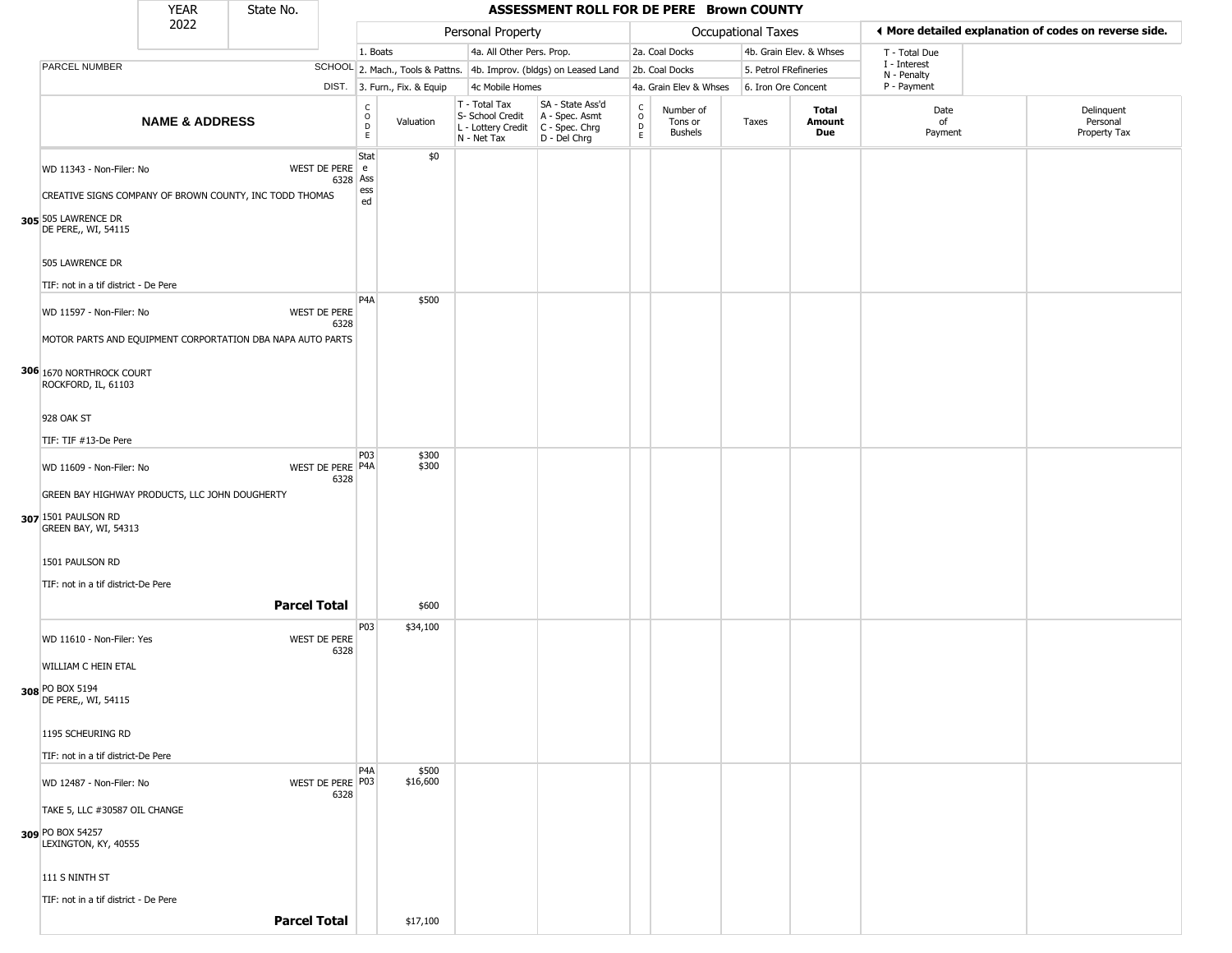|                                                                                                                                   | <b>YEAR</b>               | State No.           |                            |                        |                              |                                                                        | ASSESSMENT ROLL FOR DE PERE Brown COUNTY                             |                         |                                        |                       |                         |                             |                                                       |  |
|-----------------------------------------------------------------------------------------------------------------------------------|---------------------------|---------------------|----------------------------|------------------------|------------------------------|------------------------------------------------------------------------|----------------------------------------------------------------------|-------------------------|----------------------------------------|-----------------------|-------------------------|-----------------------------|-------------------------------------------------------|--|
|                                                                                                                                   | 2022                      |                     |                            |                        |                              | Personal Property                                                      |                                                                      |                         |                                        | Occupational Taxes    |                         |                             | ◀ More detailed explanation of codes on reverse side. |  |
|                                                                                                                                   |                           |                     |                            | 1. Boats               |                              | 4a. All Other Pers. Prop.                                              |                                                                      |                         | 2a. Coal Docks                         |                       | 4b. Grain Elev. & Whses | T - Total Due               |                                                       |  |
| PARCEL NUMBER                                                                                                                     |                           |                     |                            |                        |                              |                                                                        | SCHOOL 2. Mach., Tools & Pattns. 4b. Improv. (bldgs) on Leased Land  |                         | 2b. Coal Docks                         | 5. Petrol FRefineries |                         | I - Interest<br>N - Penalty |                                                       |  |
|                                                                                                                                   |                           |                     |                            |                        | DIST. 3. Furn., Fix. & Equip | 4c Mobile Homes                                                        |                                                                      |                         | 4a. Grain Elev & Whses                 | 6. Iron Ore Concent   |                         | P - Payment                 |                                                       |  |
|                                                                                                                                   | <b>NAME &amp; ADDRESS</b> |                     |                            | C<br>$\circ$<br>D<br>E | Valuation                    | T - Total Tax<br>S- School Credit<br>L - Lottery Credit<br>N - Net Tax | SA - State Ass'd<br>A - Spec. Asmt<br>C - Spec. Chrg<br>D - Del Chrg | C<br>$\circ$<br>D<br>E. | Number of<br>Tons or<br><b>Bushels</b> | Taxes                 | Total<br>Amount<br>Due  | Date<br>of<br>Payment       | Delinquent<br>Personal<br>Property Tax                |  |
| WD 11343 - Non-Filer: No<br>CREATIVE SIGNS COMPANY OF BROWN COUNTY, INC TODD THOMAS<br>305 505 LAWRENCE DR<br>DE PERE,, WI, 54115 |                           |                     | WEST DE PERE e<br>6328 Ass | Stat<br>ess<br>ed      | \$0                          |                                                                        |                                                                      |                         |                                        |                       |                         |                             |                                                       |  |
| 505 LAWRENCE DR<br>TIF: not in a tif district - De Pere                                                                           |                           |                     |                            |                        |                              |                                                                        |                                                                      |                         |                                        |                       |                         |                             |                                                       |  |
| WD 11597 - Non-Filer: No<br>MOTOR PARTS AND EQUIPMENT CORPORTATION DBA NAPA AUTO PARTS                                            |                           |                     | WEST DE PERE<br>6328       | P <sub>4</sub> A       | \$500                        |                                                                        |                                                                      |                         |                                        |                       |                         |                             |                                                       |  |
| 306 1670 NORTHROCK COURT<br>ROCKFORD, IL, 61103                                                                                   |                           |                     |                            |                        |                              |                                                                        |                                                                      |                         |                                        |                       |                         |                             |                                                       |  |
| 928 OAK ST                                                                                                                        |                           |                     |                            |                        |                              |                                                                        |                                                                      |                         |                                        |                       |                         |                             |                                                       |  |
| TIF: TIF #13-De Pere                                                                                                              |                           |                     |                            |                        |                              |                                                                        |                                                                      |                         |                                        |                       |                         |                             |                                                       |  |
| WD 11609 - Non-Filer: No                                                                                                          |                           |                     | WEST DE PERE P4A<br>6328   | P03                    | \$300<br>\$300               |                                                                        |                                                                      |                         |                                        |                       |                         |                             |                                                       |  |
| GREEN BAY HIGHWAY PRODUCTS, LLC JOHN DOUGHERTY                                                                                    |                           |                     |                            |                        |                              |                                                                        |                                                                      |                         |                                        |                       |                         |                             |                                                       |  |
| 307 1501 PAULSON RD<br>GREEN BAY, WI, 54313                                                                                       |                           |                     |                            |                        |                              |                                                                        |                                                                      |                         |                                        |                       |                         |                             |                                                       |  |
| 1501 PAULSON RD                                                                                                                   |                           |                     |                            |                        |                              |                                                                        |                                                                      |                         |                                        |                       |                         |                             |                                                       |  |
| TIF: not in a tif district-De Pere                                                                                                |                           |                     |                            |                        |                              |                                                                        |                                                                      |                         |                                        |                       |                         |                             |                                                       |  |
|                                                                                                                                   |                           | <b>Parcel Total</b> |                            |                        | \$600                        |                                                                        |                                                                      |                         |                                        |                       |                         |                             |                                                       |  |
| WD 11610 - Non-Filer: Yes<br>WILLIAM C HEIN ETAL                                                                                  |                           |                     | WEST DE PERE<br>6328       | P03                    | \$34,100                     |                                                                        |                                                                      |                         |                                        |                       |                         |                             |                                                       |  |
| 308 PO BOX 5194<br>DE PERE,, WI, 54115                                                                                            |                           |                     |                            |                        |                              |                                                                        |                                                                      |                         |                                        |                       |                         |                             |                                                       |  |
| 1195 SCHEURING RD                                                                                                                 |                           |                     |                            |                        |                              |                                                                        |                                                                      |                         |                                        |                       |                         |                             |                                                       |  |
| TIF: not in a tif district-De Pere                                                                                                |                           |                     |                            |                        |                              |                                                                        |                                                                      |                         |                                        |                       |                         |                             |                                                       |  |
| WD 12487 - Non-Filer: No                                                                                                          |                           |                     | WEST DE PERE P03<br>6328   | P <sub>4</sub> A       | \$500<br>\$16,600            |                                                                        |                                                                      |                         |                                        |                       |                         |                             |                                                       |  |
| TAKE 5, LLC #30587 OIL CHANGE                                                                                                     |                           |                     |                            |                        |                              |                                                                        |                                                                      |                         |                                        |                       |                         |                             |                                                       |  |
| <b>309</b> PO BOX 54257<br>LEXINGTON, KY, 40555                                                                                   |                           |                     |                            |                        |                              |                                                                        |                                                                      |                         |                                        |                       |                         |                             |                                                       |  |
| 111 S NINTH ST                                                                                                                    |                           |                     |                            |                        |                              |                                                                        |                                                                      |                         |                                        |                       |                         |                             |                                                       |  |
| TIF: not in a tif district - De Pere                                                                                              |                           |                     |                            |                        |                              |                                                                        |                                                                      |                         |                                        |                       |                         |                             |                                                       |  |
|                                                                                                                                   |                           | <b>Parcel Total</b> |                            |                        | \$17,100                     |                                                                        |                                                                      |                         |                                        |                       |                         |                             |                                                       |  |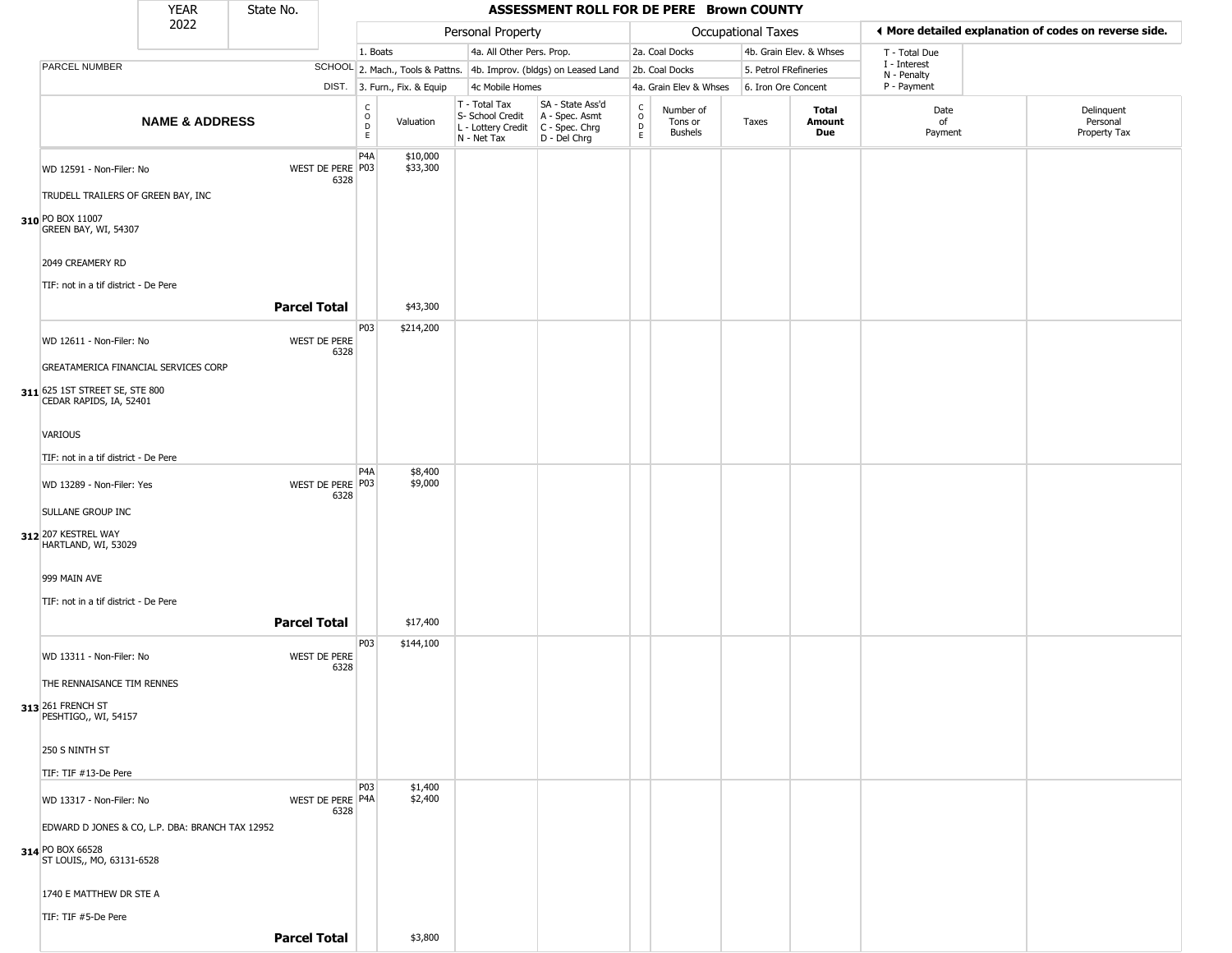|                                                                                                            | <b>YEAR</b>               | State No.           |                          |                                                 |                              |                                                                        | ASSESSMENT ROLL FOR DE PERE Brown COUNTY                             |                                             |                                        |                       |                         |                             |                                                       |
|------------------------------------------------------------------------------------------------------------|---------------------------|---------------------|--------------------------|-------------------------------------------------|------------------------------|------------------------------------------------------------------------|----------------------------------------------------------------------|---------------------------------------------|----------------------------------------|-----------------------|-------------------------|-----------------------------|-------------------------------------------------------|
|                                                                                                            | 2022                      |                     |                          |                                                 |                              | Personal Property                                                      |                                                                      |                                             |                                        | Occupational Taxes    |                         |                             | ♦ More detailed explanation of codes on reverse side. |
|                                                                                                            |                           |                     |                          | 1. Boats                                        |                              | 4a. All Other Pers. Prop.                                              |                                                                      |                                             | 2a. Coal Docks                         |                       | 4b. Grain Elev. & Whses | T - Total Due               |                                                       |
| PARCEL NUMBER                                                                                              |                           |                     |                          |                                                 |                              |                                                                        | SCHOOL 2. Mach., Tools & Pattns. 4b. Improv. (bldgs) on Leased Land  |                                             | 2b. Coal Docks                         | 5. Petrol FRefineries |                         | I - Interest<br>N - Penalty |                                                       |
|                                                                                                            |                           |                     |                          |                                                 | DIST. 3. Furn., Fix. & Equip | 4c Mobile Homes                                                        |                                                                      |                                             | 4a. Grain Elev & Whses                 | 6. Iron Ore Concent   |                         | P - Payment                 |                                                       |
|                                                                                                            | <b>NAME &amp; ADDRESS</b> |                     |                          | $\mathsf{C}$<br>$\mathsf O$<br>$\mathsf D$<br>E | Valuation                    | T - Total Tax<br>S- School Credit<br>L - Lottery Credit<br>N - Net Tax | SA - State Ass'd<br>A - Spec. Asmt<br>C - Spec. Chrg<br>D - Del Chrg | $\mathsf{C}$<br>$\circ$<br>$\mathsf D$<br>E | Number of<br>Tons or<br><b>Bushels</b> | Taxes                 | Total<br>Amount<br>Due  | Date<br>of<br>Payment       | Delinquent<br>Personal<br>Property Tax                |
| WD 12591 - Non-Filer: No<br>TRUDELL TRAILERS OF GREEN BAY, INC<br>310 PO BOX 11007<br>GREEN BAY, WI, 54307 |                           |                     | WEST DE PERE P03<br>6328 | P4A                                             | \$10,000<br>\$33,300         |                                                                        |                                                                      |                                             |                                        |                       |                         |                             |                                                       |
| 2049 CREAMERY RD<br>TIF: not in a tif district - De Pere                                                   |                           |                     |                          |                                                 |                              |                                                                        |                                                                      |                                             |                                        |                       |                         |                             |                                                       |
|                                                                                                            |                           | <b>Parcel Total</b> |                          |                                                 | \$43,300                     |                                                                        |                                                                      |                                             |                                        |                       |                         |                             |                                                       |
| WD 12611 - Non-Filer: No                                                                                   |                           |                     | WEST DE PERE<br>6328     | P <sub>03</sub>                                 | \$214,200                    |                                                                        |                                                                      |                                             |                                        |                       |                         |                             |                                                       |
| GREATAMERICA FINANCIAL SERVICES CORP<br>311 625 1ST STREET SE, STE 800<br>CEDAR RAPIDS, IA, 52401          |                           |                     |                          |                                                 |                              |                                                                        |                                                                      |                                             |                                        |                       |                         |                             |                                                       |
| <b>VARIOUS</b>                                                                                             |                           |                     |                          |                                                 |                              |                                                                        |                                                                      |                                             |                                        |                       |                         |                             |                                                       |
| TIF: not in a tif district - De Pere                                                                       |                           |                     |                          | P <sub>4</sub> A                                | \$8,400                      |                                                                        |                                                                      |                                             |                                        |                       |                         |                             |                                                       |
| WD 13289 - Non-Filer: Yes<br><b>SULLANE GROUP INC</b>                                                      |                           |                     | WEST DE PERE P03<br>6328 |                                                 | \$9,000                      |                                                                        |                                                                      |                                             |                                        |                       |                         |                             |                                                       |
| 312 207 KESTREL WAY<br>HARTLAND, WI, 53029                                                                 |                           |                     |                          |                                                 |                              |                                                                        |                                                                      |                                             |                                        |                       |                         |                             |                                                       |
| 999 MAIN AVE                                                                                               |                           |                     |                          |                                                 |                              |                                                                        |                                                                      |                                             |                                        |                       |                         |                             |                                                       |
| TIF: not in a tif district - De Pere                                                                       |                           | <b>Parcel Total</b> |                          |                                                 | \$17,400                     |                                                                        |                                                                      |                                             |                                        |                       |                         |                             |                                                       |
| WD 13311 - Non-Filer: No                                                                                   |                           |                     | WEST DE PERE<br>6328     | P <sub>03</sub>                                 | \$144,100                    |                                                                        |                                                                      |                                             |                                        |                       |                         |                             |                                                       |
| THE RENNAISANCE TIM RENNES                                                                                 |                           |                     |                          |                                                 |                              |                                                                        |                                                                      |                                             |                                        |                       |                         |                             |                                                       |
| 313 261 FRENCH ST<br>PESHTIGO,, WI, 54157                                                                  |                           |                     |                          |                                                 |                              |                                                                        |                                                                      |                                             |                                        |                       |                         |                             |                                                       |
| 250 S NINTH ST<br>TIF: TIF #13-De Pere                                                                     |                           |                     |                          |                                                 |                              |                                                                        |                                                                      |                                             |                                        |                       |                         |                             |                                                       |
| WD 13317 - Non-Filer: No                                                                                   |                           |                     | WEST DE PERE P4A<br>6328 | P03                                             | \$1,400<br>\$2,400           |                                                                        |                                                                      |                                             |                                        |                       |                         |                             |                                                       |
| EDWARD D JONES & CO, L.P. DBA: BRANCH TAX 12952                                                            |                           |                     |                          |                                                 |                              |                                                                        |                                                                      |                                             |                                        |                       |                         |                             |                                                       |
| 314 PO BOX 66528<br>ST LOUIS,, MO, 63131-6528                                                              |                           |                     |                          |                                                 |                              |                                                                        |                                                                      |                                             |                                        |                       |                         |                             |                                                       |
| 1740 E MATTHEW DR STE A                                                                                    |                           |                     |                          |                                                 |                              |                                                                        |                                                                      |                                             |                                        |                       |                         |                             |                                                       |
| TIF: TIF #5-De Pere                                                                                        |                           |                     |                          |                                                 |                              |                                                                        |                                                                      |                                             |                                        |                       |                         |                             |                                                       |
|                                                                                                            |                           | <b>Parcel Total</b> |                          |                                                 | \$3,800                      |                                                                        |                                                                      |                                             |                                        |                       |                         |                             |                                                       |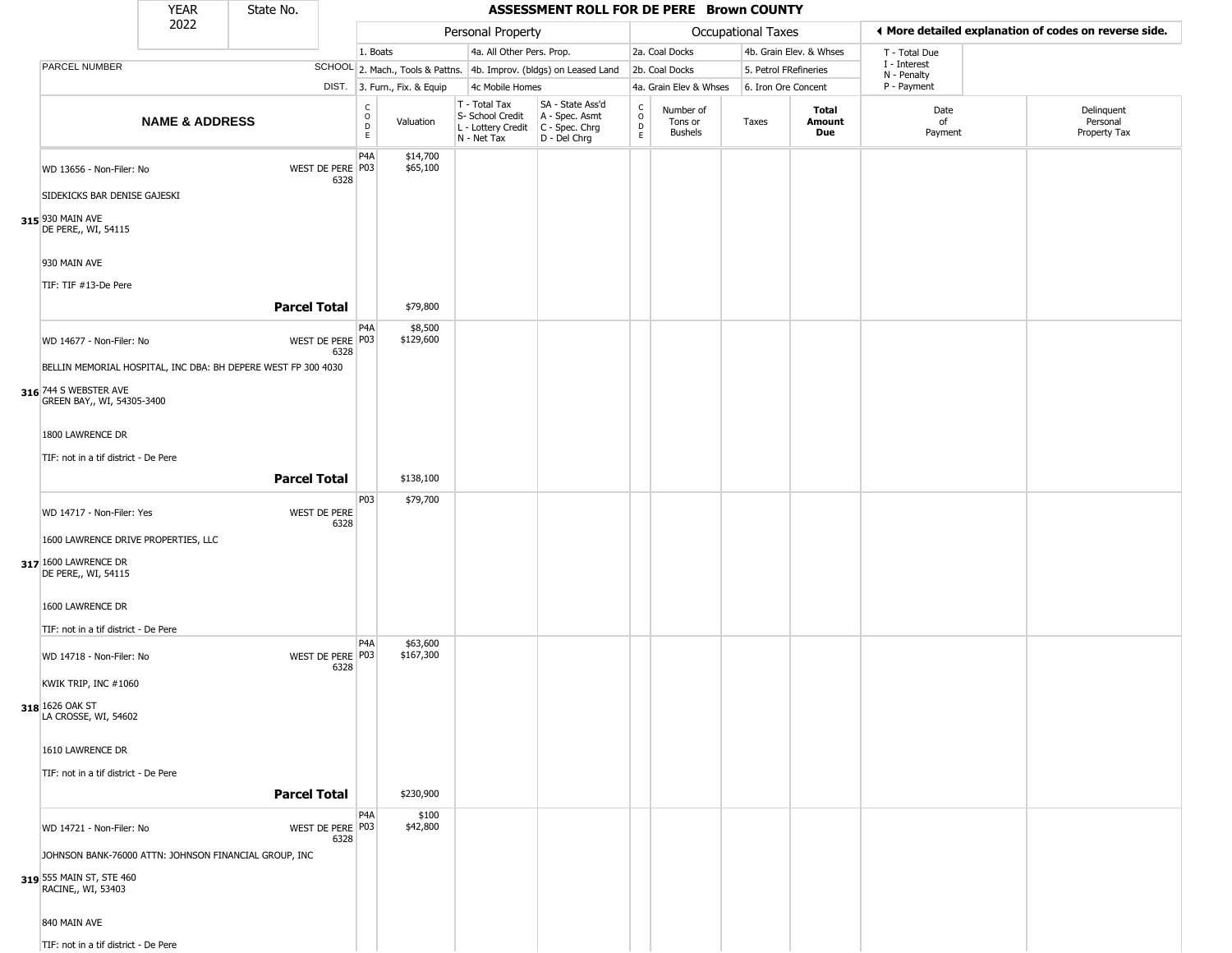|                                                                                                         | <b>YEAR</b>               | State No.                                                     |                          |                                                |                              |                                                                        | ASSESSMENT ROLL FOR DE PERE Brown COUNTY                             |                                                |                                        |                       |                         |                             |                                                       |
|---------------------------------------------------------------------------------------------------------|---------------------------|---------------------------------------------------------------|--------------------------|------------------------------------------------|------------------------------|------------------------------------------------------------------------|----------------------------------------------------------------------|------------------------------------------------|----------------------------------------|-----------------------|-------------------------|-----------------------------|-------------------------------------------------------|
|                                                                                                         | 2022                      |                                                               |                          |                                                |                              | Personal Property                                                      |                                                                      |                                                |                                        | Occupational Taxes    |                         |                             | ♦ More detailed explanation of codes on reverse side. |
|                                                                                                         |                           |                                                               |                          | 1. Boats                                       |                              | 4a. All Other Pers. Prop.                                              |                                                                      |                                                | 2a. Coal Docks                         |                       | 4b. Grain Elev. & Whses | T - Total Due               |                                                       |
| PARCEL NUMBER                                                                                           |                           |                                                               |                          |                                                |                              |                                                                        | SCHOOL 2. Mach., Tools & Pattns. 4b. Improv. (bldgs) on Leased Land  |                                                | 2b. Coal Docks                         | 5. Petrol FRefineries |                         | I - Interest<br>N - Penalty |                                                       |
|                                                                                                         |                           |                                                               |                          |                                                | DIST. 3. Furn., Fix. & Equip | 4c Mobile Homes                                                        |                                                                      |                                                | 4a. Grain Elev & Whses                 | 6. Iron Ore Concent   |                         | P - Payment                 |                                                       |
|                                                                                                         | <b>NAME &amp; ADDRESS</b> |                                                               |                          | $\mathsf C$<br>$\mathsf O$<br>D<br>$\mathsf E$ | Valuation                    | T - Total Tax<br>S- School Credit<br>L - Lottery Credit<br>N - Net Tax | SA - State Ass'd<br>A - Spec. Asmt<br>C - Spec. Chrg<br>D - Del Chrg | $\begin{matrix} 0 \\ 0 \\ D \end{matrix}$<br>E | Number of<br>Tons or<br><b>Bushels</b> | Taxes                 | Total<br>Amount<br>Due  | Date<br>of<br>Payment       | Delinquent<br>Personal<br>Property Tax                |
| WD 13656 - Non-Filer: No<br>SIDEKICKS BAR DENISE GAJESKI<br>315 930 MAIN AVE<br>DE PERE,, WI, 54115     |                           |                                                               | WEST DE PERE P03<br>6328 | P4A                                            | \$14,700<br>\$65,100         |                                                                        |                                                                      |                                                |                                        |                       |                         |                             |                                                       |
| 930 MAIN AVE                                                                                            |                           |                                                               |                          |                                                |                              |                                                                        |                                                                      |                                                |                                        |                       |                         |                             |                                                       |
| TIF: TIF #13-De Pere                                                                                    |                           | <b>Parcel Total</b>                                           |                          |                                                | \$79,800                     |                                                                        |                                                                      |                                                |                                        |                       |                         |                             |                                                       |
| WD 14677 - Non-Filer: No                                                                                |                           | BELLIN MEMORIAL HOSPITAL, INC DBA: BH DEPERE WEST FP 300 4030 | WEST DE PERE P03<br>6328 | P <sub>4</sub> A                               | \$8,500<br>\$129,600         |                                                                        |                                                                      |                                                |                                        |                       |                         |                             |                                                       |
| 316 744 S WEBSTER AVE<br>GREEN BAY,, WI, 54305-3400                                                     |                           |                                                               |                          |                                                |                              |                                                                        |                                                                      |                                                |                                        |                       |                         |                             |                                                       |
| 1800 LAWRENCE DR<br>TIF: not in a tif district - De Pere                                                |                           |                                                               |                          |                                                |                              |                                                                        |                                                                      |                                                |                                        |                       |                         |                             |                                                       |
|                                                                                                         |                           | <b>Parcel Total</b>                                           |                          |                                                | \$138,100                    |                                                                        |                                                                      |                                                |                                        |                       |                         |                             |                                                       |
| WD 14717 - Non-Filer: Yes<br>1600 LAWRENCE DRIVE PROPERTIES, LLC                                        |                           |                                                               | WEST DE PERE<br>6328     | P03                                            | \$79,700                     |                                                                        |                                                                      |                                                |                                        |                       |                         |                             |                                                       |
| 317 1600 LAWRENCE DR<br>DE PERE,, WI, 54115                                                             |                           |                                                               |                          |                                                |                              |                                                                        |                                                                      |                                                |                                        |                       |                         |                             |                                                       |
| 1600 LAWRENCE DR<br>TIF: not in a tif district - De Pere                                                |                           |                                                               |                          |                                                |                              |                                                                        |                                                                      |                                                |                                        |                       |                         |                             |                                                       |
| WD 14718 - Non-Filer: No<br>KWIK TRIP, INC #1060                                                        |                           |                                                               | WEST DE PERE P03<br>6328 | P4A                                            | \$63,600<br>\$167,300        |                                                                        |                                                                      |                                                |                                        |                       |                         |                             |                                                       |
| 318 1626 OAK ST<br>LA CROSSE, WI, 54602                                                                 |                           |                                                               |                          |                                                |                              |                                                                        |                                                                      |                                                |                                        |                       |                         |                             |                                                       |
| 1610 LAWRENCE DR                                                                                        |                           |                                                               |                          |                                                |                              |                                                                        |                                                                      |                                                |                                        |                       |                         |                             |                                                       |
| TIF: not in a tif district - De Pere                                                                    |                           | <b>Parcel Total</b>                                           |                          |                                                | \$230,900                    |                                                                        |                                                                      |                                                |                                        |                       |                         |                             |                                                       |
| WD 14721 - Non-Filer: No                                                                                |                           |                                                               | WEST DE PERE P03<br>6328 | P4A                                            | \$100<br>\$42,800            |                                                                        |                                                                      |                                                |                                        |                       |                         |                             |                                                       |
| JOHNSON BANK-76000 ATTN: JOHNSON FINANCIAL GROUP, INC<br>319 555 MAIN ST, STE 460<br>RACINE,, WI, 53403 |                           |                                                               |                          |                                                |                              |                                                                        |                                                                      |                                                |                                        |                       |                         |                             |                                                       |
| 840 MAIN AVE                                                                                            |                           |                                                               |                          |                                                |                              |                                                                        |                                                                      |                                                |                                        |                       |                         |                             |                                                       |
| TIF: not in a tif district - De Pere                                                                    |                           |                                                               |                          |                                                |                              |                                                                        |                                                                      |                                                |                                        |                       |                         |                             |                                                       |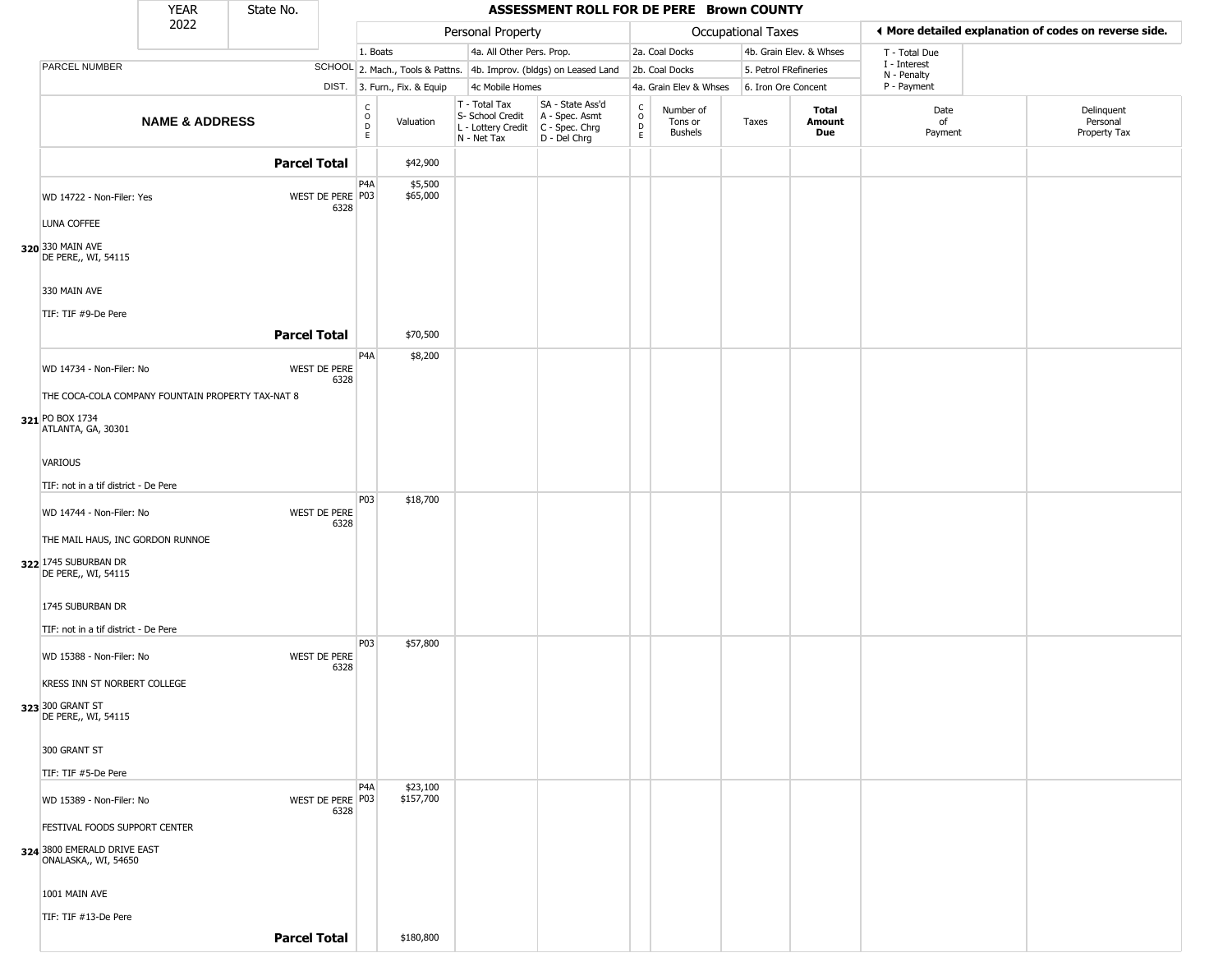|                                                     | <b>YEAR</b>               | State No.           |                          |                               |                              |                                                                        | ASSESSMENT ROLL FOR DE PERE Brown COUNTY                               |                                |                                        |                       |                               |                             |                                                       |
|-----------------------------------------------------|---------------------------|---------------------|--------------------------|-------------------------------|------------------------------|------------------------------------------------------------------------|------------------------------------------------------------------------|--------------------------------|----------------------------------------|-----------------------|-------------------------------|-----------------------------|-------------------------------------------------------|
|                                                     | 2022                      |                     |                          |                               |                              | Personal Property                                                      |                                                                        |                                |                                        | Occupational Taxes    |                               |                             | ♦ More detailed explanation of codes on reverse side. |
|                                                     |                           |                     |                          | 1. Boats                      |                              | 4a. All Other Pers. Prop.                                              |                                                                        |                                | 2a. Coal Docks                         |                       | 4b. Grain Elev. & Whses       | T - Total Due               |                                                       |
| PARCEL NUMBER                                       |                           |                     |                          |                               |                              |                                                                        | SCHOOL 2. Mach., Tools & Pattns. 4b. Improv. (bldgs) on Leased Land    |                                | 2b. Coal Docks                         | 5. Petrol FRefineries |                               | I - Interest<br>N - Penalty |                                                       |
|                                                     |                           |                     |                          |                               | DIST. 3. Furn., Fix. & Equip | 4c Mobile Homes                                                        |                                                                        |                                | 4a. Grain Elev & Whses                 | 6. Iron Ore Concent   |                               | P - Payment                 |                                                       |
|                                                     | <b>NAME &amp; ADDRESS</b> |                     |                          | $_{\rm o}^{\rm c}$<br>D<br>E. | Valuation                    | T - Total Tax<br>S- School Credit<br>L - Lottery Credit<br>N - Net Tax | SA - State Ass'd<br>A - Spec. Asmt<br>$C - Spec. Chrg$<br>D - Del Chrg | $\frac{c}{0}$<br>$\frac{D}{E}$ | Number of<br>Tons or<br><b>Bushels</b> | Taxes                 | Total<br>Amount<br><b>Due</b> | Date<br>of<br>Payment       | Delinquent<br>Personal<br>Property Tax                |
|                                                     |                           | <b>Parcel Total</b> |                          |                               | \$42,900                     |                                                                        |                                                                        |                                |                                        |                       |                               |                             |                                                       |
|                                                     |                           |                     |                          | P4A                           | \$5,500                      |                                                                        |                                                                        |                                |                                        |                       |                               |                             |                                                       |
| WD 14722 - Non-Filer: Yes                           |                           |                     | WEST DE PERE P03         |                               | \$65,000                     |                                                                        |                                                                        |                                |                                        |                       |                               |                             |                                                       |
|                                                     |                           |                     | 6328                     |                               |                              |                                                                        |                                                                        |                                |                                        |                       |                               |                             |                                                       |
| LUNA COFFEE                                         |                           |                     |                          |                               |                              |                                                                        |                                                                        |                                |                                        |                       |                               |                             |                                                       |
| 320 330 MAIN AVE<br>DE PERE,, WI, 54115             |                           |                     |                          |                               |                              |                                                                        |                                                                        |                                |                                        |                       |                               |                             |                                                       |
| 330 MAIN AVE                                        |                           |                     |                          |                               |                              |                                                                        |                                                                        |                                |                                        |                       |                               |                             |                                                       |
| TIF: TIF #9-De Pere                                 |                           |                     |                          |                               |                              |                                                                        |                                                                        |                                |                                        |                       |                               |                             |                                                       |
|                                                     |                           | <b>Parcel Total</b> |                          |                               | \$70,500                     |                                                                        |                                                                        |                                |                                        |                       |                               |                             |                                                       |
|                                                     |                           |                     |                          | P <sub>4</sub> A              | \$8,200                      |                                                                        |                                                                        |                                |                                        |                       |                               |                             |                                                       |
| WD 14734 - Non-Filer: No                            |                           |                     | WEST DE PERE<br>6328     |                               |                              |                                                                        |                                                                        |                                |                                        |                       |                               |                             |                                                       |
| THE COCA-COLA COMPANY FOUNTAIN PROPERTY TAX-NAT 8   |                           |                     |                          |                               |                              |                                                                        |                                                                        |                                |                                        |                       |                               |                             |                                                       |
| 321 PO BOX 1734<br>ATLANTA, GA, 30301               |                           |                     |                          |                               |                              |                                                                        |                                                                        |                                |                                        |                       |                               |                             |                                                       |
| VARIOUS                                             |                           |                     |                          |                               |                              |                                                                        |                                                                        |                                |                                        |                       |                               |                             |                                                       |
| TIF: not in a tif district - De Pere                |                           |                     |                          |                               |                              |                                                                        |                                                                        |                                |                                        |                       |                               |                             |                                                       |
| WD 14744 - Non-Filer: No                            |                           |                     | WEST DE PERE<br>6328     | P03                           | \$18,700                     |                                                                        |                                                                        |                                |                                        |                       |                               |                             |                                                       |
| THE MAIL HAUS, INC GORDON RUNNOE                    |                           |                     |                          |                               |                              |                                                                        |                                                                        |                                |                                        |                       |                               |                             |                                                       |
| 322 1745 SUBURBAN DR<br>DE PERE,, WI, 54115         |                           |                     |                          |                               |                              |                                                                        |                                                                        |                                |                                        |                       |                               |                             |                                                       |
| 1745 SUBURBAN DR                                    |                           |                     |                          |                               |                              |                                                                        |                                                                        |                                |                                        |                       |                               |                             |                                                       |
| TIF: not in a tif district - De Pere                |                           |                     |                          |                               |                              |                                                                        |                                                                        |                                |                                        |                       |                               |                             |                                                       |
| WD 15388 - Non-Filer: No                            |                           |                     | WEST DE PERE<br>6328     | P03                           | \$57,800                     |                                                                        |                                                                        |                                |                                        |                       |                               |                             |                                                       |
| KRESS INN ST NORBERT COLLEGE                        |                           |                     |                          |                               |                              |                                                                        |                                                                        |                                |                                        |                       |                               |                             |                                                       |
| 323 300 GRANT ST<br>DE PERE,, WI, 54115             |                           |                     |                          |                               |                              |                                                                        |                                                                        |                                |                                        |                       |                               |                             |                                                       |
| 300 GRANT ST                                        |                           |                     |                          |                               |                              |                                                                        |                                                                        |                                |                                        |                       |                               |                             |                                                       |
| TIF: TIF #5-De Pere                                 |                           |                     |                          |                               |                              |                                                                        |                                                                        |                                |                                        |                       |                               |                             |                                                       |
| WD 15389 - Non-Filer: No                            |                           |                     | WEST DE PERE P03<br>6328 | P <sub>4</sub> A              | \$23,100<br>\$157,700        |                                                                        |                                                                        |                                |                                        |                       |                               |                             |                                                       |
| FESTIVAL FOODS SUPPORT CENTER                       |                           |                     |                          |                               |                              |                                                                        |                                                                        |                                |                                        |                       |                               |                             |                                                       |
| 324 3800 EMERALD DRIVE EAST<br>ONALASKA,, WI, 54650 |                           |                     |                          |                               |                              |                                                                        |                                                                        |                                |                                        |                       |                               |                             |                                                       |
| 1001 MAIN AVE                                       |                           |                     |                          |                               |                              |                                                                        |                                                                        |                                |                                        |                       |                               |                             |                                                       |
| TIF: TIF #13-De Pere                                |                           |                     |                          |                               |                              |                                                                        |                                                                        |                                |                                        |                       |                               |                             |                                                       |
|                                                     |                           | <b>Parcel Total</b> |                          |                               | \$180,800                    |                                                                        |                                                                        |                                |                                        |                       |                               |                             |                                                       |
|                                                     |                           |                     |                          |                               |                              |                                                                        |                                                                        |                                |                                        |                       |                               |                             |                                                       |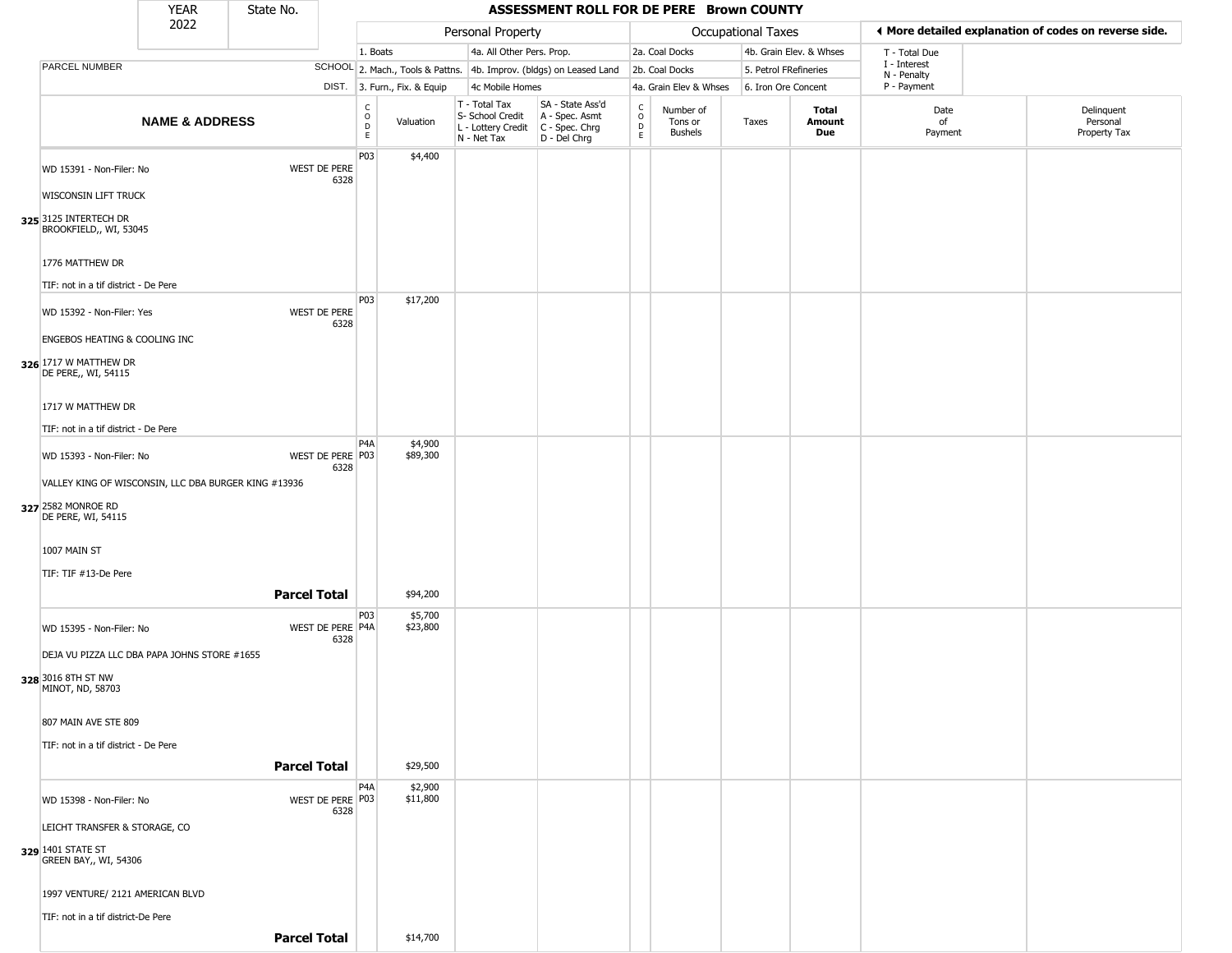|                                                                                                                                              | <b>YEAR</b>               | State No.           |                             |                                                  |                              |                                                                        | ASSESSMENT ROLL FOR DE PERE Brown COUNTY                               |                                         |                                        |                           |                         |                            |                                                       |
|----------------------------------------------------------------------------------------------------------------------------------------------|---------------------------|---------------------|-----------------------------|--------------------------------------------------|------------------------------|------------------------------------------------------------------------|------------------------------------------------------------------------|-----------------------------------------|----------------------------------------|---------------------------|-------------------------|----------------------------|-------------------------------------------------------|
|                                                                                                                                              | 2022                      |                     |                             |                                                  |                              | Personal Property                                                      |                                                                        |                                         |                                        | <b>Occupational Taxes</b> |                         |                            | ♦ More detailed explanation of codes on reverse side. |
|                                                                                                                                              |                           |                     |                             | 1. Boats                                         |                              | 4a. All Other Pers. Prop.                                              |                                                                        |                                         | 2a. Coal Docks                         |                           | 4b. Grain Elev. & Whses | T - Total Due              |                                                       |
| PARCEL NUMBER                                                                                                                                |                           |                     |                             |                                                  |                              |                                                                        | SCHOOL 2. Mach., Tools & Pattns. 4b. Improv. (bldgs) on Leased Land    |                                         | 2b. Coal Docks                         | 5. Petrol FRefineries     |                         | I - Interest               |                                                       |
|                                                                                                                                              |                           |                     |                             |                                                  | DIST. 3. Furn., Fix. & Equip | 4c Mobile Homes                                                        |                                                                        |                                         | 4a. Grain Elev & Whses                 | 6. Iron Ore Concent       |                         | N - Penalty<br>P - Payment |                                                       |
|                                                                                                                                              | <b>NAME &amp; ADDRESS</b> |                     |                             | $_{\rm o}^{\rm c}$<br>$\mathsf D$<br>$\mathsf E$ | Valuation                    | T - Total Tax<br>S- School Credit<br>L - Lottery Credit<br>N - Net Tax | SA - State Ass'd<br>A - Spec. Asmt<br>$C - Spec. Chrg$<br>D - Del Chrg | $_{\rm o}^{\rm c}$<br>$\mathsf{D}$<br>E | Number of<br>Tons or<br><b>Bushels</b> | Taxes                     | Total<br>Amount<br>Due  | Date<br>of<br>Payment      | Delinquent<br>Personal<br>Property Tax                |
| WD 15391 - Non-Filer: No<br><b>WISCONSIN LIFT TRUCK</b><br>325 3125 INTERTECH DR<br>BROOKFIELD,, WI, 53045                                   |                           |                     | WEST DE PERE<br>6328        | P03                                              | \$4,400                      |                                                                        |                                                                        |                                         |                                        |                           |                         |                            |                                                       |
| 1776 MATTHEW DR                                                                                                                              |                           |                     |                             |                                                  |                              |                                                                        |                                                                        |                                         |                                        |                           |                         |                            |                                                       |
| TIF: not in a tif district - De Pere<br>WD 15392 - Non-Filer: Yes<br>ENGEBOS HEATING & COOLING INC<br>326 1717 W MATTHEW DR                  |                           |                     | <b>WEST DE PERE</b><br>6328 | P03                                              | \$17,200                     |                                                                        |                                                                        |                                         |                                        |                           |                         |                            |                                                       |
| DE PERE,, WI, 54115<br>1717 W MATTHEW DR<br>TIF: not in a tif district - De Pere                                                             |                           |                     |                             | P4A                                              | \$4,900                      |                                                                        |                                                                        |                                         |                                        |                           |                         |                            |                                                       |
| WD 15393 - Non-Filer: No<br>VALLEY KING OF WISCONSIN, LLC DBA BURGER KING #13936<br>327 2582 MONROE RD<br>DE PERE, WI, 54115<br>1007 MAIN ST |                           |                     | WEST DE PERE P03<br>6328    |                                                  | \$89,300                     |                                                                        |                                                                        |                                         |                                        |                           |                         |                            |                                                       |
| TIF: TIF #13-De Pere                                                                                                                         |                           | <b>Parcel Total</b> |                             |                                                  | \$94,200                     |                                                                        |                                                                        |                                         |                                        |                           |                         |                            |                                                       |
| WD 15395 - Non-Filer: No<br>DEJA VU PIZZA LLC DBA PAPA JOHNS STORE #1655                                                                     |                           |                     | WEST DE PERE P4A<br>6328    | P03                                              | \$5,700<br>\$23,800          |                                                                        |                                                                        |                                         |                                        |                           |                         |                            |                                                       |
| 328 3016 8TH ST NW<br>MINOT, ND, 58703<br>807 MAIN AVE STE 809<br>TIF: not in a tif district - De Pere                                       |                           |                     |                             |                                                  |                              |                                                                        |                                                                        |                                         |                                        |                           |                         |                            |                                                       |
|                                                                                                                                              |                           | <b>Parcel Total</b> |                             |                                                  | \$29,500                     |                                                                        |                                                                        |                                         |                                        |                           |                         |                            |                                                       |
| WD 15398 - Non-Filer: No<br>LEICHT TRANSFER & STORAGE, CO<br>329 1401 STATE ST<br>GREEN BAY,, WI, 54306                                      |                           |                     | WEST DE PERE P03<br>6328    | P4A                                              | \$2,900<br>\$11,800          |                                                                        |                                                                        |                                         |                                        |                           |                         |                            |                                                       |
| 1997 VENTURE/ 2121 AMERICAN BLVD<br>TIF: not in a tif district-De Pere                                                                       |                           | <b>Parcel Total</b> |                             |                                                  | \$14,700                     |                                                                        |                                                                        |                                         |                                        |                           |                         |                            |                                                       |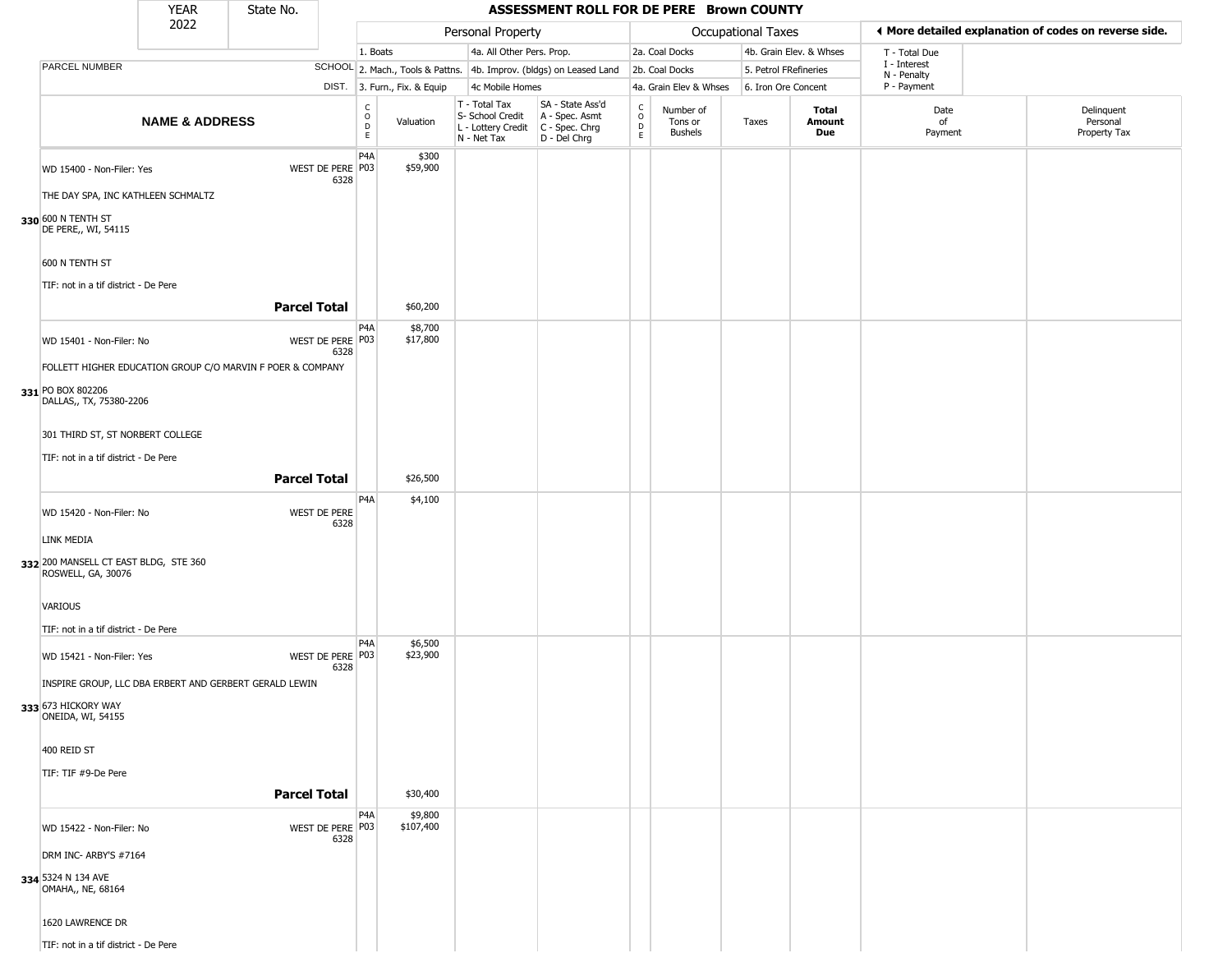|                                                                                                            | <b>YEAR</b>               | State No.           |                          |                                  |                              |                                                                        | ASSESSMENT ROLL FOR DE PERE Brown COUNTY                             |                                                   |                                 |                       |                         |                             |                                                       |
|------------------------------------------------------------------------------------------------------------|---------------------------|---------------------|--------------------------|----------------------------------|------------------------------|------------------------------------------------------------------------|----------------------------------------------------------------------|---------------------------------------------------|---------------------------------|-----------------------|-------------------------|-----------------------------|-------------------------------------------------------|
|                                                                                                            | 2022                      |                     |                          |                                  |                              | Personal Property                                                      |                                                                      |                                                   |                                 | Occupational Taxes    |                         |                             | ♦ More detailed explanation of codes on reverse side. |
|                                                                                                            |                           |                     |                          | 1. Boats                         |                              | 4a. All Other Pers. Prop.                                              |                                                                      |                                                   | 2a. Coal Docks                  |                       | 4b. Grain Elev. & Whses | T - Total Due               |                                                       |
| PARCEL NUMBER                                                                                              |                           |                     |                          |                                  |                              |                                                                        | SCHOOL 2. Mach., Tools & Pattns. 4b. Improv. (bldgs) on Leased Land  |                                                   | 2b. Coal Docks                  | 5. Petrol FRefineries |                         | I - Interest<br>N - Penalty |                                                       |
|                                                                                                            |                           |                     |                          |                                  | DIST. 3. Furn., Fix. & Equip | 4c Mobile Homes                                                        |                                                                      |                                                   | 4a. Grain Elev & Whses          | 6. Iron Ore Concent   |                         | P - Payment                 |                                                       |
|                                                                                                            | <b>NAME &amp; ADDRESS</b> |                     |                          | C<br>$\circ$<br>$\mathsf D$<br>E | Valuation                    | T - Total Tax<br>S- School Credit<br>L - Lottery Credit<br>N - Net Tax | SA - State Ass'd<br>A - Spec. Asmt<br>C - Spec. Chrg<br>D - Del Chrg | $\begin{array}{c}\nC \\ O \\ D \\ E\n\end{array}$ | Number of<br>Tons or<br>Bushels | Taxes                 | Total<br>Amount<br>Due  | Date<br>of<br>Payment       | Delinquent<br>Personal<br>Property Tax                |
| WD 15400 - Non-Filer: Yes<br>THE DAY SPA, INC KATHLEEN SCHMALTZ                                            |                           |                     | WEST DE PERE P03<br>6328 | P <sub>4</sub> A                 | \$300<br>\$59,900            |                                                                        |                                                                      |                                                   |                                 |                       |                         |                             |                                                       |
| 330 600 N TENTH ST<br>DE PERE,, WI, 54115                                                                  |                           |                     |                          |                                  |                              |                                                                        |                                                                      |                                                   |                                 |                       |                         |                             |                                                       |
| 600 N TENTH ST<br>TIF: not in a tif district - De Pere                                                     |                           |                     |                          |                                  |                              |                                                                        |                                                                      |                                                   |                                 |                       |                         |                             |                                                       |
|                                                                                                            |                           | <b>Parcel Total</b> |                          |                                  | \$60,200                     |                                                                        |                                                                      |                                                   |                                 |                       |                         |                             |                                                       |
| WD 15401 - Non-Filer: No                                                                                   |                           |                     | WEST DE PERE P03<br>6328 | P4A                              | \$8,700<br>\$17,800          |                                                                        |                                                                      |                                                   |                                 |                       |                         |                             |                                                       |
| FOLLETT HIGHER EDUCATION GROUP C/O MARVIN F POER & COMPANY<br>331 PO BOX 802206<br>DALLAS,, TX, 75380-2206 |                           |                     |                          |                                  |                              |                                                                        |                                                                      |                                                   |                                 |                       |                         |                             |                                                       |
| 301 THIRD ST, ST NORBERT COLLEGE                                                                           |                           |                     |                          |                                  |                              |                                                                        |                                                                      |                                                   |                                 |                       |                         |                             |                                                       |
| TIF: not in a tif district - De Pere                                                                       |                           | <b>Parcel Total</b> |                          |                                  | \$26,500                     |                                                                        |                                                                      |                                                   |                                 |                       |                         |                             |                                                       |
|                                                                                                            |                           |                     |                          | P4A                              | \$4,100                      |                                                                        |                                                                      |                                                   |                                 |                       |                         |                             |                                                       |
| WD 15420 - Non-Filer: No                                                                                   |                           |                     | WEST DE PERE<br>6328     |                                  |                              |                                                                        |                                                                      |                                                   |                                 |                       |                         |                             |                                                       |
| LINK MEDIA<br>332 200 MANSELL CT EAST BLDG, STE 360<br>ROSWELL, GA, 30076                                  |                           |                     |                          |                                  |                              |                                                                        |                                                                      |                                                   |                                 |                       |                         |                             |                                                       |
| VARIOUS<br>TIF: not in a tif district - De Pere                                                            |                           |                     |                          |                                  |                              |                                                                        |                                                                      |                                                   |                                 |                       |                         |                             |                                                       |
| WD 15421 - Non-Filer: Yes                                                                                  |                           |                     | WEST DE PERE P03<br>6328 | P <sub>4</sub> A                 | \$6,500<br>\$23,900          |                                                                        |                                                                      |                                                   |                                 |                       |                         |                             |                                                       |
| INSPIRE GROUP, LLC DBA ERBERT AND GERBERT GERALD LEWIN<br>333 673 HICKORY WAY<br>ONEIDA, WI, 54155         |                           |                     |                          |                                  |                              |                                                                        |                                                                      |                                                   |                                 |                       |                         |                             |                                                       |
| 400 REID ST                                                                                                |                           |                     |                          |                                  |                              |                                                                        |                                                                      |                                                   |                                 |                       |                         |                             |                                                       |
| TIF: TIF #9-De Pere                                                                                        |                           | <b>Parcel Total</b> |                          |                                  | \$30,400                     |                                                                        |                                                                      |                                                   |                                 |                       |                         |                             |                                                       |
| WD 15422 - Non-Filer: No                                                                                   |                           |                     | WEST DE PERE P03         | P <sub>4</sub> A                 | \$9,800<br>\$107,400         |                                                                        |                                                                      |                                                   |                                 |                       |                         |                             |                                                       |
| DRM INC- ARBY'S #7164                                                                                      |                           |                     | 6328                     |                                  |                              |                                                                        |                                                                      |                                                   |                                 |                       |                         |                             |                                                       |
| 334 5324 N 134 AVE<br>OMAHA,, NE, 68164                                                                    |                           |                     |                          |                                  |                              |                                                                        |                                                                      |                                                   |                                 |                       |                         |                             |                                                       |
| 1620 LAWRENCE DR                                                                                           |                           |                     |                          |                                  |                              |                                                                        |                                                                      |                                                   |                                 |                       |                         |                             |                                                       |

TIF: not in a tif district - De Pere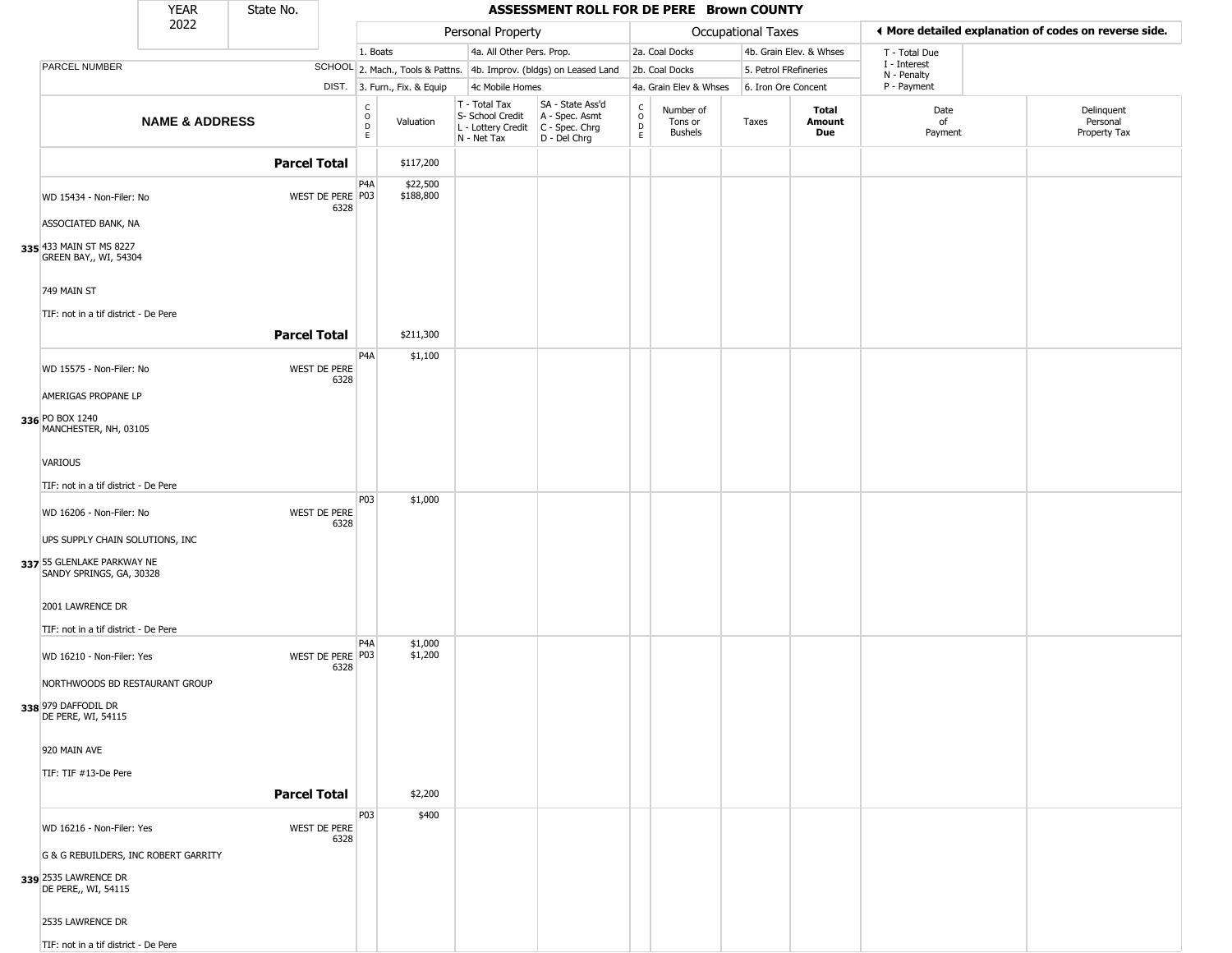|                                                                                           | YEAR                                 | State No.           |                          |                              |                              |                                                                                       | ASSESSMENT ROLL FOR DE PERE Brown COUNTY                            |                                 |                                        |                           |                                      |                             |                                                       |
|-------------------------------------------------------------------------------------------|--------------------------------------|---------------------|--------------------------|------------------------------|------------------------------|---------------------------------------------------------------------------------------|---------------------------------------------------------------------|---------------------------------|----------------------------------------|---------------------------|--------------------------------------|-----------------------------|-------------------------------------------------------|
|                                                                                           | 2022                                 |                     |                          |                              |                              | Personal Property                                                                     |                                                                     |                                 |                                        | <b>Occupational Taxes</b> |                                      |                             | ♦ More detailed explanation of codes on reverse side. |
|                                                                                           |                                      |                     |                          | 1. Boats                     |                              | 4a. All Other Pers. Prop.                                                             |                                                                     |                                 | 2a. Coal Docks                         |                           | 4b. Grain Elev. & Whses              | T - Total Due               |                                                       |
| PARCEL NUMBER                                                                             |                                      |                     |                          |                              |                              |                                                                                       | SCHOOL 2. Mach., Tools & Pattns. 4b. Improv. (bldgs) on Leased Land |                                 | 2b. Coal Docks                         | 5. Petrol FRefineries     |                                      | I - Interest<br>N - Penalty |                                                       |
|                                                                                           |                                      |                     |                          |                              | DIST. 3. Furn., Fix. & Equip | 4c Mobile Homes                                                                       |                                                                     |                                 | 4a. Grain Elev & Whses                 | 6. Iron Ore Concent       |                                      | P - Payment                 |                                                       |
|                                                                                           | <b>NAME &amp; ADDRESS</b>            |                     |                          | $_{\rm o}^{\rm c}$<br>D<br>E | Valuation                    | T - Total Tax<br>S- School Credit<br>L - Lottery Credit C - Spec. Chrg<br>N - Net Tax | SA - State Ass'd<br>A - Spec. Asmt<br>D - Del Chrg                  | $\rm _o^c$<br>$\mathsf{D}$<br>E | Number of<br>Tons or<br><b>Bushels</b> | Taxes                     | <b>Total</b><br><b>Amount</b><br>Due | Date<br>of<br>Payment       | Delinquent<br>Personal<br>Property Tax                |
|                                                                                           |                                      | <b>Parcel Total</b> |                          |                              | \$117,200                    |                                                                                       |                                                                     |                                 |                                        |                           |                                      |                             |                                                       |
| WD 15434 - Non-Filer: No                                                                  |                                      |                     | WEST DE PERE P03<br>6328 | P4A                          | \$22,500<br>\$188,800        |                                                                                       |                                                                     |                                 |                                        |                           |                                      |                             |                                                       |
| ASSOCIATED BANK, NA<br>335 433 MAIN ST MS 8227<br>GREEN BAY,, WI, 54304                   |                                      |                     |                          |                              |                              |                                                                                       |                                                                     |                                 |                                        |                           |                                      |                             |                                                       |
| 749 MAIN ST                                                                               |                                      |                     |                          |                              |                              |                                                                                       |                                                                     |                                 |                                        |                           |                                      |                             |                                                       |
| TIF: not in a tif district - De Pere                                                      |                                      | <b>Parcel Total</b> |                          |                              | \$211,300                    |                                                                                       |                                                                     |                                 |                                        |                           |                                      |                             |                                                       |
|                                                                                           |                                      |                     |                          | P <sub>4</sub> A             | \$1,100                      |                                                                                       |                                                                     |                                 |                                        |                           |                                      |                             |                                                       |
| WD 15575 - Non-Filer: No                                                                  |                                      |                     | WEST DE PERE<br>6328     |                              |                              |                                                                                       |                                                                     |                                 |                                        |                           |                                      |                             |                                                       |
| AMERIGAS PROPANE LP                                                                       |                                      |                     |                          |                              |                              |                                                                                       |                                                                     |                                 |                                        |                           |                                      |                             |                                                       |
| 336 PO BOX 1240<br>MANCHESTER, NH, 03105                                                  |                                      |                     |                          |                              |                              |                                                                                       |                                                                     |                                 |                                        |                           |                                      |                             |                                                       |
| <b>VARIOUS</b>                                                                            |                                      |                     |                          |                              |                              |                                                                                       |                                                                     |                                 |                                        |                           |                                      |                             |                                                       |
| TIF: not in a tif district - De Pere                                                      |                                      |                     |                          |                              |                              |                                                                                       |                                                                     |                                 |                                        |                           |                                      |                             |                                                       |
| WD 16206 - Non-Filer: No                                                                  |                                      |                     | WEST DE PERE<br>6328     | P03                          | \$1,000                      |                                                                                       |                                                                     |                                 |                                        |                           |                                      |                             |                                                       |
| UPS SUPPLY CHAIN SOLUTIONS, INC<br>337 55 GLENLAKE PARKWAY NE<br>SANDY SPRINGS, GA, 30328 |                                      |                     |                          |                              |                              |                                                                                       |                                                                     |                                 |                                        |                           |                                      |                             |                                                       |
| 2001 LAWRENCE DR                                                                          |                                      |                     |                          |                              |                              |                                                                                       |                                                                     |                                 |                                        |                           |                                      |                             |                                                       |
| TIF: not in a tif district - De Pere                                                      |                                      |                     |                          | P4A                          |                              |                                                                                       |                                                                     |                                 |                                        |                           |                                      |                             |                                                       |
| WD 16210 - Non-Filer: Yes                                                                 |                                      |                     | WEST DE PERE P03<br>6328 |                              | \$1,000<br>\$1,200           |                                                                                       |                                                                     |                                 |                                        |                           |                                      |                             |                                                       |
|                                                                                           | NORTHWOODS BD RESTAURANT GROUP       |                     |                          |                              |                              |                                                                                       |                                                                     |                                 |                                        |                           |                                      |                             |                                                       |
| 338 979 DAFFODIL DR<br>DE PERE, WI, 54115                                                 |                                      |                     |                          |                              |                              |                                                                                       |                                                                     |                                 |                                        |                           |                                      |                             |                                                       |
| 920 MAIN AVE                                                                              |                                      |                     |                          |                              |                              |                                                                                       |                                                                     |                                 |                                        |                           |                                      |                             |                                                       |
| TIF: TIF #13-De Pere                                                                      |                                      |                     |                          |                              |                              |                                                                                       |                                                                     |                                 |                                        |                           |                                      |                             |                                                       |
|                                                                                           |                                      | <b>Parcel Total</b> |                          |                              | \$2,200                      |                                                                                       |                                                                     |                                 |                                        |                           |                                      |                             |                                                       |
| WD 16216 - Non-Filer: Yes                                                                 |                                      |                     | WEST DE PERE<br>6328     | P03                          | \$400                        |                                                                                       |                                                                     |                                 |                                        |                           |                                      |                             |                                                       |
|                                                                                           | G & G REBUILDERS, INC ROBERT GARRITY |                     |                          |                              |                              |                                                                                       |                                                                     |                                 |                                        |                           |                                      |                             |                                                       |
| 339 2535 LAWRENCE DR<br>DE PERE,, WI, 54115                                               |                                      |                     |                          |                              |                              |                                                                                       |                                                                     |                                 |                                        |                           |                                      |                             |                                                       |
| 2535 LAWRENCE DR                                                                          |                                      |                     |                          |                              |                              |                                                                                       |                                                                     |                                 |                                        |                           |                                      |                             |                                                       |
| TIF: not in a tif district - De Pere                                                      |                                      |                     |                          |                              |                              |                                                                                       |                                                                     |                                 |                                        |                           |                                      |                             |                                                       |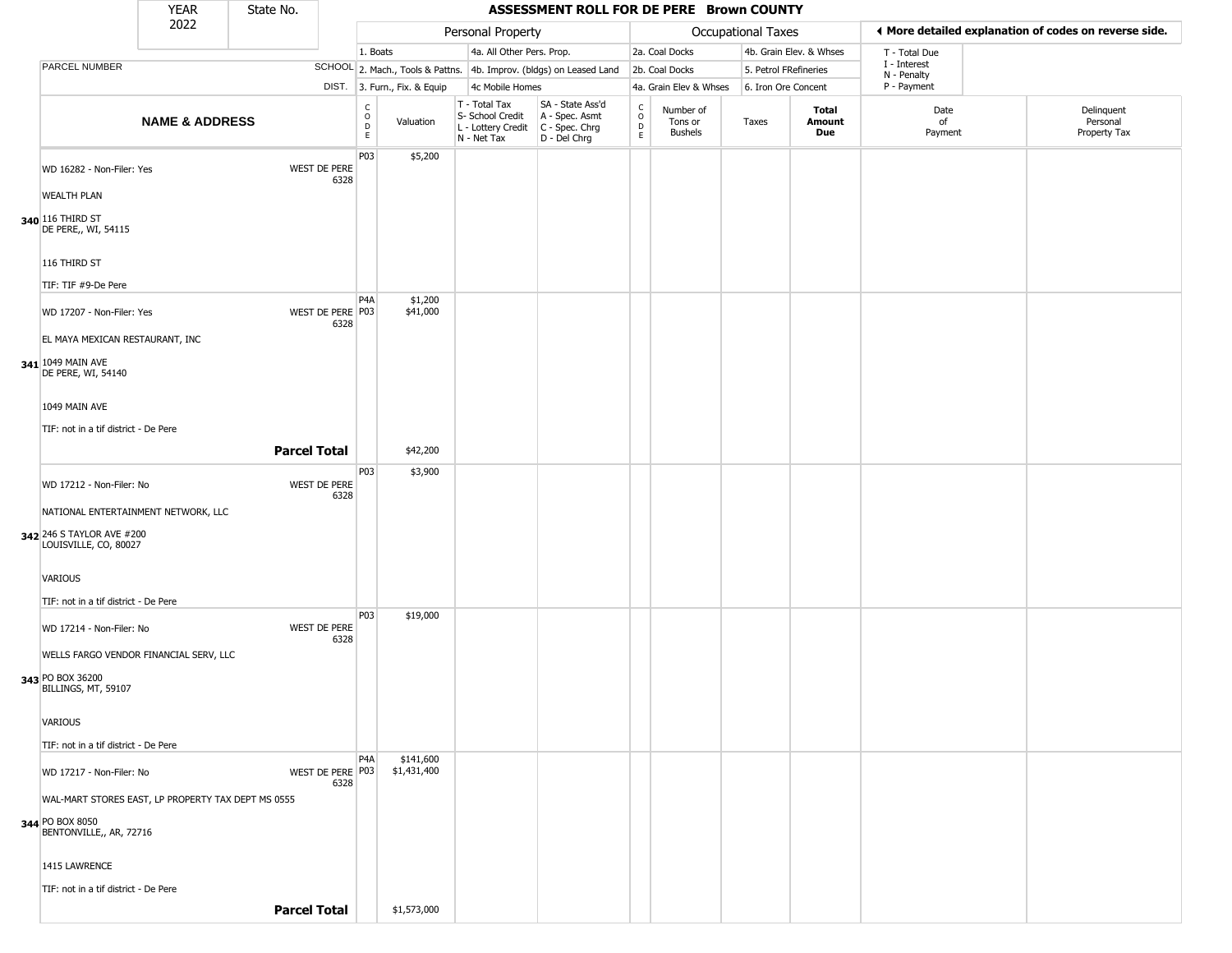|                                                    | <b>YEAR</b>               | State No. |                             |                  |                              |                                                                        | ASSESSMENT ROLL FOR DE PERE Brown COUNTY                             |                                   |                                        |                       |                         |                             |                                                       |
|----------------------------------------------------|---------------------------|-----------|-----------------------------|------------------|------------------------------|------------------------------------------------------------------------|----------------------------------------------------------------------|-----------------------------------|----------------------------------------|-----------------------|-------------------------|-----------------------------|-------------------------------------------------------|
|                                                    | 2022                      |           |                             |                  |                              | Personal Property                                                      |                                                                      |                                   |                                        | Occupational Taxes    |                         |                             | ◀ More detailed explanation of codes on reverse side. |
|                                                    |                           |           |                             | 1. Boats         |                              | 4a. All Other Pers. Prop.                                              |                                                                      |                                   | 2a. Coal Docks                         |                       | 4b. Grain Elev. & Whses | T - Total Due               |                                                       |
| PARCEL NUMBER                                      |                           |           |                             |                  |                              |                                                                        | SCHOOL 2. Mach., Tools & Pattns. 4b. Improv. (bldgs) on Leased Land  |                                   | 2b. Coal Docks                         | 5. Petrol FRefineries |                         | I - Interest<br>N - Penalty |                                                       |
|                                                    |                           |           |                             |                  | DIST. 3. Furn., Fix. & Equip | 4c Mobile Homes                                                        |                                                                      |                                   | 4a. Grain Elev & Whses                 | 6. Iron Ore Concent   |                         | P - Payment                 |                                                       |
|                                                    | <b>NAME &amp; ADDRESS</b> |           |                             | C<br>0<br>D<br>E | Valuation                    | T - Total Tax<br>S- School Credit<br>L - Lottery Credit<br>N - Net Tax | SA - State Ass'd<br>A - Spec. Asmt<br>C - Spec. Chrg<br>D - Del Chrg | $\frac{c}{0}$<br>$\mathsf D$<br>E | Number of<br>Tons or<br><b>Bushels</b> | Taxes                 | Total<br>Amount<br>Due  | Date<br>of<br>Payment       | Delinquent<br>Personal<br>Property Tax                |
| WD 16282 - Non-Filer: Yes                          |                           |           | <b>WEST DE PERE</b><br>6328 | P03              | \$5,200                      |                                                                        |                                                                      |                                   |                                        |                       |                         |                             |                                                       |
| <b>WEALTH PLAN</b>                                 |                           |           |                             |                  |                              |                                                                        |                                                                      |                                   |                                        |                       |                         |                             |                                                       |
| 340 116 THIRD ST<br>DE PERE,, WI, 54115            |                           |           |                             |                  |                              |                                                                        |                                                                      |                                   |                                        |                       |                         |                             |                                                       |
| 116 THIRD ST                                       |                           |           |                             |                  |                              |                                                                        |                                                                      |                                   |                                        |                       |                         |                             |                                                       |
| TIF: TIF #9-De Pere                                |                           |           |                             |                  |                              |                                                                        |                                                                      |                                   |                                        |                       |                         |                             |                                                       |
| WD 17207 - Non-Filer: Yes                          |                           |           | WEST DE PERE P03<br>6328    | P4A              | \$1,200<br>\$41,000          |                                                                        |                                                                      |                                   |                                        |                       |                         |                             |                                                       |
| EL MAYA MEXICAN RESTAURANT, INC                    |                           |           |                             |                  |                              |                                                                        |                                                                      |                                   |                                        |                       |                         |                             |                                                       |
| 341 1049 MAIN AVE<br>DE PERE, WI, 54140            |                           |           |                             |                  |                              |                                                                        |                                                                      |                                   |                                        |                       |                         |                             |                                                       |
| 1049 MAIN AVE                                      |                           |           |                             |                  |                              |                                                                        |                                                                      |                                   |                                        |                       |                         |                             |                                                       |
| TIF: not in a tif district - De Pere               |                           |           |                             |                  |                              |                                                                        |                                                                      |                                   |                                        |                       |                         |                             |                                                       |
|                                                    |                           |           | <b>Parcel Total</b>         |                  | \$42,200                     |                                                                        |                                                                      |                                   |                                        |                       |                         |                             |                                                       |
| WD 17212 - Non-Filer: No                           |                           |           | WEST DE PERE<br>6328        | P03              | \$3,900                      |                                                                        |                                                                      |                                   |                                        |                       |                         |                             |                                                       |
| NATIONAL ENTERTAINMENT NETWORK, LLC                |                           |           |                             |                  |                              |                                                                        |                                                                      |                                   |                                        |                       |                         |                             |                                                       |
| 342 246 S TAYLOR AVE #200<br>LOUISVILLE, CO, 80027 |                           |           |                             |                  |                              |                                                                        |                                                                      |                                   |                                        |                       |                         |                             |                                                       |
| <b>VARIOUS</b>                                     |                           |           |                             |                  |                              |                                                                        |                                                                      |                                   |                                        |                       |                         |                             |                                                       |
| TIF: not in a tif district - De Pere               |                           |           |                             |                  |                              |                                                                        |                                                                      |                                   |                                        |                       |                         |                             |                                                       |
| WD 17214 - Non-Filer: No                           |                           |           | WEST DE PERE<br>6328        | P03              | \$19,000                     |                                                                        |                                                                      |                                   |                                        |                       |                         |                             |                                                       |
| WELLS FARGO VENDOR FINANCIAL SERV, LLC             |                           |           |                             |                  |                              |                                                                        |                                                                      |                                   |                                        |                       |                         |                             |                                                       |
| 343 PO BOX 36200<br>BILLINGS, MT, 59107            |                           |           |                             |                  |                              |                                                                        |                                                                      |                                   |                                        |                       |                         |                             |                                                       |
| <b>VARIOUS</b>                                     |                           |           |                             |                  |                              |                                                                        |                                                                      |                                   |                                        |                       |                         |                             |                                                       |
| TIF: not in a tif district - De Pere               |                           |           |                             |                  |                              |                                                                        |                                                                      |                                   |                                        |                       |                         |                             |                                                       |
| WD 17217 - Non-Filer: No                           |                           |           | WEST DE PERE P03<br>6328    | P <sub>4</sub> A | \$141,600<br>\$1,431,400     |                                                                        |                                                                      |                                   |                                        |                       |                         |                             |                                                       |
| WAL-MART STORES EAST, LP PROPERTY TAX DEPT MS 0555 |                           |           |                             |                  |                              |                                                                        |                                                                      |                                   |                                        |                       |                         |                             |                                                       |
| 344 PO BOX 8050<br>BENTONVILLE,, AR, 72716         |                           |           |                             |                  |                              |                                                                        |                                                                      |                                   |                                        |                       |                         |                             |                                                       |
| 1415 LAWRENCE                                      |                           |           |                             |                  |                              |                                                                        |                                                                      |                                   |                                        |                       |                         |                             |                                                       |
| TIF: not in a tif district - De Pere               |                           |           |                             |                  |                              |                                                                        |                                                                      |                                   |                                        |                       |                         |                             |                                                       |
|                                                    |                           |           | <b>Parcel Total</b>         |                  | \$1,573,000                  |                                                                        |                                                                      |                                   |                                        |                       |                         |                             |                                                       |
|                                                    |                           |           |                             |                  |                              |                                                                        |                                                                      |                                   |                                        |                       |                         |                             |                                                       |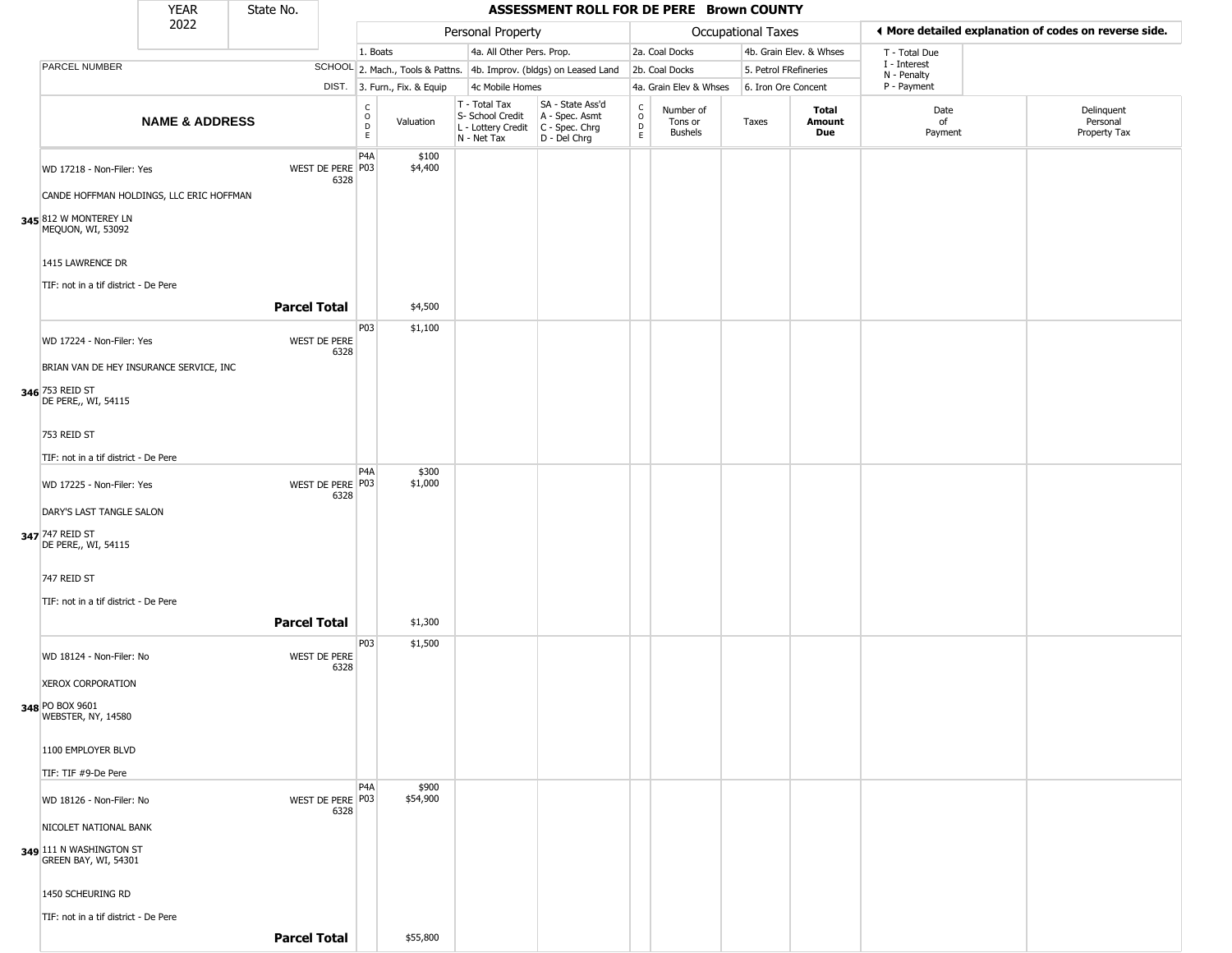|                                                          | <b>YEAR</b>                              | State No.           |                          |                                                 |                              |                                                                                           | ASSESSMENT ROLL FOR DE PERE Brown COUNTY                            |                                            |                                        |                       |                         |                            |                                                       |
|----------------------------------------------------------|------------------------------------------|---------------------|--------------------------|-------------------------------------------------|------------------------------|-------------------------------------------------------------------------------------------|---------------------------------------------------------------------|--------------------------------------------|----------------------------------------|-----------------------|-------------------------|----------------------------|-------------------------------------------------------|
|                                                          | 2022                                     |                     |                          |                                                 |                              | Personal Property                                                                         |                                                                     |                                            |                                        | Occupational Taxes    |                         |                            | ♦ More detailed explanation of codes on reverse side. |
|                                                          |                                          |                     |                          | 1. Boats                                        |                              | 4a. All Other Pers. Prop.                                                                 |                                                                     |                                            | 2a. Coal Docks                         |                       | 4b. Grain Elev. & Whses | T - Total Due              |                                                       |
| PARCEL NUMBER                                            |                                          |                     |                          |                                                 |                              |                                                                                           | SCHOOL 2. Mach., Tools & Pattns. 4b. Improv. (bldgs) on Leased Land |                                            | 2b. Coal Docks                         | 5. Petrol FRefineries |                         | I - Interest               |                                                       |
|                                                          |                                          |                     |                          |                                                 | DIST. 3. Furn., Fix. & Equip | 4c Mobile Homes                                                                           |                                                                     |                                            | 4a. Grain Elev & Whses                 | 6. Iron Ore Concent   |                         | N - Penalty<br>P - Payment |                                                       |
|                                                          | <b>NAME &amp; ADDRESS</b>                |                     |                          | $\begin{array}{c} C \\ O \\ D \\ E \end{array}$ | Valuation                    | T - Total Tax<br>S- School Credit<br>$L$ - Lottery Credit $C$ - Spec. Chrg<br>N - Net Tax | SA - State Ass'd<br>A - Spec. Asmt<br>D - Del Chrg                  | C<br>$\circ$<br>$\mathsf D$<br>$\mathsf E$ | Number of<br>Tons or<br><b>Bushels</b> | Taxes                 | Total<br>Amount<br>Due  | Date<br>of<br>Payment      | Delinquent<br>Personal<br>Property Tax                |
| WD 17218 - Non-Filer: Yes                                | CANDE HOFFMAN HOLDINGS, LLC ERIC HOFFMAN |                     | WEST DE PERE P03<br>6328 | P <sub>4</sub> A                                | \$100<br>\$4,400             |                                                                                           |                                                                     |                                            |                                        |                       |                         |                            |                                                       |
| 345 812 W MONTEREY LN<br>MEQUON, WI, 53092               |                                          |                     |                          |                                                 |                              |                                                                                           |                                                                     |                                            |                                        |                       |                         |                            |                                                       |
| 1415 LAWRENCE DR<br>TIF: not in a tif district - De Pere |                                          |                     |                          |                                                 |                              |                                                                                           |                                                                     |                                            |                                        |                       |                         |                            |                                                       |
|                                                          |                                          | <b>Parcel Total</b> |                          |                                                 | \$4,500                      |                                                                                           |                                                                     |                                            |                                        |                       |                         |                            |                                                       |
| WD 17224 - Non-Filer: Yes                                |                                          |                     | WEST DE PERE<br>6328     | P03                                             | \$1,100                      |                                                                                           |                                                                     |                                            |                                        |                       |                         |                            |                                                       |
|                                                          | BRIAN VAN DE HEY INSURANCE SERVICE, INC  |                     |                          |                                                 |                              |                                                                                           |                                                                     |                                            |                                        |                       |                         |                            |                                                       |
| 346 753 REID ST<br>DE PERE,, WI, 54115                   |                                          |                     |                          |                                                 |                              |                                                                                           |                                                                     |                                            |                                        |                       |                         |                            |                                                       |
| 753 REID ST                                              |                                          |                     |                          |                                                 |                              |                                                                                           |                                                                     |                                            |                                        |                       |                         |                            |                                                       |
| TIF: not in a tif district - De Pere                     |                                          |                     |                          |                                                 |                              |                                                                                           |                                                                     |                                            |                                        |                       |                         |                            |                                                       |
|                                                          |                                          |                     |                          | P4A                                             | \$300                        |                                                                                           |                                                                     |                                            |                                        |                       |                         |                            |                                                       |
| WD 17225 - Non-Filer: Yes                                |                                          |                     | WEST DE PERE P03<br>6328 |                                                 | \$1,000                      |                                                                                           |                                                                     |                                            |                                        |                       |                         |                            |                                                       |
| DARY'S LAST TANGLE SALON                                 |                                          |                     |                          |                                                 |                              |                                                                                           |                                                                     |                                            |                                        |                       |                         |                            |                                                       |
| 347 747 REID ST<br>DE PERE,, WI, 54115                   |                                          |                     |                          |                                                 |                              |                                                                                           |                                                                     |                                            |                                        |                       |                         |                            |                                                       |
| 747 REID ST                                              |                                          |                     |                          |                                                 |                              |                                                                                           |                                                                     |                                            |                                        |                       |                         |                            |                                                       |
| TIF: not in a tif district - De Pere                     |                                          |                     |                          |                                                 |                              |                                                                                           |                                                                     |                                            |                                        |                       |                         |                            |                                                       |
|                                                          |                                          | <b>Parcel Total</b> |                          |                                                 | \$1,300                      |                                                                                           |                                                                     |                                            |                                        |                       |                         |                            |                                                       |
| WD 18124 - Non-Filer: No                                 |                                          |                     | WEST DE PERE<br>6328     | P03                                             | \$1,500                      |                                                                                           |                                                                     |                                            |                                        |                       |                         |                            |                                                       |
| <b>XEROX CORPORATION</b>                                 |                                          |                     |                          |                                                 |                              |                                                                                           |                                                                     |                                            |                                        |                       |                         |                            |                                                       |
| 348 PO BOX 9601<br>WEBSTER, NY, 14580                    |                                          |                     |                          |                                                 |                              |                                                                                           |                                                                     |                                            |                                        |                       |                         |                            |                                                       |
| 1100 EMPLOYER BLVD                                       |                                          |                     |                          |                                                 |                              |                                                                                           |                                                                     |                                            |                                        |                       |                         |                            |                                                       |
| TIF: TIF #9-De Pere                                      |                                          |                     |                          |                                                 |                              |                                                                                           |                                                                     |                                            |                                        |                       |                         |                            |                                                       |
| WD 18126 - Non-Filer: No                                 |                                          |                     | WEST DE PERE P03<br>6328 | P <sub>4</sub> A                                | \$900<br>\$54,900            |                                                                                           |                                                                     |                                            |                                        |                       |                         |                            |                                                       |
| NICOLET NATIONAL BANK                                    |                                          |                     |                          |                                                 |                              |                                                                                           |                                                                     |                                            |                                        |                       |                         |                            |                                                       |
| 349 111 N WASHINGTON ST<br>GREEN BAY, WI, 54301          |                                          |                     |                          |                                                 |                              |                                                                                           |                                                                     |                                            |                                        |                       |                         |                            |                                                       |
| 1450 SCHEURING RD                                        |                                          |                     |                          |                                                 |                              |                                                                                           |                                                                     |                                            |                                        |                       |                         |                            |                                                       |
| TIF: not in a tif district - De Pere                     |                                          |                     |                          |                                                 |                              |                                                                                           |                                                                     |                                            |                                        |                       |                         |                            |                                                       |
|                                                          |                                          | <b>Parcel Total</b> |                          |                                                 | \$55,800                     |                                                                                           |                                                                     |                                            |                                        |                       |                         |                            |                                                       |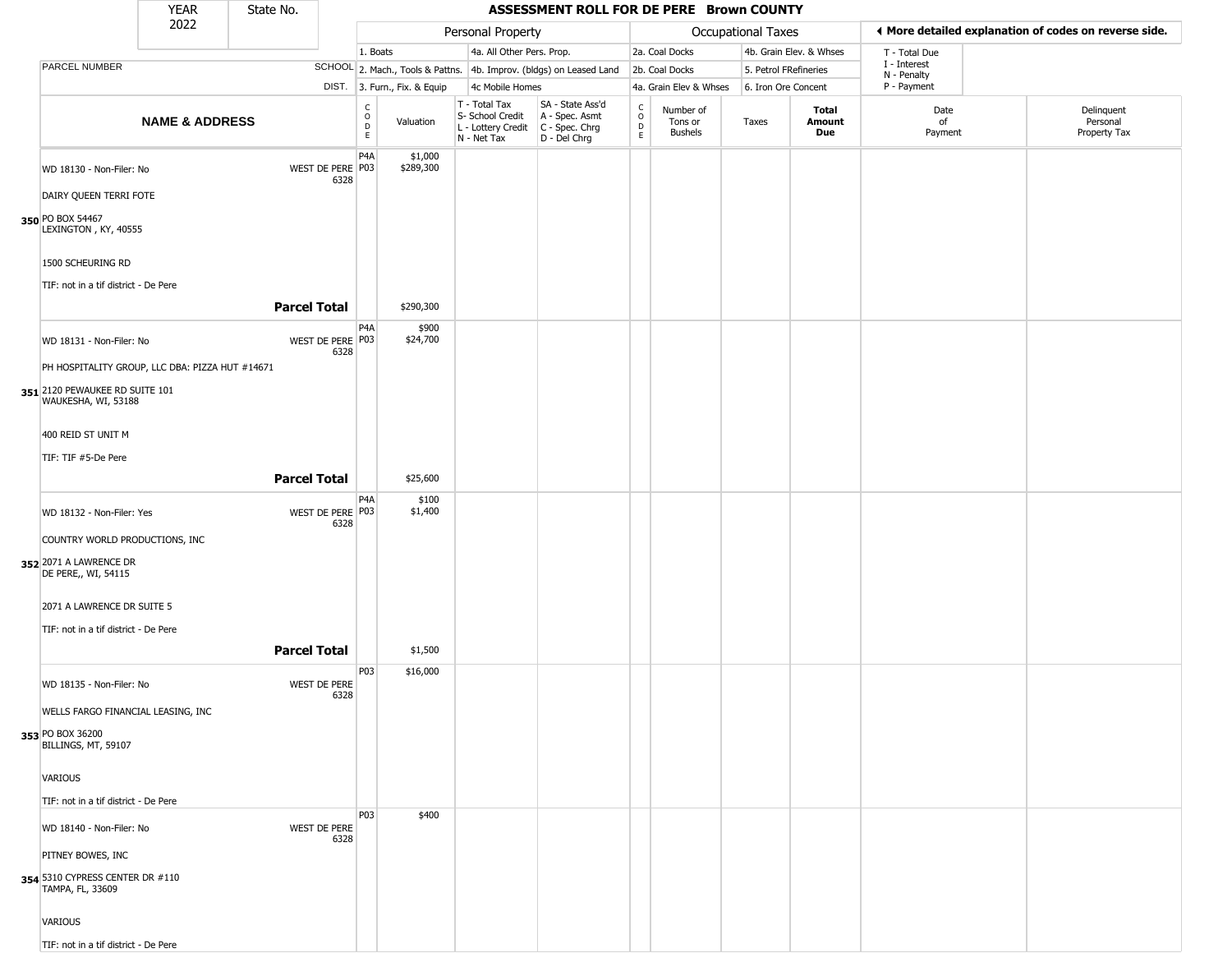|                                                                                                                                      | <b>YEAR</b>               | State No. |                          |                         |                              |                                                                                         | ASSESSMENT ROLL FOR DE PERE Brown COUNTY                            |                                            |                                        |                       |                         |                             |                                                       |
|--------------------------------------------------------------------------------------------------------------------------------------|---------------------------|-----------|--------------------------|-------------------------|------------------------------|-----------------------------------------------------------------------------------------|---------------------------------------------------------------------|--------------------------------------------|----------------------------------------|-----------------------|-------------------------|-----------------------------|-------------------------------------------------------|
|                                                                                                                                      | 2022                      |           |                          |                         |                              | Personal Property                                                                       |                                                                     |                                            |                                        | Occupational Taxes    |                         |                             | ♦ More detailed explanation of codes on reverse side. |
|                                                                                                                                      |                           |           |                          | 1. Boats                |                              | 4a. All Other Pers. Prop.                                                               |                                                                     |                                            | 2a. Coal Docks                         |                       | 4b. Grain Elev. & Whses | T - Total Due               |                                                       |
| PARCEL NUMBER                                                                                                                        |                           |           |                          |                         |                              |                                                                                         | SCHOOL 2. Mach., Tools & Pattns. 4b. Improv. (bldgs) on Leased Land |                                            | 2b. Coal Docks                         | 5. Petrol FRefineries |                         | I - Interest<br>N - Penalty |                                                       |
|                                                                                                                                      |                           |           |                          |                         | DIST. 3. Furn., Fix. & Equip | 4c Mobile Homes                                                                         |                                                                     |                                            | 4a. Grain Elev & Whses                 | 6. Iron Ore Concent   |                         | P - Payment                 |                                                       |
|                                                                                                                                      | <b>NAME &amp; ADDRESS</b> |           |                          | C<br>$\circ$<br>D<br>E. | Valuation                    | T - Total Tax<br>S- School Credit<br>L - Lottery Credit   C - Spec. Chrg<br>N - Net Tax | SA - State Ass'd<br>A - Spec. Asmt<br>D - Del Chrg                  | $\begin{array}{c} C \\ 0 \\ E \end{array}$ | Number of<br>Tons or<br><b>Bushels</b> | Taxes                 | Total<br>Amount<br>Due  | Date<br>of<br>Payment       | Delinquent<br>Personal<br>Property Tax                |
| WD 18130 - Non-Filer: No<br>DAIRY QUEEN TERRI FOTE<br>350 PO BOX 54467                                                               |                           |           | WEST DE PERE P03<br>6328 | P <sub>4</sub> A        | \$1,000<br>\$289,300         |                                                                                         |                                                                     |                                            |                                        |                       |                         |                             |                                                       |
| LEXINGTON, KY, 40555<br>1500 SCHEURING RD<br>TIF: not in a tif district - De Pere                                                    |                           |           | <b>Parcel Total</b>      |                         | \$290,300                    |                                                                                         |                                                                     |                                            |                                        |                       |                         |                             |                                                       |
|                                                                                                                                      |                           |           |                          | P4A                     | \$900                        |                                                                                         |                                                                     |                                            |                                        |                       |                         |                             |                                                       |
| WD 18131 - Non-Filer: No<br>PH HOSPITALITY GROUP, LLC DBA: PIZZA HUT #14671<br>351 2120 PEWAUKEE RD SUITE 101<br>WAUKESHA, WI, 53188 |                           |           | WEST DE PERE P03<br>6328 |                         | \$24,700                     |                                                                                         |                                                                     |                                            |                                        |                       |                         |                             |                                                       |
| 400 REID ST UNIT M                                                                                                                   |                           |           |                          |                         |                              |                                                                                         |                                                                     |                                            |                                        |                       |                         |                             |                                                       |
| TIF: TIF #5-De Pere                                                                                                                  |                           |           |                          |                         |                              |                                                                                         |                                                                     |                                            |                                        |                       |                         |                             |                                                       |
|                                                                                                                                      |                           |           | <b>Parcel Total</b>      |                         | \$25,600                     |                                                                                         |                                                                     |                                            |                                        |                       |                         |                             |                                                       |
| WD 18132 - Non-Filer: Yes<br>COUNTRY WORLD PRODUCTIONS, INC<br>352 2071 A LAWRENCE DR                                                |                           |           | WEST DE PERE P03<br>6328 | P <sub>4</sub> A        | \$100<br>\$1,400             |                                                                                         |                                                                     |                                            |                                        |                       |                         |                             |                                                       |
| DE PERE,, WI, 54115<br>2071 A LAWRENCE DR SUITE 5<br>TIF: not in a tif district - De Pere                                            |                           |           | <b>Parcel Total</b>      |                         | \$1,500                      |                                                                                         |                                                                     |                                            |                                        |                       |                         |                             |                                                       |
| WD 18135 - Non-Filer: No<br>WELLS FARGO FINANCIAL LEASING, INC                                                                       |                           |           | WEST DE PERE<br>6328     | P <sub>0</sub> 3        | \$16,000                     |                                                                                         |                                                                     |                                            |                                        |                       |                         |                             |                                                       |
| 353 PO BOX 36200<br>BILLINGS, MT, 59107                                                                                              |                           |           |                          |                         |                              |                                                                                         |                                                                     |                                            |                                        |                       |                         |                             |                                                       |
| VARIOUS                                                                                                                              |                           |           |                          |                         |                              |                                                                                         |                                                                     |                                            |                                        |                       |                         |                             |                                                       |
| TIF: not in a tif district - De Pere                                                                                                 |                           |           |                          |                         |                              |                                                                                         |                                                                     |                                            |                                        |                       |                         |                             |                                                       |
| WD 18140 - Non-Filer: No<br>PITNEY BOWES, INC<br>354 5310 CYPRESS CENTER DR #110<br>TAMPA, FL, 33609                                 |                           |           | WEST DE PERE<br>6328     | P03                     | \$400                        |                                                                                         |                                                                     |                                            |                                        |                       |                         |                             |                                                       |
| VARIOUS<br>TIF: not in a tif district - De Pere                                                                                      |                           |           |                          |                         |                              |                                                                                         |                                                                     |                                            |                                        |                       |                         |                             |                                                       |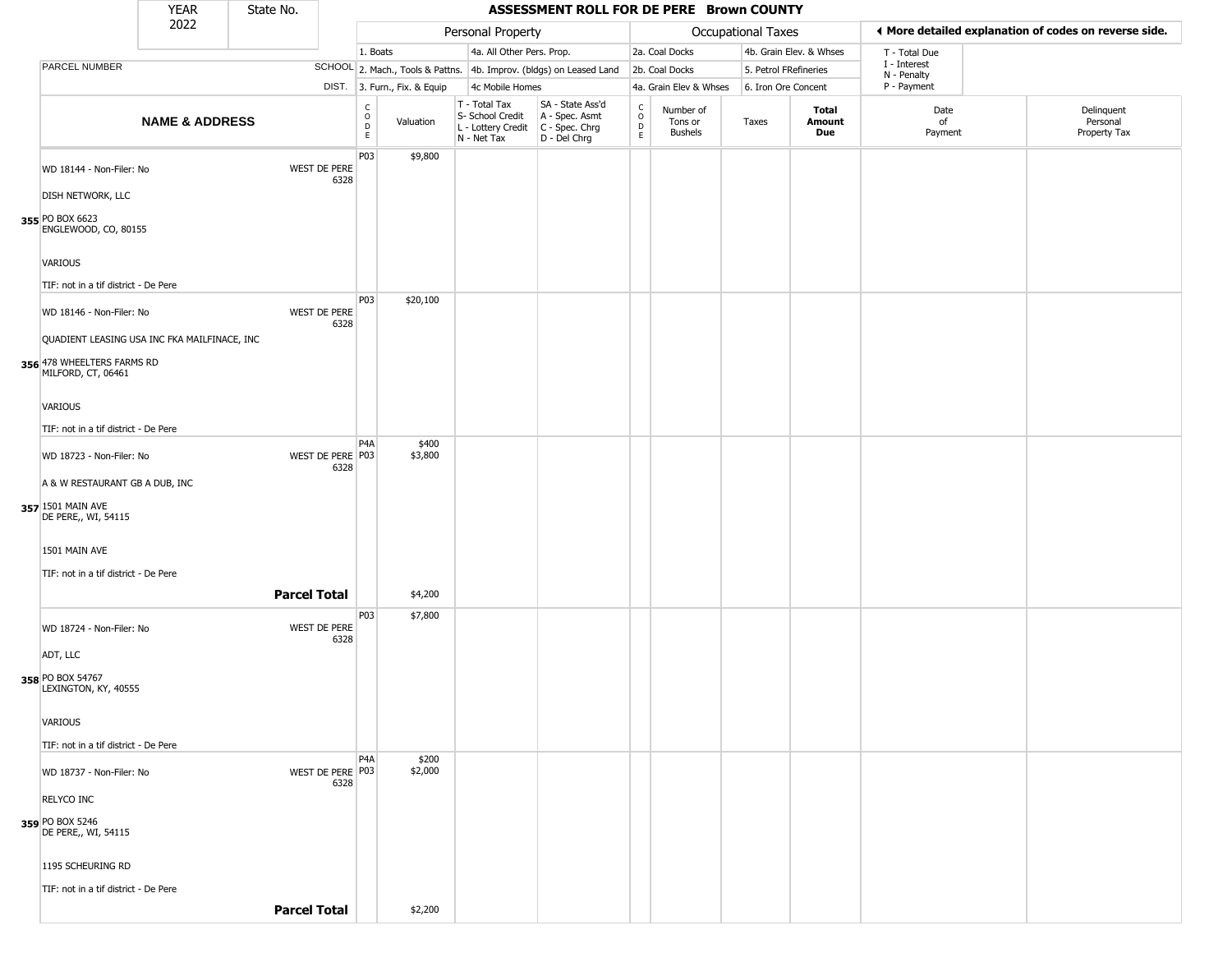|                                                                                                        | <b>YEAR</b>               | State No.           |                             |                                  |                              |                                                                        | ASSESSMENT ROLL FOR DE PERE Brown COUNTY                             |                                   |                                        |                       |                         |                             |                                                       |
|--------------------------------------------------------------------------------------------------------|---------------------------|---------------------|-----------------------------|----------------------------------|------------------------------|------------------------------------------------------------------------|----------------------------------------------------------------------|-----------------------------------|----------------------------------------|-----------------------|-------------------------|-----------------------------|-------------------------------------------------------|
|                                                                                                        | 2022                      |                     |                             |                                  |                              | Personal Property                                                      |                                                                      |                                   |                                        | Occupational Taxes    |                         |                             | ◀ More detailed explanation of codes on reverse side. |
|                                                                                                        |                           |                     |                             | 1. Boats                         |                              | 4a. All Other Pers. Prop.                                              |                                                                      |                                   | 2a. Coal Docks                         |                       | 4b. Grain Elev. & Whses | T - Total Due               |                                                       |
| <b>PARCEL NUMBER</b>                                                                                   |                           |                     |                             |                                  |                              |                                                                        | SCHOOL 2. Mach., Tools & Pattns. 4b. Improv. (bldgs) on Leased Land  |                                   | 2b. Coal Docks                         | 5. Petrol FRefineries |                         | I - Interest<br>N - Penalty |                                                       |
|                                                                                                        |                           |                     |                             |                                  | DIST. 3. Furn., Fix. & Equip | 4c Mobile Homes                                                        |                                                                      |                                   | 4a. Grain Elev & Whses                 | 6. Iron Ore Concent   |                         | P - Payment                 |                                                       |
|                                                                                                        | <b>NAME &amp; ADDRESS</b> |                     |                             | C<br>$\circ$<br>$\mathsf D$<br>E | Valuation                    | T - Total Tax<br>S- School Credit<br>L - Lottery Credit<br>N - Net Tax | SA - State Ass'd<br>A - Spec. Asmt<br>C - Spec. Chrg<br>D - Del Chrg | $\mathsf{C}$<br>$\circ$<br>D<br>E | Number of<br>Tons or<br><b>Bushels</b> | Taxes                 | Total<br>Amount<br>Due  | Date<br>of<br>Payment       | Delinquent<br>Personal<br>Property Tax                |
| WD 18144 - Non-Filer: No<br><b>DISH NETWORK, LLC</b><br>355 PO BOX 6623<br>ENGLEWOOD, CO, 80155        |                           |                     | <b>WEST DE PERE</b><br>6328 | P03                              | \$9,800                      |                                                                        |                                                                      |                                   |                                        |                       |                         |                             |                                                       |
| VARIOUS<br>TIF: not in a tif district - De Pere                                                        |                           |                     |                             |                                  |                              |                                                                        |                                                                      |                                   |                                        |                       |                         |                             |                                                       |
| WD 18146 - Non-Filer: No<br>QUADIENT LEASING USA INC FKA MAILFINACE, INC<br>356 478 WHEELTERS FARMS RD |                           |                     | <b>WEST DE PERE</b><br>6328 | P03                              | \$20,100                     |                                                                        |                                                                      |                                   |                                        |                       |                         |                             |                                                       |
| MILFORD, CT, 06461<br>VARIOUS<br>TIF: not in a tif district - De Pere                                  |                           |                     |                             |                                  |                              |                                                                        |                                                                      |                                   |                                        |                       |                         |                             |                                                       |
| WD 18723 - Non-Filer: No<br>A & W RESTAURANT GB A DUB, INC<br>357 1501 MAIN AVE<br>DE PERE,, WI, 54115 |                           |                     | WEST DE PERE P03<br>6328    | P4A                              | \$400<br>\$3,800             |                                                                        |                                                                      |                                   |                                        |                       |                         |                             |                                                       |
| 1501 MAIN AVE<br>TIF: not in a tif district - De Pere                                                  |                           | <b>Parcel Total</b> |                             |                                  | \$4,200                      |                                                                        |                                                                      |                                   |                                        |                       |                         |                             |                                                       |
|                                                                                                        |                           |                     |                             | P03                              | \$7,800                      |                                                                        |                                                                      |                                   |                                        |                       |                         |                             |                                                       |
| WD 18724 - Non-Filer: No<br>ADT, LLC<br>358 PO BOX 54767<br>LEXINGTON, KY, 40555                       |                           |                     | WEST DE PERE<br>6328        |                                  |                              |                                                                        |                                                                      |                                   |                                        |                       |                         |                             |                                                       |
| <b>VARIOUS</b>                                                                                         |                           |                     |                             |                                  |                              |                                                                        |                                                                      |                                   |                                        |                       |                         |                             |                                                       |
| TIF: not in a tif district - De Pere                                                                   |                           |                     |                             |                                  |                              |                                                                        |                                                                      |                                   |                                        |                       |                         |                             |                                                       |
| WD 18737 - Non-Filer: No<br><b>RELYCO INC</b>                                                          |                           |                     | WEST DE PERE P03<br>6328    | P4A                              | \$200<br>\$2,000             |                                                                        |                                                                      |                                   |                                        |                       |                         |                             |                                                       |
| 359 PO BOX 5246<br>DE PERE,, WI, 54115                                                                 |                           |                     |                             |                                  |                              |                                                                        |                                                                      |                                   |                                        |                       |                         |                             |                                                       |
| 1195 SCHEURING RD                                                                                      |                           |                     |                             |                                  |                              |                                                                        |                                                                      |                                   |                                        |                       |                         |                             |                                                       |
| TIF: not in a tif district - De Pere                                                                   |                           |                     | <b>Parcel Total</b>         |                                  | \$2,200                      |                                                                        |                                                                      |                                   |                                        |                       |                         |                             |                                                       |
|                                                                                                        |                           |                     |                             |                                  |                              |                                                                        |                                                                      |                                   |                                        |                       |                         |                             |                                                       |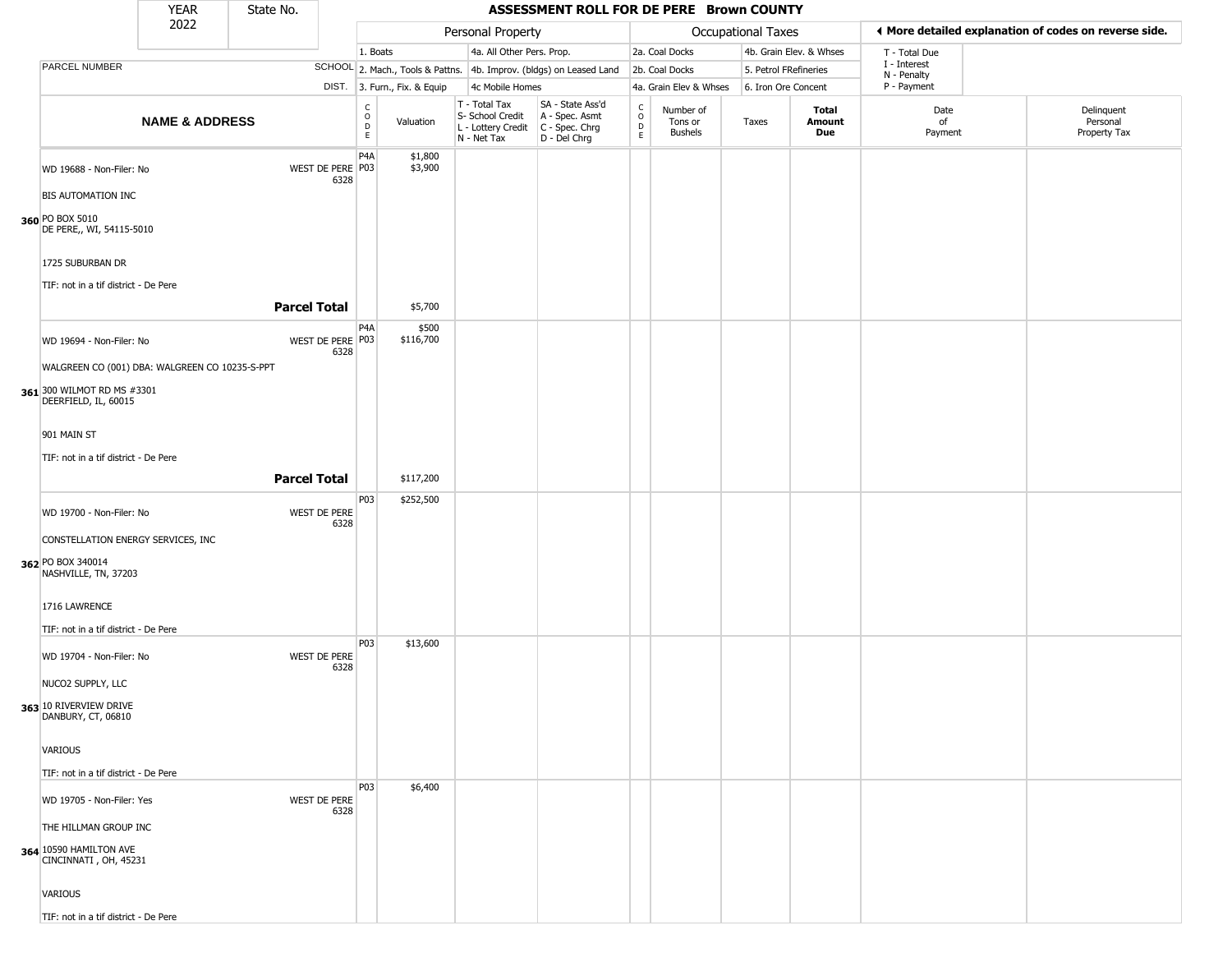|                                                                                                                                                                                                         | <b>YEAR</b>               | State No. |                          |                        |                              |                                                                        | ASSESSMENT ROLL FOR DE PERE Brown COUNTY                             |                                                 |                                        |                       |                         |                             |                                                       |
|---------------------------------------------------------------------------------------------------------------------------------------------------------------------------------------------------------|---------------------------|-----------|--------------------------|------------------------|------------------------------|------------------------------------------------------------------------|----------------------------------------------------------------------|-------------------------------------------------|----------------------------------------|-----------------------|-------------------------|-----------------------------|-------------------------------------------------------|
|                                                                                                                                                                                                         | 2022                      |           |                          |                        |                              | Personal Property                                                      |                                                                      |                                                 |                                        | Occupational Taxes    |                         |                             | ♦ More detailed explanation of codes on reverse side. |
|                                                                                                                                                                                                         |                           |           |                          | 1. Boats               |                              | 4a. All Other Pers. Prop.                                              |                                                                      |                                                 | 2a. Coal Docks                         |                       | 4b. Grain Elev. & Whses | T - Total Due               |                                                       |
| PARCEL NUMBER                                                                                                                                                                                           |                           |           |                          |                        |                              |                                                                        | SCHOOL 2. Mach., Tools & Pattns. 4b. Improv. (bldgs) on Leased Land  |                                                 | 2b. Coal Docks                         | 5. Petrol FRefineries |                         | I - Interest<br>N - Penalty |                                                       |
|                                                                                                                                                                                                         |                           |           |                          |                        | DIST. 3. Furn., Fix. & Equip | 4c Mobile Homes                                                        |                                                                      |                                                 | 4a. Grain Elev & Whses                 | 6. Iron Ore Concent   |                         | P - Payment                 |                                                       |
|                                                                                                                                                                                                         | <b>NAME &amp; ADDRESS</b> |           |                          | C<br>$\circ$<br>D<br>E | Valuation                    | T - Total Tax<br>S- School Credit<br>L - Lottery Credit<br>N - Net Tax | SA - State Ass'd<br>A - Spec. Asmt<br>C - Spec. Chrg<br>D - Del Chrg | $\begin{array}{c} C \\ O \\ D \\ E \end{array}$ | Number of<br>Tons or<br><b>Bushels</b> | Taxes                 | Total<br>Amount<br>Due  | Date<br>of<br>Payment       | Delinquent<br>Personal<br>Property Tax                |
| WD 19688 - Non-Filer: No<br><b>BIS AUTOMATION INC</b><br>360 PO BOX 5010<br>DE PERE,, WI, 54115-5010<br>1725 SUBURBAN DR                                                                                |                           |           | WEST DE PERE P03<br>6328 | P <sub>4</sub> A       | \$1,800<br>\$3,900           |                                                                        |                                                                      |                                                 |                                        |                       |                         |                             |                                                       |
| TIF: not in a tif district - De Pere                                                                                                                                                                    |                           |           | <b>Parcel Total</b>      |                        | \$5,700                      |                                                                        |                                                                      |                                                 |                                        |                       |                         |                             |                                                       |
| WD 19694 - Non-Filer: No<br>WALGREEN CO (001) DBA: WALGREEN CO 10235-S-PPT<br>361 300 WILMOT RD MS #3301<br>DEERFIELD, IL, 60015<br>901 MAIN ST<br>TIF: not in a tif district - De Pere                 |                           |           | WEST DE PERE P03<br>6328 | P4A                    | \$500<br>\$116,700           |                                                                        |                                                                      |                                                 |                                        |                       |                         |                             |                                                       |
|                                                                                                                                                                                                         |                           |           | <b>Parcel Total</b>      |                        | \$117,200                    |                                                                        |                                                                      |                                                 |                                        |                       |                         |                             |                                                       |
| WD 19700 - Non-Filer: No<br>CONSTELLATION ENERGY SERVICES, INC<br>362 PO BOX 340014<br>NASHVILLE, TN, 37203<br>1716 LAWRENCE<br>TIF: not in a tif district - De Pere                                    |                           |           | WEST DE PERE<br>6328     | P03                    | \$252,500                    |                                                                        |                                                                      |                                                 |                                        |                       |                         |                             |                                                       |
| WD 19704 - Non-Filer: No<br>NUCO2 SUPPLY, LLC<br>363 10 RIVERVIEW DRIVE<br>DANBURY, CT, 06810<br><b>VARIOUS</b>                                                                                         |                           |           | WEST DE PERE<br>6328     | P03                    | \$13,600                     |                                                                        |                                                                      |                                                 |                                        |                       |                         |                             |                                                       |
| TIF: not in a tif district - De Pere<br>WD 19705 - Non-Filer: Yes<br>THE HILLMAN GROUP INC<br>364 10590 HAMILTON AVE<br>CINCINNATI, OH, 45231<br><b>VARIOUS</b><br>TIF: not in a tif district - De Pere |                           |           | WEST DE PERE<br>6328     | P03                    | \$6,400                      |                                                                        |                                                                      |                                                 |                                        |                       |                         |                             |                                                       |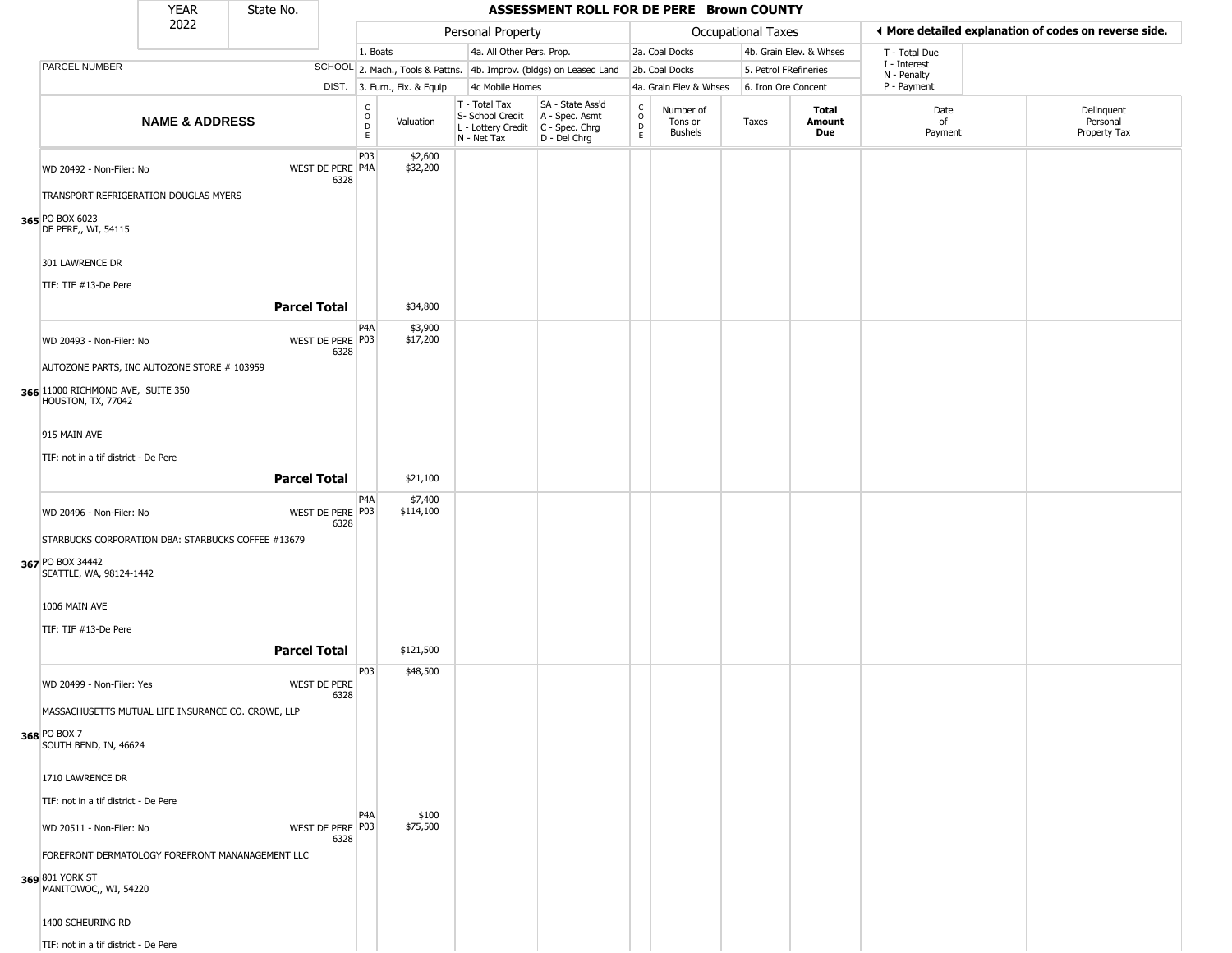|                                                                                                        | <b>YEAR</b>               | State No.           |                          |                                                          |                              |                                                                        | ASSESSMENT ROLL FOR DE PERE Brown COUNTY                               |                                 |                                        |                    |                         |                             |                                                       |
|--------------------------------------------------------------------------------------------------------|---------------------------|---------------------|--------------------------|----------------------------------------------------------|------------------------------|------------------------------------------------------------------------|------------------------------------------------------------------------|---------------------------------|----------------------------------------|--------------------|-------------------------|-----------------------------|-------------------------------------------------------|
|                                                                                                        | 2022                      |                     |                          |                                                          |                              | Personal Property                                                      |                                                                        |                                 |                                        | Occupational Taxes |                         |                             | I More detailed explanation of codes on reverse side. |
|                                                                                                        |                           |                     |                          | 1. Boats                                                 |                              | 4a. All Other Pers. Prop.                                              |                                                                        |                                 | 2a. Coal Docks                         |                    | 4b. Grain Elev. & Whses | T - Total Due               |                                                       |
| PARCEL NUMBER                                                                                          |                           |                     |                          |                                                          |                              |                                                                        | SCHOOL 2. Mach., Tools & Pattns. 4b. Improv. (bldgs) on Leased Land    |                                 | 2b. Coal Docks                         |                    | 5. Petrol FRefineries   | I - Interest<br>N - Penalty |                                                       |
|                                                                                                        |                           |                     |                          |                                                          | DIST. 3. Furn., Fix. & Equip | 4c Mobile Homes                                                        |                                                                        |                                 | 4a. Grain Elev & Whses                 |                    | 6. Iron Ore Concent     | P - Payment                 |                                                       |
|                                                                                                        | <b>NAME &amp; ADDRESS</b> |                     |                          | $\begin{smallmatrix} C \\ O \\ D \end{smallmatrix}$<br>E | Valuation                    | T - Total Tax<br>S- School Credit<br>L - Lottery Credit<br>N - Net Tax | SA - State Ass'd<br>A - Spec. Asmt<br>$C - Spec. Chrg$<br>D - Del Chrg | $\rm ^c_o$<br>$\mathsf{D}$<br>E | Number of<br>Tons or<br><b>Bushels</b> | Taxes              | Total<br>Amount<br>Due  | Date<br>of<br>Payment       | Delinquent<br>Personal<br>Property Tax                |
| WD 20492 - Non-Filer: No<br>TRANSPORT REFRIGERATION DOUGLAS MYERS                                      |                           |                     | WEST DE PERE P4A<br>6328 | P03                                                      | \$2,600<br>\$32,200          |                                                                        |                                                                        |                                 |                                        |                    |                         |                             |                                                       |
| 365 PO BOX 6023<br>DE PERE,, WI, 54115<br>301 LAWRENCE DR                                              |                           |                     |                          |                                                          |                              |                                                                        |                                                                        |                                 |                                        |                    |                         |                             |                                                       |
| TIF: TIF #13-De Pere                                                                                   |                           |                     | <b>Parcel Total</b>      |                                                          | \$34,800                     |                                                                        |                                                                        |                                 |                                        |                    |                         |                             |                                                       |
| WD 20493 - Non-Filer: No                                                                               |                           |                     | WEST DE PERE P03<br>6328 | P <sub>4</sub> A                                         | \$3,900<br>\$17,200          |                                                                        |                                                                        |                                 |                                        |                    |                         |                             |                                                       |
| AUTOZONE PARTS, INC AUTOZONE STORE # 103959<br>366 11000 RICHMOND AVE, SUITE 350<br>HOUSTON, TX, 77042 |                           |                     |                          |                                                          |                              |                                                                        |                                                                        |                                 |                                        |                    |                         |                             |                                                       |
| 915 MAIN AVE                                                                                           |                           |                     |                          |                                                          |                              |                                                                        |                                                                        |                                 |                                        |                    |                         |                             |                                                       |
| TIF: not in a tif district - De Pere                                                                   |                           |                     |                          |                                                          |                              |                                                                        |                                                                        |                                 |                                        |                    |                         |                             |                                                       |
|                                                                                                        |                           |                     | <b>Parcel Total</b>      |                                                          | \$21,100                     |                                                                        |                                                                        |                                 |                                        |                    |                         |                             |                                                       |
| WD 20496 - Non-Filer: No                                                                               |                           |                     | WEST DE PERE P03<br>6328 | P4A                                                      | \$7,400<br>\$114,100         |                                                                        |                                                                        |                                 |                                        |                    |                         |                             |                                                       |
| STARBUCKS CORPORATION DBA: STARBUCKS COFFEE #13679<br>367 PO BOX 34442<br>SEATTLE, WA, 98124-1442      |                           |                     |                          |                                                          |                              |                                                                        |                                                                        |                                 |                                        |                    |                         |                             |                                                       |
| 1006 MAIN AVE<br>TIF: TIF #13-De Pere                                                                  |                           |                     |                          |                                                          |                              |                                                                        |                                                                        |                                 |                                        |                    |                         |                             |                                                       |
|                                                                                                        |                           | <b>Parcel Total</b> |                          |                                                          | \$121,500                    |                                                                        |                                                                        |                                 |                                        |                    |                         |                             |                                                       |
| WD 20499 - Non-Filer: Yes                                                                              |                           |                     | WEST DE PERE<br>6328     | P03                                                      | \$48,500                     |                                                                        |                                                                        |                                 |                                        |                    |                         |                             |                                                       |
| MASSACHUSETTS MUTUAL LIFE INSURANCE CO. CROWE, LLP<br>368 PO BOX 7<br>SOUTH BEND, IN, 46624            |                           |                     |                          |                                                          |                              |                                                                        |                                                                        |                                 |                                        |                    |                         |                             |                                                       |
| 1710 LAWRENCE DR                                                                                       |                           |                     |                          |                                                          |                              |                                                                        |                                                                        |                                 |                                        |                    |                         |                             |                                                       |
| TIF: not in a tif district - De Pere                                                                   |                           |                     |                          | P <sub>4</sub> A                                         | \$100                        |                                                                        |                                                                        |                                 |                                        |                    |                         |                             |                                                       |
| WD 20511 - Non-Filer: No                                                                               |                           |                     | WEST DE PERE P03<br>6328 |                                                          | \$75,500                     |                                                                        |                                                                        |                                 |                                        |                    |                         |                             |                                                       |
| FOREFRONT DERMATOLOGY FOREFRONT MANANAGEMENT LLC                                                       |                           |                     |                          |                                                          |                              |                                                                        |                                                                        |                                 |                                        |                    |                         |                             |                                                       |
| 369 801 YORK ST<br>MANITOWOC,, WI, 54220                                                               |                           |                     |                          |                                                          |                              |                                                                        |                                                                        |                                 |                                        |                    |                         |                             |                                                       |
| 1400 SCHEURING RD                                                                                      |                           |                     |                          |                                                          |                              |                                                                        |                                                                        |                                 |                                        |                    |                         |                             |                                                       |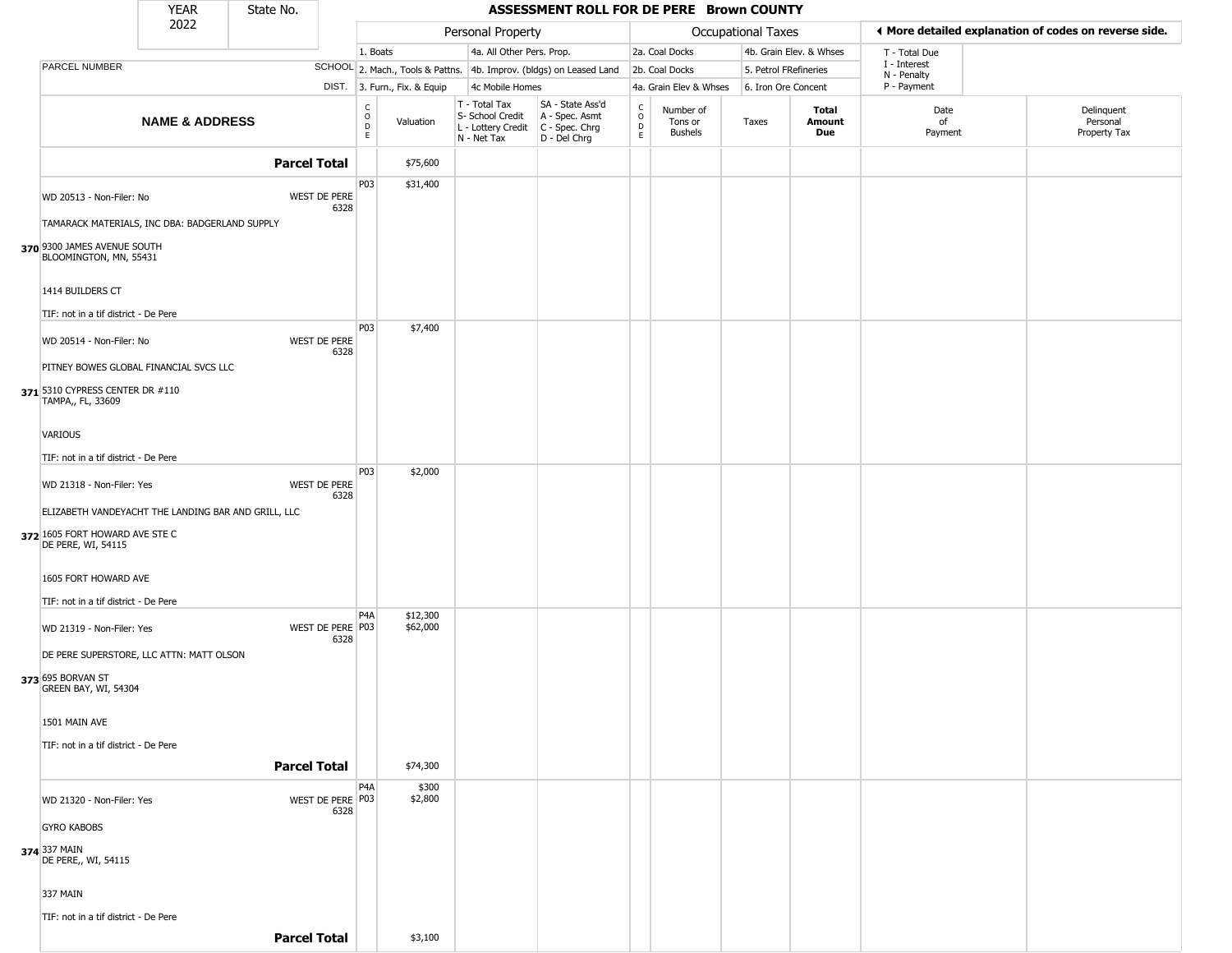|                                                                            | <b>YEAR</b>               | State No.           |                          |                        |                              |                                                                                         | ASSESSMENT ROLL FOR DE PERE Brown COUNTY                            |                                                          |                                        |                       |                         |                             |                                                       |
|----------------------------------------------------------------------------|---------------------------|---------------------|--------------------------|------------------------|------------------------------|-----------------------------------------------------------------------------------------|---------------------------------------------------------------------|----------------------------------------------------------|----------------------------------------|-----------------------|-------------------------|-----------------------------|-------------------------------------------------------|
|                                                                            | 2022                      |                     |                          |                        |                              | Personal Property                                                                       |                                                                     |                                                          |                                        | Occupational Taxes    |                         |                             | ♦ More detailed explanation of codes on reverse side. |
|                                                                            |                           |                     |                          | 1. Boats               |                              | 4a. All Other Pers. Prop.                                                               |                                                                     |                                                          | 2a. Coal Docks                         |                       | 4b. Grain Elev. & Whses | T - Total Due               |                                                       |
| <b>PARCEL NUMBER</b>                                                       |                           |                     |                          |                        |                              |                                                                                         | SCHOOL 2. Mach., Tools & Pattns. 4b. Improv. (bldgs) on Leased Land |                                                          | 2b. Coal Docks                         | 5. Petrol FRefineries |                         | I - Interest<br>N - Penalty |                                                       |
|                                                                            |                           |                     |                          |                        | DIST. 3. Furn., Fix. & Equip | 4c Mobile Homes                                                                         |                                                                     |                                                          | 4a. Grain Elev & Whses                 | 6. Iron Ore Concent   |                         | P - Payment                 |                                                       |
|                                                                            | <b>NAME &amp; ADDRESS</b> |                     |                          | c<br>$\circ$<br>D<br>E | Valuation                    | T - Total Tax<br>S- School Credit<br>L - Lottery Credit   C - Spec. Chrg<br>N - Net Tax | SA - State Ass'd<br>A - Spec. Asmt<br>D - Del Chrg                  | $\begin{smallmatrix} C \\ O \\ D \end{smallmatrix}$<br>E | Number of<br>Tons or<br><b>Bushels</b> | Taxes                 | Total<br>Amount<br>Due  | Date<br>of<br>Payment       | Delinquent<br>Personal<br>Property Tax                |
|                                                                            |                           | <b>Parcel Total</b> |                          |                        | \$75,600                     |                                                                                         |                                                                     |                                                          |                                        |                       |                         |                             |                                                       |
| WD 20513 - Non-Filer: No<br>TAMARACK MATERIALS, INC DBA: BADGERLAND SUPPLY |                           |                     | WEST DE PERE<br>6328     | P03                    | \$31,400                     |                                                                                         |                                                                     |                                                          |                                        |                       |                         |                             |                                                       |
| 370 9300 JAMES AVENUE SOUTH<br>BLOOMINGTON, MN, 55431                      |                           |                     |                          |                        |                              |                                                                                         |                                                                     |                                                          |                                        |                       |                         |                             |                                                       |
| 1414 BUILDERS CT                                                           |                           |                     |                          |                        |                              |                                                                                         |                                                                     |                                                          |                                        |                       |                         |                             |                                                       |
| TIF: not in a tif district - De Pere                                       |                           |                     |                          | P03                    | \$7,400                      |                                                                                         |                                                                     |                                                          |                                        |                       |                         |                             |                                                       |
| WD 20514 - Non-Filer: No                                                   |                           |                     | WEST DE PERE<br>6328     |                        |                              |                                                                                         |                                                                     |                                                          |                                        |                       |                         |                             |                                                       |
| PITNEY BOWES GLOBAL FINANCIAL SVCS LLC                                     |                           |                     |                          |                        |                              |                                                                                         |                                                                     |                                                          |                                        |                       |                         |                             |                                                       |
| 371 5310 CYPRESS CENTER DR #110<br>TAMPA,, FL, 33609                       |                           |                     |                          |                        |                              |                                                                                         |                                                                     |                                                          |                                        |                       |                         |                             |                                                       |
| <b>VARIOUS</b>                                                             |                           |                     |                          |                        |                              |                                                                                         |                                                                     |                                                          |                                        |                       |                         |                             |                                                       |
| TIF: not in a tif district - De Pere                                       |                           |                     |                          | P03                    |                              |                                                                                         |                                                                     |                                                          |                                        |                       |                         |                             |                                                       |
| WD 21318 - Non-Filer: Yes                                                  |                           |                     | WEST DE PERE<br>6328     |                        | \$2,000                      |                                                                                         |                                                                     |                                                          |                                        |                       |                         |                             |                                                       |
| ELIZABETH VANDEYACHT THE LANDING BAR AND GRILL, LLC                        |                           |                     |                          |                        |                              |                                                                                         |                                                                     |                                                          |                                        |                       |                         |                             |                                                       |
| 372 1605 FORT HOWARD AVE STE C<br>DE PERE, WI, 54115                       |                           |                     |                          |                        |                              |                                                                                         |                                                                     |                                                          |                                        |                       |                         |                             |                                                       |
| 1605 FORT HOWARD AVE                                                       |                           |                     |                          |                        |                              |                                                                                         |                                                                     |                                                          |                                        |                       |                         |                             |                                                       |
| TIF: not in a tif district - De Pere                                       |                           |                     |                          |                        |                              |                                                                                         |                                                                     |                                                          |                                        |                       |                         |                             |                                                       |
| WD 21319 - Non-Filer: Yes                                                  |                           |                     | WEST DE PERE P03<br>6328 | P <sub>4</sub> A       | \$12,300<br>\$62,000         |                                                                                         |                                                                     |                                                          |                                        |                       |                         |                             |                                                       |
| DE PERE SUPERSTORE, LLC ATTN: MATT OLSON                                   |                           |                     |                          |                        |                              |                                                                                         |                                                                     |                                                          |                                        |                       |                         |                             |                                                       |
| 373 695 BORVAN ST<br>GREEN BAY, WI, 54304                                  |                           |                     |                          |                        |                              |                                                                                         |                                                                     |                                                          |                                        |                       |                         |                             |                                                       |
| 1501 MAIN AVE                                                              |                           |                     |                          |                        |                              |                                                                                         |                                                                     |                                                          |                                        |                       |                         |                             |                                                       |
| TIF: not in a tif district - De Pere                                       |                           |                     |                          |                        |                              |                                                                                         |                                                                     |                                                          |                                        |                       |                         |                             |                                                       |
|                                                                            |                           | <b>Parcel Total</b> |                          |                        | \$74,300                     |                                                                                         |                                                                     |                                                          |                                        |                       |                         |                             |                                                       |
| WD 21320 - Non-Filer: Yes                                                  |                           |                     | WEST DE PERE P03<br>6328 | P <sub>4</sub> A       | \$300<br>\$2,800             |                                                                                         |                                                                     |                                                          |                                        |                       |                         |                             |                                                       |
| <b>GYRO KABOBS</b>                                                         |                           |                     |                          |                        |                              |                                                                                         |                                                                     |                                                          |                                        |                       |                         |                             |                                                       |
| 374 337 MAIN<br>DE PERE,, WI, 54115                                        |                           |                     |                          |                        |                              |                                                                                         |                                                                     |                                                          |                                        |                       |                         |                             |                                                       |
| 337 MAIN                                                                   |                           |                     |                          |                        |                              |                                                                                         |                                                                     |                                                          |                                        |                       |                         |                             |                                                       |
| TIF: not in a tif district - De Pere                                       |                           |                     |                          |                        |                              |                                                                                         |                                                                     |                                                          |                                        |                       |                         |                             |                                                       |
|                                                                            |                           | <b>Parcel Total</b> |                          |                        | \$3,100                      |                                                                                         |                                                                     |                                                          |                                        |                       |                         |                             |                                                       |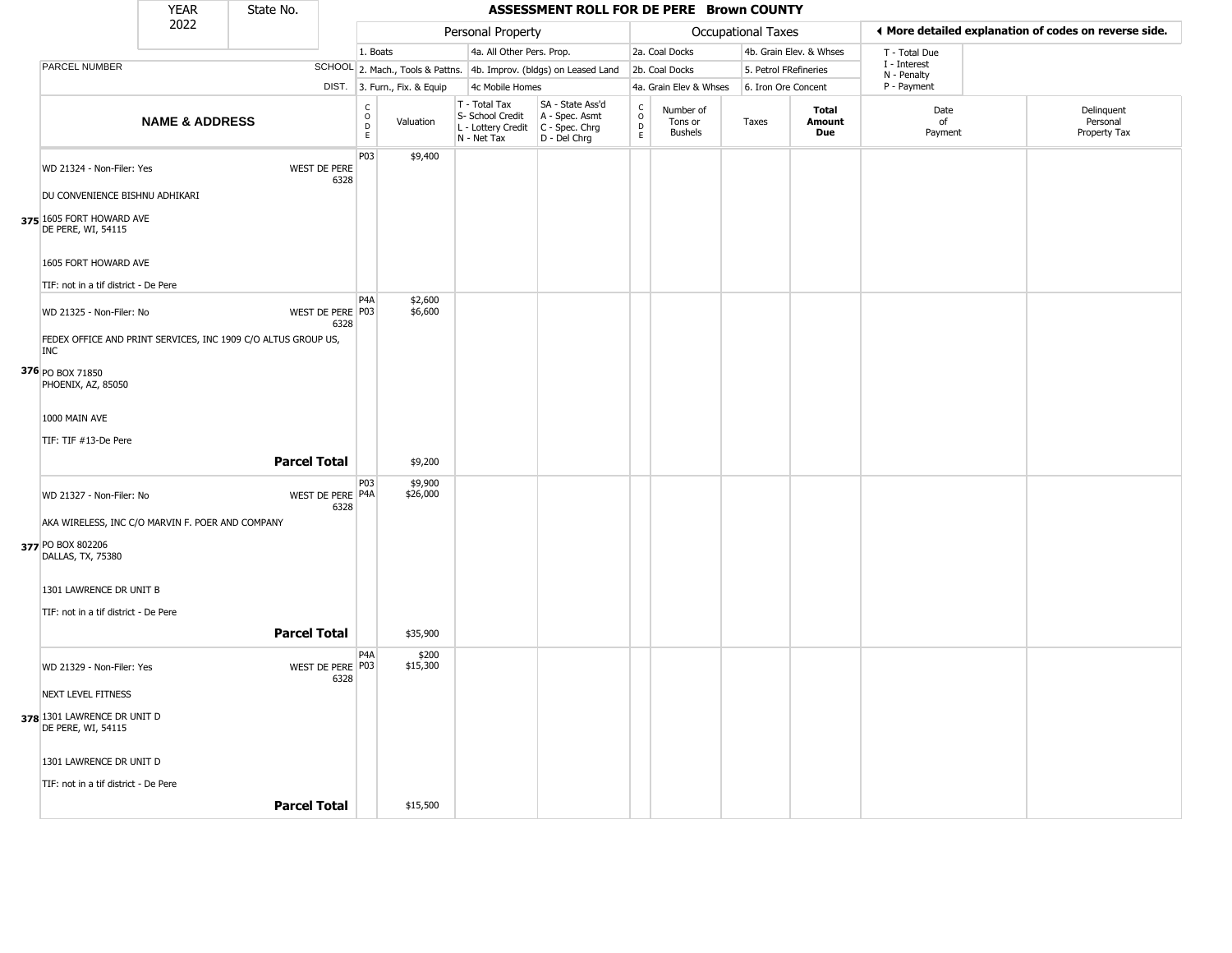|                                                                                            | YEAR                      | State No.           |                             |                                             |                              |                                                                        | ASSESSMENT ROLL FOR DE PERE Brown COUNTY                               |                                      |                                        |                           |                         |                             |                                                       |
|--------------------------------------------------------------------------------------------|---------------------------|---------------------|-----------------------------|---------------------------------------------|------------------------------|------------------------------------------------------------------------|------------------------------------------------------------------------|--------------------------------------|----------------------------------------|---------------------------|-------------------------|-----------------------------|-------------------------------------------------------|
|                                                                                            | 2022                      |                     |                             |                                             |                              | Personal Property                                                      |                                                                        |                                      |                                        | <b>Occupational Taxes</b> |                         |                             | I More detailed explanation of codes on reverse side. |
|                                                                                            |                           |                     |                             | 1. Boats                                    |                              | 4a. All Other Pers. Prop.                                              |                                                                        |                                      | 2a. Coal Docks                         |                           | 4b. Grain Elev. & Whses | T - Total Due               |                                                       |
| PARCEL NUMBER                                                                              |                           |                     |                             |                                             |                              |                                                                        | SCHOOL 2. Mach., Tools & Pattns. 4b. Improv. (bldgs) on Leased Land    |                                      | 2b. Coal Docks                         |                           | 5. Petrol FRefineries   | I - Interest<br>N - Penalty |                                                       |
|                                                                                            |                           |                     |                             |                                             | DIST. 3. Furn., Fix. & Equip | 4c Mobile Homes                                                        |                                                                        |                                      | 4a. Grain Elev & Whses                 |                           | 6. Iron Ore Concent     | P - Payment                 |                                                       |
|                                                                                            | <b>NAME &amp; ADDRESS</b> |                     |                             | $\mathsf{C}$<br>$\circ$<br>D<br>$\mathsf E$ | Valuation                    | T - Total Tax<br>S- School Credit<br>L - Lottery Credit<br>N - Net Tax | SA - State Ass'd<br>A - Spec. Asmt<br>$C - Spec. Chrg$<br>D - Del Chrg | $\rm\frac{C}{O}$<br>D<br>$\mathsf E$ | Number of<br>Tons or<br><b>Bushels</b> | Taxes                     | Total<br>Amount<br>Due  | Date<br>of<br>Payment       | Delinquent<br>Personal<br>Property Tax                |
| WD 21324 - Non-Filer: Yes                                                                  |                           |                     | <b>WEST DE PERE</b><br>6328 | P03                                         | \$9,400                      |                                                                        |                                                                        |                                      |                                        |                           |                         |                             |                                                       |
| DU CONVENIENCE BISHNU ADHIKARI                                                             |                           |                     |                             |                                             |                              |                                                                        |                                                                        |                                      |                                        |                           |                         |                             |                                                       |
| 375 1605 FORT HOWARD AVE<br>DE PERE, WI, 54115                                             |                           |                     |                             |                                             |                              |                                                                        |                                                                        |                                      |                                        |                           |                         |                             |                                                       |
| 1605 FORT HOWARD AVE                                                                       |                           |                     |                             |                                             |                              |                                                                        |                                                                        |                                      |                                        |                           |                         |                             |                                                       |
| TIF: not in a tif district - De Pere                                                       |                           |                     |                             | P <sub>4</sub> A                            | \$2,600                      |                                                                        |                                                                        |                                      |                                        |                           |                         |                             |                                                       |
| WD 21325 - Non-Filer: No                                                                   |                           |                     | WEST DE PERE P03<br>6328    |                                             | \$6,600                      |                                                                        |                                                                        |                                      |                                        |                           |                         |                             |                                                       |
| FEDEX OFFICE AND PRINT SERVICES, INC 1909 C/O ALTUS GROUP US,<br><b>INC</b>                |                           |                     |                             |                                             |                              |                                                                        |                                                                        |                                      |                                        |                           |                         |                             |                                                       |
| 376 PO BOX 71850<br>PHOENIX, AZ, 85050                                                     |                           |                     |                             |                                             |                              |                                                                        |                                                                        |                                      |                                        |                           |                         |                             |                                                       |
| 1000 MAIN AVE                                                                              |                           |                     |                             |                                             |                              |                                                                        |                                                                        |                                      |                                        |                           |                         |                             |                                                       |
| TIF: TIF #13-De Pere                                                                       |                           | <b>Parcel Total</b> |                             |                                             | \$9,200                      |                                                                        |                                                                        |                                      |                                        |                           |                         |                             |                                                       |
| WD 21327 - Non-Filer: No                                                                   |                           |                     | WEST DE PERE P4A<br>6328    | P03                                         | \$9,900<br>\$26,000          |                                                                        |                                                                        |                                      |                                        |                           |                         |                             |                                                       |
| AKA WIRELESS, INC C/O MARVIN F. POER AND COMPANY<br>377 PO BOX 802206<br>DALLAS, TX, 75380 |                           |                     |                             |                                             |                              |                                                                        |                                                                        |                                      |                                        |                           |                         |                             |                                                       |
| 1301 LAWRENCE DR UNIT B<br>TIF: not in a tif district - De Pere                            |                           |                     |                             |                                             |                              |                                                                        |                                                                        |                                      |                                        |                           |                         |                             |                                                       |
|                                                                                            |                           | <b>Parcel Total</b> |                             |                                             | \$35,900                     |                                                                        |                                                                        |                                      |                                        |                           |                         |                             |                                                       |
| WD 21329 - Non-Filer: Yes                                                                  |                           |                     | WEST DE PERE P03<br>6328    | P <sub>4</sub> A                            | \$200<br>\$15,300            |                                                                        |                                                                        |                                      |                                        |                           |                         |                             |                                                       |
| NEXT LEVEL FITNESS                                                                         |                           |                     |                             |                                             |                              |                                                                        |                                                                        |                                      |                                        |                           |                         |                             |                                                       |
| 378 1301 LAWRENCE DR UNIT D<br>DE PERE, WI, 54115                                          |                           |                     |                             |                                             |                              |                                                                        |                                                                        |                                      |                                        |                           |                         |                             |                                                       |
| 1301 LAWRENCE DR UNIT D                                                                    |                           |                     |                             |                                             |                              |                                                                        |                                                                        |                                      |                                        |                           |                         |                             |                                                       |
| TIF: not in a tif district - De Pere                                                       |                           | <b>Parcel Total</b> |                             |                                             | \$15,500                     |                                                                        |                                                                        |                                      |                                        |                           |                         |                             |                                                       |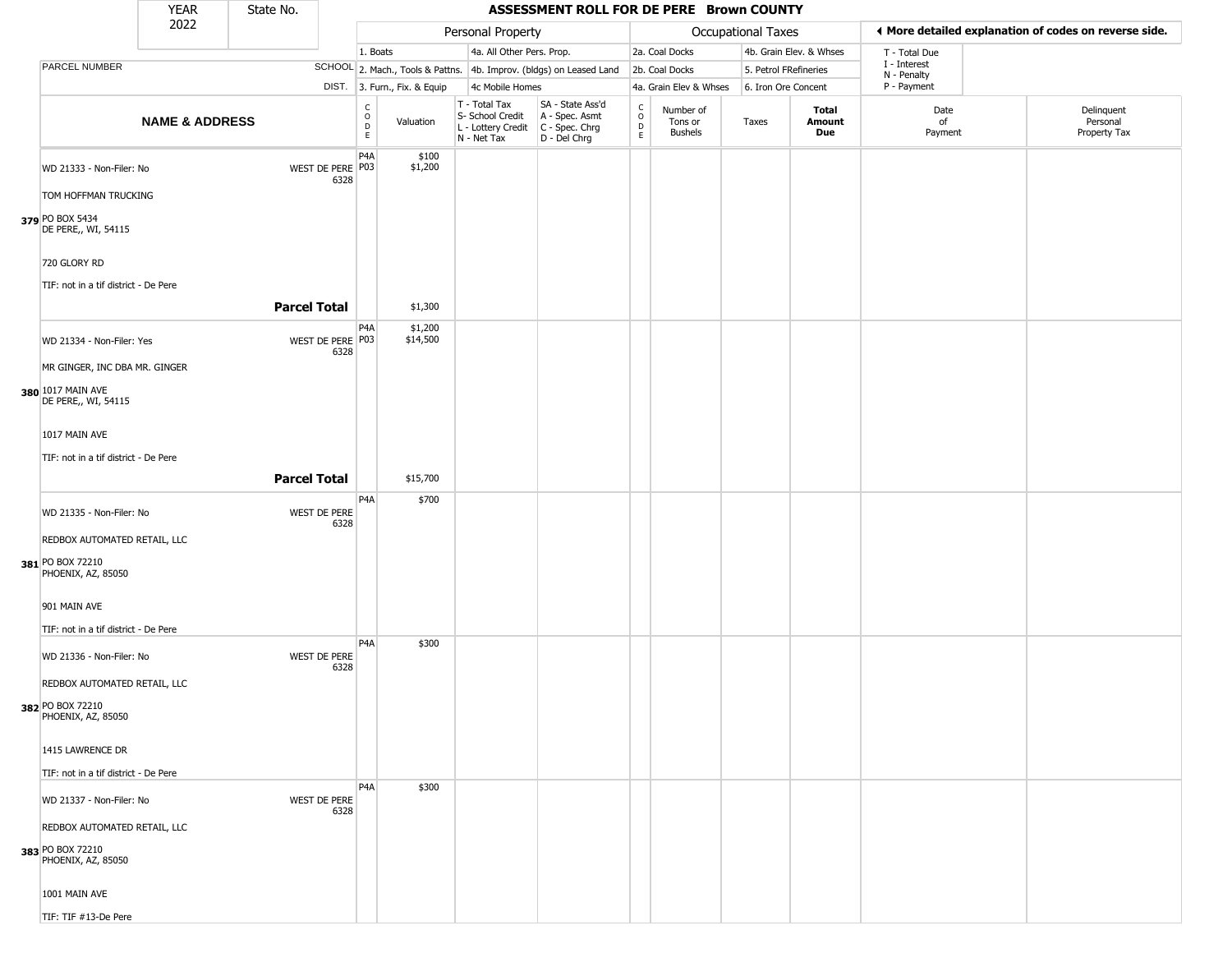|                                                                                                                                                                 | <b>YEAR</b>               | State No.           |                          |                        |                              |                                                                        | ASSESSMENT ROLL FOR DE PERE Brown COUNTY                             |                             |                                        |                       |                         |                             |                                                       |
|-----------------------------------------------------------------------------------------------------------------------------------------------------------------|---------------------------|---------------------|--------------------------|------------------------|------------------------------|------------------------------------------------------------------------|----------------------------------------------------------------------|-----------------------------|----------------------------------------|-----------------------|-------------------------|-----------------------------|-------------------------------------------------------|
|                                                                                                                                                                 | 2022                      |                     |                          |                        |                              | Personal Property                                                      |                                                                      |                             |                                        | Occupational Taxes    |                         |                             | ♦ More detailed explanation of codes on reverse side. |
|                                                                                                                                                                 |                           |                     |                          | 1. Boats               |                              | 4a. All Other Pers. Prop.                                              |                                                                      |                             | 2a. Coal Docks                         |                       | 4b. Grain Elev. & Whses | T - Total Due               |                                                       |
| PARCEL NUMBER                                                                                                                                                   |                           |                     |                          |                        |                              |                                                                        | SCHOOL 2. Mach., Tools & Pattns. 4b. Improv. (bldgs) on Leased Land  |                             | 2b. Coal Docks                         | 5. Petrol FRefineries |                         | I - Interest<br>N - Penalty |                                                       |
|                                                                                                                                                                 |                           |                     |                          |                        | DIST. 3. Furn., Fix. & Equip | 4c Mobile Homes                                                        |                                                                      |                             | 4a. Grain Elev & Whses                 | 6. Iron Ore Concent   |                         | P - Payment                 |                                                       |
|                                                                                                                                                                 | <b>NAME &amp; ADDRESS</b> |                     |                          | C<br>$\circ$<br>D<br>E | Valuation                    | T - Total Tax<br>S- School Credit<br>L - Lottery Credit<br>N - Net Tax | SA - State Ass'd<br>A - Spec. Asmt<br>C - Spec. Chrg<br>D - Del Chrg | $\rm_{o}^{\rm c}$<br>D<br>E | Number of<br>Tons or<br><b>Bushels</b> | Taxes                 | Total<br>Amount<br>Due  | Date<br>of<br>Payment       | Delinquent<br>Personal<br>Property Tax                |
| WD 21333 - Non-Filer: No<br>TOM HOFFMAN TRUCKING<br>379 PO BOX 5434<br>DE PERE,, WI, 54115                                                                      |                           |                     | WEST DE PERE P03<br>6328 | P <sub>4</sub> A       | \$100<br>\$1,200             |                                                                        |                                                                      |                             |                                        |                       |                         |                             |                                                       |
| 720 GLORY RD<br>TIF: not in a tif district - De Pere                                                                                                            |                           | <b>Parcel Total</b> |                          |                        | \$1,300                      |                                                                        |                                                                      |                             |                                        |                       |                         |                             |                                                       |
| WD 21334 - Non-Filer: Yes<br>MR GINGER, INC DBA MR. GINGER<br>380 1017 MAIN AVE<br>DE PERE,, WI, 54115<br>1017 MAIN AVE<br>TIF: not in a tif district - De Pere |                           |                     | WEST DE PERE P03<br>6328 | P4A                    | \$1,200<br>\$14,500          |                                                                        |                                                                      |                             |                                        |                       |                         |                             |                                                       |
|                                                                                                                                                                 |                           | <b>Parcel Total</b> |                          |                        | \$15,700                     |                                                                        |                                                                      |                             |                                        |                       |                         |                             |                                                       |
| WD 21335 - Non-Filer: No<br>REDBOX AUTOMATED RETAIL, LLC<br>381 PO BOX 72210<br>PHOENIX, AZ, 85050                                                              |                           |                     | WEST DE PERE<br>6328     | P4A                    | \$700                        |                                                                        |                                                                      |                             |                                        |                       |                         |                             |                                                       |
| 901 MAIN AVE<br>TIF: not in a tif district - De Pere                                                                                                            |                           |                     |                          |                        |                              |                                                                        |                                                                      |                             |                                        |                       |                         |                             |                                                       |
| WD 21336 - Non-Filer: No<br>REDBOX AUTOMATED RETAIL, LLC<br>382 PO BOX 72210<br>PHOENIX, AZ, 85050                                                              |                           |                     | WEST DE PERE<br>6328     | P <sub>4</sub> A       | \$300                        |                                                                        |                                                                      |                             |                                        |                       |                         |                             |                                                       |
| 1415 LAWRENCE DR<br>TIF: not in a tif district - De Pere                                                                                                        |                           |                     |                          |                        |                              |                                                                        |                                                                      |                             |                                        |                       |                         |                             |                                                       |
| WD 21337 - Non-Filer: No<br>REDBOX AUTOMATED RETAIL, LLC<br>383 PO BOX 72210<br>PHOENIX, AZ, 85050<br>1001 MAIN AVE                                             |                           |                     | WEST DE PERE<br>6328     | P <sub>4</sub> A       | \$300                        |                                                                        |                                                                      |                             |                                        |                       |                         |                             |                                                       |
| TIF: TIF #13-De Pere                                                                                                                                            |                           |                     |                          |                        |                              |                                                                        |                                                                      |                             |                                        |                       |                         |                             |                                                       |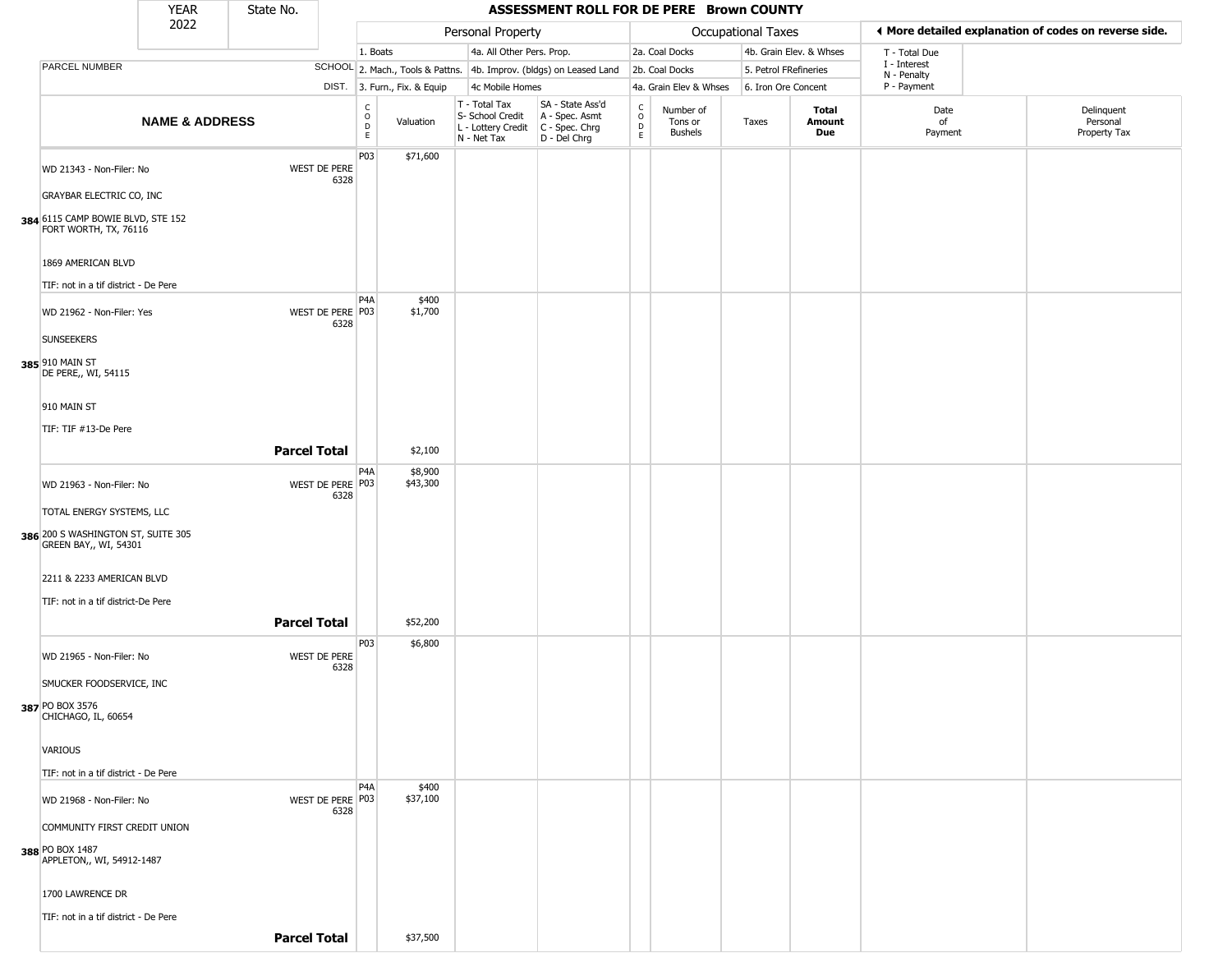|                                                                                                  | <b>YEAR</b>               | State No.           |                          |                          |                              |                                                                        | ASSESSMENT ROLL FOR DE PERE Brown COUNTY                             |                      |                                        |                       |                         |                             |                                                       |
|--------------------------------------------------------------------------------------------------|---------------------------|---------------------|--------------------------|--------------------------|------------------------------|------------------------------------------------------------------------|----------------------------------------------------------------------|----------------------|----------------------------------------|-----------------------|-------------------------|-----------------------------|-------------------------------------------------------|
|                                                                                                  | 2022                      |                     |                          |                          |                              | Personal Property                                                      |                                                                      |                      |                                        | Occupational Taxes    |                         |                             | I More detailed explanation of codes on reverse side. |
|                                                                                                  |                           |                     |                          | 1. Boats                 |                              | 4a. All Other Pers. Prop.                                              |                                                                      |                      | 2a. Coal Docks                         |                       | 4b. Grain Elev. & Whses | T - Total Due               |                                                       |
| PARCEL NUMBER                                                                                    |                           |                     |                          |                          |                              |                                                                        | SCHOOL 2. Mach., Tools & Pattns. 4b. Improv. (bldgs) on Leased Land  |                      | 2b. Coal Docks                         | 5. Petrol FRefineries |                         | I - Interest<br>N - Penalty |                                                       |
|                                                                                                  |                           |                     |                          |                          | DIST. 3. Furn., Fix. & Equip | 4c Mobile Homes                                                        |                                                                      |                      | 4a. Grain Elev & Whses                 | 6. Iron Ore Concent   |                         | P - Payment                 |                                                       |
|                                                                                                  | <b>NAME &amp; ADDRESS</b> |                     |                          | $\int_{0}^{c}$<br>D<br>E | Valuation                    | T - Total Tax<br>S- School Credit<br>L - Lottery Credit<br>N - Net Tax | SA - State Ass'd<br>A - Spec. Asmt<br>C - Spec. Chrg<br>D - Del Chrg | $\rm ^c_o$<br>D<br>E | Number of<br>Tons or<br><b>Bushels</b> | Taxes                 | Total<br>Amount<br>Due  | Date<br>of<br>Payment       | Delinquent<br>Personal<br>Property Tax                |
| WD 21343 - Non-Filer: No<br><b>GRAYBAR ELECTRIC CO, INC</b><br>384 6115 CAMP BOWIE BLVD, STE 152 |                           |                     | WEST DE PERE<br>6328     | P03                      | \$71,600                     |                                                                        |                                                                      |                      |                                        |                       |                         |                             |                                                       |
| FORT WORTH, TX, 76116<br>1869 AMERICAN BLVD<br>TIF: not in a tif district - De Pere              |                           |                     |                          | P <sub>4</sub> A         | \$400                        |                                                                        |                                                                      |                      |                                        |                       |                         |                             |                                                       |
| WD 21962 - Non-Filer: Yes<br><b>SUNSEEKERS</b><br>385 910 MAIN ST                                |                           |                     | WEST DE PERE P03<br>6328 |                          | \$1,700                      |                                                                        |                                                                      |                      |                                        |                       |                         |                             |                                                       |
| DE PERE,, WI, 54115<br>910 MAIN ST<br>TIF: TIF #13-De Pere                                       |                           | <b>Parcel Total</b> |                          |                          | \$2,100                      |                                                                        |                                                                      |                      |                                        |                       |                         |                             |                                                       |
|                                                                                                  |                           |                     |                          |                          |                              |                                                                        |                                                                      |                      |                                        |                       |                         |                             |                                                       |
| WD 21963 - Non-Filer: No<br>TOTAL ENERGY SYSTEMS, LLC<br>386 200 S WASHINGTON ST, SUITE 305      |                           |                     | WEST DE PERE P03<br>6328 | P <sub>4</sub> A         | \$8,900<br>\$43,300          |                                                                        |                                                                      |                      |                                        |                       |                         |                             |                                                       |
| GREEN BAY,, WI, 54301<br>2211 & 2233 AMERICAN BLVD                                               |                           |                     |                          |                          |                              |                                                                        |                                                                      |                      |                                        |                       |                         |                             |                                                       |
| TIF: not in a tif district-De Pere                                                               |                           |                     |                          |                          |                              |                                                                        |                                                                      |                      |                                        |                       |                         |                             |                                                       |
|                                                                                                  |                           | <b>Parcel Total</b> |                          |                          | \$52,200                     |                                                                        |                                                                      |                      |                                        |                       |                         |                             |                                                       |
| WD 21965 - Non-Filer: No                                                                         |                           |                     | WEST DE PERE<br>6328     | P03                      | \$6,800                      |                                                                        |                                                                      |                      |                                        |                       |                         |                             |                                                       |
| SMUCKER FOODSERVICE, INC<br>387 PO BOX 3576<br>CHICHAGO, IL, 60654                               |                           |                     |                          |                          |                              |                                                                        |                                                                      |                      |                                        |                       |                         |                             |                                                       |
| VARIOUS                                                                                          |                           |                     |                          |                          |                              |                                                                        |                                                                      |                      |                                        |                       |                         |                             |                                                       |
| TIF: not in a tif district - De Pere                                                             |                           |                     |                          | P <sub>4</sub> A         | \$400                        |                                                                        |                                                                      |                      |                                        |                       |                         |                             |                                                       |
| WD 21968 - Non-Filer: No<br>COMMUNITY FIRST CREDIT UNION                                         |                           |                     | WEST DE PERE P03<br>6328 |                          | \$37,100                     |                                                                        |                                                                      |                      |                                        |                       |                         |                             |                                                       |
| 388 PO BOX 1487<br>APPLETON,, WI, 54912-1487                                                     |                           |                     |                          |                          |                              |                                                                        |                                                                      |                      |                                        |                       |                         |                             |                                                       |
| 1700 LAWRENCE DR                                                                                 |                           |                     |                          |                          |                              |                                                                        |                                                                      |                      |                                        |                       |                         |                             |                                                       |
| TIF: not in a tif district - De Pere                                                             |                           |                     |                          |                          |                              |                                                                        |                                                                      |                      |                                        |                       |                         |                             |                                                       |
|                                                                                                  |                           | <b>Parcel Total</b> |                          |                          | \$37,500                     |                                                                        |                                                                      |                      |                                        |                       |                         |                             |                                                       |

ш.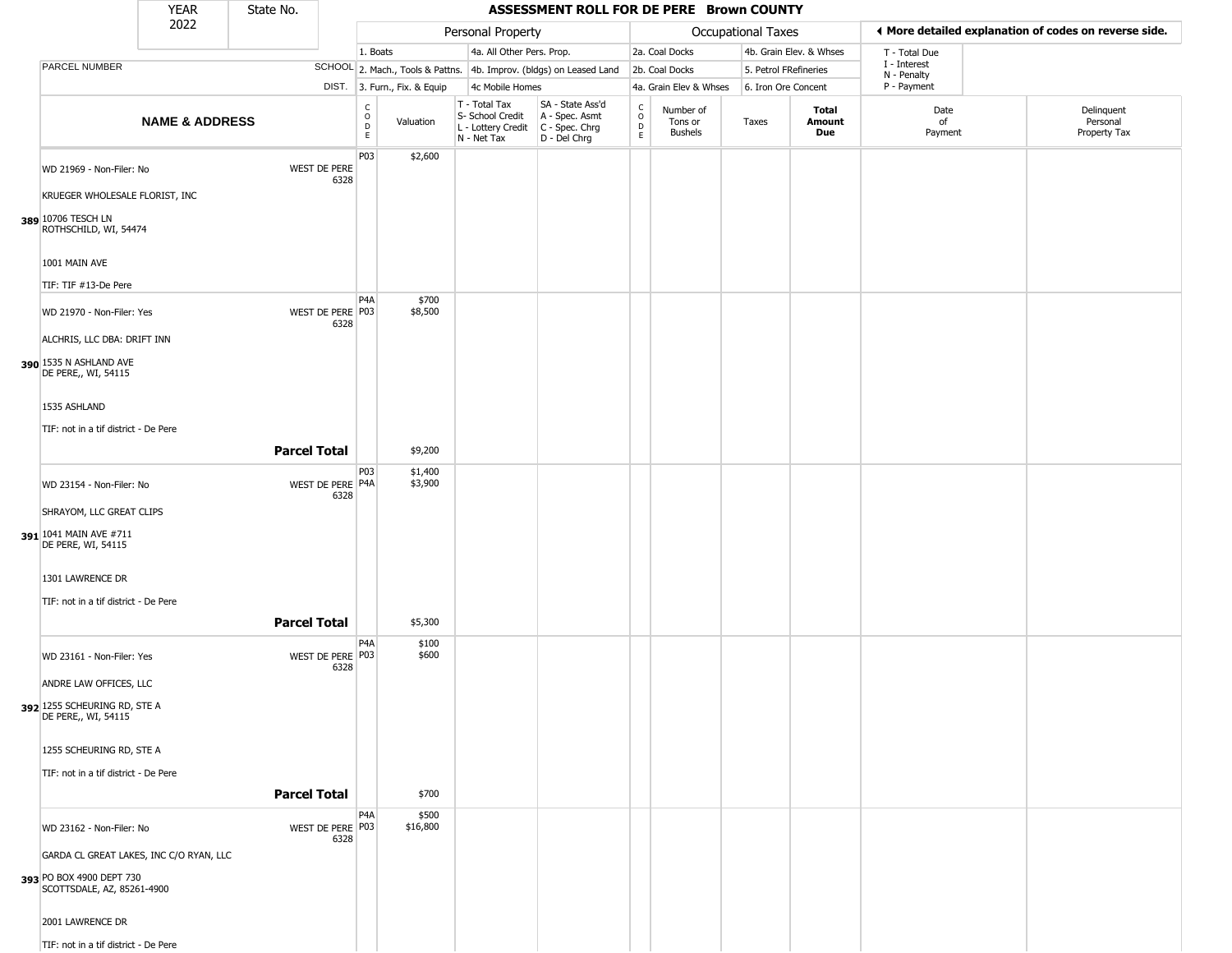|                                                                                                                                                                                 | <b>YEAR</b>               | State No.           |                                                                     |                                                                     |                                                                        | ASSESSMENT ROLL FOR DE PERE Brown COUNTY                             |                                                          |                                        |                           |                         |                            |                                                       |
|---------------------------------------------------------------------------------------------------------------------------------------------------------------------------------|---------------------------|---------------------|---------------------------------------------------------------------|---------------------------------------------------------------------|------------------------------------------------------------------------|----------------------------------------------------------------------|----------------------------------------------------------|----------------------------------------|---------------------------|-------------------------|----------------------------|-------------------------------------------------------|
|                                                                                                                                                                                 | 2022                      |                     |                                                                     |                                                                     | Personal Property                                                      |                                                                      |                                                          |                                        | <b>Occupational Taxes</b> |                         |                            | ♦ More detailed explanation of codes on reverse side. |
|                                                                                                                                                                                 |                           |                     |                                                                     | 1. Boats                                                            | 4a. All Other Pers. Prop.                                              |                                                                      |                                                          | 2a. Coal Docks                         |                           | 4b. Grain Elev. & Whses | T - Total Due              |                                                       |
| PARCEL NUMBER                                                                                                                                                                   |                           |                     |                                                                     | SCHOOL 2. Mach., Tools & Pattns. 4b. Improv. (bldgs) on Leased Land |                                                                        |                                                                      |                                                          | 2b. Coal Docks                         | 5. Petrol FRefineries     |                         | I - Interest               |                                                       |
|                                                                                                                                                                                 |                           |                     |                                                                     | DIST. 3. Furn., Fix. & Equip                                        | 4c Mobile Homes                                                        |                                                                      |                                                          | 4a. Grain Elev & Whses                 | 6. Iron Ore Concent       |                         | N - Penalty<br>P - Payment |                                                       |
|                                                                                                                                                                                 | <b>NAME &amp; ADDRESS</b> |                     | C<br>$\circ$<br>D<br>E.                                             | Valuation                                                           | T - Total Tax<br>S- School Credit<br>L - Lottery Credit<br>N - Net Tax | SA - State Ass'd<br>A - Spec. Asmt<br>C - Spec. Chrg<br>D - Del Chrg | $\begin{smallmatrix} C \\ O \\ D \end{smallmatrix}$<br>E | Number of<br>Tons or<br><b>Bushels</b> | Taxes                     | Total<br>Amount<br>Due  | Date<br>of<br>Payment      | Delinquent<br>Personal<br>Property Tax                |
| WD 21969 - Non-Filer: No<br>KRUEGER WHOLESALE FLORIST, INC<br>389 10706 TESCH LN<br>ROTHSCHILD, WI, 54474<br>1001 MAIN AVE<br>TIF: TIF #13-De Pere<br>WD 21970 - Non-Filer: Yes |                           |                     | P03<br>WEST DE PERE<br>6328<br>P <sub>4</sub> A<br>WEST DE PERE P03 | \$2,600<br>\$700<br>\$8,500                                         |                                                                        |                                                                      |                                                          |                                        |                           |                         |                            |                                                       |
| ALCHRIS, LLC DBA: DRIFT INN<br>390 1535 N ASHLAND AVE<br>DE PERE,, WI, 54115<br>1535 ASHLAND<br>TIF: not in a tif district - De Pere                                            |                           | <b>Parcel Total</b> | 6328                                                                | \$9,200                                                             |                                                                        |                                                                      |                                                          |                                        |                           |                         |                            |                                                       |
|                                                                                                                                                                                 |                           |                     | P03                                                                 | \$1,400                                                             |                                                                        |                                                                      |                                                          |                                        |                           |                         |                            |                                                       |
| WD 23154 - Non-Filer: No<br>SHRAYOM, LLC GREAT CLIPS<br>391 1041 MAIN AVE #711<br>DE PERE, WI, 54115                                                                            |                           |                     | WEST DE PERE P4A<br>6328                                            | \$3,900                                                             |                                                                        |                                                                      |                                                          |                                        |                           |                         |                            |                                                       |
| 1301 LAWRENCE DR                                                                                                                                                                |                           |                     |                                                                     |                                                                     |                                                                        |                                                                      |                                                          |                                        |                           |                         |                            |                                                       |
|                                                                                                                                                                                 |                           |                     |                                                                     |                                                                     |                                                                        |                                                                      |                                                          |                                        |                           |                         |                            |                                                       |
| TIF: not in a tif district - De Pere                                                                                                                                            |                           | <b>Parcel Total</b> |                                                                     | \$5,300                                                             |                                                                        |                                                                      |                                                          |                                        |                           |                         |                            |                                                       |
| WD 23161 - Non-Filer: Yes<br>ANDRE LAW OFFICES, LLC<br>392 1255 SCHEURING RD, STE A                                                                                             |                           |                     | P <sub>4</sub> A<br>WEST DE PERE P03<br>6328                        | \$100<br>\$600                                                      |                                                                        |                                                                      |                                                          |                                        |                           |                         |                            |                                                       |
| DE PERE,, WI, 54115<br>1255 SCHEURING RD, STE A<br>TIF: not in a tif district - De Pere                                                                                         |                           |                     |                                                                     |                                                                     |                                                                        |                                                                      |                                                          |                                        |                           |                         |                            |                                                       |
|                                                                                                                                                                                 |                           | <b>Parcel Total</b> |                                                                     | \$700                                                               |                                                                        |                                                                      |                                                          |                                        |                           |                         |                            |                                                       |
| WD 23162 - Non-Filer: No<br>GARDA CL GREAT LAKES, INC C/O RYAN, LLC<br>393 PO BOX 4900 DEPT 730<br>SCOTTSDALE, AZ, 85261-4900<br>2001 LAWRENCE DR                               |                           |                     | P <sub>4</sub> A<br>WEST DE PERE P03<br>6328                        | \$500<br>\$16,800                                                   |                                                                        |                                                                      |                                                          |                                        |                           |                         |                            |                                                       |
| TIF: not in a tif district - De Pere                                                                                                                                            |                           |                     |                                                                     |                                                                     |                                                                        |                                                                      |                                                          |                                        |                           |                         |                            |                                                       |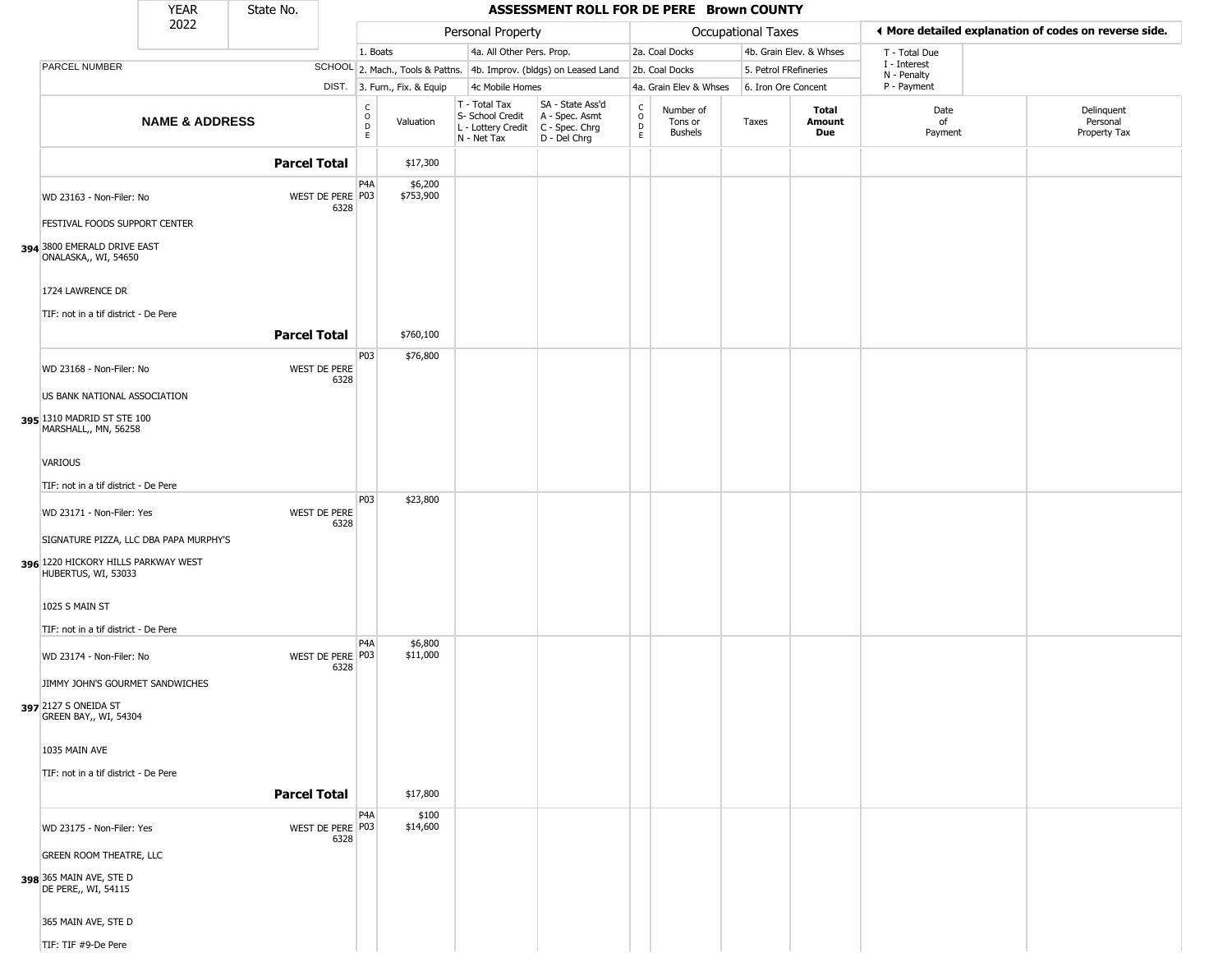|                                                                                                      | YEAR                      | State No.           |                          |                              |                              |                                                                                         | ASSESSMENT ROLL FOR DE PERE Brown COUNTY                            |                      |                                        |                           |                               |                             |                                                       |
|------------------------------------------------------------------------------------------------------|---------------------------|---------------------|--------------------------|------------------------------|------------------------------|-----------------------------------------------------------------------------------------|---------------------------------------------------------------------|----------------------|----------------------------------------|---------------------------|-------------------------------|-----------------------------|-------------------------------------------------------|
|                                                                                                      | 2022                      |                     |                          |                              |                              | Personal Property                                                                       |                                                                     |                      |                                        | <b>Occupational Taxes</b> |                               |                             | ♦ More detailed explanation of codes on reverse side. |
|                                                                                                      |                           |                     |                          | 1. Boats                     |                              | 4a. All Other Pers. Prop.                                                               |                                                                     |                      | 2a. Coal Docks                         |                           | 4b. Grain Elev. & Whses       | T - Total Due               |                                                       |
| PARCEL NUMBER                                                                                        |                           |                     |                          |                              |                              |                                                                                         | SCHOOL 2. Mach., Tools & Pattns. 4b. Improv. (bldgs) on Leased Land |                      | 2b. Coal Docks                         | 5. Petrol FRefineries     |                               | I - Interest<br>N - Penalty |                                                       |
|                                                                                                      |                           |                     |                          |                              | DIST. 3. Furn., Fix. & Equip | 4c Mobile Homes                                                                         |                                                                     |                      | 4a. Grain Elev & Whses                 | 6. Iron Ore Concent       |                               | P - Payment                 |                                                       |
|                                                                                                      | <b>NAME &amp; ADDRESS</b> |                     |                          | $_{\rm o}^{\rm c}$<br>D<br>E | Valuation                    | T - Total Tax<br>S- School Credit<br>L - Lottery Credit   C - Spec. Chrg<br>N - Net Tax | SA - State Ass'd<br>A - Spec. Asmt<br>D - Del Chrg                  | $\rm _o^c$<br>D<br>E | Number of<br>Tons or<br><b>Bushels</b> | Taxes                     | <b>Total</b><br>Amount<br>Due | Date<br>of<br>Payment       | Delinquent<br>Personal<br>Property Tax                |
|                                                                                                      |                           | <b>Parcel Total</b> |                          |                              | \$17,300                     |                                                                                         |                                                                     |                      |                                        |                           |                               |                             |                                                       |
| WD 23163 - Non-Filer: No<br>FESTIVAL FOODS SUPPORT CENTER                                            |                           |                     | WEST DE PERE P03<br>6328 | P4A                          | \$6,200<br>\$753,900         |                                                                                         |                                                                     |                      |                                        |                           |                               |                             |                                                       |
| 394 3800 EMERALD DRIVE EAST<br>ONALASKA,, WI, 54650                                                  |                           |                     |                          |                              |                              |                                                                                         |                                                                     |                      |                                        |                           |                               |                             |                                                       |
| 1724 LAWRENCE DR                                                                                     |                           |                     |                          |                              |                              |                                                                                         |                                                                     |                      |                                        |                           |                               |                             |                                                       |
| TIF: not in a tif district - De Pere                                                                 |                           | <b>Parcel Total</b> |                          |                              | \$760,100                    |                                                                                         |                                                                     |                      |                                        |                           |                               |                             |                                                       |
| WD 23168 - Non-Filer: No                                                                             |                           |                     | WEST DE PERE             | P03                          | \$76,800                     |                                                                                         |                                                                     |                      |                                        |                           |                               |                             |                                                       |
| US BANK NATIONAL ASSOCIATION                                                                         |                           |                     | 6328                     |                              |                              |                                                                                         |                                                                     |                      |                                        |                           |                               |                             |                                                       |
| 395 1310 MADRID ST STE 100<br>MARSHALL,, MN, 56258                                                   |                           |                     |                          |                              |                              |                                                                                         |                                                                     |                      |                                        |                           |                               |                             |                                                       |
| <b>VARIOUS</b>                                                                                       |                           |                     |                          |                              |                              |                                                                                         |                                                                     |                      |                                        |                           |                               |                             |                                                       |
| TIF: not in a tif district - De Pere                                                                 |                           |                     |                          |                              |                              |                                                                                         |                                                                     |                      |                                        |                           |                               |                             |                                                       |
| WD 23171 - Non-Filer: Yes                                                                            |                           |                     | WEST DE PERE<br>6328     | P03                          | \$23,800                     |                                                                                         |                                                                     |                      |                                        |                           |                               |                             |                                                       |
| SIGNATURE PIZZA, LLC DBA PAPA MURPHY'S<br>396 1220 HICKORY HILLS PARKWAY WEST<br>HUBERTUS, WI, 53033 |                           |                     |                          |                              |                              |                                                                                         |                                                                     |                      |                                        |                           |                               |                             |                                                       |
| 1025 S MAIN ST                                                                                       |                           |                     |                          |                              |                              |                                                                                         |                                                                     |                      |                                        |                           |                               |                             |                                                       |
| TIF: not in a tif district - De Pere                                                                 |                           |                     |                          |                              |                              |                                                                                         |                                                                     |                      |                                        |                           |                               |                             |                                                       |
| WD 23174 - Non-Filer: No                                                                             |                           |                     | WEST DE PERE P03<br>6328 | P4A                          | \$6,800<br>\$11,000          |                                                                                         |                                                                     |                      |                                        |                           |                               |                             |                                                       |
| JIMMY JOHN'S GOURMET SANDWICHES                                                                      |                           |                     |                          |                              |                              |                                                                                         |                                                                     |                      |                                        |                           |                               |                             |                                                       |
| 397 2127 S ONEIDA ST<br>GREEN BAY,, WI, 54304                                                        |                           |                     |                          |                              |                              |                                                                                         |                                                                     |                      |                                        |                           |                               |                             |                                                       |
| 1035 MAIN AVE                                                                                        |                           |                     |                          |                              |                              |                                                                                         |                                                                     |                      |                                        |                           |                               |                             |                                                       |
| TIF: not in a tif district - De Pere                                                                 |                           |                     |                          |                              |                              |                                                                                         |                                                                     |                      |                                        |                           |                               |                             |                                                       |
|                                                                                                      |                           | <b>Parcel Total</b> |                          |                              | \$17,800                     |                                                                                         |                                                                     |                      |                                        |                           |                               |                             |                                                       |
| WD 23175 - Non-Filer: Yes                                                                            |                           |                     | WEST DE PERE P03<br>6328 | P4A                          | \$100<br>\$14,600            |                                                                                         |                                                                     |                      |                                        |                           |                               |                             |                                                       |
| <b>GREEN ROOM THEATRE, LLC</b>                                                                       |                           |                     |                          |                              |                              |                                                                                         |                                                                     |                      |                                        |                           |                               |                             |                                                       |
| 398 365 MAIN AVE, STE D<br>DE PERE,, WI, 54115                                                       |                           |                     |                          |                              |                              |                                                                                         |                                                                     |                      |                                        |                           |                               |                             |                                                       |
| 365 MAIN AVE, STE D                                                                                  |                           |                     |                          |                              |                              |                                                                                         |                                                                     |                      |                                        |                           |                               |                             |                                                       |
| TIF: TIF #9-De Pere                                                                                  |                           |                     |                          |                              |                              |                                                                                         |                                                                     |                      |                                        |                           |                               |                             |                                                       |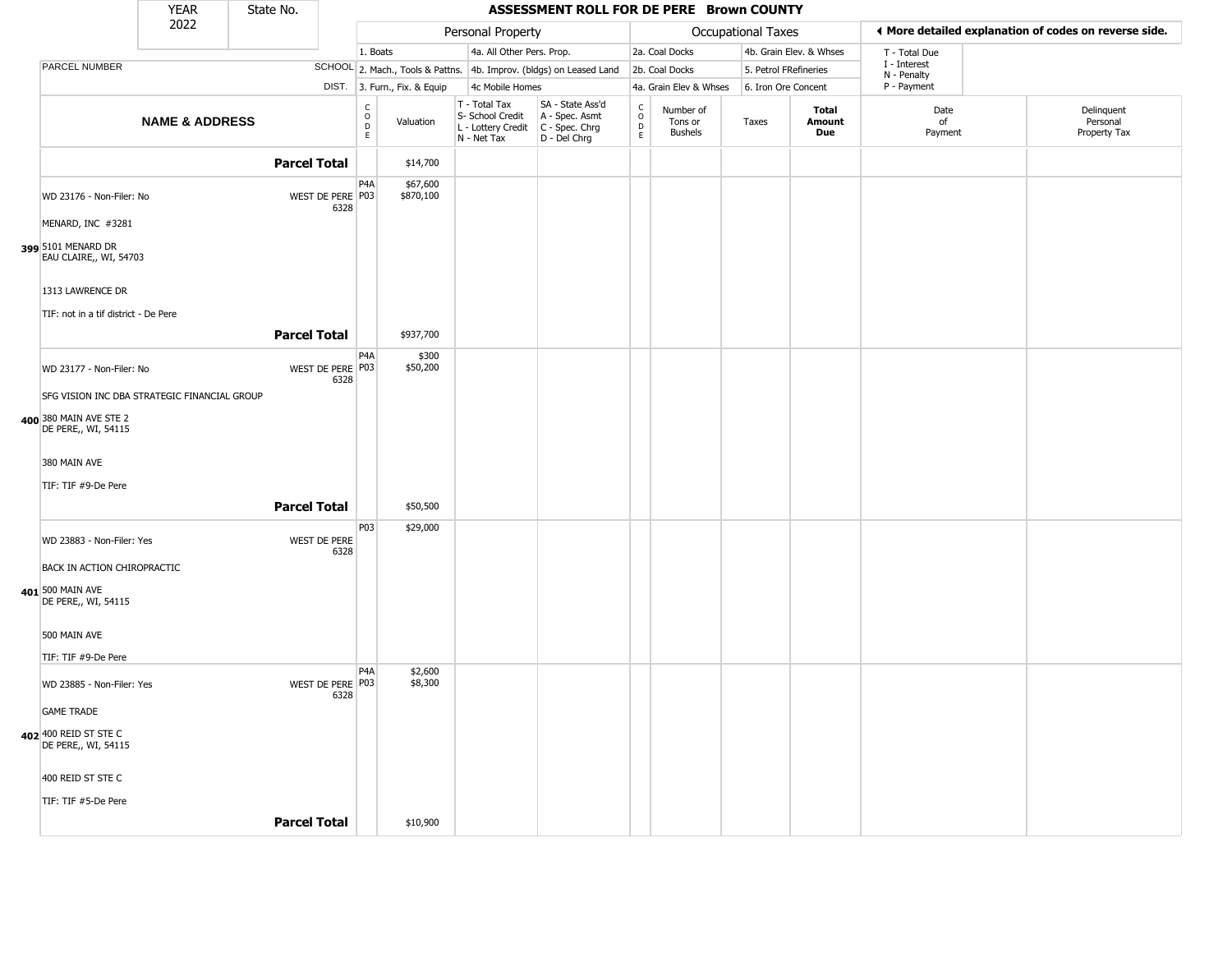|                                                                        | <b>YEAR</b>               | State No.           |                          |                                                                       |                                                                        | ASSESSMENT ROLL FOR DE PERE Brown COUNTY                             |                                       |                                        |                       |                         |                             |                                                       |
|------------------------------------------------------------------------|---------------------------|---------------------|--------------------------|-----------------------------------------------------------------------|------------------------------------------------------------------------|----------------------------------------------------------------------|---------------------------------------|----------------------------------------|-----------------------|-------------------------|-----------------------------|-------------------------------------------------------|
|                                                                        | 2022                      |                     |                          |                                                                       | Personal Property                                                      |                                                                      |                                       |                                        | Occupational Taxes    |                         |                             | ♦ More detailed explanation of codes on reverse side. |
|                                                                        |                           |                     |                          | 1. Boats                                                              | 4a. All Other Pers. Prop.                                              |                                                                      |                                       | 2a. Coal Docks                         |                       | 4b. Grain Elev. & Whses | T - Total Due               |                                                       |
| PARCEL NUMBER                                                          |                           |                     |                          |                                                                       |                                                                        | SCHOOL 2. Mach., Tools & Pattns. 4b. Improv. (bldgs) on Leased Land  |                                       | 2b. Coal Docks                         | 5. Petrol FRefineries |                         | I - Interest<br>N - Penalty |                                                       |
|                                                                        |                           |                     |                          | DIST. 3. Furn., Fix. & Equip                                          | 4c Mobile Homes                                                        |                                                                      |                                       | 4a. Grain Elev & Whses                 | 6. Iron Ore Concent   |                         | P - Payment                 |                                                       |
|                                                                        | <b>NAME &amp; ADDRESS</b> |                     |                          | $\begin{smallmatrix} C \\ O \\ D \end{smallmatrix}$<br>Valuation<br>E | T - Total Tax<br>S- School Credit<br>L - Lottery Credit<br>N - Net Tax | SA - State Ass'd<br>A - Spec. Asmt<br>C - Spec. Chrg<br>D - Del Chrg | $\rm_{o}^{\rm c}$<br>$\mathsf D$<br>E | Number of<br>Tons or<br><b>Bushels</b> | Taxes                 | Total<br>Amount<br>Due  | Date<br>of<br>Payment       | Delinquent<br>Personal<br>Property Tax                |
|                                                                        |                           | <b>Parcel Total</b> |                          | \$14,700                                                              |                                                                        |                                                                      |                                       |                                        |                       |                         |                             |                                                       |
| WD 23176 - Non-Filer: No<br>MENARD, INC #3281                          |                           |                     | WEST DE PERE P03<br>6328 | P <sub>4</sub> A<br>\$67,600<br>\$870,100                             |                                                                        |                                                                      |                                       |                                        |                       |                         |                             |                                                       |
| 399 5101 MENARD DR<br>EAU CLAIRE,, WI, 54703                           |                           |                     |                          |                                                                       |                                                                        |                                                                      |                                       |                                        |                       |                         |                             |                                                       |
|                                                                        |                           |                     |                          |                                                                       |                                                                        |                                                                      |                                       |                                        |                       |                         |                             |                                                       |
| 1313 LAWRENCE DR<br>TIF: not in a tif district - De Pere               |                           |                     |                          |                                                                       |                                                                        |                                                                      |                                       |                                        |                       |                         |                             |                                                       |
|                                                                        |                           | <b>Parcel Total</b> |                          | \$937,700                                                             |                                                                        |                                                                      |                                       |                                        |                       |                         |                             |                                                       |
| WD 23177 - Non-Filer: No                                               |                           |                     | WEST DE PERE P03<br>6328 | P <sub>4</sub> A<br>\$300<br>\$50,200                                 |                                                                        |                                                                      |                                       |                                        |                       |                         |                             |                                                       |
| SFG VISION INC DBA STRATEGIC FINANCIAL GROUP                           |                           |                     |                          |                                                                       |                                                                        |                                                                      |                                       |                                        |                       |                         |                             |                                                       |
| 400 380 MAIN AVE STE 2<br>DE PERE,, WI, 54115                          |                           |                     |                          |                                                                       |                                                                        |                                                                      |                                       |                                        |                       |                         |                             |                                                       |
| 380 MAIN AVE                                                           |                           |                     |                          |                                                                       |                                                                        |                                                                      |                                       |                                        |                       |                         |                             |                                                       |
| TIF: TIF #9-De Pere                                                    |                           | <b>Parcel Total</b> |                          | \$50,500                                                              |                                                                        |                                                                      |                                       |                                        |                       |                         |                             |                                                       |
| WD 23883 - Non-Filer: Yes                                              |                           |                     | WEST DE PERE<br>6328     | P03<br>\$29,000                                                       |                                                                        |                                                                      |                                       |                                        |                       |                         |                             |                                                       |
| BACK IN ACTION CHIROPRACTIC<br>401 500 MAIN AVE<br>DE PERE,, WI, 54115 |                           |                     |                          |                                                                       |                                                                        |                                                                      |                                       |                                        |                       |                         |                             |                                                       |
| 500 MAIN AVE                                                           |                           |                     |                          |                                                                       |                                                                        |                                                                      |                                       |                                        |                       |                         |                             |                                                       |
| TIF: TIF #9-De Pere                                                    |                           |                     |                          |                                                                       |                                                                        |                                                                      |                                       |                                        |                       |                         |                             |                                                       |
| WD 23885 - Non-Filer: Yes                                              |                           |                     | WEST DE PERE P03<br>6328 | P <sub>4</sub> A<br>\$2,600<br>\$8,300                                |                                                                        |                                                                      |                                       |                                        |                       |                         |                             |                                                       |
| <b>GAME TRADE</b>                                                      |                           |                     |                          |                                                                       |                                                                        |                                                                      |                                       |                                        |                       |                         |                             |                                                       |
| 402 400 REID ST STE C<br>DE PERE,, WI, 54115                           |                           |                     |                          |                                                                       |                                                                        |                                                                      |                                       |                                        |                       |                         |                             |                                                       |
| 400 REID ST STE C                                                      |                           |                     |                          |                                                                       |                                                                        |                                                                      |                                       |                                        |                       |                         |                             |                                                       |
| TIF: TIF #5-De Pere                                                    |                           | <b>Parcel Total</b> |                          | \$10,900                                                              |                                                                        |                                                                      |                                       |                                        |                       |                         |                             |                                                       |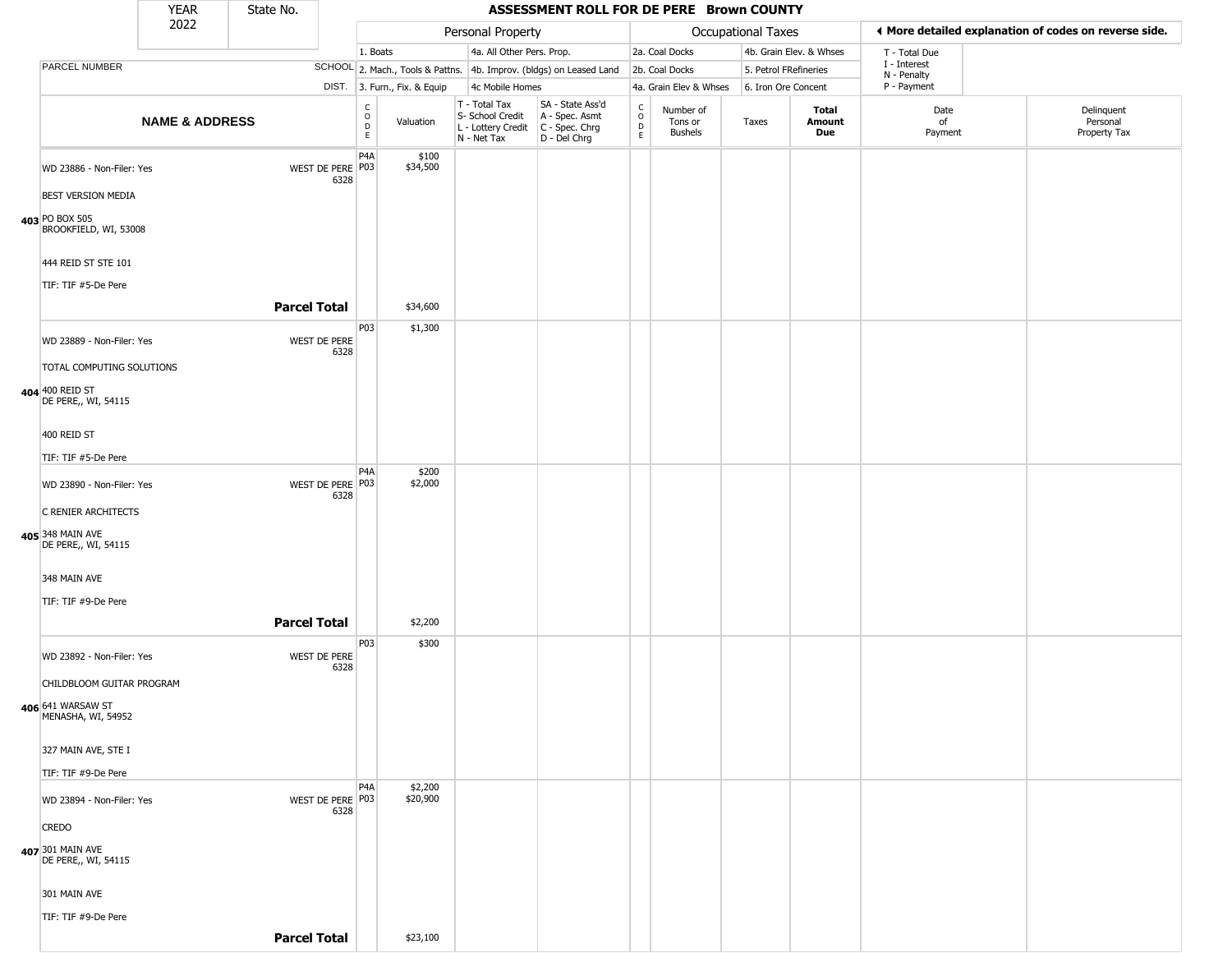|                                                        | <b>YEAR</b>               | State No.           |                          |                              |                              |                                                                                         | ASSESSMENT ROLL FOR DE PERE Brown COUNTY                            |                                         |                                        |                       |                               |                             |                                                       |
|--------------------------------------------------------|---------------------------|---------------------|--------------------------|------------------------------|------------------------------|-----------------------------------------------------------------------------------------|---------------------------------------------------------------------|-----------------------------------------|----------------------------------------|-----------------------|-------------------------------|-----------------------------|-------------------------------------------------------|
|                                                        | 2022                      |                     |                          |                              |                              | Personal Property                                                                       |                                                                     |                                         |                                        | Occupational Taxes    |                               |                             | ♦ More detailed explanation of codes on reverse side. |
|                                                        |                           |                     |                          | 1. Boats                     |                              | 4a. All Other Pers. Prop.                                                               |                                                                     |                                         | 2a. Coal Docks                         |                       | 4b. Grain Elev. & Whses       | T - Total Due               |                                                       |
| <b>PARCEL NUMBER</b>                                   |                           |                     |                          |                              |                              |                                                                                         | SCHOOL 2. Mach., Tools & Pattns. 4b. Improv. (bldgs) on Leased Land |                                         | 2b. Coal Docks                         | 5. Petrol FRefineries |                               | I - Interest<br>N - Penalty |                                                       |
|                                                        |                           |                     |                          |                              | DIST. 3. Furn., Fix. & Equip | 4c Mobile Homes                                                                         |                                                                     |                                         | 4a. Grain Elev & Whses                 | 6. Iron Ore Concent   |                               | P - Payment                 |                                                       |
|                                                        | <b>NAME &amp; ADDRESS</b> |                     |                          | $_{\rm o}^{\rm c}$<br>D<br>E | Valuation                    | T - Total Tax<br>S- School Credit<br>L - Lottery Credit   C - Spec. Chrg<br>N - Net Tax | SA - State Ass'd<br>A - Spec. Asmt<br>D - Del Chrg                  | $_{\rm o}^{\rm c}$<br>$\mathsf{D}$<br>E | Number of<br>Tons or<br><b>Bushels</b> | Taxes                 | <b>Total</b><br>Amount<br>Due | Date<br>of<br>Payment       | Delinquent<br>Personal<br>Property Tax                |
| WD 23886 - Non-Filer: Yes<br><b>BEST VERSION MEDIA</b> |                           |                     | WEST DE PERE P03<br>6328 | P <sub>4</sub> A             | \$100<br>\$34,500            |                                                                                         |                                                                     |                                         |                                        |                       |                               |                             |                                                       |
| 403 PO BOX 505<br>BROOKFIELD, WI, 53008                |                           |                     |                          |                              |                              |                                                                                         |                                                                     |                                         |                                        |                       |                               |                             |                                                       |
| 444 REID ST STE 101<br>TIF: TIF #5-De Pere             |                           |                     |                          |                              |                              |                                                                                         |                                                                     |                                         |                                        |                       |                               |                             |                                                       |
|                                                        | <b>Parcel Total</b>       |                     |                          |                              | \$34,600                     |                                                                                         |                                                                     |                                         |                                        |                       |                               |                             |                                                       |
| WD 23889 - Non-Filer: Yes                              |                           |                     | WEST DE PERE<br>6328     | P03                          | \$1,300                      |                                                                                         |                                                                     |                                         |                                        |                       |                               |                             |                                                       |
| TOTAL COMPUTING SOLUTIONS                              |                           |                     |                          |                              |                              |                                                                                         |                                                                     |                                         |                                        |                       |                               |                             |                                                       |
| 404 400 REID ST<br>DE PERE,, WI, 54115                 |                           |                     |                          |                              |                              |                                                                                         |                                                                     |                                         |                                        |                       |                               |                             |                                                       |
| 400 REID ST                                            |                           |                     |                          |                              |                              |                                                                                         |                                                                     |                                         |                                        |                       |                               |                             |                                                       |
| TIF: TIF #5-De Pere                                    |                           |                     |                          | P <sub>4</sub> A             | \$200                        |                                                                                         |                                                                     |                                         |                                        |                       |                               |                             |                                                       |
| WD 23890 - Non-Filer: Yes                              |                           |                     | WEST DE PERE P03<br>6328 |                              | \$2,000                      |                                                                                         |                                                                     |                                         |                                        |                       |                               |                             |                                                       |
| C RENIER ARCHITECTS                                    |                           |                     |                          |                              |                              |                                                                                         |                                                                     |                                         |                                        |                       |                               |                             |                                                       |
| 405 348 MAIN AVE<br>DE PERE,, WI, 54115                |                           |                     |                          |                              |                              |                                                                                         |                                                                     |                                         |                                        |                       |                               |                             |                                                       |
| 348 MAIN AVE                                           |                           |                     |                          |                              |                              |                                                                                         |                                                                     |                                         |                                        |                       |                               |                             |                                                       |
| TIF: TIF #9-De Pere                                    |                           |                     |                          |                              |                              |                                                                                         |                                                                     |                                         |                                        |                       |                               |                             |                                                       |
|                                                        |                           | <b>Parcel Total</b> |                          |                              | \$2,200                      |                                                                                         |                                                                     |                                         |                                        |                       |                               |                             |                                                       |
| WD 23892 - Non-Filer: Yes                              |                           |                     | WEST DE PERE<br>6328     | P03                          | \$300                        |                                                                                         |                                                                     |                                         |                                        |                       |                               |                             |                                                       |
| CHILDBLOOM GUITAR PROGRAM                              |                           |                     |                          |                              |                              |                                                                                         |                                                                     |                                         |                                        |                       |                               |                             |                                                       |
| 406 641 WARSAW ST<br>MENASHA, WI, 54952                |                           |                     |                          |                              |                              |                                                                                         |                                                                     |                                         |                                        |                       |                               |                             |                                                       |
| 327 MAIN AVE, STE I                                    |                           |                     |                          |                              |                              |                                                                                         |                                                                     |                                         |                                        |                       |                               |                             |                                                       |
| TIF: TIF #9-De Pere                                    |                           |                     |                          | P <sub>4</sub> A             | \$2,200                      |                                                                                         |                                                                     |                                         |                                        |                       |                               |                             |                                                       |
| WD 23894 - Non-Filer: Yes                              |                           |                     | WEST DE PERE P03<br>6328 |                              | \$20,900                     |                                                                                         |                                                                     |                                         |                                        |                       |                               |                             |                                                       |
| <b>CREDO</b>                                           |                           |                     |                          |                              |                              |                                                                                         |                                                                     |                                         |                                        |                       |                               |                             |                                                       |
| 407 301 MAIN AVE<br>DE PERE,, WI, 54115                |                           |                     |                          |                              |                              |                                                                                         |                                                                     |                                         |                                        |                       |                               |                             |                                                       |
| 301 MAIN AVE                                           |                           |                     |                          |                              |                              |                                                                                         |                                                                     |                                         |                                        |                       |                               |                             |                                                       |
| TIF: TIF #9-De Pere                                    |                           |                     |                          |                              |                              |                                                                                         |                                                                     |                                         |                                        |                       |                               |                             |                                                       |
|                                                        |                           | <b>Parcel Total</b> |                          |                              | \$23,100                     |                                                                                         |                                                                     |                                         |                                        |                       |                               |                             |                                                       |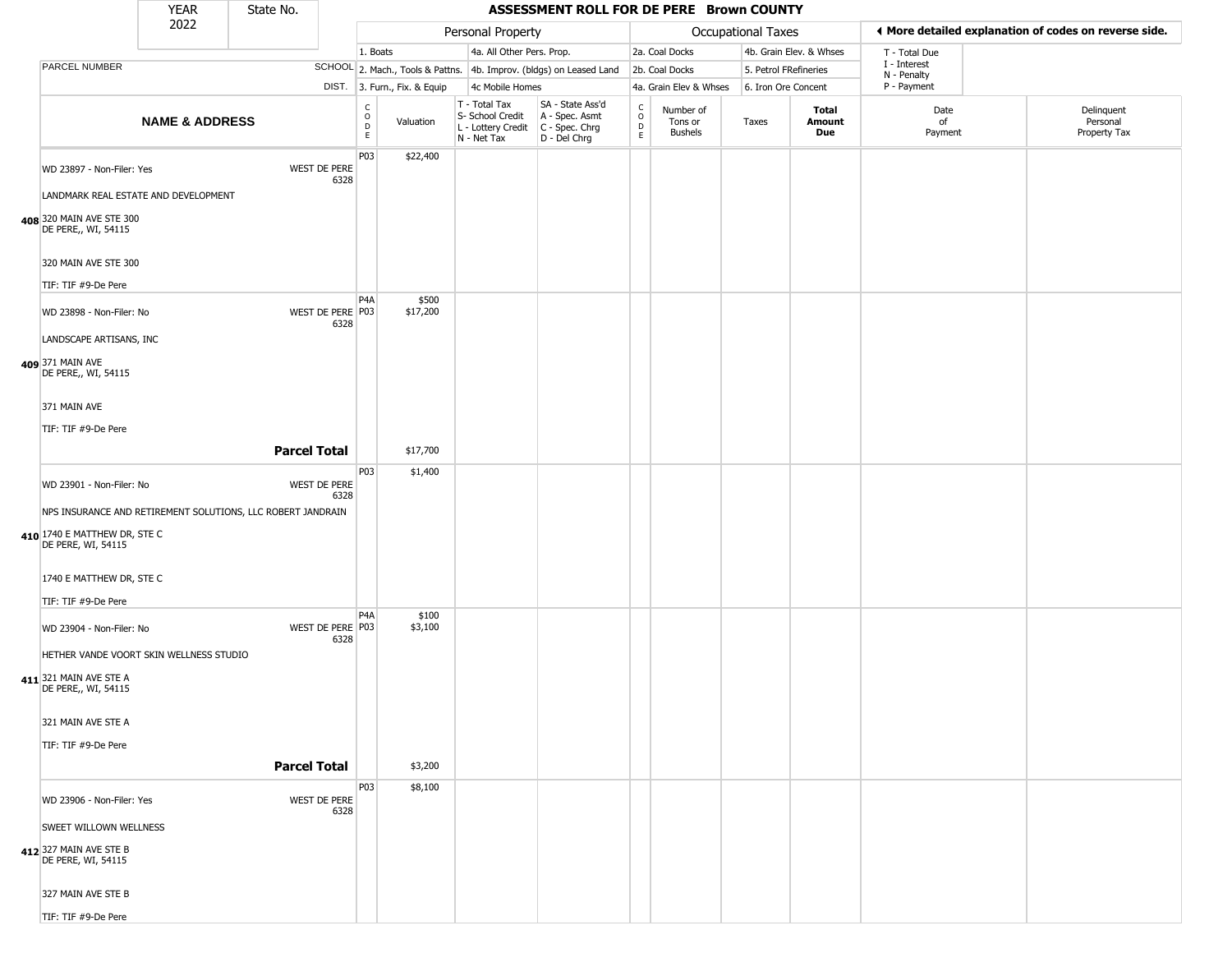|                                                                        | <b>YEAR</b>               | State No.           |                          |                                            |                              |                                                                        | ASSESSMENT ROLL FOR DE PERE Brown COUNTY                             |                                                 |                                        |                       |                         |                             |                                                       |
|------------------------------------------------------------------------|---------------------------|---------------------|--------------------------|--------------------------------------------|------------------------------|------------------------------------------------------------------------|----------------------------------------------------------------------|-------------------------------------------------|----------------------------------------|-----------------------|-------------------------|-----------------------------|-------------------------------------------------------|
|                                                                        | 2022                      |                     |                          |                                            |                              | Personal Property                                                      |                                                                      |                                                 |                                        | Occupational Taxes    |                         |                             | ♦ More detailed explanation of codes on reverse side. |
|                                                                        |                           |                     |                          | 1. Boats                                   |                              | 4a. All Other Pers. Prop.                                              |                                                                      |                                                 | 2a. Coal Docks                         |                       | 4b. Grain Elev. & Whses | T - Total Due               |                                                       |
| PARCEL NUMBER                                                          |                           |                     |                          |                                            |                              |                                                                        | SCHOOL 2. Mach., Tools & Pattns. 4b. Improv. (bldgs) on Leased Land  |                                                 | 2b. Coal Docks                         | 5. Petrol FRefineries |                         | I - Interest<br>N - Penalty |                                                       |
|                                                                        |                           |                     |                          |                                            | DIST. 3. Furn., Fix. & Equip | 4c Mobile Homes                                                        |                                                                      |                                                 | 4a. Grain Elev & Whses                 | 6. Iron Ore Concent   |                         | P - Payment                 |                                                       |
|                                                                        | <b>NAME &amp; ADDRESS</b> |                     |                          | $\begin{array}{c} C \\ O \\ E \end{array}$ | Valuation                    | T - Total Tax<br>S- School Credit<br>L - Lottery Credit<br>N - Net Tax | SA - State Ass'd<br>A - Spec. Asmt<br>C - Spec. Chrg<br>D - Del Chrg | $\begin{array}{c} C \\ O \\ D \\ E \end{array}$ | Number of<br>Tons or<br><b>Bushels</b> | Taxes                 | Total<br>Amount<br>Due  | Date<br>of<br>Payment       | Delinquent<br>Personal<br>Property Tax                |
| WD 23897 - Non-Filer: Yes<br>LANDMARK REAL ESTATE AND DEVELOPMENT      |                           |                     | WEST DE PERE<br>6328     | P03                                        | \$22,400                     |                                                                        |                                                                      |                                                 |                                        |                       |                         |                             |                                                       |
| 408 320 MAIN AVE STE 300<br>DE PERE,, WI, 54115                        |                           |                     |                          |                                            |                              |                                                                        |                                                                      |                                                 |                                        |                       |                         |                             |                                                       |
| 320 MAIN AVE STE 300<br>TIF: TIF #9-De Pere                            |                           |                     |                          |                                            |                              |                                                                        |                                                                      |                                                 |                                        |                       |                         |                             |                                                       |
| WD 23898 - Non-Filer: No                                               |                           |                     | WEST DE PERE P03<br>6328 | P4A                                        | \$500<br>\$17,200            |                                                                        |                                                                      |                                                 |                                        |                       |                         |                             |                                                       |
| LANDSCAPE ARTISANS, INC<br>409 371 MAIN AVE<br>DE PERE,, WI, 54115     |                           |                     |                          |                                            |                              |                                                                        |                                                                      |                                                 |                                        |                       |                         |                             |                                                       |
| 371 MAIN AVE<br>TIF: TIF #9-De Pere                                    |                           |                     |                          |                                            |                              |                                                                        |                                                                      |                                                 |                                        |                       |                         |                             |                                                       |
|                                                                        |                           | <b>Parcel Total</b> |                          |                                            | \$17,700                     |                                                                        |                                                                      |                                                 |                                        |                       |                         |                             |                                                       |
| WD 23901 - Non-Filer: No                                               |                           |                     | WEST DE PERE<br>6328     | P03                                        | \$1,400                      |                                                                        |                                                                      |                                                 |                                        |                       |                         |                             |                                                       |
| NPS INSURANCE AND RETIREMENT SOLUTIONS, LLC ROBERT JANDRAIN            |                           |                     |                          |                                            |                              |                                                                        |                                                                      |                                                 |                                        |                       |                         |                             |                                                       |
| 410 1740 E MATTHEW DR, STE C<br>DE PERE, WI, 54115                     |                           |                     |                          |                                            |                              |                                                                        |                                                                      |                                                 |                                        |                       |                         |                             |                                                       |
| 1740 E MATTHEW DR, STE C                                               |                           |                     |                          |                                            |                              |                                                                        |                                                                      |                                                 |                                        |                       |                         |                             |                                                       |
| TIF: TIF #9-De Pere                                                    |                           |                     |                          |                                            |                              |                                                                        |                                                                      |                                                 |                                        |                       |                         |                             |                                                       |
| WD 23904 - Non-Filer: No<br>HETHER VANDE VOORT SKIN WELLNESS STUDIO    |                           |                     | WEST DE PERE P03<br>6328 | P <sub>4</sub> A                           | \$100<br>\$3,100             |                                                                        |                                                                      |                                                 |                                        |                       |                         |                             |                                                       |
| 411 321 MAIN AVE STE A<br>DE PERE,, WI, 54115                          |                           |                     |                          |                                            |                              |                                                                        |                                                                      |                                                 |                                        |                       |                         |                             |                                                       |
| 321 MAIN AVE STE A                                                     |                           |                     |                          |                                            |                              |                                                                        |                                                                      |                                                 |                                        |                       |                         |                             |                                                       |
| TIF: TIF #9-De Pere                                                    |                           | <b>Parcel Total</b> |                          |                                            |                              |                                                                        |                                                                      |                                                 |                                        |                       |                         |                             |                                                       |
|                                                                        |                           |                     |                          |                                            | \$3,200                      |                                                                        |                                                                      |                                                 |                                        |                       |                         |                             |                                                       |
| WD 23906 - Non-Filer: Yes                                              |                           |                     | WEST DE PERE<br>6328     | P03                                        | \$8,100                      |                                                                        |                                                                      |                                                 |                                        |                       |                         |                             |                                                       |
| SWEET WILLOWN WELLNESS<br>412 327 MAIN AVE STE B<br>DE PERE, WI, 54115 |                           |                     |                          |                                            |                              |                                                                        |                                                                      |                                                 |                                        |                       |                         |                             |                                                       |
| 327 MAIN AVE STE B                                                     |                           |                     |                          |                                            |                              |                                                                        |                                                                      |                                                 |                                        |                       |                         |                             |                                                       |
| TIF: TIF #9-De Pere                                                    |                           |                     |                          |                                            |                              |                                                                        |                                                                      |                                                 |                                        |                       |                         |                             |                                                       |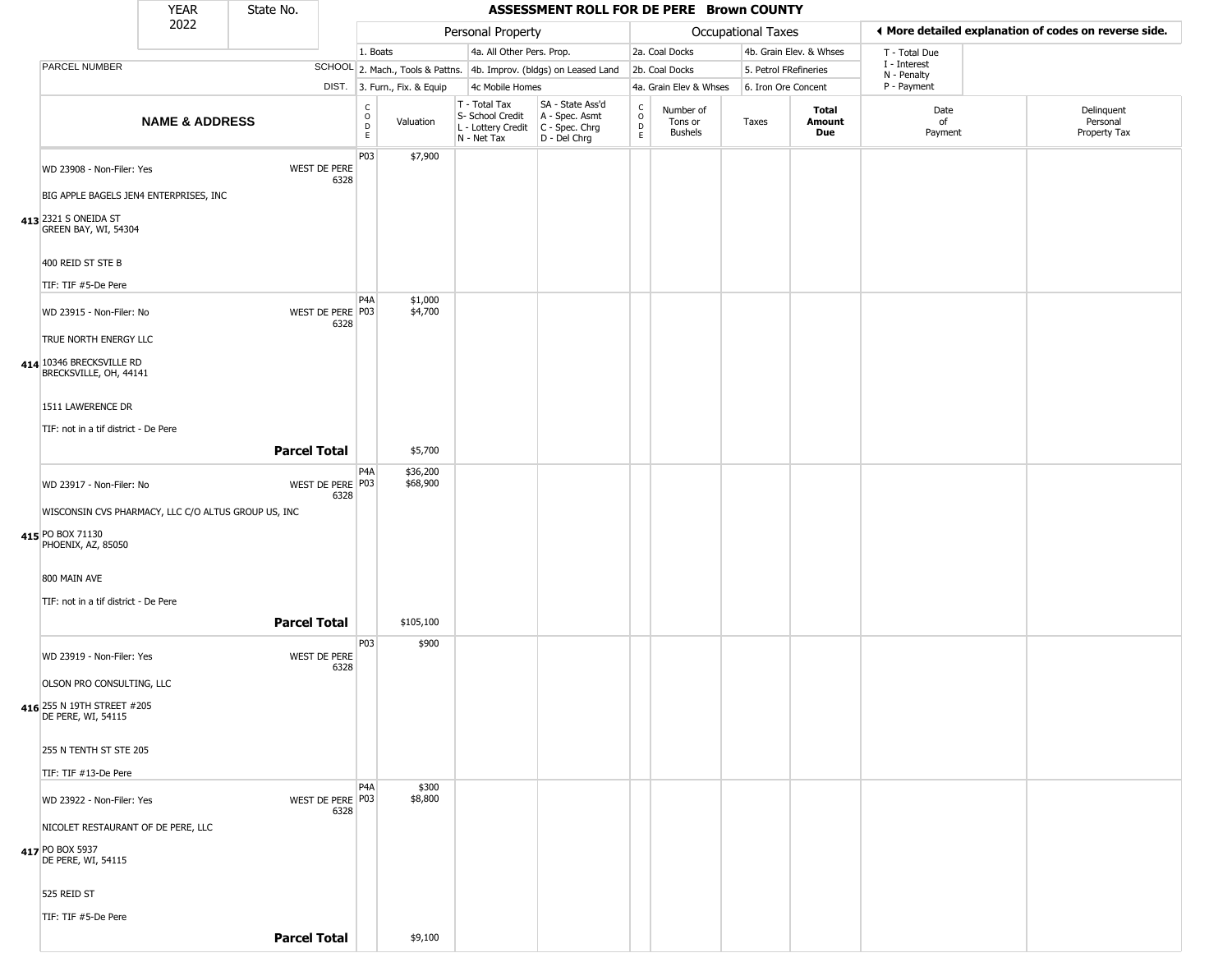|                                                                                               | <b>YEAR</b>               | State No.           |                                              |                              |                                                                        | ASSESSMENT ROLL FOR DE PERE Brown COUNTY                               |                                |                                        |                           |                         |                             |                                                       |
|-----------------------------------------------------------------------------------------------|---------------------------|---------------------|----------------------------------------------|------------------------------|------------------------------------------------------------------------|------------------------------------------------------------------------|--------------------------------|----------------------------------------|---------------------------|-------------------------|-----------------------------|-------------------------------------------------------|
|                                                                                               | 2022                      |                     |                                              |                              | Personal Property                                                      |                                                                        |                                |                                        | <b>Occupational Taxes</b> |                         |                             | ♦ More detailed explanation of codes on reverse side. |
|                                                                                               |                           |                     |                                              | 1. Boats                     | 4a. All Other Pers. Prop.                                              |                                                                        |                                | 2a. Coal Docks                         |                           | 4b. Grain Elev. & Whses | T - Total Due               |                                                       |
| PARCEL NUMBER                                                                                 |                           |                     |                                              |                              |                                                                        | SCHOOL 2. Mach., Tools & Pattns. 4b. Improv. (bldgs) on Leased Land    |                                | 2b. Coal Docks                         |                           | 5. Petrol FRefineries   | I - Interest<br>N - Penalty |                                                       |
|                                                                                               |                           |                     |                                              | DIST. 3. Furn., Fix. & Equip | 4c Mobile Homes                                                        |                                                                        |                                | 4a. Grain Elev & Whses                 | 6. Iron Ore Concent       |                         | P - Payment                 |                                                       |
|                                                                                               | <b>NAME &amp; ADDRESS</b> |                     | C<br>$\circ$<br>D<br>E                       | Valuation                    | T - Total Tax<br>S- School Credit<br>L - Lottery Credit<br>N - Net Tax | SA - State Ass'd<br>A - Spec. Asmt<br>$C - Spec. Chrg$<br>D - Del Chrg | $\rm ^c_o$<br>$\mathsf D$<br>E | Number of<br>Tons or<br><b>Bushels</b> | Taxes                     | Total<br>Amount<br>Due  | Date<br>of<br>Payment       | Delinquent<br>Personal<br>Property Tax                |
| WD 23908 - Non-Filer: Yes<br>BIG APPLE BAGELS JEN4 ENTERPRISES, INC                           |                           |                     | P03<br>WEST DE PERE<br>6328                  | \$7,900                      |                                                                        |                                                                        |                                |                                        |                           |                         |                             |                                                       |
| 413 2321 S ONEIDA ST<br>GREEN BAY, WI, 54304<br>400 REID ST STE B                             |                           |                     |                                              |                              |                                                                        |                                                                        |                                |                                        |                           |                         |                             |                                                       |
| TIF: TIF #5-De Pere                                                                           |                           |                     |                                              |                              |                                                                        |                                                                        |                                |                                        |                           |                         |                             |                                                       |
| WD 23915 - Non-Filer: No<br>TRUE NORTH ENERGY LLC                                             |                           |                     | P <sub>4</sub> A<br>WEST DE PERE P03<br>6328 | \$1,000<br>\$4,700           |                                                                        |                                                                        |                                |                                        |                           |                         |                             |                                                       |
| 414 10346 BRECKSVILLE RD<br>BRECKSVILLE, OH, 44141                                            |                           |                     |                                              |                              |                                                                        |                                                                        |                                |                                        |                           |                         |                             |                                                       |
| 1511 LAWERENCE DR<br>TIF: not in a tif district - De Pere                                     |                           |                     |                                              |                              |                                                                        |                                                                        |                                |                                        |                           |                         |                             |                                                       |
|                                                                                               |                           | <b>Parcel Total</b> |                                              | \$5,700                      |                                                                        |                                                                        |                                |                                        |                           |                         |                             |                                                       |
| WD 23917 - Non-Filer: No                                                                      |                           |                     | P <sub>4</sub> A<br>WEST DE PERE P03<br>6328 | \$36,200<br>\$68,900         |                                                                        |                                                                        |                                |                                        |                           |                         |                             |                                                       |
| WISCONSIN CVS PHARMACY, LLC C/O ALTUS GROUP US, INC<br>415 PO BOX 71130<br>PHOENIX, AZ, 85050 |                           |                     |                                              |                              |                                                                        |                                                                        |                                |                                        |                           |                         |                             |                                                       |
| 800 MAIN AVE<br>TIF: not in a tif district - De Pere                                          |                           |                     |                                              |                              |                                                                        |                                                                        |                                |                                        |                           |                         |                             |                                                       |
|                                                                                               |                           | <b>Parcel Total</b> |                                              | \$105,100                    |                                                                        |                                                                        |                                |                                        |                           |                         |                             |                                                       |
| WD 23919 - Non-Filer: Yes<br>OLSON PRO CONSULTING, LLC                                        |                           |                     | P03<br>WEST DE PERE<br>6328                  | \$900                        |                                                                        |                                                                        |                                |                                        |                           |                         |                             |                                                       |
| 416 255 N 19TH STREET #205<br>DE PERE, WI, 54115                                              |                           |                     |                                              |                              |                                                                        |                                                                        |                                |                                        |                           |                         |                             |                                                       |
| 255 N TENTH ST STE 205<br>TIF: TIF #13-De Pere                                                |                           |                     |                                              |                              |                                                                        |                                                                        |                                |                                        |                           |                         |                             |                                                       |
| WD 23922 - Non-Filer: Yes<br>NICOLET RESTAURANT OF DE PERE, LLC                               |                           |                     | P <sub>4</sub> A<br>WEST DE PERE P03<br>6328 | \$300<br>\$8,800             |                                                                        |                                                                        |                                |                                        |                           |                         |                             |                                                       |
| 417 PO BOX 5937<br>DE PERE, WI, 54115                                                         |                           |                     |                                              |                              |                                                                        |                                                                        |                                |                                        |                           |                         |                             |                                                       |
| 525 REID ST                                                                                   |                           |                     |                                              |                              |                                                                        |                                                                        |                                |                                        |                           |                         |                             |                                                       |
| TIF: TIF #5-De Pere                                                                           |                           |                     |                                              |                              |                                                                        |                                                                        |                                |                                        |                           |                         |                             |                                                       |

**Parcel Total** \$9,100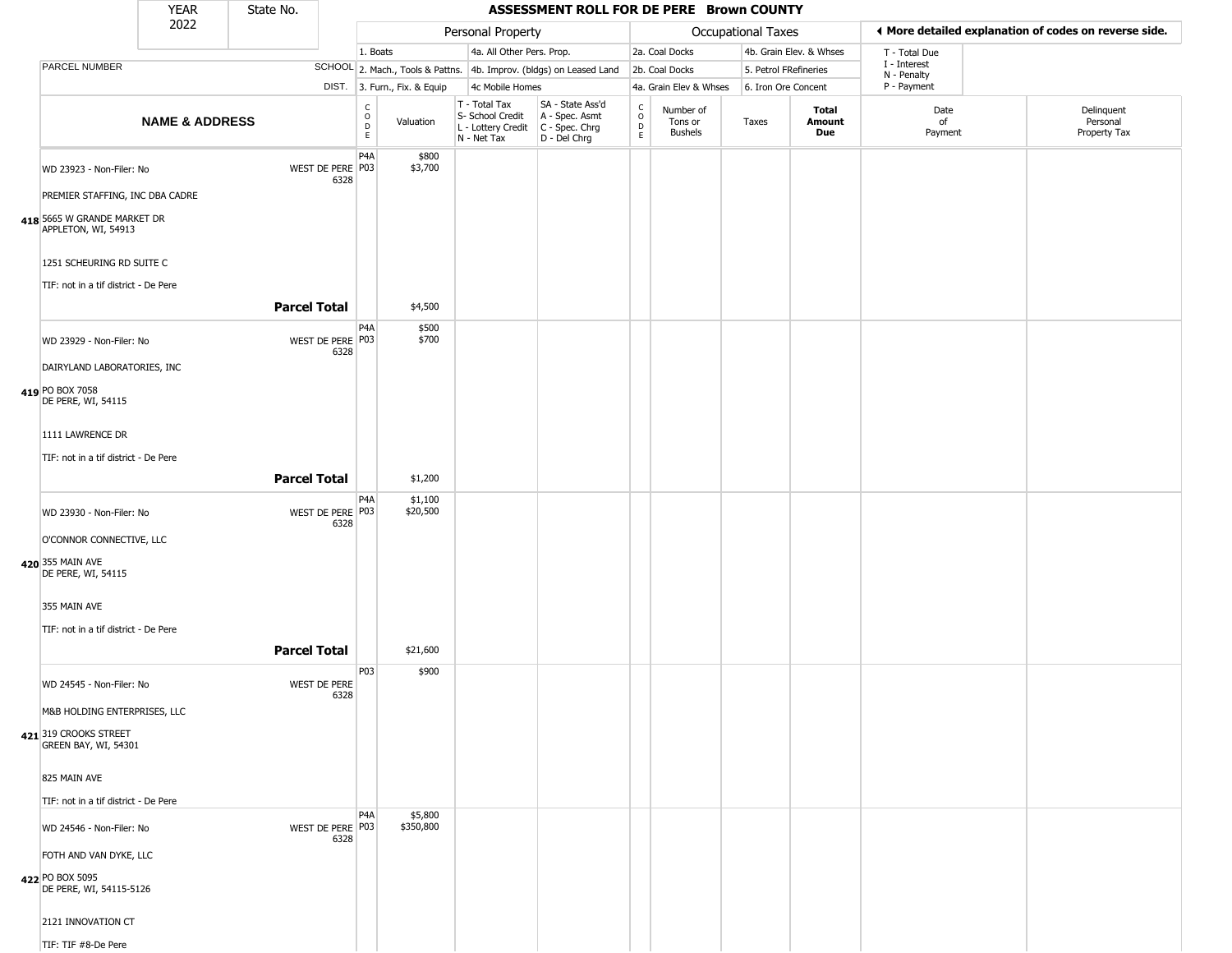|                                                                   | <b>YEAR</b>               | State No.           |                            |                                                 |                              |                                                                                         | ASSESSMENT ROLL FOR DE PERE Brown COUNTY                            |                                          |                                        |                       |                         |                            |                                                       |  |
|-------------------------------------------------------------------|---------------------------|---------------------|----------------------------|-------------------------------------------------|------------------------------|-----------------------------------------------------------------------------------------|---------------------------------------------------------------------|------------------------------------------|----------------------------------------|-----------------------|-------------------------|----------------------------|-------------------------------------------------------|--|
|                                                                   | 2022                      |                     |                            |                                                 |                              | Personal Property                                                                       |                                                                     |                                          |                                        | Occupational Taxes    |                         |                            | ♦ More detailed explanation of codes on reverse side. |  |
|                                                                   |                           |                     |                            | 1. Boats                                        |                              | 4a. All Other Pers. Prop.                                                               |                                                                     |                                          | 2a. Coal Docks                         |                       | 4b. Grain Elev. & Whses | T - Total Due              |                                                       |  |
| PARCEL NUMBER                                                     |                           |                     |                            |                                                 |                              |                                                                                         | SCHOOL 2. Mach., Tools & Pattns. 4b. Improv. (bldgs) on Leased Land |                                          | 2b. Coal Docks                         | 5. Petrol FRefineries |                         | I - Interest               |                                                       |  |
|                                                                   |                           |                     |                            |                                                 | DIST. 3. Furn., Fix. & Equip | 4c Mobile Homes                                                                         |                                                                     |                                          | 4a. Grain Elev & Whses                 | 6. Iron Ore Concent   |                         | N - Penalty<br>P - Payment |                                                       |  |
|                                                                   | <b>NAME &amp; ADDRESS</b> |                     |                            | $\begin{array}{c} C \\ O \\ D \\ E \end{array}$ | Valuation                    | T - Total Tax<br>S- School Credit<br>L - Lottery Credit   C - Spec. Chrg<br>N - Net Tax | SA - State Ass'd<br>A - Spec. Asmt<br>D - Del Chrg                  | $\rm _o^c$<br>$\mathsf D$<br>$\mathsf E$ | Number of<br>Tons or<br><b>Bushels</b> | Taxes                 | Total<br>Amount<br>Due  | Date<br>of<br>Payment      | Delinquent<br>Personal<br>Property Tax                |  |
| WD 23923 - Non-Filer: No                                          |                           |                     | WEST DE PERE P03<br>6328   | P <sub>4</sub> A                                | \$800<br>\$3,700             |                                                                                         |                                                                     |                                          |                                        |                       |                         |                            |                                                       |  |
| PREMIER STAFFING, INC DBA CADRE                                   |                           |                     |                            |                                                 |                              |                                                                                         |                                                                     |                                          |                                        |                       |                         |                            |                                                       |  |
| 418 5665 W GRANDE MARKET DR<br>APPLETON, WI, 54913                |                           |                     |                            |                                                 |                              |                                                                                         |                                                                     |                                          |                                        |                       |                         |                            |                                                       |  |
| 1251 SCHEURING RD SUITE C<br>TIF: not in a tif district - De Pere |                           |                     |                            |                                                 |                              |                                                                                         |                                                                     |                                          |                                        |                       |                         |                            |                                                       |  |
|                                                                   |                           | <b>Parcel Total</b> |                            |                                                 | \$4,500                      |                                                                                         |                                                                     |                                          |                                        |                       |                         |                            |                                                       |  |
| WD 23929 - Non-Filer: No                                          |                           |                     | WEST DE PERE P03<br>6328   | P4A                                             | \$500<br>\$700               |                                                                                         |                                                                     |                                          |                                        |                       |                         |                            |                                                       |  |
| DAIRYLAND LABORATORIES, INC                                       |                           |                     |                            |                                                 |                              |                                                                                         |                                                                     |                                          |                                        |                       |                         |                            |                                                       |  |
| 419 PO BOX 7058<br>DE PERE, WI, 54115                             |                           |                     |                            |                                                 |                              |                                                                                         |                                                                     |                                          |                                        |                       |                         |                            |                                                       |  |
| 1111 LAWRENCE DR                                                  |                           |                     |                            |                                                 |                              |                                                                                         |                                                                     |                                          |                                        |                       |                         |                            |                                                       |  |
| TIF: not in a tif district - De Pere                              |                           |                     |                            |                                                 |                              |                                                                                         |                                                                     |                                          |                                        |                       |                         |                            |                                                       |  |
|                                                                   |                           | <b>Parcel Total</b> |                            |                                                 | \$1,200                      |                                                                                         |                                                                     |                                          |                                        |                       |                         |                            |                                                       |  |
| WD 23930 - Non-Filer: No                                          |                           |                     | WEST DE PERE P03<br>6328   | P4A                                             | \$1,100<br>\$20,500          |                                                                                         |                                                                     |                                          |                                        |                       |                         |                            |                                                       |  |
| O'CONNOR CONNECTIVE, LLC                                          |                           |                     |                            |                                                 |                              |                                                                                         |                                                                     |                                          |                                        |                       |                         |                            |                                                       |  |
| 420 355 MAIN AVE<br>DE PERE, WI, 54115                            |                           |                     |                            |                                                 |                              |                                                                                         |                                                                     |                                          |                                        |                       |                         |                            |                                                       |  |
| 355 MAIN AVE                                                      |                           |                     |                            |                                                 |                              |                                                                                         |                                                                     |                                          |                                        |                       |                         |                            |                                                       |  |
| TIF: not in a tif district - De Pere                              |                           |                     |                            |                                                 |                              |                                                                                         |                                                                     |                                          |                                        |                       |                         |                            |                                                       |  |
|                                                                   |                           | <b>Parcel Total</b> |                            |                                                 | \$21,600                     |                                                                                         |                                                                     |                                          |                                        |                       |                         |                            |                                                       |  |
| WD 24545 - Non-Filer: No                                          |                           |                     | WEST DE PERE<br>6328       | P03                                             | \$900                        |                                                                                         |                                                                     |                                          |                                        |                       |                         |                            |                                                       |  |
| M&B HOLDING ENTERPRISES, LLC                                      |                           |                     |                            |                                                 |                              |                                                                                         |                                                                     |                                          |                                        |                       |                         |                            |                                                       |  |
| 421 319 CROOKS STREET<br>GREEN BAY, WI, 54301                     |                           |                     |                            |                                                 |                              |                                                                                         |                                                                     |                                          |                                        |                       |                         |                            |                                                       |  |
| 825 MAIN AVE                                                      |                           |                     |                            |                                                 |                              |                                                                                         |                                                                     |                                          |                                        |                       |                         |                            |                                                       |  |
| TIF: not in a tif district - De Pere                              |                           |                     |                            |                                                 |                              |                                                                                         |                                                                     |                                          |                                        |                       |                         |                            |                                                       |  |
| WD 24546 - Non-Filer: No                                          |                           |                     | WEST DE PERE   P03<br>6328 | P <sub>4</sub> A                                | \$5,800<br>\$350,800         |                                                                                         |                                                                     |                                          |                                        |                       |                         |                            |                                                       |  |
| FOTH AND VAN DYKE, LLC                                            |                           |                     |                            |                                                 |                              |                                                                                         |                                                                     |                                          |                                        |                       |                         |                            |                                                       |  |
| 422 PO BOX 5095<br>DE PERE, WI, 54115-5126                        |                           |                     |                            |                                                 |                              |                                                                                         |                                                                     |                                          |                                        |                       |                         |                            |                                                       |  |
| 2121 INNOVATION CT                                                |                           |                     |                            |                                                 |                              |                                                                                         |                                                                     |                                          |                                        |                       |                         |                            |                                                       |  |
| TIF: TIF #8-De Pere                                               |                           |                     |                            |                                                 |                              |                                                                                         |                                                                     |                                          |                                        |                       |                         |                            |                                                       |  |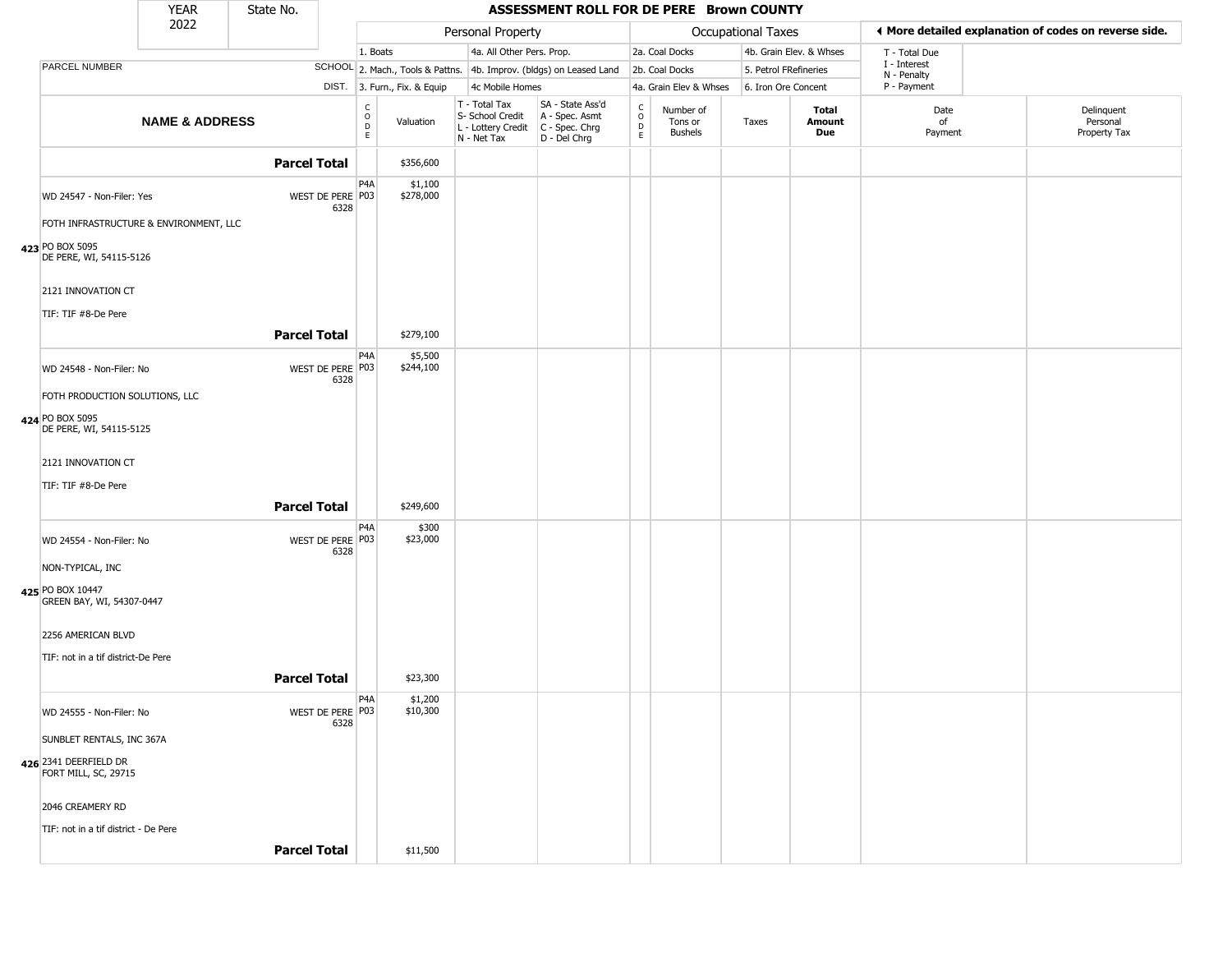|                                               | <b>YEAR</b>               | State No.           |                          |                                    |                              |                                                                        | ASSESSMENT ROLL FOR DE PERE Brown COUNTY                             |                                              |                                        |                       |                               |                             |                                                       |
|-----------------------------------------------|---------------------------|---------------------|--------------------------|------------------------------------|------------------------------|------------------------------------------------------------------------|----------------------------------------------------------------------|----------------------------------------------|----------------------------------------|-----------------------|-------------------------------|-----------------------------|-------------------------------------------------------|
|                                               | 2022                      |                     |                          |                                    |                              | Personal Property                                                      |                                                                      |                                              |                                        | Occupational Taxes    |                               |                             | ♦ More detailed explanation of codes on reverse side. |
|                                               |                           |                     |                          | 1. Boats                           |                              | 4a. All Other Pers. Prop.                                              |                                                                      |                                              | 2a. Coal Docks                         |                       | 4b. Grain Elev. & Whses       | T - Total Due               |                                                       |
| PARCEL NUMBER                                 |                           |                     |                          |                                    |                              |                                                                        | SCHOOL 2. Mach., Tools & Pattns. 4b. Improv. (bldgs) on Leased Land  |                                              | 2b. Coal Docks                         | 5. Petrol FRefineries |                               | I - Interest<br>N - Penalty |                                                       |
|                                               |                           |                     |                          |                                    | DIST. 3. Furn., Fix. & Equip | 4c Mobile Homes                                                        |                                                                      |                                              | 4a. Grain Elev & Whses                 | 6. Iron Ore Concent   |                               | P - Payment                 |                                                       |
|                                               | <b>NAME &amp; ADDRESS</b> |                     |                          | $\mathsf{C}$<br>$\circ$<br>D<br>E. | Valuation                    | T - Total Tax<br>S- School Credit<br>L - Lottery Credit<br>N - Net Tax | SA - State Ass'd<br>A - Spec. Asmt<br>C - Spec. Chrg<br>D - Del Chrg | $\begin{array}{c}\nC \\ D \\ E\n\end{array}$ | Number of<br>Tons or<br><b>Bushels</b> | Taxes                 | Total<br>Amount<br><b>Due</b> | Date<br>of<br>Payment       | Delinquent<br>Personal<br>Property Tax                |
|                                               |                           | <b>Parcel Total</b> |                          |                                    | \$356,600                    |                                                                        |                                                                      |                                              |                                        |                       |                               |                             |                                                       |
| WD 24547 - Non-Filer: Yes                     |                           |                     | WEST DE PERE P03<br>6328 | P <sub>4</sub> A                   | \$1,100<br>\$278,000         |                                                                        |                                                                      |                                              |                                        |                       |                               |                             |                                                       |
| FOTH INFRASTRUCTURE & ENVIRONMENT, LLC        |                           |                     |                          |                                    |                              |                                                                        |                                                                      |                                              |                                        |                       |                               |                             |                                                       |
| 423 PO BOX 5095<br>DE PERE, WI, 54115-5126    |                           |                     |                          |                                    |                              |                                                                        |                                                                      |                                              |                                        |                       |                               |                             |                                                       |
| 2121 INNOVATION CT                            |                           |                     |                          |                                    |                              |                                                                        |                                                                      |                                              |                                        |                       |                               |                             |                                                       |
| TIF: TIF #8-De Pere                           |                           |                     |                          |                                    |                              |                                                                        |                                                                      |                                              |                                        |                       |                               |                             |                                                       |
|                                               |                           | <b>Parcel Total</b> |                          |                                    | \$279,100                    |                                                                        |                                                                      |                                              |                                        |                       |                               |                             |                                                       |
| WD 24548 - Non-Filer: No                      |                           |                     | WEST DE PERE P03<br>6328 | P4A                                | \$5,500<br>\$244,100         |                                                                        |                                                                      |                                              |                                        |                       |                               |                             |                                                       |
| FOTH PRODUCTION SOLUTIONS, LLC                |                           |                     |                          |                                    |                              |                                                                        |                                                                      |                                              |                                        |                       |                               |                             |                                                       |
| 424 PO BOX 5095                               |                           |                     |                          |                                    |                              |                                                                        |                                                                      |                                              |                                        |                       |                               |                             |                                                       |
| DE PERE, WI, 54115-5125                       |                           |                     |                          |                                    |                              |                                                                        |                                                                      |                                              |                                        |                       |                               |                             |                                                       |
| 2121 INNOVATION CT                            |                           |                     |                          |                                    |                              |                                                                        |                                                                      |                                              |                                        |                       |                               |                             |                                                       |
| TIF: TIF #8-De Pere                           |                           |                     |                          |                                    |                              |                                                                        |                                                                      |                                              |                                        |                       |                               |                             |                                                       |
|                                               |                           | <b>Parcel Total</b> |                          |                                    | \$249,600                    |                                                                        |                                                                      |                                              |                                        |                       |                               |                             |                                                       |
| WD 24554 - Non-Filer: No                      |                           |                     | WEST DE PERE P03         | P <sub>4</sub> A                   | \$300<br>\$23,000            |                                                                        |                                                                      |                                              |                                        |                       |                               |                             |                                                       |
| NON-TYPICAL, INC                              |                           |                     | 6328                     |                                    |                              |                                                                        |                                                                      |                                              |                                        |                       |                               |                             |                                                       |
| 425 PO BOX 10447                              |                           |                     |                          |                                    |                              |                                                                        |                                                                      |                                              |                                        |                       |                               |                             |                                                       |
| GREEN BAY, WI, 54307-0447                     |                           |                     |                          |                                    |                              |                                                                        |                                                                      |                                              |                                        |                       |                               |                             |                                                       |
| 2256 AMERICAN BLVD                            |                           |                     |                          |                                    |                              |                                                                        |                                                                      |                                              |                                        |                       |                               |                             |                                                       |
| TIF: not in a tif district-De Pere            |                           |                     |                          |                                    |                              |                                                                        |                                                                      |                                              |                                        |                       |                               |                             |                                                       |
|                                               |                           | <b>Parcel Total</b> |                          |                                    | \$23,300                     |                                                                        |                                                                      |                                              |                                        |                       |                               |                             |                                                       |
| WD 24555 - Non-Filer: No                      |                           |                     | WEST DE PERE P03         | P4A                                | \$1,200<br>\$10,300          |                                                                        |                                                                      |                                              |                                        |                       |                               |                             |                                                       |
| SUNBLET RENTALS, INC 367A                     |                           |                     | 6328                     |                                    |                              |                                                                        |                                                                      |                                              |                                        |                       |                               |                             |                                                       |
|                                               |                           |                     |                          |                                    |                              |                                                                        |                                                                      |                                              |                                        |                       |                               |                             |                                                       |
| 426 2341 DEERFIELD DR<br>FORT MILL, SC, 29715 |                           |                     |                          |                                    |                              |                                                                        |                                                                      |                                              |                                        |                       |                               |                             |                                                       |
| 2046 CREAMERY RD                              |                           |                     |                          |                                    |                              |                                                                        |                                                                      |                                              |                                        |                       |                               |                             |                                                       |
| TIF: not in a tif district - De Pere          |                           |                     |                          |                                    |                              |                                                                        |                                                                      |                                              |                                        |                       |                               |                             |                                                       |
|                                               |                           | <b>Parcel Total</b> |                          |                                    | \$11,500                     |                                                                        |                                                                      |                                              |                                        |                       |                               |                             |                                                       |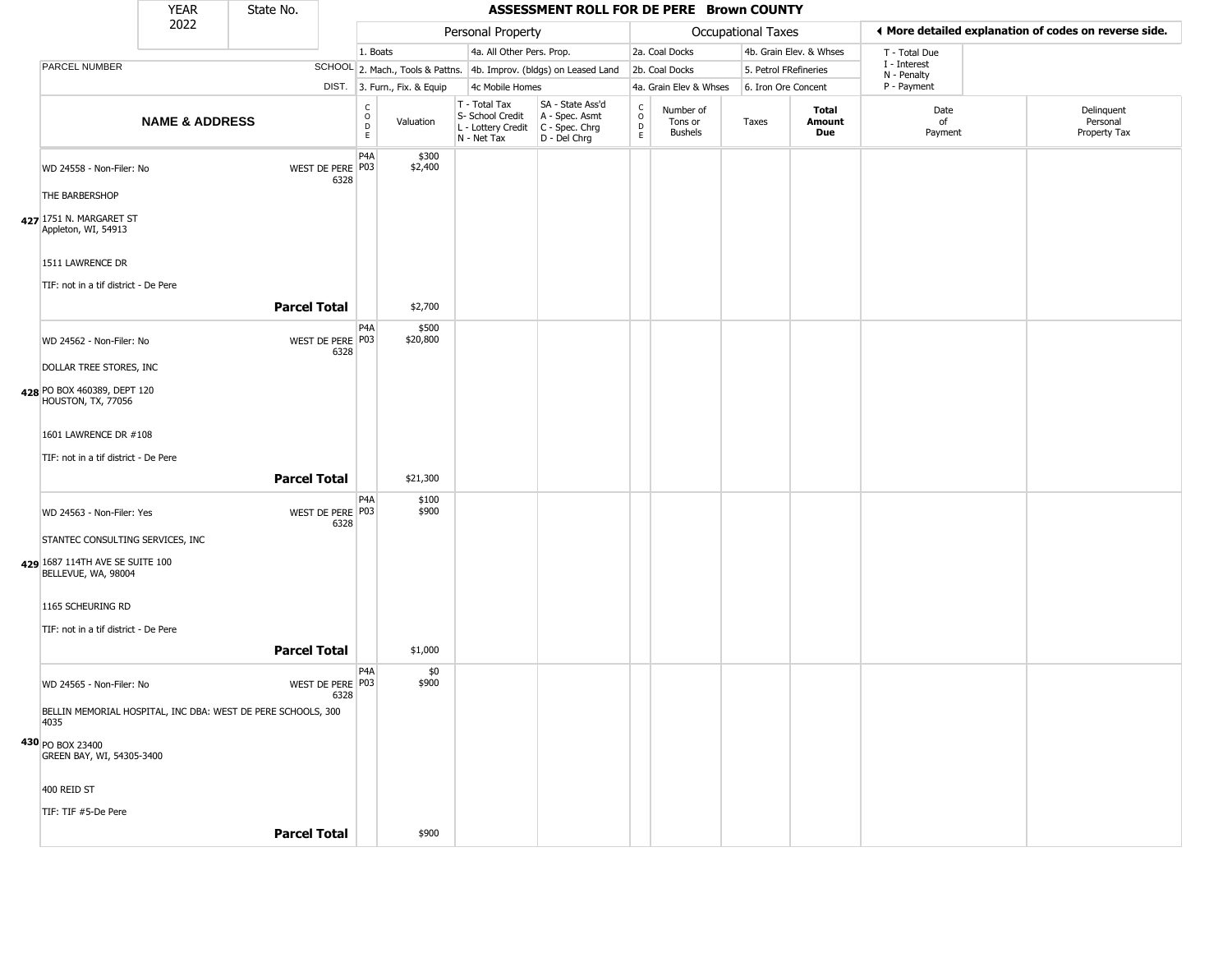|                                                                      | <b>YEAR</b>               | State No.           |                          |                                   |                              |                                                                                         | ASSESSMENT ROLL FOR DE PERE Brown COUNTY                            |                   |                                        |                    |                         |                             |                                                       |
|----------------------------------------------------------------------|---------------------------|---------------------|--------------------------|-----------------------------------|------------------------------|-----------------------------------------------------------------------------------------|---------------------------------------------------------------------|-------------------|----------------------------------------|--------------------|-------------------------|-----------------------------|-------------------------------------------------------|
|                                                                      | 2022                      |                     |                          |                                   |                              | Personal Property                                                                       |                                                                     |                   |                                        | Occupational Taxes |                         |                             | ♦ More detailed explanation of codes on reverse side. |
|                                                                      |                           |                     |                          | 1. Boats                          |                              | 4a. All Other Pers. Prop.                                                               |                                                                     |                   | 2a. Coal Docks                         |                    | 4b. Grain Elev. & Whses | T - Total Due               |                                                       |
| PARCEL NUMBER                                                        |                           |                     |                          |                                   |                              |                                                                                         | SCHOOL 2. Mach., Tools & Pattns. 4b. Improv. (bldgs) on Leased Land |                   | 2b. Coal Docks                         |                    | 5. Petrol FRefineries   | I - Interest<br>N - Penalty |                                                       |
|                                                                      |                           |                     |                          |                                   | DIST. 3. Furn., Fix. & Equip | 4c Mobile Homes                                                                         |                                                                     |                   | 4a. Grain Elev & Whses                 |                    | 6. Iron Ore Concent     | P - Payment                 |                                                       |
|                                                                      | <b>NAME &amp; ADDRESS</b> |                     |                          | $\mathsf{C}$<br>$\circ$<br>D<br>E | Valuation                    | T - Total Tax<br>S- School Credit<br>L - Lottery Credit   C - Spec. Chrg<br>N - Net Tax | SA - State Ass'd<br>A - Spec. Asmt<br>D - Del Chrg                  | C<br>0<br>D<br>E. | Number of<br>Tons or<br><b>Bushels</b> | Taxes              | Total<br>Amount<br>Due  | Date<br>of<br>Payment       | Delinquent<br>Personal<br>Property Tax                |
| WD 24558 - Non-Filer: No                                             |                           |                     | WEST DE PERE P03<br>6328 | P <sub>4</sub> A                  | \$300<br>\$2,400             |                                                                                         |                                                                     |                   |                                        |                    |                         |                             |                                                       |
| THE BARBERSHOP                                                       |                           |                     |                          |                                   |                              |                                                                                         |                                                                     |                   |                                        |                    |                         |                             |                                                       |
| 427 1751 N. MARGARET ST<br>Appleton, WI, 54913                       |                           |                     |                          |                                   |                              |                                                                                         |                                                                     |                   |                                        |                    |                         |                             |                                                       |
| 1511 LAWRENCE DR<br>TIF: not in a tif district - De Pere             |                           |                     |                          |                                   |                              |                                                                                         |                                                                     |                   |                                        |                    |                         |                             |                                                       |
|                                                                      |                           | <b>Parcel Total</b> |                          |                                   | \$2,700                      |                                                                                         |                                                                     |                   |                                        |                    |                         |                             |                                                       |
| WD 24562 - Non-Filer: No                                             |                           |                     | WEST DE PERE P03<br>6328 | P4A                               | \$500<br>\$20,800            |                                                                                         |                                                                     |                   |                                        |                    |                         |                             |                                                       |
| DOLLAR TREE STORES, INC                                              |                           |                     |                          |                                   |                              |                                                                                         |                                                                     |                   |                                        |                    |                         |                             |                                                       |
| 428 PO BOX 460389, DEPT 120<br>HOUSTON, TX, 77056                    |                           |                     |                          |                                   |                              |                                                                                         |                                                                     |                   |                                        |                    |                         |                             |                                                       |
| 1601 LAWRENCE DR #108                                                |                           |                     |                          |                                   |                              |                                                                                         |                                                                     |                   |                                        |                    |                         |                             |                                                       |
| TIF: not in a tif district - De Pere                                 |                           |                     |                          |                                   |                              |                                                                                         |                                                                     |                   |                                        |                    |                         |                             |                                                       |
|                                                                      |                           | <b>Parcel Total</b> |                          |                                   | \$21,300                     |                                                                                         |                                                                     |                   |                                        |                    |                         |                             |                                                       |
| WD 24563 - Non-Filer: Yes                                            |                           |                     | WEST DE PERE P03<br>6328 | P <sub>4</sub> A                  | \$100<br>\$900               |                                                                                         |                                                                     |                   |                                        |                    |                         |                             |                                                       |
| STANTEC CONSULTING SERVICES, INC                                     |                           |                     |                          |                                   |                              |                                                                                         |                                                                     |                   |                                        |                    |                         |                             |                                                       |
| 429 1687 114TH AVE SE SUITE 100<br>BELLEVUE, WA, 98004               |                           |                     |                          |                                   |                              |                                                                                         |                                                                     |                   |                                        |                    |                         |                             |                                                       |
| 1165 SCHEURING RD                                                    |                           |                     |                          |                                   |                              |                                                                                         |                                                                     |                   |                                        |                    |                         |                             |                                                       |
| TIF: not in a tif district - De Pere                                 |                           |                     |                          |                                   |                              |                                                                                         |                                                                     |                   |                                        |                    |                         |                             |                                                       |
|                                                                      |                           | <b>Parcel Total</b> |                          |                                   | \$1,000                      |                                                                                         |                                                                     |                   |                                        |                    |                         |                             |                                                       |
| WD 24565 - Non-Filer: No                                             |                           |                     | WEST DE PERE P03<br>6328 | P4A                               | \$0<br>\$900                 |                                                                                         |                                                                     |                   |                                        |                    |                         |                             |                                                       |
| BELLIN MEMORIAL HOSPITAL, INC DBA: WEST DE PERE SCHOOLS, 300<br>4035 |                           |                     |                          |                                   |                              |                                                                                         |                                                                     |                   |                                        |                    |                         |                             |                                                       |
| 430 PO BOX 23400<br>GREEN BAY, WI, 54305-3400                        |                           |                     |                          |                                   |                              |                                                                                         |                                                                     |                   |                                        |                    |                         |                             |                                                       |
| 400 REID ST                                                          |                           |                     |                          |                                   |                              |                                                                                         |                                                                     |                   |                                        |                    |                         |                             |                                                       |
| TIF: TIF #5-De Pere                                                  |                           |                     |                          |                                   |                              |                                                                                         |                                                                     |                   |                                        |                    |                         |                             |                                                       |
|                                                                      |                           | <b>Parcel Total</b> |                          |                                   | \$900                        |                                                                                         |                                                                     |                   |                                        |                    |                         |                             |                                                       |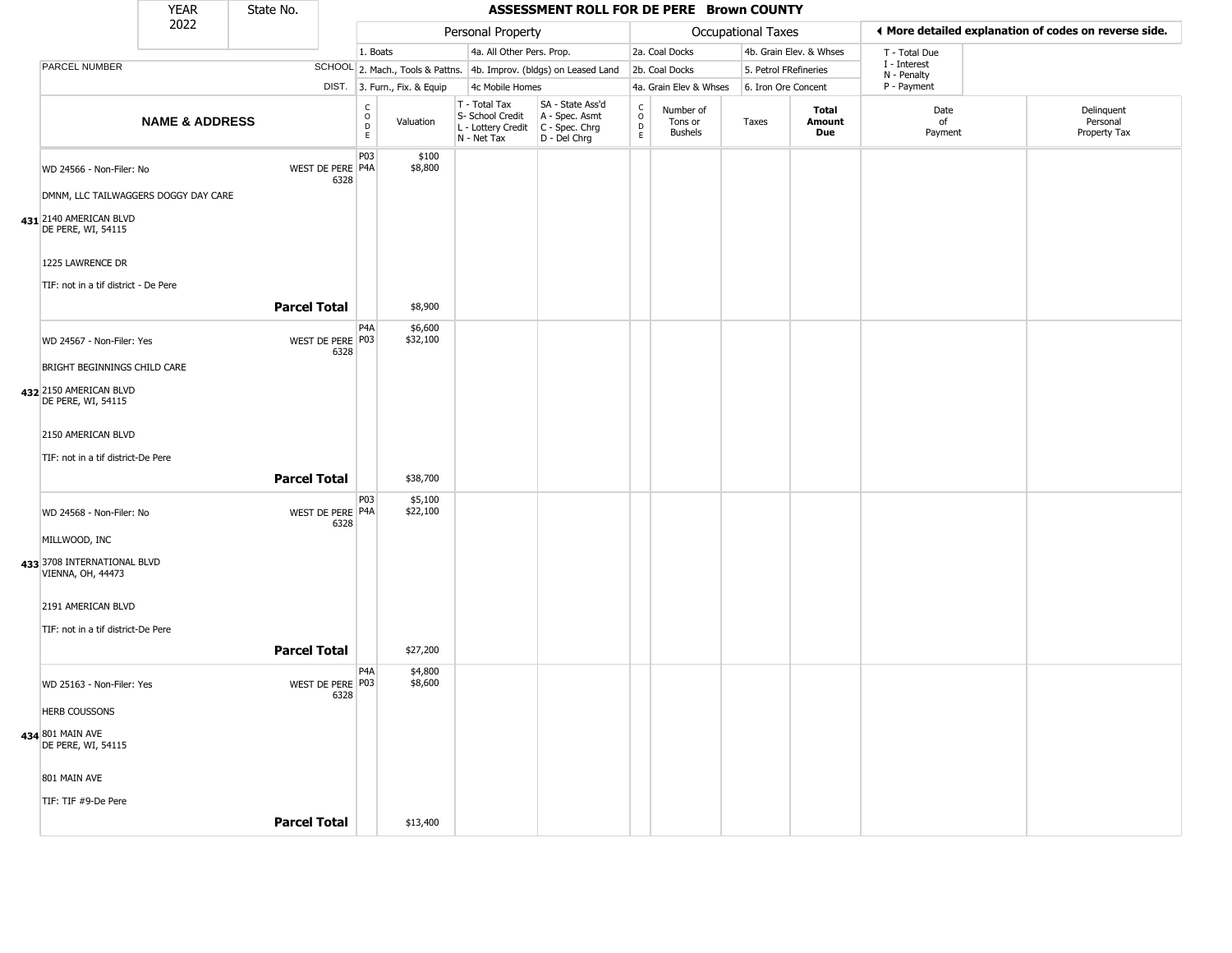|                                                                  | <b>YEAR</b>               | State No.           |                          |                                                 |                              |                                                                                         | ASSESSMENT ROLL FOR DE PERE Brown COUNTY                            |                                            |                                 |                       |                         |                             |                                                       |
|------------------------------------------------------------------|---------------------------|---------------------|--------------------------|-------------------------------------------------|------------------------------|-----------------------------------------------------------------------------------------|---------------------------------------------------------------------|--------------------------------------------|---------------------------------|-----------------------|-------------------------|-----------------------------|-------------------------------------------------------|
|                                                                  | 2022                      |                     |                          |                                                 |                              | Personal Property                                                                       |                                                                     |                                            |                                 | Occupational Taxes    |                         |                             | ♦ More detailed explanation of codes on reverse side. |
|                                                                  |                           |                     |                          | 1. Boats                                        |                              | 4a. All Other Pers. Prop.                                                               |                                                                     |                                            | 2a. Coal Docks                  |                       | 4b. Grain Elev. & Whses | T - Total Due               |                                                       |
| PARCEL NUMBER                                                    |                           |                     |                          |                                                 |                              |                                                                                         | SCHOOL 2. Mach., Tools & Pattns. 4b. Improv. (bldgs) on Leased Land |                                            | 2b. Coal Docks                  | 5. Petrol FRefineries |                         | I - Interest<br>N - Penalty |                                                       |
|                                                                  |                           |                     |                          |                                                 | DIST. 3. Furn., Fix. & Equip | 4c Mobile Homes                                                                         |                                                                     |                                            | 4a. Grain Elev & Whses          | 6. Iron Ore Concent   |                         | P - Payment                 |                                                       |
|                                                                  | <b>NAME &amp; ADDRESS</b> |                     |                          | $\begin{array}{c} C \\ O \\ D \\ E \end{array}$ | Valuation                    | T - Total Tax<br>S- School Credit<br>L - Lottery Credit   C - Spec. Chrg<br>N - Net Tax | SA - State Ass'd<br>A - Spec. Asmt<br>D - Del Chrg                  | $\begin{array}{c} C \\ O \\ E \end{array}$ | Number of<br>Tons or<br>Bushels | Taxes                 | Total<br>Amount<br>Due  | Date<br>of<br>Payment       | Delinquent<br>Personal<br>Property Tax                |
| WD 24566 - Non-Filer: No<br>DMNM, LLC TAILWAGGERS DOGGY DAY CARE |                           |                     | WEST DE PERE P4A<br>6328 | P03                                             | \$100<br>\$8,800             |                                                                                         |                                                                     |                                            |                                 |                       |                         |                             |                                                       |
| 431 2140 AMERICAN BLVD<br>DE PERE, WI, 54115                     |                           |                     |                          |                                                 |                              |                                                                                         |                                                                     |                                            |                                 |                       |                         |                             |                                                       |
| 1225 LAWRENCE DR                                                 |                           |                     |                          |                                                 |                              |                                                                                         |                                                                     |                                            |                                 |                       |                         |                             |                                                       |
| TIF: not in a tif district - De Pere                             |                           | <b>Parcel Total</b> |                          |                                                 | \$8,900                      |                                                                                         |                                                                     |                                            |                                 |                       |                         |                             |                                                       |
| WD 24567 - Non-Filer: Yes                                        |                           |                     | WEST DE PERE P03         | P <sub>4</sub> A                                | \$6,600<br>\$32,100          |                                                                                         |                                                                     |                                            |                                 |                       |                         |                             |                                                       |
| BRIGHT BEGINNINGS CHILD CARE                                     |                           |                     | 6328                     |                                                 |                              |                                                                                         |                                                                     |                                            |                                 |                       |                         |                             |                                                       |
| 432 2150 AMERICAN BLVD<br>DE PERE, WI, 54115                     |                           |                     |                          |                                                 |                              |                                                                                         |                                                                     |                                            |                                 |                       |                         |                             |                                                       |
| 2150 AMERICAN BLVD                                               |                           |                     |                          |                                                 |                              |                                                                                         |                                                                     |                                            |                                 |                       |                         |                             |                                                       |
| TIF: not in a tif district-De Pere                               |                           | <b>Parcel Total</b> |                          |                                                 | \$38,700                     |                                                                                         |                                                                     |                                            |                                 |                       |                         |                             |                                                       |
| WD 24568 - Non-Filer: No                                         |                           |                     | WEST DE PERE P4A         | P03                                             | \$5,100<br>\$22,100          |                                                                                         |                                                                     |                                            |                                 |                       |                         |                             |                                                       |
| MILLWOOD, INC                                                    |                           |                     | 6328                     |                                                 |                              |                                                                                         |                                                                     |                                            |                                 |                       |                         |                             |                                                       |
| 433 3708 INTERNATIONAL BLVD<br>VIENNA, OH, 44473                 |                           |                     |                          |                                                 |                              |                                                                                         |                                                                     |                                            |                                 |                       |                         |                             |                                                       |
| 2191 AMERICAN BLVD                                               |                           |                     |                          |                                                 |                              |                                                                                         |                                                                     |                                            |                                 |                       |                         |                             |                                                       |
| TIF: not in a tif district-De Pere                               |                           | <b>Parcel Total</b> |                          |                                                 | \$27,200                     |                                                                                         |                                                                     |                                            |                                 |                       |                         |                             |                                                       |
| WD 25163 - Non-Filer: Yes                                        |                           |                     | WEST DE PERE P03         | P4A                                             | \$4,800<br>\$8,600           |                                                                                         |                                                                     |                                            |                                 |                       |                         |                             |                                                       |
| <b>HERB COUSSONS</b>                                             |                           |                     | 6328                     |                                                 |                              |                                                                                         |                                                                     |                                            |                                 |                       |                         |                             |                                                       |
| 434 801 MAIN AVE<br>DE PERE, WI, 54115                           |                           |                     |                          |                                                 |                              |                                                                                         |                                                                     |                                            |                                 |                       |                         |                             |                                                       |
| 801 MAIN AVE                                                     |                           |                     |                          |                                                 |                              |                                                                                         |                                                                     |                                            |                                 |                       |                         |                             |                                                       |
| TIF: TIF #9-De Pere                                              |                           |                     |                          |                                                 |                              |                                                                                         |                                                                     |                                            |                                 |                       |                         |                             |                                                       |
|                                                                  |                           | <b>Parcel Total</b> |                          |                                                 | \$13,400                     |                                                                                         |                                                                     |                                            |                                 |                       |                         |                             |                                                       |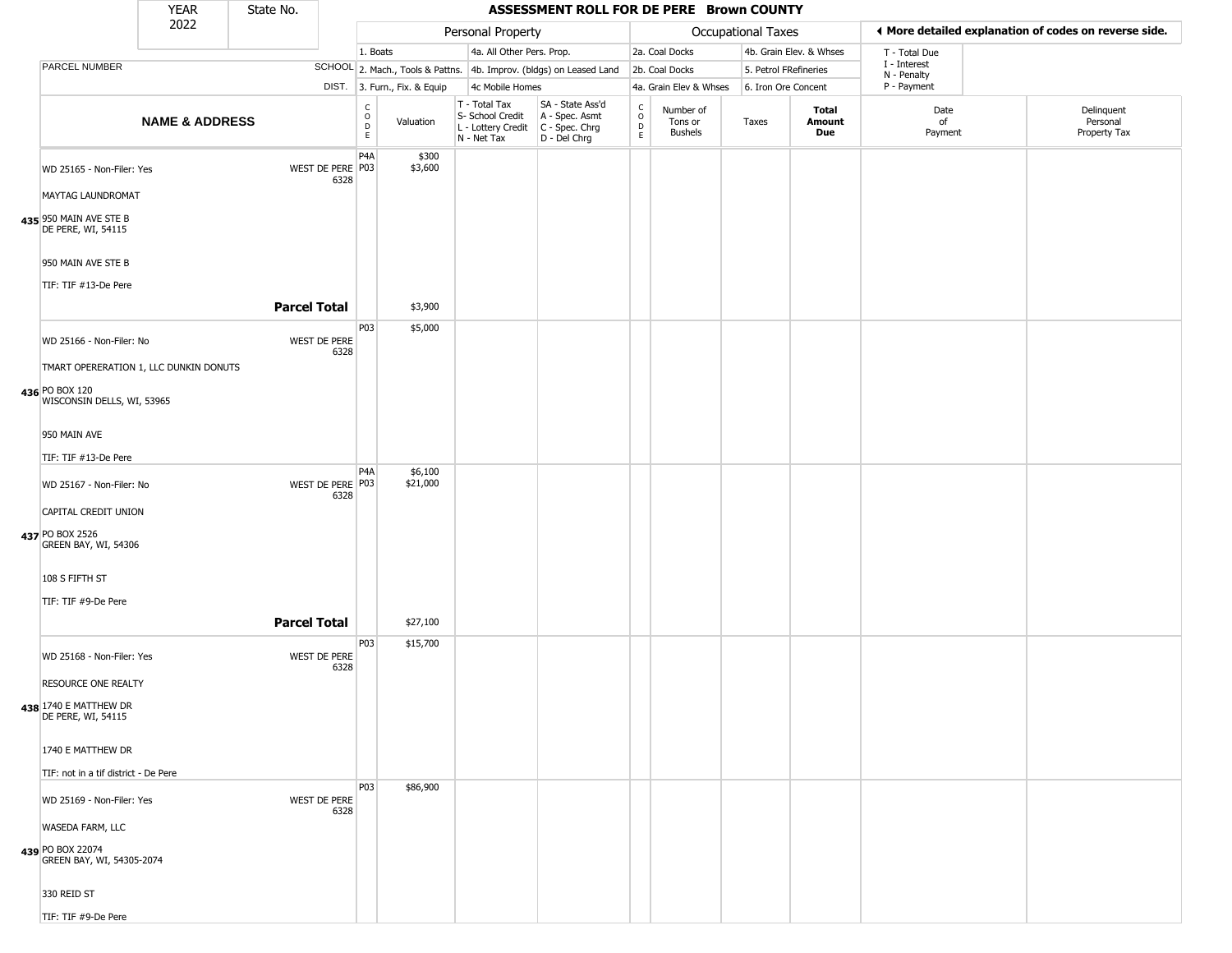|                                                | <b>YEAR</b>               | State No. |                          |                                                  |                              |                                                                        | ASSESSMENT ROLL FOR DE PERE Brown COUNTY                               |                                                 |                                        |                           |                         |                             |                                                       |
|------------------------------------------------|---------------------------|-----------|--------------------------|--------------------------------------------------|------------------------------|------------------------------------------------------------------------|------------------------------------------------------------------------|-------------------------------------------------|----------------------------------------|---------------------------|-------------------------|-----------------------------|-------------------------------------------------------|
|                                                | 2022                      |           |                          |                                                  |                              | Personal Property                                                      |                                                                        |                                                 |                                        | <b>Occupational Taxes</b> |                         |                             | I More detailed explanation of codes on reverse side. |
|                                                |                           |           |                          | 1. Boats                                         |                              | 4a. All Other Pers. Prop.                                              |                                                                        |                                                 | 2a. Coal Docks                         |                           | 4b. Grain Elev. & Whses | T - Total Due               |                                                       |
| PARCEL NUMBER                                  |                           |           |                          |                                                  |                              |                                                                        | SCHOOL 2. Mach., Tools & Pattns. 4b. Improv. (bldgs) on Leased Land    |                                                 | 2b. Coal Docks                         |                           | 5. Petrol FRefineries   | I - Interest<br>N - Penalty |                                                       |
|                                                |                           |           |                          |                                                  | DIST. 3. Furn., Fix. & Equip | 4c Mobile Homes                                                        |                                                                        |                                                 | 4a. Grain Elev & Whses                 |                           | 6. Iron Ore Concent     | P - Payment                 |                                                       |
|                                                | <b>NAME &amp; ADDRESS</b> |           |                          | $_{\rm o}^{\rm c}$<br>$\mathsf D$<br>$\mathsf E$ | Valuation                    | T - Total Tax<br>S- School Credit<br>L - Lottery Credit<br>N - Net Tax | SA - State Ass'd<br>A - Spec. Asmt<br>$C - Spec. Chrg$<br>D - Del Chrg | $\begin{array}{c} C \\ O \\ D \\ E \end{array}$ | Number of<br>Tons or<br><b>Bushels</b> | Taxes                     | Total<br>Amount<br>Due  | Date<br>of<br>Payment       | Delinquent<br>Personal<br>Property Tax                |
| WD 25165 - Non-Filer: Yes<br>MAYTAG LAUNDROMAT |                           |           | WEST DE PERE P03<br>6328 | P4A                                              | \$300<br>\$3,600             |                                                                        |                                                                        |                                                 |                                        |                           |                         |                             |                                                       |
|                                                |                           |           |                          |                                                  |                              |                                                                        |                                                                        |                                                 |                                        |                           |                         |                             |                                                       |
| 435 950 MAIN AVE STE B<br>DE PERE, WI, 54115   |                           |           |                          |                                                  |                              |                                                                        |                                                                        |                                                 |                                        |                           |                         |                             |                                                       |
| 950 MAIN AVE STE B                             |                           |           |                          |                                                  |                              |                                                                        |                                                                        |                                                 |                                        |                           |                         |                             |                                                       |
| TIF: TIF #13-De Pere                           |                           |           | <b>Parcel Total</b>      |                                                  | \$3,900                      |                                                                        |                                                                        |                                                 |                                        |                           |                         |                             |                                                       |
| WD 25166 - Non-Filer: No                       |                           |           | WEST DE PERE             | P03                                              | \$5,000                      |                                                                        |                                                                        |                                                 |                                        |                           |                         |                             |                                                       |
| TMART OPERERATION 1, LLC DUNKIN DONUTS         |                           |           | 6328                     |                                                  |                              |                                                                        |                                                                        |                                                 |                                        |                           |                         |                             |                                                       |
| 436 PO BOX 120<br>WISCONSIN DELLS, WI, 53965   |                           |           |                          |                                                  |                              |                                                                        |                                                                        |                                                 |                                        |                           |                         |                             |                                                       |
| 950 MAIN AVE                                   |                           |           |                          |                                                  |                              |                                                                        |                                                                        |                                                 |                                        |                           |                         |                             |                                                       |
| TIF: TIF #13-De Pere                           |                           |           |                          |                                                  |                              |                                                                        |                                                                        |                                                 |                                        |                           |                         |                             |                                                       |
| WD 25167 - Non-Filer: No                       |                           |           | WEST DE PERE P03<br>6328 | P4A                                              | \$6,100<br>\$21,000          |                                                                        |                                                                        |                                                 |                                        |                           |                         |                             |                                                       |
| CAPITAL CREDIT UNION                           |                           |           |                          |                                                  |                              |                                                                        |                                                                        |                                                 |                                        |                           |                         |                             |                                                       |
| 437 PO BOX 2526<br>GREEN BAY, WI, 54306        |                           |           |                          |                                                  |                              |                                                                        |                                                                        |                                                 |                                        |                           |                         |                             |                                                       |
| 108 S FIFTH ST                                 |                           |           |                          |                                                  |                              |                                                                        |                                                                        |                                                 |                                        |                           |                         |                             |                                                       |
| TIF: TIF #9-De Pere                            |                           |           |                          |                                                  |                              |                                                                        |                                                                        |                                                 |                                        |                           |                         |                             |                                                       |
|                                                |                           |           | <b>Parcel Total</b>      |                                                  | \$27,100                     |                                                                        |                                                                        |                                                 |                                        |                           |                         |                             |                                                       |
| WD 25168 - Non-Filer: Yes                      |                           |           | WEST DE PERE<br>6328     | P03                                              | \$15,700                     |                                                                        |                                                                        |                                                 |                                        |                           |                         |                             |                                                       |
| RESOURCE ONE REALTY                            |                           |           |                          |                                                  |                              |                                                                        |                                                                        |                                                 |                                        |                           |                         |                             |                                                       |
| 438 1740 E MATTHEW DR<br>DE PERE, WI, 54115    |                           |           |                          |                                                  |                              |                                                                        |                                                                        |                                                 |                                        |                           |                         |                             |                                                       |
| 1740 E MATTHEW DR                              |                           |           |                          |                                                  |                              |                                                                        |                                                                        |                                                 |                                        |                           |                         |                             |                                                       |
| TIF: not in a tif district - De Pere           |                           |           |                          |                                                  |                              |                                                                        |                                                                        |                                                 |                                        |                           |                         |                             |                                                       |
| WD 25169 - Non-Filer: Yes                      |                           |           | WEST DE PERE<br>6328     | P03                                              | \$86,900                     |                                                                        |                                                                        |                                                 |                                        |                           |                         |                             |                                                       |
| WASEDA FARM, LLC                               |                           |           |                          |                                                  |                              |                                                                        |                                                                        |                                                 |                                        |                           |                         |                             |                                                       |
| 439 PO BOX 22074<br>GREEN BAY, WI, 54305-2074  |                           |           |                          |                                                  |                              |                                                                        |                                                                        |                                                 |                                        |                           |                         |                             |                                                       |
| 330 REID ST                                    |                           |           |                          |                                                  |                              |                                                                        |                                                                        |                                                 |                                        |                           |                         |                             |                                                       |
| TIF: TIF #9-De Pere                            |                           |           |                          |                                                  |                              |                                                                        |                                                                        |                                                 |                                        |                           |                         |                             |                                                       |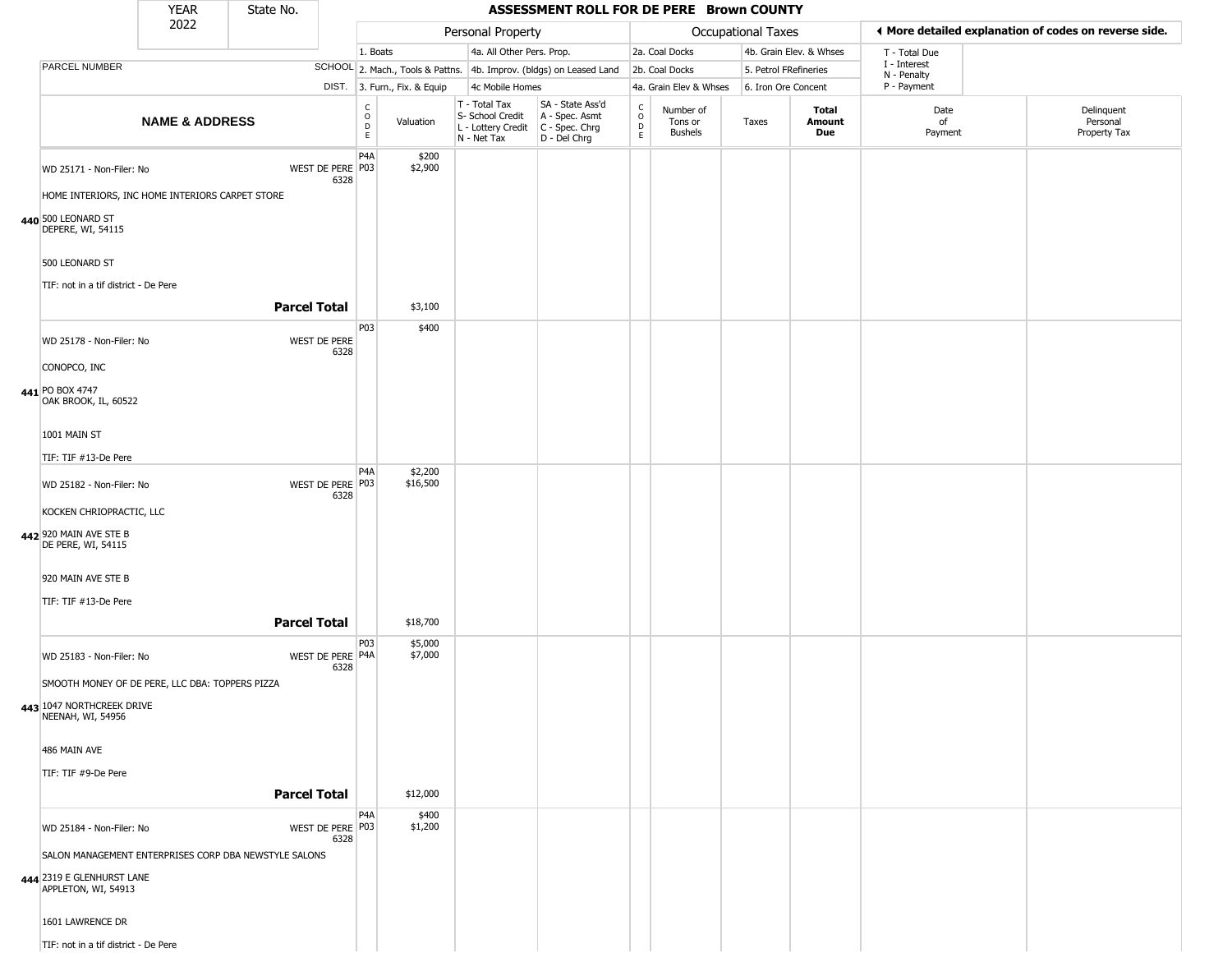|                                                                                   | <b>YEAR</b>               | State No.           |                                                          |                              |                                                  | ASSESSMENT ROLL FOR DE PERE Brown COUNTY                                                  |                                          |                                        |                       |                               |                             |                                                       |
|-----------------------------------------------------------------------------------|---------------------------|---------------------|----------------------------------------------------------|------------------------------|--------------------------------------------------|-------------------------------------------------------------------------------------------|------------------------------------------|----------------------------------------|-----------------------|-------------------------------|-----------------------------|-------------------------------------------------------|
|                                                                                   | 2022                      |                     |                                                          |                              | Personal Property                                |                                                                                           |                                          |                                        | Occupational Taxes    |                               |                             | ♦ More detailed explanation of codes on reverse side. |
|                                                                                   |                           |                     | 1. Boats                                                 |                              | 4a. All Other Pers. Prop.                        |                                                                                           |                                          | 2a. Coal Docks                         |                       | 4b. Grain Elev. & Whses       | T - Total Due               |                                                       |
| PARCEL NUMBER                                                                     |                           |                     |                                                          |                              |                                                  | SCHOOL 2. Mach., Tools & Pattns. 4b. Improv. (bldgs) on Leased Land                       |                                          | 2b. Coal Docks                         | 5. Petrol FRefineries |                               | I - Interest<br>N - Penalty |                                                       |
|                                                                                   |                           |                     |                                                          | DIST. 3. Furn., Fix. & Equip | 4c Mobile Homes                                  |                                                                                           |                                          | 4a. Grain Elev & Whses                 | 6. Iron Ore Concent   |                               | P - Payment                 |                                                       |
|                                                                                   | <b>NAME &amp; ADDRESS</b> |                     | $\begin{matrix} 0 \\ 0 \\ D \end{matrix}$<br>$\mathsf E$ | Valuation                    | T - Total Tax<br>S- School Credit<br>N - Net Tax | SA - State Ass'd<br>A - Spec. Asmt<br>L - Lottery Credit   C - Spec. Chrg<br>D - Del Chrg | $\rm _o^C$<br>$\mathsf D$<br>$\mathsf E$ | Number of<br>Tons or<br><b>Bushels</b> | Taxes                 | <b>Total</b><br>Amount<br>Due | Date<br>of<br>Payment       | Delinquent<br>Personal<br>Property Tax                |
| WD 25171 - Non-Filer: No                                                          |                           |                     | P <sub>4</sub> A<br>WEST DE PERE P03<br>6328             | \$200<br>\$2,900             |                                                  |                                                                                           |                                          |                                        |                       |                               |                             |                                                       |
| HOME INTERIORS, INC HOME INTERIORS CARPET STORE                                   |                           |                     |                                                          |                              |                                                  |                                                                                           |                                          |                                        |                       |                               |                             |                                                       |
| 440 500 LEONARD ST<br>DEPERE, WI, 54115                                           |                           |                     |                                                          |                              |                                                  |                                                                                           |                                          |                                        |                       |                               |                             |                                                       |
| 500 LEONARD ST<br>TIF: not in a tif district - De Pere                            |                           |                     |                                                          |                              |                                                  |                                                                                           |                                          |                                        |                       |                               |                             |                                                       |
|                                                                                   |                           | <b>Parcel Total</b> |                                                          | \$3,100                      |                                                  |                                                                                           |                                          |                                        |                       |                               |                             |                                                       |
| WD 25178 - Non-Filer: No                                                          |                           |                     | P <sub>03</sub><br>WEST DE PERE<br>6328                  | \$400                        |                                                  |                                                                                           |                                          |                                        |                       |                               |                             |                                                       |
| CONOPCO, INC                                                                      |                           |                     |                                                          |                              |                                                  |                                                                                           |                                          |                                        |                       |                               |                             |                                                       |
| 441 PO BOX 4747<br>OAK BROOK, IL, 60522                                           |                           |                     |                                                          |                              |                                                  |                                                                                           |                                          |                                        |                       |                               |                             |                                                       |
| 1001 MAIN ST                                                                      |                           |                     |                                                          |                              |                                                  |                                                                                           |                                          |                                        |                       |                               |                             |                                                       |
| TIF: TIF #13-De Pere                                                              |                           |                     |                                                          |                              |                                                  |                                                                                           |                                          |                                        |                       |                               |                             |                                                       |
| WD 25182 - Non-Filer: No                                                          |                           |                     | P <sub>4</sub> A<br>WEST DE PERE P03<br>6328             | \$2,200<br>\$16,500          |                                                  |                                                                                           |                                          |                                        |                       |                               |                             |                                                       |
| KOCKEN CHRIOPRACTIC, LLC                                                          |                           |                     |                                                          |                              |                                                  |                                                                                           |                                          |                                        |                       |                               |                             |                                                       |
| 442 920 MAIN AVE STE B<br>DE PERE, WI, 54115                                      |                           |                     |                                                          |                              |                                                  |                                                                                           |                                          |                                        |                       |                               |                             |                                                       |
| 920 MAIN AVE STE B                                                                |                           |                     |                                                          |                              |                                                  |                                                                                           |                                          |                                        |                       |                               |                             |                                                       |
| TIF: TIF #13-De Pere                                                              |                           | <b>Parcel Total</b> |                                                          | \$18,700                     |                                                  |                                                                                           |                                          |                                        |                       |                               |                             |                                                       |
| WD 25183 - Non-Filer: No                                                          |                           |                     | P03<br>WEST DE PERE P4A<br>6328                          | \$5,000<br>\$7,000           |                                                  |                                                                                           |                                          |                                        |                       |                               |                             |                                                       |
| SMOOTH MONEY OF DE PERE, LLC DBA: TOPPERS PIZZA                                   |                           |                     |                                                          |                              |                                                  |                                                                                           |                                          |                                        |                       |                               |                             |                                                       |
| 443 1047 NORTHCREEK DRIVE<br>NEENAH, WI, 54956                                    |                           |                     |                                                          |                              |                                                  |                                                                                           |                                          |                                        |                       |                               |                             |                                                       |
| 486 MAIN AVE                                                                      |                           |                     |                                                          |                              |                                                  |                                                                                           |                                          |                                        |                       |                               |                             |                                                       |
| TIF: TIF #9-De Pere                                                               |                           | <b>Parcel Total</b> |                                                          | \$12,000                     |                                                  |                                                                                           |                                          |                                        |                       |                               |                             |                                                       |
|                                                                                   |                           |                     | P <sub>4</sub> A                                         | \$400<br>\$1,200             |                                                  |                                                                                           |                                          |                                        |                       |                               |                             |                                                       |
| WD 25184 - Non-Filer: No<br>SALON MANAGEMENT ENTERPRISES CORP DBA NEWSTYLE SALONS |                           |                     | WEST DE PERE P03<br>6328                                 |                              |                                                  |                                                                                           |                                          |                                        |                       |                               |                             |                                                       |
| 444 2319 E GLENHURST LANE<br>APPLETON, WI, 54913                                  |                           |                     |                                                          |                              |                                                  |                                                                                           |                                          |                                        |                       |                               |                             |                                                       |
| 1601 LAWRENCE DR                                                                  |                           |                     |                                                          |                              |                                                  |                                                                                           |                                          |                                        |                       |                               |                             |                                                       |
| TIF: not in a tif district - De Pere                                              |                           |                     |                                                          |                              |                                                  |                                                                                           |                                          |                                        |                       |                               |                             |                                                       |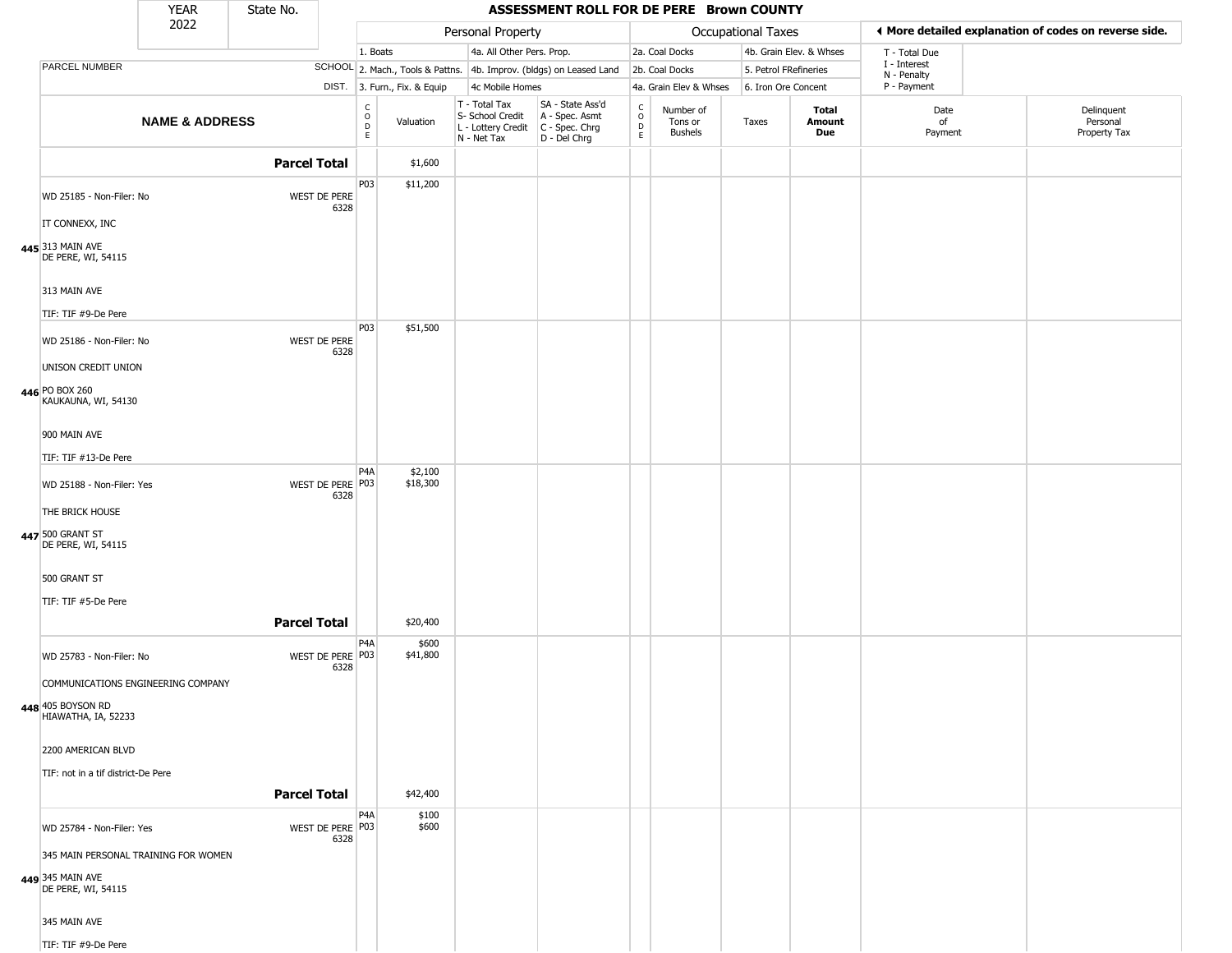|                                                                                       | <b>YEAR</b>               | State No.           |                          |                                              |                              |                                                                                         | ASSESSMENT ROLL FOR DE PERE Brown COUNTY                            |                                                |                                 |                       |                         |                             |                                                       |
|---------------------------------------------------------------------------------------|---------------------------|---------------------|--------------------------|----------------------------------------------|------------------------------|-----------------------------------------------------------------------------------------|---------------------------------------------------------------------|------------------------------------------------|---------------------------------|-----------------------|-------------------------|-----------------------------|-------------------------------------------------------|
|                                                                                       | 2022                      |                     |                          |                                              |                              | Personal Property                                                                       |                                                                     |                                                |                                 | Occupational Taxes    |                         |                             | ◀ More detailed explanation of codes on reverse side. |
|                                                                                       |                           |                     |                          | 1. Boats                                     |                              | 4a. All Other Pers. Prop.                                                               |                                                                     |                                                | 2a. Coal Docks                  |                       | 4b. Grain Elev. & Whses | T - Total Due               |                                                       |
| PARCEL NUMBER                                                                         |                           |                     |                          |                                              |                              |                                                                                         | SCHOOL 2. Mach., Tools & Pattns. 4b. Improv. (bldgs) on Leased Land |                                                | 2b. Coal Docks                  | 5. Petrol FRefineries |                         | I - Interest<br>N - Penalty |                                                       |
|                                                                                       |                           |                     |                          |                                              | DIST. 3. Furn., Fix. & Equip | 4c Mobile Homes                                                                         |                                                                     |                                                | 4a. Grain Elev & Whses          | 6. Iron Ore Concent   |                         | P - Payment                 |                                                       |
|                                                                                       | <b>NAME &amp; ADDRESS</b> |                     |                          | $\begin{array}{c}\nC \\ O \\ D\n\end{array}$ | Valuation                    | T - Total Tax<br>S- School Credit<br>L - Lottery Credit   C - Spec. Chrg<br>N - Net Tax | SA - State Ass'd<br>A - Spec. Asmt<br>D - Del Chrg                  | $\frac{C}{O}$<br>$\overline{D}$<br>$\mathsf E$ | Number of<br>Tons or<br>Bushels | Taxes                 | Total<br>Amount<br>Due  | Date<br>of<br>Payment       | Delinquent<br>Personal<br>Property Tax                |
|                                                                                       |                           | <b>Parcel Total</b> |                          |                                              | \$1,600                      |                                                                                         |                                                                     |                                                |                                 |                       |                         |                             |                                                       |
| WD 25185 - Non-Filer: No<br>IT CONNEXX, INC                                           |                           |                     | WEST DE PERE<br>6328     | P03                                          | \$11,200                     |                                                                                         |                                                                     |                                                |                                 |                       |                         |                             |                                                       |
| 445 313 MAIN AVE<br>DE PERE, WI, 54115                                                |                           |                     |                          |                                              |                              |                                                                                         |                                                                     |                                                |                                 |                       |                         |                             |                                                       |
| 313 MAIN AVE<br>TIF: TIF #9-De Pere                                                   |                           |                     |                          |                                              |                              |                                                                                         |                                                                     |                                                |                                 |                       |                         |                             |                                                       |
| WD 25186 - Non-Filer: No                                                              |                           |                     | WEST DE PERE<br>6328     | P03                                          | \$51,500                     |                                                                                         |                                                                     |                                                |                                 |                       |                         |                             |                                                       |
| UNISON CREDIT UNION<br>446 PO BOX 260<br>KAUKAUNA, WI, 54130                          |                           |                     |                          |                                              |                              |                                                                                         |                                                                     |                                                |                                 |                       |                         |                             |                                                       |
| 900 MAIN AVE                                                                          |                           |                     |                          |                                              |                              |                                                                                         |                                                                     |                                                |                                 |                       |                         |                             |                                                       |
| TIF: TIF #13-De Pere                                                                  |                           |                     |                          | P <sub>4</sub> A                             | \$2,100                      |                                                                                         |                                                                     |                                                |                                 |                       |                         |                             |                                                       |
| WD 25188 - Non-Filer: Yes                                                             |                           |                     | WEST DE PERE P03<br>6328 |                                              | \$18,300                     |                                                                                         |                                                                     |                                                |                                 |                       |                         |                             |                                                       |
| THE BRICK HOUSE<br>447 500 GRANT ST<br>DE PERE, WI, 54115                             |                           |                     |                          |                                              |                              |                                                                                         |                                                                     |                                                |                                 |                       |                         |                             |                                                       |
| 500 GRANT ST                                                                          |                           |                     |                          |                                              |                              |                                                                                         |                                                                     |                                                |                                 |                       |                         |                             |                                                       |
| TIF: TIF #5-De Pere                                                                   |                           | <b>Parcel Total</b> |                          |                                              | \$20,400                     |                                                                                         |                                                                     |                                                |                                 |                       |                         |                             |                                                       |
| WD 25783 - Non-Filer: No                                                              |                           |                     | WEST DE PERE P03<br>6328 | P <sub>4</sub> A                             | \$600<br>\$41,800            |                                                                                         |                                                                     |                                                |                                 |                       |                         |                             |                                                       |
| COMMUNICATIONS ENGINEERING COMPANY<br><b>448</b> 405 BOYSON RD<br>HIAWATHA, IA, 52233 |                           |                     |                          |                                              |                              |                                                                                         |                                                                     |                                                |                                 |                       |                         |                             |                                                       |
| 2200 AMERICAN BLVD                                                                    |                           |                     |                          |                                              |                              |                                                                                         |                                                                     |                                                |                                 |                       |                         |                             |                                                       |
| TIF: not in a tif district-De Pere                                                    |                           | <b>Parcel Total</b> |                          |                                              | \$42,400                     |                                                                                         |                                                                     |                                                |                                 |                       |                         |                             |                                                       |
| WD 25784 - Non-Filer: Yes                                                             |                           |                     | WEST DE PERE P03<br>6328 | P4A                                          | \$100<br>\$600               |                                                                                         |                                                                     |                                                |                                 |                       |                         |                             |                                                       |
| 345 MAIN PERSONAL TRAINING FOR WOMEN<br>449 345 MAIN AVE<br>DE PERE, WI, 54115        |                           |                     |                          |                                              |                              |                                                                                         |                                                                     |                                                |                                 |                       |                         |                             |                                                       |
| 345 MAIN AVE                                                                          |                           |                     |                          |                                              |                              |                                                                                         |                                                                     |                                                |                                 |                       |                         |                             |                                                       |
| TIF: TIF #9-De Pere                                                                   |                           |                     |                          |                                              |                              |                                                                                         |                                                                     |                                                |                                 |                       |                         |                             |                                                       |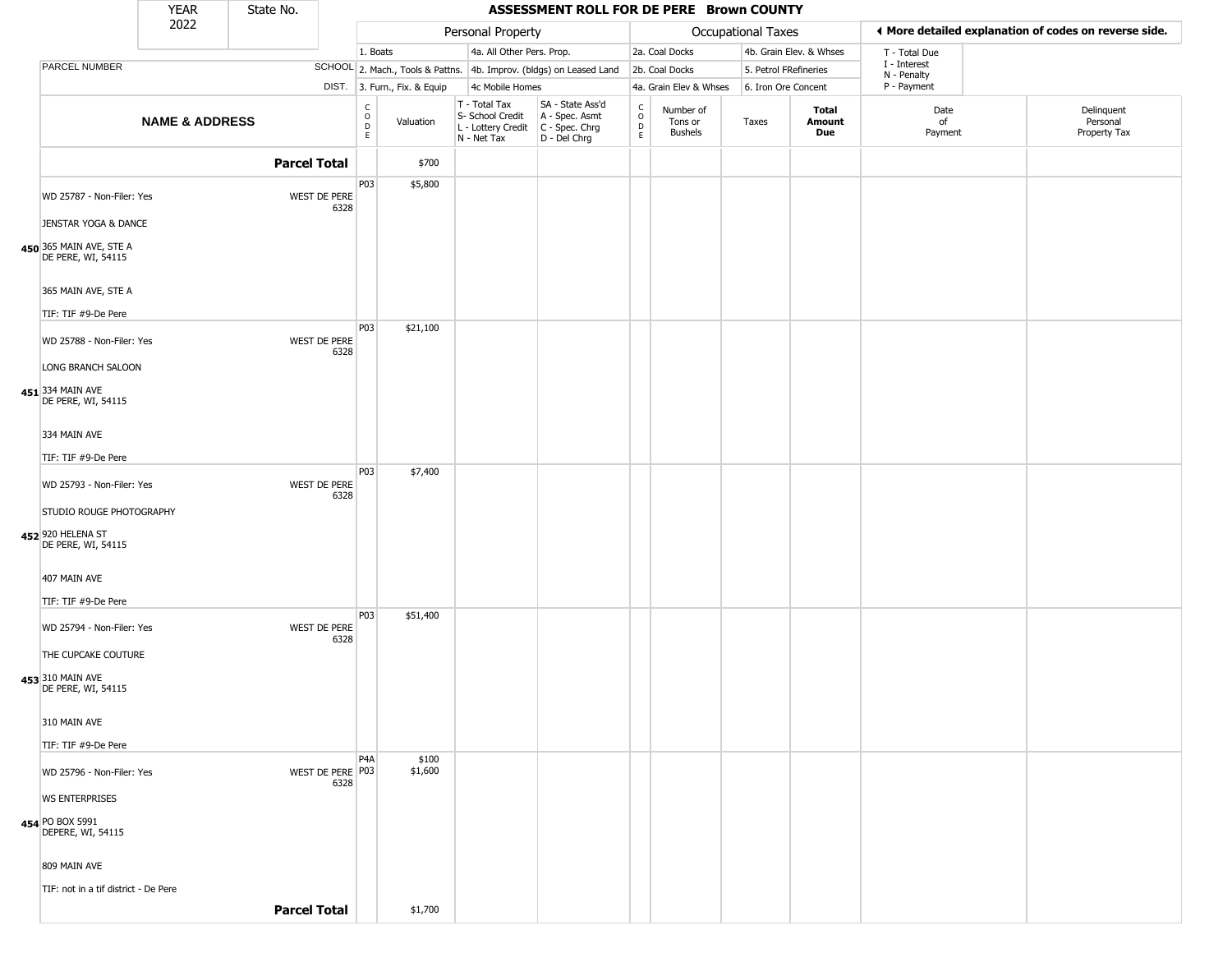|                                                              | <b>YEAR</b>               | State No.           |                          |                     |                              |                                                                                         | ASSESSMENT ROLL FOR DE PERE Brown COUNTY                            |                                                 |                                 |                       |                         |                             |                                                       |  |
|--------------------------------------------------------------|---------------------------|---------------------|--------------------------|---------------------|------------------------------|-----------------------------------------------------------------------------------------|---------------------------------------------------------------------|-------------------------------------------------|---------------------------------|-----------------------|-------------------------|-----------------------------|-------------------------------------------------------|--|
|                                                              | 2022                      |                     |                          |                     |                              | Personal Property                                                                       |                                                                     |                                                 |                                 | Occupational Taxes    |                         |                             | ♦ More detailed explanation of codes on reverse side. |  |
|                                                              |                           |                     |                          | 1. Boats            |                              | 4a. All Other Pers. Prop.                                                               |                                                                     |                                                 | 2a. Coal Docks                  |                       | 4b. Grain Elev. & Whses | T - Total Due               |                                                       |  |
| PARCEL NUMBER                                                |                           |                     |                          |                     |                              |                                                                                         | SCHOOL 2. Mach., Tools & Pattns. 4b. Improv. (bldgs) on Leased Land |                                                 | 2b. Coal Docks                  | 5. Petrol FRefineries |                         | I - Interest<br>N - Penalty |                                                       |  |
|                                                              |                           |                     |                          |                     | DIST. 3. Furn., Fix. & Equip | 4c Mobile Homes                                                                         |                                                                     |                                                 | 4a. Grain Elev & Whses          | 6. Iron Ore Concent   |                         | P - Payment                 |                                                       |  |
|                                                              | <b>NAME &amp; ADDRESS</b> |                     |                          | $\overline{0}$<br>E | Valuation                    | T - Total Tax<br>S- School Credit<br>L - Lottery Credit   C - Spec. Chrg<br>N - Net Tax | SA - State Ass'd<br>A - Spec. Asmt<br>D - Del Chrg                  | $\begin{array}{c} C \\ O \\ D \\ E \end{array}$ | Number of<br>Tons or<br>Bushels | Taxes                 | Total<br>Amount<br>Due  | Date<br>of<br>Payment       | Delinquent<br>Personal<br>Property Tax                |  |
|                                                              |                           | <b>Parcel Total</b> |                          |                     | \$700                        |                                                                                         |                                                                     |                                                 |                                 |                       |                         |                             |                                                       |  |
| WD 25787 - Non-Filer: Yes                                    |                           |                     | WEST DE PERE<br>6328     | P03                 | \$5,800                      |                                                                                         |                                                                     |                                                 |                                 |                       |                         |                             |                                                       |  |
| JENSTAR YOGA & DANCE                                         |                           |                     |                          |                     |                              |                                                                                         |                                                                     |                                                 |                                 |                       |                         |                             |                                                       |  |
| 450 365 MAIN AVE, STE A<br>DE PERE, WI, 54115                |                           |                     |                          |                     |                              |                                                                                         |                                                                     |                                                 |                                 |                       |                         |                             |                                                       |  |
| 365 MAIN AVE, STE A                                          |                           |                     |                          |                     |                              |                                                                                         |                                                                     |                                                 |                                 |                       |                         |                             |                                                       |  |
| TIF: TIF #9-De Pere                                          |                           |                     |                          | P03                 | \$21,100                     |                                                                                         |                                                                     |                                                 |                                 |                       |                         |                             |                                                       |  |
| WD 25788 - Non-Filer: Yes                                    |                           |                     | WEST DE PERE<br>6328     |                     |                              |                                                                                         |                                                                     |                                                 |                                 |                       |                         |                             |                                                       |  |
| LONG BRANCH SALOON<br>451 334 MAIN AVE<br>DE PERE, WI, 54115 |                           |                     |                          |                     |                              |                                                                                         |                                                                     |                                                 |                                 |                       |                         |                             |                                                       |  |
| 334 MAIN AVE                                                 |                           |                     |                          |                     |                              |                                                                                         |                                                                     |                                                 |                                 |                       |                         |                             |                                                       |  |
| TIF: TIF #9-De Pere                                          |                           |                     |                          |                     |                              |                                                                                         |                                                                     |                                                 |                                 |                       |                         |                             |                                                       |  |
| WD 25793 - Non-Filer: Yes                                    |                           |                     | WEST DE PERE<br>6328     | P03                 | \$7,400                      |                                                                                         |                                                                     |                                                 |                                 |                       |                         |                             |                                                       |  |
| STUDIO ROUGE PHOTOGRAPHY                                     |                           |                     |                          |                     |                              |                                                                                         |                                                                     |                                                 |                                 |                       |                         |                             |                                                       |  |
| 452 920 HELENA ST<br>DE PERE, WI, 54115                      |                           |                     |                          |                     |                              |                                                                                         |                                                                     |                                                 |                                 |                       |                         |                             |                                                       |  |
| 407 MAIN AVE                                                 |                           |                     |                          |                     |                              |                                                                                         |                                                                     |                                                 |                                 |                       |                         |                             |                                                       |  |
| TIF: TIF #9-De Pere                                          |                           |                     |                          |                     |                              |                                                                                         |                                                                     |                                                 |                                 |                       |                         |                             |                                                       |  |
| WD 25794 - Non-Filer: Yes                                    |                           |                     | WEST DE PERE<br>6328     | P03                 | \$51,400                     |                                                                                         |                                                                     |                                                 |                                 |                       |                         |                             |                                                       |  |
| THE CUPCAKE COUTURE                                          |                           |                     |                          |                     |                              |                                                                                         |                                                                     |                                                 |                                 |                       |                         |                             |                                                       |  |
| 453 310 MAIN AVE<br>DE PERE, WI, 54115                       |                           |                     |                          |                     |                              |                                                                                         |                                                                     |                                                 |                                 |                       |                         |                             |                                                       |  |
| 310 MAIN AVE                                                 |                           |                     |                          |                     |                              |                                                                                         |                                                                     |                                                 |                                 |                       |                         |                             |                                                       |  |
| TIF: TIF #9-De Pere                                          |                           |                     |                          |                     |                              |                                                                                         |                                                                     |                                                 |                                 |                       |                         |                             |                                                       |  |
| WD 25796 - Non-Filer: Yes                                    |                           |                     | WEST DE PERE P03<br>6328 | P <sub>4</sub> A    | \$100<br>\$1,600             |                                                                                         |                                                                     |                                                 |                                 |                       |                         |                             |                                                       |  |
| <b>WS ENTERPRISES</b>                                        |                           |                     |                          |                     |                              |                                                                                         |                                                                     |                                                 |                                 |                       |                         |                             |                                                       |  |
| 454 PO BOX 5991<br>DEPERE, WI, 54115                         |                           |                     |                          |                     |                              |                                                                                         |                                                                     |                                                 |                                 |                       |                         |                             |                                                       |  |
| 809 MAIN AVE                                                 |                           |                     |                          |                     |                              |                                                                                         |                                                                     |                                                 |                                 |                       |                         |                             |                                                       |  |
| TIF: not in a tif district - De Pere                         |                           |                     |                          |                     |                              |                                                                                         |                                                                     |                                                 |                                 |                       |                         |                             |                                                       |  |
|                                                              |                           | <b>Parcel Total</b> |                          |                     | \$1,700                      |                                                                                         |                                                                     |                                                 |                                 |                       |                         |                             |                                                       |  |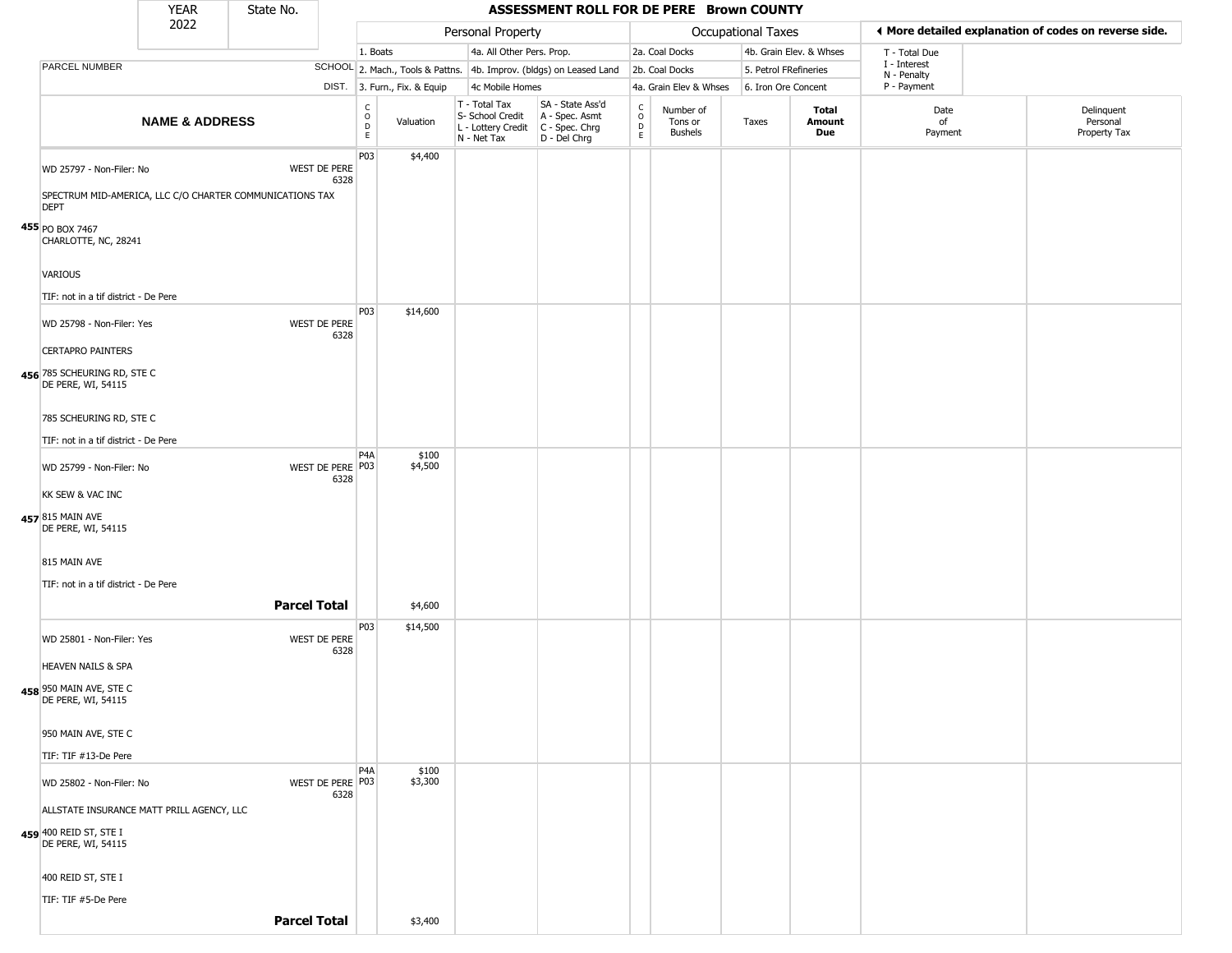|                                                                                                     | <b>YEAR</b>               | State No.           |                             |                                                |                              |                                                                        | ASSESSMENT ROLL FOR DE PERE Brown COUNTY                               |                                      |                                        |                           |                         |                             |                                                       |
|-----------------------------------------------------------------------------------------------------|---------------------------|---------------------|-----------------------------|------------------------------------------------|------------------------------|------------------------------------------------------------------------|------------------------------------------------------------------------|--------------------------------------|----------------------------------------|---------------------------|-------------------------|-----------------------------|-------------------------------------------------------|
|                                                                                                     | 2022                      |                     |                             |                                                |                              | Personal Property                                                      |                                                                        |                                      |                                        | <b>Occupational Taxes</b> |                         |                             | I More detailed explanation of codes on reverse side. |
|                                                                                                     |                           |                     |                             | 1. Boats                                       |                              | 4a. All Other Pers. Prop.                                              |                                                                        |                                      | 2a. Coal Docks                         |                           | 4b. Grain Elev. & Whses | T - Total Due               |                                                       |
| PARCEL NUMBER                                                                                       |                           |                     |                             |                                                |                              |                                                                        | SCHOOL 2. Mach., Tools & Pattns. 4b. Improv. (bldgs) on Leased Land    |                                      | 2b. Coal Docks                         | 5. Petrol FRefineries     |                         | I - Interest<br>N - Penalty |                                                       |
|                                                                                                     |                           |                     |                             |                                                | DIST. 3. Furn., Fix. & Equip | 4c Mobile Homes                                                        |                                                                        |                                      | 4a. Grain Elev & Whses                 | 6. Iron Ore Concent       |                         | P - Payment                 |                                                       |
|                                                                                                     | <b>NAME &amp; ADDRESS</b> |                     |                             | C<br>$\mathsf O$<br>$\mathsf D$<br>$\mathsf E$ | Valuation                    | T - Total Tax<br>S- School Credit<br>L - Lottery Credit<br>N - Net Tax | SA - State Ass'd<br>A - Spec. Asmt<br>$C - Spec. Chrg$<br>D - Del Chrg | C<br>$\mathsf O$<br>D<br>$\mathsf E$ | Number of<br>Tons or<br><b>Bushels</b> | Taxes                     | Total<br>Amount<br>Due  | Date<br>of<br>Payment       | Delinquent<br>Personal<br>Property Tax                |
| WD 25797 - Non-Filer: No<br>SPECTRUM MID-AMERICA, LLC C/O CHARTER COMMUNICATIONS TAX<br><b>DEPT</b> |                           |                     | WEST DE PERE<br>6328        | P03                                            | \$4,400                      |                                                                        |                                                                        |                                      |                                        |                           |                         |                             |                                                       |
| 455 PO BOX 7467<br>CHARLOTTE, NC, 28241                                                             |                           |                     |                             |                                                |                              |                                                                        |                                                                        |                                      |                                        |                           |                         |                             |                                                       |
| <b>VARIOUS</b>                                                                                      |                           |                     |                             |                                                |                              |                                                                        |                                                                        |                                      |                                        |                           |                         |                             |                                                       |
| TIF: not in a tif district - De Pere                                                                |                           |                     |                             | P03                                            | \$14,600                     |                                                                        |                                                                        |                                      |                                        |                           |                         |                             |                                                       |
| WD 25798 - Non-Filer: Yes<br><b>CERTAPRO PAINTERS</b>                                               |                           |                     | <b>WEST DE PERE</b><br>6328 |                                                |                              |                                                                        |                                                                        |                                      |                                        |                           |                         |                             |                                                       |
| 456 785 SCHEURING RD, STE C<br>DE PERE, WI, 54115                                                   |                           |                     |                             |                                                |                              |                                                                        |                                                                        |                                      |                                        |                           |                         |                             |                                                       |
| 785 SCHEURING RD, STE C                                                                             |                           |                     |                             |                                                |                              |                                                                        |                                                                        |                                      |                                        |                           |                         |                             |                                                       |
| TIF: not in a tif district - De Pere                                                                |                           |                     |                             |                                                |                              |                                                                        |                                                                        |                                      |                                        |                           |                         |                             |                                                       |
| WD 25799 - Non-Filer: No                                                                            |                           |                     | WEST DE PERE P03<br>6328    | P4A                                            | \$100<br>\$4,500             |                                                                        |                                                                        |                                      |                                        |                           |                         |                             |                                                       |
| KK SEW & VAC INC                                                                                    |                           |                     |                             |                                                |                              |                                                                        |                                                                        |                                      |                                        |                           |                         |                             |                                                       |
| 457 815 MAIN AVE<br>DE PERE, WI, 54115                                                              |                           |                     |                             |                                                |                              |                                                                        |                                                                        |                                      |                                        |                           |                         |                             |                                                       |
| 815 MAIN AVE                                                                                        |                           |                     |                             |                                                |                              |                                                                        |                                                                        |                                      |                                        |                           |                         |                             |                                                       |
| TIF: not in a tif district - De Pere                                                                |                           |                     |                             |                                                |                              |                                                                        |                                                                        |                                      |                                        |                           |                         |                             |                                                       |
|                                                                                                     |                           | <b>Parcel Total</b> |                             |                                                | \$4,600                      |                                                                        |                                                                        |                                      |                                        |                           |                         |                             |                                                       |
| WD 25801 - Non-Filer: Yes                                                                           |                           |                     | <b>WEST DE PERE</b><br>6328 | P03                                            | \$14,500                     |                                                                        |                                                                        |                                      |                                        |                           |                         |                             |                                                       |
| HEAVEN NAILS & SPA                                                                                  |                           |                     |                             |                                                |                              |                                                                        |                                                                        |                                      |                                        |                           |                         |                             |                                                       |
| 458 950 MAIN AVE, STE C<br>DE PERE, WI, 54115                                                       |                           |                     |                             |                                                |                              |                                                                        |                                                                        |                                      |                                        |                           |                         |                             |                                                       |
| 950 MAIN AVE, STE C                                                                                 |                           |                     |                             |                                                |                              |                                                                        |                                                                        |                                      |                                        |                           |                         |                             |                                                       |
| TIF: TIF #13-De Pere                                                                                |                           |                     |                             | P4A                                            | \$100                        |                                                                        |                                                                        |                                      |                                        |                           |                         |                             |                                                       |
| WD 25802 - Non-Filer: No                                                                            |                           |                     | WEST DE PERE P03<br>6328    |                                                | \$3,300                      |                                                                        |                                                                        |                                      |                                        |                           |                         |                             |                                                       |
| ALLSTATE INSURANCE MATT PRILL AGENCY, LLC                                                           |                           |                     |                             |                                                |                              |                                                                        |                                                                        |                                      |                                        |                           |                         |                             |                                                       |
| 459 400 REID ST, STE I<br>DE PERE, WI, 54115                                                        |                           |                     |                             |                                                |                              |                                                                        |                                                                        |                                      |                                        |                           |                         |                             |                                                       |
| 400 REID ST, STE I                                                                                  |                           |                     |                             |                                                |                              |                                                                        |                                                                        |                                      |                                        |                           |                         |                             |                                                       |
| TIF: TIF #5-De Pere                                                                                 |                           |                     |                             |                                                |                              |                                                                        |                                                                        |                                      |                                        |                           |                         |                             |                                                       |
|                                                                                                     |                           | <b>Parcel Total</b> |                             |                                                | \$3,400                      |                                                                        |                                                                        |                                      |                                        |                           |                         |                             |                                                       |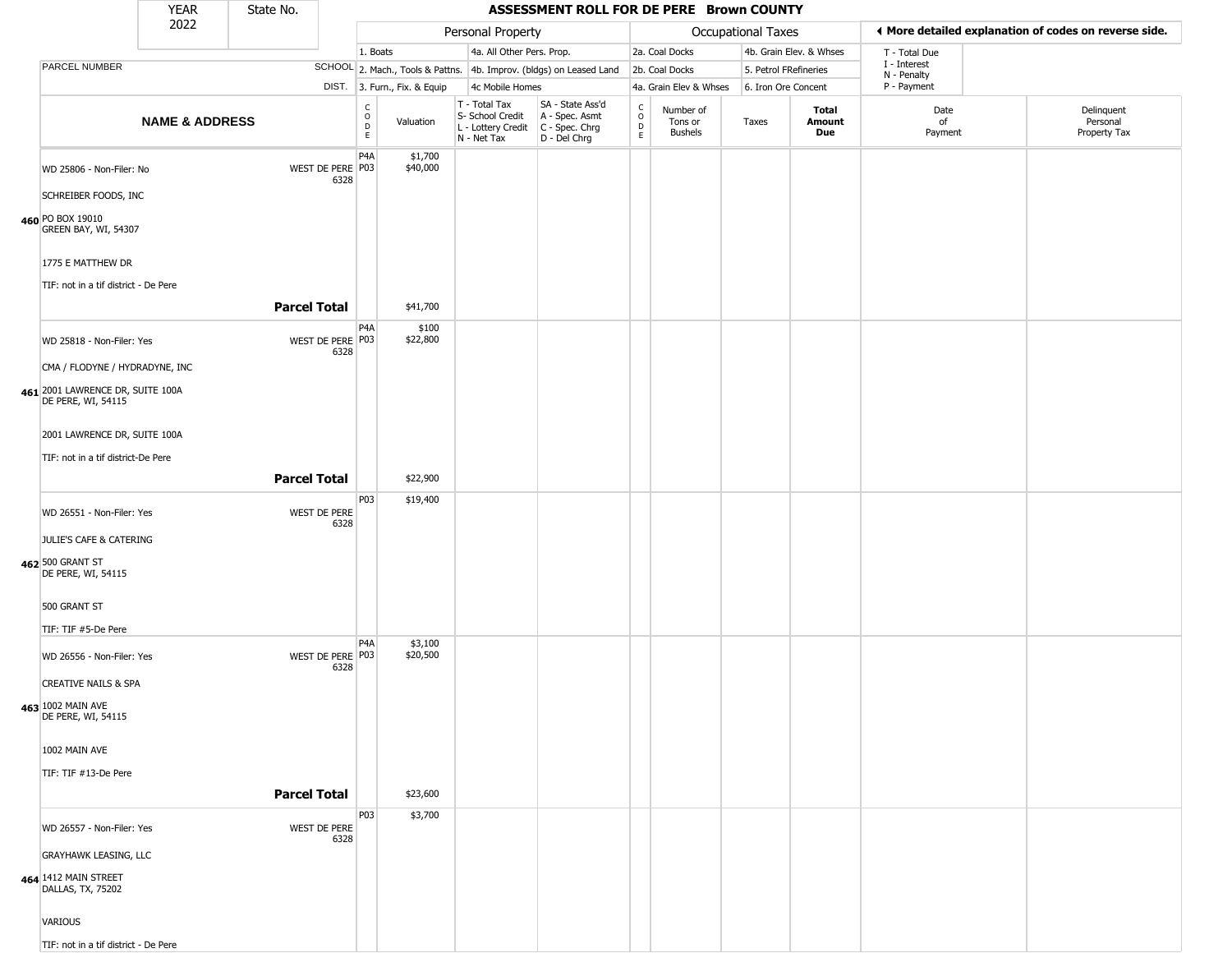|                                                           | <b>YEAR</b>               | State No.           |                          |                                                |                              |                                                                        | ASSESSMENT ROLL FOR DE PERE Brown COUNTY                               |                                                   |                                        |                       |                         |                                                       |                                        |
|-----------------------------------------------------------|---------------------------|---------------------|--------------------------|------------------------------------------------|------------------------------|------------------------------------------------------------------------|------------------------------------------------------------------------|---------------------------------------------------|----------------------------------------|-----------------------|-------------------------|-------------------------------------------------------|----------------------------------------|
|                                                           | 2022                      |                     |                          |                                                |                              | Personal Property                                                      |                                                                        |                                                   |                                        | Occupational Taxes    |                         | ◀ More detailed explanation of codes on reverse side. |                                        |
|                                                           |                           |                     |                          | 1. Boats                                       |                              | 4a. All Other Pers. Prop.                                              |                                                                        |                                                   | 2a. Coal Docks                         |                       | 4b. Grain Elev. & Whses | T - Total Due                                         |                                        |
| PARCEL NUMBER                                             |                           |                     |                          |                                                |                              |                                                                        | SCHOOL 2. Mach., Tools & Pattns. 4b. Improv. (bldgs) on Leased Land    |                                                   | 2b. Coal Docks                         | 5. Petrol FRefineries |                         | I - Interest<br>N - Penalty                           |                                        |
|                                                           |                           |                     |                          |                                                | DIST. 3. Furn., Fix. & Equip | 4c Mobile Homes                                                        |                                                                        |                                                   | 4a. Grain Elev & Whses                 | 6. Iron Ore Concent   |                         | P - Payment                                           |                                        |
|                                                           | <b>NAME &amp; ADDRESS</b> |                     |                          | $\begin{matrix} 0 \\ 0 \\ D \end{matrix}$<br>E | Valuation                    | T - Total Tax<br>S- School Credit<br>L - Lottery Credit<br>N - Net Tax | SA - State Ass'd<br>A - Spec. Asmt<br>$C - Spec. Chrg$<br>D - Del Chrg | $\begin{array}{c}\nC \\ O \\ D \\ E\n\end{array}$ | Number of<br>Tons or<br><b>Bushels</b> | Taxes                 | Total<br>Amount<br>Due  | Date<br>of<br>Payment                                 | Delinquent<br>Personal<br>Property Tax |
| WD 25806 - Non-Filer: No<br>SCHREIBER FOODS, INC          |                           |                     | WEST DE PERE P03<br>6328 | P <sub>4</sub> A                               | \$1,700<br>\$40,000          |                                                                        |                                                                        |                                                   |                                        |                       |                         |                                                       |                                        |
| 460 PO BOX 19010<br>GREEN BAY, WI, 54307                  |                           |                     |                          |                                                |                              |                                                                        |                                                                        |                                                   |                                        |                       |                         |                                                       |                                        |
| 1775 E MATTHEW DR<br>TIF: not in a tif district - De Pere |                           |                     |                          |                                                |                              |                                                                        |                                                                        |                                                   |                                        |                       |                         |                                                       |                                        |
|                                                           |                           | <b>Parcel Total</b> |                          |                                                | \$41,700                     |                                                                        |                                                                        |                                                   |                                        |                       |                         |                                                       |                                        |
| WD 25818 - Non-Filer: Yes                                 |                           |                     | WEST DE PERE P03<br>6328 | P <sub>4</sub> A                               | \$100<br>\$22,800            |                                                                        |                                                                        |                                                   |                                        |                       |                         |                                                       |                                        |
| CMA / FLODYNE / HYDRADYNE, INC                            |                           |                     |                          |                                                |                              |                                                                        |                                                                        |                                                   |                                        |                       |                         |                                                       |                                        |
| 461 2001 LAWRENCE DR, SUITE 100A<br>DE PERE, WI, 54115    |                           |                     |                          |                                                |                              |                                                                        |                                                                        |                                                   |                                        |                       |                         |                                                       |                                        |
| 2001 LAWRENCE DR, SUITE 100A                              |                           |                     |                          |                                                |                              |                                                                        |                                                                        |                                                   |                                        |                       |                         |                                                       |                                        |
| TIF: not in a tif district-De Pere                        |                           |                     |                          |                                                |                              |                                                                        |                                                                        |                                                   |                                        |                       |                         |                                                       |                                        |
|                                                           |                           | <b>Parcel Total</b> |                          |                                                | \$22,900                     |                                                                        |                                                                        |                                                   |                                        |                       |                         |                                                       |                                        |
| WD 26551 - Non-Filer: Yes                                 |                           |                     | WEST DE PERE<br>6328     | P03                                            | \$19,400                     |                                                                        |                                                                        |                                                   |                                        |                       |                         |                                                       |                                        |
| JULIE'S CAFE & CATERING                                   |                           |                     |                          |                                                |                              |                                                                        |                                                                        |                                                   |                                        |                       |                         |                                                       |                                        |
| 462 500 GRANT ST<br>DE PERE, WI, 54115                    |                           |                     |                          |                                                |                              |                                                                        |                                                                        |                                                   |                                        |                       |                         |                                                       |                                        |
| 500 GRANT ST                                              |                           |                     |                          |                                                |                              |                                                                        |                                                                        |                                                   |                                        |                       |                         |                                                       |                                        |
| TIF: TIF #5-De Pere                                       |                           |                     |                          |                                                |                              |                                                                        |                                                                        |                                                   |                                        |                       |                         |                                                       |                                        |
| WD 26556 - Non-Filer: Yes                                 |                           |                     | WEST DE PERE P03<br>6328 | P4A                                            | \$3,100<br>\$20,500          |                                                                        |                                                                        |                                                   |                                        |                       |                         |                                                       |                                        |
| <b>CREATIVE NAILS &amp; SPA</b>                           |                           |                     |                          |                                                |                              |                                                                        |                                                                        |                                                   |                                        |                       |                         |                                                       |                                        |
| 463 1002 MAIN AVE<br>DE PERE, WI, 54115                   |                           |                     |                          |                                                |                              |                                                                        |                                                                        |                                                   |                                        |                       |                         |                                                       |                                        |
| 1002 MAIN AVE                                             |                           |                     |                          |                                                |                              |                                                                        |                                                                        |                                                   |                                        |                       |                         |                                                       |                                        |
| TIF: TIF #13-De Pere                                      |                           | <b>Parcel Total</b> |                          |                                                | \$23,600                     |                                                                        |                                                                        |                                                   |                                        |                       |                         |                                                       |                                        |
|                                                           |                           |                     |                          | P03                                            | \$3,700                      |                                                                        |                                                                        |                                                   |                                        |                       |                         |                                                       |                                        |
| WD 26557 - Non-Filer: Yes                                 |                           |                     | WEST DE PERE<br>6328     |                                                |                              |                                                                        |                                                                        |                                                   |                                        |                       |                         |                                                       |                                        |
| <b>GRAYHAWK LEASING, LLC</b>                              |                           |                     |                          |                                                |                              |                                                                        |                                                                        |                                                   |                                        |                       |                         |                                                       |                                        |
| 464 1412 MAIN STREET<br>DALLAS, TX, 75202                 |                           |                     |                          |                                                |                              |                                                                        |                                                                        |                                                   |                                        |                       |                         |                                                       |                                        |
| <b>VARIOUS</b>                                            |                           |                     |                          |                                                |                              |                                                                        |                                                                        |                                                   |                                        |                       |                         |                                                       |                                        |
| TIF: not in a tif district - De Pere                      |                           |                     |                          |                                                |                              |                                                                        |                                                                        |                                                   |                                        |                       |                         |                                                       |                                        |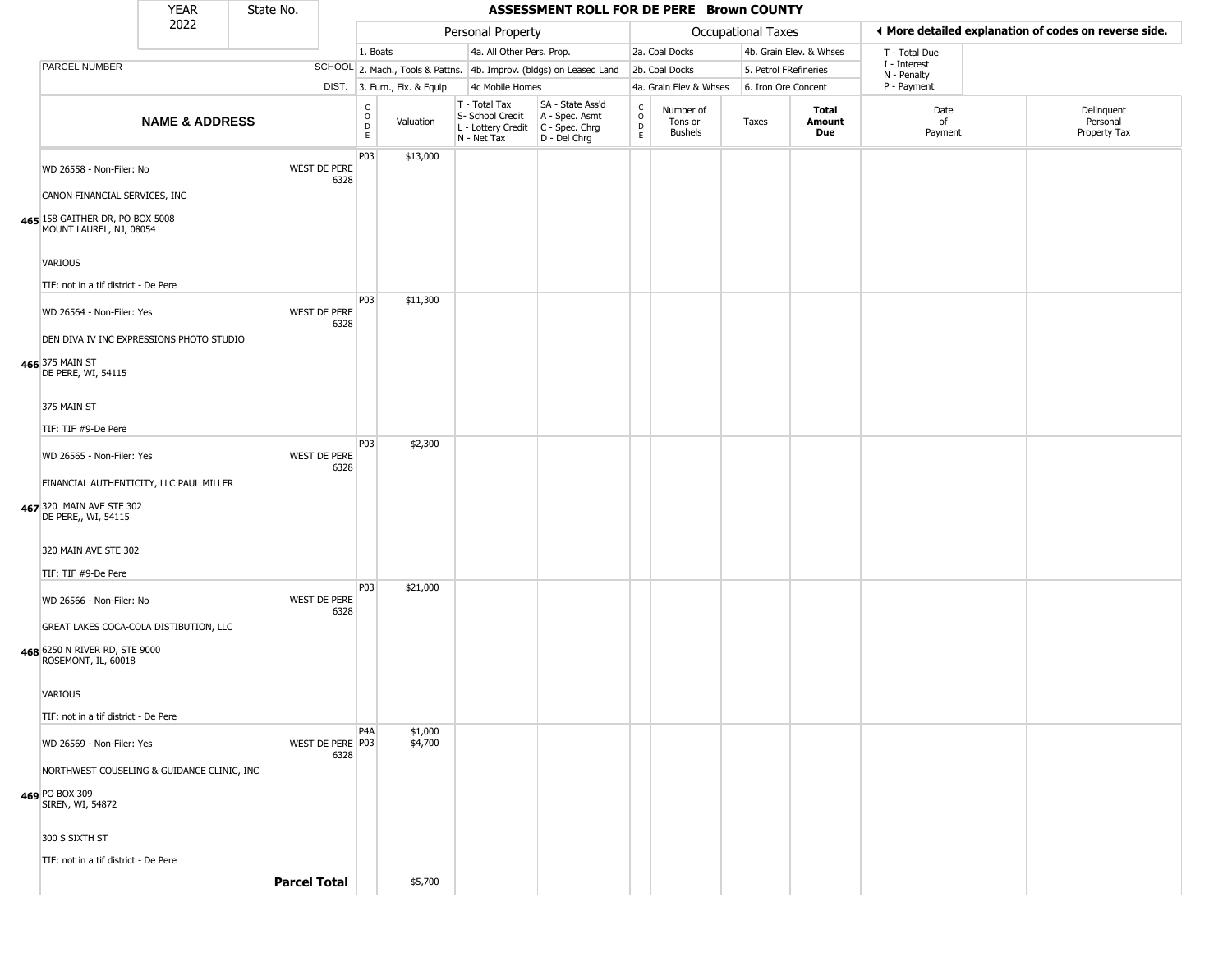|                                                           | <b>YEAR</b>                                | State No.           |      |                                                 |                              |                                                  | ASSESSMENT ROLL FOR DE PERE Brown COUNTY                                                  |                                  |                                        |                       |                         |                             |                                                       |
|-----------------------------------------------------------|--------------------------------------------|---------------------|------|-------------------------------------------------|------------------------------|--------------------------------------------------|-------------------------------------------------------------------------------------------|----------------------------------|----------------------------------------|-----------------------|-------------------------|-----------------------------|-------------------------------------------------------|
|                                                           | 2022                                       |                     |      |                                                 |                              | Personal Property                                |                                                                                           |                                  |                                        | Occupational Taxes    |                         |                             | ♦ More detailed explanation of codes on reverse side. |
|                                                           |                                            |                     |      | 1. Boats                                        |                              | 4a. All Other Pers. Prop.                        |                                                                                           |                                  | 2a. Coal Docks                         |                       | 4b. Grain Elev. & Whses | T - Total Due               |                                                       |
| PARCEL NUMBER                                             |                                            |                     |      |                                                 |                              |                                                  | SCHOOL 2. Mach., Tools & Pattns. 4b. Improv. (bldgs) on Leased Land                       |                                  | 2b. Coal Docks                         | 5. Petrol FRefineries |                         | I - Interest<br>N - Penalty |                                                       |
|                                                           |                                            |                     |      |                                                 | DIST. 3. Furn., Fix. & Equip | 4c Mobile Homes                                  |                                                                                           |                                  | 4a. Grain Elev & Whses                 | 6. Iron Ore Concent   |                         | P - Payment                 |                                                       |
|                                                           | <b>NAME &amp; ADDRESS</b>                  |                     |      | $\rm_{o}^{\rm c}$<br>$\mathsf D$<br>$\mathsf E$ | Valuation                    | T - Total Tax<br>S- School Credit<br>N - Net Tax | SA - State Ass'd<br>A - Spec. Asmt<br>L - Lottery Credit   C - Spec. Chrg<br>D - Del Chrg | C<br>$\circ$<br>$\mathsf D$<br>E | Number of<br>Tons or<br><b>Bushels</b> | Taxes                 | Total<br>Amount<br>Due  | Date<br>of<br>Payment       | Delinquent<br>Personal<br>Property Tax                |
| WD 26558 - Non-Filer: No                                  |                                            | WEST DE PERE        | 6328 | P03                                             | \$13,000                     |                                                  |                                                                                           |                                  |                                        |                       |                         |                             |                                                       |
| CANON FINANCIAL SERVICES, INC                             |                                            |                     |      |                                                 |                              |                                                  |                                                                                           |                                  |                                        |                       |                         |                             |                                                       |
| 65 158 GAITHER DR, PO BOX 5008<br>MOUNT LAUREL, NJ, 08054 |                                            |                     |      |                                                 |                              |                                                  |                                                                                           |                                  |                                        |                       |                         |                             |                                                       |
| VARIOUS                                                   |                                            |                     |      |                                                 |                              |                                                  |                                                                                           |                                  |                                        |                       |                         |                             |                                                       |
| TIF: not in a tif district - De Pere                      |                                            |                     |      |                                                 |                              |                                                  |                                                                                           |                                  |                                        |                       |                         |                             |                                                       |
| WD 26564 - Non-Filer: Yes                                 |                                            | WEST DE PERE        | 6328 | <b>P03</b>                                      | \$11,300                     |                                                  |                                                                                           |                                  |                                        |                       |                         |                             |                                                       |
|                                                           | DEN DIVA IV INC EXPRESSIONS PHOTO STUDIO   |                     |      |                                                 |                              |                                                  |                                                                                           |                                  |                                        |                       |                         |                             |                                                       |
| 66 375 MAIN ST<br>DE PERE, WI, 54115                      |                                            |                     |      |                                                 |                              |                                                  |                                                                                           |                                  |                                        |                       |                         |                             |                                                       |
| 375 MAIN ST                                               |                                            |                     |      |                                                 |                              |                                                  |                                                                                           |                                  |                                        |                       |                         |                             |                                                       |
| TIF: TIF #9-De Pere                                       |                                            |                     |      |                                                 |                              |                                                  |                                                                                           |                                  |                                        |                       |                         |                             |                                                       |
| WD 26565 - Non-Filer: Yes                                 |                                            | WEST DE PERE        | 6328 | P03                                             | \$2,300                      |                                                  |                                                                                           |                                  |                                        |                       |                         |                             |                                                       |
|                                                           | FINANCIAL AUTHENTICITY, LLC PAUL MILLER    |                     |      |                                                 |                              |                                                  |                                                                                           |                                  |                                        |                       |                         |                             |                                                       |
| 67 320 MAIN AVE STE 302<br>DE PERE,, WI, 54115            |                                            |                     |      |                                                 |                              |                                                  |                                                                                           |                                  |                                        |                       |                         |                             |                                                       |
| 320 MAIN AVE STE 302                                      |                                            |                     |      |                                                 |                              |                                                  |                                                                                           |                                  |                                        |                       |                         |                             |                                                       |
| TIF: TIF #9-De Pere                                       |                                            |                     |      |                                                 |                              |                                                  |                                                                                           |                                  |                                        |                       |                         |                             |                                                       |
| WD 26566 - Non-Filer: No                                  |                                            | WEST DE PERE        | 6328 | P03                                             | \$21,000                     |                                                  |                                                                                           |                                  |                                        |                       |                         |                             |                                                       |
|                                                           | GREAT LAKES COCA-COLA DISTIBUTION, LLC     |                     |      |                                                 |                              |                                                  |                                                                                           |                                  |                                        |                       |                         |                             |                                                       |
| 68 6250 N RIVER RD, STE 9000<br>ROSEMONT, IL, 60018       |                                            |                     |      |                                                 |                              |                                                  |                                                                                           |                                  |                                        |                       |                         |                             |                                                       |
| VARIOUS                                                   |                                            |                     |      |                                                 |                              |                                                  |                                                                                           |                                  |                                        |                       |                         |                             |                                                       |
| TIF: not in a tif district - De Pere                      |                                            |                     |      |                                                 |                              |                                                  |                                                                                           |                                  |                                        |                       |                         |                             |                                                       |
| WD 26569 - Non-Filer: Yes                                 |                                            | WEST DE PERE P03    | 6328 | P <sub>4</sub> A                                | \$1,000<br>\$4,700           |                                                  |                                                                                           |                                  |                                        |                       |                         |                             |                                                       |
|                                                           | NORTHWEST COUSELING & GUIDANCE CLINIC, INC |                     |      |                                                 |                              |                                                  |                                                                                           |                                  |                                        |                       |                         |                             |                                                       |
| 69 PO BOX 309<br>SIREN, WI, 54872                         |                                            |                     |      |                                                 |                              |                                                  |                                                                                           |                                  |                                        |                       |                         |                             |                                                       |
| 300 S SIXTH ST                                            |                                            |                     |      |                                                 |                              |                                                  |                                                                                           |                                  |                                        |                       |                         |                             |                                                       |
| TIF: not in a tif district - De Pere                      |                                            |                     |      |                                                 |                              |                                                  |                                                                                           |                                  |                                        |                       |                         |                             |                                                       |
|                                                           |                                            | <b>Parcel Total</b> |      |                                                 | \$5,700                      |                                                  |                                                                                           |                                  |                                        |                       |                         |                             |                                                       |

**465**

**466**

**467**

**468**

**469**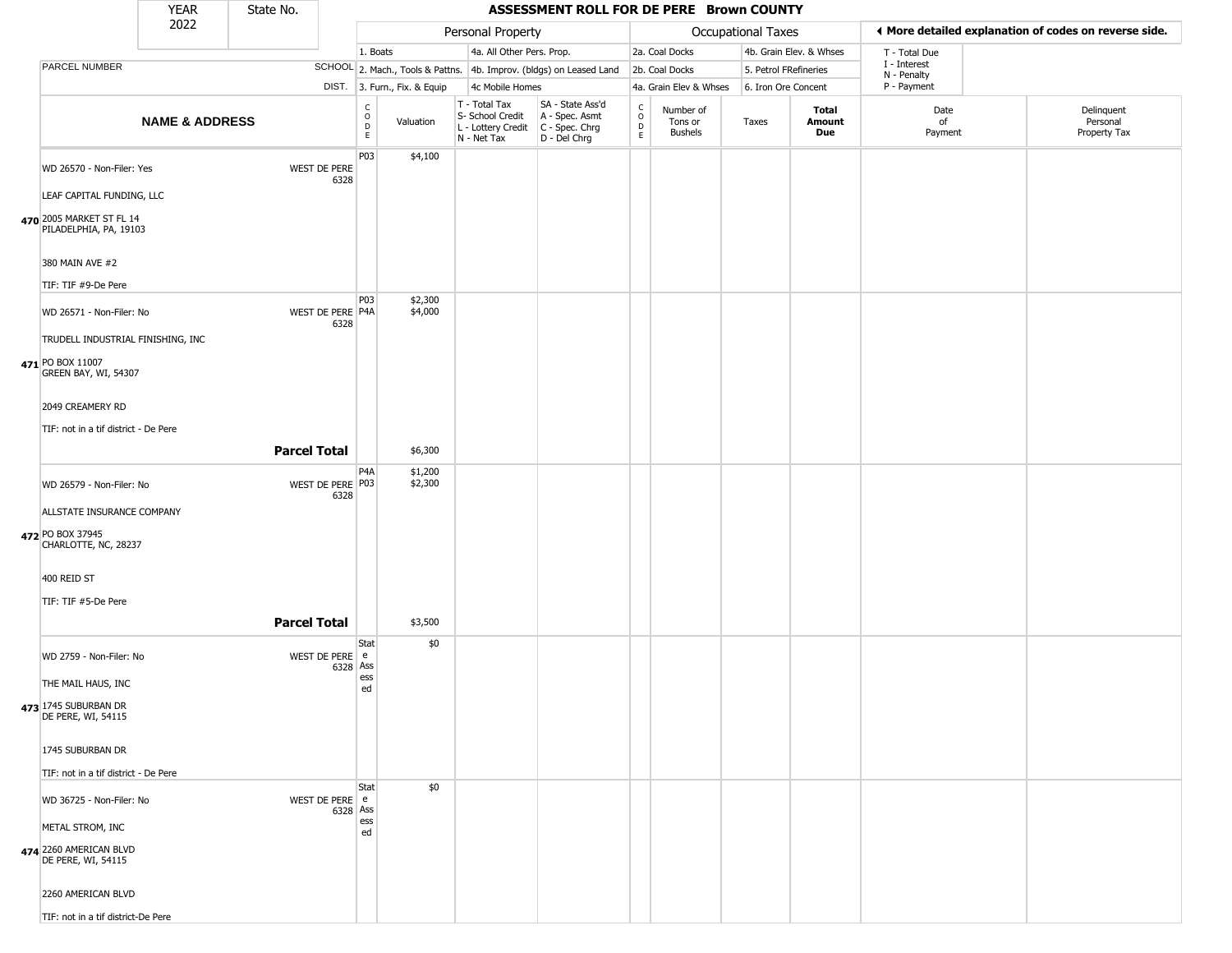|                                                    | <b>YEAR</b>               | State No.           |                            |                                              |                              |                                                                        | ASSESSMENT ROLL FOR DE PERE Brown COUNTY                             |                                             |                                        |                       |                         |                             |                                                       |
|----------------------------------------------------|---------------------------|---------------------|----------------------------|----------------------------------------------|------------------------------|------------------------------------------------------------------------|----------------------------------------------------------------------|---------------------------------------------|----------------------------------------|-----------------------|-------------------------|-----------------------------|-------------------------------------------------------|
|                                                    | 2022                      |                     |                            |                                              |                              | Personal Property                                                      |                                                                      |                                             |                                        | Occupational Taxes    |                         |                             | ◀ More detailed explanation of codes on reverse side. |
|                                                    |                           |                     |                            | 1. Boats                                     |                              | 4a. All Other Pers. Prop.                                              |                                                                      |                                             | 2a. Coal Docks                         |                       | 4b. Grain Elev. & Whses | T - Total Due               |                                                       |
| PARCEL NUMBER                                      |                           |                     |                            |                                              |                              |                                                                        | SCHOOL 2. Mach., Tools & Pattns. 4b. Improv. (bldgs) on Leased Land  |                                             | 2b. Coal Docks                         | 5. Petrol FRefineries |                         | I - Interest<br>N - Penalty |                                                       |
|                                                    |                           |                     |                            |                                              | DIST. 3. Furn., Fix. & Equip | 4c Mobile Homes                                                        |                                                                      |                                             | 4a. Grain Elev & Whses                 | 6. Iron Ore Concent   |                         | P - Payment                 |                                                       |
|                                                    | <b>NAME &amp; ADDRESS</b> |                     |                            | $\begin{array}{c}\nC \\ O \\ E\n\end{array}$ | Valuation                    | T - Total Tax<br>S- School Credit<br>L - Lottery Credit<br>N - Net Tax | SA - State Ass'd<br>A - Spec. Asmt<br>C - Spec. Chrg<br>D - Del Chrg | $\rm _o^C$<br>$\overline{D}$<br>$\mathsf E$ | Number of<br>Tons or<br><b>Bushels</b> | Taxes                 | Total<br>Amount<br>Due  | Date<br>of<br>Payment       | Delinquent<br>Personal<br>Property Tax                |
| WD 26570 - Non-Filer: Yes                          |                           |                     | WEST DE PERE<br>6328       | P03                                          | \$4,100                      |                                                                        |                                                                      |                                             |                                        |                       |                         |                             |                                                       |
| LEAF CAPITAL FUNDING, LLC                          |                           |                     |                            |                                              |                              |                                                                        |                                                                      |                                             |                                        |                       |                         |                             |                                                       |
| 470 2005 MARKET ST FL 14<br>PILADELPHIA, PA, 19103 |                           |                     |                            |                                              |                              |                                                                        |                                                                      |                                             |                                        |                       |                         |                             |                                                       |
| 380 MAIN AVE #2                                    |                           |                     |                            |                                              |                              |                                                                        |                                                                      |                                             |                                        |                       |                         |                             |                                                       |
| TIF: TIF #9-De Pere                                |                           |                     |                            | P03                                          | \$2,300                      |                                                                        |                                                                      |                                             |                                        |                       |                         |                             |                                                       |
| WD 26571 - Non-Filer: No                           |                           |                     | WEST DE PERE P4A<br>6328   |                                              | \$4,000                      |                                                                        |                                                                      |                                             |                                        |                       |                         |                             |                                                       |
| TRUDELL INDUSTRIAL FINISHING, INC                  |                           |                     |                            |                                              |                              |                                                                        |                                                                      |                                             |                                        |                       |                         |                             |                                                       |
| 471 PO BOX 11007<br>GREEN BAY, WI, 54307           |                           |                     |                            |                                              |                              |                                                                        |                                                                      |                                             |                                        |                       |                         |                             |                                                       |
| 2049 CREAMERY RD                                   |                           |                     |                            |                                              |                              |                                                                        |                                                                      |                                             |                                        |                       |                         |                             |                                                       |
| TIF: not in a tif district - De Pere               |                           |                     |                            |                                              |                              |                                                                        |                                                                      |                                             |                                        |                       |                         |                             |                                                       |
|                                                    |                           | <b>Parcel Total</b> |                            |                                              | \$6,300                      |                                                                        |                                                                      |                                             |                                        |                       |                         |                             |                                                       |
| WD 26579 - Non-Filer: No                           |                           |                     | WEST DE PERE P03<br>6328   | P <sub>4</sub> A                             | \$1,200<br>\$2,300           |                                                                        |                                                                      |                                             |                                        |                       |                         |                             |                                                       |
| ALLSTATE INSURANCE COMPANY                         |                           |                     |                            |                                              |                              |                                                                        |                                                                      |                                             |                                        |                       |                         |                             |                                                       |
| 472 PO BOX 37945<br>CHARLOTTE, NC, 28237           |                           |                     |                            |                                              |                              |                                                                        |                                                                      |                                             |                                        |                       |                         |                             |                                                       |
| 400 REID ST                                        |                           |                     |                            |                                              |                              |                                                                        |                                                                      |                                             |                                        |                       |                         |                             |                                                       |
| TIF: TIF #5-De Pere                                |                           |                     |                            |                                              |                              |                                                                        |                                                                      |                                             |                                        |                       |                         |                             |                                                       |
|                                                    |                           | <b>Parcel Total</b> |                            |                                              | \$3,500                      |                                                                        |                                                                      |                                             |                                        |                       |                         |                             |                                                       |
| WD 2759 - Non-Filer: No                            |                           |                     | WEST DE PERE e<br>6328 Ass | Stat                                         | \$0                          |                                                                        |                                                                      |                                             |                                        |                       |                         |                             |                                                       |
| THE MAIL HAUS, INC                                 |                           |                     |                            | ess<br>ed                                    |                              |                                                                        |                                                                      |                                             |                                        |                       |                         |                             |                                                       |
| 473 1745 SUBURBAN DR<br>DE PERE, WI, 54115         |                           |                     |                            |                                              |                              |                                                                        |                                                                      |                                             |                                        |                       |                         |                             |                                                       |
| 1745 SUBURBAN DR                                   |                           |                     |                            |                                              |                              |                                                                        |                                                                      |                                             |                                        |                       |                         |                             |                                                       |
| TIF: not in a tif district - De Pere               |                           |                     |                            |                                              |                              |                                                                        |                                                                      |                                             |                                        |                       |                         |                             |                                                       |
| WD 36725 - Non-Filer: No                           |                           |                     | WEST DE PERE e             | Stat                                         | \$0                          |                                                                        |                                                                      |                                             |                                        |                       |                         |                             |                                                       |
| METAL STROM, INC                                   |                           |                     | 6328 Ass                   | ess                                          |                              |                                                                        |                                                                      |                                             |                                        |                       |                         |                             |                                                       |
| 474 2260 AMERICAN BLVD<br>DE PERE, WI, 54115       |                           |                     |                            | ed                                           |                              |                                                                        |                                                                      |                                             |                                        |                       |                         |                             |                                                       |
| 2260 AMERICAN BLVD                                 |                           |                     |                            |                                              |                              |                                                                        |                                                                      |                                             |                                        |                       |                         |                             |                                                       |
| TIF: not in a tif district-De Pere                 |                           |                     |                            |                                              |                              |                                                                        |                                                                      |                                             |                                        |                       |                         |                             |                                                       |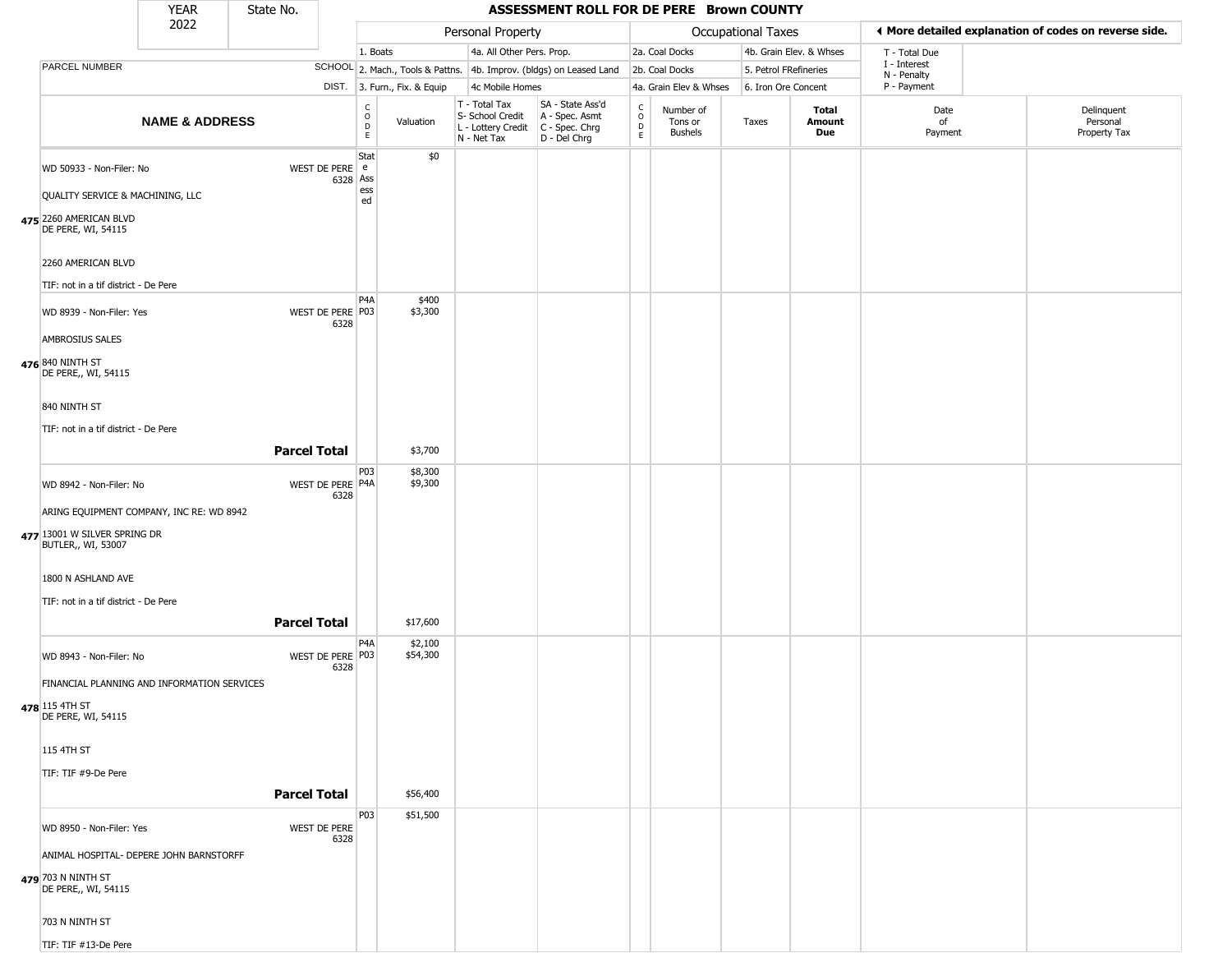|                                                              | YEAR                      | State No.           |                            |                                   |                              |                                                  | ASSESSMENT ROLL FOR DE PERE Brown COUNTY                                                |                                |                                        |                       |                               |                             |                                                       |
|--------------------------------------------------------------|---------------------------|---------------------|----------------------------|-----------------------------------|------------------------------|--------------------------------------------------|-----------------------------------------------------------------------------------------|--------------------------------|----------------------------------------|-----------------------|-------------------------------|-----------------------------|-------------------------------------------------------|
|                                                              | 2022                      |                     |                            |                                   |                              | Personal Property                                |                                                                                         |                                |                                        | Occupational Taxes    |                               |                             | ♦ More detailed explanation of codes on reverse side. |
|                                                              |                           |                     |                            | 1. Boats                          |                              | 4a. All Other Pers. Prop.                        |                                                                                         |                                | 2a. Coal Docks                         |                       | 4b. Grain Elev. & Whses       | T - Total Due               |                                                       |
| <b>PARCEL NUMBER</b>                                         |                           |                     |                            |                                   |                              |                                                  | SCHOOL 2. Mach., Tools & Pattns. 4b. Improv. (bldgs) on Leased Land                     |                                | 2b. Coal Docks                         | 5. Petrol FRefineries |                               | I - Interest<br>N - Penalty |                                                       |
|                                                              |                           |                     |                            |                                   | DIST. 3. Furn., Fix. & Equip | 4c Mobile Homes                                  |                                                                                         |                                | 4a. Grain Elev & Whses                 | 6. Iron Ore Concent   |                               | P - Payment                 |                                                       |
|                                                              | <b>NAME &amp; ADDRESS</b> |                     |                            | $\mathsf{C}$<br>$\circ$<br>D<br>E | Valuation                    | T - Total Tax<br>S- School Credit<br>N - Net Tax | SA - State Ass'd<br>A - Spec. Asmt<br>L - Lottery Credit C - Spec. Chrg<br>D - Del Chrg | $\rm _o^C$<br>$\mathsf D$<br>E | Number of<br>Tons or<br><b>Bushels</b> | Taxes                 | <b>Total</b><br>Amount<br>Due | Date<br>of<br>Payment       | Delinquent<br>Personal<br>Property Tax                |
| WD 50933 - Non-Filer: No<br>QUALITY SERVICE & MACHINING, LLC |                           |                     | WEST DE PERE e<br>6328 Ass | Stat<br>ess                       | \$0                          |                                                  |                                                                                         |                                |                                        |                       |                               |                             |                                                       |
| 475 2260 AMERICAN BLVD<br>DE PERE, WI, 54115                 |                           |                     |                            | ed                                |                              |                                                  |                                                                                         |                                |                                        |                       |                               |                             |                                                       |
| 2260 AMERICAN BLVD                                           |                           |                     |                            |                                   |                              |                                                  |                                                                                         |                                |                                        |                       |                               |                             |                                                       |
| TIF: not in a tif district - De Pere                         |                           |                     |                            |                                   |                              |                                                  |                                                                                         |                                |                                        |                       |                               |                             |                                                       |
| WD 8939 - Non-Filer: Yes                                     |                           |                     | WEST DE PERE P03<br>6328   | P4A                               | \$400<br>\$3,300             |                                                  |                                                                                         |                                |                                        |                       |                               |                             |                                                       |
| AMBROSIUS SALES<br>476 840 NINTH ST<br>DE PERE,, WI, 54115   |                           |                     |                            |                                   |                              |                                                  |                                                                                         |                                |                                        |                       |                               |                             |                                                       |
| 840 NINTH ST                                                 |                           |                     |                            |                                   |                              |                                                  |                                                                                         |                                |                                        |                       |                               |                             |                                                       |
| TIF: not in a tif district - De Pere                         |                           | <b>Parcel Total</b> |                            |                                   | \$3,700                      |                                                  |                                                                                         |                                |                                        |                       |                               |                             |                                                       |
| WD 8942 - Non-Filer: No                                      |                           |                     | WEST DE PERE P4A           | P03                               | \$8,300<br>\$9,300           |                                                  |                                                                                         |                                |                                        |                       |                               |                             |                                                       |
| ARING EQUIPMENT COMPANY, INC RE: WD 8942                     |                           |                     | 6328                       |                                   |                              |                                                  |                                                                                         |                                |                                        |                       |                               |                             |                                                       |
| 477 13001 W SILVER SPRING DR<br>BUTLER,, WI, 53007           |                           |                     |                            |                                   |                              |                                                  |                                                                                         |                                |                                        |                       |                               |                             |                                                       |
| 1800 N ASHLAND AVE                                           |                           |                     |                            |                                   |                              |                                                  |                                                                                         |                                |                                        |                       |                               |                             |                                                       |
| TIF: not in a tif district - De Pere                         |                           | <b>Parcel Total</b> |                            |                                   | \$17,600                     |                                                  |                                                                                         |                                |                                        |                       |                               |                             |                                                       |
| WD 8943 - Non-Filer: No                                      |                           |                     | WEST DE PERE P03<br>6328   | P4A                               | \$2,100<br>\$54,300          |                                                  |                                                                                         |                                |                                        |                       |                               |                             |                                                       |
| FINANCIAL PLANNING AND INFORMATION SERVICES                  |                           |                     |                            |                                   |                              |                                                  |                                                                                         |                                |                                        |                       |                               |                             |                                                       |
| 478 115 4TH ST<br>DE PERE, WI, 54115                         |                           |                     |                            |                                   |                              |                                                  |                                                                                         |                                |                                        |                       |                               |                             |                                                       |
| 115 4TH ST                                                   |                           |                     |                            |                                   |                              |                                                  |                                                                                         |                                |                                        |                       |                               |                             |                                                       |
| TIF: TIF #9-De Pere                                          |                           | <b>Parcel Total</b> |                            |                                   | \$56,400                     |                                                  |                                                                                         |                                |                                        |                       |                               |                             |                                                       |
| WD 8950 - Non-Filer: Yes                                     |                           |                     | WEST DE PERE<br>6328       | P03                               | \$51,500                     |                                                  |                                                                                         |                                |                                        |                       |                               |                             |                                                       |
| ANIMAL HOSPITAL- DEPERE JOHN BARNSTORFF                      |                           |                     |                            |                                   |                              |                                                  |                                                                                         |                                |                                        |                       |                               |                             |                                                       |
| 479 703 N NINTH ST<br>DE PERE,, WI, 54115                    |                           |                     |                            |                                   |                              |                                                  |                                                                                         |                                |                                        |                       |                               |                             |                                                       |
| 703 N NINTH ST                                               |                           |                     |                            |                                   |                              |                                                  |                                                                                         |                                |                                        |                       |                               |                             |                                                       |
| TIF: TIF #13-De Pere                                         |                           |                     |                            |                                   |                              |                                                  |                                                                                         |                                |                                        |                       |                               |                             |                                                       |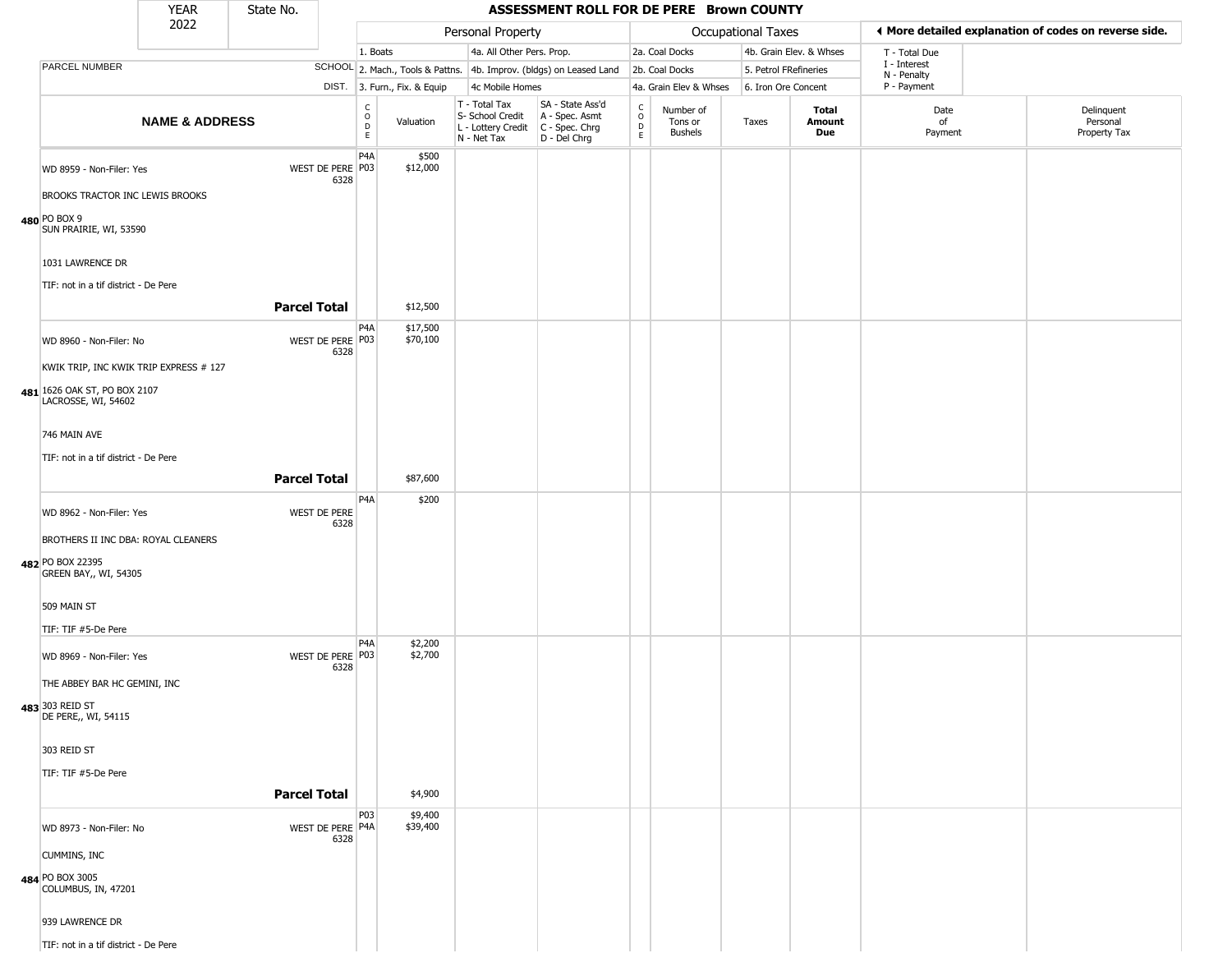|                                                                   | <b>YEAR</b>               | State No.           |                          |                                                          |                              |                                                                        | ASSESSMENT ROLL FOR DE PERE Brown COUNTY                             |                                                   |                                        |                       |                         |                             |                                                       |
|-------------------------------------------------------------------|---------------------------|---------------------|--------------------------|----------------------------------------------------------|------------------------------|------------------------------------------------------------------------|----------------------------------------------------------------------|---------------------------------------------------|----------------------------------------|-----------------------|-------------------------|-----------------------------|-------------------------------------------------------|
|                                                                   | 2022                      |                     |                          |                                                          |                              | Personal Property                                                      |                                                                      |                                                   |                                        | Occupational Taxes    |                         |                             | ♦ More detailed explanation of codes on reverse side. |
|                                                                   |                           |                     |                          | 1. Boats                                                 |                              | 4a. All Other Pers. Prop.                                              |                                                                      |                                                   | 2a. Coal Docks                         |                       | 4b. Grain Elev. & Whses | T - Total Due               |                                                       |
| PARCEL NUMBER                                                     |                           |                     |                          |                                                          |                              |                                                                        | SCHOOL 2. Mach., Tools & Pattns. 4b. Improv. (bldgs) on Leased Land  |                                                   | 2b. Coal Docks                         | 5. Petrol FRefineries |                         | I - Interest<br>N - Penalty |                                                       |
|                                                                   |                           |                     |                          |                                                          | DIST. 3. Furn., Fix. & Equip | 4c Mobile Homes                                                        |                                                                      |                                                   | 4a. Grain Elev & Whses                 | 6. Iron Ore Concent   |                         | P - Payment                 |                                                       |
|                                                                   | <b>NAME &amp; ADDRESS</b> |                     |                          | $\begin{matrix} 0 \\ 0 \\ D \end{matrix}$<br>$\mathsf E$ | Valuation                    | T - Total Tax<br>S- School Credit<br>L - Lottery Credit<br>N - Net Tax | SA - State Ass'd<br>A - Spec. Asmt<br>C - Spec. Chrg<br>D - Del Chrg | $\begin{array}{c}\nC \\ O \\ D \\ E\n\end{array}$ | Number of<br>Tons or<br><b>Bushels</b> | Taxes                 | Total<br>Amount<br>Due  | Date<br>of<br>Payment       | Delinquent<br>Personal<br>Property Tax                |
| WD 8959 - Non-Filer: Yes<br>BROOKS TRACTOR INC LEWIS BROOKS       |                           |                     | WEST DE PERE P03<br>6328 | P <sub>4</sub> A                                         | \$500<br>\$12,000            |                                                                        |                                                                      |                                                   |                                        |                       |                         |                             |                                                       |
| 480 PO BOX 9<br>SUN PRAIRIE, WI, 53590                            |                           |                     |                          |                                                          |                              |                                                                        |                                                                      |                                                   |                                        |                       |                         |                             |                                                       |
| 1031 LAWRENCE DR<br>TIF: not in a tif district - De Pere          |                           |                     |                          |                                                          |                              |                                                                        |                                                                      |                                                   |                                        |                       |                         |                             |                                                       |
|                                                                   |                           | <b>Parcel Total</b> |                          | P4A                                                      | \$12,500<br>\$17,500         |                                                                        |                                                                      |                                                   |                                        |                       |                         |                             |                                                       |
| WD 8960 - Non-Filer: No<br>KWIK TRIP, INC KWIK TRIP EXPRESS # 127 |                           |                     | WEST DE PERE P03<br>6328 |                                                          | \$70,100                     |                                                                        |                                                                      |                                                   |                                        |                       |                         |                             |                                                       |
| 481 1626 OAK ST, PO BOX 2107<br>LACROSSE, WI, 54602               |                           |                     |                          |                                                          |                              |                                                                        |                                                                      |                                                   |                                        |                       |                         |                             |                                                       |
| 746 MAIN AVE                                                      |                           |                     |                          |                                                          |                              |                                                                        |                                                                      |                                                   |                                        |                       |                         |                             |                                                       |
| TIF: not in a tif district - De Pere                              |                           |                     |                          |                                                          |                              |                                                                        |                                                                      |                                                   |                                        |                       |                         |                             |                                                       |
|                                                                   |                           | <b>Parcel Total</b> |                          |                                                          | \$87,600                     |                                                                        |                                                                      |                                                   |                                        |                       |                         |                             |                                                       |
|                                                                   |                           |                     |                          | P4A                                                      | \$200                        |                                                                        |                                                                      |                                                   |                                        |                       |                         |                             |                                                       |
| WD 8962 - Non-Filer: Yes                                          |                           |                     | WEST DE PERE<br>6328     |                                                          |                              |                                                                        |                                                                      |                                                   |                                        |                       |                         |                             |                                                       |
| BROTHERS II INC DBA: ROYAL CLEANERS                               |                           |                     |                          |                                                          |                              |                                                                        |                                                                      |                                                   |                                        |                       |                         |                             |                                                       |
| 482 PO BOX 22395<br>GREEN BAY,, WI, 54305                         |                           |                     |                          |                                                          |                              |                                                                        |                                                                      |                                                   |                                        |                       |                         |                             |                                                       |
| 509 MAIN ST                                                       |                           |                     |                          |                                                          |                              |                                                                        |                                                                      |                                                   |                                        |                       |                         |                             |                                                       |
| TIF: TIF #5-De Pere                                               |                           |                     |                          | P <sub>4</sub> A                                         | \$2,200                      |                                                                        |                                                                      |                                                   |                                        |                       |                         |                             |                                                       |
| WD 8969 - Non-Filer: Yes                                          |                           |                     | WEST DE PERE P03<br>6328 |                                                          | \$2,700                      |                                                                        |                                                                      |                                                   |                                        |                       |                         |                             |                                                       |
| THE ABBEY BAR HC GEMINI, INC<br>483 303 REID ST                   |                           |                     |                          |                                                          |                              |                                                                        |                                                                      |                                                   |                                        |                       |                         |                             |                                                       |
| DE PERE,, WI, 54115                                               |                           |                     |                          |                                                          |                              |                                                                        |                                                                      |                                                   |                                        |                       |                         |                             |                                                       |
| 303 REID ST                                                       |                           |                     |                          |                                                          |                              |                                                                        |                                                                      |                                                   |                                        |                       |                         |                             |                                                       |
| TIF: TIF #5-De Pere                                               |                           |                     |                          |                                                          |                              |                                                                        |                                                                      |                                                   |                                        |                       |                         |                             |                                                       |
|                                                                   |                           | <b>Parcel Total</b> |                          |                                                          | \$4,900                      |                                                                        |                                                                      |                                                   |                                        |                       |                         |                             |                                                       |
| WD 8973 - Non-Filer: No                                           |                           |                     | WEST DE PERE P4A<br>6328 | P03                                                      | \$9,400<br>\$39,400          |                                                                        |                                                                      |                                                   |                                        |                       |                         |                             |                                                       |
| <b>CUMMINS, INC</b>                                               |                           |                     |                          |                                                          |                              |                                                                        |                                                                      |                                                   |                                        |                       |                         |                             |                                                       |
| 484 PO BOX 3005<br>COLUMBUS, IN, 47201                            |                           |                     |                          |                                                          |                              |                                                                        |                                                                      |                                                   |                                        |                       |                         |                             |                                                       |
| 939 LAWRENCE DR                                                   |                           |                     |                          |                                                          |                              |                                                                        |                                                                      |                                                   |                                        |                       |                         |                             |                                                       |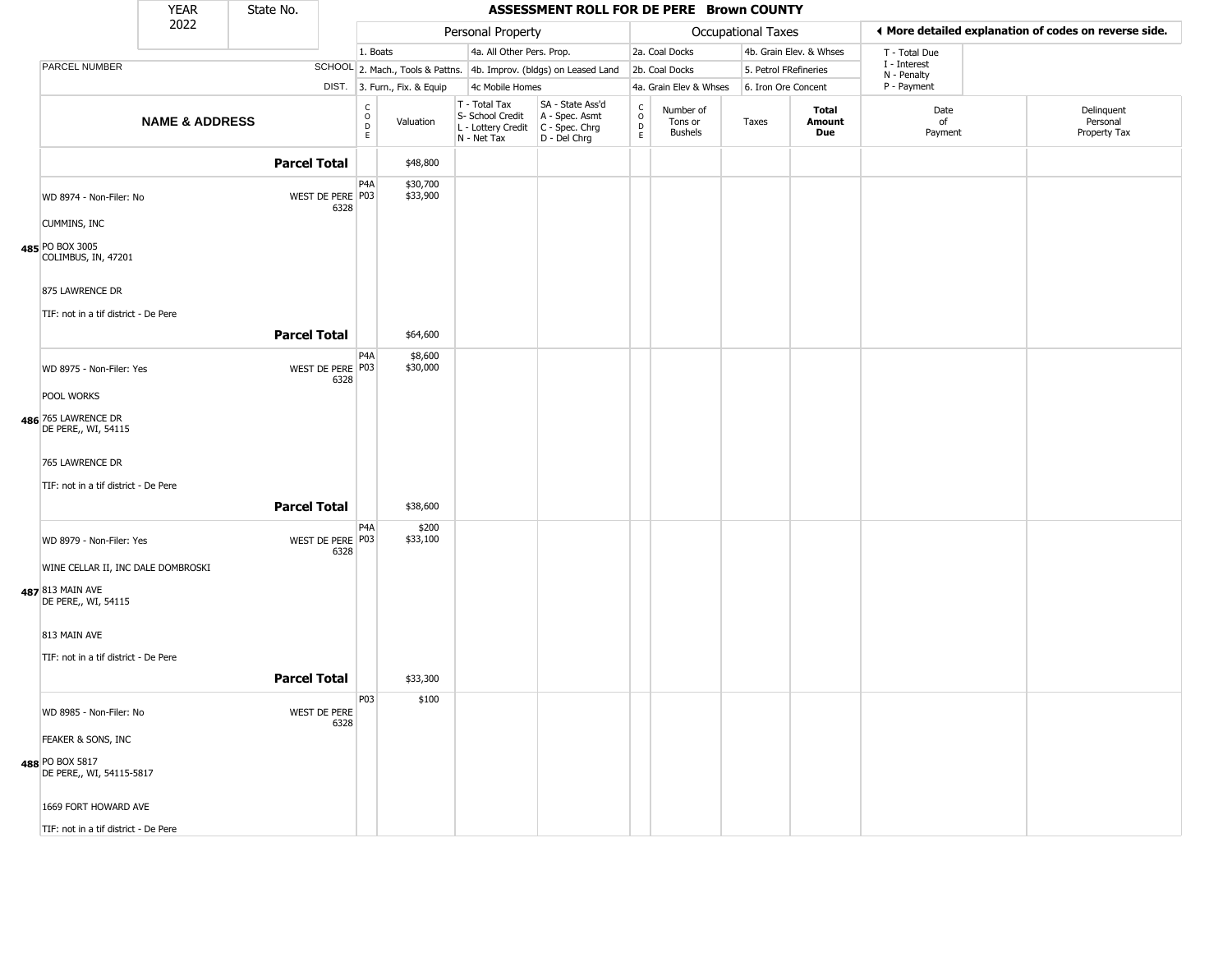|                                             | <b>YEAR</b>               | State No.           |                          |                                    |                              |                                                                        | ASSESSMENT ROLL FOR DE PERE Brown COUNTY                               |                                            |                                        |                    |                         |                             |                                                       |
|---------------------------------------------|---------------------------|---------------------|--------------------------|------------------------------------|------------------------------|------------------------------------------------------------------------|------------------------------------------------------------------------|--------------------------------------------|----------------------------------------|--------------------|-------------------------|-----------------------------|-------------------------------------------------------|
|                                             | 2022                      |                     |                          |                                    |                              | Personal Property                                                      |                                                                        |                                            |                                        | Occupational Taxes |                         |                             | ♦ More detailed explanation of codes on reverse side. |
|                                             |                           |                     |                          | 1. Boats                           |                              | 4a. All Other Pers. Prop.                                              |                                                                        |                                            | 2a. Coal Docks                         |                    | 4b. Grain Elev. & Whses | T - Total Due               |                                                       |
| PARCEL NUMBER                               |                           |                     |                          |                                    |                              |                                                                        | SCHOOL 2. Mach., Tools & Pattns. 4b. Improv. (bldgs) on Leased Land    |                                            | 2b. Coal Docks                         |                    | 5. Petrol FRefineries   | I - Interest<br>N - Penalty |                                                       |
|                                             |                           |                     |                          |                                    | DIST. 3. Furn., Fix. & Equip | 4c Mobile Homes                                                        |                                                                        |                                            | 4a. Grain Elev & Whses                 |                    | 6. Iron Ore Concent     | P - Payment                 |                                                       |
|                                             | <b>NAME &amp; ADDRESS</b> |                     |                          | $\mathsf{C}$<br>$\circ$<br>D<br>E. | Valuation                    | T - Total Tax<br>S- School Credit<br>L - Lottery Credit<br>N - Net Tax | SA - State Ass'd<br>A - Spec. Asmt<br>$C - Spec. Chrg$<br>D - Del Chrg | $\begin{array}{c} C \\ 0 \\ E \end{array}$ | Number of<br>Tons or<br><b>Bushels</b> | Taxes              | Total<br>Amount<br>Due  | Date<br>of<br>Payment       | Delinquent<br>Personal<br>Property Tax                |
|                                             |                           | <b>Parcel Total</b> |                          |                                    | \$48,800                     |                                                                        |                                                                        |                                            |                                        |                    |                         |                             |                                                       |
| WD 8974 - Non-Filer: No                     |                           |                     | WEST DE PERE P03<br>6328 | P <sub>4</sub> A                   | \$30,700<br>\$33,900         |                                                                        |                                                                        |                                            |                                        |                    |                         |                             |                                                       |
| <b>CUMMINS, INC</b>                         |                           |                     |                          |                                    |                              |                                                                        |                                                                        |                                            |                                        |                    |                         |                             |                                                       |
| 485 PO BOX 3005<br>COLIMBUS, IN, 47201      |                           |                     |                          |                                    |                              |                                                                        |                                                                        |                                            |                                        |                    |                         |                             |                                                       |
| 875 LAWRENCE DR                             |                           |                     |                          |                                    |                              |                                                                        |                                                                        |                                            |                                        |                    |                         |                             |                                                       |
| TIF: not in a tif district - De Pere        |                           |                     |                          |                                    |                              |                                                                        |                                                                        |                                            |                                        |                    |                         |                             |                                                       |
|                                             |                           | <b>Parcel Total</b> |                          |                                    | \$64,600                     |                                                                        |                                                                        |                                            |                                        |                    |                         |                             |                                                       |
| WD 8975 - Non-Filer: Yes                    |                           |                     | WEST DE PERE P03<br>6328 | P4A                                | \$8,600<br>\$30,000          |                                                                        |                                                                        |                                            |                                        |                    |                         |                             |                                                       |
| POOL WORKS                                  |                           |                     |                          |                                    |                              |                                                                        |                                                                        |                                            |                                        |                    |                         |                             |                                                       |
| 486 765 LAWRENCE DR<br>DE PERE,, WI, 54115  |                           |                     |                          |                                    |                              |                                                                        |                                                                        |                                            |                                        |                    |                         |                             |                                                       |
| 765 LAWRENCE DR                             |                           |                     |                          |                                    |                              |                                                                        |                                                                        |                                            |                                        |                    |                         |                             |                                                       |
| TIF: not in a tif district - De Pere        |                           |                     |                          |                                    |                              |                                                                        |                                                                        |                                            |                                        |                    |                         |                             |                                                       |
|                                             |                           | <b>Parcel Total</b> |                          |                                    | \$38,600                     |                                                                        |                                                                        |                                            |                                        |                    |                         |                             |                                                       |
| WD 8979 - Non-Filer: Yes                    |                           |                     | WEST DE PERE P03<br>6328 | P <sub>4</sub> A                   | \$200<br>\$33,100            |                                                                        |                                                                        |                                            |                                        |                    |                         |                             |                                                       |
| WINE CELLAR II, INC DALE DOMBROSKI          |                           |                     |                          |                                    |                              |                                                                        |                                                                        |                                            |                                        |                    |                         |                             |                                                       |
| 487 813 MAIN AVE<br>DE PERE,, WI, 54115     |                           |                     |                          |                                    |                              |                                                                        |                                                                        |                                            |                                        |                    |                         |                             |                                                       |
| 813 MAIN AVE                                |                           |                     |                          |                                    |                              |                                                                        |                                                                        |                                            |                                        |                    |                         |                             |                                                       |
| TIF: not in a tif district - De Pere        |                           |                     |                          |                                    |                              |                                                                        |                                                                        |                                            |                                        |                    |                         |                             |                                                       |
|                                             |                           | <b>Parcel Total</b> |                          |                                    | \$33,300                     |                                                                        |                                                                        |                                            |                                        |                    |                         |                             |                                                       |
| WD 8985 - Non-Filer: No                     |                           |                     | WEST DE PERE<br>6328     | P03                                | \$100                        |                                                                        |                                                                        |                                            |                                        |                    |                         |                             |                                                       |
| FEAKER & SONS, INC                          |                           |                     |                          |                                    |                              |                                                                        |                                                                        |                                            |                                        |                    |                         |                             |                                                       |
| 488 PO BOX 5817<br>DE PERE,, WI, 54115-5817 |                           |                     |                          |                                    |                              |                                                                        |                                                                        |                                            |                                        |                    |                         |                             |                                                       |
| 1669 FORT HOWARD AVE                        |                           |                     |                          |                                    |                              |                                                                        |                                                                        |                                            |                                        |                    |                         |                             |                                                       |
| TIF: not in a tif district - De Pere        |                           |                     |                          |                                    |                              |                                                                        |                                                                        |                                            |                                        |                    |                         |                             |                                                       |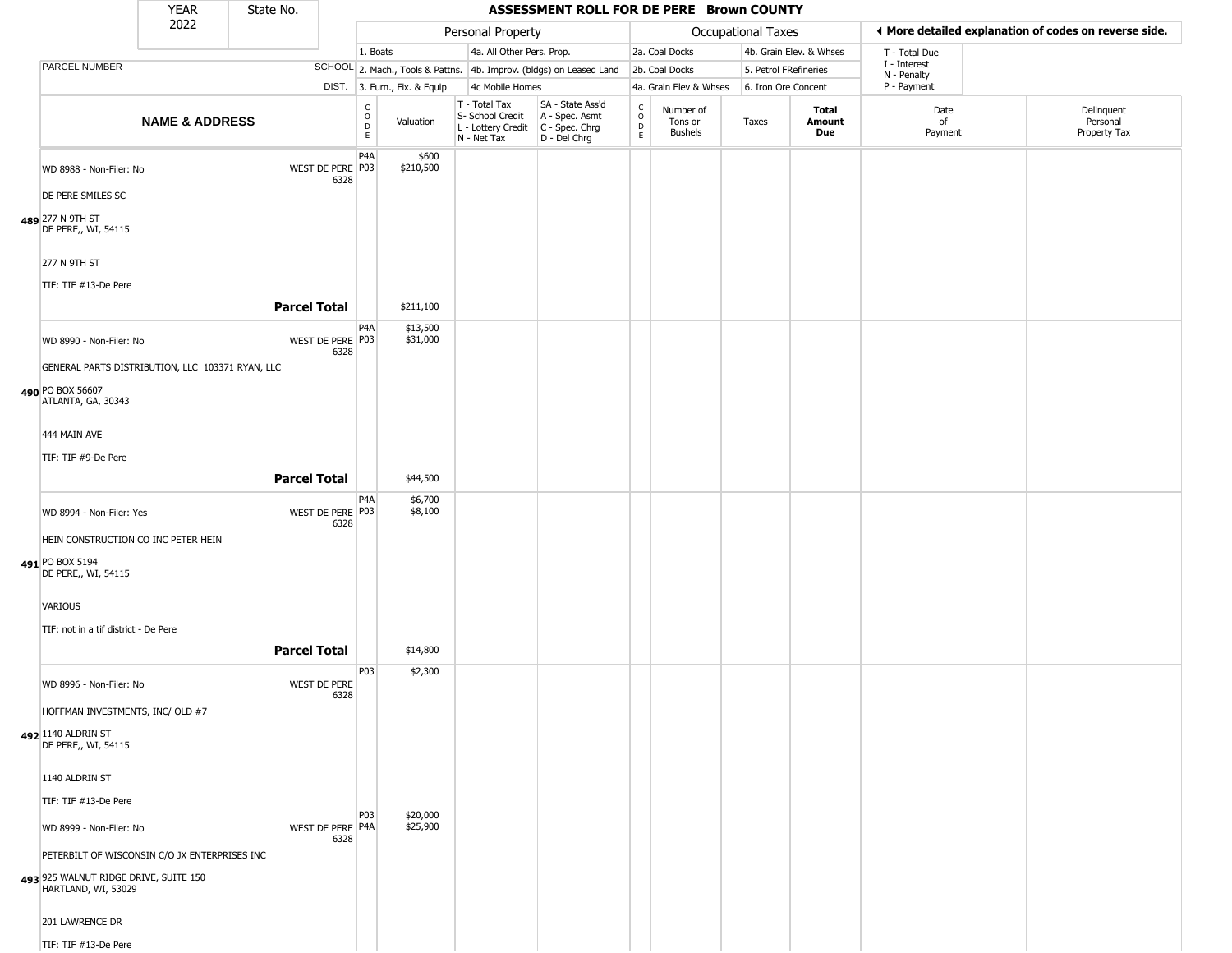|                                                                                                               | <b>YEAR</b>               | State No.           |                          |                              |                                                                                         | ASSESSMENT ROLL FOR DE PERE Brown COUNTY                            |                        |                                        |                       |                         |                             |                                                       |
|---------------------------------------------------------------------------------------------------------------|---------------------------|---------------------|--------------------------|------------------------------|-----------------------------------------------------------------------------------------|---------------------------------------------------------------------|------------------------|----------------------------------------|-----------------------|-------------------------|-----------------------------|-------------------------------------------------------|
|                                                                                                               | 2022                      |                     |                          |                              | Personal Property                                                                       |                                                                     |                        |                                        | Occupational Taxes    |                         |                             | ♦ More detailed explanation of codes on reverse side. |
|                                                                                                               |                           |                     | 1. Boats                 |                              | 4a. All Other Pers. Prop.                                                               |                                                                     |                        | 2a. Coal Docks                         |                       | 4b. Grain Elev. & Whses | T - Total Due               |                                                       |
| PARCEL NUMBER                                                                                                 |                           |                     |                          |                              |                                                                                         | SCHOOL 2. Mach., Tools & Pattns. 4b. Improv. (bldgs) on Leased Land |                        | 2b. Coal Docks                         | 5. Petrol FRefineries |                         | I - Interest<br>N - Penalty |                                                       |
|                                                                                                               |                           |                     |                          | DIST. 3. Furn., Fix. & Equip | 4c Mobile Homes                                                                         |                                                                     |                        | 4a. Grain Elev & Whses                 | 6. Iron Ore Concent   |                         | P - Payment                 |                                                       |
|                                                                                                               | <b>NAME &amp; ADDRESS</b> |                     | C<br>$\circ$<br>D<br>E   | Valuation                    | T - Total Tax<br>S- School Credit<br>L - Lottery Credit   C - Spec. Chrg<br>N - Net Tax | SA - State Ass'd<br>A - Spec. Asmt<br>D - Del Chrg                  | C<br>$\circ$<br>D<br>E | Number of<br>Tons or<br><b>Bushels</b> | Taxes                 | Total<br>Amount<br>Due  | Date<br>of<br>Payment       | Delinquent<br>Personal<br>Property Tax                |
| WD 8988 - Non-Filer: No<br>DE PERE SMILES SC                                                                  |                           | WEST DE PERE P03    | P <sub>4</sub> A<br>6328 | \$600<br>\$210,500           |                                                                                         |                                                                     |                        |                                        |                       |                         |                             |                                                       |
| 489 277 N 9TH ST<br>DE PERE,, WI, 54115                                                                       |                           |                     |                          |                              |                                                                                         |                                                                     |                        |                                        |                       |                         |                             |                                                       |
| 277 N 9TH ST<br>TIF: TIF #13-De Pere                                                                          |                           |                     |                          |                              |                                                                                         |                                                                     |                        |                                        |                       |                         |                             |                                                       |
|                                                                                                               |                           | <b>Parcel Total</b> |                          | \$211,100                    |                                                                                         |                                                                     |                        |                                        |                       |                         |                             |                                                       |
| WD 8990 - Non-Filer: No                                                                                       |                           | WEST DE PERE P03    | P4A<br>6328              | \$13,500<br>\$31,000         |                                                                                         |                                                                     |                        |                                        |                       |                         |                             |                                                       |
| GENERAL PARTS DISTRIBUTION, LLC 103371 RYAN, LLC                                                              |                           |                     |                          |                              |                                                                                         |                                                                     |                        |                                        |                       |                         |                             |                                                       |
| 490 PO BOX 56607<br>ATLANTA, GA, 30343                                                                        |                           |                     |                          |                              |                                                                                         |                                                                     |                        |                                        |                       |                         |                             |                                                       |
| 444 MAIN AVE                                                                                                  |                           |                     |                          |                              |                                                                                         |                                                                     |                        |                                        |                       |                         |                             |                                                       |
| TIF: TIF #9-De Pere                                                                                           |                           |                     |                          |                              |                                                                                         |                                                                     |                        |                                        |                       |                         |                             |                                                       |
|                                                                                                               |                           | <b>Parcel Total</b> |                          | \$44,500                     |                                                                                         |                                                                     |                        |                                        |                       |                         |                             |                                                       |
| WD 8994 - Non-Filer: Yes                                                                                      |                           | WEST DE PERE P03    | P4A<br>6328              | \$6,700<br>\$8,100           |                                                                                         |                                                                     |                        |                                        |                       |                         |                             |                                                       |
| HEIN CONSTRUCTION CO INC PETER HEIN<br>491 PO BOX 5194<br>DE PERE,, WI, 54115                                 |                           |                     |                          |                              |                                                                                         |                                                                     |                        |                                        |                       |                         |                             |                                                       |
| VARIOUS                                                                                                       |                           |                     |                          |                              |                                                                                         |                                                                     |                        |                                        |                       |                         |                             |                                                       |
| TIF: not in a tif district - De Pere                                                                          |                           |                     |                          |                              |                                                                                         |                                                                     |                        |                                        |                       |                         |                             |                                                       |
|                                                                                                               |                           | <b>Parcel Total</b> |                          | \$14,800                     |                                                                                         |                                                                     |                        |                                        |                       |                         |                             |                                                       |
| WD 8996 - Non-Filer: No                                                                                       |                           | WEST DE PERE        | P03<br>6328              | \$2,300                      |                                                                                         |                                                                     |                        |                                        |                       |                         |                             |                                                       |
| HOFFMAN INVESTMENTS, INC/ OLD #7                                                                              |                           |                     |                          |                              |                                                                                         |                                                                     |                        |                                        |                       |                         |                             |                                                       |
| 492 1140 ALDRIN ST<br>DE PERE,, WI, 54115                                                                     |                           |                     |                          |                              |                                                                                         |                                                                     |                        |                                        |                       |                         |                             |                                                       |
| 1140 ALDRIN ST                                                                                                |                           |                     |                          |                              |                                                                                         |                                                                     |                        |                                        |                       |                         |                             |                                                       |
| TIF: TIF #13-De Pere                                                                                          |                           |                     |                          |                              |                                                                                         |                                                                     |                        |                                        |                       |                         |                             |                                                       |
| WD 8999 - Non-Filer: No                                                                                       |                           | WEST DE PERE P4A    | P03<br>6328              | \$20,000<br>\$25,900         |                                                                                         |                                                                     |                        |                                        |                       |                         |                             |                                                       |
| PETERBILT OF WISCONSIN C/O JX ENTERPRISES INC<br>493 925 WALNUT RIDGE DRIVE, SUITE 150<br>HARTLAND, WI, 53029 |                           |                     |                          |                              |                                                                                         |                                                                     |                        |                                        |                       |                         |                             |                                                       |
| 201 LAWRENCE DR                                                                                               |                           |                     |                          |                              |                                                                                         |                                                                     |                        |                                        |                       |                         |                             |                                                       |
| TIF: TIF #13-De Pere                                                                                          |                           |                     |                          |                              |                                                                                         |                                                                     |                        |                                        |                       |                         |                             |                                                       |

TIF: TIF #13-De Pere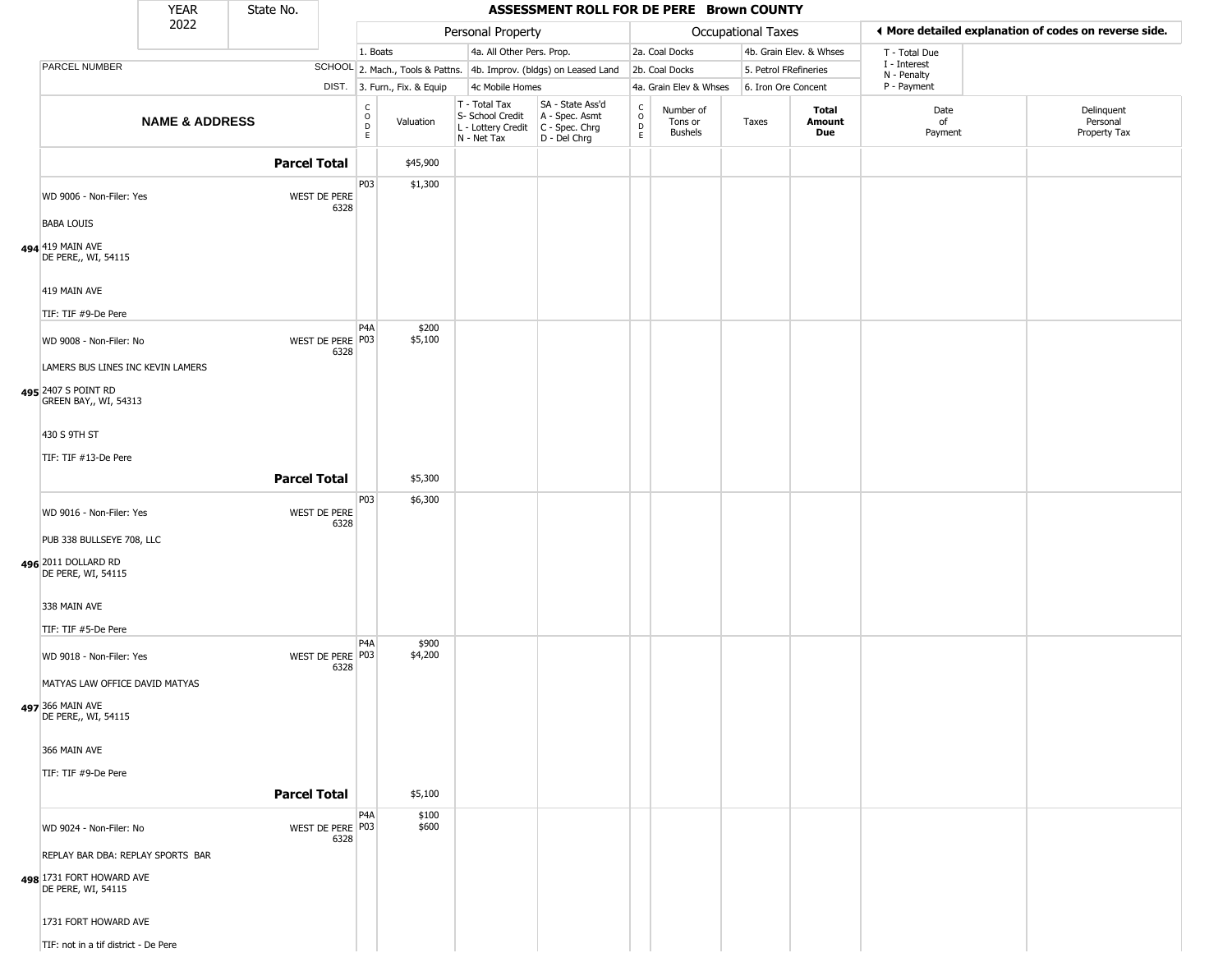|                                                                                     | <b>YEAR</b>               | State No.           |                                           |                              |                                                                        | ASSESSMENT ROLL FOR DE PERE Brown COUNTY                             |                                   |                                 |                       |                         |                             |                                                       |
|-------------------------------------------------------------------------------------|---------------------------|---------------------|-------------------------------------------|------------------------------|------------------------------------------------------------------------|----------------------------------------------------------------------|-----------------------------------|---------------------------------|-----------------------|-------------------------|-----------------------------|-------------------------------------------------------|
|                                                                                     | 2022                      |                     |                                           |                              | Personal Property                                                      |                                                                      |                                   |                                 | Occupational Taxes    |                         |                             | ♦ More detailed explanation of codes on reverse side. |
|                                                                                     |                           |                     |                                           | 1. Boats                     | 4a. All Other Pers. Prop.                                              |                                                                      |                                   | 2a. Coal Docks                  |                       | 4b. Grain Elev. & Whses | T - Total Due               |                                                       |
| PARCEL NUMBER                                                                       |                           |                     |                                           |                              |                                                                        | SCHOOL 2. Mach., Tools & Pattns. 4b. Improv. (bldgs) on Leased Land  |                                   | 2b. Coal Docks                  | 5. Petrol FRefineries |                         | I - Interest<br>N - Penalty |                                                       |
|                                                                                     |                           |                     |                                           | DIST. 3. Furn., Fix. & Equip | 4c Mobile Homes                                                        |                                                                      |                                   | 4a. Grain Elev & Whses          | 6. Iron Ore Concent   |                         | P - Payment                 |                                                       |
|                                                                                     | <b>NAME &amp; ADDRESS</b> |                     | $_{\rm o}^{\rm c}$<br>$\overline{D}$<br>E | Valuation                    | T - Total Tax<br>S- School Credit<br>L - Lottery Credit<br>N - Net Tax | SA - State Ass'd<br>A - Spec. Asmt<br>C - Spec. Chrg<br>D - Del Chrg | $\frac{C}{O}$<br>D<br>$\mathsf E$ | Number of<br>Tons or<br>Bushels | Taxes                 | Total<br>Amount<br>Due  | Date<br>of<br>Payment       | Delinquent<br>Personal<br>Property Tax                |
|                                                                                     |                           | <b>Parcel Total</b> |                                           | \$45,900                     |                                                                        |                                                                      |                                   |                                 |                       |                         |                             |                                                       |
| WD 9006 - Non-Filer: Yes<br><b>BABA LOUIS</b>                                       |                           |                     | P03<br>WEST DE PERE<br>6328               | \$1,300                      |                                                                        |                                                                      |                                   |                                 |                       |                         |                             |                                                       |
| 494 419 MAIN AVE<br>DE PERE,, WI, 54115                                             |                           |                     |                                           |                              |                                                                        |                                                                      |                                   |                                 |                       |                         |                             |                                                       |
| 419 MAIN AVE<br>TIF: TIF #9-De Pere                                                 |                           |                     |                                           |                              |                                                                        |                                                                      |                                   |                                 |                       |                         |                             |                                                       |
| WD 9008 - Non-Filer: No                                                             |                           |                     | P4A<br>WEST DE PERE P03<br>6328           | \$200<br>\$5,100             |                                                                        |                                                                      |                                   |                                 |                       |                         |                             |                                                       |
| LAMERS BUS LINES INC KEVIN LAMERS<br>495 2407 S POINT RD<br>GREEN BAY,, WI, 54313   |                           |                     |                                           |                              |                                                                        |                                                                      |                                   |                                 |                       |                         |                             |                                                       |
| 430 S 9TH ST                                                                        |                           |                     |                                           |                              |                                                                        |                                                                      |                                   |                                 |                       |                         |                             |                                                       |
| TIF: TIF #13-De Pere                                                                |                           | <b>Parcel Total</b> |                                           | \$5,300                      |                                                                        |                                                                      |                                   |                                 |                       |                         |                             |                                                       |
| WD 9016 - Non-Filer: Yes<br>PUB 338 BULLSEYE 708, LLC                               |                           |                     | P03<br>WEST DE PERE<br>6328               | \$6,300                      |                                                                        |                                                                      |                                   |                                 |                       |                         |                             |                                                       |
| 496 2011 DOLLARD RD<br>DE PERE, WI, 54115                                           |                           |                     |                                           |                              |                                                                        |                                                                      |                                   |                                 |                       |                         |                             |                                                       |
| 338 MAIN AVE<br>TIF: TIF #5-De Pere                                                 |                           |                     | P4A                                       | \$900                        |                                                                        |                                                                      |                                   |                                 |                       |                         |                             |                                                       |
| WD 9018 - Non-Filer: Yes<br>MATYAS LAW OFFICE DAVID MATYAS                          |                           |                     | WEST DE PERE P03<br>6328                  | \$4,200                      |                                                                        |                                                                      |                                   |                                 |                       |                         |                             |                                                       |
| 497 366 MAIN AVE<br>DE PERE,, WI, 54115                                             |                           |                     |                                           |                              |                                                                        |                                                                      |                                   |                                 |                       |                         |                             |                                                       |
| 366 MAIN AVE<br>TIF: TIF #9-De Pere                                                 |                           |                     |                                           |                              |                                                                        |                                                                      |                                   |                                 |                       |                         |                             |                                                       |
|                                                                                     |                           | <b>Parcel Total</b> |                                           | \$5,100                      |                                                                        |                                                                      |                                   |                                 |                       |                         |                             |                                                       |
| WD 9024 - Non-Filer: No                                                             |                           |                     | P4A<br>WEST DE PERE P03<br>6328           | \$100<br>\$600               |                                                                        |                                                                      |                                   |                                 |                       |                         |                             |                                                       |
| REPLAY BAR DBA: REPLAY SPORTS BAR<br>498 1731 FORT HOWARD AVE<br>DE PERE, WI, 54115 |                           |                     |                                           |                              |                                                                        |                                                                      |                                   |                                 |                       |                         |                             |                                                       |
| 1731 FORT HOWARD AVE                                                                |                           |                     |                                           |                              |                                                                        |                                                                      |                                   |                                 |                       |                         |                             |                                                       |
| TIF: not in a tif district - De Pere                                                |                           |                     |                                           |                              |                                                                        |                                                                      |                                   |                                 |                       |                         |                             |                                                       |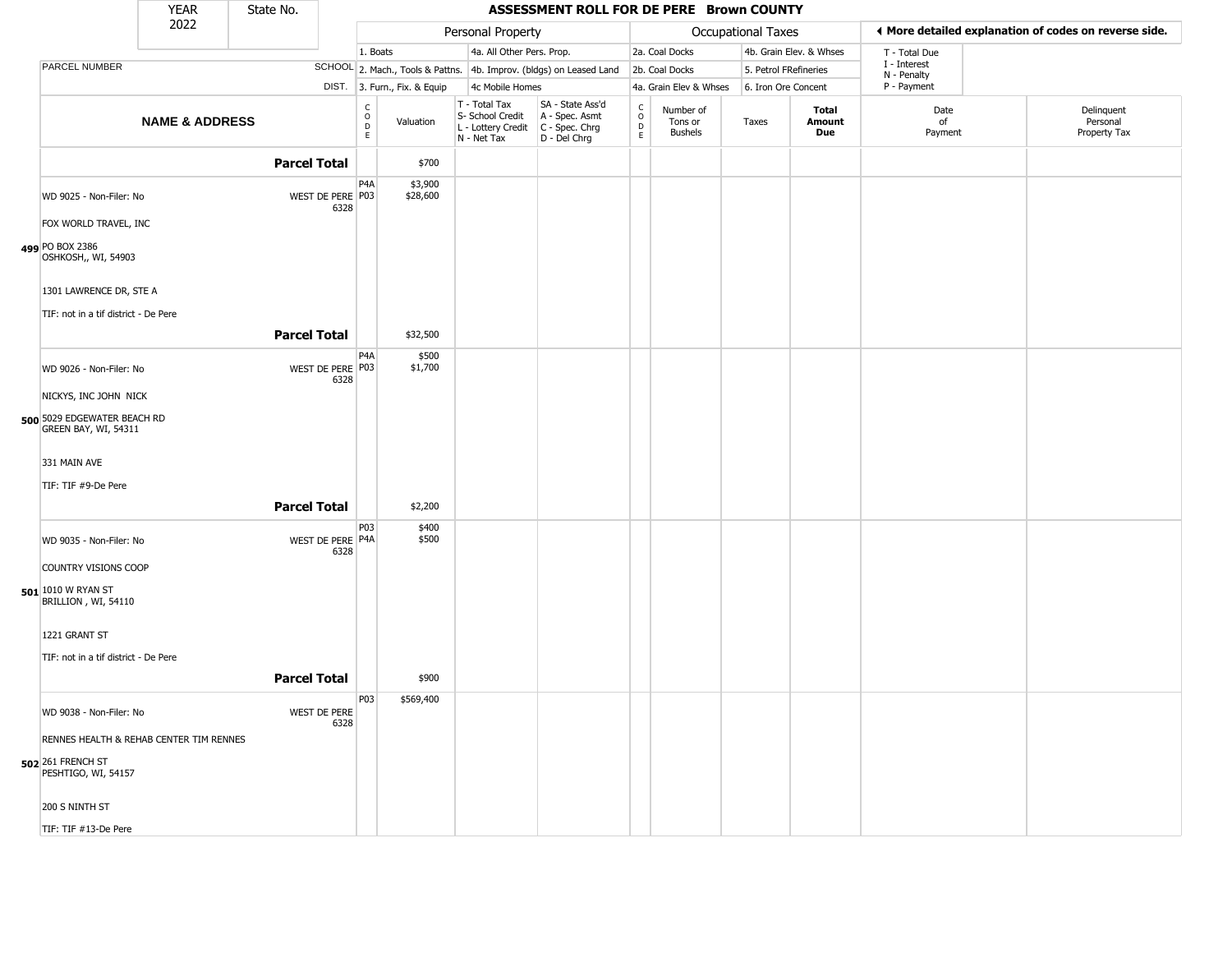|                                                     | <b>YEAR</b>               | State No.           |                          |                                                                       |                                                                        | ASSESSMENT ROLL FOR DE PERE Brown COUNTY                             |                                         |                                        |                    |                         |                             |                                                       |
|-----------------------------------------------------|---------------------------|---------------------|--------------------------|-----------------------------------------------------------------------|------------------------------------------------------------------------|----------------------------------------------------------------------|-----------------------------------------|----------------------------------------|--------------------|-------------------------|-----------------------------|-------------------------------------------------------|
|                                                     | 2022                      |                     |                          |                                                                       | Personal Property                                                      |                                                                      |                                         |                                        | Occupational Taxes |                         |                             | ◀ More detailed explanation of codes on reverse side. |
|                                                     |                           |                     |                          | 1. Boats                                                              | 4a. All Other Pers. Prop.                                              |                                                                      |                                         | 2a. Coal Docks                         |                    | 4b. Grain Elev. & Whses | T - Total Due               |                                                       |
| PARCEL NUMBER                                       |                           |                     |                          |                                                                       |                                                                        | SCHOOL 2. Mach., Tools & Pattns. 4b. Improv. (bldgs) on Leased Land  |                                         | 2b. Coal Docks                         |                    | 5. Petrol FRefineries   | I - Interest<br>N - Penalty |                                                       |
|                                                     |                           |                     |                          | DIST. 3. Furn., Fix. & Equip                                          | 4c Mobile Homes                                                        |                                                                      |                                         | 4a. Grain Elev & Whses                 |                    | 6. Iron Ore Concent     | P - Payment                 |                                                       |
|                                                     | <b>NAME &amp; ADDRESS</b> |                     |                          | $\begin{smallmatrix} C \\ O \\ D \end{smallmatrix}$<br>Valuation<br>E | T - Total Tax<br>S- School Credit<br>L - Lottery Credit<br>N - Net Tax | SA - State Ass'd<br>A - Spec. Asmt<br>C - Spec. Chrg<br>D - Del Chrg | $\rm ^c$<br>$\mathsf{D}$<br>$\mathsf E$ | Number of<br>Tons or<br><b>Bushels</b> | Taxes              | Total<br>Amount<br>Due  | Date<br>of<br>Payment       | Delinquent<br>Personal<br>Property Tax                |
|                                                     |                           | <b>Parcel Total</b> |                          | \$700                                                                 |                                                                        |                                                                      |                                         |                                        |                    |                         |                             |                                                       |
| WD 9025 - Non-Filer: No                             |                           |                     | WEST DE PERE P03<br>6328 | P4A<br>\$3,900<br>\$28,600                                            |                                                                        |                                                                      |                                         |                                        |                    |                         |                             |                                                       |
| FOX WORLD TRAVEL, INC                               |                           |                     |                          |                                                                       |                                                                        |                                                                      |                                         |                                        |                    |                         |                             |                                                       |
| 499 PO BOX 2386<br>OSHKOSH,, WI, 54903              |                           |                     |                          |                                                                       |                                                                        |                                                                      |                                         |                                        |                    |                         |                             |                                                       |
| 1301 LAWRENCE DR, STE A                             |                           |                     |                          |                                                                       |                                                                        |                                                                      |                                         |                                        |                    |                         |                             |                                                       |
| TIF: not in a tif district - De Pere                |                           |                     |                          |                                                                       |                                                                        |                                                                      |                                         |                                        |                    |                         |                             |                                                       |
|                                                     |                           | <b>Parcel Total</b> |                          | \$32,500                                                              |                                                                        |                                                                      |                                         |                                        |                    |                         |                             |                                                       |
| WD 9026 - Non-Filer: No                             |                           |                     | WEST DE PERE P03<br>6328 | P4A<br>\$500<br>\$1,700                                               |                                                                        |                                                                      |                                         |                                        |                    |                         |                             |                                                       |
| NICKYS, INC JOHN NICK                               |                           |                     |                          |                                                                       |                                                                        |                                                                      |                                         |                                        |                    |                         |                             |                                                       |
| 500 5029 EDGEWATER BEACH RD<br>GREEN BAY, WI, 54311 |                           |                     |                          |                                                                       |                                                                        |                                                                      |                                         |                                        |                    |                         |                             |                                                       |
| 331 MAIN AVE                                        |                           |                     |                          |                                                                       |                                                                        |                                                                      |                                         |                                        |                    |                         |                             |                                                       |
| TIF: TIF #9-De Pere                                 |                           |                     |                          |                                                                       |                                                                        |                                                                      |                                         |                                        |                    |                         |                             |                                                       |
|                                                     |                           | <b>Parcel Total</b> |                          | \$2,200                                                               |                                                                        |                                                                      |                                         |                                        |                    |                         |                             |                                                       |
| WD 9035 - Non-Filer: No                             |                           |                     | WEST DE PERE P4A<br>6328 | P03<br>\$400<br>\$500                                                 |                                                                        |                                                                      |                                         |                                        |                    |                         |                             |                                                       |
| COUNTRY VISIONS COOP                                |                           |                     |                          |                                                                       |                                                                        |                                                                      |                                         |                                        |                    |                         |                             |                                                       |
| 501 1010 W RYAN ST<br>BRILLION, WI, 54110           |                           |                     |                          |                                                                       |                                                                        |                                                                      |                                         |                                        |                    |                         |                             |                                                       |
| 1221 GRANT ST                                       |                           |                     |                          |                                                                       |                                                                        |                                                                      |                                         |                                        |                    |                         |                             |                                                       |
| TIF: not in a tif district - De Pere                |                           |                     |                          |                                                                       |                                                                        |                                                                      |                                         |                                        |                    |                         |                             |                                                       |
|                                                     |                           | <b>Parcel Total</b> |                          | \$900                                                                 |                                                                        |                                                                      |                                         |                                        |                    |                         |                             |                                                       |
|                                                     |                           |                     |                          | P03<br>\$569,400                                                      |                                                                        |                                                                      |                                         |                                        |                    |                         |                             |                                                       |
| WD 9038 - Non-Filer: No                             |                           |                     | WEST DE PERE<br>6328     |                                                                       |                                                                        |                                                                      |                                         |                                        |                    |                         |                             |                                                       |
| RENNES HEALTH & REHAB CENTER TIM RENNES             |                           |                     |                          |                                                                       |                                                                        |                                                                      |                                         |                                        |                    |                         |                             |                                                       |
| 502 261 FRENCH ST<br>PESHTIGO, WI, 54157            |                           |                     |                          |                                                                       |                                                                        |                                                                      |                                         |                                        |                    |                         |                             |                                                       |
| 200 S NINTH ST                                      |                           |                     |                          |                                                                       |                                                                        |                                                                      |                                         |                                        |                    |                         |                             |                                                       |
| TIF: TIF #13-De Pere                                |                           |                     |                          |                                                                       |                                                                        |                                                                      |                                         |                                        |                    |                         |                             |                                                       |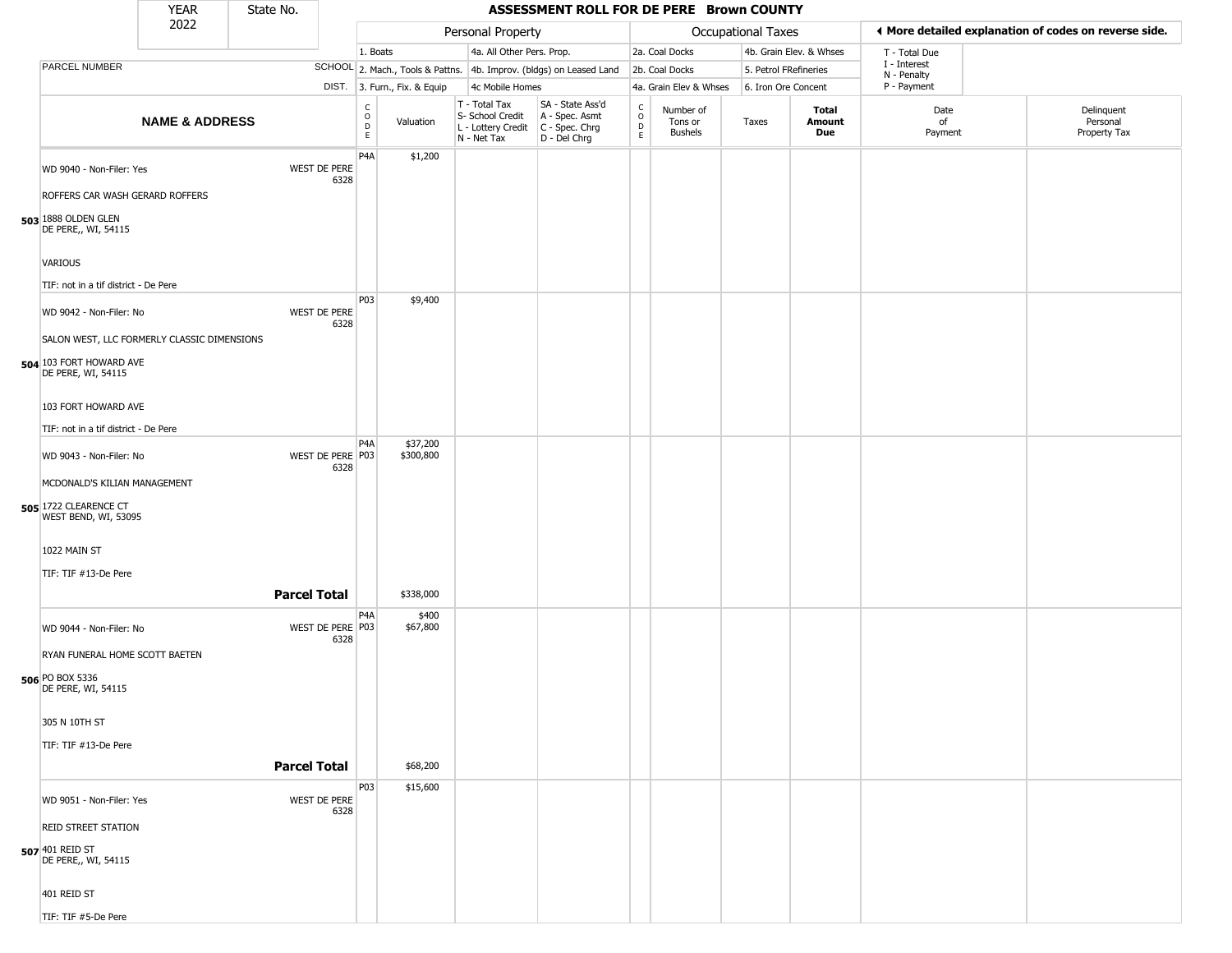|                                                                                                           | <b>YEAR</b>               | State No. |                          |                                             |                              |                                                                        | ASSESSMENT ROLL FOR DE PERE Brown COUNTY                             |                                        |                                        |                       |                         |                             |                                                       |
|-----------------------------------------------------------------------------------------------------------|---------------------------|-----------|--------------------------|---------------------------------------------|------------------------------|------------------------------------------------------------------------|----------------------------------------------------------------------|----------------------------------------|----------------------------------------|-----------------------|-------------------------|-----------------------------|-------------------------------------------------------|
|                                                                                                           | 2022                      |           |                          |                                             |                              | Personal Property                                                      |                                                                      |                                        |                                        | Occupational Taxes    |                         |                             | I More detailed explanation of codes on reverse side. |
|                                                                                                           |                           |           |                          | 1. Boats                                    |                              | 4a. All Other Pers. Prop.                                              |                                                                      |                                        | 2a. Coal Docks                         |                       | 4b. Grain Elev. & Whses | T - Total Due               |                                                       |
| PARCEL NUMBER                                                                                             |                           |           |                          |                                             |                              |                                                                        | SCHOOL 2. Mach., Tools & Pattns. 4b. Improv. (bldgs) on Leased Land  |                                        | 2b. Coal Docks                         | 5. Petrol FRefineries |                         | I - Interest<br>N - Penalty |                                                       |
|                                                                                                           |                           |           |                          |                                             | DIST. 3. Furn., Fix. & Equip | 4c Mobile Homes                                                        |                                                                      |                                        | 4a. Grain Elev & Whses                 | 6. Iron Ore Concent   |                         | P - Payment                 |                                                       |
|                                                                                                           | <b>NAME &amp; ADDRESS</b> |           |                          | $\mathsf{C}$<br>$\circ$<br>$\mathsf D$<br>E | Valuation                    | T - Total Tax<br>S- School Credit<br>L - Lottery Credit<br>N - Net Tax | SA - State Ass'd<br>A - Spec. Asmt<br>C - Spec. Chrg<br>D - Del Chrg | $\mathsf{C}$<br>$\mathsf{O}$<br>D<br>E | Number of<br>Tons or<br><b>Bushels</b> | Taxes                 | Total<br>Amount<br>Due  | Date<br>of<br>Payment       | Delinquent<br>Personal<br>Property Tax                |
| WD 9040 - Non-Filer: Yes<br>ROFFERS CAR WASH GERARD ROFFERS<br>503 1888 OLDEN GLEN<br>DE PERE,, WI, 54115 |                           |           | WEST DE PERE<br>6328     | P <sub>4</sub> A                            | \$1,200                      |                                                                        |                                                                      |                                        |                                        |                       |                         |                             |                                                       |
| VARIOUS<br>TIF: not in a tif district - De Pere                                                           |                           |           |                          |                                             |                              |                                                                        |                                                                      |                                        |                                        |                       |                         |                             |                                                       |
| WD 9042 - Non-Filer: No<br>SALON WEST, LLC FORMERLY CLASSIC DIMENSIONS<br>504 103 FORT HOWARD AVE         |                           |           | WEST DE PERE<br>6328     | P03                                         | \$9,400                      |                                                                        |                                                                      |                                        |                                        |                       |                         |                             |                                                       |
| DE PERE, WI, 54115<br>103 FORT HOWARD AVE<br>TIF: not in a tif district - De Pere                         |                           |           |                          |                                             |                              |                                                                        |                                                                      |                                        |                                        |                       |                         |                             |                                                       |
| WD 9043 - Non-Filer: No<br>MCDONALD'S KILIAN MANAGEMENT<br><b>505 1722 CLEARENCE CT</b>                   |                           |           | WEST DE PERE P03<br>6328 | P <sub>4</sub> A                            | \$37,200<br>\$300,800        |                                                                        |                                                                      |                                        |                                        |                       |                         |                             |                                                       |
| WEST BEND, WI, 53095<br>1022 MAIN ST<br>TIF: TIF #13-De Pere                                              |                           |           |                          |                                             |                              |                                                                        |                                                                      |                                        |                                        |                       |                         |                             |                                                       |
|                                                                                                           |                           |           | <b>Parcel Total</b>      |                                             | \$338,000                    |                                                                        |                                                                      |                                        |                                        |                       |                         |                             |                                                       |
| WD 9044 - Non-Filer: No<br>RYAN FUNERAL HOME SCOTT BAETEN<br>506 PO BOX 5336                              |                           |           | WEST DE PERE P03<br>6328 | P <sub>4</sub> A                            | \$400<br>\$67,800            |                                                                        |                                                                      |                                        |                                        |                       |                         |                             |                                                       |
| DE PERE, WI, 54115<br>305 N 10TH ST<br>TIF: TIF #13-De Pere                                               |                           |           |                          |                                             |                              |                                                                        |                                                                      |                                        |                                        |                       |                         |                             |                                                       |
|                                                                                                           |                           |           | <b>Parcel Total</b>      |                                             | \$68,200                     |                                                                        |                                                                      |                                        |                                        |                       |                         |                             |                                                       |
| WD 9051 - Non-Filer: Yes<br><b>REID STREET STATION</b><br>507 401 REID ST<br>DE PERE,, WI, 54115          |                           |           | WEST DE PERE<br>6328     | P03                                         | \$15,600                     |                                                                        |                                                                      |                                        |                                        |                       |                         |                             |                                                       |
| 401 REID ST<br>TIF: TIF #5-De Pere                                                                        |                           |           |                          |                                             |                              |                                                                        |                                                                      |                                        |                                        |                       |                         |                             |                                                       |

TIF: TIF #5-De Pere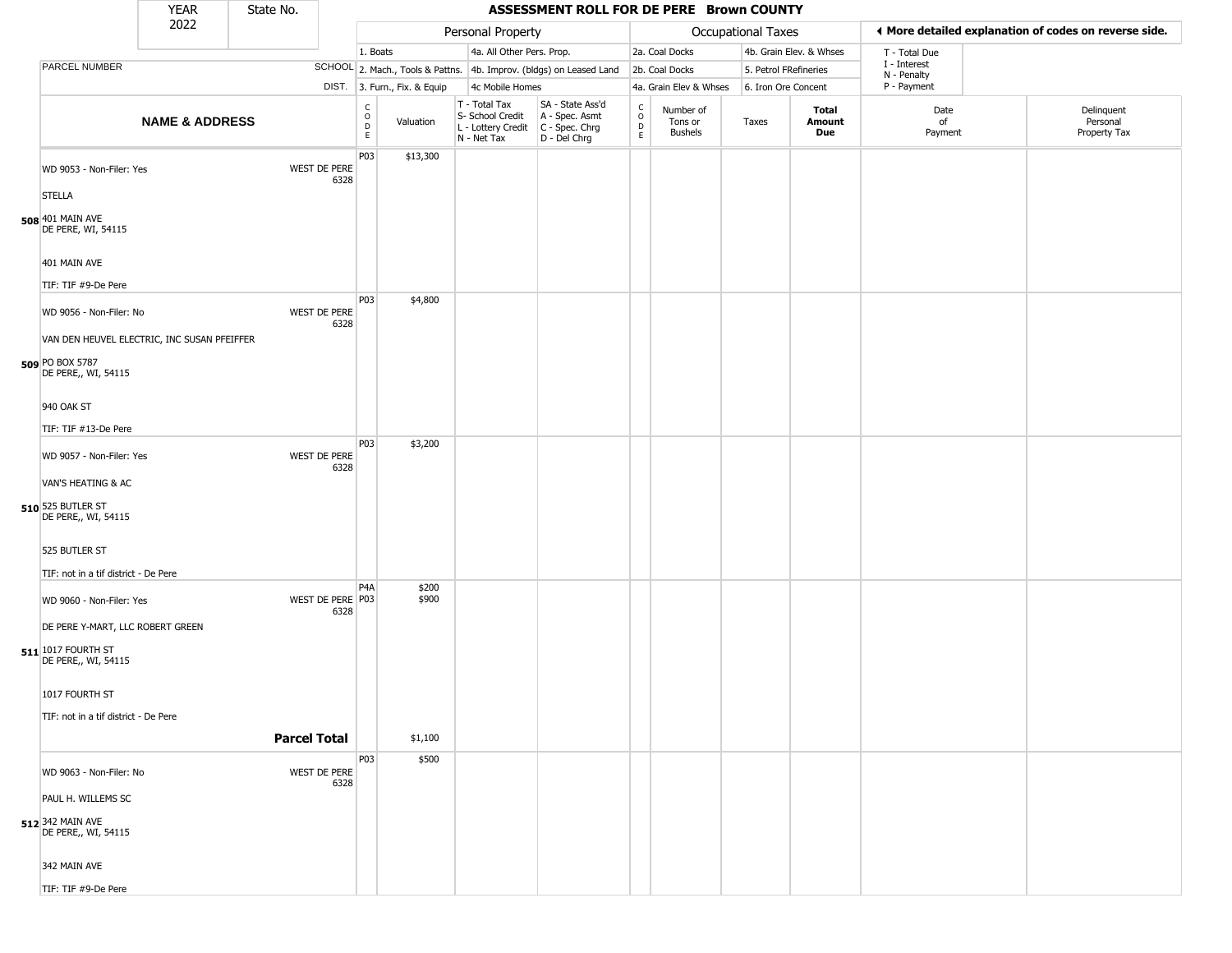|                                                         | <b>YEAR</b>               | State No.           |                                              |                              |                                                                                         | ASSESSMENT ROLL FOR DE PERE Brown COUNTY                            |                  |                                        |                       |                         |                             |                                                       |
|---------------------------------------------------------|---------------------------|---------------------|----------------------------------------------|------------------------------|-----------------------------------------------------------------------------------------|---------------------------------------------------------------------|------------------|----------------------------------------|-----------------------|-------------------------|-----------------------------|-------------------------------------------------------|
|                                                         | 2022                      |                     |                                              |                              | Personal Property                                                                       |                                                                     |                  |                                        | Occupational Taxes    |                         |                             | ♦ More detailed explanation of codes on reverse side. |
|                                                         |                           |                     |                                              | 1. Boats                     | 4a. All Other Pers. Prop.                                                               |                                                                     |                  | 2a. Coal Docks                         |                       | 4b. Grain Elev. & Whses | T - Total Due               |                                                       |
| PARCEL NUMBER                                           |                           |                     |                                              |                              |                                                                                         | SCHOOL 2. Mach., Tools & Pattns. 4b. Improv. (bldgs) on Leased Land |                  | 2b. Coal Docks                         | 5. Petrol FRefineries |                         | I - Interest<br>N - Penalty |                                                       |
|                                                         |                           |                     |                                              | DIST. 3. Furn., Fix. & Equip | 4c Mobile Homes                                                                         |                                                                     |                  | 4a. Grain Elev & Whses                 | 6. Iron Ore Concent   |                         | P - Payment                 |                                                       |
|                                                         | <b>NAME &amp; ADDRESS</b> |                     | C<br>D<br>E<br>E                             | Valuation                    | T - Total Tax<br>S- School Credit<br>L - Lottery Credit   C - Spec. Chrg<br>N - Net Tax | SA - State Ass'd<br>A - Spec. Asmt<br>D - Del Chrg                  | C<br>D<br>D<br>E | Number of<br>Tons or<br><b>Bushels</b> | Taxes                 | Total<br>Amount<br>Due  | Date<br>of<br>Payment       | Delinquent<br>Personal<br>Property Tax                |
| WD 9053 - Non-Filer: Yes                                |                           |                     | P03<br>WEST DE PERE<br>6328                  | \$13,300                     |                                                                                         |                                                                     |                  |                                        |                       |                         |                             |                                                       |
| <b>STELLA</b><br>508 401 MAIN AVE<br>DE PERE, WI, 54115 |                           |                     |                                              |                              |                                                                                         |                                                                     |                  |                                        |                       |                         |                             |                                                       |
| 401 MAIN AVE                                            |                           |                     |                                              |                              |                                                                                         |                                                                     |                  |                                        |                       |                         |                             |                                                       |
| TIF: TIF #9-De Pere                                     |                           |                     |                                              |                              |                                                                                         |                                                                     |                  |                                        |                       |                         |                             |                                                       |
| WD 9056 - Non-Filer: No                                 |                           |                     | P03<br>WEST DE PERE<br>6328                  | \$4,800                      |                                                                                         |                                                                     |                  |                                        |                       |                         |                             |                                                       |
| VAN DEN HEUVEL ELECTRIC, INC SUSAN PFEIFFER             |                           |                     |                                              |                              |                                                                                         |                                                                     |                  |                                        |                       |                         |                             |                                                       |
| 509 PO BOX 5787<br>DE PERE,, WI, 54115                  |                           |                     |                                              |                              |                                                                                         |                                                                     |                  |                                        |                       |                         |                             |                                                       |
| 940 OAK ST                                              |                           |                     |                                              |                              |                                                                                         |                                                                     |                  |                                        |                       |                         |                             |                                                       |
| TIF: TIF #13-De Pere                                    |                           |                     |                                              |                              |                                                                                         |                                                                     |                  |                                        |                       |                         |                             |                                                       |
| WD 9057 - Non-Filer: Yes                                |                           |                     | P03<br>WEST DE PERE<br>6328                  | \$3,200                      |                                                                                         |                                                                     |                  |                                        |                       |                         |                             |                                                       |
| VAN'S HEATING & AC                                      |                           |                     |                                              |                              |                                                                                         |                                                                     |                  |                                        |                       |                         |                             |                                                       |
| 510 525 BUTLER ST<br>DE PERE,, WI, 54115                |                           |                     |                                              |                              |                                                                                         |                                                                     |                  |                                        |                       |                         |                             |                                                       |
| 525 BUTLER ST                                           |                           |                     |                                              |                              |                                                                                         |                                                                     |                  |                                        |                       |                         |                             |                                                       |
| TIF: not in a tif district - De Pere                    |                           |                     |                                              |                              |                                                                                         |                                                                     |                  |                                        |                       |                         |                             |                                                       |
| WD 9060 - Non-Filer: Yes                                |                           |                     | P <sub>4</sub> A<br>WEST DE PERE P03<br>6328 | \$200<br>\$900               |                                                                                         |                                                                     |                  |                                        |                       |                         |                             |                                                       |
| DE PERE Y-MART, LLC ROBERT GREEN                        |                           |                     |                                              |                              |                                                                                         |                                                                     |                  |                                        |                       |                         |                             |                                                       |
| 511 1017 FOURTH ST<br>DE PERE,, WI, 54115               |                           |                     |                                              |                              |                                                                                         |                                                                     |                  |                                        |                       |                         |                             |                                                       |
| 1017 FOURTH ST                                          |                           |                     |                                              |                              |                                                                                         |                                                                     |                  |                                        |                       |                         |                             |                                                       |
| TIF: not in a tif district - De Pere                    |                           |                     |                                              |                              |                                                                                         |                                                                     |                  |                                        |                       |                         |                             |                                                       |
|                                                         |                           | <b>Parcel Total</b> |                                              | \$1,100                      |                                                                                         |                                                                     |                  |                                        |                       |                         |                             |                                                       |
|                                                         |                           |                     | P03                                          | \$500                        |                                                                                         |                                                                     |                  |                                        |                       |                         |                             |                                                       |
| WD 9063 - Non-Filer: No                                 |                           |                     | WEST DE PERE<br>6328                         |                              |                                                                                         |                                                                     |                  |                                        |                       |                         |                             |                                                       |
| PAUL H. WILLEMS SC                                      |                           |                     |                                              |                              |                                                                                         |                                                                     |                  |                                        |                       |                         |                             |                                                       |
| 512 342 MAIN AVE<br>DE PERE,, WI, 54115                 |                           |                     |                                              |                              |                                                                                         |                                                                     |                  |                                        |                       |                         |                             |                                                       |
| 342 MAIN AVE                                            |                           |                     |                                              |                              |                                                                                         |                                                                     |                  |                                        |                       |                         |                             |                                                       |
| TIF: TIF #9-De Pere                                     |                           |                     |                                              |                              |                                                                                         |                                                                     |                  |                                        |                       |                         |                             |                                                       |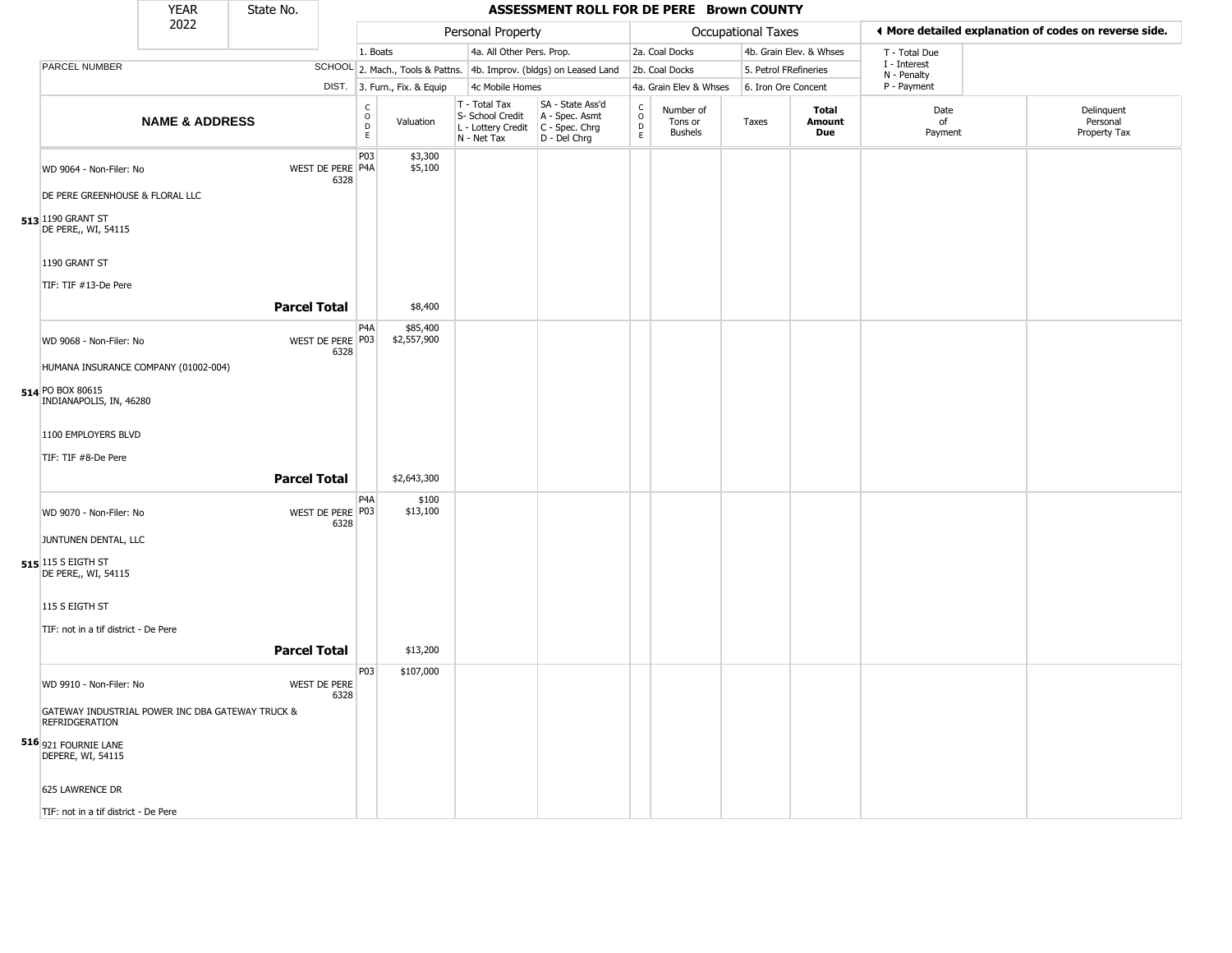|                                                                                     | <b>YEAR</b>               | State No.           |                             |                                    |                              |                                                                        | ASSESSMENT ROLL FOR DE PERE Brown COUNTY                             |                                              |                                        |                       |                         |                            |                                                       |
|-------------------------------------------------------------------------------------|---------------------------|---------------------|-----------------------------|------------------------------------|------------------------------|------------------------------------------------------------------------|----------------------------------------------------------------------|----------------------------------------------|----------------------------------------|-----------------------|-------------------------|----------------------------|-------------------------------------------------------|
|                                                                                     | 2022                      |                     |                             |                                    |                              | Personal Property                                                      |                                                                      |                                              |                                        | Occupational Taxes    |                         |                            | ◀ More detailed explanation of codes on reverse side. |
|                                                                                     |                           |                     |                             | 1. Boats                           |                              | 4a. All Other Pers. Prop.                                              |                                                                      |                                              | 2a. Coal Docks                         |                       | 4b. Grain Elev. & Whses | T - Total Due              |                                                       |
| PARCEL NUMBER                                                                       |                           |                     |                             |                                    |                              |                                                                        | SCHOOL 2. Mach., Tools & Pattns. 4b. Improv. (bldgs) on Leased Land  |                                              | 2b. Coal Docks                         | 5. Petrol FRefineries |                         | I - Interest               |                                                       |
|                                                                                     |                           |                     |                             |                                    | DIST. 3. Furn., Fix. & Equip | 4c Mobile Homes                                                        |                                                                      |                                              | 4a. Grain Elev & Whses                 | 6. Iron Ore Concent   |                         | N - Penalty<br>P - Payment |                                                       |
|                                                                                     | <b>NAME &amp; ADDRESS</b> |                     |                             | $\int_{0}^{c}$<br>D<br>$\mathsf E$ | Valuation                    | T - Total Tax<br>S- School Credit<br>L - Lottery Credit<br>N - Net Tax | SA - State Ass'd<br>A - Spec. Asmt<br>C - Spec. Chrg<br>D - Del Chrg | $\mathsf{C}$<br>$\circ$<br>$\mathsf{D}$<br>E | Number of<br>Tons or<br><b>Bushels</b> | Taxes                 | Total<br>Amount<br>Due  | Date<br>of<br>Payment      | Delinquent<br>Personal<br>Property Tax                |
| WD 9064 - Non-Filer: No<br>DE PERE GREENHOUSE & FLORAL LLC                          |                           |                     | WEST DE PERE P4A<br>6328    | P03                                | \$3,300<br>\$5,100           |                                                                        |                                                                      |                                              |                                        |                       |                         |                            |                                                       |
| 513 1190 GRANT ST<br>DE PERE,, WI, 54115                                            |                           |                     |                             |                                    |                              |                                                                        |                                                                      |                                              |                                        |                       |                         |                            |                                                       |
| 1190 GRANT ST<br>TIF: TIF #13-De Pere                                               |                           |                     |                             |                                    |                              |                                                                        |                                                                      |                                              |                                        |                       |                         |                            |                                                       |
|                                                                                     |                           | <b>Parcel Total</b> |                             |                                    | \$8,400                      |                                                                        |                                                                      |                                              |                                        |                       |                         |                            |                                                       |
| WD 9068 - Non-Filer: No                                                             |                           |                     | WEST DE PERE P03<br>6328    | P <sub>4</sub> A                   | \$85,400<br>\$2,557,900      |                                                                        |                                                                      |                                              |                                        |                       |                         |                            |                                                       |
| HUMANA INSURANCE COMPANY (01002-004)<br>514 PO BOX 80615<br>INDIANAPOLIS, IN, 46280 |                           |                     |                             |                                    |                              |                                                                        |                                                                      |                                              |                                        |                       |                         |                            |                                                       |
| 1100 EMPLOYERS BLVD                                                                 |                           |                     |                             |                                    |                              |                                                                        |                                                                      |                                              |                                        |                       |                         |                            |                                                       |
| TIF: TIF #8-De Pere                                                                 |                           |                     |                             |                                    |                              |                                                                        |                                                                      |                                              |                                        |                       |                         |                            |                                                       |
|                                                                                     |                           | <b>Parcel Total</b> |                             | P4A                                | \$2,643,300<br>\$100         |                                                                        |                                                                      |                                              |                                        |                       |                         |                            |                                                       |
| WD 9070 - Non-Filer: No<br>JUNTUNEN DENTAL, LLC                                     |                           |                     | WEST DE PERE P03<br>6328    |                                    | \$13,100                     |                                                                        |                                                                      |                                              |                                        |                       |                         |                            |                                                       |
| 515 115 S EIGTH ST<br>DE PERE,, WI, 54115                                           |                           |                     |                             |                                    |                              |                                                                        |                                                                      |                                              |                                        |                       |                         |                            |                                                       |
| 115 S EIGTH ST                                                                      |                           |                     |                             |                                    |                              |                                                                        |                                                                      |                                              |                                        |                       |                         |                            |                                                       |
| TIF: not in a tif district - De Pere                                                |                           | <b>Parcel Total</b> |                             |                                    | \$13,200                     |                                                                        |                                                                      |                                              |                                        |                       |                         |                            |                                                       |
|                                                                                     |                           |                     |                             | P03                                |                              |                                                                        |                                                                      |                                              |                                        |                       |                         |                            |                                                       |
| WD 9910 - Non-Filer: No                                                             |                           |                     | <b>WEST DE PERE</b><br>6328 |                                    | \$107,000                    |                                                                        |                                                                      |                                              |                                        |                       |                         |                            |                                                       |
| GATEWAY INDUSTRIAL POWER INC DBA GATEWAY TRUCK &<br><b>REFRIDGERATION</b>           |                           |                     |                             |                                    |                              |                                                                        |                                                                      |                                              |                                        |                       |                         |                            |                                                       |
| 516 921 FOURNIE LANE<br>DEPERE, WI, 54115                                           |                           |                     |                             |                                    |                              |                                                                        |                                                                      |                                              |                                        |                       |                         |                            |                                                       |
| 625 LAWRENCE DR                                                                     |                           |                     |                             |                                    |                              |                                                                        |                                                                      |                                              |                                        |                       |                         |                            |                                                       |
| TIF: not in a tif district - De Pere                                                |                           |                     |                             |                                    |                              |                                                                        |                                                                      |                                              |                                        |                       |                         |                            |                                                       |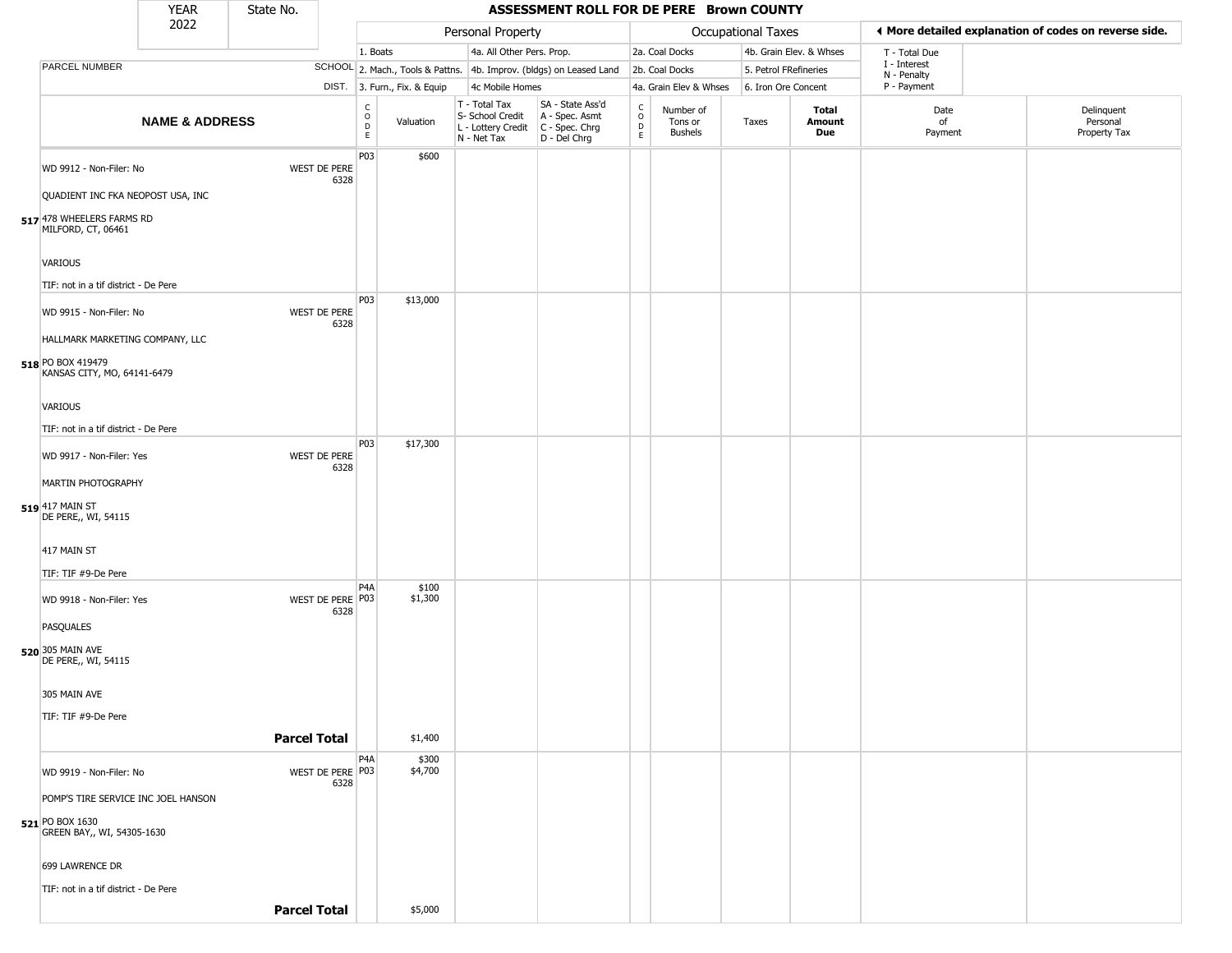|                                                                                     | <b>YEAR</b>               | State No.           |                          |                                                 |                              |                                                                        | ASSESSMENT ROLL FOR DE PERE Brown COUNTY                             |                                              |                                 |                       |                         |                             |                                                       |
|-------------------------------------------------------------------------------------|---------------------------|---------------------|--------------------------|-------------------------------------------------|------------------------------|------------------------------------------------------------------------|----------------------------------------------------------------------|----------------------------------------------|---------------------------------|-----------------------|-------------------------|-----------------------------|-------------------------------------------------------|
|                                                                                     | 2022                      |                     |                          |                                                 |                              | Personal Property                                                      |                                                                      |                                              |                                 | Occupational Taxes    |                         |                             | ♦ More detailed explanation of codes on reverse side. |
|                                                                                     |                           |                     |                          | 1. Boats                                        |                              | 4a. All Other Pers. Prop.                                              |                                                                      |                                              | 2a. Coal Docks                  |                       | 4b. Grain Elev. & Whses | T - Total Due               |                                                       |
| PARCEL NUMBER                                                                       |                           |                     |                          |                                                 |                              |                                                                        | SCHOOL 2. Mach., Tools & Pattns. 4b. Improv. (bldgs) on Leased Land  |                                              | 2b. Coal Docks                  | 5. Petrol FRefineries |                         | I - Interest<br>N - Penalty |                                                       |
|                                                                                     |                           |                     |                          |                                                 | DIST. 3. Furn., Fix. & Equip | 4c Mobile Homes                                                        |                                                                      |                                              | 4a. Grain Elev & Whses          | 6. Iron Ore Concent   |                         | P - Payment                 |                                                       |
|                                                                                     | <b>NAME &amp; ADDRESS</b> |                     |                          | $\begin{array}{c} C \\ O \\ D \\ E \end{array}$ | Valuation                    | T - Total Tax<br>S- School Credit<br>L - Lottery Credit<br>N - Net Tax | SA - State Ass'd<br>A - Spec. Asmt<br>C - Spec. Chrg<br>D - Del Chrg | $\begin{array}{c}\nC \\ D \\ E\n\end{array}$ | Number of<br>Tons or<br>Bushels | Taxes                 | Total<br>Amount<br>Due  | Date<br>of<br>Payment       | Delinquent<br>Personal<br>Property Tax                |
| WD 9912 - Non-Filer: No                                                             |                           |                     | WEST DE PERE<br>6328     | P03                                             | \$600                        |                                                                        |                                                                      |                                              |                                 |                       |                         |                             |                                                       |
| QUADIENT INC FKA NEOPOST USA, INC                                                   |                           |                     |                          |                                                 |                              |                                                                        |                                                                      |                                              |                                 |                       |                         |                             |                                                       |
| 517 478 WHEELERS FARMS RD<br>MILFORD, CT, 06461                                     |                           |                     |                          |                                                 |                              |                                                                        |                                                                      |                                              |                                 |                       |                         |                             |                                                       |
| <b>VARIOUS</b>                                                                      |                           |                     |                          |                                                 |                              |                                                                        |                                                                      |                                              |                                 |                       |                         |                             |                                                       |
| TIF: not in a tif district - De Pere                                                |                           |                     |                          |                                                 |                              |                                                                        |                                                                      |                                              |                                 |                       |                         |                             |                                                       |
| WD 9915 - Non-Filer: No                                                             |                           |                     | WEST DE PERE<br>6328     | P <sub>0</sub> 3                                | \$13,000                     |                                                                        |                                                                      |                                              |                                 |                       |                         |                             |                                                       |
| HALLMARK MARKETING COMPANY, LLC<br>518 PO BOX 419479<br>KANSAS CITY, MO, 64141-6479 |                           |                     |                          |                                                 |                              |                                                                        |                                                                      |                                              |                                 |                       |                         |                             |                                                       |
| <b>VARIOUS</b>                                                                      |                           |                     |                          |                                                 |                              |                                                                        |                                                                      |                                              |                                 |                       |                         |                             |                                                       |
| TIF: not in a tif district - De Pere                                                |                           |                     |                          |                                                 |                              |                                                                        |                                                                      |                                              |                                 |                       |                         |                             |                                                       |
| WD 9917 - Non-Filer: Yes                                                            |                           |                     | WEST DE PERE<br>6328     | P <sub>0</sub> 3                                | \$17,300                     |                                                                        |                                                                      |                                              |                                 |                       |                         |                             |                                                       |
| <b>MARTIN PHOTOGRAPHY</b>                                                           |                           |                     |                          |                                                 |                              |                                                                        |                                                                      |                                              |                                 |                       |                         |                             |                                                       |
| 519 417 MAIN ST<br>DE PERE,, WI, 54115                                              |                           |                     |                          |                                                 |                              |                                                                        |                                                                      |                                              |                                 |                       |                         |                             |                                                       |
| 417 MAIN ST                                                                         |                           |                     |                          |                                                 |                              |                                                                        |                                                                      |                                              |                                 |                       |                         |                             |                                                       |
| TIF: TIF #9-De Pere                                                                 |                           |                     |                          |                                                 |                              |                                                                        |                                                                      |                                              |                                 |                       |                         |                             |                                                       |
| WD 9918 - Non-Filer: Yes                                                            |                           |                     | WEST DE PERE P03<br>6328 | P4A                                             | \$100<br>\$1,300             |                                                                        |                                                                      |                                              |                                 |                       |                         |                             |                                                       |
| <b>PASQUALES</b>                                                                    |                           |                     |                          |                                                 |                              |                                                                        |                                                                      |                                              |                                 |                       |                         |                             |                                                       |
| 520 305 MAIN AVE<br>DE PERE,, WI, 54115                                             |                           |                     |                          |                                                 |                              |                                                                        |                                                                      |                                              |                                 |                       |                         |                             |                                                       |
| 305 MAIN AVE                                                                        |                           |                     |                          |                                                 |                              |                                                                        |                                                                      |                                              |                                 |                       |                         |                             |                                                       |
| TIF: TIF #9-De Pere                                                                 |                           |                     |                          |                                                 |                              |                                                                        |                                                                      |                                              |                                 |                       |                         |                             |                                                       |
|                                                                                     |                           | <b>Parcel Total</b> |                          |                                                 | \$1,400                      |                                                                        |                                                                      |                                              |                                 |                       |                         |                             |                                                       |
|                                                                                     |                           |                     |                          | P <sub>4</sub> A                                | \$300                        |                                                                        |                                                                      |                                              |                                 |                       |                         |                             |                                                       |
| WD 9919 - Non-Filer: No<br>POMP'S TIRE SERVICE INC JOEL HANSON                      |                           |                     | WEST DE PERE P03<br>6328 |                                                 | \$4,700                      |                                                                        |                                                                      |                                              |                                 |                       |                         |                             |                                                       |
| 521 PO BOX 1630                                                                     |                           |                     |                          |                                                 |                              |                                                                        |                                                                      |                                              |                                 |                       |                         |                             |                                                       |
| GREEN BAY,, WI, 54305-1630                                                          |                           |                     |                          |                                                 |                              |                                                                        |                                                                      |                                              |                                 |                       |                         |                             |                                                       |
| 699 LAWRENCE DR                                                                     |                           |                     |                          |                                                 |                              |                                                                        |                                                                      |                                              |                                 |                       |                         |                             |                                                       |
| TIF: not in a tif district - De Pere                                                |                           |                     |                          |                                                 |                              |                                                                        |                                                                      |                                              |                                 |                       |                         |                             |                                                       |
|                                                                                     |                           | <b>Parcel Total</b> |                          |                                                 | \$5,000                      |                                                                        |                                                                      |                                              |                                 |                       |                         |                             |                                                       |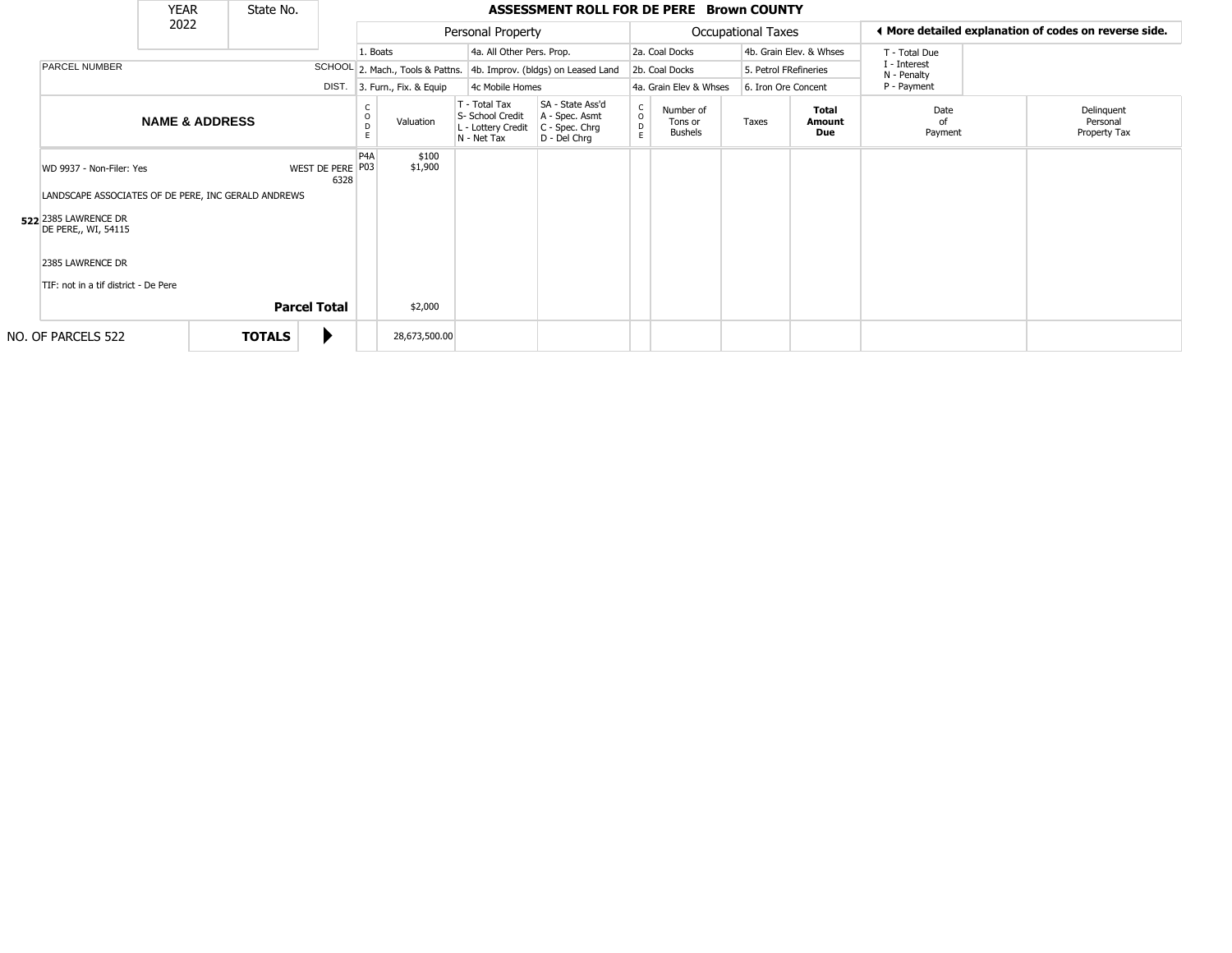|                                                                                 | <b>YEAR</b>               | State No.           |                          |                  |                              |                                                                        | ASSESSMENT ROLL FOR DE PERE Brown COUNTY                               |                                   |                                        |                           |                         |                             |                                                       |
|---------------------------------------------------------------------------------|---------------------------|---------------------|--------------------------|------------------|------------------------------|------------------------------------------------------------------------|------------------------------------------------------------------------|-----------------------------------|----------------------------------------|---------------------------|-------------------------|-----------------------------|-------------------------------------------------------|
|                                                                                 | 2022                      |                     |                          |                  |                              | Personal Property                                                      |                                                                        |                                   |                                        | <b>Occupational Taxes</b> |                         |                             | ◀ More detailed explanation of codes on reverse side. |
|                                                                                 |                           |                     |                          | 1. Boats         |                              | 4a. All Other Pers. Prop.                                              |                                                                        |                                   | 2a. Coal Docks                         |                           | 4b. Grain Elev. & Whses | T - Total Due               |                                                       |
| PARCEL NUMBER                                                                   |                           |                     |                          |                  |                              |                                                                        | SCHOOL 2. Mach., Tools & Pattns. 4b. Improv. (bldgs) on Leased Land    |                                   | 2b. Coal Docks                         | 5. Petrol FRefineries     |                         | I - Interest<br>N - Penalty |                                                       |
|                                                                                 |                           |                     |                          |                  | DIST. 3. Furn., Fix. & Equip | 4c Mobile Homes                                                        |                                                                        |                                   | 4a. Grain Elev & Whses                 | 6. Iron Ore Concent       |                         | P - Payment                 |                                                       |
|                                                                                 | <b>NAME &amp; ADDRESS</b> |                     |                          |                  | Valuation                    | T - Total Tax<br>S- School Credit<br>L - Lottery Credit<br>N - Net Tax | SA - State Ass'd<br>A - Spec. Asmt<br>$C - Spec. Chrg$<br>D - Del Chrq | $\mathsf{C}$<br>$\circ$<br>D<br>E | Number of<br>Tons or<br><b>Bushels</b> | Taxes                     | Total<br>Amount<br>Due  | Date<br>of<br>Payment       | Delinquent<br>Personal<br>Property Tax                |
| WD 9937 - Non-Filer: Yes<br>LANDSCAPE ASSOCIATES OF DE PERE, INC GERALD ANDREWS |                           |                     | WEST DE PERE P03<br>6328 | P <sub>4</sub> A | \$100<br>\$1,900             |                                                                        |                                                                        |                                   |                                        |                           |                         |                             |                                                       |
| 522 2385 LAWRENCE DR<br>DE PERE,, WI, 54115                                     |                           |                     |                          |                  |                              |                                                                        |                                                                        |                                   |                                        |                           |                         |                             |                                                       |
| 2385 LAWRENCE DR<br>TIF: not in a tif district - De Pere                        |                           |                     |                          |                  |                              |                                                                        |                                                                        |                                   |                                        |                           |                         |                             |                                                       |
|                                                                                 |                           | <b>Parcel Total</b> |                          |                  | \$2,000                      |                                                                        |                                                                        |                                   |                                        |                           |                         |                             |                                                       |
| NO. OF PARCELS 522                                                              |                           | <b>TOTALS</b>       |                          |                  | 28,673,500.00                |                                                                        |                                                                        |                                   |                                        |                           |                         |                             |                                                       |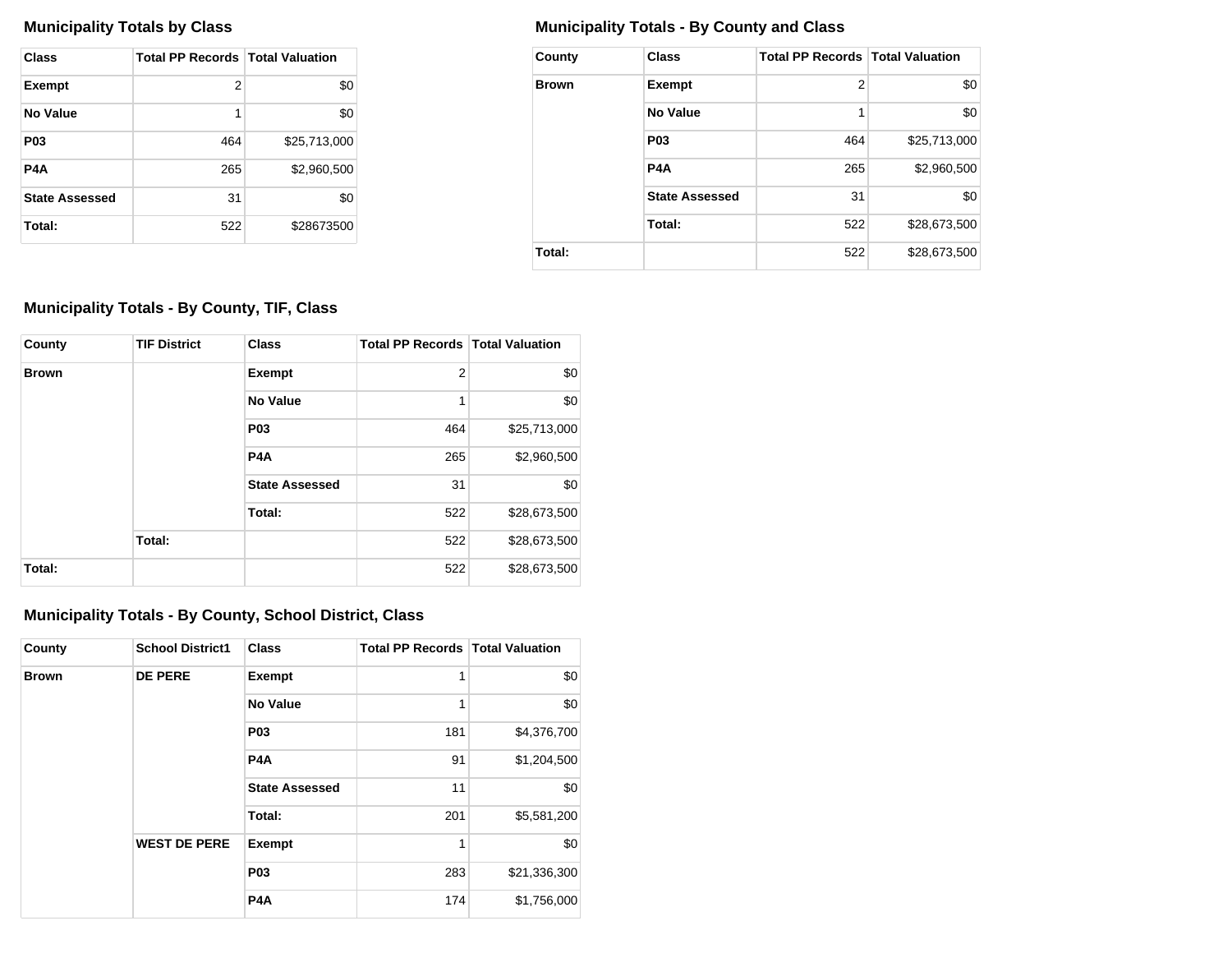| Class                 | <b>Total PP Records   Total Valuation</b> |              |
|-----------------------|-------------------------------------------|--------------|
| <b>Exempt</b>         | 2                                         | \$0          |
| No Value              | 1                                         | \$0          |
| P <sub>0</sub> 3      | 464                                       | \$25,713,000 |
| P4A                   | 265                                       | \$2,960,500  |
| <b>State Assessed</b> | 31                                        | \$0          |
| Total:                | 522                                       | \$28673500   |

## **Municipality Totals by Class Municipality Totals - By County and Class**

| County       | <b>Class</b>          | <b>Total PP Records   Total Valuation</b> |              |
|--------------|-----------------------|-------------------------------------------|--------------|
| <b>Brown</b> | <b>Exempt</b>         | 2                                         | \$0          |
|              | <b>No Value</b>       | 1                                         | \$0          |
|              | P <sub>0</sub> 3      | 464                                       | \$25,713,000 |
|              | P <sub>4</sub> A      | 265                                       | \$2,960,500  |
|              | <b>State Assessed</b> | 31                                        | \$0          |
|              | Total:                | 522                                       | \$28,673,500 |
| Total:       |                       | 522                                       | \$28,673,500 |

## **Municipality Totals - By County, TIF, Class**

| County       | <b>TIF District</b> | <b>Class</b>          | <b>Total PP Records   Total Valuation</b> |              |
|--------------|---------------------|-----------------------|-------------------------------------------|--------------|
| <b>Brown</b> |                     | <b>Exempt</b>         | $\overline{2}$                            | \$0          |
|              |                     | <b>No Value</b>       | 1                                         | \$0          |
|              |                     | <b>P03</b>            | 464                                       | \$25,713,000 |
|              |                     | <b>P4A</b>            | 265                                       | \$2,960,500  |
|              |                     | <b>State Assessed</b> | 31                                        | \$0          |
|              |                     | Total:                | 522                                       | \$28,673,500 |
|              | Total:              |                       | 522                                       | \$28,673,500 |
| Total:       |                     |                       | 522                                       | \$28,673,500 |

## **Municipality Totals - By County, School District, Class**

| County       | <b>School District1</b> | <b>Class</b>          | <b>Total PP Records   Total Valuation</b> |              |
|--------------|-------------------------|-----------------------|-------------------------------------------|--------------|
| <b>Brown</b> | <b>DE PERE</b>          | Exempt                | 1                                         | \$0          |
|              |                         | <b>No Value</b>       | 1                                         | \$0          |
|              |                         | <b>P03</b>            | 181                                       | \$4,376,700  |
|              |                         | P <sub>4</sub> A      | 91                                        | \$1,204,500  |
|              |                         | <b>State Assessed</b> | 11                                        | \$0          |
|              |                         | Total:                | 201                                       | \$5,581,200  |
|              | <b>WEST DE PERE</b>     | Exempt                | 1                                         | \$0          |
|              |                         | <b>P03</b>            | 283                                       | \$21,336,300 |
|              |                         | P <sub>4</sub> A      | 174                                       | \$1,756,000  |